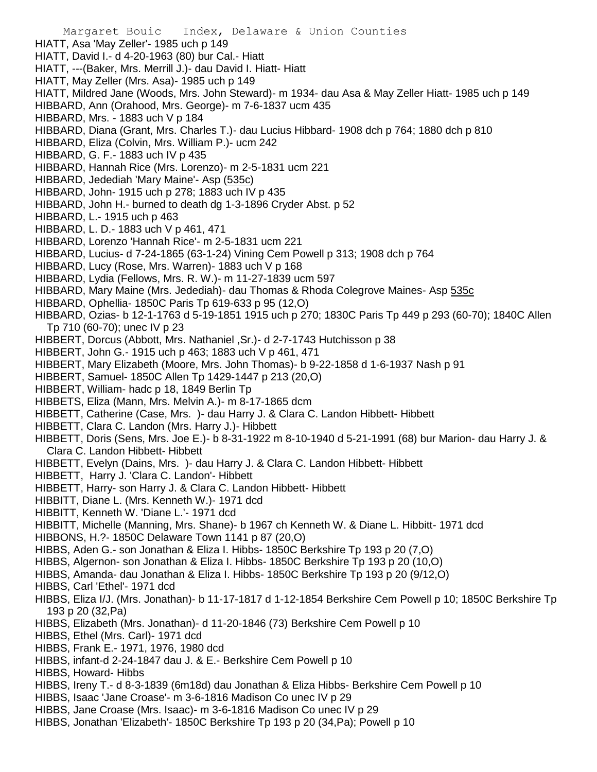Margaret Bouic Index, Delaware & Union Counties HIATT, Asa 'May Zeller'- 1985 uch p 149 HIATT, David I.- d 4-20-1963 (80) bur Cal.- Hiatt HIATT, ---(Baker, Mrs. Merrill J.)- dau David I. Hiatt- Hiatt HIATT, May Zeller (Mrs. Asa)- 1985 uch p 149 HIATT, Mildred Jane (Woods, Mrs. John Steward)- m 1934- dau Asa & May Zeller Hiatt- 1985 uch p 149 HIBBARD, Ann (Orahood, Mrs. George)- m 7-6-1837 ucm 435 HIBBARD, Mrs. - 1883 uch V p 184 HIBBARD, Diana (Grant, Mrs. Charles T.)- dau Lucius Hibbard- 1908 dch p 764; 1880 dch p 810 HIBBARD, Eliza (Colvin, Mrs. William P.)- ucm 242 HIBBARD, G. F.- 1883 uch IV p 435 HIBBARD, Hannah Rice (Mrs. Lorenzo)- m 2-5-1831 ucm 221 HIBBARD, Jedediah 'Mary Maine'- Asp (535c) HIBBARD, John- 1915 uch p 278; 1883 uch IV p 435 HIBBARD, John H.- burned to death dg 1-3-1896 Cryder Abst. p 52 HIBBARD, L.- 1915 uch p 463 HIBBARD, L. D.- 1883 uch V p 461, 471 HIBBARD, Lorenzo 'Hannah Rice'- m 2-5-1831 ucm 221 HIBBARD, Lucius- d 7-24-1865 (63-1-24) Vining Cem Powell p 313; 1908 dch p 764 HIBBARD, Lucy (Rose, Mrs. Warren)- 1883 uch V p 168 HIBBARD, Lydia (Fellows, Mrs. R. W.)- m 11-27-1839 ucm 597 HIBBARD, Mary Maine (Mrs. Jedediah)- dau Thomas & Rhoda Colegrove Maines- Asp 535c HIBBARD, Ophellia- 1850C Paris Tp 619-633 p 95 (12,O) HIBBARD, Ozias- b 12-1-1763 d 5-19-1851 1915 uch p 270; 1830C Paris Tp 449 p 293 (60-70); 1840C Allen Tp 710 (60-70); unec IV p 23 HIBBERT, Dorcus (Abbott, Mrs. Nathaniel ,Sr.)- d 2-7-1743 Hutchisson p 38 HIBBERT, John G.- 1915 uch p 463; 1883 uch V p 461, 471 HIBBERT, Mary Elizabeth (Moore, Mrs. John Thomas)- b 9-22-1858 d 1-6-1937 Nash p 91 HIBBERT, Samuel- 1850C Allen Tp 1429-1447 p 213 (20,O) HIBBERT, William- hadc p 18, 1849 Berlin Tp HIBBETS, Eliza (Mann, Mrs. Melvin A.)- m 8-17-1865 dcm HIBBETT, Catherine (Case, Mrs. )- dau Harry J. & Clara C. Landon Hibbett- Hibbett HIBBETT, Clara C. Landon (Mrs. Harry J.)- Hibbett HIBBETT, Doris (Sens, Mrs. Joe E.)- b 8-31-1922 m 8-10-1940 d 5-21-1991 (68) bur Marion- dau Harry J. & Clara C. Landon Hibbett- Hibbett HIBBETT, Evelyn (Dains, Mrs. )- dau Harry J. & Clara C. Landon Hibbett- Hibbett HIBBETT, Harry J. 'Clara C. Landon'- Hibbett HIBBETT, Harry- son Harry J. & Clara C. Landon Hibbett- Hibbett HIBBITT, Diane L. (Mrs. Kenneth W.)- 1971 dcd HIBBITT, Kenneth W. 'Diane L.'- 1971 dcd HIBBITT, Michelle (Manning, Mrs. Shane)- b 1967 ch Kenneth W. & Diane L. Hibbitt- 1971 dcd HIBBONS, H.?- 1850C Delaware Town 1141 p 87 (20,O) HIBBS, Aden G.- son Jonathan & Eliza I. Hibbs- 1850C Berkshire Tp 193 p 20 (7,O) HIBBS, Algernon- son Jonathan & Eliza I. Hibbs- 1850C Berkshire Tp 193 p 20 (10,O) HIBBS, Amanda- dau Jonathan & Eliza I. Hibbs- 1850C Berkshire Tp 193 p 20 (9/12,O) HIBBS, Carl 'Ethel'- 1971 dcd HIBBS, Eliza I/J. (Mrs. Jonathan)- b 11-17-1817 d 1-12-1854 Berkshire Cem Powell p 10; 1850C Berkshire Tp 193 p 20 (32,Pa) HIBBS, Elizabeth (Mrs. Jonathan)- d 11-20-1846 (73) Berkshire Cem Powell p 10 HIBBS, Ethel (Mrs. Carl)- 1971 dcd HIBBS, Frank E.- 1971, 1976, 1980 dcd HIBBS, infant-d 2-24-1847 dau J. & E.- Berkshire Cem Powell p 10

- HIBBS, Howard- Hibbs
- HIBBS, Ireny T.- d 8-3-1839 (6m18d) dau Jonathan & Eliza Hibbs- Berkshire Cem Powell p 10
- HIBBS, Isaac 'Jane Croase'- m 3-6-1816 Madison Co unec IV p 29
- HIBBS, Jane Croase (Mrs. Isaac)- m 3-6-1816 Madison Co unec IV p 29
- HIBBS, Jonathan 'Elizabeth'- 1850C Berkshire Tp 193 p 20 (34,Pa); Powell p 10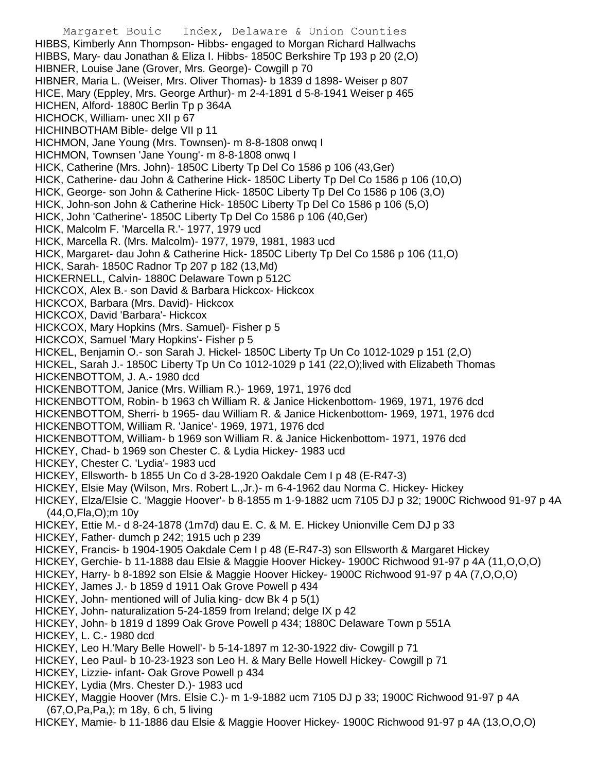Margaret Bouic Index, Delaware & Union Counties HIBBS, Kimberly Ann Thompson- Hibbs- engaged to Morgan Richard Hallwachs HIBBS, Mary- dau Jonathan & Eliza I. Hibbs- 1850C Berkshire Tp 193 p 20 (2,O) HIBNER, Louise Jane (Grover, Mrs. George)- Cowgill p 70 HIBNER, Maria L. (Weiser, Mrs. Oliver Thomas)- b 1839 d 1898- Weiser p 807 HICE, Mary (Eppley, Mrs. George Arthur)- m 2-4-1891 d 5-8-1941 Weiser p 465 HICHEN, Alford- 1880C Berlin Tp p 364A HICHOCK, William- unec XII p 67 HICHINBOTHAM Bible- delge VII p 11 HICHMON, Jane Young (Mrs. Townsen)- m 8-8-1808 onwq I HICHMON, Townsen 'Jane Young'- m 8-8-1808 onwq I HICK, Catherine (Mrs. John)- 1850C Liberty Tp Del Co 1586 p 106 (43,Ger) HICK, Catherine- dau John & Catherine Hick- 1850C Liberty Tp Del Co 1586 p 106 (10,O) HICK, George- son John & Catherine Hick- 1850C Liberty Tp Del Co 1586 p 106 (3,O) HICK, John-son John & Catherine Hick- 1850C Liberty Tp Del Co 1586 p 106 (5,O) HICK, John 'Catherine'- 1850C Liberty Tp Del Co 1586 p 106 (40,Ger) HICK, Malcolm F. 'Marcella R.'- 1977, 1979 ucd HICK, Marcella R. (Mrs. Malcolm)- 1977, 1979, 1981, 1983 ucd HICK, Margaret- dau John & Catherine Hick- 1850C Liberty Tp Del Co 1586 p 106 (11,O) HICK, Sarah- 1850C Radnor Tp 207 p 182 (13,Md) HICKERNELL, Calvin- 1880C Delaware Town p 512C HICKCOX, Alex B.- son David & Barbara Hickcox- Hickcox HICKCOX, Barbara (Mrs. David)- Hickcox HICKCOX, David 'Barbara'- Hickcox HICKCOX, Mary Hopkins (Mrs. Samuel)- Fisher p 5 HICKCOX, Samuel 'Mary Hopkins'- Fisher p 5 HICKEL, Benjamin O.- son Sarah J. Hickel- 1850C Liberty Tp Un Co 1012-1029 p 151 (2,O) HICKEL, Sarah J.- 1850C Liberty Tp Un Co 1012-1029 p 141 (22,O);lived with Elizabeth Thomas HICKENBOTTOM, J. A.- 1980 dcd HICKENBOTTOM, Janice (Mrs. William R.)- 1969, 1971, 1976 dcd HICKENBOTTOM, Robin- b 1963 ch William R. & Janice Hickenbottom- 1969, 1971, 1976 dcd HICKENBOTTOM, Sherri- b 1965- dau William R. & Janice Hickenbottom- 1969, 1971, 1976 dcd HICKENBOTTOM, William R. 'Janice'- 1969, 1971, 1976 dcd HICKENBOTTOM, William- b 1969 son William R. & Janice Hickenbottom- 1971, 1976 dcd HICKEY, Chad- b 1969 son Chester C. & Lydia Hickey- 1983 ucd HICKEY, Chester C. 'Lydia'- 1983 ucd HICKEY, Ellsworth- b 1855 Un Co d 3-28-1920 Oakdale Cem I p 48 (E-R47-3) HICKEY, Elsie May (Wilson, Mrs. Robert L.,Jr.)- m 6-4-1962 dau Norma C. Hickey- Hickey HICKEY, Elza/Elsie C. 'Maggie Hoover'- b 8-1855 m 1-9-1882 ucm 7105 DJ p 32; 1900C Richwood 91-97 p 4A (44,O,Fla,O);m 10y HICKEY, Ettie M.- d 8-24-1878 (1m7d) dau E. C. & M. E. Hickey Unionville Cem DJ p 33 HICKEY, Father- dumch p 242; 1915 uch p 239 HICKEY, Francis- b 1904-1905 Oakdale Cem I p 48 (E-R47-3) son Ellsworth & Margaret Hickey HICKEY, Gerchie- b 11-1888 dau Elsie & Maggie Hoover Hickey- 1900C Richwood 91-97 p 4A (11,O,O,O) HICKEY, Harry- b 8-1892 son Elsie & Maggie Hoover Hickey- 1900C Richwood 91-97 p 4A (7,O,O,O) HICKEY, James J.- b 1859 d 1911 Oak Grove Powell p 434 HICKEY, John- mentioned will of Julia king- dcw Bk 4 p 5(1) HICKEY, John- naturalization 5-24-1859 from Ireland; delge IX p 42 HICKEY, John- b 1819 d 1899 Oak Grove Powell p 434; 1880C Delaware Town p 551A HICKEY, L. C.- 1980 dcd HICKEY, Leo H.'Mary Belle Howell'- b 5-14-1897 m 12-30-1922 div- Cowgill p 71 HICKEY, Leo Paul- b 10-23-1923 son Leo H. & Mary Belle Howell Hickey- Cowgill p 71 HICKEY, Lizzie- infant- Oak Grove Powell p 434 HICKEY, Lydia (Mrs. Chester D.)- 1983 ucd HICKEY, Maggie Hoover (Mrs. Elsie C.)- m 1-9-1882 ucm 7105 DJ p 33; 1900C Richwood 91-97 p 4A (67,O,Pa,Pa,); m 18y, 6 ch, 5 living

HICKEY, Mamie- b 11-1886 dau Elsie & Maggie Hoover Hickey- 1900C Richwood 91-97 p 4A (13,O,O,O)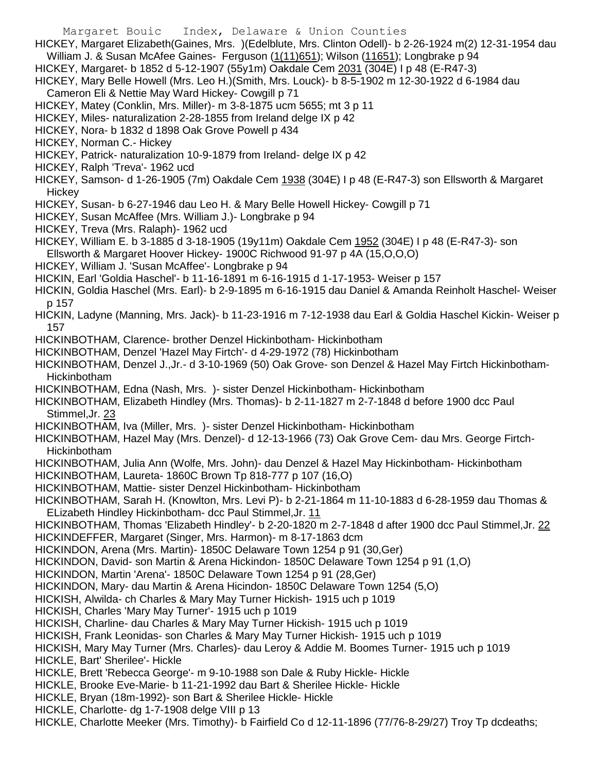Margaret Bouic Index, Delaware & Union Counties HICKEY, Margaret Elizabeth(Gaines, Mrs. )(Edelblute, Mrs. Clinton Odell)- b 2-26-1924 m(2) 12-31-1954 dau William J. & Susan McAfee Gaines- Ferguson (1(11)651); Wilson (11651); Longbrake p 94 HICKEY, Margaret- b 1852 d 5-12-1907 (55y1m) Oakdale Cem 2031 (304E) I p 48 (E-R47-3) HICKEY, Mary Belle Howell (Mrs. Leo H.)(Smith, Mrs. Louck)- b 8-5-1902 m 12-30-1922 d 6-1984 dau Cameron Eli & Nettie May Ward Hickey- Cowgill p 71 HICKEY, Matey (Conklin, Mrs. Miller)- m 3-8-1875 ucm 5655; mt 3 p 11 HICKEY, Miles- naturalization 2-28-1855 from Ireland delge IX p 42 HICKEY, Nora- b 1832 d 1898 Oak Grove Powell p 434 HICKEY, Norman C.- Hickey HICKEY, Patrick- naturalization 10-9-1879 from Ireland- delge IX p 42 HICKEY, Ralph 'Treva'- 1962 ucd HICKEY, Samson- d 1-26-1905 (7m) Oakdale Cem 1938 (304E) I p 48 (E-R47-3) son Ellsworth & Margaret **Hickey** HICKEY, Susan- b 6-27-1946 dau Leo H. & Mary Belle Howell Hickey- Cowgill p 71 HICKEY, Susan McAffee (Mrs. William J.)- Longbrake p 94 HICKEY, Treva (Mrs. Ralaph)- 1962 ucd HICKEY, William E. b 3-1885 d 3-18-1905 (19y11m) Oakdale Cem 1952 (304E) I p 48 (E-R47-3)- son Ellsworth & Margaret Hoover Hickey- 1900C Richwood 91-97 p 4A (15,O,O,O) HICKEY, William J. 'Susan McAffee'- Longbrake p 94 HICKIN, Earl 'Goldia Haschel'- b 11-16-1891 m 6-16-1915 d 1-17-1953- Weiser p 157 HICKIN, Goldia Haschel (Mrs. Earl)- b 2-9-1895 m 6-16-1915 dau Daniel & Amanda Reinholt Haschel- Weiser p 157 HICKIN, Ladyne (Manning, Mrs. Jack)- b 11-23-1916 m 7-12-1938 dau Earl & Goldia Haschel Kickin- Weiser p 157 HICKINBOTHAM, Clarence- brother Denzel Hickinbotham- Hickinbotham HICKINBOTHAM, Denzel 'Hazel May Firtch'- d 4-29-1972 (78) Hickinbotham HICKINBOTHAM, Denzel J.,Jr.- d 3-10-1969 (50) Oak Grove- son Denzel & Hazel May Firtch Hickinbotham-**Hickinbotham** HICKINBOTHAM, Edna (Nash, Mrs. )- sister Denzel Hickinbotham- Hickinbotham HICKINBOTHAM, Elizabeth Hindley (Mrs. Thomas)- b 2-11-1827 m 2-7-1848 d before 1900 dcc Paul Stimmel,Jr. 23 HICKINBOTHAM, Iva (Miller, Mrs. )- sister Denzel Hickinbotham- Hickinbotham HICKINBOTHAM, Hazel May (Mrs. Denzel)- d 12-13-1966 (73) Oak Grove Cem- dau Mrs. George Firtch-Hickinbotham HICKINBOTHAM, Julia Ann (Wolfe, Mrs. John)- dau Denzel & Hazel May Hickinbotham- Hickinbotham HICKINBOTHAM, Laureta- 1860C Brown Tp 818-777 p 107 (16,O) HICKINBOTHAM, Mattie- sister Denzel Hickinbotham- Hickinbotham HICKINBOTHAM, Sarah H. (Knowlton, Mrs. Levi P)- b 2-21-1864 m 11-10-1883 d 6-28-1959 dau Thomas & ELizabeth Hindley Hickinbotham- dcc Paul Stimmel,Jr. 11 HICKINBOTHAM, Thomas 'Elizabeth Hindley'- b 2-20-1820 m 2-7-1848 d after 1900 dcc Paul Stimmel, Jr. 22 HICKINDEFFER, Margaret (Singer, Mrs. Harmon)- m 8-17-1863 dcm HICKINDON, Arena (Mrs. Martin)- 1850C Delaware Town 1254 p 91 (30,Ger) HICKINDON, David- son Martin & Arena Hickindon- 1850C Delaware Town 1254 p 91 (1,O) HICKINDON, Martin 'Arena'- 1850C Delaware Town 1254 p 91 (28,Ger) HICKINDON, Mary- dau Martin & Arena Hicindon- 1850C Delaware Town 1254 (5,O) HICKISH, Alwilda- ch Charles & Mary May Turner Hickish- 1915 uch p 1019 HICKISH, Charles 'Mary May Turner'- 1915 uch p 1019 HICKISH, Charline- dau Charles & Mary May Turner Hickish- 1915 uch p 1019 HICKISH, Frank Leonidas- son Charles & Mary May Turner Hickish- 1915 uch p 1019 HICKISH, Mary May Turner (Mrs. Charles)- dau Leroy & Addie M. Boomes Turner- 1915 uch p 1019 HICKLE, Bart' Sherilee'- Hickle HICKLE, Brett 'Rebecca George'- m 9-10-1988 son Dale & Ruby Hickle- Hickle HICKLE, Brooke Eve-Marie- b 11-21-1992 dau Bart & Sherilee Hickle- Hickle HICKLE, Bryan (18m-1992)- son Bart & Sherilee Hickle- Hickle HICKLE, Charlotte- dg 1-7-1908 delge VIII p 13 HICKLE, Charlotte Meeker (Mrs. Timothy)- b Fairfield Co d 12-11-1896 (77/76-8-29/27) Troy Tp dcdeaths;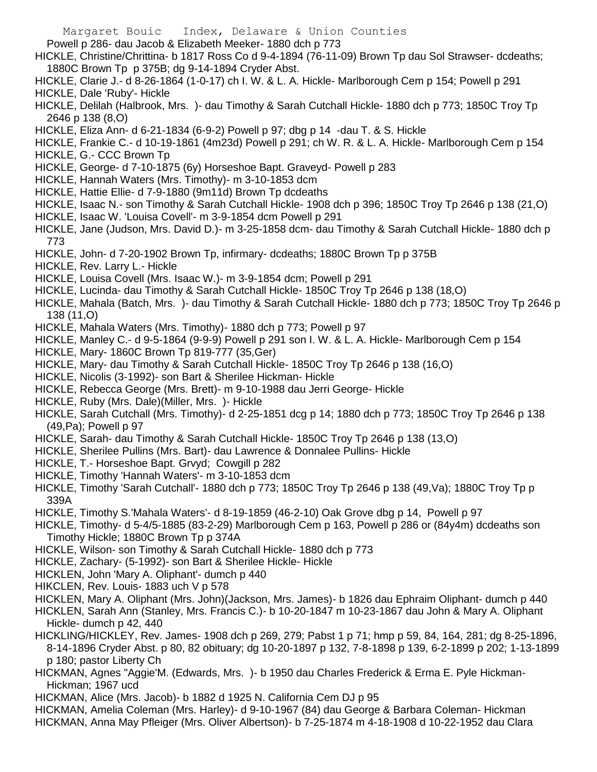Powell p 286- dau Jacob & Elizabeth Meeker- 1880 dch p 773

- HICKLE, Christine/Chrittina- b 1817 Ross Co d 9-4-1894 (76-11-09) Brown Tp dau Sol Strawser- dcdeaths; 1880C Brown Tp p 375B; dg 9-14-1894 Cryder Abst.
- HICKLE, Clarie J.- d 8-26-1864 (1-0-17) ch I. W. & L. A. Hickle- Marlborough Cem p 154; Powell p 291
- HICKLE, Dale 'Ruby'- Hickle
- HICKLE, Delilah (Halbrook, Mrs. )- dau Timothy & Sarah Cutchall Hickle- 1880 dch p 773; 1850C Troy Tp 2646 p 138 (8,O)
- HICKLE, Eliza Ann- d 6-21-1834 (6-9-2) Powell p 97; dbg p 14 -dau T. & S. Hickle
- HICKLE, Frankie C.- d 10-19-1861 (4m23d) Powell p 291; ch W. R. & L. A. Hickle- Marlborough Cem p 154 HICKLE, G.- CCC Brown Tp
- HICKLE, George- d 7-10-1875 (6y) Horseshoe Bapt. Graveyd- Powell p 283
- HICKLE, Hannah Waters (Mrs. Timothy)- m 3-10-1853 dcm
- HICKLE, Hattie Ellie- d 7-9-1880 (9m11d) Brown Tp dcdeaths
- HICKLE, Isaac N.- son Timothy & Sarah Cutchall Hickle- 1908 dch p 396; 1850C Troy Tp 2646 p 138 (21,O)
- HICKLE, Isaac W. 'Louisa Covell'- m 3-9-1854 dcm Powell p 291
- HICKLE, Jane (Judson, Mrs. David D.)- m 3-25-1858 dcm- dau Timothy & Sarah Cutchall Hickle- 1880 dch p 773
- HICKLE, John- d 7-20-1902 Brown Tp, infirmary- dcdeaths; 1880C Brown Tp p 375B
- HICKLE, Rev. Larry L.- Hickle
- HICKLE, Louisa Covell (Mrs. Isaac W.)- m 3-9-1854 dcm; Powell p 291
- HICKLE, Lucinda- dau Timothy & Sarah Cutchall Hickle- 1850C Troy Tp 2646 p 138 (18,O)
- HICKLE, Mahala (Batch, Mrs. )- dau Timothy & Sarah Cutchall Hickle- 1880 dch p 773; 1850C Troy Tp 2646 p 138 (11,O)
- HICKLE, Mahala Waters (Mrs. Timothy)- 1880 dch p 773; Powell p 97
- HICKLE, Manley C.- d 9-5-1864 (9-9-9) Powell p 291 son I. W. & L. A. Hickle- Marlborough Cem p 154
- HICKLE, Mary- 1860C Brown Tp 819-777 (35,Ger)
- HICKLE, Mary- dau Timothy & Sarah Cutchall Hickle- 1850C Troy Tp 2646 p 138 (16,O)
- HICKLE, Nicolis (3-1992)- son Bart & Sherilee Hickman- Hickle
- HICKLE, Rebecca George (Mrs. Brett)- m 9-10-1988 dau Jerri George- Hickle
- HICKLE, Ruby (Mrs. Dale)(Miller, Mrs. )- Hickle
- HICKLE, Sarah Cutchall (Mrs. Timothy)- d 2-25-1851 dcg p 14; 1880 dch p 773; 1850C Troy Tp 2646 p 138 (49,Pa); Powell p 97
- HICKLE, Sarah- dau Timothy & Sarah Cutchall Hickle- 1850C Troy Tp 2646 p 138 (13,O)
- HICKLE, Sherilee Pullins (Mrs. Bart)- dau Lawrence & Donnalee Pullins- Hickle
- HICKLE, T.- Horseshoe Bapt. Grvyd; Cowgill p 282
- HICKLE, Timothy 'Hannah Waters'- m 3-10-1853 dcm
- HICKLE, Timothy 'Sarah Cutchall'- 1880 dch p 773; 1850C Troy Tp 2646 p 138 (49,Va); 1880C Troy Tp p 339A
- HICKLE, Timothy S.'Mahala Waters'- d 8-19-1859 (46-2-10) Oak Grove dbg p 14, Powell p 97
- HICKLE, Timothy- d 5-4/5-1885 (83-2-29) Marlborough Cem p 163, Powell p 286 or (84y4m) dcdeaths son Timothy Hickle: 1880C Brown Tp p 374A
- HICKLE, Wilson- son Timothy & Sarah Cutchall Hickle- 1880 dch p 773
- HICKLE, Zachary- (5-1992)- son Bart & Sherilee Hickle- Hickle
- HICKLEN, John 'Mary A. Oliphant'- dumch p 440
- HIKCLEN, Rev. Louis- 1883 uch V p 578
- HICKLEN, Mary A. Oliphant (Mrs. John)(Jackson, Mrs. James)- b 1826 dau Ephraim Oliphant- dumch p 440
- HICKLEN, Sarah Ann (Stanley, Mrs. Francis C.)- b 10-20-1847 m 10-23-1867 dau John & Mary A. Oliphant Hickle- dumch p 42, 440
- HICKLING/HICKLEY, Rev. James- 1908 dch p 269, 279; Pabst 1 p 71; hmp p 59, 84, 164, 281; dg 8-25-1896, 8-14-1896 Cryder Abst. p 80, 82 obituary; dg 10-20-1897 p 132, 7-8-1898 p 139, 6-2-1899 p 202; 1-13-1899 p 180; pastor Liberty Ch
- HICKMAN, Agnes "Aggie'M. (Edwards, Mrs. )- b 1950 dau Charles Frederick & Erma E. Pyle Hickman-Hickman; 1967 ucd
- HICKMAN, Alice (Mrs. Jacob)- b 1882 d 1925 N. California Cem DJ p 95
- HICKMAN, Amelia Coleman (Mrs. Harley)- d 9-10-1967 (84) dau George & Barbara Coleman- Hickman HICKMAN, Anna May Pfleiger (Mrs. Oliver Albertson)- b 7-25-1874 m 4-18-1908 d 10-22-1952 dau Clara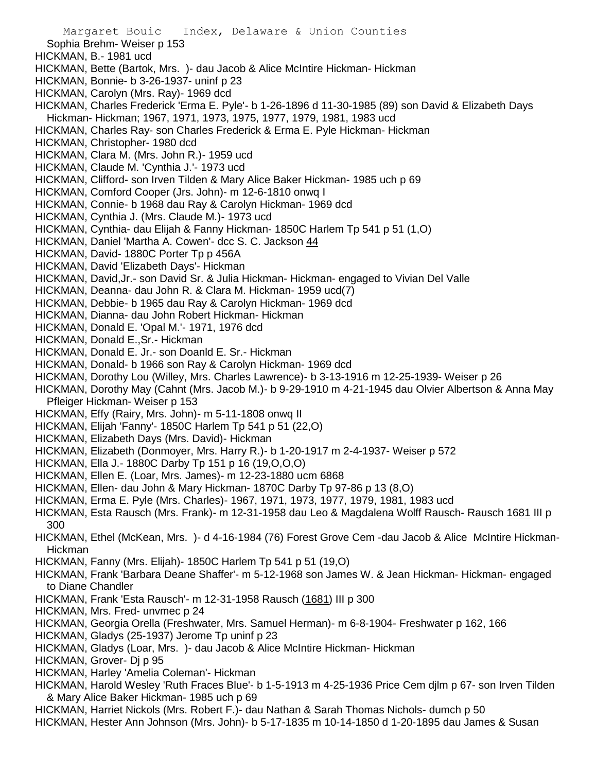Margaret Bouic Index, Delaware & Union Counties Sophia Brehm- Weiser p 153 HICKMAN, B.- 1981 ucd HICKMAN, Bette (Bartok, Mrs. )- dau Jacob & Alice McIntire Hickman- Hickman HICKMAN, Bonnie- b 3-26-1937- uninf p 23 HICKMAN, Carolyn (Mrs. Ray)- 1969 dcd HICKMAN, Charles Frederick 'Erma E. Pyle'- b 1-26-1896 d 11-30-1985 (89) son David & Elizabeth Days Hickman- Hickman; 1967, 1971, 1973, 1975, 1977, 1979, 1981, 1983 ucd HICKMAN, Charles Ray- son Charles Frederick & Erma E. Pyle Hickman- Hickman HICKMAN, Christopher- 1980 dcd HICKMAN, Clara M. (Mrs. John R.)- 1959 ucd HICKMAN, Claude M. 'Cynthia J.'- 1973 ucd HICKMAN, Clifford- son Irven Tilden & Mary Alice Baker Hickman- 1985 uch p 69 HICKMAN, Comford Cooper (Jrs. John)- m 12-6-1810 onwq I HICKMAN, Connie- b 1968 dau Ray & Carolyn Hickman- 1969 dcd HICKMAN, Cynthia J. (Mrs. Claude M.)- 1973 ucd HICKMAN, Cynthia- dau Elijah & Fanny Hickman- 1850C Harlem Tp 541 p 51 (1,O) HICKMAN, Daniel 'Martha A. Cowen'- dcc S. C. Jackson 44 HICKMAN, David- 1880C Porter Tp p 456A HICKMAN, David 'Elizabeth Days'- Hickman HICKMAN, David,Jr.- son David Sr. & Julia Hickman- Hickman- engaged to Vivian Del Valle HICKMAN, Deanna- dau John R. & Clara M. Hickman- 1959 ucd(7) HICKMAN, Debbie- b 1965 dau Ray & Carolyn Hickman- 1969 dcd HICKMAN, Dianna- dau John Robert Hickman- Hickman HICKMAN, Donald E. 'Opal M.'- 1971, 1976 dcd HICKMAN, Donald E.,Sr.- Hickman HICKMAN, Donald E. Jr.- son Doanld E. Sr.- Hickman HICKMAN, Donald- b 1966 son Ray & Carolyn Hickman- 1969 dcd HICKMAN, Dorothy Lou (Willey, Mrs. Charles Lawrence)- b 3-13-1916 m 12-25-1939- Weiser p 26 HICKMAN, Dorothy May (Cahnt (Mrs. Jacob M.)- b 9-29-1910 m 4-21-1945 dau Olvier Albertson & Anna May Pfleiger Hickman- Weiser p 153 HICKMAN, Effy (Rairy, Mrs. John)- m 5-11-1808 onwq II HICKMAN, Elijah 'Fanny'- 1850C Harlem Tp 541 p 51 (22,O) HICKMAN, Elizabeth Days (Mrs. David)- Hickman HICKMAN, Elizabeth (Donmoyer, Mrs. Harry R.)- b 1-20-1917 m 2-4-1937- Weiser p 572 HICKMAN, Ella J.- 1880C Darby Tp 151 p 16 (19,O,O,O) HICKMAN, Ellen E. (Loar, Mrs. James)- m 12-23-1880 ucm 6868 HICKMAN, Ellen- dau John & Mary Hickman- 1870C Darby Tp 97-86 p 13 (8,O) HICKMAN, Erma E. Pyle (Mrs. Charles)- 1967, 1971, 1973, 1977, 1979, 1981, 1983 ucd HICKMAN, Esta Rausch (Mrs. Frank)- m 12-31-1958 dau Leo & Magdalena Wolff Rausch- Rausch 1681 III p 300 HICKMAN, Ethel (McKean, Mrs. )- d 4-16-1984 (76) Forest Grove Cem -dau Jacob & Alice McIntire Hickman-Hickman HICKMAN, Fanny (Mrs. Elijah)- 1850C Harlem Tp 541 p 51 (19,O) HICKMAN, Frank 'Barbara Deane Shaffer'- m 5-12-1968 son James W. & Jean Hickman- Hickman- engaged to Diane Chandler HICKMAN, Frank 'Esta Rausch'- m 12-31-1958 Rausch (1681) III p 300 HICKMAN, Mrs. Fred- unvmec p 24 HICKMAN, Georgia Orella (Freshwater, Mrs. Samuel Herman)- m 6-8-1904- Freshwater p 162, 166 HICKMAN, Gladys (25-1937) Jerome Tp uninf p 23 HICKMAN, Gladys (Loar, Mrs. )- dau Jacob & Alice McIntire Hickman- Hickman HICKMAN, Grover- Di p 95 HICKMAN, Harley 'Amelia Coleman'- Hickman HICKMAN, Harold Wesley 'Ruth Fraces Blue'- b 1-5-1913 m 4-25-1936 Price Cem djlm p 67- son Irven Tilden & Mary Alice Baker Hickman- 1985 uch p 69

HICKMAN, Harriet Nickols (Mrs. Robert F.)- dau Nathan & Sarah Thomas Nichols- dumch p 50

HICKMAN, Hester Ann Johnson (Mrs. John)- b 5-17-1835 m 10-14-1850 d 1-20-1895 dau James & Susan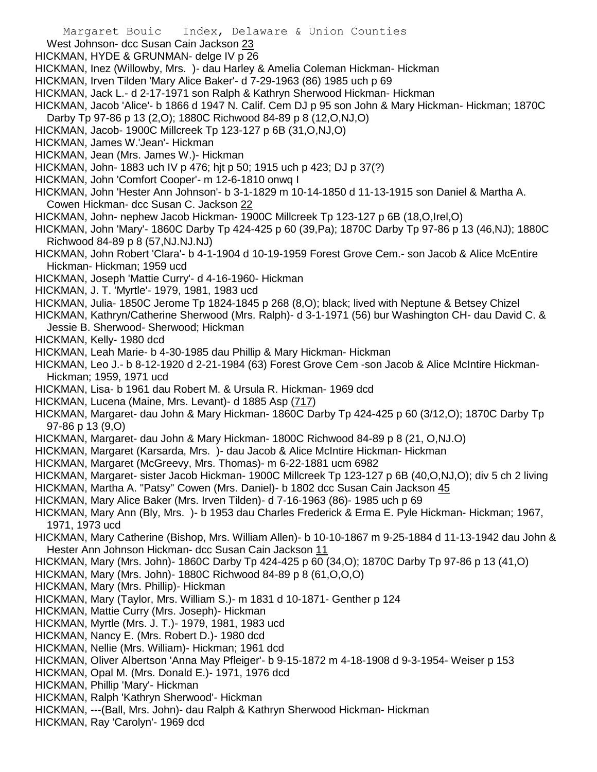West Johnson- dcc Susan Cain Jackson 23

HICKMAN, HYDE & GRUNMAN- delge IV p 26

HICKMAN, Inez (Willowby, Mrs. )- dau Harley & Amelia Coleman Hickman- Hickman

- HICKMAN, Irven Tilden 'Mary Alice Baker'- d 7-29-1963 (86) 1985 uch p 69
- HICKMAN, Jack L.- d 2-17-1971 son Ralph & Kathryn Sherwood Hickman- Hickman
- HICKMAN, Jacob 'Alice'- b 1866 d 1947 N. Calif. Cem DJ p 95 son John & Mary Hickman- Hickman; 1870C Darby Tp 97-86 p 13 (2,O); 1880C Richwood 84-89 p 8 (12,O,NJ,O)
- HICKMAN, Jacob- 1900C Millcreek Tp 123-127 p 6B (31,O,NJ,O)
- HICKMAN, James W.'Jean'- Hickman
- HICKMAN, Jean (Mrs. James W.)- Hickman
- HICKMAN, John- 1883 uch IV p 476; hjt p 50; 1915 uch p 423; DJ p 37(?)
- HICKMAN, John 'Comfort Cooper'- m 12-6-1810 onwq I
- HICKMAN, John 'Hester Ann Johnson'- b 3-1-1829 m 10-14-1850 d 11-13-1915 son Daniel & Martha A.
- Cowen Hickman- dcc Susan C. Jackson 22
- HICKMAN, John- nephew Jacob Hickman- 1900C Millcreek Tp 123-127 p 6B (18,O,Irel,O)
- HICKMAN, John 'Mary'- 1860C Darby Tp 424-425 p 60 (39,Pa); 1870C Darby Tp 97-86 p 13 (46,NJ); 1880C Richwood 84-89 p 8 (57,NJ.NJ.NJ)
- HICKMAN, John Robert 'Clara'- b 4-1-1904 d 10-19-1959 Forest Grove Cem.- son Jacob & Alice McEntire Hickman- Hickman; 1959 ucd
- HICKMAN, Joseph 'Mattie Curry'- d 4-16-1960- Hickman
- HICKMAN, J. T. 'Myrtle'- 1979, 1981, 1983 ucd
- HICKMAN, Julia- 1850C Jerome Tp 1824-1845 p 268 (8,O); black; lived with Neptune & Betsey Chizel
- HICKMAN, Kathryn/Catherine Sherwood (Mrs. Ralph)- d 3-1-1971 (56) bur Washington CH- dau David C. & Jessie B. Sherwood- Sherwood; Hickman
- HICKMAN, Kelly- 1980 dcd
- HICKMAN, Leah Marie- b 4-30-1985 dau Phillip & Mary Hickman- Hickman
- HICKMAN, Leo J.- b 8-12-1920 d 2-21-1984 (63) Forest Grove Cem -son Jacob & Alice McIntire Hickman-Hickman; 1959, 1971 ucd
- HICKMAN, Lisa- b 1961 dau Robert M. & Ursula R. Hickman- 1969 dcd
- HICKMAN, Lucena (Maine, Mrs. Levant)- d 1885 Asp (717)
- HICKMAN, Margaret- dau John & Mary Hickman- 1860C Darby Tp 424-425 p 60 (3/12,O); 1870C Darby Tp 97-86 p 13 (9,O)
- HICKMAN, Margaret- dau John & Mary Hickman- 1800C Richwood 84-89 p 8 (21, O,NJ.O)
- HICKMAN, Margaret (Karsarda, Mrs. )- dau Jacob & Alice McIntire Hickman- Hickman
- HICKMAN, Margaret (McGreevy, Mrs. Thomas)- m 6-22-1881 ucm 6982
- HICKMAN, Margaret- sister Jacob Hickman- 1900C Millcreek Tp 123-127 p 6B (40,O,NJ,O); div 5 ch 2 living
- HICKMAN, Martha A. "Patsy" Cowen (Mrs. Daniel)- b 1802 dcc Susan Cain Jackson 45
- HICKMAN, Mary Alice Baker (Mrs. Irven Tilden)- d 7-16-1963 (86)- 1985 uch p 69
- HICKMAN, Mary Ann (Bly, Mrs. )- b 1953 dau Charles Frederick & Erma E. Pyle Hickman- Hickman; 1967, 1971, 1973 ucd
- HICKMAN, Mary Catherine (Bishop, Mrs. William Allen)- b 10-10-1867 m 9-25-1884 d 11-13-1942 dau John & Hester Ann Johnson Hickman- dcc Susan Cain Jackson 11
- HICKMAN, Mary (Mrs. John)- 1860C Darby Tp 424-425 p 60 (34,O); 1870C Darby Tp 97-86 p 13 (41,O)
- HICKMAN, Mary (Mrs. John)- 1880C Richwood 84-89 p 8 (61,O,O,O)
- HICKMAN, Mary (Mrs. Phillip)- Hickman
- HICKMAN, Mary (Taylor, Mrs. William S.)- m 1831 d 10-1871- Genther p 124
- HICKMAN, Mattie Curry (Mrs. Joseph)- Hickman
- HICKMAN, Myrtle (Mrs. J. T.)- 1979, 1981, 1983 ucd
- HICKMAN, Nancy E. (Mrs. Robert D.)- 1980 dcd
- HICKMAN, Nellie (Mrs. William)- Hickman; 1961 dcd
- HICKMAN, Oliver Albertson 'Anna May Pfleiger'- b 9-15-1872 m 4-18-1908 d 9-3-1954- Weiser p 153
- HICKMAN, Opal M. (Mrs. Donald E.)- 1971, 1976 dcd
- HICKMAN, Phillip 'Mary'- Hickman
- HICKMAN, Ralph 'Kathryn Sherwood'- Hickman
- HICKMAN, ---(Ball, Mrs. John)- dau Ralph & Kathryn Sherwood Hickman- Hickman
- HICKMAN, Ray 'Carolyn'- 1969 dcd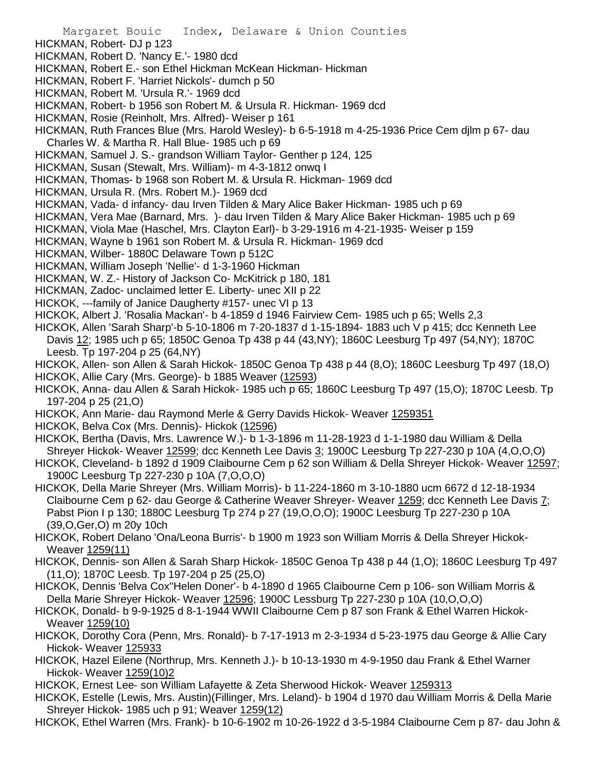- Margaret Bouic Index, Delaware & Union Counties
- HICKMAN, Robert- DJ p 123
- HICKMAN, Robert D. 'Nancy E.'- 1980 dcd
- HICKMAN, Robert E.- son Ethel Hickman McKean Hickman- Hickman
- HICKMAN, Robert F. 'Harriet Nickols'- dumch p 50
- HICKMAN, Robert M. 'Ursula R.'- 1969 dcd
- HICKMAN, Robert- b 1956 son Robert M. & Ursula R. Hickman- 1969 dcd
- HICKMAN, Rosie (Reinholt, Mrs. Alfred)- Weiser p 161
- HICKMAN, Ruth Frances Blue (Mrs. Harold Wesley)- b 6-5-1918 m 4-25-1936 Price Cem djlm p 67- dau Charles W. & Martha R. Hall Blue- 1985 uch p 69
- HICKMAN, Samuel J. S.- grandson William Taylor- Genther p 124, 125
- HICKMAN, Susan (Stewalt, Mrs. William)- m 4-3-1812 onwq I
- HICKMAN, Thomas- b 1968 son Robert M. & Ursula R. Hickman- 1969 dcd
- HICKMAN, Ursula R. (Mrs. Robert M.)- 1969 dcd
- HICKMAN, Vada- d infancy- dau Irven Tilden & Mary Alice Baker Hickman- 1985 uch p 69
- HICKMAN, Vera Mae (Barnard, Mrs. )- dau Irven Tilden & Mary Alice Baker Hickman- 1985 uch p 69
- HICKMAN, Viola Mae (Haschel, Mrs. Clayton Earl)- b 3-29-1916 m 4-21-1935- Weiser p 159
- HICKMAN, Wayne b 1961 son Robert M. & Ursula R. Hickman- 1969 dcd
- HICKMAN, Wilber- 1880C Delaware Town p 512C
- HICKMAN, William Joseph 'Nellie'- d 1-3-1960 Hickman
- HICKMAN, W. Z.- History of Jackson Co- McKitrick p 180, 181
- HICKMAN, Zadoc- unclaimed letter E. Liberty- unec XII p 22
- HICKOK, ---family of Janice Daugherty #157- unec VI p 13
- HICKOK, Albert J. 'Rosalia Mackan'- b 4-1859 d 1946 Fairview Cem- 1985 uch p 65; Wells 2,3
- HICKOK, Allen 'Sarah Sharp'-b 5-10-1806 m 7-20-1837 d 1-15-1894- 1883 uch V p 415; dcc Kenneth Lee Davis 12; 1985 uch p 65; 1850C Genoa Tp 438 p 44 (43,NY); 1860C Leesburg Tp 497 (54,NY); 1870C Leesb. Tp 197-204 p 25 (64,NY)
- HICKOK, Allen- son Allen & Sarah Hickok- 1850C Genoa Tp 438 p 44 (8,O); 1860C Leesburg Tp 497 (18,O)
- HICKOK, Allie Cary (Mrs. George)- b 1885 Weaver (12593)
- HICKOK, Anna- dau Allen & Sarah Hickok- 1985 uch p 65; 1860C Leesburg Tp 497 (15,O); 1870C Leesb. Tp 197-204 p 25 (21,O)
- HICKOK, Ann Marie- dau Raymond Merle & Gerry Davids Hickok- Weaver 1259351
- HICKOK, Belva Cox (Mrs. Dennis)- Hickok (12596)
- HICKOK, Bertha (Davis, Mrs. Lawrence W.)- b 1-3-1896 m 11-28-1923 d 1-1-1980 dau William & Della Shreyer Hickok- Weaver 12599; dcc Kenneth Lee Davis 3; 1900C Leesburg Tp 227-230 p 10A (4,O,O,O)
- HICKOK, Cleveland- b 1892 d 1909 Claibourne Cem p 62 son William & Della Shreyer Hickok- Weaver 12597; 1900C Leesburg Tp 227-230 p 10A (7,O,O,O)
- HICKOK, Della Marie Shreyer (Mrs. William Morris)- b 11-224-1860 m 3-10-1880 ucm 6672 d 12-18-1934 Claibourne Cem p 62- dau George & Catherine Weaver Shreyer- Weaver 1259; dcc Kenneth Lee Davis 7; Pabst Pion I p 130; 1880C Leesburg Tp 274 p 27 (19,O,O,O); 1900C Leesburg Tp 227-230 p 10A (39,O,Ger,O) m 20y 10ch
- HICKOK, Robert Delano 'Ona/Leona Burris'- b 1900 m 1923 son William Morris & Della Shreyer Hickok-Weaver 1259(11)
- HICKOK, Dennis- son Allen & Sarah Sharp Hickok- 1850C Genoa Tp 438 p 44 (1,O); 1860C Leesburg Tp 497 (11,O); 1870C Leesb. Tp 197-204 p 25 (25,O)
- HICKOK, Dennis 'Belva Cox''Helen Doner'- b 4-1890 d 1965 Claibourne Cem p 106- son William Morris & Della Marie Shreyer Hickok- Weaver 12596; 1900C Lessburg Tp 227-230 p 10A (10,O,O,O)
- HICKOK, Donald- b 9-9-1925 d 8-1-1944 WWII Claibourne Cem p 87 son Frank & Ethel Warren Hickok-Weaver 1259(10)
- HICKOK, Dorothy Cora (Penn, Mrs. Ronald)- b 7-17-1913 m 2-3-1934 d 5-23-1975 dau George & Allie Cary Hickok- Weaver 125933
- HICKOK, Hazel Eilene (Northrup, Mrs. Kenneth J.)- b 10-13-1930 m 4-9-1950 dau Frank & Ethel Warner Hickok- Weaver 1259(10)2
- HICKOK, Ernest Lee- son William Lafayette & Zeta Sherwood Hickok- Weaver 1259313
- HICKOK, Estelle (Lewis, Mrs. Austin)(Fillinger, Mrs. Leland)- b 1904 d 1970 dau William Morris & Della Marie Shreyer Hickok- 1985 uch p 91; Weaver 1259(12)
- HICKOK, Ethel Warren (Mrs. Frank)- b 10-6-1902 m 10-26-1922 d 3-5-1984 Claibourne Cem p 87- dau John &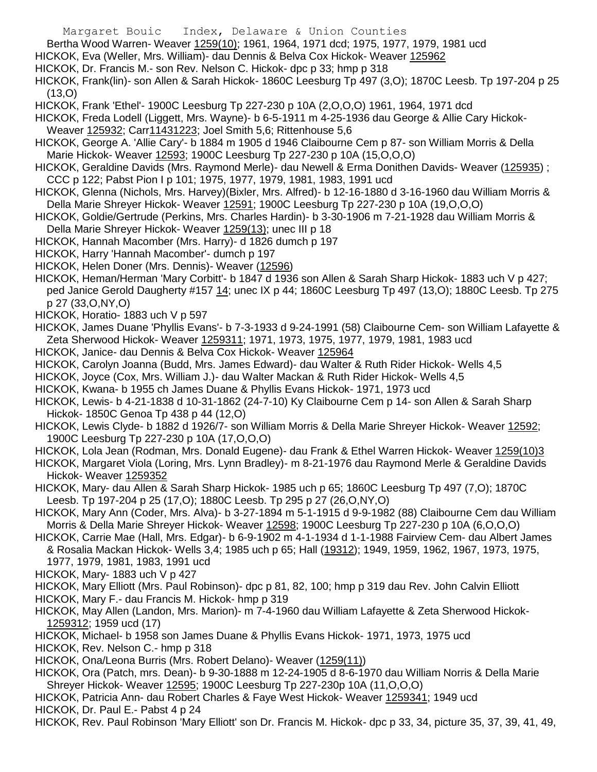- Margaret Bouic Index, Delaware & Union Counties
- Bertha Wood Warren- Weaver 1259(10); 1961, 1964, 1971 dcd; 1975, 1977, 1979, 1981 ucd
- HICKOK, Eva (Weller, Mrs. William)- dau Dennis & Belva Cox Hickok- Weaver 125962
- HICKOK, Dr. Francis M.- son Rev. Nelson C. Hickok- dpc p 33; hmp p 318
- HICKOK, Frank(lin)- son Allen & Sarah Hickok- 1860C Leesburg Tp 497 (3,O); 1870C Leesb. Tp 197-204 p 25 (13,O)
- HICKOK, Frank 'Ethel'- 1900C Leesburg Tp 227-230 p 10A (2,O,O,O) 1961, 1964, 1971 dcd
- HICKOK, Freda Lodell (Liggett, Mrs. Wayne)- b 6-5-1911 m 4-25-1936 dau George & Allie Cary Hickok-Weaver 125932; Carr11431223; Joel Smith 5,6; Rittenhouse 5,6
- HICKOK, George A. 'Allie Cary'- b 1884 m 1905 d 1946 Claibourne Cem p 87- son William Morris & Della Marie Hickok- Weaver 12593; 1900C Leesburg Tp 227-230 p 10A (15,O,O,O)
- HICKOK, Geraldine Davids (Mrs. Raymond Merle)- dau Newell & Erma Donithen Davids- Weaver (125935) ; CCC p 122; Pabst Pion I p 101; 1975, 1977, 1979, 1981, 1983, 1991 ucd
- HICKOK, Glenna (Nichols, Mrs. Harvey)(Bixler, Mrs. Alfred)- b 12-16-1880 d 3-16-1960 dau William Morris & Della Marie Shreyer Hickok- Weaver 12591; 1900C Leesburg Tp 227-230 p 10A (19,O,O,O)
- HICKOK, Goldie/Gertrude (Perkins, Mrs. Charles Hardin)- b 3-30-1906 m 7-21-1928 dau William Morris & Della Marie Shreyer Hickok- Weaver 1259(13); unec III p 18
- HICKOK, Hannah Macomber (Mrs. Harry)- d 1826 dumch p 197
- HICKOK, Harry 'Hannah Macomber'- dumch p 197
- HICKOK, Helen Doner (Mrs. Dennis)- Weaver (12596)
- HICKOK, Heman/Herman 'Mary Corbitt'- b 1847 d 1936 son Allen & Sarah Sharp Hickok- 1883 uch V p 427; ped Janice Gerold Daugherty #157 14; unec IX p 44; 1860C Leesburg Tp 497 (13,O); 1880C Leesb. Tp 275 p 27 (33,O,NY,O)
- HICKOK, Horatio- 1883 uch V p 597
- HICKOK, James Duane 'Phyllis Evans'- b 7-3-1933 d 9-24-1991 (58) Claibourne Cem- son William Lafayette & Zeta Sherwood Hickok- Weaver 1259311; 1971, 1973, 1975, 1977, 1979, 1981, 1983 ucd
- HICKOK, Janice- dau Dennis & Belva Cox Hickok- Weaver 125964
- HICKOK, Carolyn Joanna (Budd, Mrs. James Edward)- dau Walter & Ruth Rider Hickok- Wells 4,5
- HICKOK, Joyce (Cox, Mrs. William J.)- dau Walter Mackan & Ruth Rider Hickok- Wells 4,5
- HICKOK, Kwana- b 1955 ch James Duane & Phyllis Evans Hickok- 1971, 1973 ucd
- HICKOK, Lewis- b 4-21-1838 d 10-31-1862 (24-7-10) Ky Claibourne Cem p 14- son Allen & Sarah Sharp Hickok- 1850C Genoa Tp 438 p 44 (12,O)
- HICKOK, Lewis Clyde- b 1882 d 1926/7- son William Morris & Della Marie Shreyer Hickok- Weaver 12592; 1900C Leesburg Tp 227-230 p 10A (17,O,O,O)
- HICKOK, Lola Jean (Rodman, Mrs. Donald Eugene)- dau Frank & Ethel Warren Hickok- Weaver 1259(10)3
- HICKOK, Margaret Viola (Loring, Mrs. Lynn Bradley)- m 8-21-1976 dau Raymond Merle & Geraldine Davids Hickok- Weaver 1259352
- HICKOK, Mary- dau Allen & Sarah Sharp Hickok- 1985 uch p 65; 1860C Leesburg Tp 497 (7,O); 1870C Leesb. Tp 197-204 p 25 (17,O); 1880C Leesb. Tp 295 p 27 (26,O,NY,O)
- HICKOK, Mary Ann (Coder, Mrs. Alva)- b 3-27-1894 m 5-1-1915 d 9-9-1982 (88) Claibourne Cem dau William Morris & Della Marie Shreyer Hickok- Weaver 12598; 1900C Leesburg Tp 227-230 p 10A (6,O,O,O)
- HICKOK, Carrie Mae (Hall, Mrs. Edgar)- b 6-9-1902 m 4-1-1934 d 1-1-1988 Fairview Cem- dau Albert James & Rosalia Mackan Hickok- Wells 3,4; 1985 uch p 65; Hall (19312); 1949, 1959, 1962, 1967, 1973, 1975, 1977, 1979, 1981, 1983, 1991 ucd
- HICKOK, Mary- 1883 uch V p 427
- HICKOK, Mary Elliott (Mrs. Paul Robinson)- dpc p 81, 82, 100; hmp p 319 dau Rev. John Calvin Elliott
- HICKOK, Mary F.- dau Francis M. Hickok- hmp p 319
- HICKOK, May Allen (Landon, Mrs. Marion)- m 7-4-1960 dau William Lafayette & Zeta Sherwood Hickok-1259312; 1959 ucd (17)
- HICKOK, Michael- b 1958 son James Duane & Phyllis Evans Hickok- 1971, 1973, 1975 ucd
- HICKOK, Rev. Nelson C.- hmp p 318
- HICKOK, Ona/Leona Burris (Mrs. Robert Delano)- Weaver (1259(11))
- HICKOK, Ora (Patch, mrs. Dean)- b 9-30-1888 m 12-24-1905 d 8-6-1970 dau William Norris & Della Marie Shreyer Hickok- Weaver 12595; 1900C Leesburg Tp 227-230p 10A (11,O,O,O)
- HICKOK, Patricia Ann- dau Robert Charles & Faye West Hickok- Weaver 1259341; 1949 ucd
- HICKOK, Dr. Paul E.- Pabst 4 p 24
- HICKOK, Rev. Paul Robinson 'Mary Elliott' son Dr. Francis M. Hickok- dpc p 33, 34, picture 35, 37, 39, 41, 49,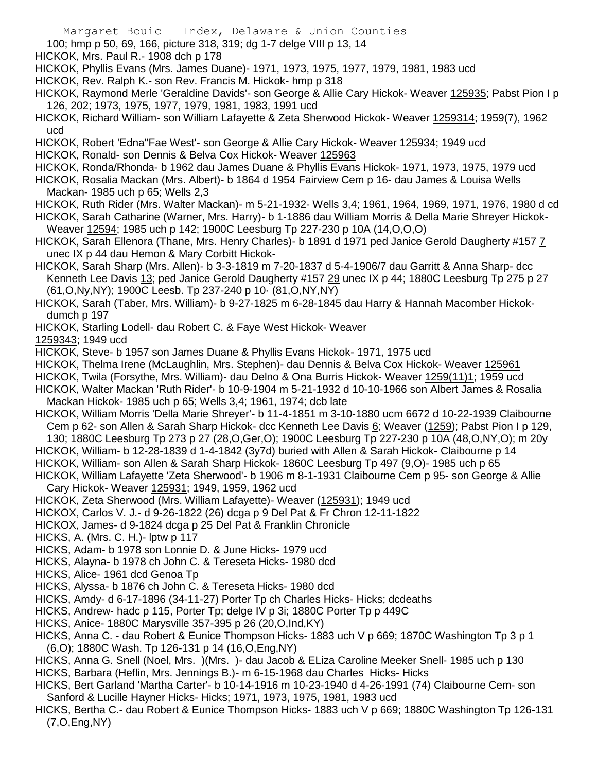- 100; hmp p 50, 69, 166, picture 318, 319; dg 1-7 delge VIII p 13, 14
- HICKOK, Mrs. Paul R.- 1908 dch p 178
- HICKOK, Phyllis Evans (Mrs. James Duane)- 1971, 1973, 1975, 1977, 1979, 1981, 1983 ucd
- HICKOK, Rev. Ralph K.- son Rev. Francis M. Hickok- hmp p 318
- HICKOK, Raymond Merle 'Geraldine Davids'- son George & Allie Cary Hickok- Weaver 125935; Pabst Pion I p 126, 202; 1973, 1975, 1977, 1979, 1981, 1983, 1991 ucd
- HICKOK, Richard William- son William Lafayette & Zeta Sherwood Hickok- Weaver 1259314; 1959(7), 1962 ucd
- HICKOK, Robert 'Edna''Fae West'- son George & Allie Cary Hickok- Weaver 125934; 1949 ucd

HICKOK, Ronald- son Dennis & Belva Cox Hickok- Weaver 125963

- HICKOK, Ronda/Rhonda- b 1962 dau James Duane & Phyllis Evans Hickok- 1971, 1973, 1975, 1979 ucd
- HICKOK, Rosalia Mackan (Mrs. Albert)- b 1864 d 1954 Fairview Cem p 16- dau James & Louisa Wells Mackan- 1985 uch p 65; Wells 2,3
- HICKOK, Ruth Rider (Mrs. Walter Mackan)- m 5-21-1932- Wells 3,4; 1961, 1964, 1969, 1971, 1976, 1980 d cd HICKOK, Sarah Catharine (Warner, Mrs. Harry)- b 1-1886 dau William Morris & Della Marie Shreyer Hickok-
- Weaver 12594; 1985 uch p 142; 1900C Leesburg Tp 227-230 p 10A (14,O,O,O)
- HICKOK, Sarah Ellenora (Thane, Mrs. Henry Charles)- b 1891 d 1971 ped Janice Gerold Daugherty #157 7 unec IX p 44 dau Hemon & Mary Corbitt Hickok-
- HICKOK, Sarah Sharp (Mrs. Allen)- b 3-3-1819 m 7-20-1837 d 5-4-1906/7 dau Garritt & Anna Sharp- dcc Kenneth Lee Davis 13; ped Janice Gerold Daugherty #157 29 unec IX p 44; 1880C Leesburg Tp 275 p 27 (61,O,Ny,NY); 1900C Leesb. Tp 237-240 p 10· (81,O,NY,NY)
- HICKOK, Sarah (Taber, Mrs. William)- b 9-27-1825 m 6-28-1845 dau Harry & Hannah Macomber Hickokdumch p 197
- HICKOK, Starling Lodell- dau Robert C. & Faye West Hickok- Weaver

1259343; 1949 ucd

- HICKOK, Steve- b 1957 son James Duane & Phyllis Evans Hickok- 1971, 1975 ucd
- HICKOK, Thelma Irene (McLaughlin, Mrs. Stephen)- dau Dennis & Belva Cox Hickok- Weaver 125961
- HICKOK, Twila (Forsythe, Mrs. William)- dau Delno & Ona Burris Hickok- Weaver 1259(11)1; 1959 ucd
- HICKOK, Walter Mackan 'Ruth Rider'- b 10-9-1904 m 5-21-1932 d 10-10-1966 son Albert James & Rosalia Mackan Hickok- 1985 uch p 65; Wells 3,4; 1961, 1974; dcb late
- HICKOK, William Morris 'Della Marie Shreyer'- b 11-4-1851 m 3-10-1880 ucm 6672 d 10-22-1939 Claibourne Cem p 62- son Allen & Sarah Sharp Hickok- dcc Kenneth Lee Davis 6; Weaver (1259); Pabst Pion I p 129,

130; 1880C Leesburg Tp 273 p 27 (28,O,Ger,O); 1900C Leesburg Tp 227-230 p 10A (48,O,NY,O); m 20y

- HICKOK, William- b 12-28-1839 d 1-4-1842 (3y7d) buried with Allen & Sarah Hickok- Claibourne p 14
- HICKOK, William- son Allen & Sarah Sharp Hickok- 1860C Leesburg Tp 497 (9,O)- 1985 uch p 65
- HICKOK, William Lafayette 'Zeta Sherwood'- b 1906 m 8-1-1931 Claibourne Cem p 95- son George & Allie Cary Hickok- Weaver 125931; 1949, 1959, 1962 ucd
- HICKOK, Zeta Sherwood (Mrs. William Lafayette)- Weaver (125931); 1949 ucd
- HICKOX, Carlos V. J.- d 9-26-1822 (26) dcga p 9 Del Pat & Fr Chron 12-11-1822
- HICKOX, James- d 9-1824 dcga p 25 Del Pat & Franklin Chronicle
- HICKS, A. (Mrs. C. H.)- lptw p 117
- HICKS, Adam- b 1978 son Lonnie D. & June Hicks- 1979 ucd
- HICKS, Alayna- b 1978 ch John C. & Tereseta Hicks- 1980 dcd
- HICKS, Alice- 1961 dcd Genoa Tp
- HICKS, Alyssa- b 1876 ch John C. & Tereseta Hicks- 1980 dcd
- HICKS, Amdy- d 6-17-1896 (34-11-27) Porter Tp ch Charles Hicks- Hicks; dcdeaths
- HICKS, Andrew- hadc p 115, Porter Tp; delge IV p 3i; 1880C Porter Tp p 449C
- HICKS, Anice- 1880C Marysville 357-395 p 26 (20,O,Ind,KY)
- HICKS, Anna C. dau Robert & Eunice Thompson Hicks- 1883 uch V p 669; 1870C Washington Tp 3 p 1 (6,O); 1880C Wash. Tp 126-131 p 14 (16,O,Eng,NY)
- HICKS, Anna G. Snell (Noel, Mrs. )(Mrs. )- dau Jacob & ELiza Caroline Meeker Snell- 1985 uch p 130 HICKS, Barbara (Heflin, Mrs. Jennings B.)- m 6-15-1968 dau Charles Hicks- Hicks
- HICKS, Bert Garland 'Martha Carter'- b 10-14-1916 m 10-23-1940 d 4-26-1991 (74) Claibourne Cem- son Sanford & Lucille Hayner Hicks- Hicks; 1971, 1973, 1975, 1981, 1983 ucd
- HICKS, Bertha C.- dau Robert & Eunice Thompson Hicks- 1883 uch V p 669; 1880C Washington Tp 126-131 (7,O,Eng,NY)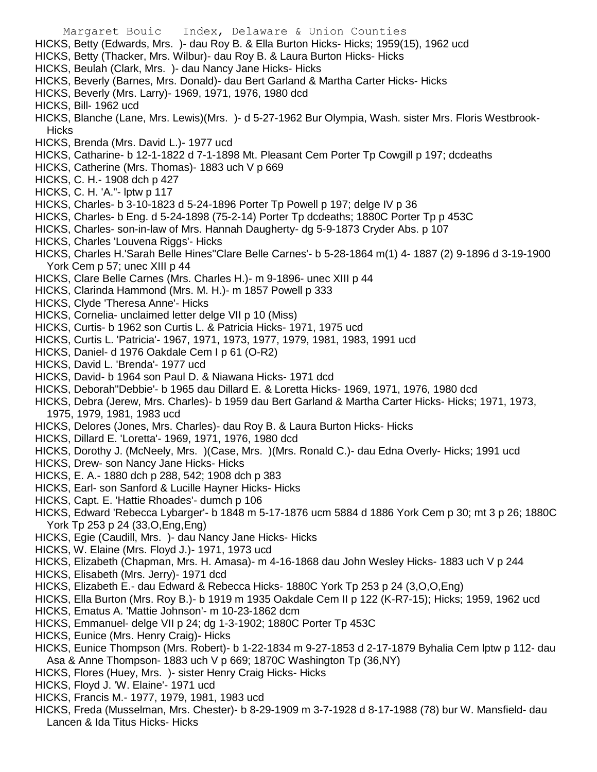- Margaret Bouic Index, Delaware & Union Counties
- HICKS, Betty (Edwards, Mrs. )- dau Roy B. & Ella Burton Hicks- Hicks; 1959(15), 1962 ucd
- HICKS, Betty (Thacker, Mrs. Wilbur)- dau Roy B. & Laura Burton Hicks- Hicks
- HICKS, Beulah (Clark, Mrs. )- dau Nancy Jane Hicks- Hicks
- HICKS, Beverly (Barnes, Mrs. Donald)- dau Bert Garland & Martha Carter Hicks- Hicks
- HICKS, Beverly (Mrs. Larry)- 1969, 1971, 1976, 1980 dcd
- HICKS, Bill- 1962 ucd
- HICKS, Blanche (Lane, Mrs. Lewis)(Mrs. )- d 5-27-1962 Bur Olympia, Wash. sister Mrs. Floris Westbrook-**Hicks**
- HICKS, Brenda (Mrs. David L.)- 1977 ucd
- HICKS, Catharine- b 12-1-1822 d 7-1-1898 Mt. Pleasant Cem Porter Tp Cowgill p 197; dcdeaths
- HICKS, Catherine (Mrs. Thomas)- 1883 uch V p 669
- HICKS, C. H.- 1908 dch p 427
- HICKS, C. H. 'A."- lptw p 117
- HICKS, Charles- b 3-10-1823 d 5-24-1896 Porter Tp Powell p 197; delge IV p 36
- HICKS, Charles- b Eng. d 5-24-1898 (75-2-14) Porter Tp dcdeaths; 1880C Porter Tp p 453C
- HICKS, Charles- son-in-law of Mrs. Hannah Daugherty- dg 5-9-1873 Cryder Abs. p 107
- HICKS, Charles 'Louvena Riggs'- Hicks
- HICKS, Charles H.'Sarah Belle Hines''Clare Belle Carnes'- b 5-28-1864 m(1) 4- 1887 (2) 9-1896 d 3-19-1900 York Cem p 57; unec XIII p 44
- HICKS, Clare Belle Carnes (Mrs. Charles H.)- m 9-1896- unec XIII p 44
- HICKS, Clarinda Hammond (Mrs. M. H.)- m 1857 Powell p 333
- HICKS, Clyde 'Theresa Anne'- Hicks
- HICKS, Cornelia- unclaimed letter delge VII p 10 (Miss)
- HICKS, Curtis- b 1962 son Curtis L. & Patricia Hicks- 1971, 1975 ucd
- HICKS, Curtis L. 'Patricia'- 1967, 1971, 1973, 1977, 1979, 1981, 1983, 1991 ucd
- HICKS, Daniel- d 1976 Oakdale Cem I p 61 (O-R2)
- HICKS, David L. 'Brenda'- 1977 ucd
- HICKS, David- b 1964 son Paul D. & Niawana Hicks- 1971 dcd
- HICKS, Deborah"Debbie'- b 1965 dau Dillard E. & Loretta Hicks- 1969, 1971, 1976, 1980 dcd
- HICKS, Debra (Jerew, Mrs. Charles)- b 1959 dau Bert Garland & Martha Carter Hicks- Hicks; 1971, 1973, 1975, 1979, 1981, 1983 ucd
- HICKS, Delores (Jones, Mrs. Charles)- dau Roy B. & Laura Burton Hicks- Hicks
- HICKS, Dillard E. 'Loretta'- 1969, 1971, 1976, 1980 dcd
- HICKS, Dorothy J. (McNeely, Mrs. )(Case, Mrs. )(Mrs. Ronald C.)- dau Edna Overly- Hicks; 1991 ucd
- HICKS, Drew- son Nancy Jane Hicks- Hicks
- HICKS, E. A.- 1880 dch p 288, 542; 1908 dch p 383
- HICKS, Earl- son Sanford & Lucille Hayner Hicks- Hicks
- HICKS, Capt. E. 'Hattie Rhoades'- dumch p 106
- HICKS, Edward 'Rebecca Lybarger'- b 1848 m 5-17-1876 ucm 5884 d 1886 York Cem p 30; mt 3 p 26; 1880C York Tp 253 p 24 (33,O,Eng,Eng)
- HICKS, Egie (Caudill, Mrs. )- dau Nancy Jane Hicks- Hicks
- HICKS, W. Elaine (Mrs. Floyd J.)- 1971, 1973 ucd
- HICKS, Elizabeth (Chapman, Mrs. H. Amasa)- m 4-16-1868 dau John Wesley Hicks- 1883 uch V p 244
- HICKS, Elisabeth (Mrs. Jerry)- 1971 dcd
- HICKS, Elizabeth E.- dau Edward & Rebecca Hicks- 1880C York Tp 253 p 24 (3,O,O,Eng)
- HICKS, Ella Burton (Mrs. Roy B.)- b 1919 m 1935 Oakdale Cem II p 122 (K-R7-15); Hicks; 1959, 1962 ucd
- HICKS, Ematus A. 'Mattie Johnson'- m 10-23-1862 dcm
- HICKS, Emmanuel- delge VII p 24; dg 1-3-1902; 1880C Porter Tp 453C
- HICKS, Eunice (Mrs. Henry Craig)- Hicks
- HICKS, Eunice Thompson (Mrs. Robert)- b 1-22-1834 m 9-27-1853 d 2-17-1879 Byhalia Cem lptw p 112- dau Asa & Anne Thompson- 1883 uch V p 669; 1870C Washington Tp (36,NY)
- HICKS, Flores (Huey, Mrs. )- sister Henry Craig Hicks- Hicks
- HICKS, Floyd J. 'W. Elaine'- 1971 ucd
- HICKS, Francis M.- 1977, 1979, 1981, 1983 ucd
- HICKS, Freda (Musselman, Mrs. Chester)- b 8-29-1909 m 3-7-1928 d 8-17-1988 (78) bur W. Mansfield- dau Lancen & Ida Titus Hicks- Hicks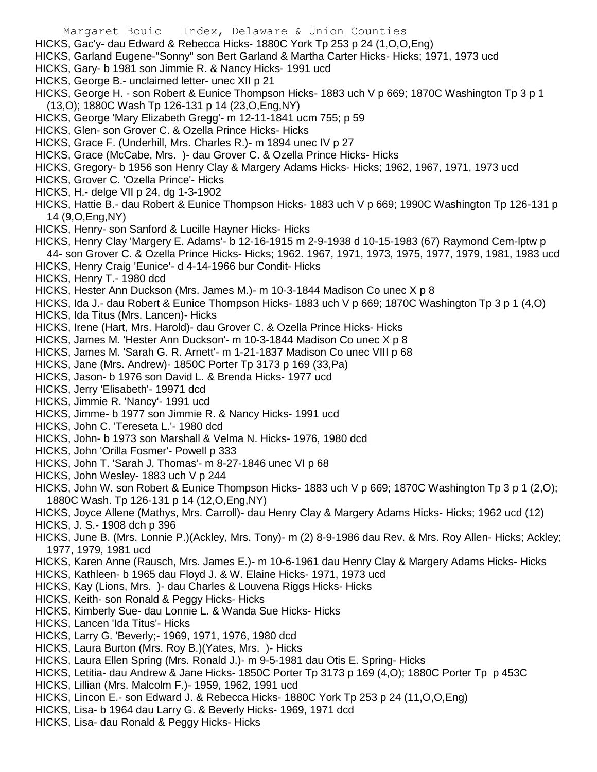- HICKS, Gac'y- dau Edward & Rebecca Hicks- 1880C York Tp 253 p 24 (1,O,O,Eng)
- HICKS, Garland Eugene-"Sonny" son Bert Garland & Martha Carter Hicks- Hicks; 1971, 1973 ucd
- HICKS, Gary- b 1981 son Jimmie R. & Nancy Hicks- 1991 ucd
- HICKS, George B.- unclaimed letter- unec XII p 21
- HICKS, George H. son Robert & Eunice Thompson Hicks- 1883 uch V p 669; 1870C Washington Tp 3 p 1 (13,O); 1880C Wash Tp 126-131 p 14 (23,O,Eng,NY)
- HICKS, George 'Mary Elizabeth Gregg'- m 12-11-1841 ucm 755; p 59
- HICKS, Glen- son Grover C. & Ozella Prince Hicks- Hicks
- HICKS, Grace F. (Underhill, Mrs. Charles R.)- m 1894 unec IV p 27
- HICKS, Grace (McCabe, Mrs. )- dau Grover C. & Ozella Prince Hicks- Hicks
- HICKS, Gregory- b 1956 son Henry Clay & Margery Adams Hicks- Hicks; 1962, 1967, 1971, 1973 ucd
- HICKS, Grover C. 'Ozella Prince'- Hicks
- HICKS, H.- delge VII p 24, dg 1-3-1902
- HICKS, Hattie B.- dau Robert & Eunice Thompson Hicks- 1883 uch V p 669; 1990C Washington Tp 126-131 p 14 (9,O,Eng,NY)
- HICKS, Henry- son Sanford & Lucille Hayner Hicks- Hicks
- HICKS, Henry Clay 'Margery E. Adams'- b 12-16-1915 m 2-9-1938 d 10-15-1983 (67) Raymond Cem-lptw p
- 44- son Grover C. & Ozella Prince Hicks- Hicks; 1962. 1967, 1971, 1973, 1975, 1977, 1979, 1981, 1983 ucd
- HICKS, Henry Craig 'Eunice'- d 4-14-1966 bur Condit- Hicks
- HICKS, Henry T.- 1980 dcd
- HICKS, Hester Ann Duckson (Mrs. James M.)- m 10-3-1844 Madison Co unec X p 8
- HICKS, Ida J.- dau Robert & Eunice Thompson Hicks- 1883 uch V p 669; 1870C Washington Tp 3 p 1 (4,O)
- HICKS, Ida Titus (Mrs. Lancen)- Hicks
- HICKS, Irene (Hart, Mrs. Harold)- dau Grover C. & Ozella Prince Hicks- Hicks
- HICKS, James M. 'Hester Ann Duckson'- m 10-3-1844 Madison Co unec X p 8
- HICKS, James M. 'Sarah G. R. Arnett'- m 1-21-1837 Madison Co unec VIII p 68
- HICKS, Jane (Mrs. Andrew)- 1850C Porter Tp 3173 p 169 (33,Pa)
- HICKS, Jason- b 1976 son David L. & Brenda Hicks- 1977 ucd
- HICKS, Jerry 'Elisabeth'- 19971 dcd
- HICKS, Jimmie R. 'Nancy'- 1991 ucd
- HICKS, Jimme- b 1977 son Jimmie R. & Nancy Hicks- 1991 ucd
- HICKS, John C. 'Tereseta L.'- 1980 dcd
- HICKS, John- b 1973 son Marshall & Velma N. Hicks- 1976, 1980 dcd
- HICKS, John 'Orilla Fosmer'- Powell p 333
- HICKS, John T. 'Sarah J. Thomas'- m 8-27-1846 unec VI p 68
- HICKS, John Wesley- 1883 uch V p 244
- HICKS, John W. son Robert & Eunice Thompson Hicks- 1883 uch V p 669; 1870C Washington Tp 3 p 1 (2,O); 1880C Wash. Tp 126-131 p 14 (12,O,Eng,NY)
- HICKS, Joyce Allene (Mathys, Mrs. Carroll)- dau Henry Clay & Margery Adams Hicks- Hicks; 1962 ucd (12)
- HICKS, J. S.- 1908 dch p 396
- HICKS, June B. (Mrs. Lonnie P.)(Ackley, Mrs. Tony)- m (2) 8-9-1986 dau Rev. & Mrs. Roy Allen- Hicks; Ackley; 1977, 1979, 1981 ucd
- HICKS, Karen Anne (Rausch, Mrs. James E.)- m 10-6-1961 dau Henry Clay & Margery Adams Hicks- Hicks
- HICKS, Kathleen- b 1965 dau Floyd J. & W. Elaine Hicks- 1971, 1973 ucd
- HICKS, Kay (Lions, Mrs. )- dau Charles & Louvena Riggs Hicks- Hicks
- HICKS, Keith- son Ronald & Peggy Hicks- Hicks
- HICKS, Kimberly Sue- dau Lonnie L. & Wanda Sue Hicks- Hicks
- HICKS, Lancen 'Ida Titus'- Hicks
- HICKS, Larry G. 'Beverly;- 1969, 1971, 1976, 1980 dcd
- HICKS, Laura Burton (Mrs. Roy B.)(Yates, Mrs. )- Hicks
- HICKS, Laura Ellen Spring (Mrs. Ronald J.)- m 9-5-1981 dau Otis E. Spring- Hicks
- HICKS, Letitia- dau Andrew & Jane Hicks- 1850C Porter Tp 3173 p 169 (4,O); 1880C Porter Tp p 453C
- HICKS, Lillian (Mrs. Malcolm F.)- 1959, 1962, 1991 ucd
- HICKS, Lincon E.- son Edward J. & Rebecca Hicks- 1880C York Tp 253 p 24 (11,O,O,Eng)
- HICKS, Lisa- b 1964 dau Larry G. & Beverly Hicks- 1969, 1971 dcd
- HICKS, Lisa- dau Ronald & Peggy Hicks- Hicks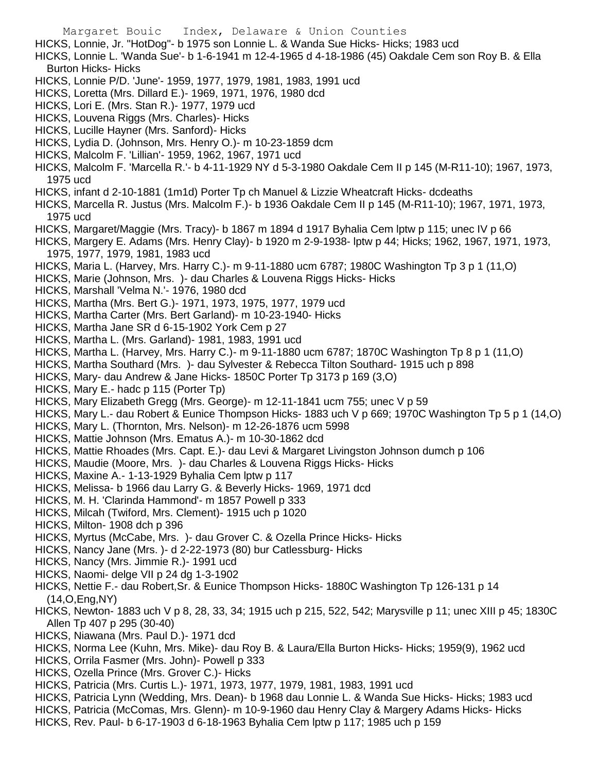- HICKS, Lonnie, Jr. "HotDog"- b 1975 son Lonnie L. & Wanda Sue Hicks- Hicks; 1983 ucd
- HICKS, Lonnie L. 'Wanda Sue'- b 1-6-1941 m 12-4-1965 d 4-18-1986 (45) Oakdale Cem son Roy B. & Ella Burton Hicks- Hicks
- HICKS, Lonnie P/D. 'June'- 1959, 1977, 1979, 1981, 1983, 1991 ucd
- HICKS, Loretta (Mrs. Dillard E.)- 1969, 1971, 1976, 1980 dcd
- HICKS, Lori E. (Mrs. Stan R.)- 1977, 1979 ucd
- HICKS, Louvena Riggs (Mrs. Charles)- Hicks
- HICKS, Lucille Hayner (Mrs. Sanford)- Hicks
- HICKS, Lydia D. (Johnson, Mrs. Henry O.)- m 10-23-1859 dcm
- HICKS, Malcolm F. 'Lillian'- 1959, 1962, 1967, 1971 ucd
- HICKS, Malcolm F. 'Marcella R.'- b 4-11-1929 NY d 5-3-1980 Oakdale Cem II p 145 (M-R11-10); 1967, 1973, 1975 ucd
- HICKS, infant d 2-10-1881 (1m1d) Porter Tp ch Manuel & Lizzie Wheatcraft Hicks- dcdeaths
- HICKS, Marcella R. Justus (Mrs. Malcolm F.)- b 1936 Oakdale Cem II p 145 (M-R11-10); 1967, 1971, 1973, 1975 ucd
- HICKS, Margaret/Maggie (Mrs. Tracy)- b 1867 m 1894 d 1917 Byhalia Cem lptw p 115; unec IV p 66
- HICKS, Margery E. Adams (Mrs. Henry Clay)- b 1920 m 2-9-1938- lptw p 44; Hicks; 1962, 1967, 1971, 1973, 1975, 1977, 1979, 1981, 1983 ucd
- HICKS, Maria L. (Harvey, Mrs. Harry C.)- m 9-11-1880 ucm 6787; 1980C Washington Tp 3 p 1 (11,O)
- HICKS, Marie (Johnson, Mrs. )- dau Charles & Louvena Riggs Hicks- Hicks
- HICKS, Marshall 'Velma N.'- 1976, 1980 dcd
- HICKS, Martha (Mrs. Bert G.)- 1971, 1973, 1975, 1977, 1979 ucd
- HICKS, Martha Carter (Mrs. Bert Garland)- m 10-23-1940- Hicks
- HICKS, Martha Jane SR d 6-15-1902 York Cem p 27
- HICKS, Martha L. (Mrs. Garland)- 1981, 1983, 1991 ucd
- HICKS, Martha L. (Harvey, Mrs. Harry C.)- m 9-11-1880 ucm 6787; 1870C Washington Tp 8 p 1 (11,O)
- HICKS, Martha Southard (Mrs. )- dau Sylvester & Rebecca Tilton Southard- 1915 uch p 898
- HICKS, Mary- dau Andrew & Jane Hicks- 1850C Porter Tp 3173 p 169 (3,O)
- HICKS, Mary E.- hadc p 115 (Porter Tp)
- HICKS, Mary Elizabeth Gregg (Mrs. George)- m 12-11-1841 ucm 755; unec V p 59
- HICKS, Mary L.- dau Robert & Eunice Thompson Hicks- 1883 uch V p 669; 1970C Washington Tp 5 p 1 (14,O)
- HICKS, Mary L. (Thornton, Mrs. Nelson)- m 12-26-1876 ucm 5998
- HICKS, Mattie Johnson (Mrs. Ematus A.)- m 10-30-1862 dcd
- HICKS, Mattie Rhoades (Mrs. Capt. E.)- dau Levi & Margaret Livingston Johnson dumch p 106
- HICKS, Maudie (Moore, Mrs. )- dau Charles & Louvena Riggs Hicks- Hicks
- HICKS, Maxine A.- 1-13-1929 Byhalia Cem lptw p 117
- HICKS, Melissa- b 1966 dau Larry G. & Beverly Hicks- 1969, 1971 dcd
- HICKS, M. H. 'Clarinda Hammond'- m 1857 Powell p 333
- HICKS, Milcah (Twiford, Mrs. Clement)- 1915 uch p 1020
- HICKS, Milton- 1908 dch p 396
- HICKS, Myrtus (McCabe, Mrs. )- dau Grover C. & Ozella Prince Hicks- Hicks
- HICKS, Nancy Jane (Mrs. )- d 2-22-1973 (80) bur Catlessburg- Hicks
- HICKS, Nancy (Mrs. Jimmie R.)- 1991 ucd
- HICKS, Naomi- delge VII p 24 dg 1-3-1902
- HICKS, Nettie F.- dau Robert,Sr. & Eunice Thompson Hicks- 1880C Washington Tp 126-131 p 14 (14,O,Eng,NY)
- HICKS, Newton- 1883 uch V p 8, 28, 33, 34; 1915 uch p 215, 522, 542; Marysville p 11; unec XIII p 45; 1830C Allen Tp 407 p 295 (30-40)
- HICKS, Niawana (Mrs. Paul D.)- 1971 dcd
- HICKS, Norma Lee (Kuhn, Mrs. Mike)- dau Roy B. & Laura/Ella Burton Hicks- Hicks; 1959(9), 1962 ucd
- HICKS, Orrila Fasmer (Mrs. John)- Powell p 333
- HICKS, Ozella Prince (Mrs. Grover C.)- Hicks
- HICKS, Patricia (Mrs. Curtis L.)- 1971, 1973, 1977, 1979, 1981, 1983, 1991 ucd
- HICKS, Patricia Lynn (Wedding, Mrs. Dean)- b 1968 dau Lonnie L. & Wanda Sue Hicks- Hicks; 1983 ucd
- HICKS, Patricia (McComas, Mrs. Glenn)- m 10-9-1960 dau Henry Clay & Margery Adams Hicks- Hicks
- HICKS, Rev. Paul- b 6-17-1903 d 6-18-1963 Byhalia Cem lptw p 117; 1985 uch p 159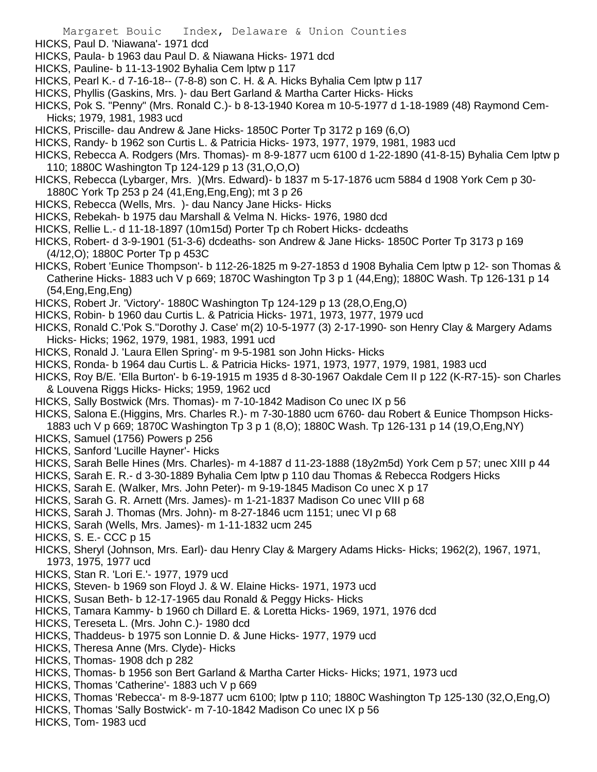- HICKS, Paul D. 'Niawana'- 1971 dcd
- HICKS, Paula- b 1963 dau Paul D. & Niawana Hicks- 1971 dcd
- HICKS, Pauline- b 11-13-1902 Byhalia Cem lptw p 117
- HICKS, Pearl K.- d 7-16-18-- (7-8-8) son C. H. & A. Hicks Byhalia Cem lptw p 117
- HICKS, Phyllis (Gaskins, Mrs. )- dau Bert Garland & Martha Carter Hicks- Hicks
- HICKS, Pok S. "Penny" (Mrs. Ronald C.)- b 8-13-1940 Korea m 10-5-1977 d 1-18-1989 (48) Raymond Cem-Hicks; 1979, 1981, 1983 ucd
- HICKS, Priscille- dau Andrew & Jane Hicks- 1850C Porter Tp 3172 p 169 (6,O)
- HICKS, Randy- b 1962 son Curtis L. & Patricia Hicks- 1973, 1977, 1979, 1981, 1983 ucd
- HICKS, Rebecca A. Rodgers (Mrs. Thomas)- m 8-9-1877 ucm 6100 d 1-22-1890 (41-8-15) Byhalia Cem lptw p 110; 1880C Washington Tp 124-129 p 13 (31,O,O,O)
- HICKS, Rebecca (Lybarger, Mrs. )(Mrs. Edward)- b 1837 m 5-17-1876 ucm 5884 d 1908 York Cem p 30- 1880C York Tp 253 p 24 (41,Eng,Eng,Eng); mt 3 p 26
- HICKS, Rebecca (Wells, Mrs. )- dau Nancy Jane Hicks- Hicks
- HICKS, Rebekah- b 1975 dau Marshall & Velma N. Hicks- 1976, 1980 dcd
- HICKS, Rellie L.- d 11-18-1897 (10m15d) Porter Tp ch Robert Hicks- dcdeaths
- HICKS, Robert- d 3-9-1901 (51-3-6) dcdeaths- son Andrew & Jane Hicks- 1850C Porter Tp 3173 p 169 (4/12,O); 1880C Porter Tp p 453C
- HICKS, Robert 'Eunice Thompson'- b 112-26-1825 m 9-27-1853 d 1908 Byhalia Cem lptw p 12- son Thomas & Catherine Hicks- 1883 uch V p 669; 1870C Washington Tp 3 p 1 (44,Eng); 1880C Wash. Tp 126-131 p 14 (54,Eng,Eng,Eng)
- HICKS, Robert Jr. 'Victory'- 1880C Washington Tp 124-129 p 13 (28,O,Eng,O)
- HICKS, Robin- b 1960 dau Curtis L. & Patricia Hicks- 1971, 1973, 1977, 1979 ucd
- HICKS, Ronald C.'Pok S.''Dorothy J. Case' m(2) 10-5-1977 (3) 2-17-1990- son Henry Clay & Margery Adams Hicks- Hicks; 1962, 1979, 1981, 1983, 1991 ucd
- HICKS, Ronald J. 'Laura Ellen Spring'- m 9-5-1981 son John Hicks- Hicks
- HICKS, Ronda- b 1964 dau Curtis L. & Patricia Hicks- 1971, 1973, 1977, 1979, 1981, 1983 ucd
- HICKS, Roy B/E. 'Ella Burton'- b 6-19-1915 m 1935 d 8-30-1967 Oakdale Cem II p 122 (K-R7-15)- son Charles & Louvena Riggs Hicks- Hicks; 1959, 1962 ucd
- HICKS, Sally Bostwick (Mrs. Thomas)- m 7-10-1842 Madison Co unec IX p 56
- HICKS, Salona E.(Higgins, Mrs. Charles R.)- m 7-30-1880 ucm 6760- dau Robert & Eunice Thompson Hicks-1883 uch V p 669; 1870C Washington Tp 3 p 1 (8,O); 1880C Wash. Tp 126-131 p 14 (19,O,Eng,NY)
- HICKS, Samuel (1756) Powers p 256
- HICKS, Sanford 'Lucille Hayner'- Hicks
- HICKS, Sarah Belle Hines (Mrs. Charles)- m 4-1887 d 11-23-1888 (18y2m5d) York Cem p 57; unec XIII p 44
- HICKS, Sarah E. R.- d 3-30-1889 Byhalia Cem lptw p 110 dau Thomas & Rebecca Rodgers Hicks
- HICKS, Sarah E. (Walker, Mrs. John Peter)- m 9-19-1845 Madison Co unec X p 17
- HICKS, Sarah G. R. Arnett (Mrs. James)- m 1-21-1837 Madison Co unec VIII p 68
- HICKS, Sarah J. Thomas (Mrs. John)- m 8-27-1846 ucm 1151; unec VI p 68
- HICKS, Sarah (Wells, Mrs. James)- m 1-11-1832 ucm 245
- HICKS, S. E.- CCC p 15
- HICKS, Sheryl (Johnson, Mrs. Earl)- dau Henry Clay & Margery Adams Hicks- Hicks; 1962(2), 1967, 1971, 1973, 1975, 1977 ucd
- HICKS, Stan R. 'Lori E.'- 1977, 1979 ucd
- HICKS, Steven- b 1969 son Floyd J. & W. Elaine Hicks- 1971, 1973 ucd
- HICKS, Susan Beth- b 12-17-1965 dau Ronald & Peggy Hicks- Hicks
- HICKS, Tamara Kammy- b 1960 ch Dillard E. & Loretta Hicks- 1969, 1971, 1976 dcd
- HICKS, Tereseta L. (Mrs. John C.)- 1980 dcd
- HICKS, Thaddeus- b 1975 son Lonnie D. & June Hicks- 1977, 1979 ucd
- HICKS, Theresa Anne (Mrs. Clyde)- Hicks
- HICKS, Thomas- 1908 dch p 282
- HICKS, Thomas- b 1956 son Bert Garland & Martha Carter Hicks- Hicks; 1971, 1973 ucd
- HICKS, Thomas 'Catherine'- 1883 uch V p 669
- HICKS, Thomas 'Rebecca'- m 8-9-1877 ucm 6100; lptw p 110; 1880C Washington Tp 125-130 (32,O,Eng,O)
- HICKS, Thomas 'Sally Bostwick'- m 7-10-1842 Madison Co unec IX p 56
- HICKS, Tom- 1983 ucd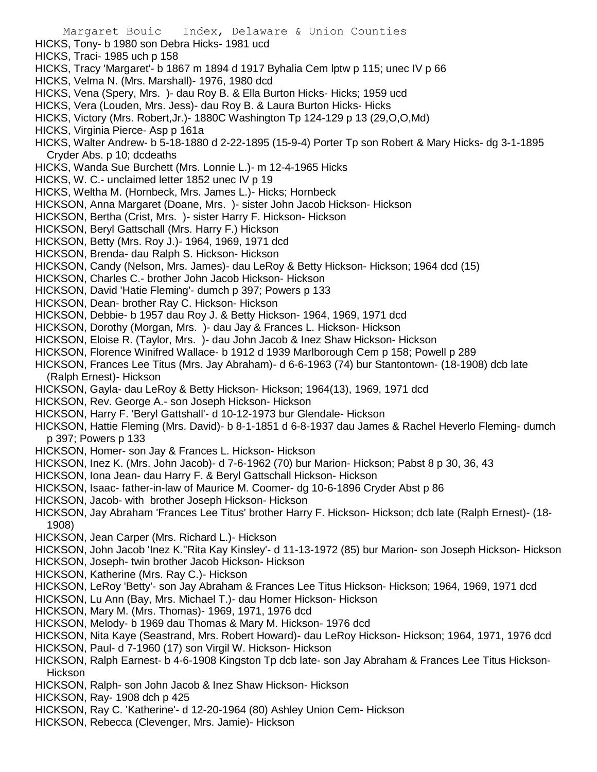- Margaret Bouic Index, Delaware & Union Counties HICKS, Tony- b 1980 son Debra Hicks- 1981 ucd HICKS, Traci- 1985 uch p 158 HICKS, Tracy 'Margaret'- b 1867 m 1894 d 1917 Byhalia Cem lptw p 115; unec IV p 66 HICKS, Velma N. (Mrs. Marshall)- 1976, 1980 dcd HICKS, Vena (Spery, Mrs. )- dau Roy B. & Ella Burton Hicks- Hicks; 1959 ucd HICKS, Vera (Louden, Mrs. Jess)- dau Roy B. & Laura Burton Hicks- Hicks HICKS, Victory (Mrs. Robert,Jr.)- 1880C Washington Tp 124-129 p 13 (29,O,O,Md) HICKS, Virginia Pierce- Asp p 161a HICKS, Walter Andrew- b 5-18-1880 d 2-22-1895 (15-9-4) Porter Tp son Robert & Mary Hicks- dg 3-1-1895 Cryder Abs. p 10; dcdeaths HICKS, Wanda Sue Burchett (Mrs. Lonnie L.)- m 12-4-1965 Hicks HICKS, W. C.- unclaimed letter 1852 unec IV p 19 HICKS, Weltha M. (Hornbeck, Mrs. James L.)- Hicks; Hornbeck HICKSON, Anna Margaret (Doane, Mrs. )- sister John Jacob Hickson- Hickson HICKSON, Bertha (Crist, Mrs. )- sister Harry F. Hickson- Hickson HICKSON, Beryl Gattschall (Mrs. Harry F.) Hickson HICKSON, Betty (Mrs. Roy J.)- 1964, 1969, 1971 dcd HICKSON, Brenda- dau Ralph S. Hickson- Hickson HICKSON, Candy (Nelson, Mrs. James)- dau LeRoy & Betty Hickson- Hickson; 1964 dcd (15) HICKSON, Charles C.- brother John Jacob Hickson- Hickson HICKSON, David 'Hatie Fleming'- dumch p 397; Powers p 133 HICKSON, Dean- brother Ray C. Hickson- Hickson HICKSON, Debbie- b 1957 dau Roy J. & Betty Hickson- 1964, 1969, 1971 dcd HICKSON, Dorothy (Morgan, Mrs. )- dau Jay & Frances L. Hickson- Hickson HICKSON, Eloise R. (Taylor, Mrs. )- dau John Jacob & Inez Shaw Hickson- Hickson HICKSON, Florence Winifred Wallace- b 1912 d 1939 Marlborough Cem p 158; Powell p 289 HICKSON, Frances Lee Titus (Mrs. Jay Abraham)- d 6-6-1963 (74) bur Stantontown- (18-1908) dcb late (Ralph Ernest)- Hickson HICKSON, Gayla- dau LeRoy & Betty Hickson- Hickson; 1964(13), 1969, 1971 dcd HICKSON, Rev. George A.- son Joseph Hickson- Hickson HICKSON, Harry F. 'Beryl Gattshall'- d 10-12-1973 bur Glendale- Hickson HICKSON, Hattie Fleming (Mrs. David)- b 8-1-1851 d 6-8-1937 dau James & Rachel Heverlo Fleming- dumch p 397; Powers p 133 HICKSON, Homer- son Jay & Frances L. Hickson- Hickson HICKSON, Inez K. (Mrs. John Jacob)- d 7-6-1962 (70) bur Marion- Hickson; Pabst 8 p 30, 36, 43 HICKSON, Iona Jean- dau Harry F. & Beryl Gattschall Hickson- Hickson HICKSON, Isaac- father-in-law of Maurice M. Coomer- dg 10-6-1896 Cryder Abst p 86 HICKSON, Jacob- with brother Joseph Hickson- Hickson HICKSON, Jay Abraham 'Frances Lee Titus' brother Harry F. Hickson- Hickson; dcb late (Ralph Ernest)- (18- 1908) HICKSON, Jean Carper (Mrs. Richard L.)- Hickson HICKSON, John Jacob 'Inez K.''Rita Kay Kinsley'- d 11-13-1972 (85) bur Marion- son Joseph Hickson- Hickson HICKSON, Joseph- twin brother Jacob Hickson- Hickson HICKSON, Katherine (Mrs. Ray C.)- Hickson HICKSON, LeRoy 'Betty'- son Jay Abraham & Frances Lee Titus Hickson- Hickson; 1964, 1969, 1971 dcd HICKSON, Lu Ann (Bay, Mrs. Michael T.)- dau Homer Hickson- Hickson HICKSON, Mary M. (Mrs. Thomas)- 1969, 1971, 1976 dcd HICKSON, Melody- b 1969 dau Thomas & Mary M. Hickson- 1976 dcd HICKSON, Nita Kaye (Seastrand, Mrs. Robert Howard)- dau LeRoy Hickson- Hickson; 1964, 1971, 1976 dcd HICKSON, Paul- d 7-1960 (17) son Virgil W. Hickson- Hickson HICKSON, Ralph Earnest- b 4-6-1908 Kingston Tp dcb late- son Jay Abraham & Frances Lee Titus Hickson-Hickson
- HICKSON, Ralph- son John Jacob & Inez Shaw Hickson- Hickson
- HICKSON, Ray- 1908 dch p 425
- HICKSON, Ray C. 'Katherine'- d 12-20-1964 (80) Ashley Union Cem- Hickson
- HICKSON, Rebecca (Clevenger, Mrs. Jamie)- Hickson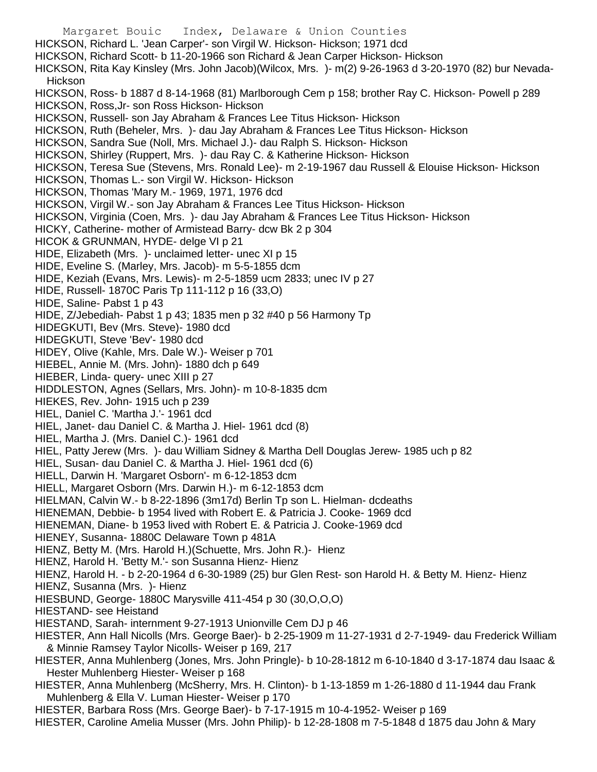Margaret Bouic Index, Delaware & Union Counties HICKSON, Richard L. 'Jean Carper'- son Virgil W. Hickson- Hickson; 1971 dcd HICKSON, Richard Scott- b 11-20-1966 son Richard & Jean Carper Hickson- Hickson HICKSON, Rita Kay Kinsley (Mrs. John Jacob)(Wilcox, Mrs. )- m(2) 9-26-1963 d 3-20-1970 (82) bur Nevada-Hickson HICKSON, Ross- b 1887 d 8-14-1968 (81) Marlborough Cem p 158; brother Ray C. Hickson- Powell p 289 HICKSON, Ross,Jr- son Ross Hickson- Hickson HICKSON, Russell- son Jay Abraham & Frances Lee Titus Hickson- Hickson HICKSON, Ruth (Beheler, Mrs. )- dau Jay Abraham & Frances Lee Titus Hickson- Hickson HICKSON, Sandra Sue (Noll, Mrs. Michael J.)- dau Ralph S. Hickson- Hickson HICKSON, Shirley (Ruppert, Mrs. )- dau Ray C. & Katherine Hickson- Hickson HICKSON, Teresa Sue (Stevens, Mrs. Ronald Lee)- m 2-19-1967 dau Russell & Elouise Hickson- Hickson HICKSON, Thomas L.- son Virgil W. Hickson- Hickson HICKSON, Thomas 'Mary M.- 1969, 1971, 1976 dcd HICKSON, Virgil W.- son Jay Abraham & Frances Lee Titus Hickson- Hickson HICKSON, Virginia (Coen, Mrs. )- dau Jay Abraham & Frances Lee Titus Hickson- Hickson HICKY, Catherine- mother of Armistead Barry- dcw Bk 2 p 304 HICOK & GRUNMAN, HYDE- delge VI p 21 HIDE, Elizabeth (Mrs. )- unclaimed letter- unec XI p 15 HIDE, Eveline S. (Marley, Mrs. Jacob)- m 5-5-1855 dcm HIDE, Keziah (Evans, Mrs. Lewis)- m 2-5-1859 ucm 2833; unec IV p 27 HIDE, Russell- 1870C Paris Tp 111-112 p 16 (33,O) HIDE, Saline- Pabst 1 p 43 HIDE, Z/Jebediah- Pabst 1 p 43; 1835 men p 32 #40 p 56 Harmony Tp HIDEGKUTI, Bev (Mrs. Steve)- 1980 dcd HIDEGKUTI, Steve 'Bev'- 1980 dcd HIDEY, Olive (Kahle, Mrs. Dale W.)- Weiser p 701 HIEBEL, Annie M. (Mrs. John)- 1880 dch p 649 HIEBER, Linda- query- unec XIII p 27 HIDDLESTON, Agnes (Sellars, Mrs. John)- m 10-8-1835 dcm HIEKES, Rev. John- 1915 uch p 239 HIEL, Daniel C. 'Martha J.'- 1961 dcd HIEL, Janet- dau Daniel C. & Martha J. Hiel- 1961 dcd (8) HIEL, Martha J. (Mrs. Daniel C.)- 1961 dcd HIEL, Patty Jerew (Mrs. )- dau William Sidney & Martha Dell Douglas Jerew- 1985 uch p 82 HIEL, Susan- dau Daniel C. & Martha J. Hiel- 1961 dcd (6) HIELL, Darwin H. 'Margaret Osborn'- m 6-12-1853 dcm HIELL, Margaret Osborn (Mrs. Darwin H.)- m 6-12-1853 dcm HIELMAN, Calvin W.- b 8-22-1896 (3m17d) Berlin Tp son L. Hielman- dcdeaths HIENEMAN, Debbie- b 1954 lived with Robert E. & Patricia J. Cooke- 1969 dcd HIENEMAN, Diane- b 1953 lived with Robert E. & Patricia J. Cooke-1969 dcd HIENEY, Susanna- 1880C Delaware Town p 481A HIENZ, Betty M. (Mrs. Harold H.)(Schuette, Mrs. John R.)- Hienz HIENZ, Harold H. 'Betty M.'- son Susanna Hienz- Hienz HIENZ, Harold H. - b 2-20-1964 d 6-30-1989 (25) bur Glen Rest- son Harold H. & Betty M. Hienz- Hienz HIENZ, Susanna (Mrs. )- Hienz HIESBUND, George- 1880C Marysville 411-454 p 30 (30,O,O,O) HIESTAND- see Heistand HIESTAND, Sarah- internment 9-27-1913 Unionville Cem DJ p 46 HIESTER, Ann Hall Nicolls (Mrs. George Baer)- b 2-25-1909 m 11-27-1931 d 2-7-1949- dau Frederick William & Minnie Ramsey Taylor Nicolls- Weiser p 169, 217 HIESTER, Anna Muhlenberg (Jones, Mrs. John Pringle)- b 10-28-1812 m 6-10-1840 d 3-17-1874 dau Isaac & Hester Muhlenberg Hiester- Weiser p 168 HIESTER, Anna Muhlenberg (McSherry, Mrs. H. Clinton)- b 1-13-1859 m 1-26-1880 d 11-1944 dau Frank Muhlenberg & Ella V. Luman Hiester- Weiser p 170

HIESTER, Barbara Ross (Mrs. George Baer)- b 7-17-1915 m 10-4-1952- Weiser p 169

HIESTER, Caroline Amelia Musser (Mrs. John Philip)- b 12-28-1808 m 7-5-1848 d 1875 dau John & Mary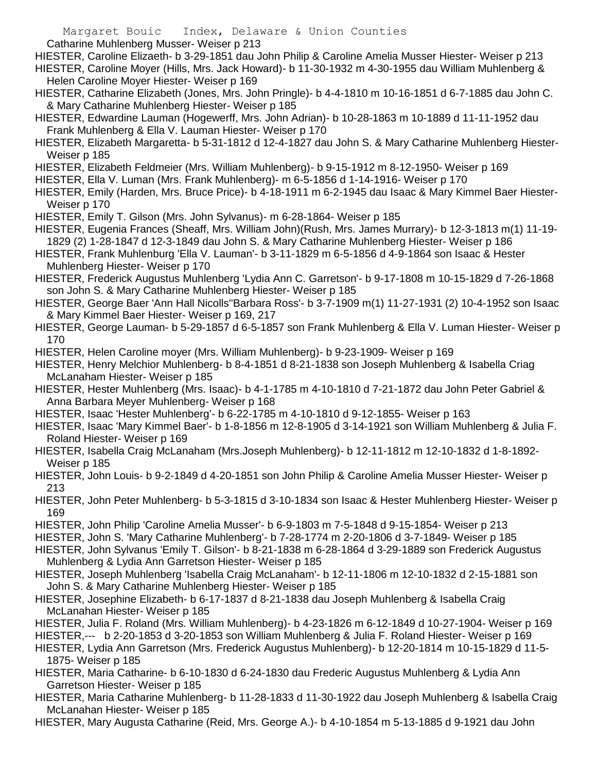Catharine Muhlenberg Musser- Weiser p 213

HIESTER, Caroline Elizaeth- b 3-29-1851 dau John Philip & Caroline Amelia Musser Hiester- Weiser p 213 HIESTER, Caroline Moyer (Hills, Mrs. Jack Howard)- b 11-30-1932 m 4-30-1955 dau William Muhlenberg & Helen Caroline Moyer Hiester- Weiser p 169

- HIESTER, Catharine Elizabeth (Jones, Mrs. John Pringle)- b 4-4-1810 m 10-16-1851 d 6-7-1885 dau John C. & Mary Catharine Muhlenberg Hiester- Weiser p 185
- HIESTER, Edwardine Lauman (Hogewerff, Mrs. John Adrian)- b 10-28-1863 m 10-1889 d 11-11-1952 dau Frank Muhlenberg & Ella V. Lauman Hiester- Weiser p 170
- HIESTER, Elizabeth Margaretta- b 5-31-1812 d 12-4-1827 dau John S. & Mary Catharine Muhlenberg Hiester-Weiser p 185
- HIESTER, Elizabeth Feldmeier (Mrs. William Muhlenberg)- b 9-15-1912 m 8-12-1950- Weiser p 169
- HIESTER, Ella V. Luman (Mrs. Frank Muhlenberg)- m 6-5-1856 d 1-14-1916- Weiser p 170
- HIESTER, Emily (Harden, Mrs. Bruce Price)- b 4-18-1911 m 6-2-1945 dau Isaac & Mary Kimmel Baer Hiester-Weiser p 170
- HIESTER, Emily T. Gilson (Mrs. John Sylvanus)- m 6-28-1864- Weiser p 185
- HIESTER, Eugenia Frances (Sheaff, Mrs. William John)(Rush, Mrs. James Murrary)- b 12-3-1813 m(1) 11-19- 1829 (2) 1-28-1847 d 12-3-1849 dau John S. & Mary Catharine Muhlenberg Hiester- Weiser p 186
- HIESTER, Frank Muhlenburg 'Ella V. Lauman'- b 3-11-1829 m 6-5-1856 d 4-9-1864 son Isaac & Hester Muhlenberg Hiester- Weiser p 170
- HIESTER, Frederick Augustus Muhlenberg 'Lydia Ann C. Garretson'- b 9-17-1808 m 10-15-1829 d 7-26-1868 son John S. & Mary Catharine Muhlenberg Hiester- Weiser p 185
- HIESTER, George Baer 'Ann Hall Nicolls''Barbara Ross'- b 3-7-1909 m(1) 11-27-1931 (2) 10-4-1952 son Isaac & Mary Kimmel Baer Hiester- Weiser p 169, 217
- HIESTER, George Lauman- b 5-29-1857 d 6-5-1857 son Frank Muhlenberg & Ella V. Luman Hiester- Weiser p 170
- HIESTER, Helen Caroline moyer (Mrs. William Muhlenberg)- b 9-23-1909- Weiser p 169
- HIESTER, Henry Melchior Muhlenberg- b 8-4-1851 d 8-21-1838 son Joseph Muhlenberg & Isabella Criag McLanaham Hiester- Weiser p 185
- HIESTER, Hester Muhlenberg (Mrs. Isaac)- b 4-1-1785 m 4-10-1810 d 7-21-1872 dau John Peter Gabriel & Anna Barbara Meyer Muhlenberg- Weiser p 168
- HIESTER, Isaac 'Hester Muhlenberg'- b 6-22-1785 m 4-10-1810 d 9-12-1855- Weiser p 163
- HIESTER, Isaac 'Mary Kimmel Baer'- b 1-8-1856 m 12-8-1905 d 3-14-1921 son William Muhlenberg & Julia F. Roland Hiester- Weiser p 169
- HIESTER, Isabella Craig McLanaham (Mrs.Joseph Muhlenberg)- b 12-11-1812 m 12-10-1832 d 1-8-1892- Weiser p 185
- HIESTER, John Louis- b 9-2-1849 d 4-20-1851 son John Philip & Caroline Amelia Musser Hiester- Weiser p 213
- HIESTER, John Peter Muhlenberg- b 5-3-1815 d 3-10-1834 son Isaac & Hester Muhlenberg Hiester- Weiser p 169
- HIESTER, John Philip 'Caroline Amelia Musser'- b 6-9-1803 m 7-5-1848 d 9-15-1854- Weiser p 213
- HIESTER, John S. 'Mary Catharine Muhlenberg'- b 7-28-1774 m 2-20-1806 d 3-7-1849- Weiser p 185
- HIESTER, John Sylvanus 'Emily T. Gilson'- b 8-21-1838 m 6-28-1864 d 3-29-1889 son Frederick Augustus Muhlenberg & Lydia Ann Garretson Hiester- Weiser p 185
- HIESTER, Joseph Muhlenberg 'Isabella Craig McLanaham'- b 12-11-1806 m 12-10-1832 d 2-15-1881 son John S. & Mary Catharine Muhlenberg Hiester- Weiser p 185
- HIESTER, Josephine Elizabeth- b 6-17-1837 d 8-21-1838 dau Joseph Muhlenberg & Isabella Craig McLanahan Hiester- Weiser p 185
- HIESTER, Julia F. Roland (Mrs. William Muhlenberg)- b 4-23-1826 m 6-12-1849 d 10-27-1904- Weiser p 169
- HIESTER,--- b 2-20-1853 d 3-20-1853 son William Muhlenberg & Julia F. Roland Hiester- Weiser p 169
- HIESTER, Lydia Ann Garretson (Mrs. Frederick Augustus Muhlenberg)- b 12-20-1814 m 10-15-1829 d 11-5- 1875- Weiser p 185
- HIESTER, Maria Catharine- b 6-10-1830 d 6-24-1830 dau Frederic Augustus Muhlenberg & Lydia Ann Garretson Hiester- Weiser p 185
- HIESTER, Maria Catharine Muhlenberg- b 11-28-1833 d 11-30-1922 dau Joseph Muhlenberg & Isabella Craig McLanahan Hiester- Weiser p 185
- HIESTER, Mary Augusta Catharine (Reid, Mrs. George A.)- b 4-10-1854 m 5-13-1885 d 9-1921 dau John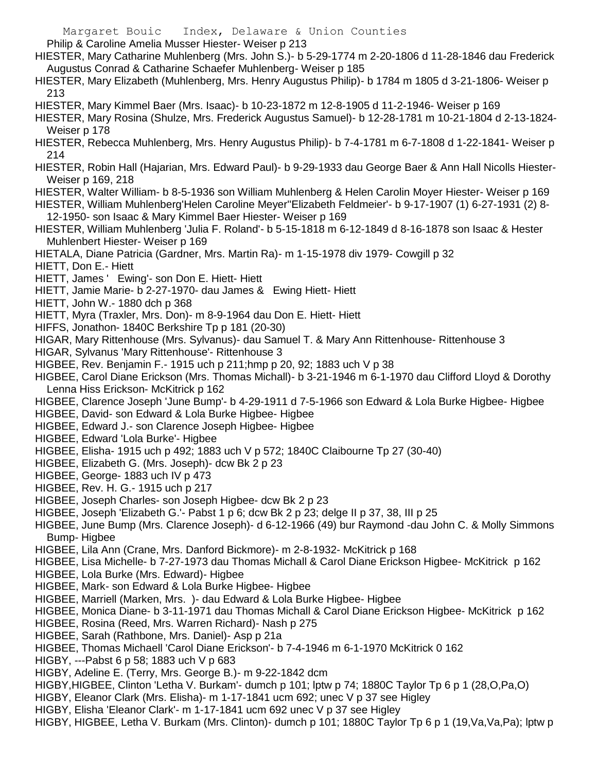Philip & Caroline Amelia Musser Hiester- Weiser p 213

- HIESTER, Mary Catharine Muhlenberg (Mrs. John S.)- b 5-29-1774 m 2-20-1806 d 11-28-1846 dau Frederick Augustus Conrad & Catharine Schaefer Muhlenberg- Weiser p 185
- HIESTER, Mary Elizabeth (Muhlenberg, Mrs. Henry Augustus Philip)- b 1784 m 1805 d 3-21-1806- Weiser p 213
- HIESTER, Mary Kimmel Baer (Mrs. Isaac)- b 10-23-1872 m 12-8-1905 d 11-2-1946- Weiser p 169
- HIESTER, Mary Rosina (Shulze, Mrs. Frederick Augustus Samuel)- b 12-28-1781 m 10-21-1804 d 2-13-1824- Weiser p 178
- HIESTER, Rebecca Muhlenberg, Mrs. Henry Augustus Philip)- b 7-4-1781 m 6-7-1808 d 1-22-1841- Weiser p 214
- HIESTER, Robin Hall (Hajarian, Mrs. Edward Paul)- b 9-29-1933 dau George Baer & Ann Hall Nicolls Hiester-Weiser p 169, 218
- HIESTER, Walter William- b 8-5-1936 son William Muhlenberg & Helen Carolin Moyer Hiester- Weiser p 169
- HIESTER, William Muhlenberg'Helen Caroline Meyer''Elizabeth Feldmeier'- b 9-17-1907 (1) 6-27-1931 (2) 8- 12-1950- son Isaac & Mary Kimmel Baer Hiester- Weiser p 169
- HIESTER, William Muhlenberg 'Julia F. Roland'- b 5-15-1818 m 6-12-1849 d 8-16-1878 son Isaac & Hester Muhlenbert Hiester- Weiser p 169
- HIETALA, Diane Patricia (Gardner, Mrs. Martin Ra)- m 1-15-1978 div 1979- Cowgill p 32
- HIETT, Don E.- Hiett
- HIETT, James ' Ewing'- son Don E. Hiett- Hiett
- HIETT, Jamie Marie- b 2-27-1970- dau James & Ewing Hiett- Hiett
- HIETT, John W.- 1880 dch p 368
- HIETT, Myra (Traxler, Mrs. Don)- m 8-9-1964 dau Don E. Hiett- Hiett
- HIFFS, Jonathon- 1840C Berkshire Tp p 181 (20-30)
- HIGAR, Mary Rittenhouse (Mrs. Sylvanus)- dau Samuel T. & Mary Ann Rittenhouse- Rittenhouse 3
- HIGAR, Sylvanus 'Mary Rittenhouse'- Rittenhouse 3
- HIGBEE, Rev. Benjamin F.- 1915 uch p 211;hmp p 20, 92; 1883 uch V p 38
- HIGBEE, Carol Diane Erickson (Mrs. Thomas Michall)- b 3-21-1946 m 6-1-1970 dau Clifford Lloyd & Dorothy Lenna Hiss Erickson- McKitrick p 162
- HIGBEE, Clarence Joseph 'June Bump'- b 4-29-1911 d 7-5-1966 son Edward & Lola Burke Higbee- Higbee
- HIGBEE, David- son Edward & Lola Burke Higbee- Higbee
- HIGBEE, Edward J.- son Clarence Joseph Higbee- Higbee
- HIGBEE, Edward 'Lola Burke'- Higbee
- HIGBEE, Elisha- 1915 uch p 492; 1883 uch V p 572; 1840C Claibourne Tp 27 (30-40)
- HIGBEE, Elizabeth G. (Mrs. Joseph)- dcw Bk 2 p 23
- HIGBEE, George- 1883 uch IV p 473
- HIGBEE, Rev. H. G.- 1915 uch p 217
- HIGBEE, Joseph Charles- son Joseph Higbee- dcw Bk 2 p 23
- HIGBEE, Joseph 'Elizabeth G.'- Pabst 1 p 6; dcw Bk 2 p 23; delge II p 37, 38, III p 25
- HIGBEE, June Bump (Mrs. Clarence Joseph)- d 6-12-1966 (49) bur Raymond -dau John C. & Molly Simmons Bump- Higbee
- HIGBEE, Lila Ann (Crane, Mrs. Danford Bickmore)- m 2-8-1932- McKitrick p 168
- HIGBEE, Lisa Michelle- b 7-27-1973 dau Thomas Michall & Carol Diane Erickson Higbee- McKitrick p 162
- HIGBEE, Lola Burke (Mrs. Edward)- Higbee
- HIGBEE, Mark- son Edward & Lola Burke Higbee- Higbee
- HIGBEE, Marriell (Marken, Mrs. )- dau Edward & Lola Burke Higbee- Higbee
- HIGBEE, Monica Diane- b 3-11-1971 dau Thomas Michall & Carol Diane Erickson Higbee- McKitrick p 162
- HIGBEE, Rosina (Reed, Mrs. Warren Richard)- Nash p 275
- HIGBEE, Sarah (Rathbone, Mrs. Daniel)- Asp p 21a
- HIGBEE, Thomas Michaell 'Carol Diane Erickson'- b 7-4-1946 m 6-1-1970 McKitrick 0 162
- HIGBY, ---Pabst 6 p 58; 1883 uch V p 683
- HIGBY, Adeline E. (Terry, Mrs. George B.)- m 9-22-1842 dcm
- HIGBY,HIGBEE, Clinton 'Letha V. Burkam'- dumch p 101; lptw p 74; 1880C Taylor Tp 6 p 1 (28,O,Pa,O)
- HIGBY, Eleanor Clark (Mrs. Elisha)- m 1-17-1841 ucm 692; unec V p 37 see Higley
- HIGBY, Elisha 'Eleanor Clark'- m 1-17-1841 ucm 692 unec V p 37 see Higley
- HIGBY, HIGBEE, Letha V. Burkam (Mrs. Clinton)- dumch p 101; 1880C Taylor Tp 6 p 1 (19,Va,Va,Pa); lptw p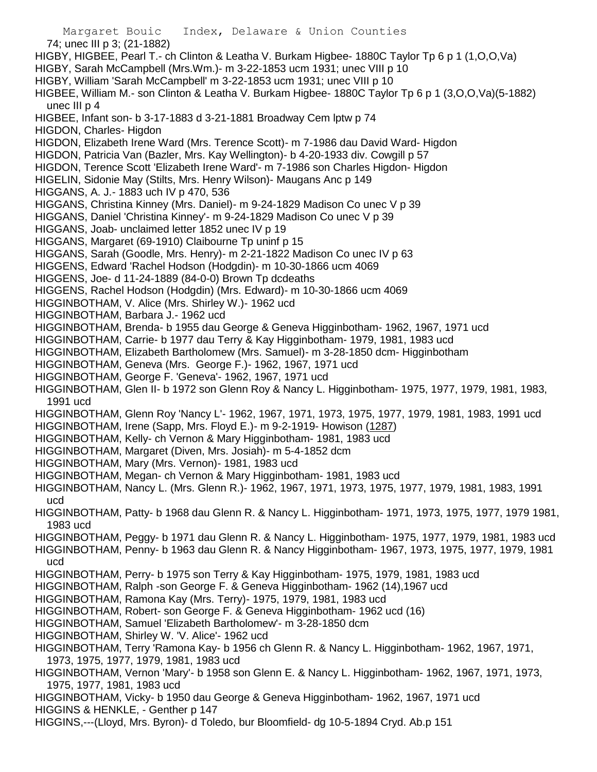Margaret Bouic Index, Delaware & Union Counties 74; unec III p 3; (21-1882) HIGBY, HIGBEE, Pearl T.- ch Clinton & Leatha V. Burkam Higbee- 1880C Taylor Tp 6 p 1 (1,O,O,Va) HIGBY, Sarah McCampbell (Mrs.Wm.)- m 3-22-1853 ucm 1931; unec VIII p 10 HIGBY, William 'Sarah McCampbell' m 3-22-1853 ucm 1931; unec VIII p 10 HIGBEE, William M.- son Clinton & Leatha V. Burkam Higbee- 1880C Taylor Tp 6 p 1 (3,O,O,Va)(5-1882) unec III p 4 HIGBEE, Infant son- b 3-17-1883 d 3-21-1881 Broadway Cem lptw p 74 HIGDON, Charles- Higdon HIGDON, Elizabeth Irene Ward (Mrs. Terence Scott)- m 7-1986 dau David Ward- Higdon HIGDON, Patricia Van (Bazler, Mrs. Kay Wellington)- b 4-20-1933 div. Cowgill p 57 HIGDON, Terence Scott 'Elizabeth Irene Ward'- m 7-1986 son Charles Higdon- Higdon HIGELIN, Sidonie May (Stilts, Mrs. Henry Wilson)- Maugans Anc p 149 HIGGANS, A. J.- 1883 uch IV p 470, 536 HIGGANS, Christina Kinney (Mrs. Daniel)- m 9-24-1829 Madison Co unec V p 39 HIGGANS, Daniel 'Christina Kinney'- m 9-24-1829 Madison Co unec V p 39 HIGGANS, Joab- unclaimed letter 1852 unec IV p 19 HIGGANS, Margaret (69-1910) Claibourne Tp uninf p 15 HIGGANS, Sarah (Goodle, Mrs. Henry)- m 2-21-1822 Madison Co unec IV p 63 HIGGENS, Edward 'Rachel Hodson (Hodgdin)- m 10-30-1866 ucm 4069 HIGGENS, Joe- d 11-24-1889 (84-0-0) Brown Tp dcdeaths HIGGENS, Rachel Hodson (Hodgdin) (Mrs. Edward)- m 10-30-1866 ucm 4069 HIGGINBOTHAM, V. Alice (Mrs. Shirley W.)- 1962 ucd HIGGINBOTHAM, Barbara J.- 1962 ucd HIGGINBOTHAM, Brenda- b 1955 dau George & Geneva Higginbotham- 1962, 1967, 1971 ucd HIGGINBOTHAM, Carrie- b 1977 dau Terry & Kay Higginbotham- 1979, 1981, 1983 ucd HIGGINBOTHAM, Elizabeth Bartholomew (Mrs. Samuel)- m 3-28-1850 dcm- Higginbotham HIGGINBOTHAM, Geneva (Mrs. George F.)- 1962, 1967, 1971 ucd HIGGINBOTHAM, George F. 'Geneva'- 1962, 1967, 1971 ucd HIGGINBOTHAM, Glen II- b 1972 son Glenn Roy & Nancy L. Higginbotham- 1975, 1977, 1979, 1981, 1983, 1991 ucd HIGGINBOTHAM, Glenn Roy 'Nancy L'- 1962, 1967, 1971, 1973, 1975, 1977, 1979, 1981, 1983, 1991 ucd HIGGINBOTHAM, Irene (Sapp, Mrs. Floyd E.)- m 9-2-1919- Howison (1287) HIGGINBOTHAM, Kelly- ch Vernon & Mary Higginbotham- 1981, 1983 ucd HIGGINBOTHAM, Margaret (Diven, Mrs. Josiah)- m 5-4-1852 dcm HIGGINBOTHAM, Mary (Mrs. Vernon)- 1981, 1983 ucd HIGGINBOTHAM, Megan- ch Vernon & Mary Higginbotham- 1981, 1983 ucd HIGGINBOTHAM, Nancy L. (Mrs. Glenn R.)- 1962, 1967, 1971, 1973, 1975, 1977, 1979, 1981, 1983, 1991 ucd HIGGINBOTHAM, Patty- b 1968 dau Glenn R. & Nancy L. Higginbotham- 1971, 1973, 1975, 1977, 1979 1981, 1983 ucd HIGGINBOTHAM, Peggy- b 1971 dau Glenn R. & Nancy L. Higginbotham- 1975, 1977, 1979, 1981, 1983 ucd HIGGINBOTHAM, Penny- b 1963 dau Glenn R. & Nancy Higginbotham- 1967, 1973, 1975, 1977, 1979, 1981 ucd HIGGINBOTHAM, Perry- b 1975 son Terry & Kay Higginbotham- 1975, 1979, 1981, 1983 ucd HIGGINBOTHAM, Ralph -son George F. & Geneva Higginbotham- 1962 (14),1967 ucd HIGGINBOTHAM, Ramona Kay (Mrs. Terry)- 1975, 1979, 1981, 1983 ucd HIGGINBOTHAM, Robert- son George F. & Geneva Higginbotham- 1962 ucd (16) HIGGINBOTHAM, Samuel 'Elizabeth Bartholomew'- m 3-28-1850 dcm HIGGINBOTHAM, Shirley W. 'V. Alice'- 1962 ucd HIGGINBOTHAM, Terry 'Ramona Kay- b 1956 ch Glenn R. & Nancy L. Higginbotham- 1962, 1967, 1971, 1973, 1975, 1977, 1979, 1981, 1983 ucd HIGGINBOTHAM, Vernon 'Mary'- b 1958 son Glenn E. & Nancy L. Higginbotham- 1962, 1967, 1971, 1973, 1975, 1977, 1981, 1983 ucd HIGGINBOTHAM, Vicky- b 1950 dau George & Geneva Higginbotham- 1962, 1967, 1971 ucd HIGGINS & HENKLE, - Genther p 147 HIGGINS,---(Lloyd, Mrs. Byron)- d Toledo, bur Bloomfield- dg 10-5-1894 Cryd. Ab.p 151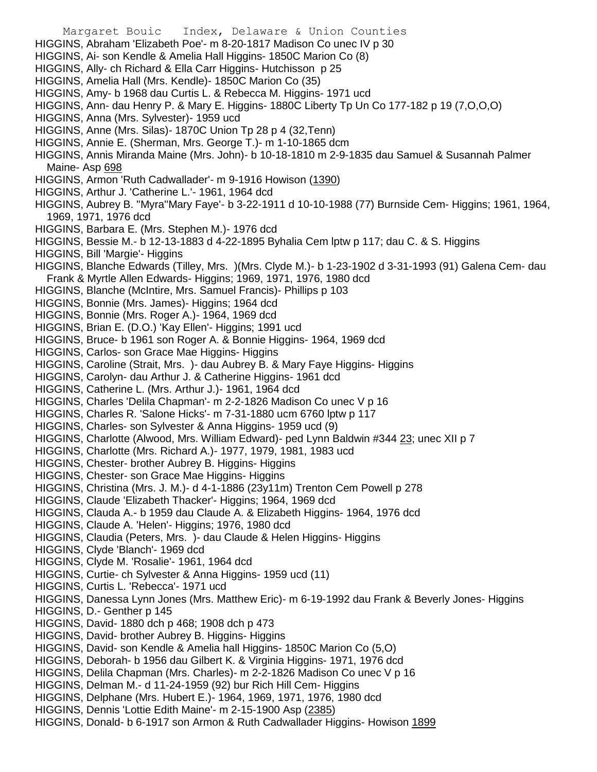Margaret Bouic Index, Delaware & Union Counties HIGGINS, Abraham 'Elizabeth Poe'- m 8-20-1817 Madison Co unec IV p 30 HIGGINS, Ai- son Kendle & Amelia Hall Higgins- 1850C Marion Co (8) HIGGINS, Ally- ch Richard & Ella Carr Higgins- Hutchisson p 25 HIGGINS, Amelia Hall (Mrs. Kendle)- 1850C Marion Co (35) HIGGINS, Amy- b 1968 dau Curtis L. & Rebecca M. Higgins- 1971 ucd HIGGINS, Ann- dau Henry P. & Mary E. Higgins- 1880C Liberty Tp Un Co 177-182 p 19 (7,O,O,O) HIGGINS, Anna (Mrs. Sylvester)- 1959 ucd HIGGINS, Anne (Mrs. Silas)- 1870C Union Tp 28 p 4 (32,Tenn) HIGGINS, Annie E. (Sherman, Mrs. George T.)- m 1-10-1865 dcm HIGGINS, Annis Miranda Maine (Mrs. John)- b 10-18-1810 m 2-9-1835 dau Samuel & Susannah Palmer Maine- Asp 698 HIGGINS, Armon 'Ruth Cadwallader'- m 9-1916 Howison (1390) HIGGINS, Arthur J. 'Catherine L.'- 1961, 1964 dcd HIGGINS, Aubrey B. ''Myra''Mary Faye'- b 3-22-1911 d 10-10-1988 (77) Burnside Cem- Higgins; 1961, 1964, 1969, 1971, 1976 dcd HIGGINS, Barbara E. (Mrs. Stephen M.)- 1976 dcd HIGGINS, Bessie M.- b 12-13-1883 d 4-22-1895 Byhalia Cem lptw p 117; dau C. & S. Higgins HIGGINS, Bill 'Margie'- Higgins HIGGINS, Blanche Edwards (Tilley, Mrs. )(Mrs. Clyde M.)- b 1-23-1902 d 3-31-1993 (91) Galena Cem- dau Frank & Myrtle Allen Edwards- Higgins; 1969, 1971, 1976, 1980 dcd HIGGINS, Blanche (McIntire, Mrs. Samuel Francis)- Phillips p 103 HIGGINS, Bonnie (Mrs. James)- Higgins; 1964 dcd HIGGINS, Bonnie (Mrs. Roger A.)- 1964, 1969 dcd HIGGINS, Brian E. (D.O.) 'Kay Ellen'- Higgins; 1991 ucd HIGGINS, Bruce- b 1961 son Roger A. & Bonnie Higgins- 1964, 1969 dcd HIGGINS, Carlos- son Grace Mae Higgins- Higgins HIGGINS, Caroline (Strait, Mrs. )- dau Aubrey B. & Mary Faye Higgins- Higgins HIGGINS, Carolyn- dau Arthur J. & Catherine Higgins- 1961 dcd HIGGINS, Catherine L. (Mrs. Arthur J.)- 1961, 1964 dcd HIGGINS, Charles 'Delila Chapman'- m 2-2-1826 Madison Co unec V p 16 HIGGINS, Charles R. 'Salone Hicks'- m 7-31-1880 ucm 6760 lptw p 117 HIGGINS, Charles- son Sylvester & Anna Higgins- 1959 ucd (9) HIGGINS, Charlotte (Alwood, Mrs. William Edward)- ped Lynn Baldwin #344 23; unec XII p 7 HIGGINS, Charlotte (Mrs. Richard A.)- 1977, 1979, 1981, 1983 ucd HIGGINS, Chester- brother Aubrey B. Higgins- Higgins HIGGINS, Chester- son Grace Mae Higgins- Higgins HIGGINS, Christina (Mrs. J. M.)- d 4-1-1886 (23y11m) Trenton Cem Powell p 278 HIGGINS, Claude 'Elizabeth Thacker'- Higgins; 1964, 1969 dcd HIGGINS, Clauda A.- b 1959 dau Claude A. & Elizabeth Higgins- 1964, 1976 dcd HIGGINS, Claude A. 'Helen'- Higgins; 1976, 1980 dcd HIGGINS, Claudia (Peters, Mrs. )- dau Claude & Helen Higgins- Higgins HIGGINS, Clyde 'Blanch'- 1969 dcd HIGGINS, Clyde M. 'Rosalie'- 1961, 1964 dcd HIGGINS, Curtie- ch Sylvester & Anna Higgins- 1959 ucd (11) HIGGINS, Curtis L. 'Rebecca'- 1971 ucd HIGGINS, Danessa Lynn Jones (Mrs. Matthew Eric)- m 6-19-1992 dau Frank & Beverly Jones- Higgins HIGGINS, D.- Genther p 145 HIGGINS, David- 1880 dch p 468; 1908 dch p 473 HIGGINS, David- brother Aubrey B. Higgins- Higgins HIGGINS, David- son Kendle & Amelia hall Higgins- 1850C Marion Co (5,O) HIGGINS, Deborah- b 1956 dau Gilbert K. & Virginia Higgins- 1971, 1976 dcd HIGGINS, Delila Chapman (Mrs. Charles)- m 2-2-1826 Madison Co unec V p 16 HIGGINS, Delman M.- d 11-24-1959 (92) bur Rich Hill Cem- Higgins HIGGINS, Delphane (Mrs. Hubert E.)- 1964, 1969, 1971, 1976, 1980 dcd HIGGINS, Dennis 'Lottie Edith Maine'- m 2-15-1900 Asp (2385) HIGGINS, Donald- b 6-1917 son Armon & Ruth Cadwallader Higgins- Howison 1899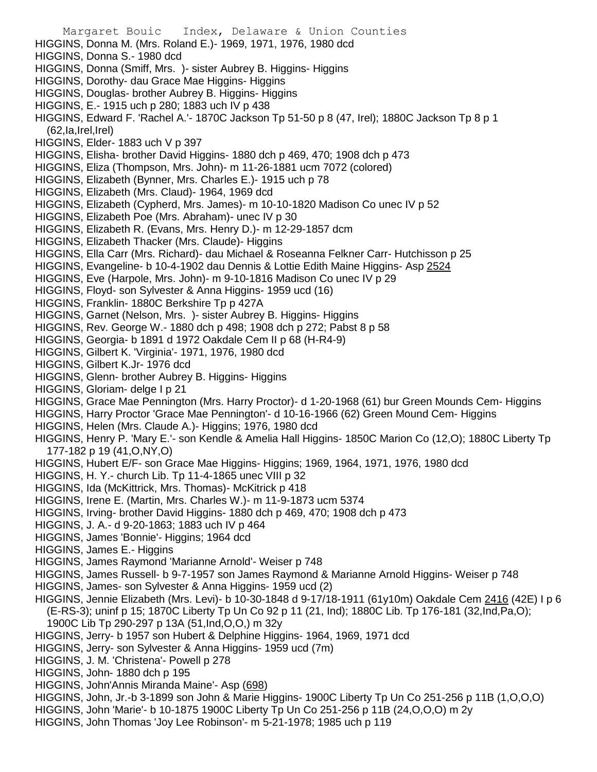- Margaret Bouic Index, Delaware & Union Counties HIGGINS, Donna M. (Mrs. Roland E.)- 1969, 1971, 1976, 1980 dcd HIGGINS, Donna S.- 1980 dcd HIGGINS, Donna (Smiff, Mrs. )- sister Aubrey B. Higgins- Higgins HIGGINS, Dorothy- dau Grace Mae Higgins- Higgins HIGGINS, Douglas- brother Aubrey B. Higgins- Higgins HIGGINS, E.- 1915 uch p 280; 1883 uch IV p 438 HIGGINS, Edward F. 'Rachel A.'- 1870C Jackson Tp 51-50 p 8 (47, Irel); 1880C Jackson Tp 8 p 1  $(62, Ia, Irel, Irel)$ HIGGINS, Elder- 1883 uch V p 397 HIGGINS, Elisha- brother David Higgins- 1880 dch p 469, 470; 1908 dch p 473 HIGGINS, Eliza (Thompson, Mrs. John)- m 11-26-1881 ucm 7072 (colored) HIGGINS, Elizabeth (Bynner, Mrs. Charles E.)- 1915 uch p 78 HIGGINS, Elizabeth (Mrs. Claud)- 1964, 1969 dcd HIGGINS, Elizabeth (Cypherd, Mrs. James)- m 10-10-1820 Madison Co unec IV p 52 HIGGINS, Elizabeth Poe (Mrs. Abraham)- unec IV p 30 HIGGINS, Elizabeth R. (Evans, Mrs. Henry D.)- m 12-29-1857 dcm HIGGINS, Elizabeth Thacker (Mrs. Claude)- Higgins HIGGINS, Ella Carr (Mrs. Richard)- dau Michael & Roseanna Felkner Carr- Hutchisson p 25 HIGGINS, Evangeline- b 10-4-1902 dau Dennis & Lottie Edith Maine Higgins- Asp 2524 HIGGINS, Eve (Harpole, Mrs. John)- m 9-10-1816 Madison Co unec IV p 29 HIGGINS, Floyd- son Sylvester & Anna Higgins- 1959 ucd (16) HIGGINS, Franklin- 1880C Berkshire Tp p 427A HIGGINS, Garnet (Nelson, Mrs. )- sister Aubrey B. Higgins- Higgins HIGGINS, Rev. George W.- 1880 dch p 498; 1908 dch p 272; Pabst 8 p 58 HIGGINS, Georgia- b 1891 d 1972 Oakdale Cem II p 68 (H-R4-9) HIGGINS, Gilbert K. 'Virginia'- 1971, 1976, 1980 dcd HIGGINS, Gilbert K.Jr- 1976 dcd HIGGINS, Glenn- brother Aubrey B. Higgins- Higgins HIGGINS, Gloriam- delge I p 21 HIGGINS, Grace Mae Pennington (Mrs. Harry Proctor)- d 1-20-1968 (61) bur Green Mounds Cem- Higgins HIGGINS, Harry Proctor 'Grace Mae Pennington'- d 10-16-1966 (62) Green Mound Cem- Higgins HIGGINS, Helen (Mrs. Claude A.)- Higgins; 1976, 1980 dcd HIGGINS, Henry P. 'Mary E.'- son Kendle & Amelia Hall Higgins- 1850C Marion Co (12,O); 1880C Liberty Tp 177-182 p 19 (41,O,NY,O) HIGGINS, Hubert E/F- son Grace Mae Higgins- Higgins; 1969, 1964, 1971, 1976, 1980 dcd HIGGINS, H. Y.- church Lib. Tp 11-4-1865 unec VIII p 32 HIGGINS, Ida (McKittrick, Mrs. Thomas)- McKitrick p 418 HIGGINS, Irene E. (Martin, Mrs. Charles W.)- m 11-9-1873 ucm 5374 HIGGINS, Irving- brother David Higgins- 1880 dch p 469, 470; 1908 dch p 473 HIGGINS, J. A.- d 9-20-1863; 1883 uch IV p 464 HIGGINS, James 'Bonnie'- Higgins; 1964 dcd HIGGINS, James E.- Higgins HIGGINS, James Raymond 'Marianne Arnold'- Weiser p 748 HIGGINS, James Russell- b 9-7-1957 son James Raymond & Marianne Arnold Higgins- Weiser p 748 HIGGINS, James- son Sylvester & Anna Higgins- 1959 ucd (2) HIGGINS, Jennie Elizabeth (Mrs. Levi)- b 10-30-1848 d 9-17/18-1911 (61y10m) Oakdale Cem 2416 (42E) I p 6 (E-RS-3); uninf p 15; 1870C Liberty Tp Un Co 92 p 11 (21, Ind); 1880C Lib. Tp 176-181 (32,Ind,Pa,O); 1900C Lib Tp 290-297 p 13A (51,Ind,O,O,) m 32y HIGGINS, Jerry- b 1957 son Hubert & Delphine Higgins- 1964, 1969, 1971 dcd HIGGINS, Jerry- son Sylvester & Anna Higgins- 1959 ucd (7m) HIGGINS, J. M. 'Christena'- Powell p 278 HIGGINS, John- 1880 dch p 195 HIGGINS, John'Annis Miranda Maine'- Asp (698) HIGGINS, John, Jr.-b 3-1899 son John & Marie Higgins- 1900C Liberty Tp Un Co 251-256 p 11B (1,O,O,O) HIGGINS, John 'Marie'- b 10-1875 1900C Liberty Tp Un Co 251-256 p 11B (24,O,O,O) m 2y
- HIGGINS, John Thomas 'Joy Lee Robinson'- m 5-21-1978; 1985 uch p 119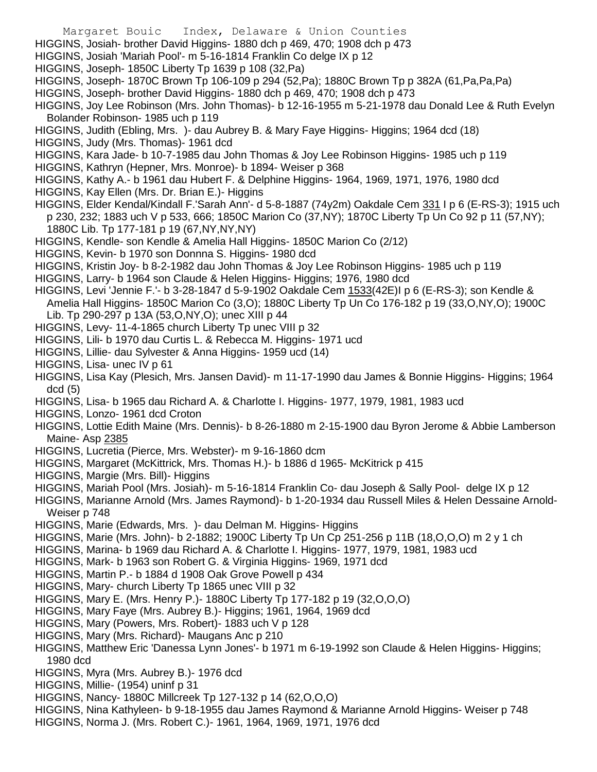- Margaret Bouic Index, Delaware & Union Counties
- HIGGINS, Josiah- brother David Higgins- 1880 dch p 469, 470; 1908 dch p 473
- HIGGINS, Josiah 'Mariah Pool'- m 5-16-1814 Franklin Co delge IX p 12
- HIGGINS, Joseph- 1850C Liberty Tp 1639 p 108 (32,Pa)
- HIGGINS, Joseph- 1870C Brown Tp 106-109 p 294 (52,Pa); 1880C Brown Tp p 382A (61,Pa,Pa,Pa)
- HIGGINS, Joseph- brother David Higgins- 1880 dch p 469, 470; 1908 dch p 473
- HIGGINS, Joy Lee Robinson (Mrs. John Thomas)- b 12-16-1955 m 5-21-1978 dau Donald Lee & Ruth Evelyn Bolander Robinson- 1985 uch p 119
- HIGGINS, Judith (Ebling, Mrs. )- dau Aubrey B. & Mary Faye Higgins- Higgins; 1964 dcd (18)
- HIGGINS, Judy (Mrs. Thomas)- 1961 dcd
- HIGGINS, Kara Jade- b 10-7-1985 dau John Thomas & Joy Lee Robinson Higgins- 1985 uch p 119
- HIGGINS, Kathryn (Hepner, Mrs. Monroe)- b 1894- Weiser p 368
- HIGGINS, Kathy A.- b 1961 dau Hubert F. & Delphine Higgins- 1964, 1969, 1971, 1976, 1980 dcd
- HIGGINS, Kay Ellen (Mrs. Dr. Brian E.)- Higgins
- HIGGINS, Elder Kendal/Kindall F.'Sarah Ann'- d 5-8-1887 (74y2m) Oakdale Cem 331 I p 6 (E-RS-3); 1915 uch p 230, 232; 1883 uch V p 533, 666; 1850C Marion Co (37,NY); 1870C Liberty Tp Un Co 92 p 11 (57,NY); 1880C Lib. Tp 177-181 p 19 (67,NY,NY,NY)
- HIGGINS, Kendle- son Kendle & Amelia Hall Higgins- 1850C Marion Co (2/12)
- HIGGINS, Kevin- b 1970 son Donnna S. Higgins- 1980 dcd
- HIGGINS, Kristin Joy- b 8-2-1982 dau John Thomas & Joy Lee Robinson Higgins- 1985 uch p 119
- HIGGINS, Larry- b 1964 son Claude & Helen Higgins- Higgins; 1976, 1980 dcd
- HIGGINS, Levi 'Jennie F.'- b 3-28-1847 d 5-9-1902 Oakdale Cem 1533(42E)I p 6 (E-RS-3); son Kendle & Amelia Hall Higgins- 1850C Marion Co (3,O); 1880C Liberty Tp Un Co 176-182 p 19 (33,O,NY,O); 1900C Lib. Tp 290-297 p 13A (53,O,NY,O); unec XIII p 44
- HIGGINS, Levy- 11-4-1865 church Liberty Tp unec VIII p 32
- HIGGINS, Lili- b 1970 dau Curtis L. & Rebecca M. Higgins- 1971 ucd
- HIGGINS, Lillie- dau Sylvester & Anna Higgins- 1959 ucd (14)
- HIGGINS, Lisa- unec IV p 61
- HIGGINS, Lisa Kay (Plesich, Mrs. Jansen David)- m 11-17-1990 dau James & Bonnie Higgins- Higgins; 1964 dcd (5)
- HIGGINS, Lisa- b 1965 dau Richard A. & Charlotte I. Higgins- 1977, 1979, 1981, 1983 ucd
- HIGGINS, Lonzo- 1961 dcd Croton
- HIGGINS, Lottie Edith Maine (Mrs. Dennis)- b 8-26-1880 m 2-15-1900 dau Byron Jerome & Abbie Lamberson Maine- Asp 2385
- HIGGINS, Lucretia (Pierce, Mrs. Webster)- m 9-16-1860 dcm
- HIGGINS, Margaret (McKittrick, Mrs. Thomas H.)- b 1886 d 1965- McKitrick p 415
- HIGGINS, Margie (Mrs. Bill)- Higgins
- HIGGINS, Mariah Pool (Mrs. Josiah)- m 5-16-1814 Franklin Co- dau Joseph & Sally Pool- delge IX p 12
- HIGGINS, Marianne Arnold (Mrs. James Raymond)- b 1-20-1934 dau Russell Miles & Helen Dessaine Arnold-Weiser p 748
- HIGGINS, Marie (Edwards, Mrs. )- dau Delman M. Higgins- Higgins
- HIGGINS, Marie (Mrs. John)- b 2-1882; 1900C Liberty Tp Un Cp 251-256 p 11B (18,O,O,O) m 2 y 1 ch
- HIGGINS, Marina- b 1969 dau Richard A. & Charlotte I. Higgins- 1977, 1979, 1981, 1983 ucd
- HIGGINS, Mark- b 1963 son Robert G. & Virginia Higgins- 1969, 1971 dcd
- HIGGINS, Martin P.- b 1884 d 1908 Oak Grove Powell p 434
- HIGGINS, Mary- church Liberty Tp 1865 unec VIII p 32
- HIGGINS, Mary E. (Mrs. Henry P.)- 1880C Liberty Tp 177-182 p 19 (32,O,O,O)
- HIGGINS, Mary Faye (Mrs. Aubrey B.)- Higgins; 1961, 1964, 1969 dcd
- HIGGINS, Mary (Powers, Mrs. Robert)- 1883 uch V p 128
- HIGGINS, Mary (Mrs. Richard)- Maugans Anc p 210
- HIGGINS, Matthew Eric 'Danessa Lynn Jones'- b 1971 m 6-19-1992 son Claude & Helen Higgins- Higgins; 1980 dcd
- HIGGINS, Myra (Mrs. Aubrey B.)- 1976 dcd
- HIGGINS, Millie- (1954) uninf p 31
- HIGGINS, Nancy- 1880C Millcreek Tp 127-132 p 14 (62,O,O,O)
- HIGGINS, Nina Kathyleen- b 9-18-1955 dau James Raymond & Marianne Arnold Higgins- Weiser p 748
- HIGGINS, Norma J. (Mrs. Robert C.)- 1961, 1964, 1969, 1971, 1976 dcd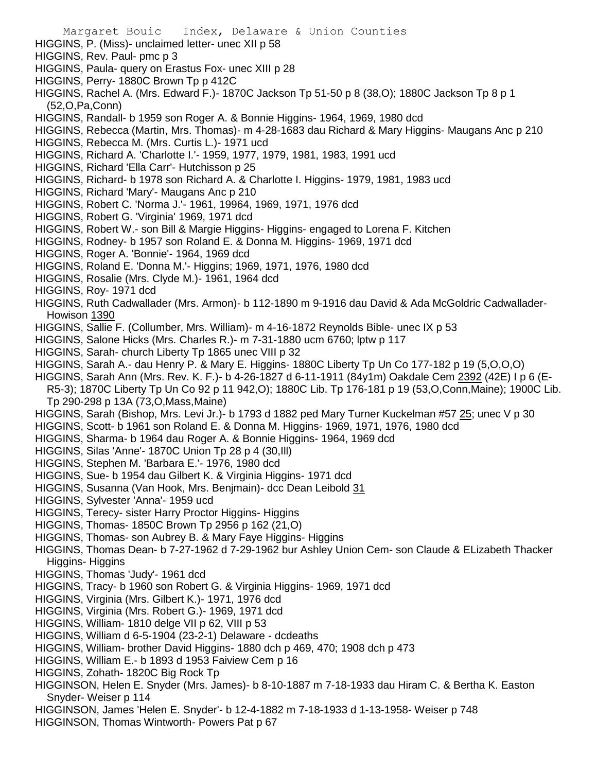Margaret Bouic Index, Delaware & Union Counties HIGGINS, P. (Miss)- unclaimed letter- unec XII p 58 HIGGINS, Rev. Paul- pmc p 3 HIGGINS, Paula- query on Erastus Fox- unec XIII p 28 HIGGINS, Perry- 1880C Brown Tp p 412C HIGGINS, Rachel A. (Mrs. Edward F.)- 1870C Jackson Tp 51-50 p 8 (38,O); 1880C Jackson Tp 8 p 1 (52,O,Pa,Conn) HIGGINS, Randall- b 1959 son Roger A. & Bonnie Higgins- 1964, 1969, 1980 dcd HIGGINS, Rebecca (Martin, Mrs. Thomas)- m 4-28-1683 dau Richard & Mary Higgins- Maugans Anc p 210 HIGGINS, Rebecca M. (Mrs. Curtis L.)- 1971 ucd HIGGINS, Richard A. 'Charlotte I.'- 1959, 1977, 1979, 1981, 1983, 1991 ucd HIGGINS, Richard 'Ella Carr'- Hutchisson p 25 HIGGINS, Richard- b 1978 son Richard A. & Charlotte I. Higgins- 1979, 1981, 1983 ucd HIGGINS, Richard 'Mary'- Maugans Anc p 210 HIGGINS, Robert C. 'Norma J.'- 1961, 19964, 1969, 1971, 1976 dcd HIGGINS, Robert G. 'Virginia' 1969, 1971 dcd HIGGINS, Robert W.- son Bill & Margie Higgins- Higgins- engaged to Lorena F. Kitchen HIGGINS, Rodney- b 1957 son Roland E. & Donna M. Higgins- 1969, 1971 dcd HIGGINS, Roger A. 'Bonnie'- 1964, 1969 dcd HIGGINS, Roland E. 'Donna M.'- Higgins; 1969, 1971, 1976, 1980 dcd HIGGINS, Rosalie (Mrs. Clyde M.)- 1961, 1964 dcd HIGGINS, Roy- 1971 dcd HIGGINS, Ruth Cadwallader (Mrs. Armon)- b 112-1890 m 9-1916 dau David & Ada McGoldric Cadwallader-Howison 1390 HIGGINS, Sallie F. (Collumber, Mrs. William)- m 4-16-1872 Reynolds Bible- unec IX p 53 HIGGINS, Salone Hicks (Mrs. Charles R.)- m 7-31-1880 ucm 6760; lptw p 117 HIGGINS, Sarah- church Liberty Tp 1865 unec VIII p 32 HIGGINS, Sarah A.- dau Henry P. & Mary E. Higgins- 1880C Liberty Tp Un Co 177-182 p 19 (5,O,O,O) HIGGINS, Sarah Ann (Mrs. Rev. K. F.)- b 4-26-1827 d 6-11-1911 (84y1m) Oakdale Cem 2392 (42E) I p 6 (E-R5-3); 1870C Liberty Tp Un Co 92 p 11 942,O); 1880C Lib. Tp 176-181 p 19 (53,O,Conn,Maine); 1900C Lib. Tp 290-298 p 13A (73,O,Mass,Maine) HIGGINS, Sarah (Bishop, Mrs. Levi Jr.)- b 1793 d 1882 ped Mary Turner Kuckelman #57 25; unec V p 30 HIGGINS, Scott- b 1961 son Roland E. & Donna M. Higgins- 1969, 1971, 1976, 1980 dcd HIGGINS, Sharma- b 1964 dau Roger A. & Bonnie Higgins- 1964, 1969 dcd HIGGINS, Silas 'Anne'- 1870C Union Tp 28 p 4 (30,Ill) HIGGINS, Stephen M. 'Barbara E.'- 1976, 1980 dcd HIGGINS, Sue- b 1954 dau Gilbert K. & Virginia Higgins- 1971 dcd HIGGINS, Susanna (Van Hook, Mrs. Benjmain)- dcc Dean Leibold 31 HIGGINS, Sylvester 'Anna'- 1959 ucd HIGGINS, Terecy- sister Harry Proctor Higgins- Higgins HIGGINS, Thomas- 1850C Brown Tp 2956 p 162 (21,O) HIGGINS, Thomas- son Aubrey B. & Mary Faye Higgins- Higgins HIGGINS, Thomas Dean- b 7-27-1962 d 7-29-1962 bur Ashley Union Cem- son Claude & ELizabeth Thacker Higgins- Higgins HIGGINS, Thomas 'Judy'- 1961 dcd HIGGINS, Tracy- b 1960 son Robert G. & Virginia Higgins- 1969, 1971 dcd HIGGINS, Virginia (Mrs. Gilbert K.)- 1971, 1976 dcd HIGGINS, Virginia (Mrs. Robert G.)- 1969, 1971 dcd HIGGINS, William- 1810 delge VII p 62, VIII p 53 HIGGINS, William d 6-5-1904 (23-2-1) Delaware - dcdeaths HIGGINS, William- brother David Higgins- 1880 dch p 469, 470; 1908 dch p 473 HIGGINS, William E.- b 1893 d 1953 Faiview Cem p 16 HIGGINS, Zohath- 1820C Big Rock Tp HIGGINSON, Helen E. Snyder (Mrs. James)- b 8-10-1887 m 7-18-1933 dau Hiram C. & Bertha K. Easton Snyder- Weiser p 114

- HIGGINSON, James 'Helen E. Snyder'- b 12-4-1882 m 7-18-1933 d 1-13-1958- Weiser p 748
- HIGGINSON, Thomas Wintworth- Powers Pat p 67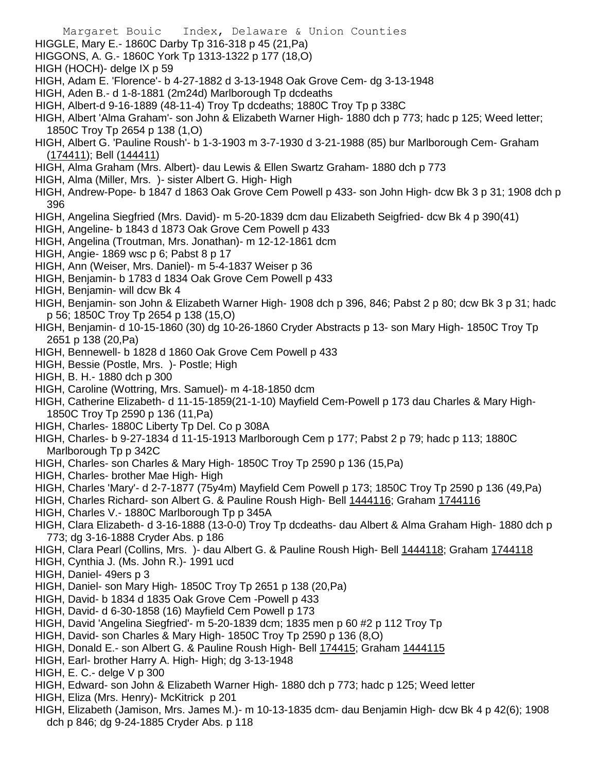- HIGGLE, Mary E.- 1860C Darby Tp 316-318 p 45 (21,Pa)
- HIGGONS, A. G.- 1860C York Tp 1313-1322 p 177 (18,O)
- HIGH (HOCH)- delge IX p 59
- HIGH, Adam E. 'Florence'- b 4-27-1882 d 3-13-1948 Oak Grove Cem- dg 3-13-1948
- HIGH, Aden B.- d 1-8-1881 (2m24d) Marlborough Tp dcdeaths
- HIGH, Albert-d 9-16-1889 (48-11-4) Troy Tp dcdeaths; 1880C Troy Tp p 338C
- HIGH, Albert 'Alma Graham'- son John & Elizabeth Warner High- 1880 dch p 773; hadc p 125; Weed letter; 1850C Troy Tp 2654 p 138 (1,O)
- HIGH, Albert G. 'Pauline Roush'- b 1-3-1903 m 3-7-1930 d 3-21-1988 (85) bur Marlborough Cem- Graham (174411); Bell (144411)
- HIGH, Alma Graham (Mrs. Albert)- dau Lewis & Ellen Swartz Graham- 1880 dch p 773
- HIGH, Alma (Miller, Mrs. )- sister Albert G. High- High
- HIGH, Andrew-Pope- b 1847 d 1863 Oak Grove Cem Powell p 433- son John High- dcw Bk 3 p 31; 1908 dch p 396
- HIGH, Angelina Siegfried (Mrs. David)- m 5-20-1839 dcm dau Elizabeth Seigfried- dcw Bk 4 p 390(41)
- HIGH, Angeline- b 1843 d 1873 Oak Grove Cem Powell p 433
- HIGH, Angelina (Troutman, Mrs. Jonathan)- m 12-12-1861 dcm
- HIGH, Angie- 1869 wsc p 6; Pabst 8 p 17
- HIGH, Ann (Weiser, Mrs. Daniel)- m 5-4-1837 Weiser p 36
- HIGH, Benjamin- b 1783 d 1834 Oak Grove Cem Powell p 433
- HIGH, Benjamin- will dcw Bk 4
- HIGH, Benjamin- son John & Elizabeth Warner High- 1908 dch p 396, 846; Pabst 2 p 80; dcw Bk 3 p 31; hadc p 56; 1850C Troy Tp 2654 p 138 (15,O)
- HIGH, Benjamin- d 10-15-1860 (30) dg 10-26-1860 Cryder Abstracts p 13- son Mary High- 1850C Troy Tp 2651 p 138 (20,Pa)
- HIGH, Bennewell- b 1828 d 1860 Oak Grove Cem Powell p 433
- HIGH, Bessie (Postle, Mrs. )- Postle; High
- HIGH, B. H.- 1880 dch p 300
- HIGH, Caroline (Wottring, Mrs. Samuel)- m 4-18-1850 dcm
- HIGH, Catherine Elizabeth- d 11-15-1859(21-1-10) Mayfield Cem-Powell p 173 dau Charles & Mary High-1850C Troy Tp 2590 p 136 (11,Pa)
- HIGH, Charles- 1880C Liberty Tp Del. Co p 308A
- HIGH, Charles- b 9-27-1834 d 11-15-1913 Marlborough Cem p 177; Pabst 2 p 79; hadc p 113; 1880C Marlborough Tp p 342C
- HIGH, Charles- son Charles & Mary High- 1850C Troy Tp 2590 p 136 (15,Pa)
- HIGH, Charles- brother Mae High- High
- HIGH, Charles 'Mary'- d 2-7-1877 (75y4m) Mayfield Cem Powell p 173; 1850C Troy Tp 2590 p 136 (49,Pa)
- HIGH, Charles Richard- son Albert G. & Pauline Roush High- Bell 1444116; Graham 1744116
- HIGH, Charles V.- 1880C Marlborough Tp p 345A
- HIGH, Clara Elizabeth- d 3-16-1888 (13-0-0) Troy Tp dcdeaths- dau Albert & Alma Graham High- 1880 dch p 773; dg 3-16-1888 Cryder Abs. p 186
- HIGH, Clara Pearl (Collins, Mrs. )- dau Albert G. & Pauline Roush High- Bell 1444118; Graham 1744118
- HIGH, Cynthia J. (Ms. John R.)- 1991 ucd
- HIGH, Daniel- 49ers p 3
- HIGH, Daniel- son Mary High- 1850C Troy Tp 2651 p 138 (20,Pa)
- HIGH, David- b 1834 d 1835 Oak Grove Cem -Powell p 433
- HIGH, David- d 6-30-1858 (16) Mayfield Cem Powell p 173
- HIGH, David 'Angelina Siegfried'- m 5-20-1839 dcm; 1835 men p 60 #2 p 112 Troy Tp
- HIGH, David- son Charles & Mary High- 1850C Troy Tp 2590 p 136 (8,O)
- HIGH, Donald E.- son Albert G. & Pauline Roush High- Bell 174415; Graham 1444115
- HIGH, Earl- brother Harry A. High- High; dg 3-13-1948
- HIGH, E. C.- delge V p 300
- HIGH, Edward- son John & Elizabeth Warner High- 1880 dch p 773; hadc p 125; Weed letter
- HIGH, Eliza (Mrs. Henry)- McKitrick p 201
- HIGH, Elizabeth (Jamison, Mrs. James M.)- m 10-13-1835 dcm- dau Benjamin High- dcw Bk 4 p 42(6); 1908 dch p 846; dg 9-24-1885 Cryder Abs. p 118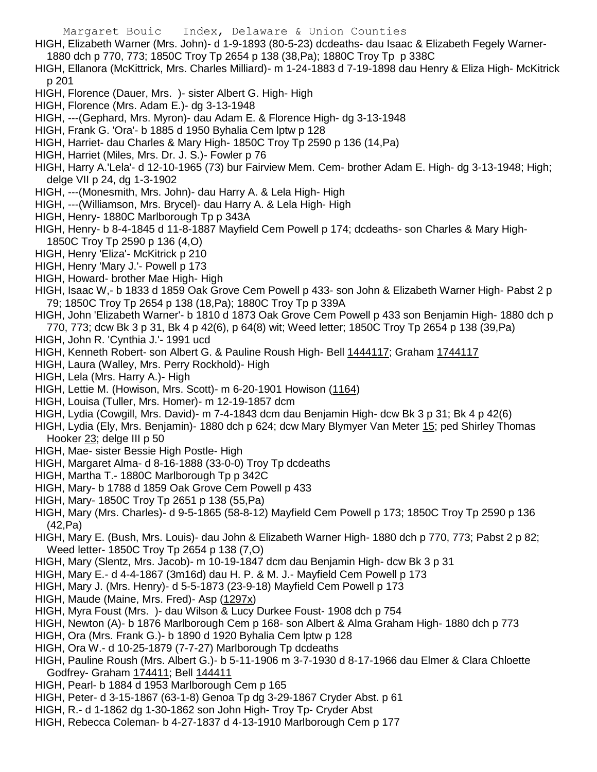- HIGH, Elizabeth Warner (Mrs. John)- d 1-9-1893 (80-5-23) dcdeaths- dau Isaac & Elizabeth Fegely Warner-
	- 1880 dch p 770, 773; 1850C Troy Tp 2654 p 138 (38,Pa); 1880C Troy Tp p 338C
- HIGH, Ellanora (McKittrick, Mrs. Charles Milliard)- m 1-24-1883 d 7-19-1898 dau Henry & Eliza High- McKitrick p 201
- HIGH, Florence (Dauer, Mrs. )- sister Albert G. High- High
- HIGH, Florence (Mrs. Adam E.)- dg 3-13-1948
- HIGH, ---(Gephard, Mrs. Myron)- dau Adam E. & Florence High- dg 3-13-1948
- HIGH, Frank G. 'Ora'- b 1885 d 1950 Byhalia Cem lptw p 128
- HIGH, Harriet- dau Charles & Mary High- 1850C Troy Tp 2590 p 136 (14,Pa)
- HIGH, Harriet (Miles, Mrs. Dr. J. S.)- Fowler p 76
- HIGH, Harry A.'Lela'- d 12-10-1965 (73) bur Fairview Mem. Cem- brother Adam E. High- dg 3-13-1948; High; delge VII p 24, dg 1-3-1902
- HIGH, ---(Monesmith, Mrs. John)- dau Harry A. & Lela High- High
- HIGH, ---(Williamson, Mrs. Brycel)- dau Harry A. & Lela High- High
- HIGH, Henry- 1880C Marlborough Tp p 343A
- HIGH, Henry- b 8-4-1845 d 11-8-1887 Mayfield Cem Powell p 174; dcdeaths- son Charles & Mary High-1850C Troy Tp 2590 p 136 (4,O)
- HIGH, Henry 'Eliza'- McKitrick p 210
- HIGH, Henry 'Mary J.'- Powell p 173
- HIGH, Howard- brother Mae High- High
- HIGH, Isaac W,- b 1833 d 1859 Oak Grove Cem Powell p 433- son John & Elizabeth Warner High- Pabst 2 p 79; 1850C Troy Tp 2654 p 138 (18,Pa); 1880C Troy Tp p 339A
- HIGH, John 'Elizabeth Warner'- b 1810 d 1873 Oak Grove Cem Powell p 433 son Benjamin High- 1880 dch p 770, 773; dcw Bk 3 p 31, Bk 4 p 42(6), p 64(8) wit; Weed letter; 1850C Troy Tp 2654 p 138 (39,Pa)
- HIGH, John R. 'Cynthia J.'- 1991 ucd
- HIGH, Kenneth Robert- son Albert G. & Pauline Roush High- Bell 1444117; Graham 1744117
- HIGH, Laura (Walley, Mrs. Perry Rockhold)- High
- HIGH, Lela (Mrs. Harry A.)- High
- HIGH, Lettie M. (Howison, Mrs. Scott)- m 6-20-1901 Howison (1164)
- HIGH, Louisa (Tuller, Mrs. Homer)- m 12-19-1857 dcm
- HIGH, Lydia (Cowgill, Mrs. David)- m 7-4-1843 dcm dau Benjamin High- dcw Bk 3 p 31; Bk 4 p 42(6)
- HIGH, Lydia (Ely, Mrs. Benjamin)- 1880 dch p 624; dcw Mary Blymyer Van Meter 15; ped Shirley Thomas Hooker 23; delge III p 50
- HIGH, Mae- sister Bessie High Postle- High
- HIGH, Margaret Alma- d 8-16-1888 (33-0-0) Troy Tp dcdeaths
- HIGH, Martha T.- 1880C Marlborough Tp p 342C
- HIGH, Mary- b 1788 d 1859 Oak Grove Cem Powell p 433
- HIGH, Mary- 1850C Troy Tp 2651 p 138 (55,Pa)
- HIGH, Mary (Mrs. Charles)- d 9-5-1865 (58-8-12) Mayfield Cem Powell p 173; 1850C Troy Tp 2590 p 136 (42,Pa)
- HIGH, Mary E. (Bush, Mrs. Louis)- dau John & Elizabeth Warner High- 1880 dch p 770, 773; Pabst 2 p 82; Weed letter- 1850C Troy Tp 2654 p 138 (7,O)
- HIGH, Mary (Slentz, Mrs. Jacob)- m 10-19-1847 dcm dau Benjamin High- dcw Bk 3 p 31
- HIGH, Mary E.- d 4-4-1867 (3m16d) dau H. P. & M. J.- Mayfield Cem Powell p 173
- HIGH, Mary J. (Mrs. Henry)- d 5-5-1873 (23-9-18) Mayfield Cem Powell p 173
- HIGH, Maude (Maine, Mrs. Fred)- Asp (1297x)
- HIGH, Myra Foust (Mrs. )- dau Wilson & Lucy Durkee Foust- 1908 dch p 754
- HIGH, Newton (A)- b 1876 Marlborough Cem p 168- son Albert & Alma Graham High- 1880 dch p 773
- HIGH, Ora (Mrs. Frank G.)- b 1890 d 1920 Byhalia Cem lptw p 128
- HIGH, Ora W.- d 10-25-1879 (7-7-27) Marlborough Tp dcdeaths
- HIGH, Pauline Roush (Mrs. Albert G.)- b 5-11-1906 m 3-7-1930 d 8-17-1966 dau Elmer & Clara Chloette Godfrey- Graham 174411; Bell 144411
- HIGH, Pearl- b 1884 d 1953 Marlborough Cem p 165
- HIGH, Peter- d 3-15-1867 (63-1-8) Genoa Tp dg 3-29-1867 Cryder Abst. p 61
- HIGH, R.- d 1-1862 dg 1-30-1862 son John High- Troy Tp- Cryder Abst
- HIGH, Rebecca Coleman- b 4-27-1837 d 4-13-1910 Marlborough Cem p 177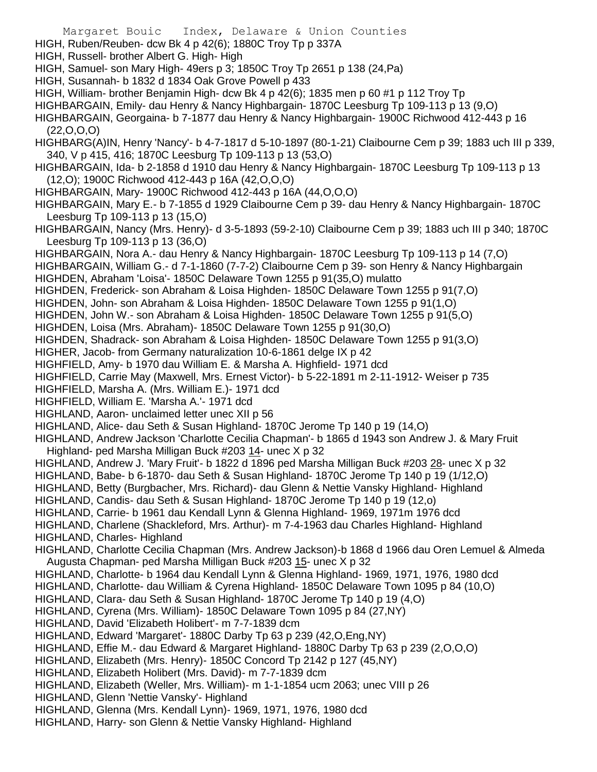- Margaret Bouic Index, Delaware & Union Counties
- HIGH, Ruben/Reuben- dcw Bk 4 p 42(6); 1880C Troy Tp p 337A
- HIGH, Russell- brother Albert G. High- High
- HIGH, Samuel- son Mary High- 49ers p 3; 1850C Troy Tp 2651 p 138 (24,Pa)
- HIGH, Susannah- b 1832 d 1834 Oak Grove Powell p 433
- HIGH, William- brother Benjamin High- dcw Bk 4 p 42(6); 1835 men p 60 #1 p 112 Troy Tp
- HIGHBARGAIN, Emily- dau Henry & Nancy Highbargain- 1870C Leesburg Tp 109-113 p 13 (9,O)
- HIGHBARGAIN, Georgaina- b 7-1877 dau Henry & Nancy Highbargain- 1900C Richwood 412-443 p 16  $(22, 0, 0, 0)$
- HIGHBARG(A)IN, Henry 'Nancy'- b 4-7-1817 d 5-10-1897 (80-1-21) Claibourne Cem p 39; 1883 uch III p 339, 340, V p 415, 416; 1870C Leesburg Tp 109-113 p 13 (53,O)
- HIGHBARGAIN, Ida- b 2-1858 d 1910 dau Henry & Nancy Highbargain- 1870C Leesburg Tp 109-113 p 13 (12,O); 1900C Richwood 412-443 p 16A (42,O,O,O)
- HIGHBARGAIN, Mary- 1900C Richwood 412-443 p 16A (44,O,O,O)
- HIGHBARGAIN, Mary E.- b 7-1855 d 1929 Claibourne Cem p 39- dau Henry & Nancy Highbargain- 1870C Leesburg Tp 109-113 p 13 (15,O)
- HIGHBARGAIN, Nancy (Mrs. Henry)- d 3-5-1893 (59-2-10) Claibourne Cem p 39; 1883 uch III p 340; 1870C Leesburg Tp 109-113 p 13 (36,O)
- HIGHBARGAIN, Nora A.- dau Henry & Nancy Highbargain- 1870C Leesburg Tp 109-113 p 14 (7,O)
- HIGHBARGAIN, William G.- d 7-1-1860 (7-7-2) Claibourne Cem p 39- son Henry & Nancy Highbargain HIGHDEN, Abraham 'Loisa'- 1850C Delaware Town 1255 p 91(35,O) mulatto
- HIGHDEN, Frederick- son Abraham & Loisa Highden- 1850C Delaware Town 1255 p 91(7,O)
- HIGHDEN, John- son Abraham & Loisa Highden- 1850C Delaware Town 1255 p 91(1,O)
- HIGHDEN, John W.- son Abraham & Loisa Highden- 1850C Delaware Town 1255 p 91(5,O)
- HIGHDEN, Loisa (Mrs. Abraham)- 1850C Delaware Town 1255 p 91(30,O)
- HIGHDEN, Shadrack- son Abraham & Loisa Highden- 1850C Delaware Town 1255 p 91(3,O)
- HIGHER, Jacob- from Germany naturalization 10-6-1861 delge IX p 42
- HIGHFIELD, Amy- b 1970 dau William E. & Marsha A. Highfield- 1971 dcd
- HIGHFIELD, Carrie May (Maxwell, Mrs. Ernest Victor)- b 5-22-1891 m 2-11-1912- Weiser p 735
- HIGHFIELD, Marsha A. (Mrs. William E.)- 1971 dcd
- HIGHFIELD, William E. 'Marsha A.'- 1971 dcd
- HIGHLAND, Aaron- unclaimed letter unec XII p 56
- HIGHLAND, Alice- dau Seth & Susan Highland- 1870C Jerome Tp 140 p 19 (14,O)
- HIGHLAND, Andrew Jackson 'Charlotte Cecilia Chapman'- b 1865 d 1943 son Andrew J. & Mary Fruit Highland- ped Marsha Milligan Buck #203 14- unec X p 32
- HIGHLAND, Andrew J. 'Mary Fruit'- b 1822 d 1896 ped Marsha Milligan Buck #203 28- unec X p 32
- HIGHLAND, Babe- b 6-1870- dau Seth & Susan Highland- 1870C Jerome Tp 140 p 19 (1/12,O)
- HIGHLAND, Betty (Burgbacher, Mrs. Richard)- dau Glenn & Nettie Vansky Highland- Highland
- HIGHLAND, Candis- dau Seth & Susan Highland- 1870C Jerome Tp 140 p 19 (12,o)
- HIGHLAND, Carrie- b 1961 dau Kendall Lynn & Glenna Highland- 1969, 1971m 1976 dcd
- HIGHLAND, Charlene (Shackleford, Mrs. Arthur)- m 7-4-1963 dau Charles Highland- Highland
- HIGHLAND, Charles- Highland
- HIGHLAND, Charlotte Cecilia Chapman (Mrs. Andrew Jackson)-b 1868 d 1966 dau Oren Lemuel & Almeda Augusta Chapman- ped Marsha Milligan Buck #203 15- unec X p 32
- HIGHLAND, Charlotte- b 1964 dau Kendall Lynn & Glenna Highland- 1969, 1971, 1976, 1980 dcd
- HIGHLAND, Charlotte- dau William & Cyrena Highland- 1850C Delaware Town 1095 p 84 (10,O)
- HIGHLAND, Clara- dau Seth & Susan Highland- 1870C Jerome Tp 140 p 19 (4,O)
- HIGHLAND, Cyrena (Mrs. William)- 1850C Delaware Town 1095 p 84 (27,NY)
- HIGHLAND, David 'Elizabeth Holibert'- m 7-7-1839 dcm
- HIGHLAND, Edward 'Margaret'- 1880C Darby Tp 63 p 239 (42,O,Eng,NY)
- HIGHLAND, Effie M.- dau Edward & Margaret Highland- 1880C Darby Tp 63 p 239 (2,O,O,O)
- HIGHLAND, Elizabeth (Mrs. Henry)- 1850C Concord Tp 2142 p 127 (45,NY)
- HIGHLAND, Elizabeth Holibert (Mrs. David)- m 7-7-1839 dcm
- HIGHLAND, Elizabeth (Weller, Mrs. William)- m 1-1-1854 ucm 2063; unec VIII p 26
- HIGHLAND, Glenn 'Nettie Vansky'- Highland
- HIGHLAND, Glenna (Mrs. Kendall Lynn)- 1969, 1971, 1976, 1980 dcd
- HIGHLAND, Harry- son Glenn & Nettie Vansky Highland- Highland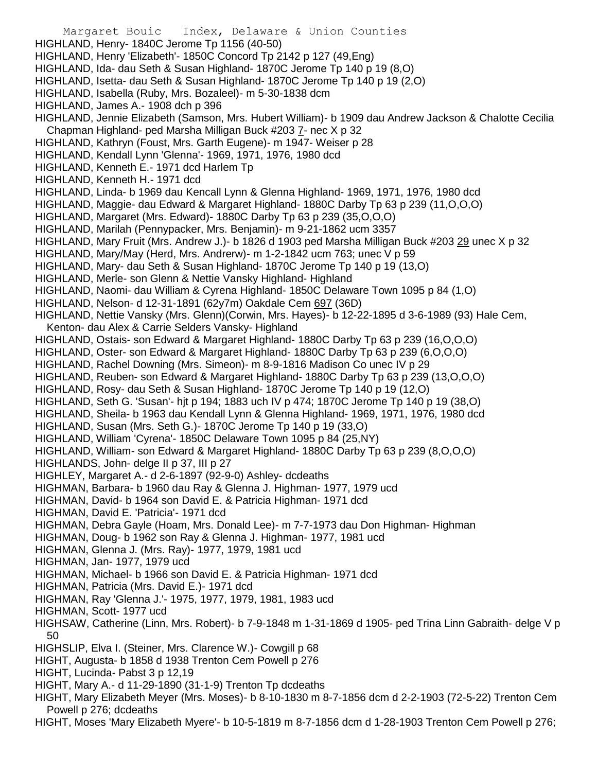Margaret Bouic Index, Delaware & Union Counties HIGHLAND, Henry- 1840C Jerome Tp 1156 (40-50) HIGHLAND, Henry 'Elizabeth'- 1850C Concord Tp 2142 p 127 (49,Eng) HIGHLAND, Ida- dau Seth & Susan Highland- 1870C Jerome Tp 140 p 19 (8,O) HIGHLAND, Isetta- dau Seth & Susan Highland- 1870C Jerome Tp 140 p 19 (2,O) HIGHLAND, Isabella (Ruby, Mrs. Bozaleel)- m 5-30-1838 dcm HIGHLAND, James A.- 1908 dch p 396 HIGHLAND, Jennie Elizabeth (Samson, Mrs. Hubert William)- b 1909 dau Andrew Jackson & Chalotte Cecilia Chapman Highland- ped Marsha Milligan Buck #203 7- nec X p 32 HIGHLAND, Kathryn (Foust, Mrs. Garth Eugene)- m 1947- Weiser p 28 HIGHLAND, Kendall Lynn 'Glenna'- 1969, 1971, 1976, 1980 dcd HIGHLAND, Kenneth E.- 1971 dcd Harlem Tp HIGHLAND, Kenneth H.- 1971 dcd HIGHLAND, Linda- b 1969 dau Kencall Lynn & Glenna Highland- 1969, 1971, 1976, 1980 dcd HIGHLAND, Maggie- dau Edward & Margaret Highland- 1880C Darby Tp 63 p 239 (11,O,O,O) HIGHLAND, Margaret (Mrs. Edward)- 1880C Darby Tp 63 p 239 (35,O,O,O) HIGHLAND, Marilah (Pennypacker, Mrs. Benjamin)- m 9-21-1862 ucm 3357 HIGHLAND, Mary Fruit (Mrs. Andrew J.)- b 1826 d 1903 ped Marsha Milligan Buck #203 29 unec X p 32 HIGHLAND, Mary/May (Herd, Mrs. Andrerw)- m 1-2-1842 ucm 763; unec V p 59 HIGHLAND, Mary- dau Seth & Susan Highland- 1870C Jerome Tp 140 p 19 (13,O) HIGHLAND, Merle- son Glenn & Nettie Vansky Highland- Highland HIGHLAND, Naomi- dau William & Cyrena Highland- 1850C Delaware Town 1095 p 84 (1,O) HIGHLAND, Nelson- d 12-31-1891 (62y7m) Oakdale Cem 697 (36D) HIGHLAND, Nettie Vansky (Mrs. Glenn)(Corwin, Mrs. Hayes)- b 12-22-1895 d 3-6-1989 (93) Hale Cem, Kenton- dau Alex & Carrie Selders Vansky- Highland HIGHLAND, Ostais- son Edward & Margaret Highland- 1880C Darby Tp 63 p 239 (16,O,O,O) HIGHLAND, Oster- son Edward & Margaret Highland- 1880C Darby Tp 63 p 239 (6,O,O,O) HIGHLAND, Rachel Downing (Mrs. Simeon)- m 8-9-1816 Madison Co unec IV p 29 HIGHLAND, Reuben- son Edward & Margaret Highland- 1880C Darby Tp 63 p 239 (13,O,O,O) HIGHLAND, Rosy- dau Seth & Susan Highland- 1870C Jerome Tp 140 p 19 (12,O) HIGHLAND, Seth G. 'Susan'- hjt p 194; 1883 uch IV p 474; 1870C Jerome Tp 140 p 19 (38,O) HIGHLAND, Sheila- b 1963 dau Kendall Lynn & Glenna Highland- 1969, 1971, 1976, 1980 dcd HIGHLAND, Susan (Mrs. Seth G.)- 1870C Jerome Tp 140 p 19 (33,O) HIGHLAND, William 'Cyrena'- 1850C Delaware Town 1095 p 84 (25,NY) HIGHLAND, William- son Edward & Margaret Highland- 1880C Darby Tp 63 p 239 (8,O,O,O) HIGHLANDS, John- delge II p 37, III p 27 HIGHLEY, Margaret A.- d 2-6-1897 (92-9-0) Ashley- dcdeaths HIGHMAN, Barbara- b 1960 dau Ray & Glenna J. Highman- 1977, 1979 ucd HIGHMAN, David- b 1964 son David E. & Patricia Highman- 1971 dcd HIGHMAN, David E. 'Patricia'- 1971 dcd HIGHMAN, Debra Gayle (Hoam, Mrs. Donald Lee)- m 7-7-1973 dau Don Highman- Highman HIGHMAN, Doug- b 1962 son Ray & Glenna J. Highman- 1977, 1981 ucd HIGHMAN, Glenna J. (Mrs. Ray)- 1977, 1979, 1981 ucd HIGHMAN, Jan- 1977, 1979 ucd HIGHMAN, Michael- b 1966 son David E. & Patricia Highman- 1971 dcd HIGHMAN, Patricia (Mrs. David E.)- 1971 dcd HIGHMAN, Ray 'Glenna J.'- 1975, 1977, 1979, 1981, 1983 ucd HIGHMAN, Scott- 1977 ucd HIGHSAW, Catherine (Linn, Mrs. Robert)- b 7-9-1848 m 1-31-1869 d 1905- ped Trina Linn Gabraith- delge V p 50 HIGHSLIP, Elva I. (Steiner, Mrs. Clarence W.)- Cowgill p 68 HIGHT, Augusta- b 1858 d 1938 Trenton Cem Powell p 276 HIGHT, Lucinda- Pabst 3 p 12,19 HIGHT, Mary A.- d 11-29-1890 (31-1-9) Trenton Tp dcdeaths HIGHT, Mary Elizabeth Meyer (Mrs. Moses)- b 8-10-1830 m 8-7-1856 dcm d 2-2-1903 (72-5-22) Trenton Cem Powell p 276; dcdeaths

HIGHT, Moses 'Mary Elizabeth Myere'- b 10-5-1819 m 8-7-1856 dcm d 1-28-1903 Trenton Cem Powell p 276;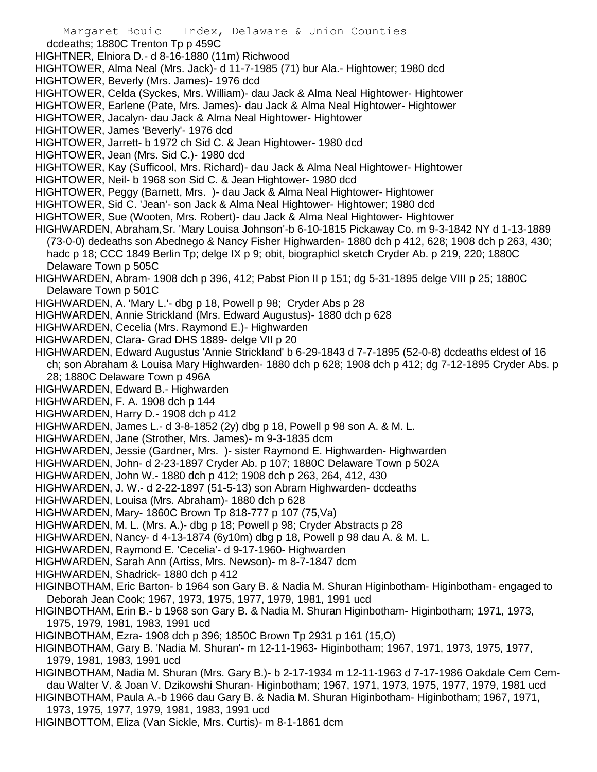- Margaret Bouic Index, Delaware & Union Counties dcdeaths; 1880C Trenton Tp p 459C HIGHTNER, Elniora D.- d 8-16-1880 (11m) Richwood HIGHTOWER, Alma Neal (Mrs. Jack)- d 11-7-1985 (71) bur Ala.- Hightower; 1980 dcd HIGHTOWER, Beverly (Mrs. James)- 1976 dcd HIGHTOWER, Celda (Syckes, Mrs. William)- dau Jack & Alma Neal Hightower- Hightower HIGHTOWER, Earlene (Pate, Mrs. James)- dau Jack & Alma Neal Hightower- Hightower HIGHTOWER, Jacalyn- dau Jack & Alma Neal Hightower- Hightower HIGHTOWER, James 'Beverly'- 1976 dcd HIGHTOWER, Jarrett- b 1972 ch Sid C. & Jean Hightower- 1980 dcd HIGHTOWER, Jean (Mrs. Sid C.)- 1980 dcd HIGHTOWER, Kay (Sufficool, Mrs. Richard)- dau Jack & Alma Neal Hightower- Hightower HIGHTOWER, Neil- b 1968 son Sid C. & Jean Hightower- 1980 dcd HIGHTOWER, Peggy (Barnett, Mrs. )- dau Jack & Alma Neal Hightower- Hightower HIGHTOWER, Sid C. 'Jean'- son Jack & Alma Neal Hightower- Hightower; 1980 dcd HIGHTOWER, Sue (Wooten, Mrs. Robert)- dau Jack & Alma Neal Hightower- Hightower HIGHWARDEN, Abraham,Sr. 'Mary Louisa Johnson'-b 6-10-1815 Pickaway Co. m 9-3-1842 NY d 1-13-1889 (73-0-0) dedeaths son Abednego & Nancy Fisher Highwarden- 1880 dch p 412, 628; 1908 dch p 263, 430; hadc p 18; CCC 1849 Berlin Tp; delge IX p 9; obit, biographicl sketch Cryder Ab. p 219, 220; 1880C Delaware Town p 505C HIGHWARDEN, Abram- 1908 dch p 396, 412; Pabst Pion II p 151; dg 5-31-1895 delge VIII p 25; 1880C Delaware Town p 501C HIGHWARDEN, A. 'Mary L.'- dbg p 18, Powell p 98; Cryder Abs p 28 HIGHWARDEN, Annie Strickland (Mrs. Edward Augustus)- 1880 dch p 628 HIGHWARDEN, Cecelia (Mrs. Raymond E.)- Highwarden HIGHWARDEN, Clara- Grad DHS 1889- delge VII p 20 HIGHWARDEN, Edward Augustus 'Annie Strickland' b 6-29-1843 d 7-7-1895 (52-0-8) dcdeaths eldest of 16 ch; son Abraham & Louisa Mary Highwarden- 1880 dch p 628; 1908 dch p 412; dg 7-12-1895 Cryder Abs. p 28; 1880C Delaware Town p 496A HIGHWARDEN, Edward B.- Highwarden HIGHWARDEN, F. A. 1908 dch p 144 HIGHWARDEN, Harry D.- 1908 dch p 412 HIGHWARDEN, James L.- d 3-8-1852 (2y) dbg p 18, Powell p 98 son A. & M. L. HIGHWARDEN, Jane (Strother, Mrs. James)- m 9-3-1835 dcm HIGHWARDEN, Jessie (Gardner, Mrs. )- sister Raymond E. Highwarden- Highwarden HIGHWARDEN, John- d 2-23-1897 Cryder Ab. p 107; 1880C Delaware Town p 502A HIGHWARDEN, John W.- 1880 dch p 412; 1908 dch p 263, 264, 412, 430 HIGHWARDEN, J. W.- d 2-22-1897 (51-5-13) son Abram Highwarden- dcdeaths HIGHWARDEN, Louisa (Mrs. Abraham)- 1880 dch p 628 HIGHWARDEN, Mary- 1860C Brown Tp 818-777 p 107 (75,Va) HIGHWARDEN, M. L. (Mrs. A.)- dbg p 18; Powell p 98; Cryder Abstracts p 28 HIGHWARDEN, Nancy- d 4-13-1874 (6y10m) dbg p 18, Powell p 98 dau A. & M. L. HIGHWARDEN, Raymond E. 'Cecelia'- d 9-17-1960- Highwarden HIGHWARDEN, Sarah Ann (Artiss, Mrs. Newson)- m 8-7-1847 dcm HIGHWARDEN, Shadrick- 1880 dch p 412 HIGINBOTHAM, Eric Barton- b 1964 son Gary B. & Nadia M. Shuran Higinbotham- Higinbotham- engaged to Deborah Jean Cook; 1967, 1973, 1975, 1977, 1979, 1981, 1991 ucd HIGINBOTHAM, Erin B.- b 1968 son Gary B. & Nadia M. Shuran Higinbotham- Higinbotham; 1971, 1973, 1975, 1979, 1981, 1983, 1991 ucd HIGINBOTHAM, Ezra- 1908 dch p 396; 1850C Brown Tp 2931 p 161 (15,O) HIGINBOTHAM, Gary B. 'Nadia M. Shuran'- m 12-11-1963- Higinbotham; 1967, 1971, 1973, 1975, 1977, 1979, 1981, 1983, 1991 ucd HIGINBOTHAM, Nadia M. Shuran (Mrs. Gary B.)- b 2-17-1934 m 12-11-1963 d 7-17-1986 Oakdale Cem Cemdau Walter V. & Joan V. Dzikowshi Shuran- Higinbotham; 1967, 1971, 1973, 1975, 1977, 1979, 1981 ucd HIGINBOTHAM, Paula A.-b 1966 dau Gary B. & Nadia M. Shuran Higinbotham- Higinbotham; 1967, 1971, 1973, 1975, 1977, 1979, 1981, 1983, 1991 ucd
- HIGINBOTTOM, Eliza (Van Sickle, Mrs. Curtis)- m 8-1-1861 dcm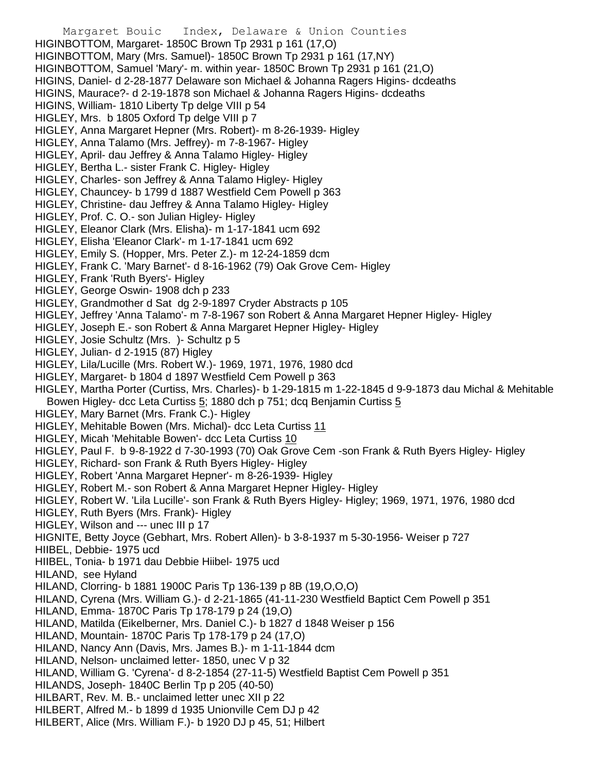Margaret Bouic Index, Delaware & Union Counties HIGINBOTTOM, Margaret- 1850C Brown Tp 2931 p 161 (17,O) HIGINBOTTOM, Mary (Mrs. Samuel)- 1850C Brown Tp 2931 p 161 (17,NY) HIGINBOTTOM, Samuel 'Mary'- m. within year- 1850C Brown Tp 2931 p 161 (21,O) HIGINS, Daniel- d 2-28-1877 Delaware son Michael & Johanna Ragers Higins- dcdeaths HIGINS, Maurace?- d 2-19-1878 son Michael & Johanna Ragers Higins- dcdeaths HIGINS, William- 1810 Liberty Tp delge VIII p 54 HIGLEY, Mrs. b 1805 Oxford Tp delge VIII p 7 HIGLEY, Anna Margaret Hepner (Mrs. Robert)- m 8-26-1939- Higley HIGLEY, Anna Talamo (Mrs. Jeffrey)- m 7-8-1967- Higley HIGLEY, April- dau Jeffrey & Anna Talamo Higley- Higley HIGLEY, Bertha L.- sister Frank C. Higley- Higley HIGLEY, Charles- son Jeffrey & Anna Talamo Higley- Higley HIGLEY, Chauncey- b 1799 d 1887 Westfield Cem Powell p 363 HIGLEY, Christine- dau Jeffrey & Anna Talamo Higley- Higley HIGLEY, Prof. C. O.- son Julian Higley- Higley HIGLEY, Eleanor Clark (Mrs. Elisha)- m 1-17-1841 ucm 692 HIGLEY, Elisha 'Eleanor Clark'- m 1-17-1841 ucm 692 HIGLEY, Emily S. (Hopper, Mrs. Peter Z.)- m 12-24-1859 dcm HIGLEY, Frank C. 'Mary Barnet'- d 8-16-1962 (79) Oak Grove Cem- Higley HIGLEY, Frank 'Ruth Byers'- Higley HIGLEY, George Oswin- 1908 dch p 233 HIGLEY, Grandmother d Sat dg 2-9-1897 Cryder Abstracts p 105 HIGLEY, Jeffrey 'Anna Talamo'- m 7-8-1967 son Robert & Anna Margaret Hepner Higley- Higley HIGLEY, Joseph E.- son Robert & Anna Margaret Hepner Higley- Higley HIGLEY, Josie Schultz (Mrs. )- Schultz p 5 HIGLEY, Julian- d 2-1915 (87) Higley HIGLEY, Lila/Lucille (Mrs. Robert W.)- 1969, 1971, 1976, 1980 dcd HIGLEY, Margaret- b 1804 d 1897 Westfield Cem Powell p 363 HIGLEY, Martha Porter (Curtiss, Mrs. Charles)- b 1-29-1815 m 1-22-1845 d 9-9-1873 dau Michal & Mehitable Bowen Higley- dcc Leta Curtiss 5; 1880 dch p 751; dcq Benjamin Curtiss 5 HIGLEY, Mary Barnet (Mrs. Frank C.)- Higley HIGLEY, Mehitable Bowen (Mrs. Michal)- dcc Leta Curtiss 11 HIGLEY, Micah 'Mehitable Bowen'- dcc Leta Curtiss 10 HIGLEY, Paul F. b 9-8-1922 d 7-30-1993 (70) Oak Grove Cem -son Frank & Ruth Byers Higley- Higley HIGLEY, Richard- son Frank & Ruth Byers Higley- Higley HIGLEY, Robert 'Anna Margaret Hepner'- m 8-26-1939- Higley HIGLEY, Robert M.- son Robert & Anna Margaret Hepner Higley- Higley HIGLEY, Robert W. 'Lila Lucille'- son Frank & Ruth Byers Higley- Higley; 1969, 1971, 1976, 1980 dcd HIGLEY, Ruth Byers (Mrs. Frank)- Higley HIGLEY, Wilson and --- unec III p 17 HIGNITE, Betty Joyce (Gebhart, Mrs. Robert Allen)- b 3-8-1937 m 5-30-1956- Weiser p 727 HIIBEL, Debbie- 1975 ucd HIIBEL, Tonia- b 1971 dau Debbie Hiibel- 1975 ucd HILAND, see Hyland HILAND, Clorring- b 1881 1900C Paris Tp 136-139 p 8B (19,O,O,O) HILAND, Cyrena (Mrs. William G.)- d 2-21-1865 (41-11-230 Westfield Baptict Cem Powell p 351 HILAND, Emma- 1870C Paris Tp 178-179 p 24 (19,O) HILAND, Matilda (Eikelberner, Mrs. Daniel C.)- b 1827 d 1848 Weiser p 156 HILAND, Mountain- 1870C Paris Tp 178-179 p 24 (17,O) HILAND, Nancy Ann (Davis, Mrs. James B.)- m 1-11-1844 dcm HILAND, Nelson- unclaimed letter- 1850, unec V p 32 HILAND, William G. 'Cyrena'- d 8-2-1854 (27-11-5) Westfield Baptist Cem Powell p 351 HILANDS, Joseph- 1840C Berlin Tp p 205 (40-50) HILBART, Rev. M. B.- unclaimed letter unec XII p 22 HILBERT, Alfred M.- b 1899 d 1935 Unionville Cem DJ p 42 HILBERT, Alice (Mrs. William F.)- b 1920 DJ p 45, 51; Hilbert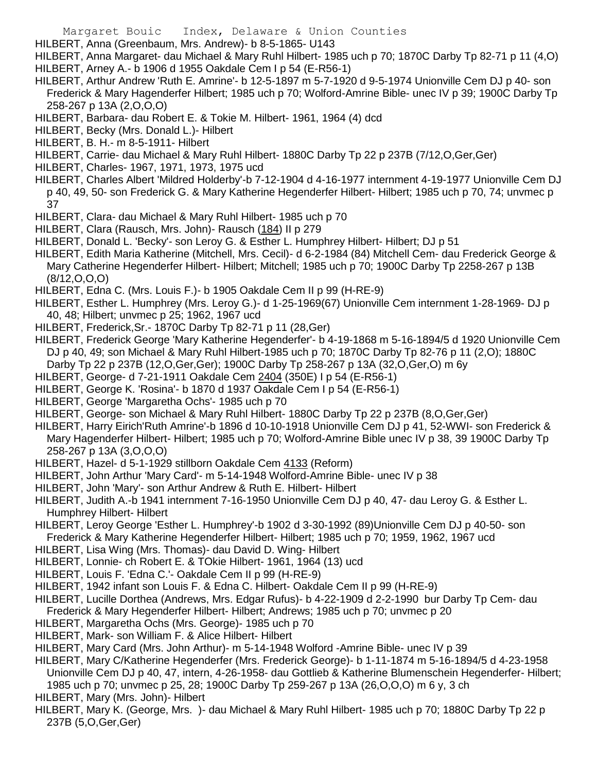HILBERT, Anna (Greenbaum, Mrs. Andrew)- b 8-5-1865- U143

HILBERT, Anna Margaret- dau Michael & Mary Ruhl Hilbert- 1985 uch p 70; 1870C Darby Tp 82-71 p 11 (4,O)

- HILBERT, Arney A.- b 1906 d 1955 Oakdale Cem I p 54 (E-R56-1)
- HILBERT, Arthur Andrew 'Ruth E. Amrine'- b 12-5-1897 m 5-7-1920 d 9-5-1974 Unionville Cem DJ p 40- son Frederick & Mary Hagenderfer Hilbert; 1985 uch p 70; Wolford-Amrine Bible- unec IV p 39; 1900C Darby Tp 258-267 p 13A (2,O,O,O)
- HILBERT, Barbara- dau Robert E. & Tokie M. Hilbert- 1961, 1964 (4) dcd
- HILBERT, Becky (Mrs. Donald L.)- Hilbert
- HILBERT, B. H.- m 8-5-1911- Hilbert
- HILBERT, Carrie- dau Michael & Mary Ruhl Hilbert- 1880C Darby Tp 22 p 237B (7/12,O,Ger,Ger)
- HILBERT, Charles- 1967, 1971, 1973, 1975 ucd
- HILBERT, Charles Albert 'Mildred Holderby'-b 7-12-1904 d 4-16-1977 internment 4-19-1977 Unionville Cem DJ p 40, 49, 50- son Frederick G. & Mary Katherine Hegenderfer Hilbert- Hilbert; 1985 uch p 70, 74; unvmec p 37
- HILBERT, Clara- dau Michael & Mary Ruhl Hilbert- 1985 uch p 70
- HILBERT, Clara (Rausch, Mrs. John)- Rausch (184) II p 279
- HILBERT, Donald L. 'Becky'- son Leroy G. & Esther L. Humphrey Hilbert- Hilbert; DJ p 51
- HILBERT, Edith Maria Katherine (Mitchell, Mrs. Cecil)- d 6-2-1984 (84) Mitchell Cem- dau Frederick George & Mary Catherine Hegenderfer Hilbert- Hilbert; Mitchell; 1985 uch p 70; 1900C Darby Tp 2258-267 p 13B (8/12,O,O,O)
- HILBERT, Edna C. (Mrs. Louis F.)- b 1905 Oakdale Cem II p 99 (H-RE-9)
- HILBERT, Esther L. Humphrey (Mrs. Leroy G.)- d 1-25-1969(67) Unionville Cem internment 1-28-1969- DJ p 40, 48; Hilbert; unvmec p 25; 1962, 1967 ucd
- HILBERT, Frederick,Sr.- 1870C Darby Tp 82-71 p 11 (28,Ger)
- HILBERT, Frederick George 'Mary Katherine Hegenderfer'- b 4-19-1868 m 5-16-1894/5 d 1920 Unionville Cem DJ p 40, 49; son Michael & Mary Ruhl Hilbert-1985 uch p 70; 1870C Darby Tp 82-76 p 11 (2,O); 1880C Darby Tp 22 p 237B (12,O,Ger,Ger); 1900C Darby Tp 258-267 p 13A (32,O,Ger,O) m 6y
- HILBERT, George- d 7-21-1911 Oakdale Cem 2404 (350E) I p 54 (E-R56-1)
- HILBERT, George K. 'Rosina'- b 1870 d 1937 Oakdale Cem I p 54 (E-R56-1)
- HILBERT, George 'Margaretha Ochs'- 1985 uch p 70
- HILBERT, George- son Michael & Mary Ruhl Hilbert- 1880C Darby Tp 22 p 237B (8,O,Ger,Ger)
- HILBERT, Harry Eirich'Ruth Amrine'-b 1896 d 10-10-1918 Unionville Cem DJ p 41, 52-WWI- son Frederick & Mary Hagenderfer Hilbert- Hilbert; 1985 uch p 70; Wolford-Amrine Bible unec IV p 38, 39 1900C Darby Tp 258-267 p 13A (3,O,O,O)
- HILBERT, Hazel- d 5-1-1929 stillborn Oakdale Cem 4133 (Reform)
- HILBERT, John Arthur 'Mary Card'- m 5-14-1948 Wolford-Amrine Bible- unec IV p 38
- HILBERT, John 'Mary'- son Arthur Andrew & Ruth E. Hilbert- Hilbert
- HILBERT, Judith A.-b 1941 internment 7-16-1950 Unionville Cem DJ p 40, 47- dau Leroy G. & Esther L. Humphrey Hilbert- Hilbert
- HILBERT, Leroy George 'Esther L. Humphrey'-b 1902 d 3-30-1992 (89)Unionville Cem DJ p 40-50- son Frederick & Mary Katherine Hegenderfer Hilbert- Hilbert; 1985 uch p 70; 1959, 1962, 1967 ucd
- HILBERT, Lisa Wing (Mrs. Thomas)- dau David D. Wing- Hilbert
- HILBERT, Lonnie- ch Robert E. & TOkie Hilbert- 1961, 1964 (13) ucd
- HILBERT, Louis F. 'Edna C.'- Oakdale Cem II p 99 (H-RE-9)
- HILBERT, 1942 infant son Louis F. & Edna C. Hilbert- Oakdale Cem II p 99 (H-RE-9)
- HILBERT, Lucille Dorthea (Andrews, Mrs. Edgar Rufus)- b 4-22-1909 d 2-2-1990 bur Darby Tp Cem- dau Frederick & Mary Hegenderfer Hilbert- Hilbert; Andrews; 1985 uch p 70; unvmec p 20
- HILBERT, Margaretha Ochs (Mrs. George)- 1985 uch p 70
- HILBERT, Mark- son William F. & Alice Hilbert- Hilbert
- HILBERT, Mary Card (Mrs. John Arthur)- m 5-14-1948 Wolford -Amrine Bible- unec IV p 39
- HILBERT, Mary C/Katherine Hegenderfer (Mrs. Frederick George)- b 1-11-1874 m 5-16-1894/5 d 4-23-1958
	- Unionville Cem DJ p 40, 47, intern, 4-26-1958- dau Gottlieb & Katherine Blumenschein Hegenderfer- Hilbert; 1985 uch p 70; unvmec p 25, 28; 1900C Darby Tp 259-267 p 13A (26,O,O,O) m 6 y, 3 ch
- HILBERT, Mary (Mrs. John)- Hilbert
- HILBERT, Mary K. (George, Mrs. )- dau Michael & Mary Ruhl Hilbert- 1985 uch p 70; 1880C Darby Tp 22 p 237B (5,O,Ger,Ger)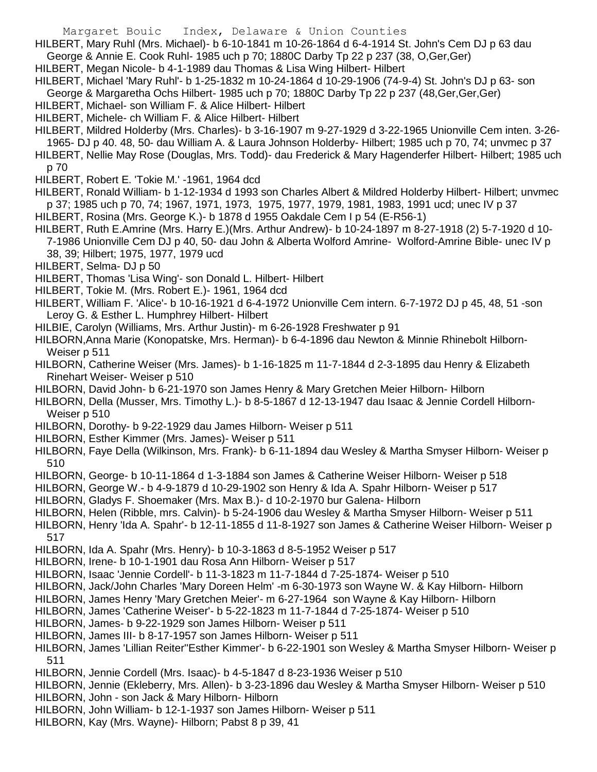HILBERT, Mary Ruhl (Mrs. Michael)- b 6-10-1841 m 10-26-1864 d 6-4-1914 St. John's Cem DJ p 63 dau

- George & Annie E. Cook Ruhl- 1985 uch p 70; 1880C Darby Tp 22 p 237 (38, O,Ger,Ger)
- HILBERT, Megan Nicole- b 4-1-1989 dau Thomas & Lisa Wing Hilbert- Hilbert
- HILBERT, Michael 'Mary Ruhl'- b 1-25-1832 m 10-24-1864 d 10-29-1906 (74-9-4) St. John's DJ p 63- son
- George & Margaretha Ochs Hilbert- 1985 uch p 70; 1880C Darby Tp 22 p 237 (48,Ger,Ger,Ger)
- HILBERT, Michael- son William F. & Alice Hilbert- Hilbert
- HILBERT, Michele- ch William F. & Alice Hilbert- Hilbert
- HILBERT, Mildred Holderby (Mrs. Charles)- b 3-16-1907 m 9-27-1929 d 3-22-1965 Unionville Cem inten. 3-26- 1965- DJ p 40. 48, 50- dau William A. & Laura Johnson Holderby- Hilbert; 1985 uch p 70, 74; unvmec p 37 HILBERT, Nellie May Rose (Douglas, Mrs. Todd)- dau Frederick & Mary Hagenderfer Hilbert- Hilbert; 1985 uch
- p 70
- HILBERT, Robert E. 'Tokie M.' -1961, 1964 dcd
- HILBERT, Ronald William- b 1-12-1934 d 1993 son Charles Albert & Mildred Holderby Hilbert- Hilbert; unvmec p 37; 1985 uch p 70, 74; 1967, 1971, 1973, 1975, 1977, 1979, 1981, 1983, 1991 ucd; unec IV p 37 HILBERT, Rosina (Mrs. George K.)- b 1878 d 1955 Oakdale Cem I p 54 (E-R56-1)
- HILBERT, Ruth E.Amrine (Mrs. Harry E.)(Mrs. Arthur Andrew)- b 10-24-1897 m 8-27-1918 (2) 5-7-1920 d 10- 7-1986 Unionville Cem DJ p 40, 50- dau John & Alberta Wolford Amrine- Wolford-Amrine Bible- unec IV p 38, 39; Hilbert; 1975, 1977, 1979 ucd
- HILBERT, Selma- DJ p 50
- HILBERT, Thomas 'Lisa Wing'- son Donald L. Hilbert- Hilbert
- HILBERT, Tokie M. (Mrs. Robert E.)- 1961, 1964 dcd
- HILBERT, William F. 'Alice'- b 10-16-1921 d 6-4-1972 Unionville Cem intern. 6-7-1972 DJ p 45, 48, 51 -son Leroy G. & Esther L. Humphrey Hilbert- Hilbert
- HILBIE, Carolyn (Williams, Mrs. Arthur Justin)- m 6-26-1928 Freshwater p 91
- HILBORN,Anna Marie (Konopatske, Mrs. Herman)- b 6-4-1896 dau Newton & Minnie Rhinebolt Hilborn-Weiser p 511
- HILBORN, Catherine Weiser (Mrs. James)- b 1-16-1825 m 11-7-1844 d 2-3-1895 dau Henry & Elizabeth Rinehart Weiser- Weiser p 510
- HILBORN, David John- b 6-21-1970 son James Henry & Mary Gretchen Meier Hilborn- Hilborn
- HILBORN, Della (Musser, Mrs. Timothy L.)- b 8-5-1867 d 12-13-1947 dau Isaac & Jennie Cordell Hilborn-Weiser p 510
- HILBORN, Dorothy- b 9-22-1929 dau James Hilborn- Weiser p 511
- HILBORN, Esther Kimmer (Mrs. James)- Weiser p 511
- HILBORN, Faye Della (Wilkinson, Mrs. Frank)- b 6-11-1894 dau Wesley & Martha Smyser Hilborn- Weiser p 510
- HILBORN, George- b 10-11-1864 d 1-3-1884 son James & Catherine Weiser Hilborn- Weiser p 518
- HILBORN, George W.- b 4-9-1879 d 10-29-1902 son Henry & Ida A. Spahr Hilborn- Weiser p 517
- HILBORN, Gladys F. Shoemaker (Mrs. Max B.)- d 10-2-1970 bur Galena- Hilborn
- HILBORN, Helen (Ribble, mrs. Calvin)- b 5-24-1906 dau Wesley & Martha Smyser Hilborn- Weiser p 511
- HILBORN, Henry 'Ida A. Spahr'- b 12-11-1855 d 11-8-1927 son James & Catherine Weiser Hilborn- Weiser p 517
- HILBORN, Ida A. Spahr (Mrs. Henry)- b 10-3-1863 d 8-5-1952 Weiser p 517
- HILBORN, Irene- b 10-1-1901 dau Rosa Ann Hilborn- Weiser p 517
- HILBORN, Isaac 'Jennie Cordell'- b 11-3-1823 m 11-7-1844 d 7-25-1874- Weiser p 510
- HILBORN, Jack/John Charles 'Mary Doreen Helm' -m 6-30-1973 son Wayne W. & Kay Hilborn- Hilborn
- HILBORN, James Henry 'Mary Gretchen Meier'- m 6-27-1964 son Wayne & Kay Hilborn- Hilborn
- HILBORN, James 'Catherine Weiser'- b 5-22-1823 m 11-7-1844 d 7-25-1874- Weiser p 510
- HILBORN, James- b 9-22-1929 son James Hilborn- Weiser p 511
- HILBORN, James III- b 8-17-1957 son James Hilborn- Weiser p 511
- HILBORN, James 'Lillian Reiter''Esther Kimmer'- b 6-22-1901 son Wesley & Martha Smyser Hilborn- Weiser p 511
- HILBORN, Jennie Cordell (Mrs. Isaac)- b 4-5-1847 d 8-23-1936 Weiser p 510
- HILBORN, Jennie (Ekleberry, Mrs. Allen)- b 3-23-1896 dau Wesley & Martha Smyser Hilborn- Weiser p 510 HILBORN, John - son Jack & Mary Hilborn- Hilborn
- HILBORN, John William- b 12-1-1937 son James Hilborn- Weiser p 511
- HILBORN, Kay (Mrs. Wayne)- Hilborn; Pabst 8 p 39, 41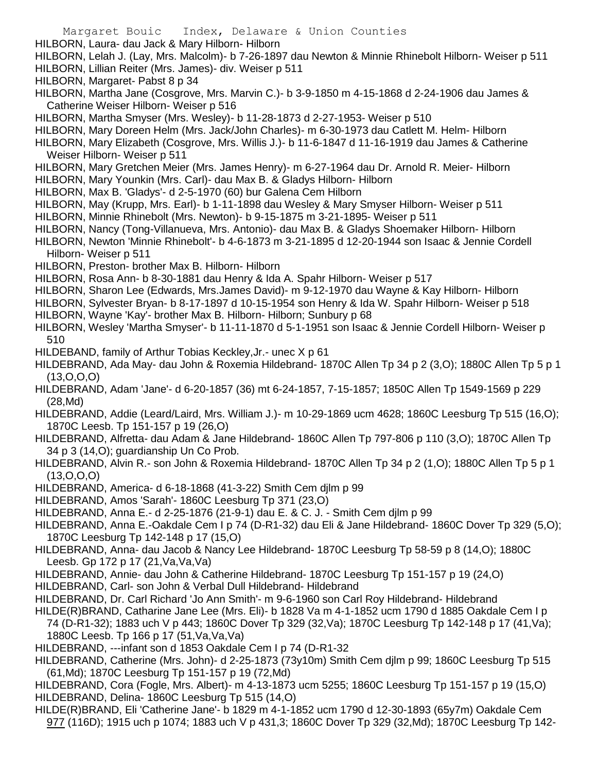- Margaret Bouic Index, Delaware & Union Counties HILBORN, Laura- dau Jack & Mary Hilborn- Hilborn HILBORN, Lelah J. (Lay, Mrs. Malcolm)- b 7-26-1897 dau Newton & Minnie Rhinebolt Hilborn- Weiser p 511 HILBORN, Lillian Reiter (Mrs. James)- div. Weiser p 511 HILBORN, Margaret- Pabst 8 p 34 HILBORN, Martha Jane (Cosgrove, Mrs. Marvin C.)- b 3-9-1850 m 4-15-1868 d 2-24-1906 dau James & Catherine Weiser Hilborn- Weiser p 516 HILBORN, Martha Smyser (Mrs. Wesley)- b 11-28-1873 d 2-27-1953- Weiser p 510 HILBORN, Mary Doreen Helm (Mrs. Jack/John Charles)- m 6-30-1973 dau Catlett M. Helm- Hilborn HILBORN, Mary Elizabeth (Cosgrove, Mrs. Willis J.)- b 11-6-1847 d 11-16-1919 dau James & Catherine Weiser Hilborn- Weiser p 511 HILBORN, Mary Gretchen Meier (Mrs. James Henry)- m 6-27-1964 dau Dr. Arnold R. Meier- Hilborn HILBORN, Mary Younkin (Mrs. Carl)- dau Max B. & Gladys Hilborn- Hilborn HILBORN, Max B. 'Gladys'- d 2-5-1970 (60) bur Galena Cem Hilborn HILBORN, May (Krupp, Mrs. Earl)- b 1-11-1898 dau Wesley & Mary Smyser Hilborn- Weiser p 511 HILBORN, Minnie Rhinebolt (Mrs. Newton)- b 9-15-1875 m 3-21-1895- Weiser p 511 HILBORN, Nancy (Tong-Villanueva, Mrs. Antonio)- dau Max B. & Gladys Shoemaker Hilborn- Hilborn HILBORN, Newton 'Minnie Rhinebolt'- b 4-6-1873 m 3-21-1895 d 12-20-1944 son Isaac & Jennie Cordell Hilborn- Weiser p 511 HILBORN, Preston- brother Max B. Hilborn- Hilborn HILBORN, Rosa Ann- b 8-30-1881 dau Henry & Ida A. Spahr Hilborn- Weiser p 517 HILBORN, Sharon Lee (Edwards, Mrs.James David)- m 9-12-1970 dau Wayne & Kay Hilborn- Hilborn HILBORN, Sylvester Bryan- b 8-17-1897 d 10-15-1954 son Henry & Ida W. Spahr Hilborn- Weiser p 518 HILBORN, Wayne 'Kay'- brother Max B. Hilborn- Hilborn; Sunbury p 68 HILBORN, Wesley 'Martha Smyser'- b 11-11-1870 d 5-1-1951 son Isaac & Jennie Cordell Hilborn- Weiser p 510 HILDEBAND, family of Arthur Tobias Keckley,Jr.- unec X p 61 HILDEBRAND, Ada May- dau John & Roxemia Hildebrand- 1870C Allen Tp 34 p 2 (3,O); 1880C Allen Tp 5 p 1  $(13,0,0,0)$ 
	- HILDEBRAND, Adam 'Jane'- d 6-20-1857 (36) mt 6-24-1857, 7-15-1857; 1850C Allen Tp 1549-1569 p 229 (28,Md)
	- HILDEBRAND, Addie (Leard/Laird, Mrs. William J.)- m 10-29-1869 ucm 4628; 1860C Leesburg Tp 515 (16,O); 1870C Leesb. Tp 151-157 p 19 (26,O)
	- HILDEBRAND, Alfretta- dau Adam & Jane Hildebrand- 1860C Allen Tp 797-806 p 110 (3,O); 1870C Allen Tp 34 p 3 (14,O); guardianship Un Co Prob.
	- HILDEBRAND, Alvin R.- son John & Roxemia Hildebrand- 1870C Allen Tp 34 p 2 (1,O); 1880C Allen Tp 5 p 1 (13,O,O,O)
	- HILDEBRAND, America- d 6-18-1868 (41-3-22) Smith Cem djlm p 99
	- HILDEBRAND, Amos 'Sarah'- 1860C Leesburg Tp 371 (23,O)
	- HILDEBRAND, Anna E.- d 2-25-1876 (21-9-1) dau E. & C. J. Smith Cem djlm p 99
	- HILDEBRAND, Anna E.-Oakdale Cem I p 74 (D-R1-32) dau Eli & Jane Hildebrand- 1860C Dover Tp 329 (5,O); 1870C Leesburg Tp 142-148 p 17 (15,O)
	- HILDEBRAND, Anna- dau Jacob & Nancy Lee Hildebrand- 1870C Leesburg Tp 58-59 p 8 (14,O); 1880C Leesb. Gp 172 p 17 (21,Va,Va,Va)
	- HILDEBRAND, Annie- dau John & Catherine Hildebrand- 1870C Leesburg Tp 151-157 p 19 (24,O)
	- HILDEBRAND, Carl- son John & Verbal Dull Hildebrand- Hildebrand
	- HILDEBRAND, Dr. Carl Richard 'Jo Ann Smith'- m 9-6-1960 son Carl Roy Hildebrand- Hildebrand
	- HILDE(R)BRAND, Catharine Jane Lee (Mrs. Eli)- b 1828 Va m 4-1-1852 ucm 1790 d 1885 Oakdale Cem I p 74 (D-R1-32); 1883 uch V p 443; 1860C Dover Tp 329 (32,Va); 1870C Leesburg Tp 142-148 p 17 (41,Va); 1880C Leesb. Tp 166 p 17 (51,Va,Va,Va)
	- HILDEBRAND, ---infant son d 1853 Oakdale Cem I p 74 (D-R1-32
	- HILDEBRAND, Catherine (Mrs. John)- d 2-25-1873 (73y10m) Smith Cem djlm p 99; 1860C Leesburg Tp 515 (61,Md); 1870C Leesburg Tp 151-157 p 19 (72,Md)
	- HILDEBRAND, Cora (Fogle, Mrs. Albert)- m 4-13-1873 ucm 5255; 1860C Leesburg Tp 151-157 p 19 (15,O) HILDEBRAND, Delina- 1860C Leesburg Tp 515 (14,O)
	- HILDE(R)BRAND, Eli 'Catherine Jane'- b 1829 m 4-1-1852 ucm 1790 d 12-30-1893 (65y7m) Oakdale Cem 977 (116D); 1915 uch p 1074; 1883 uch V p 431,3; 1860C Dover Tp 329 (32,Md); 1870C Leesburg Tp 142-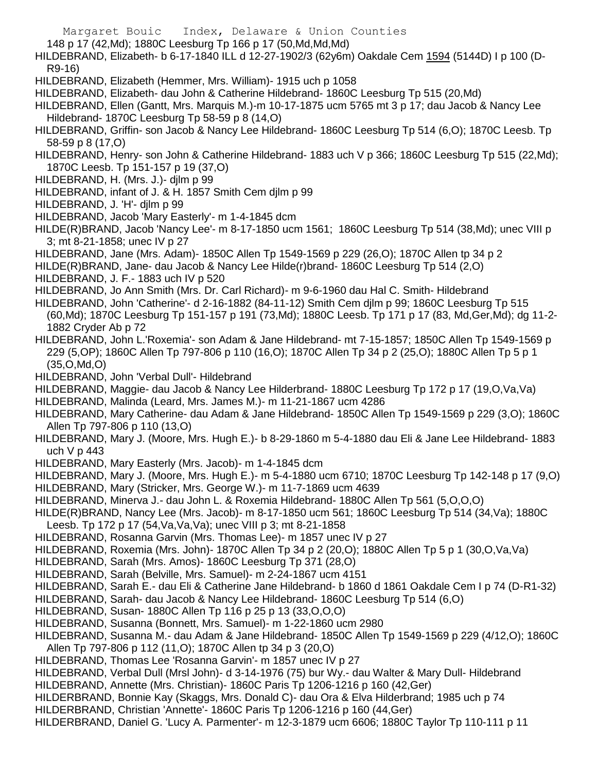148 p 17 (42,Md); 1880C Leesburg Tp 166 p 17 (50,Md,Md,Md)

HILDEBRAND, Elizabeth- b 6-17-1840 ILL d 12-27-1902/3 (62y6m) Oakdale Cem 1594 (5144D) I p 100 (D-R9-16)

- HILDEBRAND, Elizabeth (Hemmer, Mrs. William)- 1915 uch p 1058
- HILDEBRAND, Elizabeth- dau John & Catherine Hildebrand- 1860C Leesburg Tp 515 (20,Md)

HILDEBRAND, Ellen (Gantt, Mrs. Marquis M.)-m 10-17-1875 ucm 5765 mt 3 p 17; dau Jacob & Nancy Lee Hildebrand- 1870C Leesburg Tp 58-59 p 8 (14,O)

HILDEBRAND, Griffin- son Jacob & Nancy Lee Hildebrand- 1860C Leesburg Tp 514 (6,O); 1870C Leesb. Tp 58-59 p 8 (17,O)

HILDEBRAND, Henry- son John & Catherine Hildebrand- 1883 uch V p 366; 1860C Leesburg Tp 515 (22,Md); 1870C Leesb. Tp 151-157 p 19 (37,O)

- HILDEBRAND, H. (Mrs. J.)- djlm p 99
- HILDEBRAND, infant of J. & H. 1857 Smith Cem djlm p 99
- HILDEBRAND, J. 'H'- djlm p 99
- HILDEBRAND, Jacob 'Mary Easterly'- m 1-4-1845 dcm
- HILDE(R)BRAND, Jacob 'Nancy Lee'- m 8-17-1850 ucm 1561; 1860C Leesburg Tp 514 (38,Md); unec VIII p 3; mt 8-21-1858; unec IV p 27
- HILDEBRAND, Jane (Mrs. Adam)- 1850C Allen Tp 1549-1569 p 229 (26,O); 1870C Allen tp 34 p 2
- HILDE(R)BRAND, Jane- dau Jacob & Nancy Lee Hilde(r)brand- 1860C Leesburg Tp 514 (2,O)
- HILDEBRAND, J. F.- 1883 uch IV p 520
- HILDEBRAND, Jo Ann Smith (Mrs. Dr. Carl Richard)- m 9-6-1960 dau Hal C. Smith- Hildebrand
- HILDEBRAND, John 'Catherine'- d 2-16-1882 (84-11-12) Smith Cem djlm p 99; 1860C Leesburg Tp 515 (60,Md); 1870C Leesburg Tp 151-157 p 191 (73,Md); 1880C Leesb. Tp 171 p 17 (83, Md,Ger,Md); dg 11-2- 1882 Cryder Ab p 72
- HILDEBRAND, John L.'Roxemia'- son Adam & Jane Hildebrand- mt 7-15-1857; 1850C Allen Tp 1549-1569 p 229 (5,OP); 1860C Allen Tp 797-806 p 110 (16,O); 1870C Allen Tp 34 p 2 (25,O); 1880C Allen Tp 5 p 1 (35,O,Md,O)
- HILDEBRAND, John 'Verbal Dull'- Hildebrand
- HILDEBRAND, Maggie- dau Jacob & Nancy Lee Hilderbrand- 1880C Leesburg Tp 172 p 17 (19,O,Va,Va)
- HILDEBRAND, Malinda (Leard, Mrs. James M.)- m 11-21-1867 ucm 4286
- HILDEBRAND, Mary Catherine- dau Adam & Jane Hildebrand- 1850C Allen Tp 1549-1569 p 229 (3,O); 1860C Allen Tp 797-806 p 110 (13,O)
- HILDEBRAND, Mary J. (Moore, Mrs. Hugh E.)- b 8-29-1860 m 5-4-1880 dau Eli & Jane Lee Hildebrand- 1883 uch V p 443
- HILDEBRAND, Mary Easterly (Mrs. Jacob)- m 1-4-1845 dcm
- HILDEBRAND, Mary J. (Moore, Mrs. Hugh E.)- m 5-4-1880 ucm 6710; 1870C Leesburg Tp 142-148 p 17 (9,O)
- HILDEBRAND, Mary (Stricker, Mrs. George W.)- m 11-7-1869 ucm 4639
- HILDEBRAND, Minerva J.- dau John L. & Roxemia Hildebrand- 1880C Allen Tp 561 (5,O,O,O)
- HILDE(R)BRAND, Nancy Lee (Mrs. Jacob)- m 8-17-1850 ucm 561; 1860C Leesburg Tp 514 (34,Va); 1880C
- Leesb. Tp 172 p 17 (54,Va,Va,Va); unec VIII p 3; mt 8-21-1858
- HILDEBRAND, Rosanna Garvin (Mrs. Thomas Lee)- m 1857 unec IV p 27
- HILDEBRAND, Roxemia (Mrs. John)- 1870C Allen Tp 34 p 2 (20,O); 1880C Allen Tp 5 p 1 (30,O,Va,Va)
- HILDEBRAND, Sarah (Mrs. Amos)- 1860C Leesburg Tp 371 (28,O)
- HILDEBRAND, Sarah (Belville, Mrs. Samuel)- m 2-24-1867 ucm 4151
- HILDEBRAND, Sarah E.- dau Eli & Catherine Jane Hildebrand- b 1860 d 1861 Oakdale Cem I p 74 (D-R1-32)
- HILDEBRAND, Sarah- dau Jacob & Nancy Lee Hildebrand- 1860C Leesburg Tp 514 (6,O)
- HILDEBRAND, Susan- 1880C Allen Tp 116 p 25 p 13 (33,O,O,O)
- HILDEBRAND, Susanna (Bonnett, Mrs. Samuel)- m 1-22-1860 ucm 2980
- HILDEBRAND, Susanna M.- dau Adam & Jane Hildebrand- 1850C Allen Tp 1549-1569 p 229 (4/12,O); 1860C
- Allen Tp 797-806 p 112 (11,O); 1870C Allen tp 34 p 3 (20,O)
- HILDEBRAND, Thomas Lee 'Rosanna Garvin'- m 1857 unec IV p 27
- HILDEBRAND, Verbal Dull (Mrsl John)- d 3-14-1976 (75) bur Wy.- dau Walter & Mary Dull- Hildebrand
- HILDEBRAND, Annette (Mrs. Christian)- 1860C Paris Tp 1206-1216 p 160 (42,Ger)
- HILDERBRAND, Bonnie Kay (Skaggs, Mrs. Donald C)- dau Ora & Elva Hilderbrand; 1985 uch p 74
- HILDERBRAND, Christian 'Annette'- 1860C Paris Tp 1206-1216 p 160 (44,Ger)
- HILDERBRAND, Daniel G. 'Lucy A. Parmenter'- m 12-3-1879 ucm 6606; 1880C Taylor Tp 110-111 p 11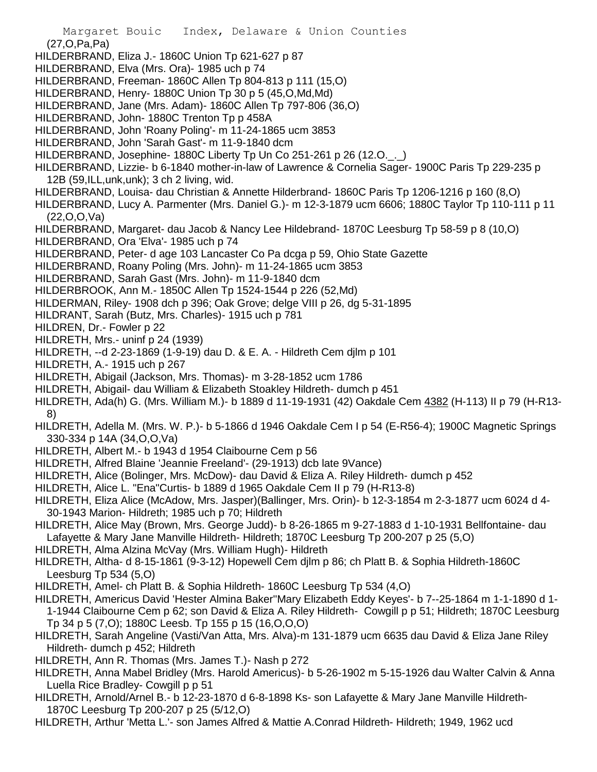- Margaret Bouic Index, Delaware & Union Counties (27,O,Pa,Pa) HILDERBRAND, Eliza J.- 1860C Union Tp 621-627 p 87 HILDERBRAND, Elva (Mrs. Ora)- 1985 uch p 74 HILDERBRAND, Freeman- 1860C Allen Tp 804-813 p 111 (15,O) HILDERBRAND, Henry- 1880C Union Tp 30 p 5 (45,O,Md,Md) HILDERBRAND, Jane (Mrs. Adam)- 1860C Allen Tp 797-806 (36,O) HILDERBRAND, John- 1880C Trenton Tp p 458A HILDERBRAND, John 'Roany Poling'- m 11-24-1865 ucm 3853 HILDERBRAND, John 'Sarah Gast'- m 11-9-1840 dcm HILDERBRAND, Josephine- 1880C Liberty Tp Un Co 251-261 p 26 (12.O.\_.\_) HILDERBRAND, Lizzie- b 6-1840 mother-in-law of Lawrence & Cornelia Sager- 1900C Paris Tp 229-235 p 12B (59,ILL,unk,unk); 3 ch 2 living, wid. HILDERBRAND, Louisa- dau Christian & Annette Hilderbrand- 1860C Paris Tp 1206-1216 p 160 (8,O) HILDERBRAND, Lucy A. Parmenter (Mrs. Daniel G.)- m 12-3-1879 ucm 6606; 1880C Taylor Tp 110-111 p 11 (22,O,O,Va) HILDERBRAND, Margaret- dau Jacob & Nancy Lee Hildebrand- 1870C Leesburg Tp 58-59 p 8 (10,O) HILDERBRAND, Ora 'Elva'- 1985 uch p 74 HILDERBRAND, Peter- d age 103 Lancaster Co Pa dcga p 59, Ohio State Gazette HILDERBRAND, Roany Poling (Mrs. John)- m 11-24-1865 ucm 3853 HILDERBRAND, Sarah Gast (Mrs. John)- m 11-9-1840 dcm HILDERBROOK, Ann M.- 1850C Allen Tp 1524-1544 p 226 (52,Md) HILDERMAN, Riley- 1908 dch p 396; Oak Grove; delge VIII p 26, dg 5-31-1895 HILDRANT, Sarah (Butz, Mrs. Charles)- 1915 uch p 781 HILDREN, Dr.- Fowler p 22 HILDRETH, Mrs.- uninf p 24 (1939) HILDRETH, --d 2-23-1869 (1-9-19) dau D. & E. A. - Hildreth Cem djlm p 101 HILDRETH, A.- 1915 uch p 267 HILDRETH, Abigail (Jackson, Mrs. Thomas)- m 3-28-1852 ucm 1786 HILDRETH, Abigail- dau William & Elizabeth Stoakley Hildreth- dumch p 451 HILDRETH, Ada(h) G. (Mrs. William M.)- b 1889 d 11-19-1931 (42) Oakdale Cem 4382 (H-113) II p 79 (H-R13- 8) HILDRETH, Adella M. (Mrs. W. P.)- b 5-1866 d 1946 Oakdale Cem I p 54 (E-R56-4); 1900C Magnetic Springs 330-334 p 14A (34,O,O,Va) HILDRETH, Albert M.- b 1943 d 1954 Claibourne Cem p 56 HILDRETH, Alfred Blaine 'Jeannie Freeland'- (29-1913) dcb late 9Vance) HILDRETH, Alice (Bolinger, Mrs. McDow)- dau David & Eliza A. Riley Hildreth- dumch p 452 HILDRETH, Alice L. "Ena"Curtis- b 1889 d 1965 Oakdale Cem II p 79 (H-R13-8) HILDRETH, Eliza Alice (McAdow, Mrs. Jasper)(Ballinger, Mrs. Orin)- b 12-3-1854 m 2-3-1877 ucm 6024 d 4- 30-1943 Marion- Hildreth; 1985 uch p 70; Hildreth HILDRETH, Alice May (Brown, Mrs. George Judd)- b 8-26-1865 m 9-27-1883 d 1-10-1931 Bellfontaine- dau Lafayette & Mary Jane Manville Hildreth- Hildreth; 1870C Leesburg Tp 200-207 p 25 (5,O) HILDRETH, Alma Alzina McVay (Mrs. William Hugh)- Hildreth HILDRETH, Altha- d 8-15-1861 (9-3-12) Hopewell Cem djlm p 86; ch Platt B. & Sophia Hildreth-1860C Leesburg Tp 534 (5,O) HILDRETH, Amel- ch Platt B. & Sophia Hildreth- 1860C Leesburg Tp 534 (4,O) HILDRETH, Americus David 'Hester Almina Baker''Mary Elizabeth Eddy Keyes'- b 7--25-1864 m 1-1-1890 d 1- 1-1944 Claibourne Cem p 62; son David & Eliza A. Riley Hildreth- Cowgill p p 51; Hildreth; 1870C Leesburg Tp 34 p 5 (7,O); 1880C Leesb. Tp 155 p 15 (16,O,O,O) HILDRETH, Sarah Angeline (Vasti/Van Atta, Mrs. Alva)-m 131-1879 ucm 6635 dau David & Eliza Jane Riley Hildreth- dumch p 452; Hildreth HILDRETH, Ann R. Thomas (Mrs. James T.)- Nash p 272 HILDRETH, Anna Mabel Bridley (Mrs. Harold Americus)- b 5-26-1902 m 5-15-1926 dau Walter Calvin & Anna
- Luella Rice Bradley- Cowgill p p 51 HILDRETH, Arnold/Arnel B.- b 12-23-1870 d 6-8-1898 Ks- son Lafayette & Mary Jane Manville Hildreth-
- 1870C Leesburg Tp 200-207 p 25 (5/12,O)
- HILDRETH, Arthur 'Metta L.'- son James Alfred & Mattie A.Conrad Hildreth- Hildreth; 1949, 1962 ucd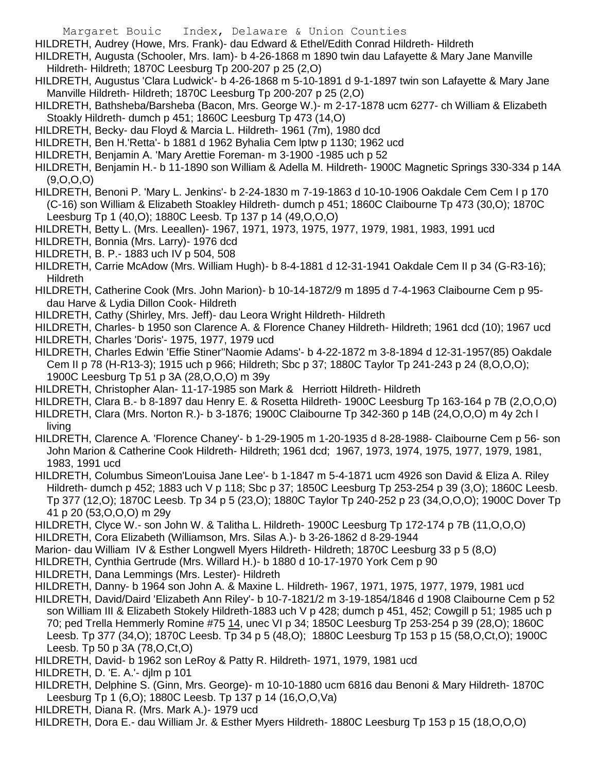HILDRETH, Audrey (Howe, Mrs. Frank)- dau Edward & Ethel/Edith Conrad Hildreth- Hildreth

- HILDRETH, Augusta (Schooler, Mrs. Iam)- b 4-26-1868 m 1890 twin dau Lafayette & Mary Jane Manville Hildreth- Hildreth; 1870C Leesburg Tp 200-207 p 25 (2,O)
- HILDRETH, Augustus 'Clara Ludwick'- b 4-26-1868 m 5-10-1891 d 9-1-1897 twin son Lafayette & Mary Jane Manville Hildreth- Hildreth; 1870C Leesburg Tp 200-207 p 25 (2,O)
- HILDRETH, Bathsheba/Barsheba (Bacon, Mrs. George W.)- m 2-17-1878 ucm 6277- ch William & Elizabeth Stoakly Hildreth- dumch p 451; 1860C Leesburg Tp 473 (14,O)
- HILDRETH, Becky- dau Floyd & Marcia L. Hildreth- 1961 (7m), 1980 dcd
- HILDRETH, Ben H.'Retta'- b 1881 d 1962 Byhalia Cem lptw p 1130; 1962 ucd
- HILDRETH, Benjamin A. 'Mary Arettie Foreman- m 3-1900 -1985 uch p 52
- HILDRETH, Benjamin H.- b 11-1890 son William & Adella M. Hildreth- 1900C Magnetic Springs 330-334 p 14A  $(9,0,0,0)$
- HILDRETH, Benoni P. 'Mary L. Jenkins'- b 2-24-1830 m 7-19-1863 d 10-10-1906 Oakdale Cem Cem I p 170 (C-16) son William & Elizabeth Stoakley Hildreth- dumch p 451; 1860C Claibourne Tp 473 (30,O); 1870C Leesburg Tp 1 (40,O); 1880C Leesb. Tp 137 p 14 (49,O,O,O)
- HILDRETH, Betty L. (Mrs. Leeallen)- 1967, 1971, 1973, 1975, 1977, 1979, 1981, 1983, 1991 ucd
- HILDRETH, Bonnia (Mrs. Larry)- 1976 dcd
- HILDRETH, B. P.- 1883 uch IV p 504, 508
- HILDRETH, Carrie McAdow (Mrs. William Hugh)- b 8-4-1881 d 12-31-1941 Oakdale Cem II p 34 (G-R3-16); **Hildreth**
- HILDRETH, Catherine Cook (Mrs. John Marion)- b 10-14-1872/9 m 1895 d 7-4-1963 Claibourne Cem p 95 dau Harve & Lydia Dillon Cook- Hildreth
- HILDRETH, Cathy (Shirley, Mrs. Jeff)- dau Leora Wright Hildreth- Hildreth
- HILDRETH, Charles- b 1950 son Clarence A. & Florence Chaney Hildreth- Hildreth; 1961 dcd (10); 1967 ucd HILDRETH, Charles 'Doris'- 1975, 1977, 1979 ucd
- HILDRETH, Charles Edwin 'Effie Stiner''Naomie Adams'- b 4-22-1872 m 3-8-1894 d 12-31-1957(85) Oakdale Cem II p 78 (H-R13-3); 1915 uch p 966; Hildreth; Sbc p 37; 1880C Taylor Tp 241-243 p 24 (8,O,O,O); 1900C Leesburg Tp 51 p 3A (28,O,O,O) m 39y
- HILDRETH, Christopher Alan- 11-17-1985 son Mark & Herriott Hildreth- Hildreth
- HILDRETH, Clara B.- b 8-1897 dau Henry E. & Rosetta Hildreth- 1900C Leesburg Tp 163-164 p 7B (2,O,O,O)
- HILDRETH, Clara (Mrs. Norton R.)- b 3-1876; 1900C Claibourne Tp 342-360 p 14B (24,O,O,O) m 4y 2ch l living
- HILDRETH, Clarence A. 'Florence Chaney'- b 1-29-1905 m 1-20-1935 d 8-28-1988- Claibourne Cem p 56- son John Marion & Catherine Cook Hildreth- Hildreth; 1961 dcd; 1967, 1973, 1974, 1975, 1977, 1979, 1981, 1983, 1991 ucd
- HILDRETH, Columbus Simeon'Louisa Jane Lee'- b 1-1847 m 5-4-1871 ucm 4926 son David & Eliza A. Riley Hildreth- dumch p 452; 1883 uch V p 118; Sbc p 37; 1850C Leesburg Tp 253-254 p 39 (3,O); 1860C Leesb. Tp 377 (12,O); 1870C Leesb. Tp 34 p 5 (23,O); 1880C Taylor Tp 240-252 p 23 (34,O,O,O); 1900C Dover Tp 41 p 20 (53,O,O,O) m 29y
- HILDRETH, Clyce W.- son John W. & Talitha L. Hildreth- 1900C Leesburg Tp 172-174 p 7B (11,O,O,O)
- HILDRETH, Cora Elizabeth (Williamson, Mrs. Silas A.)- b 3-26-1862 d 8-29-1944
- Marion- dau William IV & Esther Longwell Myers Hildreth- Hildreth; 1870C Leesburg 33 p 5 (8,O)
- HILDRETH, Cynthia Gertrude (Mrs. Willard H.)- b 1880 d 10-17-1970 York Cem p 90
- HILDRETH, Dana Lemmings (Mrs. Lester)- Hildreth
- HILDRETH, Danny- b 1964 son John A. & Maxine L. Hildreth- 1967, 1971, 1975, 1977, 1979, 1981 ucd HILDRETH, David/Daird 'Elizabeth Ann Riley'- b 10-7-1821/2 m 3-19-1854/1846 d 1908 Claibourne Cem p 52 son William III & Elizabeth Stokely Hildreth-1883 uch V p 428; dumch p 451, 452; Cowgill p 51; 1985 uch p 70; ped Trella Hemmerly Romine #75 14, unec VI p 34; 1850C Leesburg Tp 253-254 p 39 (28,O); 1860C Leesb. Tp 377 (34,O); 1870C Leesb. Tp 34 p 5 (48,O); 1880C Leesburg Tp 153 p 15 (58,O,Ct,O); 1900C Leesb. Tp 50 p 3A (78,O,Ct,O)
- HILDRETH, David- b 1962 son LeRoy & Patty R. Hildreth- 1971, 1979, 1981 ucd
- HILDRETH, D. 'E. A.'- djlm p 101
- HILDRETH, Delphine S. (Ginn, Mrs. George)- m 10-10-1880 ucm 6816 dau Benoni & Mary Hildreth- 1870C Leesburg Tp 1 (6,O); 1880C Leesb. Tp 137 p 14 (16,O,O,Va)
- HILDRETH, Diana R. (Mrs. Mark A.)- 1979 ucd
- HILDRETH, Dora E.- dau William Jr. & Esther Myers Hildreth- 1880C Leesburg Tp 153 p 15 (18,O,O,O)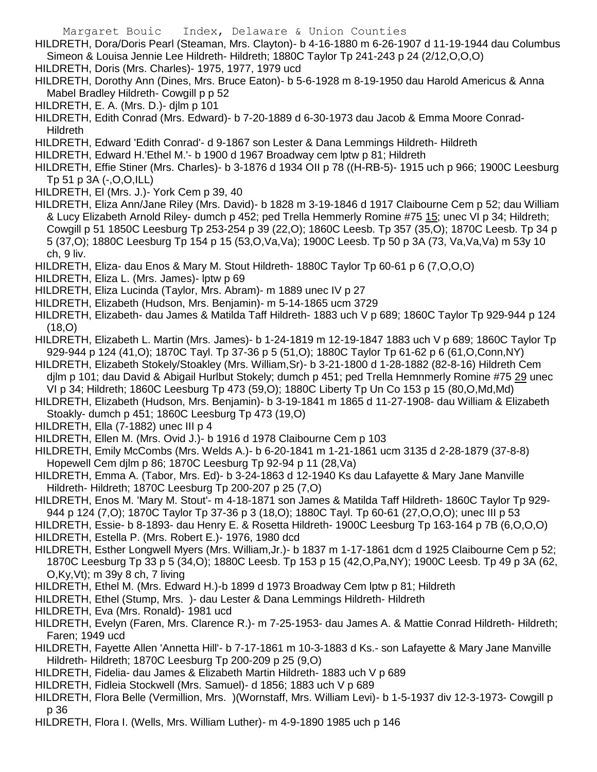Margaret Bouic Index, Delaware & Union Counties HILDRETH, Dora/Doris Pearl (Steaman, Mrs. Clayton)- b 4-16-1880 m 6-26-1907 d 11-19-1944 dau Columbus Simeon & Louisa Jennie Lee Hildreth- Hildreth; 1880C Taylor Tp 241-243 p 24 (2/12,O,O,O)

- HILDRETH, Doris (Mrs. Charles)- 1975, 1977, 1979 ucd
- HILDRETH, Dorothy Ann (Dines, Mrs. Bruce Eaton)- b 5-6-1928 m 8-19-1950 dau Harold Americus & Anna Mabel Bradley Hildreth- Cowgill p p 52
- HILDRETH, E. A. (Mrs. D.)- djlm p 101
- HILDRETH, Edith Conrad (Mrs. Edward)- b 7-20-1889 d 6-30-1973 dau Jacob & Emma Moore Conrad-Hildreth
- HILDRETH, Edward 'Edith Conrad'- d 9-1867 son Lester & Dana Lemmings Hildreth- Hildreth
- HILDRETH, Edward H.'Ethel M.'- b 1900 d 1967 Broadway cem lptw p 81; Hildreth
- HILDRETH, Effie Stiner (Mrs. Charles)- b 3-1876 d 1934 OII p 78 ((H-RB-5)- 1915 uch p 966; 1900C Leesburg Tp 51 p 3A (-,O,O,ILL)
- HILDRETH, El (Mrs. J.)- York Cem p 39, 40
- HILDRETH, Eliza Ann/Jane Riley (Mrs. David)- b 1828 m 3-19-1846 d 1917 Claibourne Cem p 52; dau William & Lucy Elizabeth Arnold Riley- dumch p 452; ped Trella Hemmerly Romine #75 15; unec VI p 34; Hildreth; Cowgill p 51 1850C Leesburg Tp 253-254 p 39 (22,O); 1860C Leesb. Tp 357 (35,O); 1870C Leesb. Tp 34 p 5 (37,O); 1880C Leesburg Tp 154 p 15 (53,O,Va,Va); 1900C Leesb. Tp 50 p 3A (73, Va,Va,Va) m 53y 10 ch, 9 liv.
- HILDRETH, Eliza- dau Enos & Mary M. Stout Hildreth- 1880C Taylor Tp 60-61 p 6 (7,O,O,O)
- HILDRETH, Eliza L. (Mrs. James)- lptw p 69
- HILDRETH, Eliza Lucinda (Taylor, Mrs. Abram)- m 1889 unec IV p 27
- HILDRETH, Elizabeth (Hudson, Mrs. Benjamin)- m 5-14-1865 ucm 3729
- HILDRETH, Elizabeth- dau James & Matilda Taff Hildreth- 1883 uch V p 689; 1860C Taylor Tp 929-944 p 124 (18,O)
- HILDRETH, Elizabeth L. Martin (Mrs. James)- b 1-24-1819 m 12-19-1847 1883 uch V p 689; 1860C Taylor Tp 929-944 p 124 (41,O); 1870C Tayl. Tp 37-36 p 5 (51,O); 1880C Taylor Tp 61-62 p 6 (61,O,Conn,NY)
- HILDRETH, Elizabeth Stokely/Stoakley (Mrs. William,Sr)- b 3-21-1800 d 1-28-1882 (82-8-16) Hildreth Cem djlm p 101; dau David & Abigail Hurlbut Stokely; dumch p 451; ped Trella Hemnmerly Romine #75 29 unec VI p 34; Hildreth; 1860C Leesburg Tp 473 (59,O); 1880C Liberty Tp Un Co 153 p 15 (80,O,Md,Md)
- HILDRETH, Elizabeth (Hudson, Mrs. Benjamin)- b 3-19-1841 m 1865 d 11-27-1908- dau William & Elizabeth Stoakly- dumch p 451; 1860C Leesburg Tp 473 (19,O)
- HILDRETH, Ella (7-1882) unec III p 4
- HILDRETH, Ellen M. (Mrs. Ovid J.)- b 1916 d 1978 Claibourne Cem p 103
- HILDRETH, Emily McCombs (Mrs. Welds A.)- b 6-20-1841 m 1-21-1861 ucm 3135 d 2-28-1879 (37-8-8) Hopewell Cem djlm p 86; 1870C Leesburg Tp 92-94 p 11 (28,Va)
- HILDRETH, Emma A. (Tabor, Mrs. Ed)- b 3-24-1863 d 12-1940 Ks dau Lafayette & Mary Jane Manville Hildreth- Hildreth; 1870C Leesburg Tp 200-207 p 25 (7,O)
- HILDRETH, Enos M. 'Mary M. Stout'- m 4-18-1871 son James & Matilda Taff Hildreth- 1860C Taylor Tp 929- 944 p 124 (7,O); 1870C Taylor Tp 37-36 p 3 (18,O); 1880C Tayl. Tp 60-61 (27,O,O,O); unec III p 53
- HILDRETH, Essie- b 8-1893- dau Henry E. & Rosetta Hildreth- 1900C Leesburg Tp 163-164 p 7B (6,O,O,O) HILDRETH, Estella P. (Mrs. Robert E.)- 1976, 1980 dcd
- HILDRETH, Esther Longwell Myers (Mrs. William,Jr.)- b 1837 m 1-17-1861 dcm d 1925 Claibourne Cem p 52; 1870C Leesburg Tp 33 p 5 (34,O); 1880C Leesb. Tp 153 p 15 (42,O,Pa,NY); 1900C Leesb. Tp 49 p 3A (62, O,Ky,Vt); m 39y 8 ch, 7 living
- HILDRETH, Ethel M. (Mrs. Edward H.)-b 1899 d 1973 Broadway Cem lptw p 81; Hildreth
- HILDRETH, Ethel (Stump, Mrs. )- dau Lester & Dana Lemmings Hildreth- Hildreth
- HILDRETH, Eva (Mrs. Ronald)- 1981 ucd
- HILDRETH, Evelyn (Faren, Mrs. Clarence R.)- m 7-25-1953- dau James A. & Mattie Conrad Hildreth- Hildreth; Faren; 1949 ucd
- HILDRETH, Fayette Allen 'Annetta Hill'- b 7-17-1861 m 10-3-1883 d Ks.- son Lafayette & Mary Jane Manville Hildreth- Hildreth; 1870C Leesburg Tp 200-209 p 25 (9,O)
- HILDRETH, Fidelia- dau James & Elizabeth Martin Hildreth- 1883 uch V p 689
- HILDRETH, Fidleia Stockwell (Mrs. Samuel)- d 1856; 1883 uch V p 689
- HILDRETH, Flora Belle (Vermillion, Mrs. )(Wornstaff, Mrs. William Levi)- b 1-5-1937 div 12-3-1973- Cowgill p p 36
- HILDRETH, Flora I. (Wells, Mrs. William Luther)- m 4-9-1890 1985 uch p 146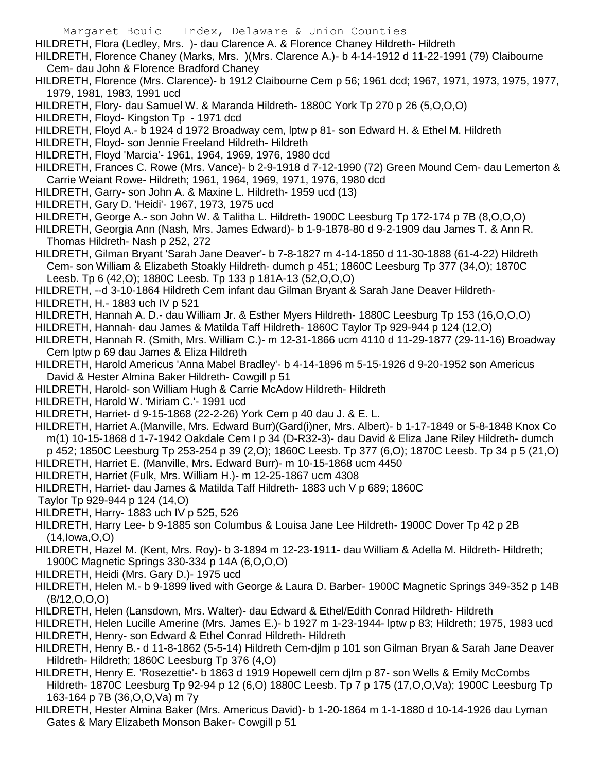- Margaret Bouic Index, Delaware & Union Counties
- HILDRETH, Flora (Ledley, Mrs. )- dau Clarence A. & Florence Chaney Hildreth- Hildreth
- HILDRETH, Florence Chaney (Marks, Mrs. )(Mrs. Clarence A.)- b 4-14-1912 d 11-22-1991 (79) Claibourne Cem- dau John & Florence Bradford Chaney
- HILDRETH, Florence (Mrs. Clarence)- b 1912 Claibourne Cem p 56; 1961 dcd; 1967, 1971, 1973, 1975, 1977, 1979, 1981, 1983, 1991 ucd
- HILDRETH, Flory- dau Samuel W. & Maranda Hildreth- 1880C York Tp 270 p 26 (5,O,O,O)
- HILDRETH, Floyd- Kingston Tp 1971 dcd
- HILDRETH, Floyd A.- b 1924 d 1972 Broadway cem, lptw p 81- son Edward H. & Ethel M. Hildreth
- HILDRETH, Floyd- son Jennie Freeland Hildreth- Hildreth
- HILDRETH, Floyd 'Marcia'- 1961, 1964, 1969, 1976, 1980 dcd
- HILDRETH, Frances C. Rowe (Mrs. Vance)- b 2-9-1918 d 7-12-1990 (72) Green Mound Cem- dau Lemerton & Carrie Weiant Rowe- Hildreth; 1961, 1964, 1969, 1971, 1976, 1980 dcd
- HILDRETH, Garry- son John A. & Maxine L. Hildreth- 1959 ucd (13)
- HILDRETH, Gary D. 'Heidi'- 1967, 1973, 1975 ucd
- HILDRETH, George A.- son John W. & Talitha L. Hildreth- 1900C Leesburg Tp 172-174 p 7B (8,O,O,O)
- HILDRETH, Georgia Ann (Nash, Mrs. James Edward)- b 1-9-1878-80 d 9-2-1909 dau James T. & Ann R. Thomas Hildreth- Nash p 252, 272
- HILDRETH, Gilman Bryant 'Sarah Jane Deaver'- b 7-8-1827 m 4-14-1850 d 11-30-1888 (61-4-22) Hildreth Cem- son William & Elizabeth Stoakly Hildreth- dumch p 451; 1860C Leesburg Tp 377 (34,O); 1870C Leesb. Tp 6 (42,O); 1880C Leesb. Tp 133 p 181A-13 (52,O,O,O)
- HILDRETH, --d 3-10-1864 Hildreth Cem infant dau Gilman Bryant & Sarah Jane Deaver Hildreth-
- HILDRETH, H.- 1883 uch IV p 521
- HILDRETH, Hannah A. D.- dau William Jr. & Esther Myers Hildreth- 1880C Leesburg Tp 153 (16,O,O,O)
- HILDRETH, Hannah- dau James & Matilda Taff Hildreth- 1860C Taylor Tp 929-944 p 124 (12,O)
- HILDRETH, Hannah R. (Smith, Mrs. William C.)- m 12-31-1866 ucm 4110 d 11-29-1877 (29-11-16) Broadway Cem lptw p 69 dau James & Eliza Hildreth
- HILDRETH, Harold Americus 'Anna Mabel Bradley'- b 4-14-1896 m 5-15-1926 d 9-20-1952 son Americus David & Hester Almina Baker Hildreth- Cowgill p 51
- HILDRETH, Harold- son William Hugh & Carrie McAdow Hildreth- Hildreth
- HILDRETH, Harold W. 'Miriam C.'- 1991 ucd
- HILDRETH, Harriet- d 9-15-1868 (22-2-26) York Cem p 40 dau J. & E. L.
- HILDRETH, Harriet A.(Manville, Mrs. Edward Burr)(Gard(i)ner, Mrs. Albert)- b 1-17-1849 or 5-8-1848 Knox Co m(1) 10-15-1868 d 1-7-1942 Oakdale Cem I p 34 (D-R32-3)- dau David & Eliza Jane Riley Hildreth- dumch p 452; 1850C Leesburg Tp 253-254 p 39 (2,O); 1860C Leesb. Tp 377 (6,O); 1870C Leesb. Tp 34 p 5 (21,O)
- HILDRETH, Harriet E. (Manville, Mrs. Edward Burr)- m 10-15-1868 ucm 4450
- HILDRETH, Harriet (Fulk, Mrs. William H.)- m 12-25-1867 ucm 4308
- HILDRETH, Harriet- dau James & Matilda Taff Hildreth- 1883 uch V p 689; 1860C
- Taylor Tp 929-944 p 124 (14,O)
- HILDRETH, Harry- 1883 uch IV p 525, 526
- HILDRETH, Harry Lee- b 9-1885 son Columbus & Louisa Jane Lee Hildreth- 1900C Dover Tp 42 p 2B (14,Iowa,O,O)
- HILDRETH, Hazel M. (Kent, Mrs. Roy)- b 3-1894 m 12-23-1911- dau William & Adella M. Hildreth- Hildreth; 1900C Magnetic Springs 330-334 p 14A (6,O,O,O)
- HILDRETH, Heidi (Mrs. Gary D.)- 1975 ucd
- HILDRETH, Helen M.- b 9-1899 lived with George & Laura D. Barber- 1900C Magnetic Springs 349-352 p 14B (8/12,O,O,O)
- HILDRETH, Helen (Lansdown, Mrs. Walter)- dau Edward & Ethel/Edith Conrad Hildreth- Hildreth
- HILDRETH, Helen Lucille Amerine (Mrs. James E.)- b 1927 m 1-23-1944- lptw p 83; Hildreth; 1975, 1983 ucd HILDRETH, Henry- son Edward & Ethel Conrad Hildreth- Hildreth
- HILDRETH, Henry B.- d 11-8-1862 (5-5-14) Hildreth Cem-djlm p 101 son Gilman Bryan & Sarah Jane Deaver Hildreth- Hildreth: 1860C Leesburg Tp 376 (4.O)
- HILDRETH, Henry E. 'Rosezettie'- b 1863 d 1919 Hopewell cem djlm p 87- son Wells & Emily McCombs Hildreth- 1870C Leesburg Tp 92-94 p 12 (6,O) 1880C Leesb. Tp 7 p 175 (17,O,O,Va); 1900C Leesburg Tp 163-164 p 7B (36,O,O,Va) m 7y
- HILDRETH, Hester Almina Baker (Mrs. Americus David)- b 1-20-1864 m 1-1-1880 d 10-14-1926 dau Lyman Gates & Mary Elizabeth Monson Baker- Cowgill p 51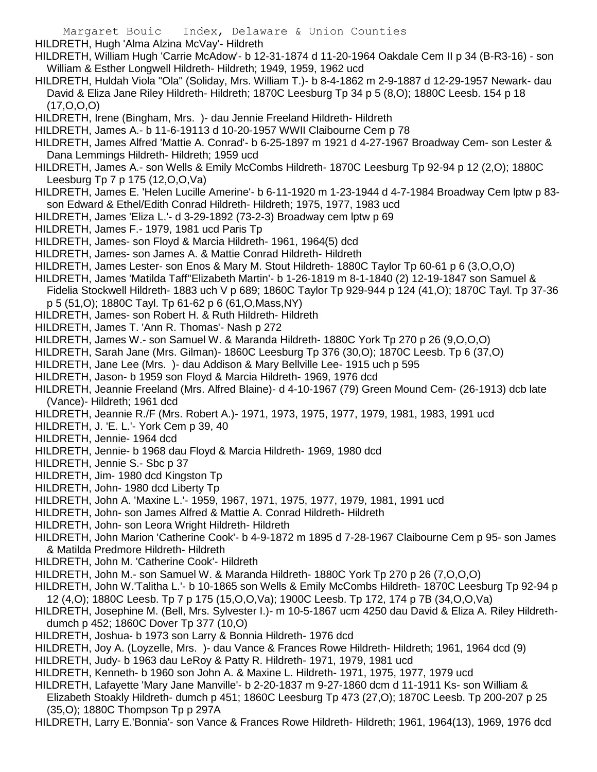HILDRETH, Hugh 'Alma Alzina McVay'- Hildreth

- HILDRETH, William Hugh 'Carrie McAdow'- b 12-31-1874 d 11-20-1964 Oakdale Cem II p 34 (B-R3-16) son William & Esther Longwell Hildreth- Hildreth; 1949, 1959, 1962 ucd
- HILDRETH, Huldah Viola "Ola" (Soliday, Mrs. William T.)- b 8-4-1862 m 2-9-1887 d 12-29-1957 Newark- dau David & Eliza Jane Riley Hildreth- Hildreth; 1870C Leesburg Tp 34 p 5 (8,O); 1880C Leesb. 154 p 18 (17,O,O,O)
- HILDRETH, Irene (Bingham, Mrs. )- dau Jennie Freeland Hildreth- Hildreth
- HILDRETH, James A.- b 11-6-19113 d 10-20-1957 WWII Claibourne Cem p 78
- HILDRETH, James Alfred 'Mattie A. Conrad'- b 6-25-1897 m 1921 d 4-27-1967 Broadway Cem- son Lester & Dana Lemmings Hildreth- Hildreth; 1959 ucd
- HILDRETH, James A.- son Wells & Emily McCombs Hildreth- 1870C Leesburg Tp 92-94 p 12 (2,O); 1880C Leesburg Tp 7 p 175 (12,O,O,Va)
- HILDRETH, James E. 'Helen Lucille Amerine'- b 6-11-1920 m 1-23-1944 d 4-7-1984 Broadway Cem lptw p 83 son Edward & Ethel/Edith Conrad Hildreth- Hildreth; 1975, 1977, 1983 ucd
- HILDRETH, James 'Eliza L.'- d 3-29-1892 (73-2-3) Broadway cem lptw p 69
- HILDRETH, James F.- 1979, 1981 ucd Paris Tp
- HILDRETH, James- son Floyd & Marcia Hildreth- 1961, 1964(5) dcd
- HILDRETH, James- son James A. & Mattie Conrad Hildreth- Hildreth
- HILDRETH, James Lester- son Enos & Mary M. Stout Hildreth- 1880C Taylor Tp 60-61 p 6 (3,O,O,O)
- HILDRETH, James 'Matilda Taff''Elizabeth Martin'- b 1-26-1819 m 8-1-1840 (2) 12-19-1847 son Samuel &
- Fidelia Stockwell Hildreth- 1883 uch V p 689; 1860C Taylor Tp 929-944 p 124 (41,O); 1870C Tayl. Tp 37-36
- p 5 (51,O); 1880C Tayl. Tp 61-62 p 6 (61,O,Mass,NY)
- HILDRETH, James- son Robert H. & Ruth Hildreth- Hildreth
- HILDRETH, James T. 'Ann R. Thomas'- Nash p 272
- HILDRETH, James W.- son Samuel W. & Maranda Hildreth- 1880C York Tp 270 p 26 (9,O,O,O)
- HILDRETH, Sarah Jane (Mrs. Gilman)- 1860C Leesburg Tp 376 (30,O); 1870C Leesb. Tp 6 (37,O)
- HILDRETH, Jane Lee (Mrs. )- dau Addison & Mary Bellville Lee- 1915 uch p 595
- HILDRETH, Jason- b 1959 son Floyd & Marcia Hildreth- 1969, 1976 dcd
- HILDRETH, Jeannie Freeland (Mrs. Alfred Blaine)- d 4-10-1967 (79) Green Mound Cem- (26-1913) dcb late (Vance)- Hildreth; 1961 dcd
- HILDRETH, Jeannie R./F (Mrs. Robert A.)- 1971, 1973, 1975, 1977, 1979, 1981, 1983, 1991 ucd
- HILDRETH, J. 'E. L.'- York Cem p 39, 40
- HILDRETH, Jennie- 1964 dcd
- HILDRETH, Jennie- b 1968 dau Floyd & Marcia Hildreth- 1969, 1980 dcd
- HILDRETH, Jennie S.- Sbc p 37
- HILDRETH, Jim- 1980 dcd Kingston Tp
- HILDRETH, John- 1980 dcd Liberty Tp
- HILDRETH, John A. 'Maxine L.'- 1959, 1967, 1971, 1975, 1977, 1979, 1981, 1991 ucd
- HILDRETH, John- son James Alfred & Mattie A. Conrad Hildreth- Hildreth
- HILDRETH, John- son Leora Wright Hildreth- Hildreth
- HILDRETH, John Marion 'Catherine Cook'- b 4-9-1872 m 1895 d 7-28-1967 Claibourne Cem p 95- son James & Matilda Predmore Hildreth- Hildreth
- HILDRETH, John M. 'Catherine Cook'- Hildreth
- HILDRETH, John M.- son Samuel W. & Maranda Hildreth- 1880C York Tp 270 p 26 (7,O,O,O)
- HILDRETH, John W.'Talitha L.'- b 10-1865 son Wells & Emily McCombs Hildreth- 1870C Leesburg Tp 92-94 p 12 (4,O); 1880C Leesb. Tp 7 p 175 (15,O,O,Va); 1900C Leesb. Tp 172, 174 p 7B (34,O,O,Va)
- HILDRETH, Josephine M. (Bell, Mrs. Sylvester I.)- m 10-5-1867 ucm 4250 dau David & Eliza A. Riley Hildrethdumch p 452; 1860C Dover Tp 377 (10,O)
- HILDRETH, Joshua- b 1973 son Larry & Bonnia Hildreth- 1976 dcd
- HILDRETH, Joy A. (Loyzelle, Mrs. )- dau Vance & Frances Rowe Hildreth- Hildreth; 1961, 1964 dcd (9)
- HILDRETH, Judy- b 1963 dau LeRoy & Patty R. Hildreth- 1971, 1979, 1981 ucd
- HILDRETH, Kenneth- b 1960 son John A. & Maxine L. Hildreth- 1971, 1975, 1977, 1979 ucd
- HILDRETH, Lafayette 'Mary Jane Manville'- b 2-20-1837 m 9-27-1860 dcm d 11-1911 Ks- son William &
- Elizabeth Stoakly Hildreth- dumch p 451; 1860C Leesburg Tp 473 (27,O); 1870C Leesb. Tp 200-207 p 25 (35,O); 1880C Thompson Tp p 297A
- HILDRETH, Larry E.'Bonnia'- son Vance & Frances Rowe Hildreth- Hildreth; 1961, 1964(13), 1969, 1976 dcd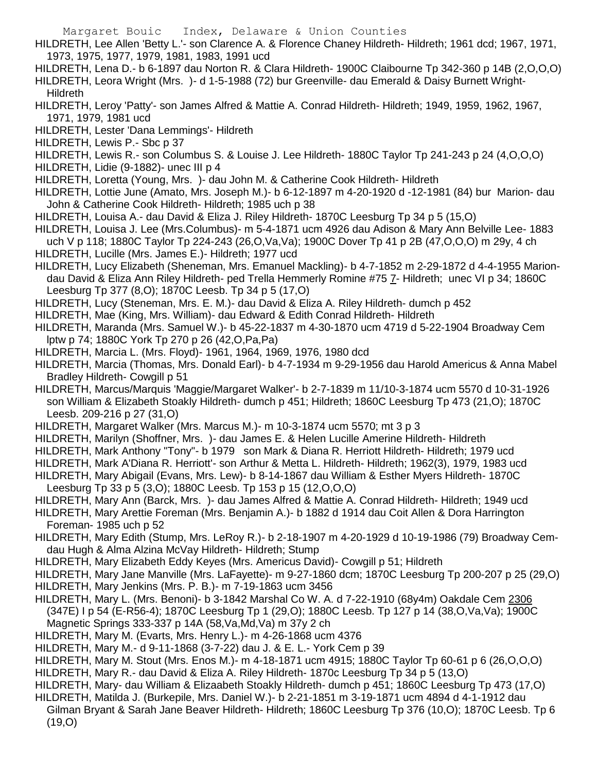- HILDRETH, Lee Allen 'Betty L.'- son Clarence A. & Florence Chaney Hildreth- Hildreth; 1961 dcd; 1967, 1971, 1973, 1975, 1977, 1979, 1981, 1983, 1991 ucd
- HILDRETH, Lena D.- b 6-1897 dau Norton R. & Clara Hildreth- 1900C Claibourne Tp 342-360 p 14B (2,O,O,O)
- HILDRETH, Leora Wright (Mrs. )- d 1-5-1988 (72) bur Greenville- dau Emerald & Daisy Burnett Wright-**Hildreth**
- HILDRETH, Leroy 'Patty'- son James Alfred & Mattie A. Conrad Hildreth- Hildreth; 1949, 1959, 1962, 1967, 1971, 1979, 1981 ucd
- HILDRETH, Lester 'Dana Lemmings'- Hildreth
- HILDRETH, Lewis P.- Sbc p 37
- HILDRETH, Lewis R.- son Columbus S. & Louise J. Lee Hildreth- 1880C Taylor Tp 241-243 p 24 (4,O,O,O)
- HILDRETH, Lidie (9-1882)- unec III p 4
- HILDRETH, Loretta (Young, Mrs. )- dau John M. & Catherine Cook Hildreth- Hildreth
- HILDRETH, Lottie June (Amato, Mrs. Joseph M.)- b 6-12-1897 m 4-20-1920 d -12-1981 (84) bur Marion- dau John & Catherine Cook Hildreth- Hildreth; 1985 uch p 38
- HILDRETH, Louisa A.- dau David & Eliza J. Riley Hildreth- 1870C Leesburg Tp 34 p 5 (15,O)
- HILDRETH, Louisa J. Lee (Mrs.Columbus)- m 5-4-1871 ucm 4926 dau Adison & Mary Ann Belville Lee- 1883 uch V p 118; 1880C Taylor Tp 224-243 (26,O,Va,Va); 1900C Dover Tp 41 p 2B (47,O,O,O) m 29y, 4 ch
- HILDRETH, Lucille (Mrs. James E.)- Hildreth; 1977 ucd
- HILDRETH, Lucy Elizabeth (Sheneman, Mrs. Emanuel Mackling)- b 4-7-1852 m 2-29-1872 d 4-4-1955 Mariondau David & Eliza Ann Riley Hildreth- ped Trella Hemmerly Romine #75 7- Hildreth; unec VI p 34; 1860C Leesburg Tp 377 (8,O); 1870C Leesb. Tp 34 p 5 (17,O)
- HILDRETH, Lucy (Steneman, Mrs. E. M.)- dau David & Eliza A. Riley Hildreth- dumch p 452
- HILDRETH, Mae (King, Mrs. William)- dau Edward & Edith Conrad Hildreth- Hildreth
- HILDRETH, Maranda (Mrs. Samuel W.)- b 45-22-1837 m 4-30-1870 ucm 4719 d 5-22-1904 Broadway Cem lptw p 74; 1880C York Tp 270 p 26 (42,O,Pa,Pa)
- HILDRETH, Marcia L. (Mrs. Floyd)- 1961, 1964, 1969, 1976, 1980 dcd
- HILDRETH, Marcia (Thomas, Mrs. Donald Earl)- b 4-7-1934 m 9-29-1956 dau Harold Americus & Anna Mabel Bradley Hildreth- Cowgill p 51
- HILDRETH, Marcus/Marquis 'Maggie/Margaret Walker'- b 2-7-1839 m 11/10-3-1874 ucm 5570 d 10-31-1926 son William & Elizabeth Stoakly Hildreth- dumch p 451; Hildreth; 1860C Leesburg Tp 473 (21,O); 1870C Leesb. 209-216 p 27 (31,O)
- HILDRETH, Margaret Walker (Mrs. Marcus M.)- m 10-3-1874 ucm 5570; mt 3 p 3
- HILDRETH, Marilyn (Shoffner, Mrs. )- dau James E. & Helen Lucille Amerine Hildreth- Hildreth
- HILDRETH, Mark Anthony "Tony"- b 1979 son Mark & Diana R. Herriott Hildreth- Hildreth; 1979 ucd
- HILDRETH, Mark A'Diana R. Herriott'- son Arthur & Metta L. Hildreth- Hildreth; 1962(3), 1979, 1983 ucd
- HILDRETH, Mary Abigail (Evans, Mrs. Lew)- b 8-14-1867 dau William & Esther Myers Hildreth- 1870C Leesburg Tp 33 p 5 (3,O); 1880C Leesb. Tp 153 p 15 (12,O,O,O)
- HILDRETH, Mary Ann (Barck, Mrs. )- dau James Alfred & Mattie A. Conrad Hildreth- Hildreth; 1949 ucd
- HILDRETH, Mary Arettie Foreman (Mrs. Benjamin A.)- b 1882 d 1914 dau Coit Allen & Dora Harrington Foreman- 1985 uch p 52
- HILDRETH, Mary Edith (Stump, Mrs. LeRoy R.)- b 2-18-1907 m 4-20-1929 d 10-19-1986 (79) Broadway Cemdau Hugh & Alma Alzina McVay Hildreth- Hildreth; Stump
- HILDRETH, Mary Elizabeth Eddy Keyes (Mrs. Americus David)- Cowgill p 51; Hildreth
- HILDRETH, Mary Jane Manville (Mrs. LaFayette)- m 9-27-1860 dcm; 1870C Leesburg Tp 200-207 p 25 (29,O) HILDRETH, Mary Jenkins (Mrs. P. B.)- m 7-19-1863 ucm 3456
- HILDRETH, Mary L. (Mrs. Benoni)- b 3-1842 Marshal Co W. A. d 7-22-1910 (68y4m) Oakdale Cem 2306 (347E) I p 54 (E-R56-4); 1870C Leesburg Tp 1 (29,O); 1880C Leesb. Tp 127 p 14 (38,O,Va,Va); 1900C Magnetic Springs 333-337 p 14A (58,Va,Md,Va) m 37y 2 ch
- HILDRETH, Mary M. (Evarts, Mrs. Henry L.)- m 4-26-1868 ucm 4376
- HILDRETH, Mary M.- d 9-11-1868 (3-7-22) dau J. & E. L.- York Cem p 39
- HILDRETH, Mary M. Stout (Mrs. Enos M.)- m 4-18-1871 ucm 4915; 1880C Taylor Tp 60-61 p 6 (26,O,O,O) HILDRETH, Mary R.- dau David & Eliza A. Riley Hildreth- 1870c Leesburg Tp 34 p 5 (13,O)
- HILDRETH, Mary- dau William & Elizaabeth Stoakly Hildreth- dumch p 451; 1860C Leesburg Tp 473 (17,O)
- HILDRETH, Matilda J. (Burkepile, Mrs. Daniel W.)- b 2-21-1851 m 3-19-1871 ucm 4894 d 4-1-1912 dau Gilman Bryant & Sarah Jane Beaver Hildreth- Hildreth; 1860C Leesburg Tp 376 (10,O); 1870C Leesb. Tp 6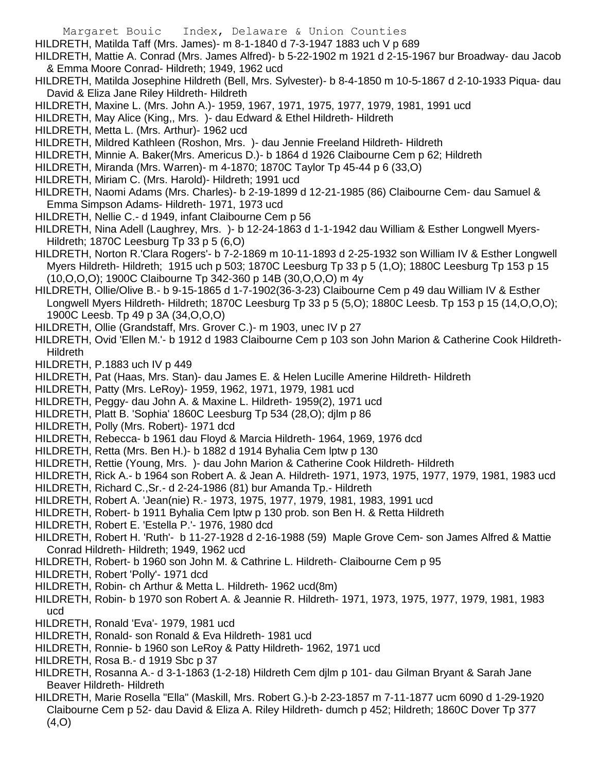- Margaret Bouic Index, Delaware & Union Counties
- HILDRETH, Matilda Taff (Mrs. James)- m 8-1-1840 d 7-3-1947 1883 uch V p 689
- HILDRETH, Mattie A. Conrad (Mrs. James Alfred)- b 5-22-1902 m 1921 d 2-15-1967 bur Broadway- dau Jacob & Emma Moore Conrad- Hildreth; 1949, 1962 ucd
- HILDRETH, Matilda Josephine Hildreth (Bell, Mrs. Sylvester)- b 8-4-1850 m 10-5-1867 d 2-10-1933 Piqua- dau David & Eliza Jane Riley Hildreth- Hildreth
- HILDRETH, Maxine L. (Mrs. John A.)- 1959, 1967, 1971, 1975, 1977, 1979, 1981, 1991 ucd
- HILDRETH, May Alice (King,, Mrs. )- dau Edward & Ethel Hildreth- Hildreth
- HILDRETH, Metta L. (Mrs. Arthur)- 1962 ucd
- HILDRETH, Mildred Kathleen (Roshon, Mrs. )- dau Jennie Freeland Hildreth- Hildreth
- HILDRETH, Minnie A. Baker(Mrs. Americus D.)- b 1864 d 1926 Claibourne Cem p 62; Hildreth
- HILDRETH, Miranda (Mrs. Warren)- m 4-1870; 1870C Taylor Tp 45-44 p 6 (33,O)
- HILDRETH, Miriam C. (Mrs. Harold)- Hildreth; 1991 ucd
- HILDRETH, Naomi Adams (Mrs. Charles)- b 2-19-1899 d 12-21-1985 (86) Claibourne Cem- dau Samuel & Emma Simpson Adams- Hildreth- 1971, 1973 ucd
- HILDRETH, Nellie C.- d 1949, infant Claibourne Cem p 56
- HILDRETH, Nina Adell (Laughrey, Mrs. )- b 12-24-1863 d 1-1-1942 dau William & Esther Longwell Myers-Hildreth; 1870C Leesburg Tp 33 p 5 (6,O)
- HILDRETH, Norton R.'Clara Rogers'- b 7-2-1869 m 10-11-1893 d 2-25-1932 son William IV & Esther Longwell Myers Hildreth- Hildreth; 1915 uch p 503; 1870C Leesburg Tp 33 p 5 (1,O); 1880C Leesburg Tp 153 p 15 (10,O,O,O); 1900C Claibourne Tp 342-360 p 14B (30,O,O,O) m 4y
- HILDRETH, Ollie/Olive B.- b 9-15-1865 d 1-7-1902(36-3-23) Claibourne Cem p 49 dau William IV & Esther Longwell Myers Hildreth- Hildreth; 1870C Leesburg Tp 33 p 5 (5,O); 1880C Leesb. Tp 153 p 15 (14,O,O,O); 1900C Leesb. Tp 49 p 3A (34,O,O,O)
- HILDRETH, Ollie (Grandstaff, Mrs. Grover C.)- m 1903, unec IV p 27
- HILDRETH, Ovid 'Ellen M.'- b 1912 d 1983 Claibourne Cem p 103 son John Marion & Catherine Cook Hildreth-Hildreth
- HILDRETH, P.1883 uch IV p 449
- HILDRETH, Pat (Haas, Mrs. Stan)- dau James E. & Helen Lucille Amerine Hildreth- Hildreth
- HILDRETH, Patty (Mrs. LeRoy)- 1959, 1962, 1971, 1979, 1981 ucd
- HILDRETH, Peggy- dau John A. & Maxine L. Hildreth- 1959(2), 1971 ucd
- HILDRETH, Platt B. 'Sophia' 1860C Leesburg Tp 534 (28,O); djlm p 86
- HILDRETH, Polly (Mrs. Robert)- 1971 dcd
- HILDRETH, Rebecca- b 1961 dau Floyd & Marcia Hildreth- 1964, 1969, 1976 dcd
- HILDRETH, Retta (Mrs. Ben H.)- b 1882 d 1914 Byhalia Cem lptw p 130
- HILDRETH, Rettie (Young, Mrs. )- dau John Marion & Catherine Cook Hildreth- Hildreth
- HILDRETH, Rick A.- b 1964 son Robert A. & Jean A. Hildreth- 1971, 1973, 1975, 1977, 1979, 1981, 1983 ucd
- HILDRETH, Richard C.,Sr.- d 2-24-1986 (81) bur Amanda Tp.- Hildreth
- HILDRETH, Robert A. 'Jean(nie) R.- 1973, 1975, 1977, 1979, 1981, 1983, 1991 ucd
- HILDRETH, Robert- b 1911 Byhalia Cem lptw p 130 prob. son Ben H. & Retta Hildreth
- HILDRETH, Robert E. 'Estella P.'- 1976, 1980 dcd
- HILDRETH, Robert H. 'Ruth'- b 11-27-1928 d 2-16-1988 (59) Maple Grove Cem- son James Alfred & Mattie Conrad Hildreth- Hildreth; 1949, 1962 ucd
- HILDRETH, Robert- b 1960 son John M. & Cathrine L. Hildreth- Claibourne Cem p 95
- HILDRETH, Robert 'Polly'- 1971 dcd
- HILDRETH, Robin- ch Arthur & Metta L. Hildreth- 1962 ucd(8m)
- HILDRETH, Robin- b 1970 son Robert A. & Jeannie R. Hildreth- 1971, 1973, 1975, 1977, 1979, 1981, 1983 ucd
- HILDRETH, Ronald 'Eva'- 1979, 1981 ucd
- HILDRETH, Ronald- son Ronald & Eva Hildreth- 1981 ucd
- HILDRETH, Ronnie- b 1960 son LeRoy & Patty Hildreth- 1962, 1971 ucd
- HILDRETH, Rosa B.- d 1919 Sbc p 37
- HILDRETH, Rosanna A.- d 3-1-1863 (1-2-18) Hildreth Cem djlm p 101- dau Gilman Bryant & Sarah Jane Beaver Hildreth- Hildreth
- HILDRETH, Marie Rosella "Ella" (Maskill, Mrs. Robert G.)-b 2-23-1857 m 7-11-1877 ucm 6090 d 1-29-1920 Claibourne Cem p 52- dau David & Eliza A. Riley Hildreth- dumch p 452; Hildreth; 1860C Dover Tp 377  $(4, 0)$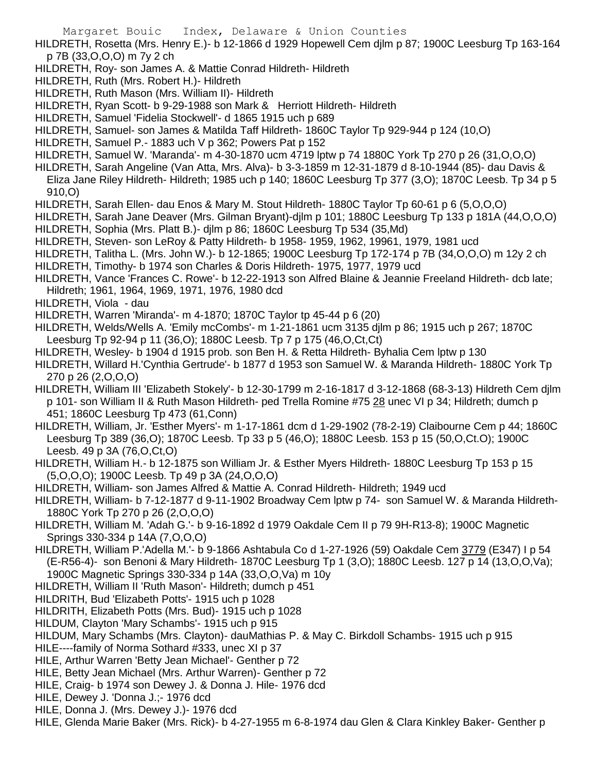HILDRETH, Rosetta (Mrs. Henry E.)- b 12-1866 d 1929 Hopewell Cem djlm p 87; 1900C Leesburg Tp 163-164 p 7B (33,O,O,O) m 7y 2 ch

- HILDRETH, Roy- son James A. & Mattie Conrad Hildreth- Hildreth
- HILDRETH, Ruth (Mrs. Robert H.)- Hildreth
- HILDRETH, Ruth Mason (Mrs. William II)- Hildreth
- HILDRETH, Ryan Scott- b 9-29-1988 son Mark & Herriott Hildreth- Hildreth
- HILDRETH, Samuel 'Fidelia Stockwell'- d 1865 1915 uch p 689
- HILDRETH, Samuel- son James & Matilda Taff Hildreth- 1860C Taylor Tp 929-944 p 124 (10,O)
- HILDRETH, Samuel P.- 1883 uch V p 362; Powers Pat p 152
- HILDRETH, Samuel W. 'Maranda'- m 4-30-1870 ucm 4719 lptw p 74 1880C York Tp 270 p 26 (31,O,O,O)
- HILDRETH, Sarah Angeline (Van Atta, Mrs. Alva)- b 3-3-1859 m 12-31-1879 d 8-10-1944 (85)- dau Davis & Eliza Jane Riley Hildreth- Hildreth; 1985 uch p 140; 1860C Leesburg Tp 377 (3,O); 1870C Leesb. Tp 34 p 5 910,O)
- HILDRETH, Sarah Ellen- dau Enos & Mary M. Stout Hildreth- 1880C Taylor Tp 60-61 p 6 (5,O,O,O)
- HILDRETH, Sarah Jane Deaver (Mrs. Gilman Bryant)-djlm p 101; 1880C Leesburg Tp 133 p 181A (44,O,O,O) HILDRETH, Sophia (Mrs. Platt B.)- djlm p 86; 1860C Leesburg Tp 534 (35,Md)
- HILDRETH, Steven- son LeRoy & Patty Hildreth- b 1958- 1959, 1962, 19961, 1979, 1981 ucd
- HILDRETH, Talitha L. (Mrs. John W.)- b 12-1865; 1900C Leesburg Tp 172-174 p 7B (34,O,O,O) m 12y 2 ch
- HILDRETH, Timothy- b 1974 son Charles & Doris Hildreth- 1975, 1977, 1979 ucd
- HILDRETH, Vance 'Frances C. Rowe'- b 12-22-1913 son Alfred Blaine & Jeannie Freeland Hildreth- dcb late; Hildreth; 1961, 1964, 1969, 1971, 1976, 1980 dcd
- HILDRETH, Viola dau
- HILDRETH, Warren 'Miranda'- m 4-1870; 1870C Taylor tp 45-44 p 6 (20)
- HILDRETH, Welds/Wells A. 'Emily mcCombs'- m 1-21-1861 ucm 3135 djlm p 86; 1915 uch p 267; 1870C Leesburg Tp 92-94 p 11 (36,O); 1880C Leesb. Tp 7 p 175 (46,O,Ct,Ct)
- HILDRETH, Wesley- b 1904 d 1915 prob. son Ben H. & Retta Hildreth- Byhalia Cem lptw p 130
- HILDRETH, Willard H.'Cynthia Gertrude'- b 1877 d 1953 son Samuel W. & Maranda Hildreth- 1880C York Tp 270 p 26 (2,O,O,O)
- HILDRETH, William III 'Elizabeth Stokely'- b 12-30-1799 m 2-16-1817 d 3-12-1868 (68-3-13) Hildreth Cem djlm p 101- son William II & Ruth Mason Hildreth- ped Trella Romine #75 28 unec VI p 34; Hildreth; dumch p 451; 1860C Leesburg Tp 473 (61,Conn)
- HILDRETH, William, Jr. 'Esther Myers'- m 1-17-1861 dcm d 1-29-1902 (78-2-19) Claibourne Cem p 44; 1860C Leesburg Tp 389 (36,O); 1870C Leesb. Tp 33 p 5 (46,O); 1880C Leesb. 153 p 15 (50,O,Ct.O); 1900C Leesb. 49 p 3A (76,O,Ct,O)
- HILDRETH, William H.- b 12-1875 son William Jr. & Esther Myers Hildreth- 1880C Leesburg Tp 153 p 15 (5,O,O,O); 1900C Leesb. Tp 49 p 3A (24,O,O,O)
- HILDRETH, William- son James Alfred & Mattie A. Conrad Hildreth- Hildreth; 1949 ucd
- HILDRETH, William- b 7-12-1877 d 9-11-1902 Broadway Cem lptw p 74- son Samuel W. & Maranda Hildreth-1880C York Tp 270 p 26 (2,O,O,O)
- HILDRETH, William M. 'Adah G.'- b 9-16-1892 d 1979 Oakdale Cem II p 79 9H-R13-8); 1900C Magnetic Springs 330-334 p 14A (7,O,O,O)
- HILDRETH, William P.'Adella M.'- b 9-1866 Ashtabula Co d 1-27-1926 (59) Oakdale Cem 3779 (E347) I p 54 (E-R56-4)- son Benoni & Mary Hildreth- 1870C Leesburg Tp 1 (3,O); 1880C Leesb. 127 p 14 (13,O,O,Va); 1900C Magnetic Springs 330-334 p 14A (33,O,O,Va) m 10y
- HILDRETH, William II 'Ruth Mason'- Hildreth; dumch p 451
- HILDRITH, Bud 'Elizabeth Potts'- 1915 uch p 1028
- HILDRITH, Elizabeth Potts (Mrs. Bud)- 1915 uch p 1028
- HILDUM, Clayton 'Mary Schambs'- 1915 uch p 915
- HILDUM, Mary Schambs (Mrs. Clayton)- dauMathias P. & May C. Birkdoll Schambs- 1915 uch p 915
- HILE----family of Norma Sothard #333, unec XI p 37
- HILE, Arthur Warren 'Betty Jean Michael'- Genther p 72
- HILE, Betty Jean Michael (Mrs. Arthur Warren)- Genther p 72
- HILE, Craig- b 1974 son Dewey J. & Donna J. Hile- 1976 dcd
- HILE, Dewey J. 'Donna J.;- 1976 dcd
- HILE, Donna J. (Mrs. Dewey J.)- 1976 dcd
- HILE, Glenda Marie Baker (Mrs. Rick)- b 4-27-1955 m 6-8-1974 dau Glen & Clara Kinkley Baker- Genther p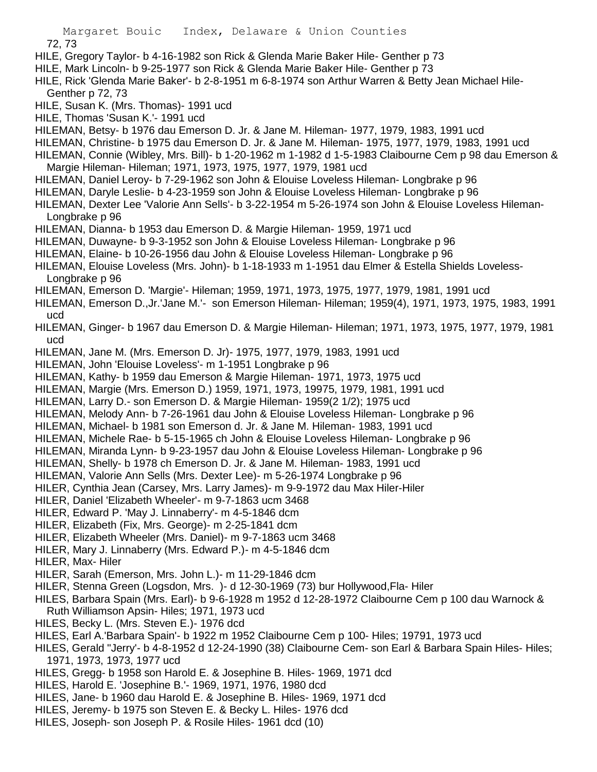72, 73 HILE, Gregory Taylor- b 4-16-1982 son Rick & Glenda Marie Baker Hile- Genther p 73 HILE, Mark Lincoln- b 9-25-1977 son Rick & Glenda Marie Baker Hile- Genther p 73 HILE, Rick 'Glenda Marie Baker'- b 2-8-1951 m 6-8-1974 son Arthur Warren & Betty Jean Michael Hile-Genther p 72, 73 HILE, Susan K. (Mrs. Thomas)- 1991 ucd HILE, Thomas 'Susan K.'- 1991 ucd HILEMAN, Betsy- b 1976 dau Emerson D. Jr. & Jane M. Hileman- 1977, 1979, 1983, 1991 ucd HILEMAN, Christine- b 1975 dau Emerson D. Jr. & Jane M. Hileman- 1975, 1977, 1979, 1983, 1991 ucd HILEMAN, Connie (Wibley, Mrs. Bill)- b 1-20-1962 m 1-1982 d 1-5-1983 Claibourne Cem p 98 dau Emerson & Margie Hileman- Hileman; 1971, 1973, 1975, 1977, 1979, 1981 ucd HILEMAN, Daniel Leroy- b 7-29-1962 son John & Elouise Loveless Hileman- Longbrake p 96 HILEMAN, Daryle Leslie- b 4-23-1959 son John & Elouise Loveless Hileman- Longbrake p 96 HILEMAN, Dexter Lee 'Valorie Ann Sells'- b 3-22-1954 m 5-26-1974 son John & Elouise Loveless Hileman-Longbrake p 96 HILEMAN, Dianna- b 1953 dau Emerson D. & Margie Hileman- 1959, 1971 ucd HILEMAN, Duwayne- b 9-3-1952 son John & Elouise Loveless Hileman- Longbrake p 96 HILEMAN, Elaine- b 10-26-1956 dau John & Elouise Loveless Hileman- Longbrake p 96 HILEMAN, Elouise Loveless (Mrs. John)- b 1-18-1933 m 1-1951 dau Elmer & Estella Shields Loveless-Longbrake p 96 HILEMAN, Emerson D. 'Margie'- Hileman; 1959, 1971, 1973, 1975, 1977, 1979, 1981, 1991 ucd HILEMAN, Emerson D.,Jr.'Jane M.'- son Emerson Hileman- Hileman; 1959(4), 1971, 1973, 1975, 1983, 1991 ucd HILEMAN, Ginger- b 1967 dau Emerson D. & Margie Hileman- Hileman; 1971, 1973, 1975, 1977, 1979, 1981 ucd HILEMAN, Jane M. (Mrs. Emerson D. Jr)- 1975, 1977, 1979, 1983, 1991 ucd HILEMAN, John 'Elouise Loveless'- m 1-1951 Longbrake p 96 HILEMAN, Kathy- b 1959 dau Emerson & Margie Hileman- 1971, 1973, 1975 ucd HILEMAN, Margie (Mrs. Emerson D.) 1959, 1971, 1973, 19975, 1979, 1981, 1991 ucd HILEMAN, Larry D.- son Emerson D. & Margie Hileman- 1959(2 1/2); 1975 ucd HILEMAN, Melody Ann- b 7-26-1961 dau John & Elouise Loveless Hileman- Longbrake p 96 HILEMAN, Michael- b 1981 son Emerson d. Jr. & Jane M. Hileman- 1983, 1991 ucd HILEMAN, Michele Rae- b 5-15-1965 ch John & Elouise Loveless Hileman- Longbrake p 96 HILEMAN, Miranda Lynn- b 9-23-1957 dau John & Elouise Loveless Hileman- Longbrake p 96 HILEMAN, Shelly- b 1978 ch Emerson D. Jr. & Jane M. Hileman- 1983, 1991 ucd HILEMAN, Valorie Ann Sells (Mrs. Dexter Lee)- m 5-26-1974 Longbrake p 96 HILER, Cynthia Jean (Carsey, Mrs. Larry James)- m 9-9-1972 dau Max Hiler-Hiler HILER, Daniel 'Elizabeth Wheeler'- m 9-7-1863 ucm 3468 HILER, Edward P. 'May J. Linnaberry'- m 4-5-1846 dcm HILER, Elizabeth (Fix, Mrs. George)- m 2-25-1841 dcm HILER, Elizabeth Wheeler (Mrs. Daniel)- m 9-7-1863 ucm 3468 HILER, Mary J. Linnaberry (Mrs. Edward P.)- m 4-5-1846 dcm HILER, Max- Hiler HILER, Sarah (Emerson, Mrs. John L.)- m 11-29-1846 dcm HILER, Stenna Green (Logsdon, Mrs. )- d 12-30-1969 (73) bur Hollywood,Fla- Hiler HILES, Barbara Spain (Mrs. Earl)- b 9-6-1928 m 1952 d 12-28-1972 Claibourne Cem p 100 dau Warnock & Ruth Williamson Apsin- Hiles; 1971, 1973 ucd HILES, Becky L. (Mrs. Steven E.)- 1976 dcd HILES, Earl A.'Barbara Spain'- b 1922 m 1952 Claibourne Cem p 100- Hiles; 19791, 1973 ucd HILES, Gerald "Jerry'- b 4-8-1952 d 12-24-1990 (38) Claibourne Cem- son Earl & Barbara Spain Hiles- Hiles; 1971, 1973, 1973, 1977 ucd HILES, Gregg- b 1958 son Harold E. & Josephine B. Hiles- 1969, 1971 dcd HILES, Harold E. 'Josephine B.'- 1969, 1971, 1976, 1980 dcd HILES, Jane- b 1960 dau Harold E. & Josephine B. Hiles- 1969, 1971 dcd

- HILES, Jeremy- b 1975 son Steven E. & Becky L. Hiles- 1976 dcd
- HILES, Joseph- son Joseph P. & Rosile Hiles- 1961 dcd (10)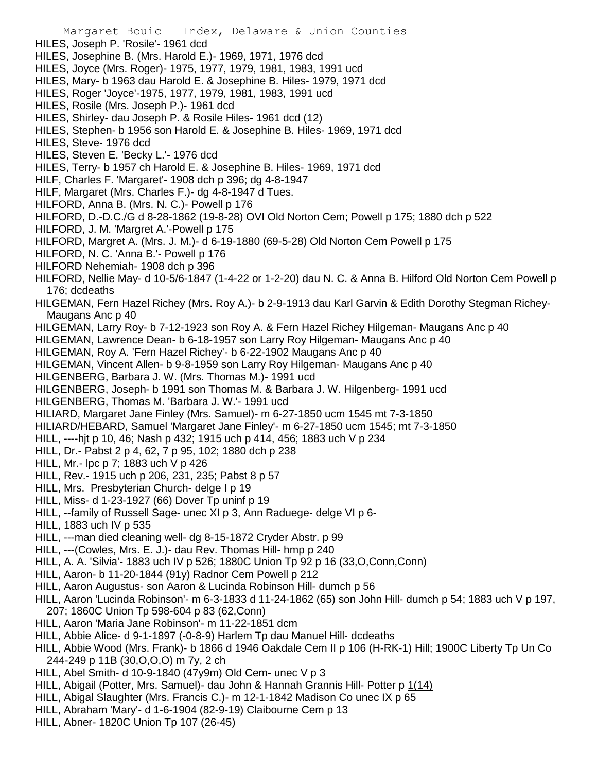- Margaret Bouic Index, Delaware & Union Counties HILES, Joseph P. 'Rosile'- 1961 dcd HILES, Josephine B. (Mrs. Harold E.)- 1969, 1971, 1976 dcd HILES, Joyce (Mrs. Roger)- 1975, 1977, 1979, 1981, 1983, 1991 ucd HILES, Mary- b 1963 dau Harold E. & Josephine B. Hiles- 1979, 1971 dcd HILES, Roger 'Joyce'-1975, 1977, 1979, 1981, 1983, 1991 ucd HILES, Rosile (Mrs. Joseph P.)- 1961 dcd HILES, Shirley- dau Joseph P. & Rosile Hiles- 1961 dcd (12) HILES, Stephen- b 1956 son Harold E. & Josephine B. Hiles- 1969, 1971 dcd HILES, Steve- 1976 dcd HILES, Steven E. 'Becky L.'- 1976 dcd HILES, Terry- b 1957 ch Harold E. & Josephine B. Hiles- 1969, 1971 dcd HILF, Charles F. 'Margaret'- 1908 dch p 396; dg 4-8-1947 HILF, Margaret (Mrs. Charles F.)- dg 4-8-1947 d Tues. HILFORD, Anna B. (Mrs. N. C.)- Powell p 176 HILFORD, D.-D.C./G d 8-28-1862 (19-8-28) OVI Old Norton Cem; Powell p 175; 1880 dch p 522 HILFORD, J. M. 'Margret A.'-Powell p 175 HILFORD, Margret A. (Mrs. J. M.)- d 6-19-1880 (69-5-28) Old Norton Cem Powell p 175 HILFORD, N. C. 'Anna B.'- Powell p 176 HILFORD Nehemiah- 1908 dch p 396 HILFORD, Nellie May- d 10-5/6-1847 (1-4-22 or 1-2-20) dau N. C. & Anna B. Hilford Old Norton Cem Powell p 176; dcdeaths HILGEMAN, Fern Hazel Richey (Mrs. Roy A.)- b 2-9-1913 dau Karl Garvin & Edith Dorothy Stegman Richey-Maugans Anc p 40 HILGEMAN, Larry Roy- b 7-12-1923 son Roy A. & Fern Hazel Richey Hilgeman- Maugans Anc p 40 HILGEMAN, Lawrence Dean- b 6-18-1957 son Larry Roy Hilgeman- Maugans Anc p 40 HILGEMAN, Roy A. 'Fern Hazel Richey'- b 6-22-1902 Maugans Anc p 40 HILGEMAN, Vincent Allen- b 9-8-1959 son Larry Roy Hilgeman- Maugans Anc p 40 HILGENBERG, Barbara J. W. (Mrs. Thomas M.)- 1991 ucd HILGENBERG, Joseph- b 1991 son Thomas M. & Barbara J. W. Hilgenberg- 1991 ucd HILGENBERG, Thomas M. 'Barbara J. W.'- 1991 ucd HILIARD, Margaret Jane Finley (Mrs. Samuel)- m 6-27-1850 ucm 1545 mt 7-3-1850 HILIARD/HEBARD, Samuel 'Margaret Jane Finley'- m 6-27-1850 ucm 1545; mt 7-3-1850 HILL, ----hjt p 10, 46; Nash p 432; 1915 uch p 414, 456; 1883 uch V p 234 HILL, Dr.- Pabst 2 p 4, 62, 7 p 95, 102; 1880 dch p 238 HILL, Mr.- lpc p 7; 1883 uch V p 426 HILL, Rev.- 1915 uch p 206, 231, 235; Pabst 8 p 57 HILL, Mrs. Presbyterian Church- delge I p 19 HILL, Miss- d 1-23-1927 (66) Dover Tp uninf p 19 HILL, --family of Russell Sage- unec XI p 3, Ann Raduege- delge VI p 6- HILL, 1883 uch IV p 535 HILL, ---man died cleaning well- dg 8-15-1872 Cryder Abstr. p 99 HILL, ---(Cowles, Mrs. E. J.)- dau Rev. Thomas Hill- hmp p 240 HILL, A. A. 'Silvia'- 1883 uch IV p 526; 1880C Union Tp 92 p 16 (33,O,Conn,Conn) HILL, Aaron- b 11-20-1844 (91y) Radnor Cem Powell p 212 HILL, Aaron Augustus- son Aaron & Lucinda Robinson Hill- dumch p 56 HILL, Aaron 'Lucinda Robinson'- m 6-3-1833 d 11-24-1862 (65) son John Hill- dumch p 54; 1883 uch V p 197, 207; 1860C Union Tp 598-604 p 83 (62,Conn) HILL, Aaron 'Maria Jane Robinson'- m 11-22-1851 dcm HILL, Abbie Alice- d 9-1-1897 (-0-8-9) Harlem Tp dau Manuel Hill- dcdeaths HILL, Abbie Wood (Mrs. Frank)- b 1866 d 1946 Oakdale Cem II p 106 (H-RK-1) Hill; 1900C Liberty Tp Un Co 244-249 p 11B (30,O,O,O) m 7y, 2 ch HILL, Abel Smith- d 10-9-1840 (47y9m) Old Cem- unec V p 3 HILL, Abigail (Potter, Mrs. Samuel)- dau John & Hannah Grannis Hill- Potter p 1(14) HILL, Abigal Slaughter (Mrs. Francis C.)- m 12-1-1842 Madison Co unec IX p 65 HILL, Abraham 'Mary'- d 1-6-1904 (82-9-19) Claibourne Cem p 13
- HILL, Abner- 1820C Union Tp 107 (26-45)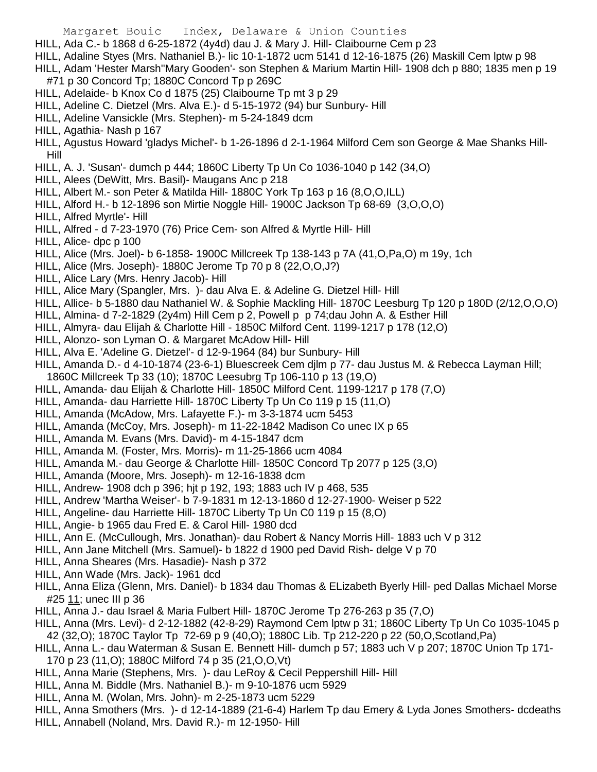- Margaret Bouic Index, Delaware & Union Counties HILL, Ada C.- b 1868 d 6-25-1872 (4y4d) dau J. & Mary J. Hill- Claibourne Cem p 23 HILL, Adaline Styes (Mrs. Nathaniel B.)- lic 10-1-1872 ucm 5141 d 12-16-1875 (26) Maskill Cem lptw p 98 HILL, Adam 'Hester Marsh''Mary Gooden'- son Stephen & Marium Martin Hill- 1908 dch p 880; 1835 men p 19 #71 p 30 Concord Tp; 1880C Concord Tp p 269C HILL, Adelaide- b Knox Co d 1875 (25) Claibourne Tp mt 3 p 29 HILL, Adeline C. Dietzel (Mrs. Alva E.)- d 5-15-1972 (94) bur Sunbury- Hill HILL, Adeline Vansickle (Mrs. Stephen)- m 5-24-1849 dcm HILL, Agathia- Nash p 167 HILL, Agustus Howard 'gladys Michel'- b 1-26-1896 d 2-1-1964 Milford Cem son George & Mae Shanks Hill-Hill HILL, A. J. 'Susan'- dumch p 444; 1860C Liberty Tp Un Co 1036-1040 p 142 (34,O) HILL, Alees (DeWitt, Mrs. Basil)- Maugans Anc p 218 HILL, Albert M.- son Peter & Matilda Hill- 1880C York Tp 163 p 16 (8,O,O,ILL) HILL, Alford H.- b 12-1896 son Mirtie Noggle Hill- 1900C Jackson Tp 68-69 (3,O,O,O) HILL, Alfred Myrtle'- Hill HILL, Alfred - d 7-23-1970 (76) Price Cem- son Alfred & Myrtle Hill- Hill HILL, Alice- dpc p 100 HILL, Alice (Mrs. Joel)- b 6-1858- 1900C Millcreek Tp 138-143 p 7A (41,O,Pa,O) m 19y, 1ch HILL, Alice (Mrs. Joseph)- 1880C Jerome Tp 70 p 8 (22,O,O,J?) HILL, Alice Lary (Mrs. Henry Jacob)- Hill HILL, Alice Mary (Spangler, Mrs. )- dau Alva E. & Adeline G. Dietzel Hill- Hill HILL, Allice- b 5-1880 dau Nathaniel W. & Sophie Mackling Hill- 1870C Leesburg Tp 120 p 180D (2/12,O,O,O) HILL, Almina- d 7-2-1829 (2y4m) Hill Cem p 2, Powell p p 74;dau John A. & Esther Hill HILL, Almyra- dau Elijah & Charlotte Hill - 1850C Milford Cent. 1199-1217 p 178 (12,O) HILL, Alonzo- son Lyman O. & Margaret McAdow Hill- Hill HILL, Alva E. 'Adeline G. Dietzel'- d 12-9-1964 (84) bur Sunbury- Hill HILL, Amanda D.- d 4-10-1874 (23-6-1) Bluescreek Cem djlm p 77- dau Justus M. & Rebecca Layman Hill; 1860C Millcreek Tp 33 (10); 1870C Leesubrg Tp 106-110 p 13 (19,O) HILL, Amanda- dau Elijah & Charlotte Hill- 1850C Milford Cent. 1199-1217 p 178 (7,O) HILL, Amanda- dau Harriette Hill- 1870C Liberty Tp Un Co 119 p 15 (11,O) HILL, Amanda (McAdow, Mrs. Lafayette F.)- m 3-3-1874 ucm 5453 HILL, Amanda (McCoy, Mrs. Joseph)- m 11-22-1842 Madison Co unec IX p 65 HILL, Amanda M. Evans (Mrs. David)- m 4-15-1847 dcm HILL, Amanda M. (Foster, Mrs. Morris)- m 11-25-1866 ucm 4084 HILL, Amanda M.- dau George & Charlotte Hill- 1850C Concord Tp 2077 p 125 (3,O) HILL, Amanda (Moore, Mrs. Joseph)- m 12-16-1838 dcm HILL, Andrew- 1908 dch p 396; hjt p 192, 193; 1883 uch IV p 468, 535 HILL, Andrew 'Martha Weiser'- b 7-9-1831 m 12-13-1860 d 12-27-1900- Weiser p 522 HILL, Angeline- dau Harriette Hill- 1870C Liberty Tp Un C0 119 p 15 (8,O) HILL, Angie- b 1965 dau Fred E. & Carol Hill- 1980 dcd HILL, Ann E. (McCullough, Mrs. Jonathan)- dau Robert & Nancy Morris Hill- 1883 uch V p 312 HILL, Ann Jane Mitchell (Mrs. Samuel)- b 1822 d 1900 ped David Rish- delge V p 70 HILL, Anna Sheares (Mrs. Hasadie)- Nash p 372 HILL, Ann Wade (Mrs. Jack)- 1961 dcd HILL, Anna Eliza (Glenn, Mrs. Daniel)- b 1834 dau Thomas & ELizabeth Byerly Hill- ped Dallas Michael Morse #25 11; unec III p 36 HILL, Anna J.- dau Israel & Maria Fulbert Hill- 1870C Jerome Tp 276-263 p 35 (7,O) HILL, Anna (Mrs. Levi)- d 2-12-1882 (42-8-29) Raymond Cem lptw p 31; 1860C Liberty Tp Un Co 1035-1045 p 42 (32,O); 1870C Taylor Tp 72-69 p 9 (40,O); 1880C Lib. Tp 212-220 p 22 (50,O,Scotland,Pa) HILL, Anna L.- dau Waterman & Susan E. Bennett Hill- dumch p 57; 1883 uch V p 207; 1870C Union Tp 171- 170 p 23 (11,O); 1880C Milford 74 p 35 (21,O,O,Vt) HILL, Anna Marie (Stephens, Mrs. )- dau LeRoy & Cecil Peppershill Hill- Hill
- HILL, Anna M. Biddle (Mrs. Nathaniel B.)- m 9-10-1876 ucm 5929
- HILL, Anna M. (Wolan, Mrs. John)- m 2-25-1873 ucm 5229
- HILL, Anna Smothers (Mrs. )- d 12-14-1889 (21-6-4) Harlem Tp dau Emery & Lyda Jones Smothers- dcdeaths HILL, Annabell (Noland, Mrs. David R.)- m 12-1950- Hill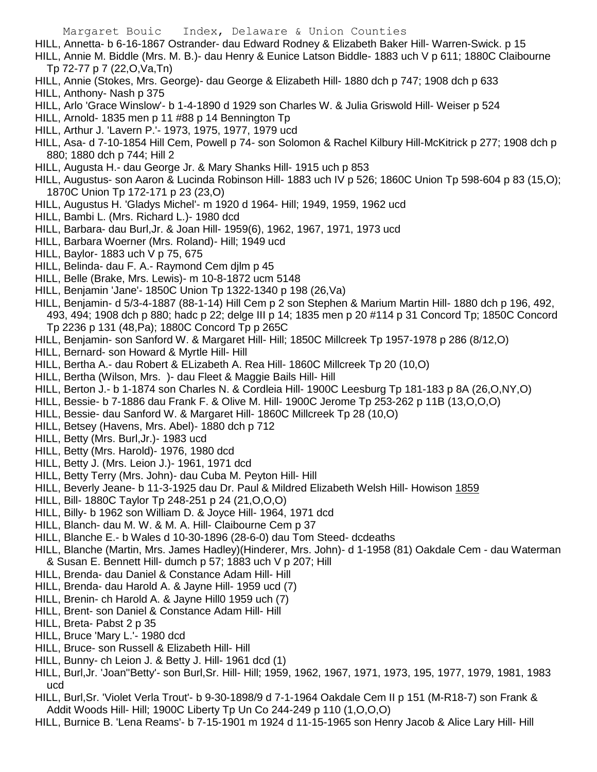- HILL, Annetta- b 6-16-1867 Ostrander- dau Edward Rodney & Elizabeth Baker Hill- Warren-Swick. p 15
- HILL, Annie M. Biddle (Mrs. M. B.)- dau Henry & Eunice Latson Biddle- 1883 uch V p 611; 1880C Claibourne Tp 72-77 p 7 (22,O,Va,Tn)
- HILL, Annie (Stokes, Mrs. George)- dau George & Elizabeth Hill- 1880 dch p 747; 1908 dch p 633
- HILL, Anthony- Nash p 375
- HILL, Arlo 'Grace Winslow'- b 1-4-1890 d 1929 son Charles W. & Julia Griswold Hill- Weiser p 524
- HILL, Arnold- 1835 men p 11 #88 p 14 Bennington Tp
- HILL, Arthur J. 'Lavern P.'- 1973, 1975, 1977, 1979 ucd
- HILL, Asa- d 7-10-1854 Hill Cem, Powell p 74- son Solomon & Rachel Kilbury Hill-McKitrick p 277; 1908 dch p 880; 1880 dch p 744; Hill 2
- HILL, Augusta H.- dau George Jr. & Mary Shanks Hill- 1915 uch p 853
- HILL, Augustus- son Aaron & Lucinda Robinson Hill- 1883 uch IV p 526; 1860C Union Tp 598-604 p 83 (15,O); 1870C Union Tp 172-171 p 23 (23,O)
- HILL, Augustus H. 'Gladys Michel'- m 1920 d 1964- Hill; 1949, 1959, 1962 ucd
- HILL, Bambi L. (Mrs. Richard L.)- 1980 dcd
- HILL, Barbara- dau Burl,Jr. & Joan Hill- 1959(6), 1962, 1967, 1971, 1973 ucd
- HILL, Barbara Woerner (Mrs. Roland)- Hill; 1949 ucd
- HILL, Baylor- 1883 uch V p 75, 675
- HILL, Belinda- dau F. A.- Raymond Cem djlm p 45
- HILL, Belle (Brake, Mrs. Lewis)- m 10-8-1872 ucm 5148
- HILL, Benjamin 'Jane'- 1850C Union Tp 1322-1340 p 198 (26,Va)
- HILL, Benjamin- d 5/3-4-1887 (88-1-14) Hill Cem p 2 son Stephen & Marium Martin Hill- 1880 dch p 196, 492, 493, 494; 1908 dch p 880; hadc p 22; delge III p 14; 1835 men p 20 #114 p 31 Concord Tp; 1850C Concord Tp 2236 p 131 (48,Pa); 1880C Concord Tp p 265C
- HILL, Benjamin- son Sanford W. & Margaret Hill- Hill; 1850C Millcreek Tp 1957-1978 p 286 (8/12,O)
- HILL, Bernard- son Howard & Myrtle Hill- Hill
- HILL, Bertha A.- dau Robert & ELizabeth A. Rea Hill- 1860C Millcreek Tp 20 (10,O)
- HILL, Bertha (Wilson, Mrs. )- dau Fleet & Maggie Bails Hill- Hill
- HILL, Berton J.- b 1-1874 son Charles N. & Cordleia Hill- 1900C Leesburg Tp 181-183 p 8A (26,O,NY,O)
- HILL, Bessie- b 7-1886 dau Frank F. & Olive M. Hill- 1900C Jerome Tp 253-262 p 11B (13,O,O,O)
- HILL, Bessie- dau Sanford W. & Margaret Hill- 1860C Millcreek Tp 28 (10,O)
- HILL, Betsey (Havens, Mrs. Abel)- 1880 dch p 712
- HILL, Betty (Mrs. Burl,Jr.)- 1983 ucd
- HILL, Betty (Mrs. Harold)- 1976, 1980 dcd
- HILL, Betty J. (Mrs. Leion J.)- 1961, 1971 dcd
- HILL, Betty Terry (Mrs. John)- dau Cuba M. Peyton Hill- Hill
- HILL, Beverly Jeane- b 11-3-1925 dau Dr. Paul & Mildred Elizabeth Welsh Hill- Howison 1859
- HILL, Bill- 1880C Taylor Tp 248-251 p 24 (21,O,O,O)
- HILL, Billy- b 1962 son William D. & Joyce Hill- 1964, 1971 dcd
- HILL, Blanch- dau M. W. & M. A. Hill- Claibourne Cem p 37
- HILL, Blanche E.- b Wales d 10-30-1896 (28-6-0) dau Tom Steed- dcdeaths
- HILL, Blanche (Martin, Mrs. James Hadley)(Hinderer, Mrs. John)- d 1-1958 (81) Oakdale Cem dau Waterman & Susan E. Bennett Hill- dumch p 57; 1883 uch V p 207; Hill
- HILL, Brenda- dau Daniel & Constance Adam Hill- Hill
- HILL, Brenda- dau Harold A. & Jayne Hill- 1959 ucd (7)
- HILL, Brenin- ch Harold A. & Jayne Hill0 1959 uch (7)
- HILL, Brent- son Daniel & Constance Adam Hill- Hill
- HILL, Breta- Pabst 2 p 35
- HILL, Bruce 'Mary L.'- 1980 dcd
- HILL, Bruce- son Russell & Elizabeth Hill- Hill
- HILL, Bunny- ch Leion J. & Betty J. Hill- 1961 dcd (1)
- HILL, Burl,Jr. 'Joan''Betty'- son Burl,Sr. Hill- Hill; 1959, 1962, 1967, 1971, 1973, 195, 1977, 1979, 1981, 1983 ucd
- HILL, Burl,Sr. 'Violet Verla Trout'- b 9-30-1898/9 d 7-1-1964 Oakdale Cem II p 151 (M-R18-7) son Frank & Addit Woods Hill- Hill; 1900C Liberty Tp Un Co 244-249 p 110 (1,O,O,O)
- HILL, Burnice B. 'Lena Reams'- b 7-15-1901 m 1924 d 11-15-1965 son Henry Jacob & Alice Lary Hill- Hill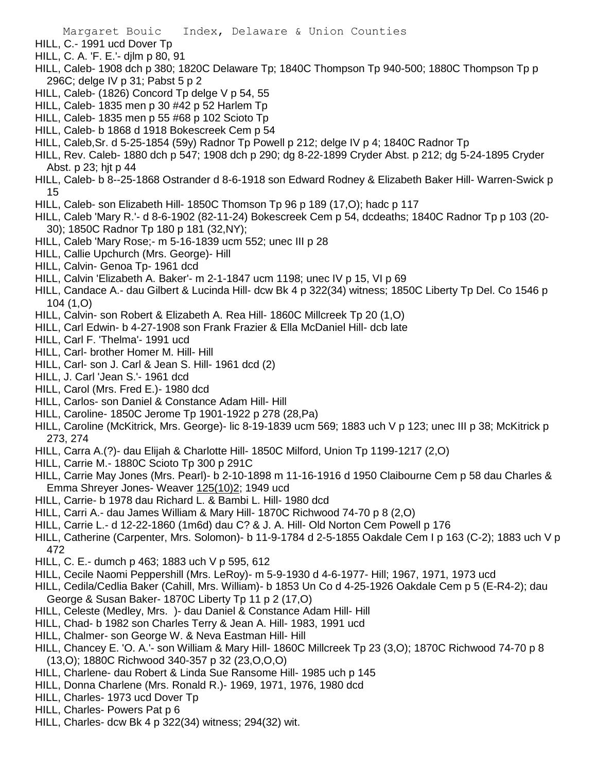- HILL, C.- 1991 ucd Dover Tp
- HILL, C. A. 'F. E.'- djlm p 80, 91
- HILL, Caleb- 1908 dch p 380; 1820C Delaware Tp; 1840C Thompson Tp 940-500; 1880C Thompson Tp p 296C; delge IV p 31; Pabst 5 p 2
- HILL, Caleb- (1826) Concord Tp delge V p 54, 55
- HILL, Caleb- 1835 men p 30 #42 p 52 Harlem Tp
- HILL, Caleb- 1835 men p 55 #68 p 102 Scioto Tp
- HILL, Caleb- b 1868 d 1918 Bokescreek Cem p 54
- HILL, Caleb,Sr. d 5-25-1854 (59y) Radnor Tp Powell p 212; delge IV p 4; 1840C Radnor Tp
- HILL, Rev. Caleb- 1880 dch p 547; 1908 dch p 290; dg 8-22-1899 Cryder Abst. p 212; dg 5-24-1895 Cryder Abst. p 23; hjt p 44
- HILL, Caleb- b 8--25-1868 Ostrander d 8-6-1918 son Edward Rodney & Elizabeth Baker Hill- Warren-Swick p 15
- HILL, Caleb- son Elizabeth Hill- 1850C Thomson Tp 96 p 189 (17,O); hadc p 117
- HILL, Caleb 'Mary R.'- d 8-6-1902 (82-11-24) Bokescreek Cem p 54, dcdeaths; 1840C Radnor Tp p 103 (20- 30); 1850C Radnor Tp 180 p 181 (32,NY);
- HILL, Caleb 'Mary Rose;- m 5-16-1839 ucm 552; unec III p 28
- HILL, Callie Upchurch (Mrs. George)- Hill
- HILL, Calvin- Genoa Tp- 1961 dcd
- HILL, Calvin 'Elizabeth A. Baker'- m 2-1-1847 ucm 1198; unec IV p 15, VI p 69
- HILL, Candace A.- dau Gilbert & Lucinda Hill- dcw Bk 4 p 322(34) witness; 1850C Liberty Tp Del. Co 1546 p 104 (1,O)
- HILL, Calvin- son Robert & Elizabeth A. Rea Hill- 1860C Millcreek Tp 20 (1,O)
- HILL, Carl Edwin- b 4-27-1908 son Frank Frazier & Ella McDaniel Hill- dcb late
- HILL, Carl F. 'Thelma'- 1991 ucd
- HILL, Carl- brother Homer M. Hill- Hill
- HILL, Carl- son J. Carl & Jean S. Hill- 1961 dcd (2)
- HILL, J. Carl 'Jean S.'- 1961 dcd
- HILL, Carol (Mrs. Fred E.)- 1980 dcd
- HILL, Carlos- son Daniel & Constance Adam Hill- Hill
- HILL, Caroline- 1850C Jerome Tp 1901-1922 p 278 (28,Pa)
- HILL, Caroline (McKitrick, Mrs. George)- lic 8-19-1839 ucm 569; 1883 uch V p 123; unec III p 38; McKitrick p 273, 274
- HILL, Carra A.(?)- dau Elijah & Charlotte Hill- 1850C Milford, Union Tp 1199-1217 (2,O)
- HILL, Carrie M.- 1880C Scioto Tp 300 p 291C
- HILL, Carrie May Jones (Mrs. Pearl)- b 2-10-1898 m 11-16-1916 d 1950 Claibourne Cem p 58 dau Charles & Emma Shreyer Jones- Weaver 125(10)2; 1949 ucd
- HILL, Carrie- b 1978 dau Richard L. & Bambi L. Hill- 1980 dcd
- HILL, Carri A.- dau James William & Mary Hill- 1870C Richwood 74-70 p 8 (2,O)
- HILL, Carrie L.- d 12-22-1860 (1m6d) dau C? & J. A. Hill- Old Norton Cem Powell p 176
- HILL, Catherine (Carpenter, Mrs. Solomon)- b 11-9-1784 d 2-5-1855 Oakdale Cem I p 163 (C-2); 1883 uch V p 472
- HILL, C. E.- dumch p 463; 1883 uch V p 595, 612
- HILL, Cecile Naomi Peppershill (Mrs. LeRoy)- m 5-9-1930 d 4-6-1977- Hill; 1967, 1971, 1973 ucd
- HILL, Cedila/Cedlia Baker (Cahill, Mrs. William)- b 1853 Un Co d 4-25-1926 Oakdale Cem p 5 (E-R4-2); dau George & Susan Baker- 1870C Liberty Tp 11 p 2 (17,O)
- HILL, Celeste (Medley, Mrs. )- dau Daniel & Constance Adam Hill- Hill
- HILL, Chad- b 1982 son Charles Terry & Jean A. Hill- 1983, 1991 ucd
- HILL, Chalmer- son George W. & Neva Eastman Hill- Hill
- HILL, Chancey E. 'O. A.'- son William & Mary Hill- 1860C Millcreek Tp 23 (3,O); 1870C Richwood 74-70 p 8 (13,O); 1880C Richwood 340-357 p 32 (23,O,O,O)
- HILL, Charlene- dau Robert & Linda Sue Ransome Hill- 1985 uch p 145
- HILL, Donna Charlene (Mrs. Ronald R.)- 1969, 1971, 1976, 1980 dcd
- HILL, Charles- 1973 ucd Dover Tp
- HILL, Charles- Powers Pat p 6
- HILL, Charles- dcw Bk 4 p 322(34) witness; 294(32) wit.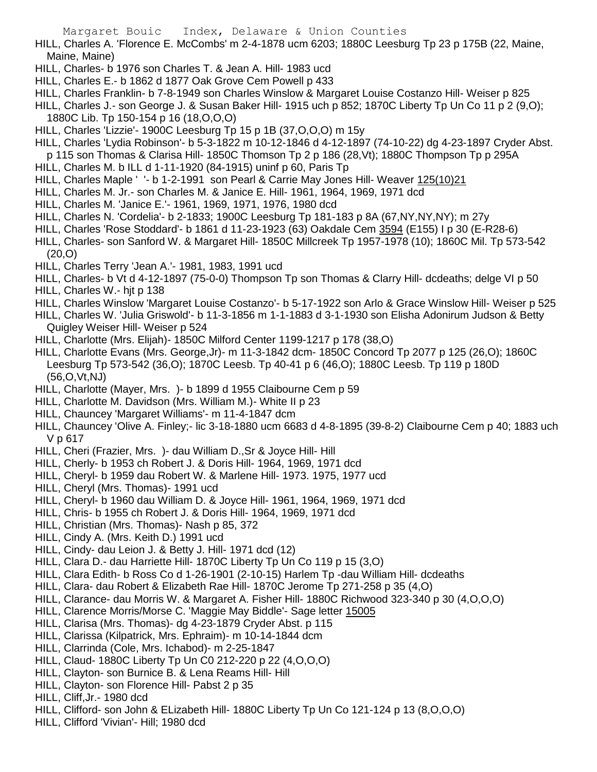HILL, Charles A. 'Florence E. McCombs' m 2-4-1878 ucm 6203; 1880C Leesburg Tp 23 p 175B (22, Maine, Maine, Maine)

- HILL, Charles- b 1976 son Charles T. & Jean A. Hill- 1983 ucd
- HILL, Charles E.- b 1862 d 1877 Oak Grove Cem Powell p 433
- HILL, Charles Franklin- b 7-8-1949 son Charles Winslow & Margaret Louise Costanzo Hill- Weiser p 825
- HILL, Charles J.- son George J. & Susan Baker Hill- 1915 uch p 852; 1870C Liberty Tp Un Co 11 p 2 (9,O); 1880C Lib. Tp 150-154 p 16 (18,O,O,O)
- HILL, Charles 'Lizzie'- 1900C Leesburg Tp 15 p 1B (37,O,O,O) m 15y
- HILL, Charles 'Lydia Robinson'- b 5-3-1822 m 10-12-1846 d 4-12-1897 (74-10-22) dg 4-23-1897 Cryder Abst.
- p 115 son Thomas & Clarisa Hill- 1850C Thomson Tp 2 p 186 (28,Vt); 1880C Thompson Tp p 295A
- HILL, Charles M. b ILL d 1-11-1920 (84-1915) uninf p 60, Paris Tp
- HILL, Charles Maple ' '- b 1-2-1991 son Pearl & Carrie May Jones Hill- Weaver 125(10)21
- HILL, Charles M. Jr.- son Charles M. & Janice E. Hill- 1961, 1964, 1969, 1971 dcd
- HILL, Charles M. 'Janice E.'- 1961, 1969, 1971, 1976, 1980 dcd
- HILL, Charles N. 'Cordelia'- b 2-1833; 1900C Leesburg Tp 181-183 p 8A (67,NY,NY,NY); m 27y
- HILL, Charles 'Rose Stoddard'- b 1861 d 11-23-1923 (63) Oakdale Cem 3594 (E155) I p 30 (E-R28-6)
- HILL, Charles- son Sanford W. & Margaret Hill- 1850C Millcreek Tp 1957-1978 (10); 1860C Mil. Tp 573-542 (20,O)
- HILL, Charles Terry 'Jean A.'- 1981, 1983, 1991 ucd
- HILL, Charles- b Vt d 4-12-1897 (75-0-0) Thompson Tp son Thomas & Clarry Hill- dcdeaths; delge VI p 50
- HILL, Charles W.- hjt p 138
- HILL, Charles Winslow 'Margaret Louise Costanzo'- b 5-17-1922 son Arlo & Grace Winslow Hill- Weiser p 525
- HILL, Charles W. 'Julia Griswold'- b 11-3-1856 m 1-1-1883 d 3-1-1930 son Elisha Adonirum Judson & Betty Quigley Weiser Hill- Weiser p 524
- HILL, Charlotte (Mrs. Elijah)- 1850C Milford Center 1199-1217 p 178 (38,O)
- HILL, Charlotte Evans (Mrs. George,Jr)- m 11-3-1842 dcm- 1850C Concord Tp 2077 p 125 (26,O); 1860C Leesburg Tp 573-542 (36,O); 1870C Leesb. Tp 40-41 p 6 (46,O); 1880C Leesb. Tp 119 p 180D (56,O,Vt,NJ)
- HILL, Charlotte (Mayer, Mrs. )- b 1899 d 1955 Claibourne Cem p 59
- HILL, Charlotte M. Davidson (Mrs. William M.)- White II p 23
- HILL, Chauncey 'Margaret Williams'- m 11-4-1847 dcm
- HILL, Chauncey 'Olive A. Finley;- lic 3-18-1880 ucm 6683 d 4-8-1895 (39-8-2) Claibourne Cem p 40; 1883 uch V p 617
- HILL, Cheri (Frazier, Mrs. )- dau William D.,Sr & Joyce Hill- Hill
- HILL, Cherly- b 1953 ch Robert J. & Doris Hill- 1964, 1969, 1971 dcd
- HILL, Cheryl- b 1959 dau Robert W. & Marlene Hill- 1973. 1975, 1977 ucd
- HILL, Cheryl (Mrs. Thomas)- 1991 ucd
- HILL, Cheryl- b 1960 dau William D. & Joyce Hill- 1961, 1964, 1969, 1971 dcd
- HILL, Chris- b 1955 ch Robert J. & Doris Hill- 1964, 1969, 1971 dcd
- HILL, Christian (Mrs. Thomas)- Nash p 85, 372
- HILL, Cindy A. (Mrs. Keith D.) 1991 ucd
- HILL, Cindy- dau Leion J. & Betty J. Hill- 1971 dcd (12)
- HILL, Clara D.- dau Harriette Hill- 1870C Liberty Tp Un Co 119 p 15 (3,O)
- HILL, Clara Edith- b Ross Co d 1-26-1901 (2-10-15) Harlem Tp -dau William Hill- dcdeaths
- HILL, Clara- dau Robert & Elizabeth Rae Hill- 1870C Jerome Tp 271-258 p 35 (4,O)
- HILL, Clarance- dau Morris W. & Margaret A. Fisher Hill- 1880C Richwood 323-340 p 30 (4,O,O,O)
- HILL, Clarence Morris/Morse C. 'Maggie May Biddle'- Sage letter 15005
- HILL, Clarisa (Mrs. Thomas)- dg 4-23-1879 Cryder Abst. p 115
- HILL, Clarissa (Kilpatrick, Mrs. Ephraim)- m 10-14-1844 dcm
- HILL, Clarrinda (Cole, Mrs. Ichabod)- m 2-25-1847
- HILL, Claud- 1880C Liberty Tp Un C0 212-220 p 22 (4,O,O,O)
- HILL, Clayton- son Burnice B. & Lena Reams Hill- Hill
- HILL, Clayton- son Florence Hill- Pabst 2 p 35
- HILL, Cliff,Jr.- 1980 dcd
- HILL, Clifford- son John & ELizabeth Hill- 1880C Liberty Tp Un Co 121-124 p 13 (8,O,O,O)
- HILL, Clifford 'Vivian'- Hill; 1980 dcd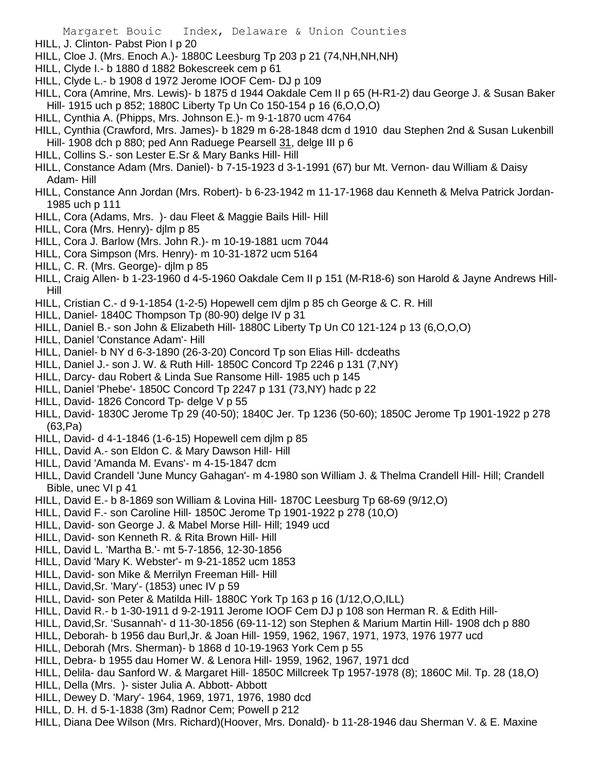- HILL, J. Clinton- Pabst Pion I p 20
- HILL, Cloe J. (Mrs. Enoch A.)- 1880C Leesburg Tp 203 p 21 (74,NH,NH,NH)
- HILL, Clyde I.- b 1880 d 1882 Bokescreek cem p 61
- HILL, Clyde L.- b 1908 d 1972 Jerome IOOF Cem- DJ p 109
- HILL, Cora (Amrine, Mrs. Lewis)- b 1875 d 1944 Oakdale Cem II p 65 (H-R1-2) dau George J. & Susan Baker Hill- 1915 uch p 852; 1880C Liberty Tp Un Co 150-154 p 16 (6,O,O,O)
- HILL, Cynthia A. (Phipps, Mrs. Johnson E.)- m 9-1-1870 ucm 4764
- HILL, Cynthia (Crawford, Mrs. James)- b 1829 m 6-28-1848 dcm d 1910 dau Stephen 2nd & Susan Lukenbill Hill- 1908 dch p 880; ped Ann Raduege Pearsell 31, delge III p 6
- HILL, Collins S.- son Lester E.Sr & Mary Banks Hill- Hill
- HILL, Constance Adam (Mrs. Daniel)- b 7-15-1923 d 3-1-1991 (67) bur Mt. Vernon- dau William & Daisy Adam- Hill
- HILL, Constance Ann Jordan (Mrs. Robert)- b 6-23-1942 m 11-17-1968 dau Kenneth & Melva Patrick Jordan-1985 uch p 111
- HILL, Cora (Adams, Mrs. )- dau Fleet & Maggie Bails Hill- Hill
- HILL, Cora (Mrs. Henry)- djlm p 85
- HILL, Cora J. Barlow (Mrs. John R.)- m 10-19-1881 ucm 7044
- HILL, Cora Simpson (Mrs. Henry)- m 10-31-1872 ucm 5164
- HILL, C. R. (Mrs. George)- djlm p 85
- HILL, Craig Allen- b 1-23-1960 d 4-5-1960 Oakdale Cem II p 151 (M-R18-6) son Harold & Jayne Andrews Hill-Hill
- HILL, Cristian C.- d 9-1-1854 (1-2-5) Hopewell cem djlm p 85 ch George & C. R. Hill
- HILL, Daniel- 1840C Thompson Tp (80-90) delge IV p 31
- HILL, Daniel B.- son John & Elizabeth Hill- 1880C Liberty Tp Un C0 121-124 p 13 (6,O,O,O)
- HILL, Daniel 'Constance Adam'- Hill
- HILL, Daniel- b NY d 6-3-1890 (26-3-20) Concord Tp son Elias Hill- dcdeaths
- HILL, Daniel J.- son J. W. & Ruth Hill- 1850C Concord Tp 2246 p 131 (7,NY)
- HILL, Darcy- dau Robert & Linda Sue Ransome Hill- 1985 uch p 145
- HILL, Daniel 'Phebe'- 1850C Concord Tp 2247 p 131 (73,NY) hadc p 22
- HILL, David- 1826 Concord Tp- delge V p 55
- HILL, David- 1830C Jerome Tp 29 (40-50); 1840C Jer. Tp 1236 (50-60); 1850C Jerome Tp 1901-1922 p 278 (63,Pa)
- HILL, David- d 4-1-1846 (1-6-15) Hopewell cem djlm p 85
- HILL, David A.- son Eldon C. & Mary Dawson Hill- Hill
- HILL, David 'Amanda M. Evans'- m 4-15-1847 dcm
- HILL, David Crandell 'June Muncy Gahagan'- m 4-1980 son William J. & Thelma Crandell Hill- Hill; Crandell Bible, unec VI p 41
- HILL, David E.- b 8-1869 son William & Lovina Hill- 1870C Leesburg Tp 68-69 (9/12,O)
- HILL, David F.- son Caroline Hill- 1850C Jerome Tp 1901-1922 p 278 (10,O)
- HILL, David- son George J. & Mabel Morse Hill- Hill; 1949 ucd
- HILL, David- son Kenneth R. & Rita Brown Hill- Hill
- HILL, David L. 'Martha B.'- mt 5-7-1856, 12-30-1856
- HILL, David 'Mary K. Webster'- m 9-21-1852 ucm 1853
- HILL, David- son Mike & Merrilyn Freeman Hill- Hill
- HILL, David,Sr. 'Mary'- (1853) unec IV p 59
- HILL, David- son Peter & Matilda Hill- 1880C York Tp 163 p 16 (1/12,O,O,ILL)
- HILL, David R.- b 1-30-1911 d 9-2-1911 Jerome IOOF Cem DJ p 108 son Herman R. & Edith Hill-
- HILL, David,Sr. 'Susannah'- d 11-30-1856 (69-11-12) son Stephen & Marium Martin Hill- 1908 dch p 880
- HILL, Deborah- b 1956 dau Burl,Jr. & Joan Hill- 1959, 1962, 1967, 1971, 1973, 1976 1977 ucd
- HILL, Deborah (Mrs. Sherman)- b 1868 d 10-19-1963 York Cem p 55
- HILL, Debra- b 1955 dau Homer W. & Lenora Hill- 1959, 1962, 1967, 1971 dcd
- HILL, Delila- dau Sanford W. & Margaret Hill- 1850C Millcreek Tp 1957-1978 (8); 1860C Mil. Tp. 28 (18,O)
- HILL, Della (Mrs. )- sister Julia A. Abbott- Abbott
- HILL, Dewey D. 'Mary'- 1964, 1969, 1971, 1976, 1980 dcd
- HILL, D. H. d 5-1-1838 (3m) Radnor Cem; Powell p 212
- HILL, Diana Dee Wilson (Mrs. Richard)(Hoover, Mrs. Donald)- b 11-28-1946 dau Sherman V. & E. Maxine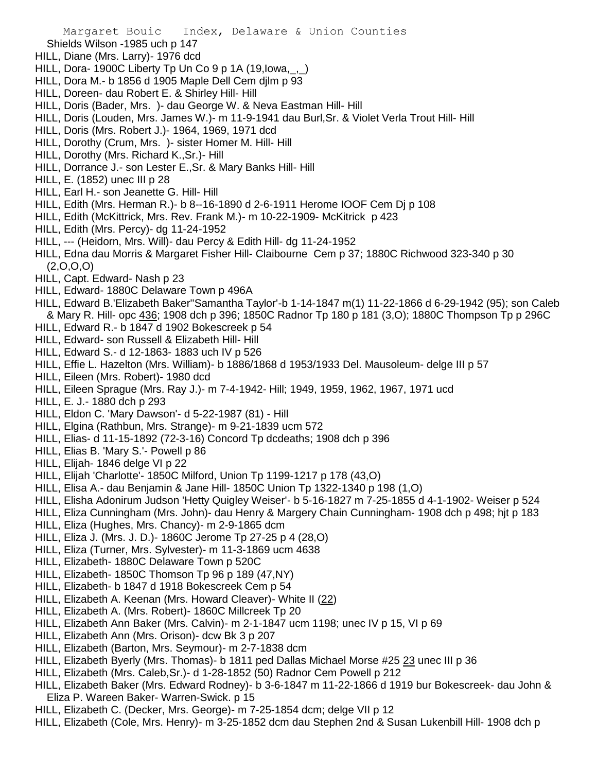- Shields Wilson -1985 uch p 147
- HILL, Diane (Mrs. Larry)- 1976 dcd
- HILL, Dora- 1900C Liberty Tp Un Co 9 p 1A (19, Iowa, ,)
- HILL, Dora M.- b 1856 d 1905 Maple Dell Cem djlm p 93
- HILL, Doreen- dau Robert E. & Shirley Hill- Hill
- HILL, Doris (Bader, Mrs. )- dau George W. & Neva Eastman Hill- Hill
- HILL, Doris (Louden, Mrs. James W.)- m 11-9-1941 dau Burl,Sr. & Violet Verla Trout Hill- Hill
- HILL, Doris (Mrs. Robert J.)- 1964, 1969, 1971 dcd
- HILL, Dorothy (Crum, Mrs. )- sister Homer M. Hill- Hill
- HILL, Dorothy (Mrs. Richard K.,Sr.)- Hill
- HILL, Dorrance J.- son Lester E.,Sr. & Mary Banks Hill- Hill
- HILL, E. (1852) unec III p 28
- HILL, Earl H.- son Jeanette G. Hill- Hill
- HILL, Edith (Mrs. Herman R.)- b 8--16-1890 d 2-6-1911 Herome IOOF Cem Dj p 108
- HILL, Edith (McKittrick, Mrs. Rev. Frank M.)- m 10-22-1909- McKitrick p 423
- HILL, Edith (Mrs. Percy)- dg 11-24-1952
- HILL, --- (Heidorn, Mrs. Will)- dau Percy & Edith Hill- dg 11-24-1952
- HILL, Edna dau Morris & Margaret Fisher Hill- Claibourne Cem p 37; 1880C Richwood 323-340 p 30  $(2,0,0,0)$
- HILL, Capt. Edward- Nash p 23
- HILL, Edward- 1880C Delaware Town p 496A
- HILL, Edward B.'Elizabeth Baker''Samantha Taylor'-b 1-14-1847 m(1) 11-22-1866 d 6-29-1942 (95); son Caleb & Mary R. Hill- opc 436; 1908 dch p 396; 1850C Radnor Tp 180 p 181 (3,O); 1880C Thompson Tp p 296C
- HILL, Edward R.- b 1847 d 1902 Bokescreek p 54
- HILL, Edward- son Russell & Elizabeth Hill- Hill
- HILL, Edward S.- d 12-1863- 1883 uch IV p 526
- HILL, Effie L. Hazelton (Mrs. William)- b 1886/1868 d 1953/1933 Del. Mausoleum- delge III p 57
- HILL, Eileen (Mrs. Robert)- 1980 dcd
- HILL, Eileen Sprague (Mrs. Ray J.)- m 7-4-1942- Hill; 1949, 1959, 1962, 1967, 1971 ucd
- HILL, E. J.- 1880 dch p 293
- HILL, Eldon C. 'Mary Dawson'- d 5-22-1987 (81) Hill
- HILL, Elgina (Rathbun, Mrs. Strange)- m 9-21-1839 ucm 572
- HILL, Elias- d 11-15-1892 (72-3-16) Concord Tp dcdeaths; 1908 dch p 396
- HILL, Elias B. 'Mary S.'- Powell p 86
- HILL, Elijah- 1846 delge VI p 22
- HILL, Elijah 'Charlotte'- 1850C Milford, Union Tp 1199-1217 p 178 (43,O)
- HILL, Elisa A.- dau Benjamin & Jane Hill- 1850C Union Tp 1322-1340 p 198 (1,O)
- HILL, Elisha Adonirum Judson 'Hetty Quigley Weiser'- b 5-16-1827 m 7-25-1855 d 4-1-1902- Weiser p 524
- HILL, Eliza Cunningham (Mrs. John)- dau Henry & Margery Chain Cunningham- 1908 dch p 498; hjt p 183
- HILL, Eliza (Hughes, Mrs. Chancy)- m 2-9-1865 dcm
- HILL, Eliza J. (Mrs. J. D.)- 1860C Jerome Tp 27-25 p 4 (28,O)
- HILL, Eliza (Turner, Mrs. Sylvester)- m 11-3-1869 ucm 4638
- HILL, Elizabeth- 1880C Delaware Town p 520C
- HILL, Elizabeth- 1850C Thomson Tp 96 p 189 (47,NY)
- HILL, Elizabeth- b 1847 d 1918 Bokescreek Cem p 54
- HILL, Elizabeth A. Keenan (Mrs. Howard Cleaver)- White II (22)
- HILL, Elizabeth A. (Mrs. Robert)- 1860C Millcreek Tp 20
- HILL, Elizabeth Ann Baker (Mrs. Calvin)- m 2-1-1847 ucm 1198; unec IV p 15, VI p 69
- HILL, Elizabeth Ann (Mrs. Orison)- dcw Bk 3 p 207
- HILL, Elizabeth (Barton, Mrs. Seymour)- m 2-7-1838 dcm
- HILL, Elizabeth Byerly (Mrs. Thomas)- b 1811 ped Dallas Michael Morse #25 23 unec III p 36
- HILL, Elizabeth (Mrs. Caleb,Sr.)- d 1-28-1852 (50) Radnor Cem Powell p 212
- HILL, Elizabeth Baker (Mrs. Edward Rodney)- b 3-6-1847 m 11-22-1866 d 1919 bur Bokescreek- dau John & Eliza P. Wareen Baker- Warren-Swick. p 15
- HILL, Elizabeth C. (Decker, Mrs. George)- m 7-25-1854 dcm; delge VII p 12
- HILL, Elizabeth (Cole, Mrs. Henry)- m 3-25-1852 dcm dau Stephen 2nd & Susan Lukenbill Hill- 1908 dch p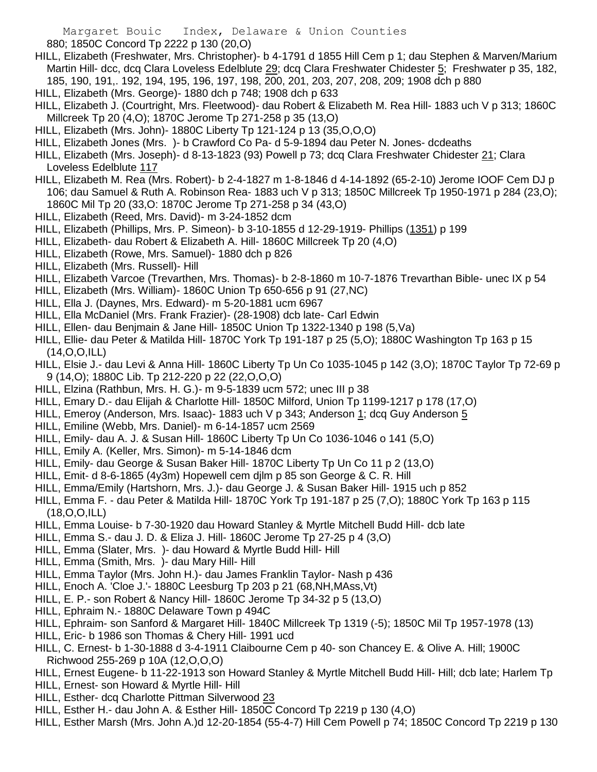880; 1850C Concord Tp 2222 p 130 (20,O)

HILL, Elizabeth (Freshwater, Mrs. Christopher)- b 4-1791 d 1855 Hill Cem p 1; dau Stephen & Marven/Marium Martin Hill- dcc, dcq Clara Loveless Edelblute 29; dcq Clara Freshwater Chidester 5; Freshwater p 35, 182, 185, 190, 191,. 192, 194, 195, 196, 197, 198, 200, 201, 203, 207, 208, 209; 1908 dch p 880

HILL, Elizabeth (Mrs. George)- 1880 dch p 748; 1908 dch p 633

HILL, Elizabeth J. (Courtright, Mrs. Fleetwood)- dau Robert & Elizabeth M. Rea Hill- 1883 uch V p 313; 1860C Millcreek Tp 20 (4,O); 1870C Jerome Tp 271-258 p 35 (13,O)

- HILL, Elizabeth (Mrs. John)- 1880C Liberty Tp 121-124 p 13 (35,O,O,O)
- HILL, Elizabeth Jones (Mrs. )- b Crawford Co Pa- d 5-9-1894 dau Peter N. Jones- dcdeaths
- HILL, Elizabeth (Mrs. Joseph)- d 8-13-1823 (93) Powell p 73; dcq Clara Freshwater Chidester 21; Clara Loveless Edelblute 117
- HILL, Elizabeth M. Rea (Mrs. Robert)- b 2-4-1827 m 1-8-1846 d 4-14-1892 (65-2-10) Jerome IOOF Cem DJ p 106; dau Samuel & Ruth A. Robinson Rea- 1883 uch V p 313; 1850C Millcreek Tp 1950-1971 p 284 (23,O); 1860C Mil Tp 20 (33,O: 1870C Jerome Tp 271-258 p 34 (43,O)
- HILL, Elizabeth (Reed, Mrs. David)- m 3-24-1852 dcm
- HILL, Elizabeth (Phillips, Mrs. P. Simeon)- b 3-10-1855 d 12-29-1919- Phillips (1351) p 199
- HILL, Elizabeth- dau Robert & Elizabeth A. Hill- 1860C Millcreek Tp 20 (4,O)
- HILL, Elizabeth (Rowe, Mrs. Samuel)- 1880 dch p 826
- HILL, Elizabeth (Mrs. Russell)- Hill
- HILL, Elizabeth Varcoe (Trevarthen, Mrs. Thomas)- b 2-8-1860 m 10-7-1876 Trevarthan Bible- unec IX p 54
- HILL, Elizabeth (Mrs. William)- 1860C Union Tp 650-656 p 91 (27,NC)
- HILL, Ella J. (Daynes, Mrs. Edward)- m 5-20-1881 ucm 6967
- HILL, Ella McDaniel (Mrs. Frank Frazier)- (28-1908) dcb late- Carl Edwin
- HILL, Ellen- dau Benjmain & Jane Hill- 1850C Union Tp 1322-1340 p 198 (5,Va)
- HILL, Ellie- dau Peter & Matilda Hill- 1870C York Tp 191-187 p 25 (5,O); 1880C Washington Tp 163 p 15 (14,O,O,ILL)
- HILL, Elsie J.- dau Levi & Anna Hill- 1860C Liberty Tp Un Co 1035-1045 p 142 (3,O); 1870C Taylor Tp 72-69 p 9 (14,O); 1880C Lib. Tp 212-220 p 22 (22,O,O,O)
- HILL, Elzina (Rathbun, Mrs. H. G.)- m 9-5-1839 ucm 572; unec III p 38
- HILL, Emary D.- dau Elijah & Charlotte Hill- 1850C Milford, Union Tp 1199-1217 p 178 (17,O)
- HILL, Emeroy (Anderson, Mrs. Isaac)- 1883 uch V p 343; Anderson 1; dcq Guy Anderson 5
- HILL, Emiline (Webb, Mrs. Daniel)- m 6-14-1857 ucm 2569
- HILL, Emily- dau A. J. & Susan Hill- 1860C Liberty Tp Un Co 1036-1046 o 141 (5,O)
- HILL, Emily A. (Keller, Mrs. Simon)- m 5-14-1846 dcm
- HILL, Emily- dau George & Susan Baker Hill- 1870C Liberty Tp Un Co 11 p 2 (13,O)
- HILL, Emit- d 8-6-1865 (4y3m) Hopewell cem djlm p 85 son George & C. R. Hill
- HILL, Emma/Emily (Hartshorn, Mrs. J.)- dau George J. & Susan Baker Hill- 1915 uch p 852
- HILL, Emma F. dau Peter & Matilda Hill- 1870C York Tp 191-187 p 25 (7,O); 1880C York Tp 163 p 115 (18,O,O,ILL)
- HILL, Emma Louise- b 7-30-1920 dau Howard Stanley & Myrtle Mitchell Budd Hill- dcb late
- HILL, Emma S.- dau J. D. & Eliza J. Hill- 1860C Jerome Tp 27-25 p 4 (3,O)
- HILL, Emma (Slater, Mrs. )- dau Howard & Myrtle Budd Hill- Hill
- HILL, Emma (Smith, Mrs. )- dau Mary Hill- Hill
- HILL, Emma Taylor (Mrs. John H.)- dau James Franklin Taylor- Nash p 436
- HILL, Enoch A. 'Cloe J.'- 1880C Leesburg Tp 203 p 21 (68,NH,MAss,Vt)
- HILL, E. P.- son Robert & Nancy Hill- 1860C Jerome Tp 34-32 p 5 (13,O)
- HILL, Ephraim N.- 1880C Delaware Town p 494C
- HILL, Ephraim- son Sanford & Margaret Hill- 1840C Millcreek Tp 1319 (-5); 1850C Mil Tp 1957-1978 (13)
- HILL, Eric- b 1986 son Thomas & Chery Hill- 1991 ucd
- HILL, C. Ernest- b 1-30-1888 d 3-4-1911 Claibourne Cem p 40- son Chancey E. & Olive A. Hill; 1900C Richwood 255-269 p 10A (12,O,O,O)
- HILL, Ernest Eugene- b 11-22-1913 son Howard Stanley & Myrtle Mitchell Budd Hill- Hill; dcb late; Harlem Tp
- HILL, Ernest- son Howard & Myrtle Hill- Hill
- HILL, Esther- dcq Charlotte Pittman Silverwood 23
- HILL, Esther H.- dau John A. & Esther Hill- 1850C Concord Tp 2219 p 130 (4,O)
- HILL, Esther Marsh (Mrs. John A.)d 12-20-1854 (55-4-7) Hill Cem Powell p 74; 1850C Concord Tp 2219 p 130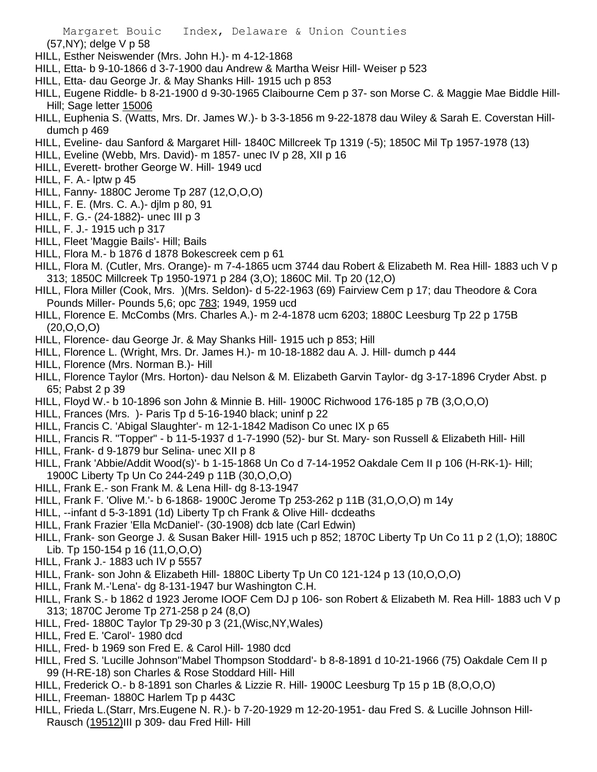(57,NY); delge V p 58

- HILL, Esther Neiswender (Mrs. John H.)- m 4-12-1868
- HILL, Etta- b 9-10-1866 d 3-7-1900 dau Andrew & Martha Weisr Hill- Weiser p 523
- HILL, Etta- dau George Jr. & May Shanks Hill- 1915 uch p 853
- HILL, Eugene Riddle- b 8-21-1900 d 9-30-1965 Claibourne Cem p 37- son Morse C. & Maggie Mae Biddle Hill-Hill; Sage letter 15006
- HILL, Euphenia S. (Watts, Mrs. Dr. James W.)- b 3-3-1856 m 9-22-1878 dau Wiley & Sarah E. Coverstan Hilldumch p 469
- HILL, Eveline- dau Sanford & Margaret Hill- 1840C Millcreek Tp 1319 (-5); 1850C Mil Tp 1957-1978 (13)
- HILL, Eveline (Webb, Mrs. David)- m 1857- unec IV p 28, XII p 16
- HILL, Everett- brother George W. Hill- 1949 ucd
- HILL, F. A.- lptw p 45
- HILL, Fanny- 1880C Jerome Tp 287 (12,O,O,O)
- HILL, F. E. (Mrs. C. A.)- djlm p 80, 91
- HILL, F. G.- (24-1882)- unec III p 3
- HILL, F. J.- 1915 uch p 317
- HILL, Fleet 'Maggie Bails'- Hill; Bails
- HILL, Flora M.- b 1876 d 1878 Bokescreek cem p 61
- HILL, Flora M. (Cutler, Mrs. Orange)- m 7-4-1865 ucm 3744 dau Robert & Elizabeth M. Rea Hill- 1883 uch V p 313; 1850C Millcreek Tp 1950-1971 p 284 (3,O); 1860C Mil. Tp 20 (12,O)
- HILL, Flora Miller (Cook, Mrs. )(Mrs. Seldon)- d 5-22-1963 (69) Fairview Cem p 17; dau Theodore & Cora Pounds Miller- Pounds 5,6; opc 783; 1949, 1959 ucd
- HILL, Florence E. McCombs (Mrs. Charles A.)- m 2-4-1878 ucm 6203; 1880C Leesburg Tp 22 p 175B (20,O,O,O)
- HILL, Florence- dau George Jr. & May Shanks Hill- 1915 uch p 853; Hill
- HILL, Florence L. (Wright, Mrs. Dr. James H.)- m 10-18-1882 dau A. J. Hill- dumch p 444
- HILL, Florence (Mrs. Norman B.)- Hill
- HILL, Florence Taylor (Mrs. Horton)- dau Nelson & M. Elizabeth Garvin Taylor- dg 3-17-1896 Cryder Abst. p 65; Pabst 2 p 39
- HILL, Floyd W.- b 10-1896 son John & Minnie B. Hill- 1900C Richwood 176-185 p 7B (3,O,O,O)
- HILL, Frances (Mrs. )- Paris Tp d 5-16-1940 black; uninf p 22
- HILL, Francis C. 'Abigal Slaughter'- m 12-1-1842 Madison Co unec IX p 65
- HILL, Francis R. "Topper" b 11-5-1937 d 1-7-1990 (52)- bur St. Mary- son Russell & Elizabeth Hill- Hill
- HILL, Frank- d 9-1879 bur Selina- unec XII p 8
- HILL, Frank 'Abbie/Addit Wood(s)'- b 1-15-1868 Un Co d 7-14-1952 Oakdale Cem II p 106 (H-RK-1)- Hill; 1900C Liberty Tp Un Co 244-249 p 11B (30,O,O,O)
- HILL, Frank E.- son Frank M. & Lena Hill- dg 8-13-1947
- HILL, Frank F. 'Olive M.'- b 6-1868- 1900C Jerome Tp 253-262 p 11B (31,O,O,O) m 14y
- HILL, --infant d 5-3-1891 (1d) Liberty Tp ch Frank & Olive Hill- dcdeaths
- HILL, Frank Frazier 'Ella McDaniel'- (30-1908) dcb late (Carl Edwin)
- HILL, Frank- son George J. & Susan Baker Hill- 1915 uch p 852; 1870C Liberty Tp Un Co 11 p 2 (1,O); 1880C Lib. Tp 150-154 p 16 (11,O,O,O)
- HILL, Frank J.- 1883 uch IV p 5557
- HILL, Frank- son John & Elizabeth Hill- 1880C Liberty Tp Un C0 121-124 p 13 (10,O,O,O)
- HILL, Frank M.-'Lena'- dg 8-131-1947 bur Washington C.H.
- HILL, Frank S.- b 1862 d 1923 Jerome IOOF Cem DJ p 106- son Robert & Elizabeth M. Rea Hill- 1883 uch V p 313; 1870C Jerome Tp 271-258 p 24 (8,O)
- HILL, Fred- 1880C Taylor Tp 29-30 p 3 (21,(Wisc,NY,Wales)
- HILL, Fred E. 'Carol'- 1980 dcd
- HILL, Fred- b 1969 son Fred E. & Carol Hill- 1980 dcd
- HILL, Fred S. 'Lucille Johnson''Mabel Thompson Stoddard'- b 8-8-1891 d 10-21-1966 (75) Oakdale Cem II p 99 (H-RE-18) son Charles & Rose Stoddard Hill- Hill
- HILL, Frederick O.- b 8-1891 son Charles & Lizzie R. Hill- 1900C Leesburg Tp 15 p 1B (8,O,O,O)
- HILL, Freeman- 1880C Harlem Tp p 443C
- HILL, Frieda L.(Starr, Mrs.Eugene N. R.)- b 7-20-1929 m 12-20-1951- dau Fred S. & Lucille Johnson Hill-Rausch (19512)III p 309- dau Fred Hill- Hill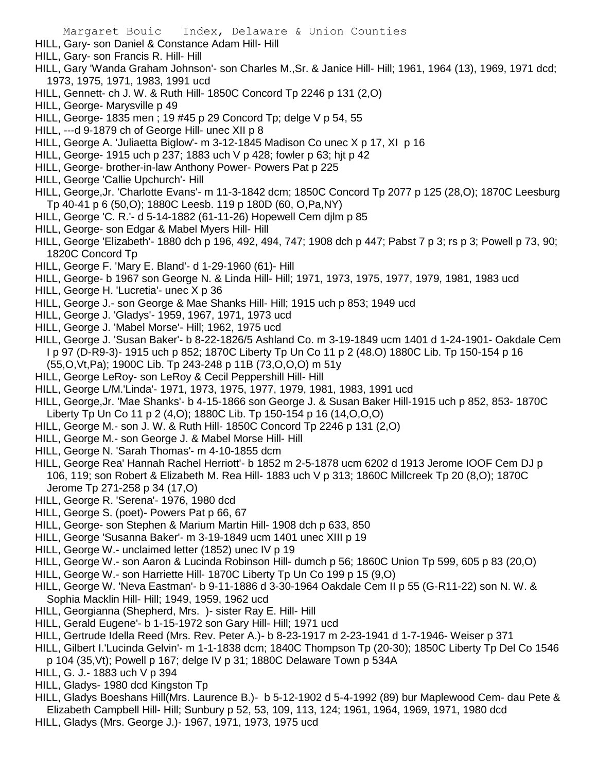- HILL, Gary- son Daniel & Constance Adam Hill- Hill
- HILL, Gary- son Francis R. Hill- Hill
- HILL, Gary 'Wanda Graham Johnson'- son Charles M.,Sr. & Janice Hill- Hill; 1961, 1964 (13), 1969, 1971 dcd; 1973, 1975, 1971, 1983, 1991 ucd
- HILL, Gennett- ch J. W. & Ruth Hill- 1850C Concord Tp 2246 p 131 (2,O)
- HILL, George- Marysville p 49
- HILL, George- 1835 men ; 19 #45 p 29 Concord Tp; delge V p 54, 55
- HILL, ---d 9-1879 ch of George Hill- unec XII p 8
- HILL, George A. 'Juliaetta Biglow'- m 3-12-1845 Madison Co unec X p 17, XI p 16
- HILL, George- 1915 uch p 237; 1883 uch V p 428; fowler p 63; hjt p 42
- HILL, George- brother-in-law Anthony Power- Powers Pat p 225
- HILL, George 'Callie Upchurch'- Hill
- HILL, George,Jr. 'Charlotte Evans'- m 11-3-1842 dcm; 1850C Concord Tp 2077 p 125 (28,O); 1870C Leesburg Tp 40-41 p 6 (50,O); 1880C Leesb. 119 p 180D (60, O,Pa,NY)
- HILL, George 'C. R.'- d 5-14-1882 (61-11-26) Hopewell Cem djlm p 85
- HILL, George- son Edgar & Mabel Myers Hill- Hill
- HILL, George 'Elizabeth'- 1880 dch p 196, 492, 494, 747; 1908 dch p 447; Pabst 7 p 3; rs p 3; Powell p 73, 90; 1820C Concord Tp
- HILL, George F. 'Mary E. Bland'- d 1-29-1960 (61)- Hill
- HILL, George- b 1967 son George N. & Linda Hill- Hill; 1971, 1973, 1975, 1977, 1979, 1981, 1983 ucd
- HILL, George H. 'Lucretia'- unec X p 36
- HILL, George J.- son George & Mae Shanks Hill- Hill; 1915 uch p 853; 1949 ucd
- HILL, George J. 'Gladys'- 1959, 1967, 1971, 1973 ucd
- HILL, George J. 'Mabel Morse'- Hill; 1962, 1975 ucd
- HILL, George J. 'Susan Baker'- b 8-22-1826/5 Ashland Co. m 3-19-1849 ucm 1401 d 1-24-1901- Oakdale Cem I p 97 (D-R9-3)- 1915 uch p 852; 1870C Liberty Tp Un Co 11 p 2 (48.O) 1880C Lib. Tp 150-154 p 16 (55,O,Vt,Pa); 1900C Lib. Tp 243-248 p 11B (73,O,O,O) m 51y
- HILL, George LeRoy- son LeRoy & Cecil Peppershill Hill- Hill
- HILL, George L/M.'Linda'- 1971, 1973, 1975, 1977, 1979, 1981, 1983, 1991 ucd
- HILL, George,Jr. 'Mae Shanks'- b 4-15-1866 son George J. & Susan Baker Hill-1915 uch p 852, 853- 1870C Liberty Tp Un Co 11 p 2 (4,O); 1880C Lib. Tp 150-154 p 16 (14,O,O,O)
- HILL, George M.- son J. W. & Ruth Hill- 1850C Concord Tp 2246 p 131 (2,O)
- HILL, George M.- son George J. & Mabel Morse Hill- Hill
- HILL, George N. 'Sarah Thomas'- m 4-10-1855 dcm
- HILL, George Rea' Hannah Rachel Herriott'- b 1852 m 2-5-1878 ucm 6202 d 1913 Jerome IOOF Cem DJ p 106, 119; son Robert & Elizabeth M. Rea Hill- 1883 uch V p 313; 1860C Millcreek Tp 20 (8,O); 1870C Jerome Tp 271-258 p 34 (17,O)
- HILL, George R. 'Serena'- 1976, 1980 dcd
- HILL, George S. (poet)- Powers Pat p 66, 67
- HILL, George- son Stephen & Marium Martin Hill- 1908 dch p 633, 850
- HILL, George 'Susanna Baker'- m 3-19-1849 ucm 1401 unec XIII p 19
- HILL, George W.- unclaimed letter (1852) unec IV p 19
- HILL, George W.- son Aaron & Lucinda Robinson Hill- dumch p 56; 1860C Union Tp 599, 605 p 83 (20,O)
- HILL, George W.- son Harriette Hill- 1870C Liberty Tp Un Co 199 p 15 (9,O)
- HILL, George W. 'Neva Eastman'- b 9-11-1886 d 3-30-1964 Oakdale Cem II p 55 (G-R11-22) son N. W. & Sophia Macklin Hill- Hill; 1949, 1959, 1962 ucd
- HILL, Georgianna (Shepherd, Mrs. )- sister Ray E. Hill- Hill
- HILL, Gerald Eugene'- b 1-15-1972 son Gary Hill- Hill; 1971 ucd
- HILL, Gertrude Idella Reed (Mrs. Rev. Peter A.)- b 8-23-1917 m 2-23-1941 d 1-7-1946- Weiser p 371
- HILL, Gilbert I.'Lucinda Gelvin'- m 1-1-1838 dcm; 1840C Thompson Tp (20-30); 1850C Liberty Tp Del Co 1546
- p 104 (35,Vt); Powell p 167; delge IV p 31; 1880C Delaware Town p 534A
- HILL, G. J.- 1883 uch V p 394
- HILL, Gladys- 1980 dcd Kingston Tp
- HILL, Gladys Boeshans Hill(Mrs. Laurence B.)- b 5-12-1902 d 5-4-1992 (89) bur Maplewood Cem- dau Pete & Elizabeth Campbell Hill- Hill; Sunbury p 52, 53, 109, 113, 124; 1961, 1964, 1969, 1971, 1980 dcd
- HILL, Gladys (Mrs. George J.)- 1967, 1971, 1973, 1975 ucd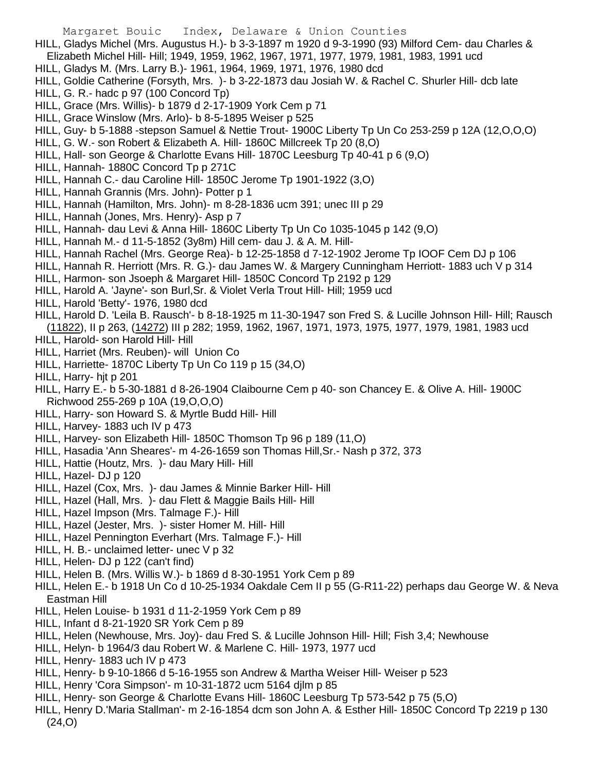- HILL, Gladys Michel (Mrs. Augustus H.)- b 3-3-1897 m 1920 d 9-3-1990 (93) Milford Cem- dau Charles & Elizabeth Michel Hill- Hill; 1949, 1959, 1962, 1967, 1971, 1977, 1979, 1981, 1983, 1991 ucd
- HILL, Gladys M. (Mrs. Larry B.)- 1961, 1964, 1969, 1971, 1976, 1980 dcd
- HILL, Goldie Catherine (Forsyth, Mrs. )- b 3-22-1873 dau Josiah W. & Rachel C. Shurler Hill- dcb late
- HILL, G. R.- hadc p 97 (100 Concord Tp)
- HILL, Grace (Mrs. Willis)- b 1879 d 2-17-1909 York Cem p 71
- HILL, Grace Winslow (Mrs. Arlo)- b 8-5-1895 Weiser p 525
- HILL, Guy- b 5-1888 -stepson Samuel & Nettie Trout- 1900C Liberty Tp Un Co 253-259 p 12A (12,O,O,O)
- HILL, G. W.- son Robert & Elizabeth A. Hill- 1860C Millcreek Tp 20 (8,O)
- HILL, Hall- son George & Charlotte Evans Hill- 1870C Leesburg Tp 40-41 p 6 (9,O)
- HILL, Hannah- 1880C Concord Tp p 271C
- HILL, Hannah C.- dau Caroline Hill- 1850C Jerome Tp 1901-1922 (3,O)
- HILL, Hannah Grannis (Mrs. John)- Potter p 1
- HILL, Hannah (Hamilton, Mrs. John)- m 8-28-1836 ucm 391; unec III p 29
- HILL, Hannah (Jones, Mrs. Henry)- Asp p 7
- HILL, Hannah- dau Levi & Anna Hill- 1860C Liberty Tp Un Co 1035-1045 p 142 (9,O)
- HILL, Hannah M.- d 11-5-1852 (3y8m) Hill cem- dau J. & A. M. Hill-
- HILL, Hannah Rachel (Mrs. George Rea)- b 12-25-1858 d 7-12-1902 Jerome Tp IOOF Cem DJ p 106
- HILL, Hannah R. Herriott (Mrs. R. G.)- dau James W. & Margery Cunningham Herriott- 1883 uch V p 314
- HILL, Harmon- son Jsoeph & Margaret Hill- 1850C Concord Tp 2192 p 129
- HILL, Harold A. 'Jayne'- son Burl,Sr. & Violet Verla Trout Hill- Hill; 1959 ucd
- HILL, Harold 'Betty'- 1976, 1980 dcd
- HILL, Harold D. 'Leila B. Rausch'- b 8-18-1925 m 11-30-1947 son Fred S. & Lucille Johnson Hill- Hill; Rausch
- (11822), II p 263, (14272) III p 282; 1959, 1962, 1967, 1971, 1973, 1975, 1977, 1979, 1981, 1983 ucd
- HILL, Harold- son Harold Hill- Hill
- HILL, Harriet (Mrs. Reuben)- will Union Co
- HILL, Harriette- 1870C Liberty Tp Un Co 119 p 15 (34,O)
- HILL, Harry- hjt p 201
- HILL, Harry E.- b 5-30-1881 d 8-26-1904 Claibourne Cem p 40- son Chancey E. & Olive A. Hill- 1900C Richwood 255-269 p 10A (19,O,O,O)
- HILL, Harry- son Howard S. & Myrtle Budd Hill- Hill
- HILL, Harvey- 1883 uch IV p 473
- HILL, Harvey- son Elizabeth Hill- 1850C Thomson Tp 96 p 189 (11,O)
- HILL, Hasadia 'Ann Sheares'- m 4-26-1659 son Thomas Hill,Sr.- Nash p 372, 373
- HILL, Hattie (Houtz, Mrs. )- dau Mary Hill- Hill
- HILL, Hazel- DJ p 120
- HILL, Hazel (Cox, Mrs. )- dau James & Minnie Barker Hill- Hill
- HILL, Hazel (Hall, Mrs. )- dau Flett & Maggie Bails Hill- Hill
- HILL, Hazel Impson (Mrs. Talmage F.)- Hill
- HILL, Hazel (Jester, Mrs. )- sister Homer M. Hill- Hill
- HILL, Hazel Pennington Everhart (Mrs. Talmage F.)- Hill
- HILL, H. B.- unclaimed letter- unec V p 32
- HILL, Helen- DJ p 122 (can't find)
- HILL, Helen B. (Mrs. Willis W.)- b 1869 d 8-30-1951 York Cem p 89
- HILL, Helen E.- b 1918 Un Co d 10-25-1934 Oakdale Cem II p 55 (G-R11-22) perhaps dau George W. & Neva Eastman Hill
- HILL, Helen Louise- b 1931 d 11-2-1959 York Cem p 89
- HILL, Infant d 8-21-1920 SR York Cem p 89
- HILL, Helen (Newhouse, Mrs. Joy)- dau Fred S. & Lucille Johnson Hill- Hill; Fish 3,4; Newhouse
- HILL, Helyn- b 1964/3 dau Robert W. & Marlene C. Hill- 1973, 1977 ucd
- HILL, Henry- 1883 uch IV p 473
- HILL, Henry- b 9-10-1866 d 5-16-1955 son Andrew & Martha Weiser Hill- Weiser p 523
- HILL, Henry 'Cora Simpson'- m 10-31-1872 ucm 5164 djlm p 85
- HILL, Henry- son George & Charlotte Evans Hill- 1860C Leesburg Tp 573-542 p 75 (5,O)
- HILL, Henry D.'Maria Stallman'- m 2-16-1854 dcm son John A. & Esther Hill- 1850C Concord Tp 2219 p 130 (24,O)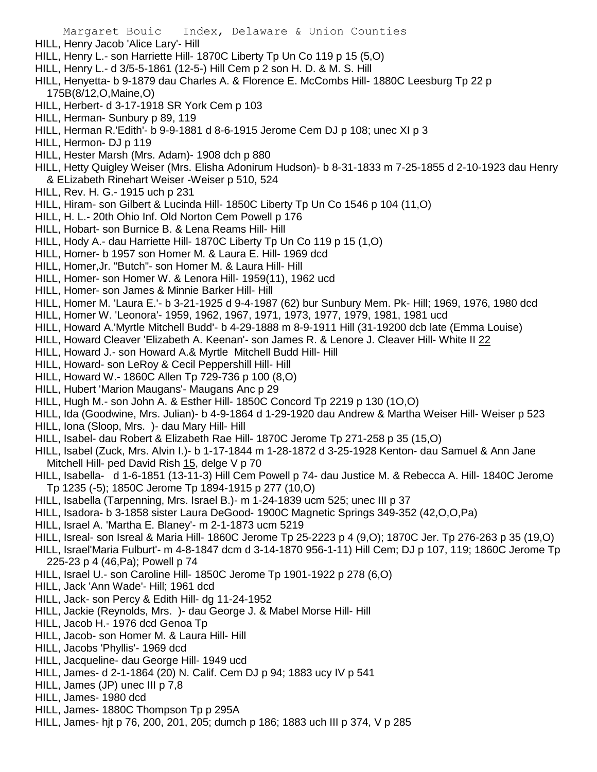- Margaret Bouic Index, Delaware & Union Counties HILL, Henry Jacob 'Alice Lary'- Hill HILL, Henry L.- son Harriette Hill- 1870C Liberty Tp Un Co 119 p 15 (5,O) HILL, Henry L.- d 3/5-5-1861 (12-5-) Hill Cem p 2 son H. D. & M. S. Hill HILL, Henyetta- b 9-1879 dau Charles A. & Florence E. McCombs Hill- 1880C Leesburg Tp 22 p 175B(8/12,O,Maine,O) HILL, Herbert- d 3-17-1918 SR York Cem p 103 HILL, Herman- Sunbury p 89, 119 HILL, Herman R.'Edith'- b 9-9-1881 d 8-6-1915 Jerome Cem DJ p 108; unec XI p 3 HILL, Hermon- DJ p 119 HILL, Hester Marsh (Mrs. Adam)- 1908 dch p 880 HILL, Hetty Quigley Weiser (Mrs. Elisha Adonirum Hudson)- b 8-31-1833 m 7-25-1855 d 2-10-1923 dau Henry & ELizabeth Rinehart Weiser -Weiser p 510, 524 HILL, Rev. H. G.- 1915 uch p 231 HILL, Hiram- son Gilbert & Lucinda Hill- 1850C Liberty Tp Un Co 1546 p 104 (11,O) HILL, H. L.- 20th Ohio Inf. Old Norton Cem Powell p 176 HILL, Hobart- son Burnice B. & Lena Reams Hill- Hill HILL, Hody A.- dau Harriette Hill- 1870C Liberty Tp Un Co 119 p 15 (1,O) HILL, Homer- b 1957 son Homer M. & Laura E. Hill- 1969 dcd HILL, Homer,Jr. "Butch"- son Homer M. & Laura Hill- Hill HILL, Homer- son Homer W. & Lenora Hill- 1959(11), 1962 ucd HILL, Homer- son James & Minnie Barker Hill- Hill HILL, Homer M. 'Laura E.'- b 3-21-1925 d 9-4-1987 (62) bur Sunbury Mem. Pk- Hill; 1969, 1976, 1980 dcd HILL, Homer W. 'Leonora'- 1959, 1962, 1967, 1971, 1973, 1977, 1979, 1981, 1981 ucd HILL, Howard A.'Myrtle Mitchell Budd'- b 4-29-1888 m 8-9-1911 Hill (31-19200 dcb late (Emma Louise) HILL, Howard Cleaver 'Elizabeth A. Keenan'- son James R. & Lenore J. Cleaver Hill- White II 22 HILL, Howard J.- son Howard A.& Myrtle Mitchell Budd Hill- Hill HILL, Howard- son LeRoy & Cecil Peppershill Hill- Hill HILL, Howard W.- 1860C Allen Tp 729-736 p 100 (8,O) HILL, Hubert 'Marion Maugans'- Maugans Anc p 29 HILL, Hugh M.- son John A. & Esther Hill- 1850C Concord Tp 2219 p 130 (1O,O) HILL, Ida (Goodwine, Mrs. Julian)- b 4-9-1864 d 1-29-1920 dau Andrew & Martha Weiser Hill- Weiser p 523 HILL, Iona (Sloop, Mrs. )- dau Mary Hill- Hill HILL, Isabel- dau Robert & Elizabeth Rae Hill- 1870C Jerome Tp 271-258 p 35 (15,O) HILL, Isabel (Zuck, Mrs. Alvin I.)- b 1-17-1844 m 1-28-1872 d 3-25-1928 Kenton- dau Samuel & Ann Jane Mitchell Hill- ped David Rish 15, delge V p 70 HILL, Isabella- d 1-6-1851 (13-11-3) Hill Cem Powell p 74- dau Justice M. & Rebecca A. Hill- 1840C Jerome Tp 1235 (-5); 1850C Jerome Tp 1894-1915 p 277 (10,O) HILL, Isabella (Tarpenning, Mrs. Israel B.)- m 1-24-1839 ucm 525; unec III p 37 HILL, Isadora- b 3-1858 sister Laura DeGood- 1900C Magnetic Springs 349-352 (42,O,O,Pa) HILL, Israel A. 'Martha E. Blaney'- m 2-1-1873 ucm 5219 HILL, Isreal- son Isreal & Maria Hill- 1860C Jerome Tp 25-2223 p 4 (9,O); 1870C Jer. Tp 276-263 p 35 (19,O) HILL, Israel'Maria Fulburt'- m 4-8-1847 dcm d 3-14-1870 956-1-11) Hill Cem; DJ p 107, 119; 1860C Jerome Tp 225-23 p 4 (46,Pa); Powell p 74 HILL, Israel U.- son Caroline Hill- 1850C Jerome Tp 1901-1922 p 278 (6,O) HILL, Jack 'Ann Wade'- Hill; 1961 dcd HILL, Jack- son Percy & Edith Hill- dg 11-24-1952 HILL, Jackie (Reynolds, Mrs. )- dau George J. & Mabel Morse Hill- Hill HILL, Jacob H.- 1976 dcd Genoa Tp HILL, Jacob- son Homer M. & Laura Hill- Hill HILL, Jacobs 'Phyllis'- 1969 dcd HILL, Jacqueline- dau George Hill- 1949 ucd HILL, James- d 2-1-1864 (20) N. Calif. Cem DJ p 94; 1883 ucy IV p 541 HILL, James (JP) unec III p 7,8
- HILL, James- 1980 dcd
- HILL, James- 1880C Thompson Tp p 295A
- HILL, James- hjt p 76, 200, 201, 205; dumch p 186; 1883 uch III p 374, V p 285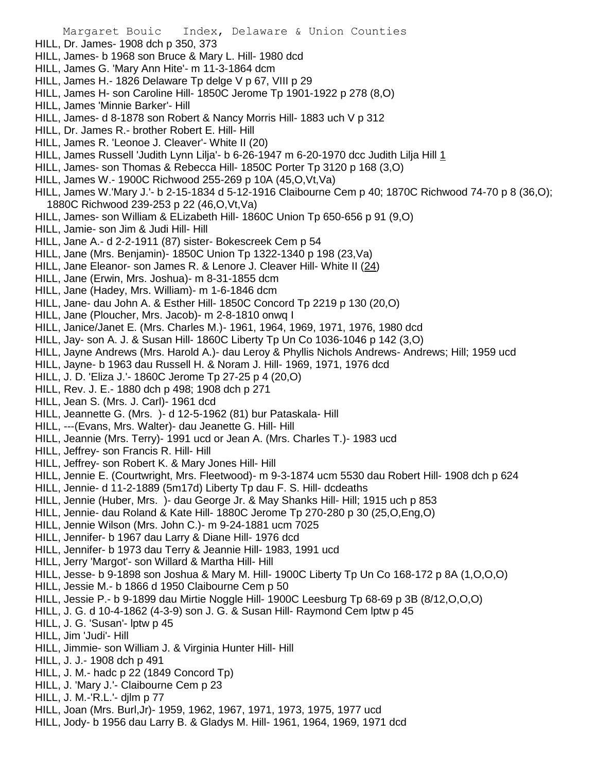Margaret Bouic Index, Delaware & Union Counties HILL, Dr. James- 1908 dch p 350, 373 HILL, James- b 1968 son Bruce & Mary L. Hill- 1980 dcd HILL, James G. 'Mary Ann Hite'- m 11-3-1864 dcm HILL, James H.- 1826 Delaware Tp delge V p 67, VIII p 29 HILL, James H- son Caroline Hill- 1850C Jerome Tp 1901-1922 p 278 (8,O) HILL, James 'Minnie Barker'- Hill HILL, James- d 8-1878 son Robert & Nancy Morris Hill- 1883 uch V p 312 HILL, Dr. James R.- brother Robert E. Hill- Hill HILL, James R. 'Leonoe J. Cleaver'- White II (20) HILL, James Russell 'Judith Lynn Lilja'- b 6-26-1947 m 6-20-1970 dcc Judith Lilja Hill 1 HILL, James- son Thomas & Rebecca Hill- 1850C Porter Tp 3120 p 168 (3,O) HILL, James W.- 1900C Richwood 255-269 p 10A (45,O,Vt,Va) HILL, James W.'Mary J.'- b 2-15-1834 d 5-12-1916 Claibourne Cem p 40; 1870C Richwood 74-70 p 8 (36,O); 1880C Richwood 239-253 p 22 (46,O,Vt,Va) HILL, James- son William & ELizabeth Hill- 1860C Union Tp 650-656 p 91 (9,O) HILL, Jamie- son Jim & Judi Hill- Hill HILL, Jane A.- d 2-2-1911 (87) sister- Bokescreek Cem p 54 HILL, Jane (Mrs. Benjamin)- 1850C Union Tp 1322-1340 p 198 (23,Va) HILL, Jane Eleanor- son James R. & Lenore J. Cleaver Hill- White II (24) HILL, Jane (Erwin, Mrs. Joshua)- m 8-31-1855 dcm HILL, Jane (Hadey, Mrs. William)- m 1-6-1846 dcm HILL, Jane- dau John A. & Esther Hill- 1850C Concord Tp 2219 p 130 (20,O) HILL, Jane (Ploucher, Mrs. Jacob)- m 2-8-1810 onwq I HILL, Janice/Janet E. (Mrs. Charles M.)- 1961, 1964, 1969, 1971, 1976, 1980 dcd HILL, Jay- son A. J. & Susan Hill- 1860C Liberty Tp Un Co 1036-1046 p 142 (3,O) HILL, Jayne Andrews (Mrs. Harold A.)- dau Leroy & Phyllis Nichols Andrews- Andrews; Hill; 1959 ucd HILL, Jayne- b 1963 dau Russell H. & Noram J. Hill- 1969, 1971, 1976 dcd HILL, J. D. 'Eliza J.'- 1860C Jerome Tp 27-25 p 4 (20,O) HILL, Rev. J. E.- 1880 dch p 498; 1908 dch p 271 HILL, Jean S. (Mrs. J. Carl)- 1961 dcd HILL, Jeannette G. (Mrs. )- d 12-5-1962 (81) bur Pataskala- Hill HILL, ---(Evans, Mrs. Walter)- dau Jeanette G. Hill- Hill HILL, Jeannie (Mrs. Terry)- 1991 ucd or Jean A. (Mrs. Charles T.)- 1983 ucd HILL, Jeffrey- son Francis R. Hill- Hill HILL, Jeffrey- son Robert K. & Mary Jones Hill- Hill HILL, Jennie E. (Courtwright, Mrs. Fleetwood)- m 9-3-1874 ucm 5530 dau Robert Hill- 1908 dch p 624 HILL, Jennie- d 11-2-1889 (5m17d) Liberty Tp dau F. S. Hill- dcdeaths HILL, Jennie (Huber, Mrs. )- dau George Jr. & May Shanks Hill- Hill; 1915 uch p 853 HILL, Jennie- dau Roland & Kate Hill- 1880C Jerome Tp 270-280 p 30 (25,O,Eng,O) HILL, Jennie Wilson (Mrs. John C.)- m 9-24-1881 ucm 7025 HILL, Jennifer- b 1967 dau Larry & Diane Hill- 1976 dcd HILL, Jennifer- b 1973 dau Terry & Jeannie Hill- 1983, 1991 ucd HILL, Jerry 'Margot'- son Willard & Martha Hill- Hill HILL, Jesse- b 9-1898 son Joshua & Mary M. Hill- 1900C Liberty Tp Un Co 168-172 p 8A (1,O,O,O) HILL, Jessie M.- b 1866 d 1950 Claibourne Cem p 50 HILL, Jessie P.- b 9-1899 dau Mirtie Noggle Hill- 1900C Leesburg Tp 68-69 p 3B (8/12,O,O,O) HILL, J. G. d 10-4-1862 (4-3-9) son J. G. & Susan Hill- Raymond Cem lptw p 45 HILL, J. G. 'Susan'- lptw p 45 HILL, Jim 'Judi'- Hill HILL, Jimmie- son William J. & Virginia Hunter Hill- Hill HILL, J. J.- 1908 dch p 491 HILL, J. M.- hadc p 22 (1849 Concord Tp) HILL, J. 'Mary J.'- Claibourne Cem p 23 HILL, J. M.-'R.L.'- djlm p 77 HILL, Joan (Mrs. Burl,Jr)- 1959, 1962, 1967, 1971, 1973, 1975, 1977 ucd HILL, Jody- b 1956 dau Larry B. & Gladys M. Hill- 1961, 1964, 1969, 1971 dcd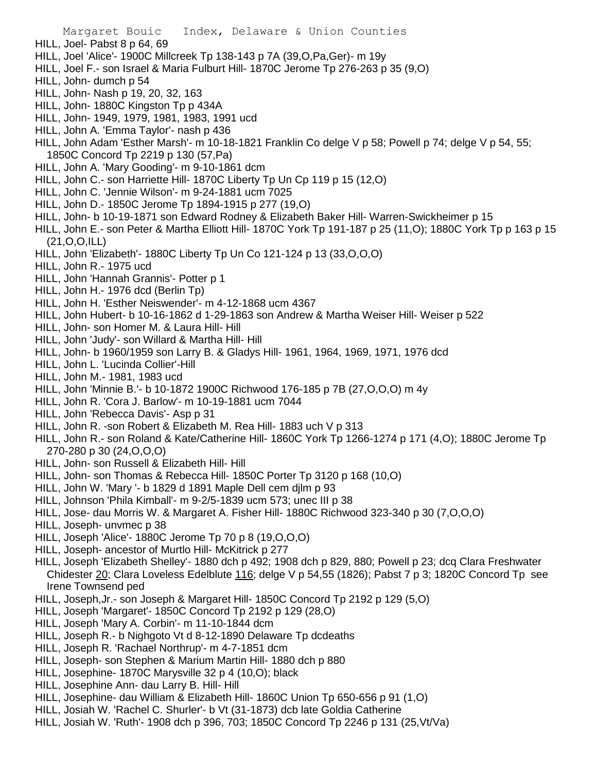Margaret Bouic Index, Delaware & Union Counties HILL, Joel- Pabst 8 p 64, 69 HILL, Joel 'Alice'- 1900C Millcreek Tp 138-143 p 7A (39,O,Pa,Ger)- m 19y HILL, Joel F.- son Israel & Maria Fulburt Hill- 1870C Jerome Tp 276-263 p 35 (9,O) HILL, John- dumch p 54 HILL, John- Nash p 19, 20, 32, 163 HILL, John- 1880C Kingston Tp p 434A HILL, John- 1949, 1979, 1981, 1983, 1991 ucd HILL, John A. 'Emma Taylor'- nash p 436 HILL, John Adam 'Esther Marsh'- m 10-18-1821 Franklin Co delge V p 58; Powell p 74; delge V p 54, 55; 1850C Concord Tp 2219 p 130 (57,Pa) HILL, John A. 'Mary Gooding'- m 9-10-1861 dcm HILL, John C.- son Harriette Hill- 1870C Liberty Tp Un Cp 119 p 15 (12,O) HILL, John C. 'Jennie Wilson'- m 9-24-1881 ucm 7025 HILL, John D.- 1850C Jerome Tp 1894-1915 p 277 (19,O) HILL, John- b 10-19-1871 son Edward Rodney & Elizabeth Baker Hill- Warren-Swickheimer p 15 HILL, John E.- son Peter & Martha Elliott Hill- 1870C York Tp 191-187 p 25 (11,O); 1880C York Tp p 163 p 15 (21,O,O,ILL) HILL, John 'Elizabeth'- 1880C Liberty Tp Un Co 121-124 p 13 (33,O,O,O) HILL, John R.- 1975 ucd HILL, John 'Hannah Grannis'- Potter p 1 HILL, John H.- 1976 dcd (Berlin Tp) HILL, John H. 'Esther Neiswender'- m 4-12-1868 ucm 4367 HILL, John Hubert- b 10-16-1862 d 1-29-1863 son Andrew & Martha Weiser Hill- Weiser p 522 HILL, John- son Homer M. & Laura Hill- Hill HILL, John 'Judy'- son Willard & Martha Hill- Hill HILL, John- b 1960/1959 son Larry B. & Gladys Hill- 1961, 1964, 1969, 1971, 1976 dcd HILL, John L. 'Lucinda Collier'-Hill HILL, John M.- 1981, 1983 ucd HILL, John 'Minnie B.'- b 10-1872 1900C Richwood 176-185 p 7B (27,O,O,O) m 4y HILL, John R. 'Cora J. Barlow'- m 10-19-1881 ucm 7044 HILL, John 'Rebecca Davis'- Asp p 31 HILL, John R. -son Robert & Elizabeth M. Rea Hill- 1883 uch V p 313 HILL, John R.- son Roland & Kate/Catherine Hill- 1860C York Tp 1266-1274 p 171 (4,O); 1880C Jerome Tp 270-280 p 30 (24,O,O,O) HILL, John- son Russell & Elizabeth Hill- Hill HILL, John- son Thomas & Rebecca Hill- 1850C Porter Tp 3120 p 168 (10,O) HILL, John W. 'Mary '- b 1829 d 1891 Maple Dell cem djlm p 93 HILL, Johnson 'Phila Kimball'- m 9-2/5-1839 ucm 573; unec III p 38 HILL, Jose- dau Morris W. & Margaret A. Fisher Hill- 1880C Richwood 323-340 p 30 (7,O,O,O) HILL, Joseph- unvmec p 38 HILL, Joseph 'Alice'- 1880C Jerome Tp 70 p 8 (19,O,O,O) HILL, Joseph- ancestor of Murtlo Hill- McKitrick p 277 HILL, Joseph 'Elizabeth Shelley'- 1880 dch p 492; 1908 dch p 829, 880; Powell p 23; dcq Clara Freshwater Chidester 20; Clara Loveless Edelblute 116; delge V p 54,55 (1826); Pabst 7 p 3; 1820C Concord Tp see Irene Townsend ped HILL, Joseph,Jr.- son Joseph & Margaret Hill- 1850C Concord Tp 2192 p 129 (5,O) HILL, Joseph 'Margaret'- 1850C Concord Tp 2192 p 129 (28,O) HILL, Joseph 'Mary A. Corbin'- m 11-10-1844 dcm HILL, Joseph R.- b Nighgoto Vt d 8-12-1890 Delaware Tp dcdeaths HILL, Joseph R. 'Rachael Northrup'- m 4-7-1851 dcm HILL, Joseph- son Stephen & Marium Martin Hill- 1880 dch p 880 HILL, Josephine- 1870C Marysville 32 p 4 (10,O); black HILL, Josephine Ann- dau Larry B. Hill- Hill

- HILL, Josephine- dau William & Elizabeth Hill- 1860C Union Tp 650-656 p 91 (1,O)
- HILL, Josiah W. 'Rachel C. Shurler'- b Vt (31-1873) dcb late Goldia Catherine
- HILL, Josiah W. 'Ruth'- 1908 dch p 396, 703; 1850C Concord Tp 2246 p 131 (25,Vt/Va)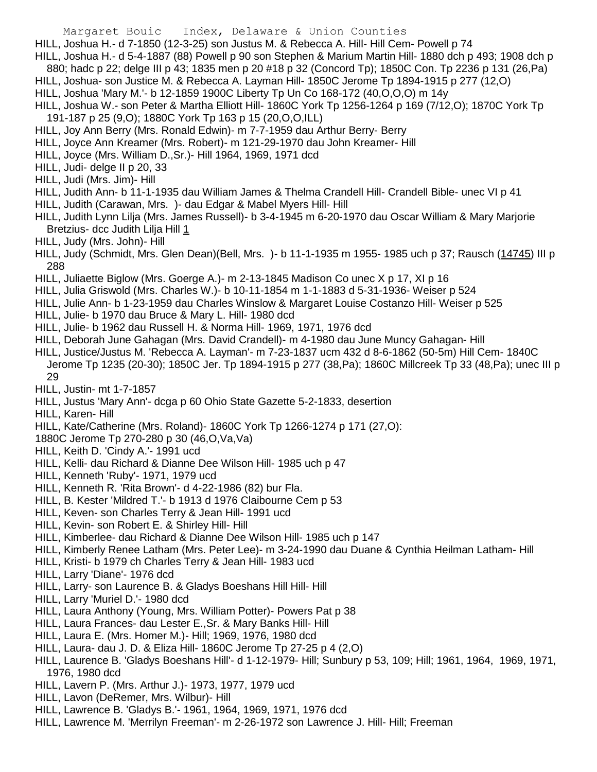HILL, Joshua H.- d 7-1850 (12-3-25) son Justus M. & Rebecca A. Hill- Hill Cem- Powell p 74

HILL, Joshua H.- d 5-4-1887 (88) Powell p 90 son Stephen & Marium Martin Hill- 1880 dch p 493; 1908 dch p 880; hadc p 22; delge III p 43; 1835 men p 20 #18 p 32 (Concord Tp); 1850C Con. Tp 2236 p 131 (26,Pa)

HILL, Joshua- son Justice M. & Rebecca A. Layman Hill- 1850C Jerome Tp 1894-1915 p 277 (12,O)

HILL, Joshua 'Mary M.'- b 12-1859 1900C Liberty Tp Un Co 168-172 (40,O,O,O) m 14y

HILL, Joshua W.- son Peter & Martha Elliott Hill- 1860C York Tp 1256-1264 p 169 (7/12,O); 1870C York Tp 191-187 p 25 (9,O); 1880C York Tp 163 p 15 (20,O,O,ILL)

- HILL, Joy Ann Berry (Mrs. Ronald Edwin)- m 7-7-1959 dau Arthur Berry- Berry
- HILL, Joyce Ann Kreamer (Mrs. Robert)- m 121-29-1970 dau John Kreamer- Hill
- HILL, Joyce (Mrs. William D.,Sr.)- Hill 1964, 1969, 1971 dcd
- HILL, Judi- delge II p 20, 33
- HILL, Judi (Mrs. Jim)- Hill

HILL, Judith Ann- b 11-1-1935 dau William James & Thelma Crandell Hill- Crandell Bible- unec VI p 41

- HILL, Judith (Carawan, Mrs. )- dau Edgar & Mabel Myers Hill- Hill
- HILL, Judith Lynn Lilja (Mrs. James Russell)- b 3-4-1945 m 6-20-1970 dau Oscar William & Mary Marjorie Bretzius- dcc Judith Lilja Hill 1
- HILL, Judy (Mrs. John)- Hill
- HILL, Judy (Schmidt, Mrs. Glen Dean)(Bell, Mrs. )- b 11-1-1935 m 1955- 1985 uch p 37; Rausch (14745) III p 288
- HILL, Juliaette Biglow (Mrs. Goerge A.)- m 2-13-1845 Madison Co unec X p 17, XI p 16
- HILL, Julia Griswold (Mrs. Charles W.)- b 10-11-1854 m 1-1-1883 d 5-31-1936- Weiser p 524
- HILL, Julie Ann- b 1-23-1959 dau Charles Winslow & Margaret Louise Costanzo Hill- Weiser p 525
- HILL, Julie- b 1970 dau Bruce & Mary L. Hill- 1980 dcd
- HILL, Julie- b 1962 dau Russell H. & Norma Hill- 1969, 1971, 1976 dcd
- HILL, Deborah June Gahagan (Mrs. David Crandell)- m 4-1980 dau June Muncy Gahagan- Hill
- HILL, Justice/Justus M. 'Rebecca A. Layman'- m 7-23-1837 ucm 432 d 8-6-1862 (50-5m) Hill Cem- 1840C Jerome Tp 1235 (20-30); 1850C Jer. Tp 1894-1915 p 277 (38,Pa); 1860C Millcreek Tp 33 (48,Pa); unec III p 29
- HILL, Justin- mt 1-7-1857
- HILL, Justus 'Mary Ann'- dcga p 60 Ohio State Gazette 5-2-1833, desertion
- HILL, Karen- Hill
- HILL, Kate/Catherine (Mrs. Roland)- 1860C York Tp 1266-1274 p 171 (27,O):
- 1880C Jerome Tp 270-280 p 30 (46,O,Va,Va)
- HILL, Keith D. 'Cindy A.'- 1991 ucd
- HILL, Kelli- dau Richard & Dianne Dee Wilson Hill- 1985 uch p 47
- HILL, Kenneth 'Ruby'- 1971, 1979 ucd
- HILL, Kenneth R. 'Rita Brown'- d 4-22-1986 (82) bur Fla.
- HILL, B. Kester 'Mildred T.'- b 1913 d 1976 Claibourne Cem p 53
- HILL, Keven- son Charles Terry & Jean Hill- 1991 ucd
- HILL, Kevin- son Robert E. & Shirley Hill- Hill
- HILL, Kimberlee- dau Richard & Dianne Dee Wilson Hill- 1985 uch p 147
- HILL, Kimberly Renee Latham (Mrs. Peter Lee)- m 3-24-1990 dau Duane & Cynthia Heilman Latham- Hill
- HILL, Kristi- b 1979 ch Charles Terry & Jean Hill- 1983 ucd
- HILL, Larry 'Diane'- 1976 dcd
- HILL, Larry- son Laurence B. & Gladys Boeshans Hill Hill- Hill
- HILL, Larry 'Muriel D.'- 1980 dcd
- HILL, Laura Anthony (Young, Mrs. William Potter)- Powers Pat p 38
- HILL, Laura Frances- dau Lester E.,Sr. & Mary Banks Hill- Hill
- HILL, Laura E. (Mrs. Homer M.)- Hill; 1969, 1976, 1980 dcd
- HILL, Laura- dau J. D. & Eliza Hill- 1860C Jerome Tp 27-25 p 4 (2,O)
- HILL, Laurence B. 'Gladys Boeshans Hill'- d 1-12-1979- Hill; Sunbury p 53, 109; Hill; 1961, 1964, 1969, 1971, 1976, 1980 dcd
- HILL, Lavern P. (Mrs. Arthur J.)- 1973, 1977, 1979 ucd
- HILL, Lavon (DeRemer, Mrs. Wilbur)- Hill
- HILL, Lawrence B. 'Gladys B.'- 1961, 1964, 1969, 1971, 1976 dcd
- HILL, Lawrence M. 'Merrilyn Freeman'- m 2-26-1972 son Lawrence J. Hill- Hill; Freeman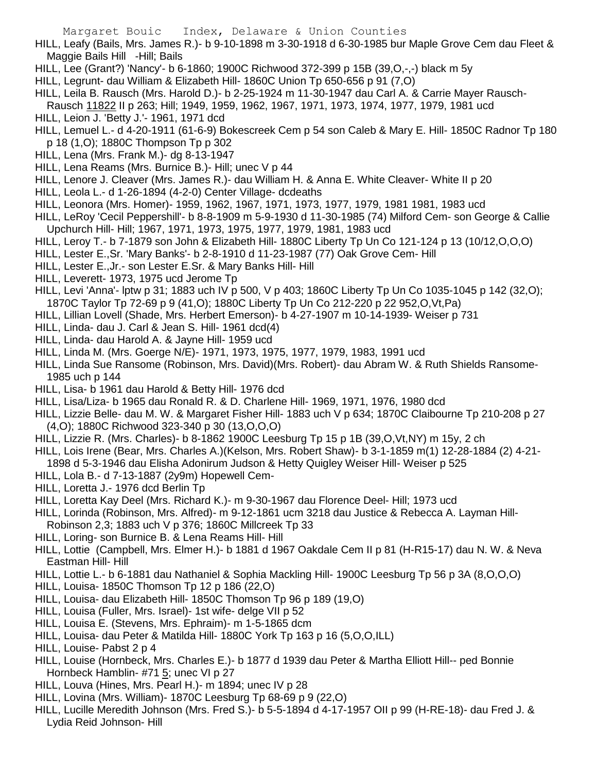- HILL, Leafy (Bails, Mrs. James R.)- b 9-10-1898 m 3-30-1918 d 6-30-1985 bur Maple Grove Cem dau Fleet & Maggie Bails Hill -Hill; Bails
- HILL, Lee (Grant?) 'Nancy'- b 6-1860; 1900C Richwood 372-399 p 15B (39,O,-,-) black m 5y
- HILL, Legrunt- dau William & Elizabeth Hill- 1860C Union Tp 650-656 p 91 (7,O)
- HILL, Leila B. Rausch (Mrs. Harold D.)- b 2-25-1924 m 11-30-1947 dau Carl A. & Carrie Mayer Rausch-
- Rausch 11822 II p 263; Hill; 1949, 1959, 1962, 1967, 1971, 1973, 1974, 1977, 1979, 1981 ucd HILL, Leion J. 'Betty J.'- 1961, 1971 dcd
- HILL, Lemuel L.- d 4-20-1911 (61-6-9) Bokescreek Cem p 54 son Caleb & Mary E. Hill- 1850C Radnor Tp 180 p 18 (1,O); 1880C Thompson Tp p 302
- HILL, Lena (Mrs. Frank M.)- dg 8-13-1947
- HILL, Lena Reams (Mrs. Burnice B.)- Hill; unec V p 44
- HILL, Lenore J. Cleaver (Mrs. James R.)- dau William H. & Anna E. White Cleaver- White II p 20
- HILL, Leola L.- d 1-26-1894 (4-2-0) Center Village- dcdeaths
- HILL, Leonora (Mrs. Homer)- 1959, 1962, 1967, 1971, 1973, 1977, 1979, 1981 1981, 1983 ucd
- HILL, LeRoy 'Cecil Peppershill'- b 8-8-1909 m 5-9-1930 d 11-30-1985 (74) Milford Cem- son George & Callie Upchurch Hill- Hill; 1967, 1971, 1973, 1975, 1977, 1979, 1981, 1983 ucd
- HILL, Leroy T.- b 7-1879 son John & Elizabeth Hill- 1880C Liberty Tp Un Co 121-124 p 13 (10/12,O,O,O)
- HILL, Lester E.,Sr. 'Mary Banks'- b 2-8-1910 d 11-23-1987 (77) Oak Grove Cem- Hill
- HILL, Lester E.,Jr.- son Lester E.Sr. & Mary Banks Hill- Hill
- HILL, Leverett- 1973, 1975 ucd Jerome Tp
- HILL, Levi 'Anna'- lptw p 31; 1883 uch IV p 500, V p 403; 1860C Liberty Tp Un Co 1035-1045 p 142 (32,O); 1870C Taylor Tp 72-69 p 9 (41,O); 1880C Liberty Tp Un Co 212-220 p 22 952,O,Vt,Pa)
- HILL, Lillian Lovell (Shade, Mrs. Herbert Emerson)- b 4-27-1907 m 10-14-1939- Weiser p 731
- HILL, Linda- dau J. Carl & Jean S. Hill- 1961 dcd(4)
- HILL, Linda- dau Harold A. & Jayne Hill- 1959 ucd
- HILL, Linda M. (Mrs. Goerge N/E)- 1971, 1973, 1975, 1977, 1979, 1983, 1991 ucd
- HILL, Linda Sue Ransome (Robinson, Mrs. David)(Mrs. Robert)- dau Abram W. & Ruth Shields Ransome-1985 uch p 144
- HILL, Lisa- b 1961 dau Harold & Betty Hill- 1976 dcd
- HILL, Lisa/Liza- b 1965 dau Ronald R. & D. Charlene Hill- 1969, 1971, 1976, 1980 dcd
- HILL, Lizzie Belle- dau M. W. & Margaret Fisher Hill- 1883 uch V p 634; 1870C Claibourne Tp 210-208 p 27 (4,O); 1880C Richwood 323-340 p 30 (13,O,O,O)
- HILL, Lizzie R. (Mrs. Charles)- b 8-1862 1900C Leesburg Tp 15 p 1B (39,O,Vt,NY) m 15y, 2 ch
- HILL, Lois Irene (Bear, Mrs. Charles A.)(Kelson, Mrs. Robert Shaw)- b 3-1-1859 m(1) 12-28-1884 (2) 4-21-
- 1898 d 5-3-1946 dau Elisha Adonirum Judson & Hetty Quigley Weiser Hill- Weiser p 525
- HILL, Lola B.- d 7-13-1887 (2y9m) Hopewell Cem-
- HILL, Loretta J.- 1976 dcd Berlin Tp
- HILL, Loretta Kay Deel (Mrs. Richard K.)- m 9-30-1967 dau Florence Deel- Hill; 1973 ucd
- HILL, Lorinda (Robinson, Mrs. Alfred)- m 9-12-1861 ucm 3218 dau Justice & Rebecca A. Layman Hill-
- Robinson 2,3; 1883 uch V p 376; 1860C Millcreek Tp 33
- HILL, Loring- son Burnice B. & Lena Reams Hill- Hill
- HILL, Lottie (Campbell, Mrs. Elmer H.)- b 1881 d 1967 Oakdale Cem II p 81 (H-R15-17) dau N. W. & Neva Eastman Hill- Hill
- HILL, Lottie L.- b 6-1881 dau Nathaniel & Sophia Mackling Hill- 1900C Leesburg Tp 56 p 3A (8,O,O,O)
- HILL, Louisa- 1850C Thomson Tp 12 p 186 (22,O)
- HILL, Louisa- dau Elizabeth Hill- 1850C Thomson Tp 96 p 189 (19,O)
- HILL, Louisa (Fuller, Mrs. Israel)- 1st wife- delge VII p 52
- HILL, Louisa E. (Stevens, Mrs. Ephraim)- m 1-5-1865 dcm
- HILL, Louisa- dau Peter & Matilda Hill- 1880C York Tp 163 p 16 (5,O,O,ILL)
- HILL, Louise- Pabst 2 p 4
- HILL, Louise (Hornbeck, Mrs. Charles E.)- b 1877 d 1939 dau Peter & Martha Elliott Hill-- ped Bonnie Hornbeck Hamblin- #71 5; unec VI p 27
- HILL, Louva (Hines, Mrs. Pearl H.)- m 1894; unec IV p 28
- HILL, Lovina (Mrs. William)- 1870C Leesburg Tp 68-69 p 9 (22,O)
- HILL, Lucille Meredith Johnson (Mrs. Fred S.)- b 5-5-1894 d 4-17-1957 OII p 99 (H-RE-18)- dau Fred J. & Lydia Reid Johnson- Hill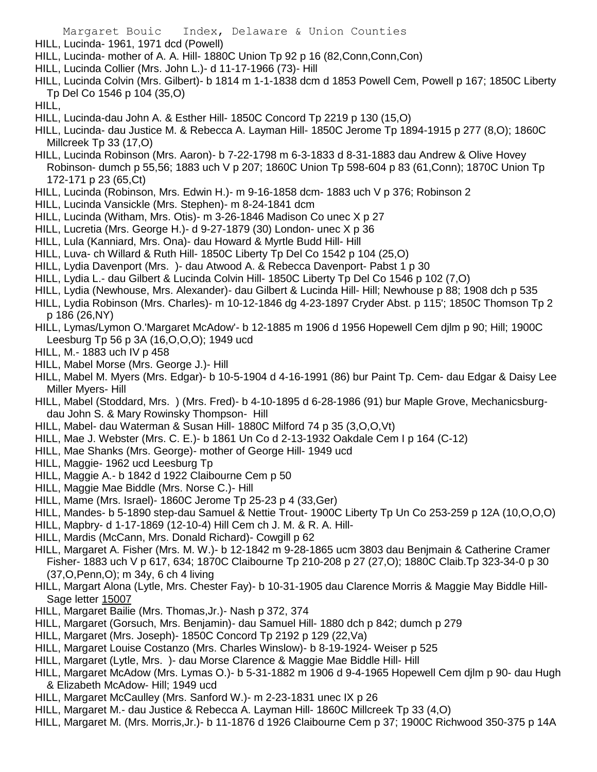- Margaret Bouic Index, Delaware & Union Counties
- HILL, Lucinda- 1961, 1971 dcd (Powell)
- HILL, Lucinda- mother of A. A. Hill- 1880C Union Tp 92 p 16 (82,Conn,Conn,Con)
- HILL, Lucinda Collier (Mrs. John L.)- d 11-17-1966 (73)- Hill
- HILL, Lucinda Colvin (Mrs. Gilbert)- b 1814 m 1-1-1838 dcm d 1853 Powell Cem, Powell p 167; 1850C Liberty Tp Del Co 1546 p 104 (35,O)
- HILL,
- HILL, Lucinda-dau John A. & Esther Hill- 1850C Concord Tp 2219 p 130 (15,O)
- HILL, Lucinda- dau Justice M. & Rebecca A. Layman Hill- 1850C Jerome Tp 1894-1915 p 277 (8,O); 1860C Millcreek Tp 33 (17,O)
- HILL, Lucinda Robinson (Mrs. Aaron)- b 7-22-1798 m 6-3-1833 d 8-31-1883 dau Andrew & Olive Hovey Robinson- dumch p 55,56; 1883 uch V p 207; 1860C Union Tp 598-604 p 83 (61,Conn); 1870C Union Tp 172-171 p 23 (65,Ct)
- HILL, Lucinda (Robinson, Mrs. Edwin H.)- m 9-16-1858 dcm- 1883 uch V p 376; Robinson 2
- HILL, Lucinda Vansickle (Mrs. Stephen)- m 8-24-1841 dcm
- HILL, Lucinda (Witham, Mrs. Otis)- m 3-26-1846 Madison Co unec X p 27
- HILL, Lucretia (Mrs. George H.)- d 9-27-1879 (30) London- unec X p 36
- HILL, Lula (Kanniard, Mrs. Ona)- dau Howard & Myrtle Budd Hill- Hill
- HILL, Luva- ch Willard & Ruth Hill- 1850C Liberty Tp Del Co 1542 p 104 (25,O)
- HILL, Lydia Davenport (Mrs. )- dau Atwood A. & Rebecca Davenport- Pabst 1 p 30
- HILL, Lydia L.- dau Gilbert & Lucinda Colvin Hill- 1850C Liberty Tp Del Co 1546 p 102 (7,O)
- HILL, Lydia (Newhouse, Mrs. Alexander)- dau Gilbert & Lucinda Hill- Hill; Newhouse p 88; 1908 dch p 535
- HILL, Lydia Robinson (Mrs. Charles)- m 10-12-1846 dg 4-23-1897 Cryder Abst. p 115'; 1850C Thomson Tp 2 p 186 (26,NY)
- HILL, Lymas/Lymon O.'Margaret McAdow'- b 12-1885 m 1906 d 1956 Hopewell Cem djlm p 90; Hill; 1900C Leesburg Tp 56 p 3A (16,O,O,O); 1949 ucd
- HILL, M.- 1883 uch IV p 458
- HILL, Mabel Morse (Mrs. George J.)- Hill
- HILL, Mabel M. Myers (Mrs. Edgar)- b 10-5-1904 d 4-16-1991 (86) bur Paint Tp. Cem- dau Edgar & Daisy Lee Miller Myers- Hill
- HILL, Mabel (Stoddard, Mrs. ) (Mrs. Fred)- b 4-10-1895 d 6-28-1986 (91) bur Maple Grove, Mechanicsburgdau John S. & Mary Rowinsky Thompson- Hill
- HILL, Mabel- dau Waterman & Susan Hill- 1880C Milford 74 p 35 (3,O,O,Vt)
- HILL, Mae J. Webster (Mrs. C. E.)- b 1861 Un Co d 2-13-1932 Oakdale Cem I p 164 (C-12)
- HILL, Mae Shanks (Mrs. George)- mother of George Hill- 1949 ucd
- HILL, Maggie- 1962 ucd Leesburg Tp
- HILL, Maggie A.- b 1842 d 1922 Claibourne Cem p 50
- HILL, Maggie Mae Biddle (Mrs. Norse C.)- Hill
- HILL, Mame (Mrs. Israel)- 1860C Jerome Tp 25-23 p 4 (33,Ger)
- HILL, Mandes- b 5-1890 step-dau Samuel & Nettie Trout- 1900C Liberty Tp Un Co 253-259 p 12A (10,O,O,O)
- HILL, Mapbry- d 1-17-1869 (12-10-4) Hill Cem ch J. M. & R. A. Hill-
- HILL, Mardis (McCann, Mrs. Donald Richard)- Cowgill p 62
- HILL, Margaret A. Fisher (Mrs. M. W.)- b 12-1842 m 9-28-1865 ucm 3803 dau Benjmain & Catherine Cramer Fisher- 1883 uch V p 617, 634; 1870C Claibourne Tp 210-208 p 27 (27,O); 1880C Claib.Tp 323-34-0 p 30 (37,O,Penn,O); m 34y, 6 ch 4 living
- HILL, Margart Alona (Lytle, Mrs. Chester Fay)- b 10-31-1905 dau Clarence Morris & Maggie May Biddle Hill-Sage letter 15007
- HILL, Margaret Bailie (Mrs. Thomas,Jr.)- Nash p 372, 374
- HILL, Margaret (Gorsuch, Mrs. Benjamin)- dau Samuel Hill- 1880 dch p 842; dumch p 279
- HILL, Margaret (Mrs. Joseph)- 1850C Concord Tp 2192 p 129 (22,Va)
- HILL, Margaret Louise Costanzo (Mrs. Charles Winslow)- b 8-19-1924- Weiser p 525
- HILL, Margaret (Lytle, Mrs. )- dau Morse Clarence & Maggie Mae Biddle Hill- Hill
- HILL, Margaret McAdow (Mrs. Lymas O.)- b 5-31-1882 m 1906 d 9-4-1965 Hopewell Cem djlm p 90- dau Hugh & Elizabeth McAdow- Hill; 1949 ucd
- HILL, Margaret McCaulley (Mrs. Sanford W.)- m 2-23-1831 unec IX p 26
- HILL, Margaret M.- dau Justice & Rebecca A. Layman Hill- 1860C Millcreek Tp 33 (4,O)
- HILL, Margaret M. (Mrs. Morris,Jr.)- b 11-1876 d 1926 Claibourne Cem p 37; 1900C Richwood 350-375 p 14A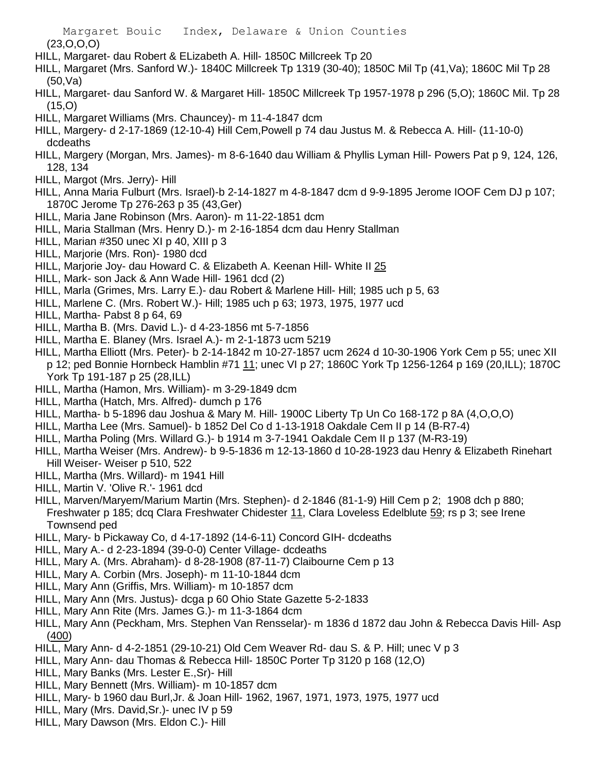(23,O,O,O)

- HILL, Margaret- dau Robert & ELizabeth A. Hill- 1850C Millcreek Tp 20
- HILL, Margaret (Mrs. Sanford W.)- 1840C Millcreek Tp 1319 (30-40); 1850C Mil Tp (41,Va); 1860C Mil Tp 28 (50,Va)
- HILL, Margaret- dau Sanford W. & Margaret Hill- 1850C Millcreek Tp 1957-1978 p 296 (5,O); 1860C Mil. Tp 28 (15,O)
- HILL, Margaret Williams (Mrs. Chauncey)- m 11-4-1847 dcm
- HILL, Margery- d 2-17-1869 (12-10-4) Hill Cem,Powell p 74 dau Justus M. & Rebecca A. Hill- (11-10-0) dcdeaths
- HILL, Margery (Morgan, Mrs. James)- m 8-6-1640 dau William & Phyllis Lyman Hill- Powers Pat p 9, 124, 126, 128, 134
- HILL, Margot (Mrs. Jerry)- Hill
- HILL, Anna Maria Fulburt (Mrs. Israel)-b 2-14-1827 m 4-8-1847 dcm d 9-9-1895 Jerome IOOF Cem DJ p 107; 1870C Jerome Tp 276-263 p 35 (43,Ger)
- HILL, Maria Jane Robinson (Mrs. Aaron)- m 11-22-1851 dcm
- HILL, Maria Stallman (Mrs. Henry D.)- m 2-16-1854 dcm dau Henry Stallman
- HILL, Marian #350 unec XI p 40, XIII p 3
- HILL, Marjorie (Mrs. Ron)- 1980 dcd
- HILL, Marjorie Joy- dau Howard C. & Elizabeth A. Keenan Hill- White II 25
- HILL, Mark- son Jack & Ann Wade Hill- 1961 dcd (2)
- HILL, Marla (Grimes, Mrs. Larry E.)- dau Robert & Marlene Hill- Hill; 1985 uch p 5, 63
- HILL, Marlene C. (Mrs. Robert W.)- Hill; 1985 uch p 63; 1973, 1975, 1977 ucd
- HILL, Martha- Pabst 8 p 64, 69
- HILL, Martha B. (Mrs. David L.)- d 4-23-1856 mt 5-7-1856
- HILL, Martha E. Blaney (Mrs. Israel A.)- m 2-1-1873 ucm 5219
- HILL, Martha Elliott (Mrs. Peter)- b 2-14-1842 m 10-27-1857 ucm 2624 d 10-30-1906 York Cem p 55; unec XII p 12; ped Bonnie Hornbeck Hamblin #71 11; unec VI p 27; 1860C York Tp 1256-1264 p 169 (20,ILL); 1870C York Tp 191-187 p 25 (28,ILL)
- HILL, Martha (Hamon, Mrs. William)- m 3-29-1849 dcm
- HILL, Martha (Hatch, Mrs. Alfred)- dumch p 176
- HILL, Martha- b 5-1896 dau Joshua & Mary M. Hill- 1900C Liberty Tp Un Co 168-172 p 8A (4,O,O,O)
- HILL, Martha Lee (Mrs. Samuel)- b 1852 Del Co d 1-13-1918 Oakdale Cem II p 14 (B-R7-4)
- HILL, Martha Poling (Mrs. Willard G.)- b 1914 m 3-7-1941 Oakdale Cem II p 137 (M-R3-19)
- HILL, Martha Weiser (Mrs. Andrew)- b 9-5-1836 m 12-13-1860 d 10-28-1923 dau Henry & Elizabeth Rinehart Hill Weiser- Weiser p 510, 522
- HILL, Martha (Mrs. Willard)- m 1941 Hill
- HILL, Martin V. 'Olive R.'- 1961 dcd
- HILL, Marven/Maryem/Marium Martin (Mrs. Stephen)- d 2-1846 (81-1-9) Hill Cem p 2; 1908 dch p 880; Freshwater p 185; dcq Clara Freshwater Chidester 11, Clara Loveless Edelblute 59; rs p 3; see Irene Townsend ped
- HILL, Mary- b Pickaway Co, d 4-17-1892 (14-6-11) Concord GIH- dcdeaths
- HILL, Mary A.- d 2-23-1894 (39-0-0) Center Village- dcdeaths
- HILL, Mary A. (Mrs. Abraham)- d 8-28-1908 (87-11-7) Claibourne Cem p 13
- HILL, Mary A. Corbin (Mrs. Joseph)- m 11-10-1844 dcm
- HILL, Mary Ann (Griffis, Mrs. William)- m 10-1857 dcm
- HILL, Mary Ann (Mrs. Justus)- dcga p 60 Ohio State Gazette 5-2-1833
- HILL, Mary Ann Rite (Mrs. James G.)- m 11-3-1864 dcm
- HILL, Mary Ann (Peckham, Mrs. Stephen Van Rensselar)- m 1836 d 1872 dau John & Rebecca Davis Hill- Asp (400)
- HILL, Mary Ann- d 4-2-1851 (29-10-21) Old Cem Weaver Rd- dau S. & P. Hill; unec V p 3
- HILL, Mary Ann- dau Thomas & Rebecca Hill- 1850C Porter Tp 3120 p 168 (12,O)
- HILL, Mary Banks (Mrs. Lester E.,Sr)- Hill
- HILL, Mary Bennett (Mrs. William)- m 10-1857 dcm
- HILL, Mary- b 1960 dau Burl,Jr. & Joan Hill- 1962, 1967, 1971, 1973, 1975, 1977 ucd
- HILL, Mary (Mrs. David,Sr.)- unec IV p 59
- HILL, Mary Dawson (Mrs. Eldon C.)- Hill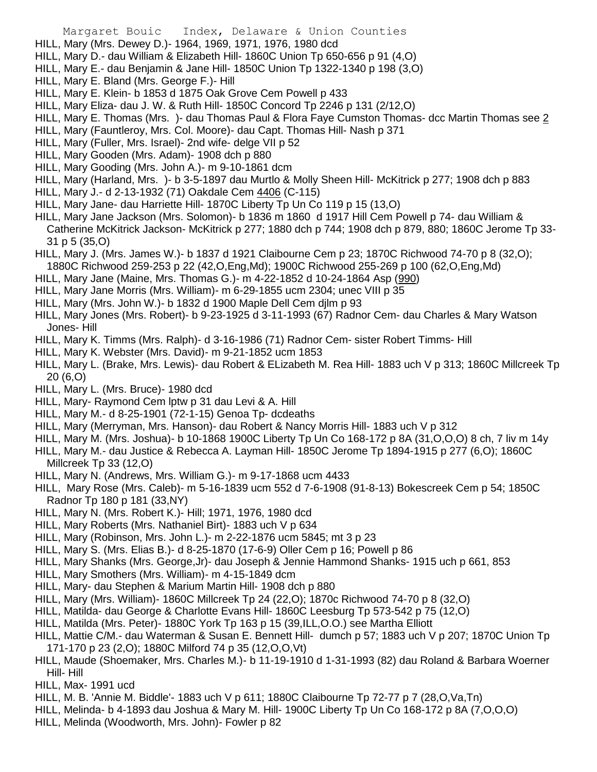- HILL, Mary (Mrs. Dewey D.)- 1964, 1969, 1971, 1976, 1980 dcd
- HILL, Mary D.- dau William & Elizabeth Hill- 1860C Union Tp 650-656 p 91 (4,O)
- HILL, Mary E.- dau Benjamin & Jane Hill- 1850C Union Tp 1322-1340 p 198 (3,O)
- HILL, Mary E. Bland (Mrs. George F.)- Hill
- HILL, Mary E. Klein- b 1853 d 1875 Oak Grove Cem Powell p 433
- HILL, Mary Eliza- dau J. W. & Ruth Hill- 1850C Concord Tp 2246 p 131 (2/12,O)
- HILL, Mary E. Thomas (Mrs. )- dau Thomas Paul & Flora Faye Cumston Thomas- dcc Martin Thomas see 2
- HILL, Mary (Fauntleroy, Mrs. Col. Moore)- dau Capt. Thomas Hill- Nash p 371
- HILL, Mary (Fuller, Mrs. Israel)- 2nd wife- delge VII p 52
- HILL, Mary Gooden (Mrs. Adam)- 1908 dch p 880
- HILL, Mary Gooding (Mrs. John A.)- m 9-10-1861 dcm
- HILL, Mary (Harland, Mrs. )- b 3-5-1897 dau Murtlo & Molly Sheen Hill- McKitrick p 277; 1908 dch p 883
- HILL, Mary J.- d 2-13-1932 (71) Oakdale Cem 4406 (C-115)
- HILL, Mary Jane- dau Harriette Hill- 1870C Liberty Tp Un Co 119 p 15 (13,O)
- HILL, Mary Jane Jackson (Mrs. Solomon)- b 1836 m 1860 d 1917 Hill Cem Powell p 74- dau William & Catherine McKitrick Jackson- McKitrick p 277; 1880 dch p 744; 1908 dch p 879, 880; 1860C Jerome Tp 33- 31 p 5 (35,O)
- HILL, Mary J. (Mrs. James W.)- b 1837 d 1921 Claibourne Cem p 23; 1870C Richwood 74-70 p 8 (32,O); 1880C Richwood 259-253 p 22 (42,O,Eng,Md); 1900C Richwood 255-269 p 100 (62,O,Eng,Md)
- HILL, Mary Jane (Maine, Mrs. Thomas G.)- m 4-22-1852 d 10-24-1864 Asp (990)
- HILL, Mary Jane Morris (Mrs. William)- m 6-29-1855 ucm 2304; unec VIII p 35
- HILL, Mary (Mrs. John W.)- b 1832 d 1900 Maple Dell Cem djlm p 93
- HILL, Mary Jones (Mrs. Robert)- b 9-23-1925 d 3-11-1993 (67) Radnor Cem- dau Charles & Mary Watson Jones- Hill
- HILL, Mary K. Timms (Mrs. Ralph)- d 3-16-1986 (71) Radnor Cem- sister Robert Timms- Hill
- HILL, Mary K. Webster (Mrs. David)- m 9-21-1852 ucm 1853
- HILL, Mary L. (Brake, Mrs. Lewis)- dau Robert & ELizabeth M. Rea Hill- 1883 uch V p 313; 1860C Millcreek Tp 20 (6,O)
- HILL, Mary L. (Mrs. Bruce)- 1980 dcd
- HILL, Mary- Raymond Cem lptw p 31 dau Levi & A. Hill
- HILL, Mary M.- d 8-25-1901 (72-1-15) Genoa Tp- dcdeaths
- HILL, Mary (Merryman, Mrs. Hanson)- dau Robert & Nancy Morris Hill- 1883 uch V p 312
- HILL, Mary M. (Mrs. Joshua)- b 10-1868 1900C Liberty Tp Un Co 168-172 p 8A (31,O,O,O) 8 ch, 7 liv m 14y
- HILL, Mary M.- dau Justice & Rebecca A. Layman Hill- 1850C Jerome Tp 1894-1915 p 277 (6,O); 1860C Millcreek Tp 33 (12,O)
- HILL, Mary N. (Andrews, Mrs. William G.)- m 9-17-1868 ucm 4433
- HILL, Mary Rose (Mrs. Caleb)- m 5-16-1839 ucm 552 d 7-6-1908 (91-8-13) Bokescreek Cem p 54; 1850C Radnor Tp 180 p 181 (33,NY)
- HILL, Mary N. (Mrs. Robert K.)- Hill; 1971, 1976, 1980 dcd
- HILL, Mary Roberts (Mrs. Nathaniel Birt)- 1883 uch V p 634
- HILL, Mary (Robinson, Mrs. John L.)- m 2-22-1876 ucm 5845; mt 3 p 23
- HILL, Mary S. (Mrs. Elias B.)- d 8-25-1870 (17-6-9) Oller Cem p 16; Powell p 86
- HILL, Mary Shanks (Mrs. George,Jr)- dau Joseph & Jennie Hammond Shanks- 1915 uch p 661, 853
- HILL, Mary Smothers (Mrs. William)- m 4-15-1849 dcm
- HILL, Mary- dau Stephen & Marium Martin Hill- 1908 dch p 880
- HILL, Mary (Mrs. William)- 1860C Millcreek Tp 24 (22,O); 1870c Richwood 74-70 p 8 (32,O)
- HILL, Matilda- dau George & Charlotte Evans Hill- 1860C Leesburg Tp 573-542 p 75 (12,O)
- HILL, Matilda (Mrs. Peter)- 1880C York Tp 163 p 15 (39,ILL,O.O.) see Martha Elliott
- HILL, Mattie C/M.- dau Waterman & Susan E. Bennett Hill- dumch p 57; 1883 uch V p 207; 1870C Union Tp 171-170 p 23 (2,O); 1880C Milford 74 p 35 (12,O,O,Vt)
- HILL, Maude (Shoemaker, Mrs. Charles M.)- b 11-19-1910 d 1-31-1993 (82) dau Roland & Barbara Woerner Hill- Hill
- HILL, Max- 1991 ucd
- HILL, M. B. 'Annie M. Biddle'- 1883 uch V p 611; 1880C Claibourne Tp 72-77 p 7 (28,O,Va,Tn)
- HILL, Melinda- b 4-1893 dau Joshua & Mary M. Hill- 1900C Liberty Tp Un Co 168-172 p 8A (7,O,O,O)
- HILL, Melinda (Woodworth, Mrs. John)- Fowler p 82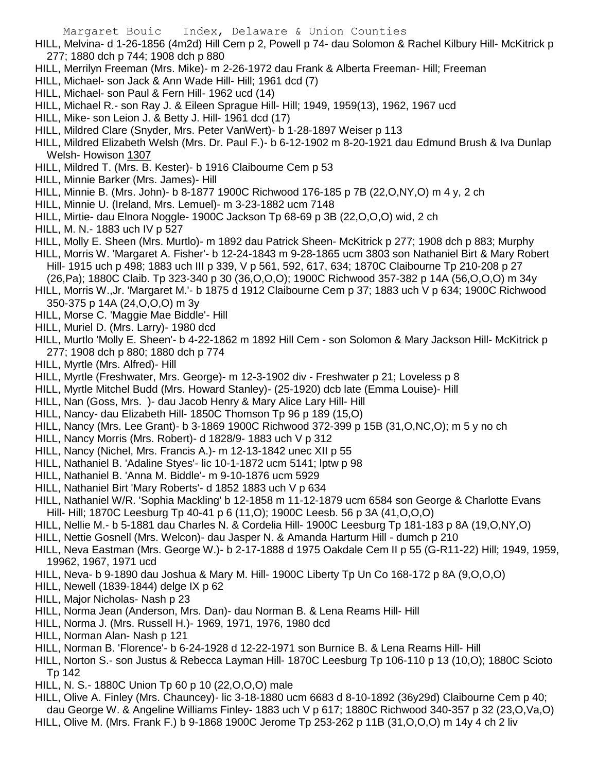HILL, Melvina- d 1-26-1856 (4m2d) Hill Cem p 2, Powell p 74- dau Solomon & Rachel Kilbury Hill- McKitrick p 277; 1880 dch p 744; 1908 dch p 880

- HILL, Merrilyn Freeman (Mrs. Mike)- m 2-26-1972 dau Frank & Alberta Freeman- Hill; Freeman
- HILL, Michael- son Jack & Ann Wade Hill- Hill; 1961 dcd (7)
- HILL, Michael- son Paul & Fern Hill- 1962 ucd (14)
- HILL, Michael R.- son Ray J. & Eileen Sprague Hill- Hill; 1949, 1959(13), 1962, 1967 ucd
- HILL, Mike- son Leion J. & Betty J. Hill- 1961 dcd (17)
- HILL, Mildred Clare (Snyder, Mrs. Peter VanWert)- b 1-28-1897 Weiser p 113
- HILL, Mildred Elizabeth Welsh (Mrs. Dr. Paul F.)- b 6-12-1902 m 8-20-1921 dau Edmund Brush & Iva Dunlap Welsh- Howison 1307
- HILL, Mildred T. (Mrs. B. Kester)- b 1916 Claibourne Cem p 53
- HILL, Minnie Barker (Mrs. James)- Hill
- HILL, Minnie B. (Mrs. John)- b 8-1877 1900C Richwood 176-185 p 7B (22,O,NY,O) m 4 y, 2 ch
- HILL, Minnie U. (Ireland, Mrs. Lemuel)- m 3-23-1882 ucm 7148
- HILL, Mirtie- dau Elnora Noggle- 1900C Jackson Tp 68-69 p 3B (22, O, O, O) wid, 2 ch
- HILL, M. N.- 1883 uch IV p 527
- HILL, Molly E. Sheen (Mrs. Murtlo)- m 1892 dau Patrick Sheen- McKitrick p 277; 1908 dch p 883; Murphy
- HILL, Morris W. 'Margaret A. Fisher'- b 12-24-1843 m 9-28-1865 ucm 3803 son Nathaniel Birt & Mary Robert Hill- 1915 uch p 498; 1883 uch III p 339, V p 561, 592, 617, 634; 1870C Claibourne Tp 210-208 p 27
	- (26,Pa); 1880C Claib. Tp 323-340 p 30 (36,O,O,O); 1900C Richwood 357-382 p 14A (56,O,O,O) m 34y
- HILL, Morris W.,Jr. 'Margaret M.'- b 1875 d 1912 Claibourne Cem p 37; 1883 uch V p 634; 1900C Richwood 350-375 p 14A (24,O,O,O) m 3y
- HILL, Morse C. 'Maggie Mae Biddle'- Hill
- HILL, Muriel D. (Mrs. Larry)- 1980 dcd
- HILL, Murtlo 'Molly E. Sheen'- b 4-22-1862 m 1892 Hill Cem son Solomon & Mary Jackson Hill- McKitrick p 277; 1908 dch p 880; 1880 dch p 774
- HILL, Myrtle (Mrs. Alfred)- Hill
- HILL, Myrtle (Freshwater, Mrs. George)- m 12-3-1902 div Freshwater p 21; Loveless p 8
- HILL, Myrtle Mitchel Budd (Mrs. Howard Stanley)- (25-1920) dcb late (Emma Louise)- Hill
- HILL, Nan (Goss, Mrs. )- dau Jacob Henry & Mary Alice Lary Hill- Hill
- HILL, Nancy- dau Elizabeth Hill- 1850C Thomson Tp 96 p 189 (15,O)
- HILL, Nancy (Mrs. Lee Grant)- b 3-1869 1900C Richwood 372-399 p 15B (31,O,NC,O); m 5 y no ch
- HILL, Nancy Morris (Mrs. Robert)- d 1828/9- 1883 uch V p 312
- HILL, Nancy (Nichel, Mrs. Francis A.)- m 12-13-1842 unec XII p 55
- HILL, Nathaniel B. 'Adaline Styes'- lic 10-1-1872 ucm 5141; lptw p 98
- HILL, Nathaniel B. 'Anna M. Biddle'- m 9-10-1876 ucm 5929
- HILL, Nathaniel Birt 'Mary Roberts'- d 1852 1883 uch V p 634
- HILL, Nathaniel W/R. 'Sophia Mackling' b 12-1858 m 11-12-1879 ucm 6584 son George & Charlotte Evans Hill- Hill; 1870C Leesburg Tp 40-41 p 6 (11,O); 1900C Leesb. 56 p 3A (41,O,O,O)
- HILL, Nellie M.- b 5-1881 dau Charles N. & Cordelia Hill- 1900C Leesburg Tp 181-183 p 8A (19,O,NY,O)
- HILL, Nettie Gosnell (Mrs. Welcon)- dau Jasper N. & Amanda Harturm Hill dumch p 210
- HILL, Neva Eastman (Mrs. George W.)- b 2-17-1888 d 1975 Oakdale Cem II p 55 (G-R11-22) Hill; 1949, 1959, 19962, 1967, 1971 ucd
- HILL, Neva- b 9-1890 dau Joshua & Mary M. Hill- 1900C Liberty Tp Un Co 168-172 p 8A (9,O,O,O)
- HILL, Newell (1839-1844) delge IX p 62
- HILL, Major Nicholas- Nash p 23
- HILL, Norma Jean (Anderson, Mrs. Dan)- dau Norman B. & Lena Reams Hill- Hill
- HILL, Norma J. (Mrs. Russell H.)- 1969, 1971, 1976, 1980 dcd
- HILL, Norman Alan- Nash p 121
- HILL, Norman B. 'Florence'- b 6-24-1928 d 12-22-1971 son Burnice B. & Lena Reams Hill- Hill
- HILL, Norton S.- son Justus & Rebecca Layman Hill- 1870C Leesburg Tp 106-110 p 13 (10,O); 1880C Scioto Tp 142
- HILL, N. S.- 1880C Union Tp 60 p 10 (22,O,O,O) male
- HILL, Olive A. Finley (Mrs. Chauncey)- lic 3-18-1880 ucm 6683 d 8-10-1892 (36y29d) Claibourne Cem p 40; dau George W. & Angeline Williams Finley- 1883 uch V p 617; 1880C Richwood 340-357 p 32 (23,O,Va,O)
- HILL, Olive M. (Mrs. Frank F.) b 9-1868 1900C Jerome Tp 253-262 p 11B (31,O,O,O) m 14y 4 ch 2 liv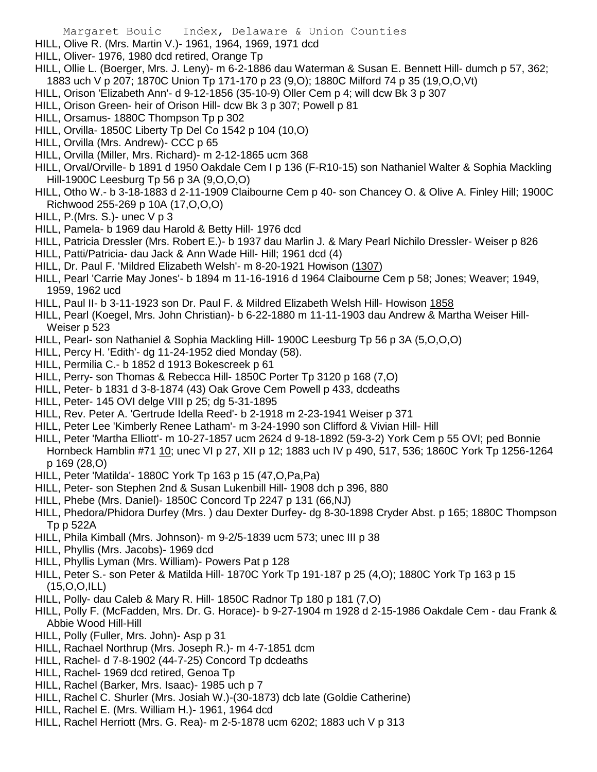- HILL, Olive R. (Mrs. Martin V.)- 1961, 1964, 1969, 1971 dcd
- HILL, Oliver- 1976, 1980 dcd retired, Orange Tp
- HILL, Ollie L. (Boerger, Mrs. J. Leny)- m 6-2-1886 dau Waterman & Susan E. Bennett Hill- dumch p 57, 362; 1883 uch V p 207; 1870C Union Tp 171-170 p 23 (9,O); 1880C Milford 74 p 35 (19,O,O,Vt)
- HILL, Orison 'Elizabeth Ann'- d 9-12-1856 (35-10-9) Oller Cem p 4; will dcw Bk 3 p 307
- HILL, Orison Green- heir of Orison Hill- dcw Bk 3 p 307; Powell p 81
- HILL, Orsamus- 1880C Thompson Tp p 302
- HILL, Orvilla- 1850C Liberty Tp Del Co 1542 p 104 (10,O)
- HILL, Orvilla (Mrs. Andrew)- CCC p 65
- HILL, Orvilla (Miller, Mrs. Richard)- m 2-12-1865 ucm 368
- HILL, Orval/Orville- b 1891 d 1950 Oakdale Cem I p 136 (F-R10-15) son Nathaniel Walter & Sophia Mackling Hill-1900C Leesburg Tp 56 p 3A (9,O,O,O)
- HILL, Otho W.- b 3-18-1883 d 2-11-1909 Claibourne Cem p 40- son Chancey O. & Olive A. Finley Hill; 1900C Richwood 255-269 p 10A (17,O,O,O)
- HILL, P.(Mrs. S.)- unec V p 3
- HILL, Pamela- b 1969 dau Harold & Betty Hill- 1976 dcd
- HILL, Patricia Dressler (Mrs. Robert E.)- b 1937 dau Marlin J. & Mary Pearl Nichilo Dressler- Weiser p 826
- HILL, Patti/Patricia- dau Jack & Ann Wade Hill- Hill; 1961 dcd (4)
- HILL, Dr. Paul F. 'Mildred Elizabeth Welsh'- m 8-20-1921 Howison (1307)
- HILL, Pearl 'Carrie May Jones'- b 1894 m 11-16-1916 d 1964 Claibourne Cem p 58; Jones; Weaver; 1949, 1959, 1962 ucd
- HILL, Paul II- b 3-11-1923 son Dr. Paul F. & Mildred Elizabeth Welsh Hill- Howison 1858
- HILL, Pearl (Koegel, Mrs. John Christian)- b 6-22-1880 m 11-11-1903 dau Andrew & Martha Weiser Hill-Weiser p 523
- HILL, Pearl- son Nathaniel & Sophia Mackling Hill- 1900C Leesburg Tp 56 p 3A (5,O,O,O)
- HILL, Percy H. 'Edith'- dg 11-24-1952 died Monday (58).
- HILL, Permilia C.- b 1852 d 1913 Bokescreek p 61
- HILL, Perry- son Thomas & Rebecca Hill- 1850C Porter Tp 3120 p 168 (7,O)
- HILL, Peter- b 1831 d 3-8-1874 (43) Oak Grove Cem Powell p 433, dcdeaths
- HILL, Peter- 145 OVI delge VIII p 25; dg 5-31-1895
- HILL, Rev. Peter A. 'Gertrude Idella Reed'- b 2-1918 m 2-23-1941 Weiser p 371
- HILL, Peter Lee 'Kimberly Renee Latham'- m 3-24-1990 son Clifford & Vivian Hill- Hill
- HILL, Peter 'Martha Elliott'- m 10-27-1857 ucm 2624 d 9-18-1892 (59-3-2) York Cem p 55 OVI; ped Bonnie Hornbeck Hamblin #71 10; unec VI p 27, XII p 12; 1883 uch IV p 490, 517, 536; 1860C York Tp 1256-1264 p 169 (28,O)
- HILL, Peter 'Matilda'- 1880C York Tp 163 p 15 (47,O,Pa,Pa)
- HILL, Peter- son Stephen 2nd & Susan Lukenbill Hill- 1908 dch p 396, 880
- HILL, Phebe (Mrs. Daniel)- 1850C Concord Tp 2247 p 131 (66,NJ)
- HILL, Phedora/Phidora Durfey (Mrs. ) dau Dexter Durfey- dg 8-30-1898 Cryder Abst. p 165; 1880C Thompson Tp p 522A
- HILL, Phila Kimball (Mrs. Johnson)- m 9-2/5-1839 ucm 573; unec III p 38
- HILL, Phyllis (Mrs. Jacobs)- 1969 dcd
- HILL, Phyllis Lyman (Mrs. William)- Powers Pat p 128
- HILL, Peter S.- son Peter & Matilda Hill- 1870C York Tp 191-187 p 25 (4,O); 1880C York Tp 163 p 15 (15,O,O,ILL)
- HILL, Polly- dau Caleb & Mary R. Hill- 1850C Radnor Tp 180 p 181 (7,O)
- HILL, Polly F. (McFadden, Mrs. Dr. G. Horace)- b 9-27-1904 m 1928 d 2-15-1986 Oakdale Cem dau Frank & Abbie Wood Hill-Hill
- HILL, Polly (Fuller, Mrs. John)- Asp p 31
- HILL, Rachael Northrup (Mrs. Joseph R.)- m 4-7-1851 dcm
- HILL, Rachel- d 7-8-1902 (44-7-25) Concord Tp dcdeaths
- HILL, Rachel- 1969 dcd retired, Genoa Tp
- HILL, Rachel (Barker, Mrs. Isaac)- 1985 uch p 7
- HILL, Rachel C. Shurler (Mrs. Josiah W.)-(30-1873) dcb late (Goldie Catherine)
- HILL, Rachel E. (Mrs. William H.)- 1961, 1964 dcd
- HILL, Rachel Herriott (Mrs. G. Rea)- m 2-5-1878 ucm 6202; 1883 uch V p 313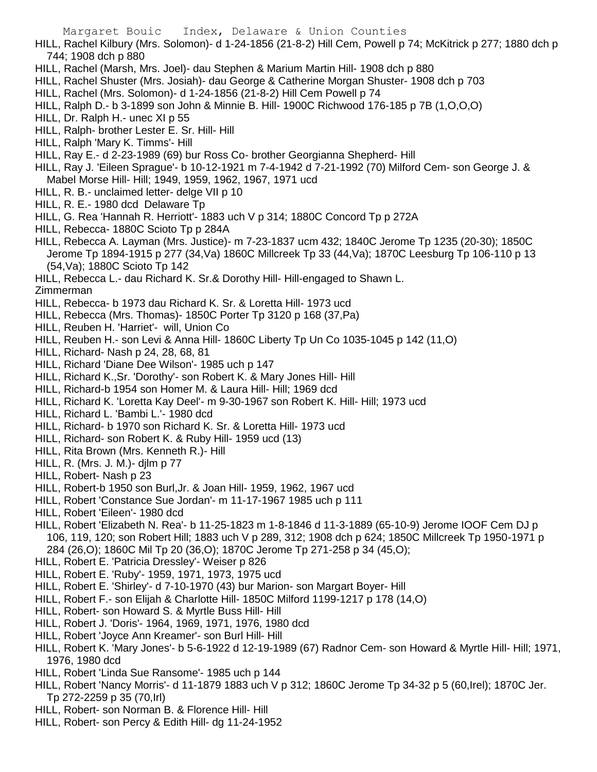HILL, Rachel Kilbury (Mrs. Solomon)- d 1-24-1856 (21-8-2) Hill Cem, Powell p 74; McKitrick p 277; 1880 dch p 744; 1908 dch p 880

- HILL, Rachel (Marsh, Mrs. Joel)- dau Stephen & Marium Martin Hill- 1908 dch p 880
- HILL, Rachel Shuster (Mrs. Josiah)- dau George & Catherine Morgan Shuster- 1908 dch p 703
- HILL, Rachel (Mrs. Solomon)- d 1-24-1856 (21-8-2) Hill Cem Powell p 74
- HILL, Ralph D.- b 3-1899 son John & Minnie B. Hill- 1900C Richwood 176-185 p 7B (1,O,O,O)
- HILL, Dr. Ralph H.- unec XI p 55
- HILL, Ralph- brother Lester E. Sr. Hill- Hill
- HILL, Ralph 'Mary K. Timms'- Hill
- HILL, Ray E.- d 2-23-1989 (69) bur Ross Co- brother Georgianna Shepherd- Hill
- HILL, Ray J. 'Eileen Sprague'- b 10-12-1921 m 7-4-1942 d 7-21-1992 (70) Milford Cem- son George J. & Mabel Morse Hill- Hill; 1949, 1959, 1962, 1967, 1971 ucd
- HILL, R. B.- unclaimed letter- delge VII p 10
- HILL, R. E.- 1980 dcd Delaware Tp
- HILL, G. Rea 'Hannah R. Herriott'- 1883 uch V p 314; 1880C Concord Tp p 272A
- HILL, Rebecca- 1880C Scioto Tp p 284A
- HILL, Rebecca A. Layman (Mrs. Justice)- m 7-23-1837 ucm 432; 1840C Jerome Tp 1235 (20-30); 1850C Jerome Tp 1894-1915 p 277 (34,Va) 1860C Millcreek Tp 33 (44,Va); 1870C Leesburg Tp 106-110 p 13 (54,Va); 1880C Scioto Tp 142
- HILL, Rebecca L.- dau Richard K. Sr.& Dorothy Hill- Hill-engaged to Shawn L.

Zimmerman

- HILL, Rebecca- b 1973 dau Richard K. Sr. & Loretta Hill- 1973 ucd
- HILL, Rebecca (Mrs. Thomas)- 1850C Porter Tp 3120 p 168 (37,Pa)
- HILL, Reuben H. 'Harriet'- will, Union Co
- HILL, Reuben H.- son Levi & Anna Hill- 1860C Liberty Tp Un Co 1035-1045 p 142 (11,O)
- HILL, Richard- Nash p 24, 28, 68, 81
- HILL, Richard 'Diane Dee Wilson'- 1985 uch p 147
- HILL, Richard K.,Sr. 'Dorothy'- son Robert K. & Mary Jones Hill- Hill
- HILL, Richard-b 1954 son Homer M. & Laura Hill- Hill; 1969 dcd
- HILL, Richard K. 'Loretta Kay Deel'- m 9-30-1967 son Robert K. Hill- Hill; 1973 ucd
- HILL, Richard L. 'Bambi L.'- 1980 dcd
- HILL, Richard- b 1970 son Richard K. Sr. & Loretta Hill- 1973 ucd
- HILL, Richard- son Robert K. & Ruby Hill- 1959 ucd (13)
- HILL, Rita Brown (Mrs. Kenneth R.)- Hill
- HILL, R. (Mrs. J. M.)- djlm p 77
- HILL, Robert- Nash p 23
- HILL, Robert-b 1950 son Burl,Jr. & Joan Hill- 1959, 1962, 1967 ucd
- HILL, Robert 'Constance Sue Jordan'- m 11-17-1967 1985 uch p 111
- HILL, Robert 'Eileen'- 1980 dcd
- HILL, Robert 'Elizabeth N. Rea'- b 11-25-1823 m 1-8-1846 d 11-3-1889 (65-10-9) Jerome IOOF Cem DJ p 106, 119, 120; son Robert Hill; 1883 uch V p 289, 312; 1908 dch p 624; 1850C Millcreek Tp 1950-1971 p 284 (26,O); 1860C Mil Tp 20 (36,O); 1870C Jerome Tp 271-258 p 34 (45,O);
- HILL, Robert E. 'Patricia Dressley'- Weiser p 826
- HILL, Robert E. 'Ruby'- 1959, 1971, 1973, 1975 ucd
- HILL, Robert E. 'Shirley'- d 7-10-1970 (43) bur Marion- son Margart Boyer- Hill
- HILL, Robert F.- son Elijah & Charlotte Hill- 1850C Milford 1199-1217 p 178 (14,O)
- HILL, Robert- son Howard S. & Myrtle Buss Hill- Hill
- HILL, Robert J. 'Doris'- 1964, 1969, 1971, 1976, 1980 dcd
- HILL, Robert 'Joyce Ann Kreamer'- son Burl Hill- Hill
- HILL, Robert K. 'Mary Jones'- b 5-6-1922 d 12-19-1989 (67) Radnor Cem- son Howard & Myrtle Hill- Hill; 1971, 1976, 1980 dcd
- HILL, Robert 'Linda Sue Ransome'- 1985 uch p 144
- HILL, Robert 'Nancy Morris'- d 11-1879 1883 uch V p 312; 1860C Jerome Tp 34-32 p 5 (60,Irel); 1870C Jer. Tp 272-2259 p 35 (70,Irl)
- HILL, Robert- son Norman B. & Florence Hill- Hill
- HILL, Robert- son Percy & Edith Hill- dg 11-24-1952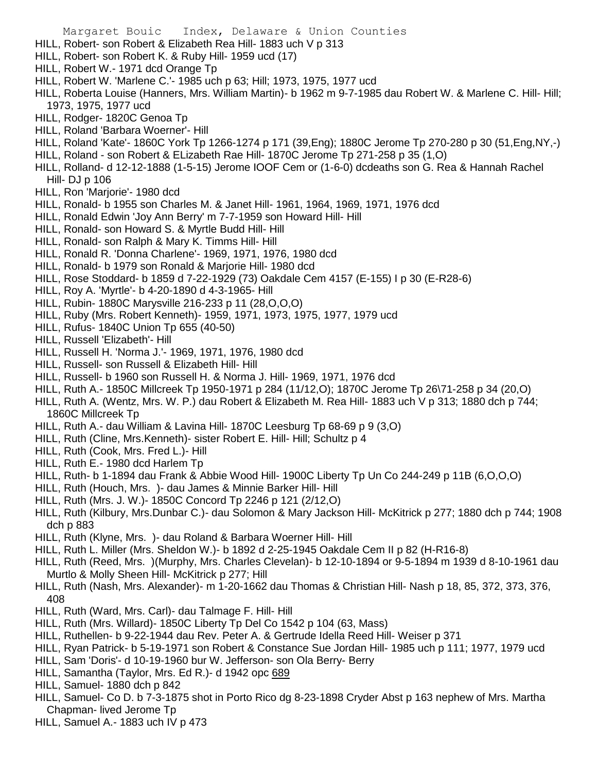Margaret Bouic Index, Delaware & Union Counties HILL, Robert- son Robert & Elizabeth Rea Hill- 1883 uch V p 313 HILL, Robert- son Robert K. & Ruby Hill- 1959 ucd (17) HILL, Robert W.- 1971 dcd Orange Tp HILL, Robert W. 'Marlene C.'- 1985 uch p 63; Hill; 1973, 1975, 1977 ucd HILL, Roberta Louise (Hanners, Mrs. William Martin)- b 1962 m 9-7-1985 dau Robert W. & Marlene C. Hill- Hill; 1973, 1975, 1977 ucd HILL, Rodger- 1820C Genoa Tp

- HILL, Roland 'Barbara Woerner'- Hill
- HILL, Roland 'Kate'- 1860C York Tp 1266-1274 p 171 (39,Eng); 1880C Jerome Tp 270-280 p 30 (51,Eng,NY,-)
- HILL, Roland son Robert & ELizabeth Rae Hill- 1870C Jerome Tp 271-258 p 35 (1,O)
- HILL, Rolland- d 12-12-1888 (1-5-15) Jerome IOOF Cem or (1-6-0) dcdeaths son G. Rea & Hannah Rachel Hill- DJ p 106
- HILL, Ron 'Marjorie'- 1980 dcd
- HILL, Ronald- b 1955 son Charles M. & Janet Hill- 1961, 1964, 1969, 1971, 1976 dcd
- HILL, Ronald Edwin 'Joy Ann Berry' m 7-7-1959 son Howard Hill- Hill
- HILL, Ronald- son Howard S. & Myrtle Budd Hill- Hill
- HILL, Ronald- son Ralph & Mary K. Timms Hill- Hill
- HILL, Ronald R. 'Donna Charlene'- 1969, 1971, 1976, 1980 dcd
- HILL, Ronald- b 1979 son Ronald & Marjorie Hill- 1980 dcd
- HILL, Rose Stoddard- b 1859 d 7-22-1929 (73) Oakdale Cem 4157 (E-155) I p 30 (E-R28-6)
- HILL, Roy A. 'Myrtle'- b 4-20-1890 d 4-3-1965- Hill
- HILL, Rubin- 1880C Marysville 216-233 p 11 (28,O,O,O)
- HILL, Ruby (Mrs. Robert Kenneth)- 1959, 1971, 1973, 1975, 1977, 1979 ucd
- HILL, Rufus- 1840C Union Tp 655 (40-50)
- HILL, Russell 'Elizabeth'- Hill
- HILL, Russell H. 'Norma J.'- 1969, 1971, 1976, 1980 dcd
- HILL, Russell- son Russell & Elizabeth Hill- Hill
- HILL, Russell- b 1960 son Russell H. & Norma J. Hill- 1969, 1971, 1976 dcd
- HILL, Ruth A.- 1850C Millcreek Tp 1950-1971 p 284 (11/12,O); 1870C Jerome Tp 26\71-258 p 34 (20,O)
- HILL, Ruth A. (Wentz, Mrs. W. P.) dau Robert & Elizabeth M. Rea Hill- 1883 uch V p 313; 1880 dch p 744; 1860C Millcreek Tp
- HILL, Ruth A.- dau William & Lavina Hill- 1870C Leesburg Tp 68-69 p 9 (3,O)
- HILL, Ruth (Cline, Mrs.Kenneth)- sister Robert E. Hill- Hill; Schultz p 4
- HILL, Ruth (Cook, Mrs. Fred L.)- Hill
- HILL, Ruth E.- 1980 dcd Harlem Tp
- HILL, Ruth- b 1-1894 dau Frank & Abbie Wood Hill- 1900C Liberty Tp Un Co 244-249 p 11B (6,O,O,O)
- HILL, Ruth (Houch, Mrs. )- dau James & Minnie Barker Hill- Hill
- HILL, Ruth (Mrs. J. W.)- 1850C Concord Tp 2246 p 121 (2/12,O)
- HILL, Ruth (Kilbury, Mrs.Dunbar C.)- dau Solomon & Mary Jackson Hill- McKitrick p 277; 1880 dch p 744; 1908 dch p 883
- HILL, Ruth (Klyne, Mrs. )- dau Roland & Barbara Woerner Hill- Hill
- HILL, Ruth L. Miller (Mrs. Sheldon W.)- b 1892 d 2-25-1945 Oakdale Cem II p 82 (H-R16-8)
- HILL, Ruth (Reed, Mrs. )(Murphy, Mrs. Charles Clevelan)- b 12-10-1894 or 9-5-1894 m 1939 d 8-10-1961 dau Murtlo & Molly Sheen Hill- McKitrick p 277; Hill
- HILL, Ruth (Nash, Mrs. Alexander)- m 1-20-1662 dau Thomas & Christian Hill- Nash p 18, 85, 372, 373, 376, 408
- HILL, Ruth (Ward, Mrs. Carl)- dau Talmage F. Hill- Hill
- HILL, Ruth (Mrs. Willard)- 1850C Liberty Tp Del Co 1542 p 104 (63, Mass)
- HILL, Ruthellen- b 9-22-1944 dau Rev. Peter A. & Gertrude Idella Reed Hill- Weiser p 371
- HILL, Ryan Patrick- b 5-19-1971 son Robert & Constance Sue Jordan Hill- 1985 uch p 111; 1977, 1979 ucd
- HILL, Sam 'Doris'- d 10-19-1960 bur W. Jefferson- son Ola Berry- Berry
- HILL, Samantha (Taylor, Mrs. Ed R.)- d 1942 opc 689
- HILL, Samuel- 1880 dch p 842
- HILL, Samuel- Co D. b 7-3-1875 shot in Porto Rico dg 8-23-1898 Cryder Abst p 163 nephew of Mrs. Martha Chapman- lived Jerome Tp
- HILL, Samuel A.- 1883 uch IV p 473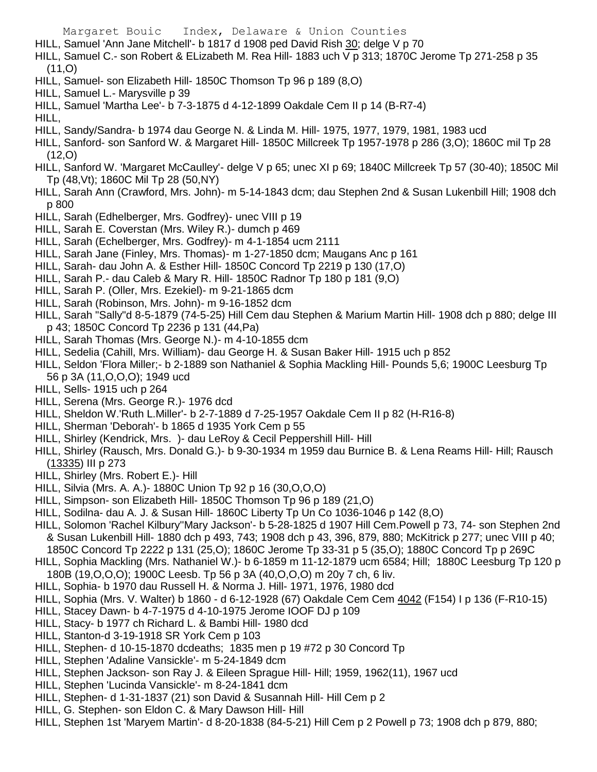- HILL, Samuel 'Ann Jane Mitchell'- b 1817 d 1908 ped David Rish 30; delge V p 70
- HILL, Samuel C.- son Robert & ELizabeth M. Rea Hill- 1883 uch V p 313; 1870C Jerome Tp 271-258 p 35  $(11,0)$
- HILL, Samuel- son Elizabeth Hill- 1850C Thomson Tp 96 p 189 (8,O)
- HILL, Samuel L.- Marysville p 39
- HILL, Samuel 'Martha Lee'- b 7-3-1875 d 4-12-1899 Oakdale Cem II p 14 (B-R7-4)
- HILL,
- HILL, Sandy/Sandra- b 1974 dau George N. & Linda M. Hill- 1975, 1977, 1979, 1981, 1983 ucd
- HILL, Sanford- son Sanford W. & Margaret Hill- 1850C Millcreek Tp 1957-1978 p 286 (3,O); 1860C mil Tp 28 (12,O)
- HILL, Sanford W. 'Margaret McCaulley'- delge V p 65; unec XI p 69; 1840C Millcreek Tp 57 (30-40); 1850C Mil Tp (48,Vt); 1860C Mil Tp 28 (50,NY)
- HILL, Sarah Ann (Crawford, Mrs. John)- m 5-14-1843 dcm; dau Stephen 2nd & Susan Lukenbill Hill; 1908 dch p 800
- HILL, Sarah (Edhelberger, Mrs. Godfrey)- unec VIII p 19
- HILL, Sarah E. Coverstan (Mrs. Wiley R.)- dumch p 469
- HILL, Sarah (Echelberger, Mrs. Godfrey)- m 4-1-1854 ucm 2111
- HILL, Sarah Jane (Finley, Mrs. Thomas)- m 1-27-1850 dcm; Maugans Anc p 161
- HILL, Sarah- dau John A. & Esther Hill- 1850C Concord Tp 2219 p 130 (17,O)
- HILL, Sarah P.- dau Caleb & Mary R. Hill- 1850C Radnor Tp 180 p 181 (9,O)
- HILL, Sarah P. (Oller, Mrs. Ezekiel)- m 9-21-1865 dcm
- HILL, Sarah (Robinson, Mrs. John)- m 9-16-1852 dcm
- HILL, Sarah "Sally"d 8-5-1879 (74-5-25) Hill Cem dau Stephen & Marium Martin Hill- 1908 dch p 880; delge III p 43; 1850C Concord Tp 2236 p 131 (44,Pa)
- HILL, Sarah Thomas (Mrs. George N.)- m 4-10-1855 dcm
- HILL, Sedelia (Cahill, Mrs. William)- dau George H. & Susan Baker Hill- 1915 uch p 852
- HILL, Seldon 'Flora Miller;- b 2-1889 son Nathaniel & Sophia Mackling Hill- Pounds 5,6; 1900C Leesburg Tp 56 p 3A (11,O,O,O); 1949 ucd
- HILL, Sells- 1915 uch p 264
- HILL, Serena (Mrs. George R.)- 1976 dcd
- HILL, Sheldon W.'Ruth L.Miller'- b 2-7-1889 d 7-25-1957 Oakdale Cem II p 82 (H-R16-8)
- HILL, Sherman 'Deborah'- b 1865 d 1935 York Cem p 55
- HILL, Shirley (Kendrick, Mrs. )- dau LeRoy & Cecil Peppershill Hill- Hill
- HILL, Shirley (Rausch, Mrs. Donald G.)- b 9-30-1934 m 1959 dau Burnice B. & Lena Reams Hill- Hill; Rausch (13335) III p 273
- HILL, Shirley (Mrs. Robert E.)- Hill
- HILL, Silvia (Mrs. A. A.)- 1880C Union Tp 92 p 16 (30,O,O,O)
- HILL, Simpson- son Elizabeth Hill- 1850C Thomson Tp 96 p 189 (21,O)
- HILL, Sodilna- dau A. J. & Susan Hill- 1860C Liberty Tp Un Co 1036-1046 p 142 (8,O)
- HILL, Solomon 'Rachel Kilbury''Mary Jackson'- b 5-28-1825 d 1907 Hill Cem.Powell p 73, 74- son Stephen 2nd & Susan Lukenbill Hill- 1880 dch p 493, 743; 1908 dch p 43, 396, 879, 880; McKitrick p 277; unec VIII p 40;
- 1850C Concord Tp 2222 p 131 (25,O); 1860C Jerome Tp 33-31 p 5 (35,O); 1880C Concord Tp p 269C HILL, Sophia Mackling (Mrs. Nathaniel W.)- b 6-1859 m 11-12-1879 ucm 6584; Hill; 1880C Leesburg Tp 120 p
- 180B (19,O,O,O); 1900C Leesb. Tp 56 p 3A (40,O,O,O) m 20y 7 ch, 6 liv.
- HILL, Sophia- b 1970 dau Russell H. & Norma J. Hill- 1971, 1976, 1980 dcd
- HILL, Sophia (Mrs. V. Walter) b 1860 d 6-12-1928 (67) Oakdale Cem Cem 4042 (F154) I p 136 (F-R10-15)
- HILL, Stacey Dawn- b 4-7-1975 d 4-10-1975 Jerome IOOF DJ p 109
- HILL, Stacy- b 1977 ch Richard L. & Bambi Hill- 1980 dcd
- HILL, Stanton-d 3-19-1918 SR York Cem p 103
- HILL, Stephen- d 10-15-1870 dcdeaths; 1835 men p 19 #72 p 30 Concord Tp
- HILL, Stephen 'Adaline Vansickle'- m 5-24-1849 dcm
- HILL, Stephen Jackson- son Ray J. & Eileen Sprague Hill- Hill; 1959, 1962(11), 1967 ucd
- HILL, Stephen 'Lucinda Vansickle'- m 8-24-1841 dcm
- HILL, Stephen- d 1-31-1837 (21) son David & Susannah Hill- Hill Cem p 2
- HILL, G. Stephen- son Eldon C. & Mary Dawson Hill- Hill
- HILL, Stephen 1st 'Maryem Martin'- d 8-20-1838 (84-5-21) Hill Cem p 2 Powell p 73; 1908 dch p 879, 880;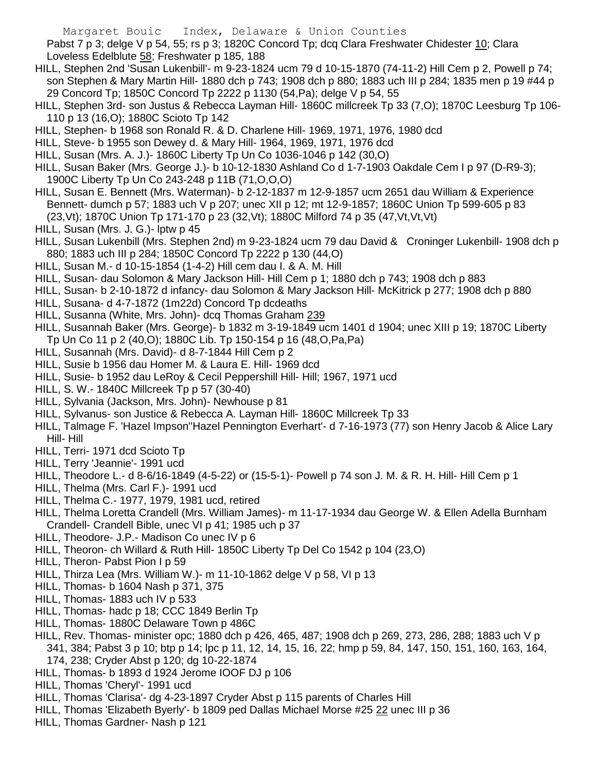Pabst 7 p 3; delge V p 54, 55; rs p 3; 1820C Concord Tp; dcq Clara Freshwater Chidester 10; Clara Loveless Edelblute 58; Freshwater p 185, 188

- HILL, Stephen 2nd 'Susan Lukenbill'- m 9-23-1824 ucm 79 d 10-15-1870 (74-11-2) Hill Cem p 2, Powell p 74; son Stephen & Mary Martin Hill- 1880 dch p 743; 1908 dch p 880; 1883 uch III p 284; 1835 men p 19 #44 p 29 Concord Tp; 1850C Concord Tp 2222 p 1130 (54,Pa); delge V p 54, 55
- HILL, Stephen 3rd- son Justus & Rebecca Layman Hill- 1860C millcreek Tp 33 (7,O); 1870C Leesburg Tp 106- 110 p 13 (16,O); 1880C Scioto Tp 142
- HILL, Stephen- b 1968 son Ronald R. & D. Charlene Hill- 1969, 1971, 1976, 1980 dcd
- HILL, Steve- b 1955 son Dewey d. & Mary Hill- 1964, 1969, 1971, 1976 dcd
- HILL, Susan (Mrs. A. J.)- 1860C Liberty Tp Un Co 1036-1046 p 142 (30,O)
- HILL, Susan Baker (Mrs. George J.)- b 10-12-1830 Ashland Co d 1-7-1903 Oakdale Cem I p 97 (D-R9-3); 1900C Liberty Tp Un Co 243-248 p 11B (71,O,O,O)
- HILL, Susan E. Bennett (Mrs. Waterman)- b 2-12-1837 m 12-9-1857 ucm 2651 dau William & Experience Bennett- dumch p 57; 1883 uch V p 207; unec XII p 12; mt 12-9-1857; 1860C Union Tp 599-605 p 83 (23,Vt); 1870C Union Tp 171-170 p 23 (32,Vt); 1880C Milford 74 p 35 (47,Vt,Vt,Vt)
- HILL, Susan (Mrs. J. G.)- lptw p 45
- HILL, Susan Lukenbill (Mrs. Stephen 2nd) m 9-23-1824 ucm 79 dau David & Croninger Lukenbill- 1908 dch p 880; 1883 uch III p 284; 1850C Concord Tp 2222 p 130 (44,O)
- HILL, Susan M.- d 10-15-1854 (1-4-2) Hill cem dau I. & A. M. Hill
- HILL, Susan- dau Solomon & Mary Jackson Hill- Hill Cem p 1; 1880 dch p 743; 1908 dch p 883
- HILL, Susan- b 2-10-1872 d infancy- dau Solomon & Mary Jackson Hill- McKitrick p 277; 1908 dch p 880
- HILL, Susana- d 4-7-1872 (1m22d) Concord Tp dcdeaths
- HILL, Susanna (White, Mrs. John)- dcq Thomas Graham 239
- HILL, Susannah Baker (Mrs. George)- b 1832 m 3-19-1849 ucm 1401 d 1904; unec XIII p 19; 1870C Liberty Tp Un Co 11 p 2 (40,O); 1880C Lib. Tp 150-154 p 16 (48,O,Pa,Pa)
- HILL, Susannah (Mrs. David)- d 8-7-1844 Hill Cem p 2
- HILL, Susie b 1956 dau Homer M. & Laura E. Hill- 1969 dcd
- HILL, Susie- b 1952 dau LeRoy & Cecil Peppershill Hill- Hill; 1967, 1971 ucd
- HILL, S. W.- 1840C Millcreek Tp p 57 (30-40)
- HILL, Sylvania (Jackson, Mrs. John)- Newhouse p 81
- HILL, Sylvanus- son Justice & Rebecca A. Layman Hill- 1860C Millcreek Tp 33
- HILL, Talmage F. 'Hazel Impson''Hazel Pennington Everhart'- d 7-16-1973 (77) son Henry Jacob & Alice Lary Hill- Hill
- HILL, Terri- 1971 dcd Scioto Tp
- HILL, Terry 'Jeannie'- 1991 ucd
- HILL, Theodore L.- d 8-6/16-1849 (4-5-22) or (15-5-1)- Powell p 74 son J. M. & R. H. Hill- Hill Cem p 1
- HILL, Thelma (Mrs. Carl F.)- 1991 ucd
- HILL, Thelma C.- 1977, 1979, 1981 ucd, retired
- HILL, Thelma Loretta Crandell (Mrs. William James)- m 11-17-1934 dau George W. & Ellen Adella Burnham Crandell- Crandell Bible, unec VI p 41; 1985 uch p 37
- HILL, Theodore- J.P.- Madison Co unec IV p 6
- HILL, Theoron- ch Willard & Ruth Hill- 1850C Liberty Tp Del Co 1542 p 104 (23,O)
- HILL, Theron- Pabst Pion I p 59
- HILL, Thirza Lea (Mrs. William W.)- m 11-10-1862 delge V p 58, VI p 13
- HILL, Thomas- b 1604 Nash p 371, 375
- HILL, Thomas- 1883 uch IV p 533
- HILL, Thomas- hadc p 18; CCC 1849 Berlin Tp
- HILL, Thomas- 1880C Delaware Town p 486C
- HILL, Rev. Thomas- minister opc; 1880 dch p 426, 465, 487; 1908 dch p 269, 273, 286, 288; 1883 uch V p

341, 384; Pabst 3 p 10; btp p 14; lpc p 11, 12, 14, 15, 16, 22; hmp p 59, 84, 147, 150, 151, 160, 163, 164, 174, 238; Cryder Abst p 120; dg 10-22-1874

- HILL, Thomas- b 1893 d 1924 Jerome IOOF DJ p 106
- HILL, Thomas 'Cheryl'- 1991 ucd
- HILL, Thomas 'Clarisa'- dg 4-23-1897 Cryder Abst p 115 parents of Charles Hill
- HILL, Thomas 'Elizabeth Byerly'- b 1809 ped Dallas Michael Morse #25 22 unec III p 36
- HILL, Thomas Gardner- Nash p 121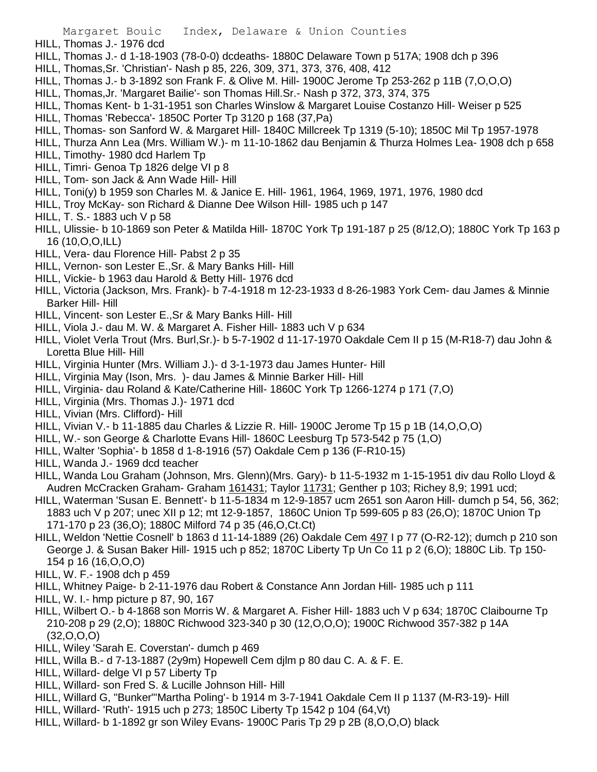- HILL, Thomas J.- 1976 dcd
- HILL, Thomas J.- d 1-18-1903 (78-0-0) dcdeaths- 1880C Delaware Town p 517A; 1908 dch p 396
- HILL, Thomas,Sr. 'Christian'- Nash p 85, 226, 309, 371, 373, 376, 408, 412
- HILL, Thomas J.- b 3-1892 son Frank F. & Olive M. Hill- 1900C Jerome Tp 253-262 p 11B (7,O,O,O)
- HILL, Thomas,Jr. 'Margaret Bailie'- son Thomas Hill.Sr.- Nash p 372, 373, 374, 375
- HILL, Thomas Kent- b 1-31-1951 son Charles Winslow & Margaret Louise Costanzo Hill- Weiser p 525
- HILL, Thomas 'Rebecca'- 1850C Porter Tp 3120 p 168 (37,Pa)
- HILL, Thomas- son Sanford W. & Margaret Hill- 1840C Millcreek Tp 1319 (5-10); 1850C Mil Tp 1957-1978
- HILL, Thurza Ann Lea (Mrs. William W.)- m 11-10-1862 dau Benjamin & Thurza Holmes Lea- 1908 dch p 658
- HILL, Timothy- 1980 dcd Harlem Tp
- HILL, Timri- Genoa Tp 1826 delge VI p 8
- HILL, Tom- son Jack & Ann Wade Hill- Hill
- HILL, Toni(y) b 1959 son Charles M. & Janice E. Hill- 1961, 1964, 1969, 1971, 1976, 1980 dcd
- HILL, Troy McKay- son Richard & Dianne Dee Wilson Hill- 1985 uch p 147
- HILL, T. S.- 1883 uch V p 58
- HILL, Ulissie- b 10-1869 son Peter & Matilda Hill- 1870C York Tp 191-187 p 25 (8/12,O); 1880C York Tp 163 p 16 (10,O,O,ILL)
- HILL, Vera- dau Florence Hill- Pabst 2 p 35
- HILL, Vernon- son Lester E.,Sr. & Mary Banks Hill- Hill
- HILL, Vickie- b 1963 dau Harold & Betty Hill- 1976 dcd
- HILL, Victoria (Jackson, Mrs. Frank)- b 7-4-1918 m 12-23-1933 d 8-26-1983 York Cem- dau James & Minnie Barker Hill- Hill
- HILL, Vincent- son Lester E.,Sr & Mary Banks Hill- Hill
- HILL, Viola J.- dau M. W. & Margaret A. Fisher Hill- 1883 uch V p 634
- HILL, Violet Verla Trout (Mrs. Burl,Sr.)- b 5-7-1902 d 11-17-1970 Oakdale Cem II p 15 (M-R18-7) dau John & Loretta Blue Hill- Hill
- HILL, Virginia Hunter (Mrs. William J.)- d 3-1-1973 dau James Hunter- Hill
- HILL, Virginia May (Ison, Mrs. )- dau James & Minnie Barker Hill- Hill
- HILL, Virginia- dau Roland & Kate/Catherine Hill- 1860C York Tp 1266-1274 p 171 (7,O)
- HILL, Virginia (Mrs. Thomas J.)- 1971 dcd
- HILL, Vivian (Mrs. Clifford)- Hill
- HILL, Vivian V.- b 11-1885 dau Charles & Lizzie R. Hill- 1900C Jerome Tp 15 p 1B (14,O,O,O)
- HILL, W.- son George & Charlotte Evans Hill- 1860C Leesburg Tp 573-542 p 75 (1,O)
- HILL, Walter 'Sophia'- b 1858 d 1-8-1916 (57) Oakdale Cem p 136 (F-R10-15)
- HILL, Wanda J.- 1969 dcd teacher
- HILL, Wanda Lou Graham (Johnson, Mrs. Glenn)(Mrs. Gary)- b 11-5-1932 m 1-15-1951 div dau Rollo Lloyd & Audren McCracken Graham- Graham 161431; Taylor 11731; Genther p 103; Richey 8,9; 1991 ucd;
- HILL, Waterman 'Susan E. Bennett'- b 11-5-1834 m 12-9-1857 ucm 2651 son Aaron Hill- dumch p 54, 56, 362; 1883 uch V p 207; unec XII p 12; mt 12-9-1857, 1860C Union Tp 599-605 p 83 (26,O); 1870C Union Tp 171-170 p 23 (36,O); 1880C Milford 74 p 35 (46,O,Ct.Ct)
- HILL, Weldon 'Nettie Cosnell' b 1863 d 11-14-1889 (26) Oakdale Cem 497 I p 77 (O-R2-12); dumch p 210 son George J. & Susan Baker Hill- 1915 uch p 852; 1870C Liberty Tp Un Co 11 p 2 (6,O); 1880C Lib. Tp 150- 154 p 16 (16,O,O,O)
- HILL, W. F.- 1908 dch p 459
- HILL, Whitney Paige- b 2-11-1976 dau Robert & Constance Ann Jordan Hill- 1985 uch p 111
- HILL, W. I.- hmp picture p 87, 90, 167
- HILL, Wilbert O.- b 4-1868 son Morris W. & Margaret A. Fisher Hill- 1883 uch V p 634; 1870C Claibourne Tp 210-208 p 29 (2,O); 1880C Richwood 323-340 p 30 (12,O,O,O); 1900C Richwood 357-382 p 14A  $(32, 0, 0, 0)$
- HILL, Wiley 'Sarah E. Coverstan'- dumch p 469
- HILL, Willa B.- d 7-13-1887 (2y9m) Hopewell Cem djlm p 80 dau C. A. & F. E.
- HILL, Willard- delge VI p 57 Liberty Tp
- HILL, Willard- son Fred S. & Lucille Johnson Hill- Hill
- HILL, Willard G, "Bunker"'Martha Poling'- b 1914 m 3-7-1941 Oakdale Cem II p 1137 (M-R3-19)- Hill
- HILL, Willard- 'Ruth'- 1915 uch p 273; 1850C Liberty Tp 1542 p 104 (64,Vt)
- HILL, Willard- b 1-1892 gr son Wiley Evans- 1900C Paris Tp 29 p 2B (8,O,O,O) black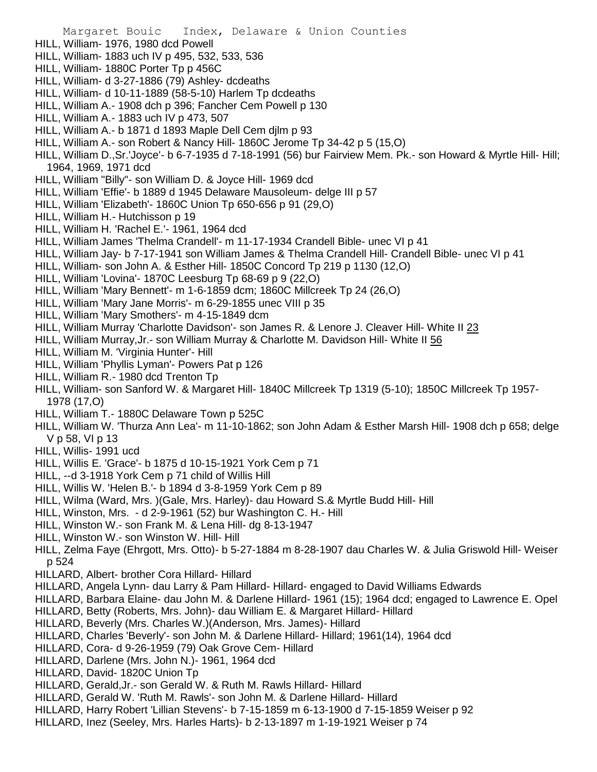- HILL, William- 1976, 1980 dcd Powell
- HILL, William- 1883 uch IV p 495, 532, 533, 536
- HILL, William- 1880C Porter Tp p 456C
- HILL, William- d 3-27-1886 (79) Ashley- dcdeaths
- HILL, William- d 10-11-1889 (58-5-10) Harlem Tp dcdeaths
- HILL, William A.- 1908 dch p 396; Fancher Cem Powell p 130
- HILL, William A.- 1883 uch IV p 473, 507
- HILL, William A.- b 1871 d 1893 Maple Dell Cem djlm p 93
- HILL, William A.- son Robert & Nancy Hill- 1860C Jerome Tp 34-42 p 5 (15,O)
- HILL, William D.,Sr.'Joyce'- b 6-7-1935 d 7-18-1991 (56) bur Fairview Mem. Pk.- son Howard & Myrtle Hill- Hill; 1964, 1969, 1971 dcd
- HILL, William "Billy"- son William D. & Joyce Hill- 1969 dcd
- HILL, William 'Effie'- b 1889 d 1945 Delaware Mausoleum- delge III p 57
- HILL, William 'Elizabeth'- 1860C Union Tp 650-656 p 91 (29,O)
- HILL, William H.- Hutchisson p 19
- HILL, William H. 'Rachel E.'- 1961, 1964 dcd
- HILL, William James 'Thelma Crandell'- m 11-17-1934 Crandell Bible- unec VI p 41
- HILL, William Jay- b 7-17-1941 son William James & Thelma Crandell Hill- Crandell Bible- unec VI p 41
- HILL, William- son John A. & Esther Hill- 1850C Concord Tp 219 p 1130 (12,O)
- HILL, William 'Lovina'- 1870C Leesburg Tp 68-69 p 9 (22,O)
- HILL, William 'Mary Bennett'- m 1-6-1859 dcm; 1860C Millcreek Tp 24 (26,O)
- HILL, William 'Mary Jane Morris'- m 6-29-1855 unec VIII p 35
- HILL, William 'Mary Smothers'- m 4-15-1849 dcm
- HILL, William Murray 'Charlotte Davidson'- son James R. & Lenore J. Cleaver Hill- White II 23
- HILL, William Murray,Jr.- son William Murray & Charlotte M. Davidson Hill- White II 56
- HILL, William M. 'Virginia Hunter'- Hill
- HILL, William 'Phyllis Lyman'- Powers Pat p 126
- HILL, William R.- 1980 dcd Trenton Tp
- HILL, William- son Sanford W. & Margaret Hill- 1840C Millcreek Tp 1319 (5-10); 1850C Millcreek Tp 1957- 1978 (17,O)
- HILL, William T.- 1880C Delaware Town p 525C
- HILL, William W. 'Thurza Ann Lea'- m 11-10-1862; son John Adam & Esther Marsh Hill- 1908 dch p 658; delge V p 58, VI p 13
- HILL, Willis- 1991 ucd
- HILL, Willis E. 'Grace'- b 1875 d 10-15-1921 York Cem p 71
- HILL, --d 3-1918 York Cem p 71 child of Willis Hill
- HILL, Willis W. 'Helen B.'- b 1894 d 3-8-1959 York Cem p 89
- HILL, Wilma (Ward, Mrs. )(Gale, Mrs. Harley)- dau Howard S.& Myrtle Budd Hill- Hill
- HILL, Winston, Mrs. d 2-9-1961 (52) bur Washington C. H.- Hill
- HILL, Winston W.- son Frank M. & Lena Hill- dg 8-13-1947
- HILL, Winston W.- son Winston W. Hill- Hill
- HILL, Zelma Faye (Ehrgott, Mrs. Otto)- b 5-27-1884 m 8-28-1907 dau Charles W. & Julia Griswold Hill- Weiser p 524
- HILLARD, Albert- brother Cora Hillard- Hillard
- HILLARD, Angela Lynn- dau Larry & Pam Hillard- Hillard- engaged to David Williams Edwards
- HILLARD, Barbara Elaine- dau John M. & Darlene Hillard- 1961 (15); 1964 dcd; engaged to Lawrence E. Opel
- HILLARD, Betty (Roberts, Mrs. John)- dau William E. & Margaret Hillard- Hillard
- HILLARD, Beverly (Mrs. Charles W.)(Anderson, Mrs. James)- Hillard
- HILLARD, Charles 'Beverly'- son John M. & Darlene Hillard- Hillard; 1961(14), 1964 dcd
- HILLARD, Cora- d 9-26-1959 (79) Oak Grove Cem- Hillard
- HILLARD, Darlene (Mrs. John N.)- 1961, 1964 dcd
- HILLARD, David- 1820C Union Tp
- HILLARD, Gerald,Jr.- son Gerald W. & Ruth M. Rawls Hillard- Hillard
- HILLARD, Gerald W. 'Ruth M. Rawls'- son John M. & Darlene Hillard- Hillard
- HILLARD, Harry Robert 'Lillian Stevens'- b 7-15-1859 m 6-13-1900 d 7-15-1859 Weiser p 92
- HILLARD, Inez (Seeley, Mrs. Harles Harts)- b 2-13-1897 m 1-19-1921 Weiser p 74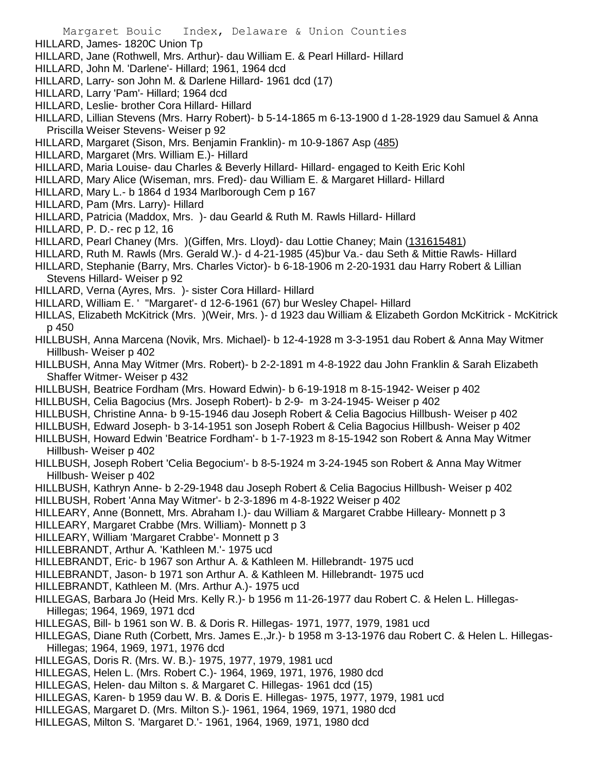- HILLARD, James- 1820C Union Tp
- HILLARD, Jane (Rothwell, Mrs. Arthur)- dau William E. & Pearl Hillard- Hillard
- HILLARD, John M. 'Darlene'- Hillard; 1961, 1964 dcd
- HILLARD, Larry- son John M. & Darlene Hillard- 1961 dcd (17)
- HILLARD, Larry 'Pam'- Hillard; 1964 dcd
- HILLARD, Leslie- brother Cora Hillard- Hillard
- HILLARD, Lillian Stevens (Mrs. Harry Robert)- b 5-14-1865 m 6-13-1900 d 1-28-1929 dau Samuel & Anna Priscilla Weiser Stevens- Weiser p 92
- HILLARD, Margaret (Sison, Mrs. Benjamin Franklin)- m 10-9-1867 Asp (485)
- HILLARD, Margaret (Mrs. William E.)- Hillard
- HILLARD, Maria Louise- dau Charles & Beverly Hillard- Hillard- engaged to Keith Eric Kohl
- HILLARD, Mary Alice (Wiseman, mrs. Fred)- dau William E. & Margaret Hillard- Hillard
- HILLARD, Mary L.- b 1864 d 1934 Marlborough Cem p 167
- HILLARD, Pam (Mrs. Larry)- Hillard
- HILLARD, Patricia (Maddox, Mrs. )- dau Gearld & Ruth M. Rawls Hillard- Hillard
- HILLARD, P. D.- rec p 12, 16
- HILLARD, Pearl Chaney (Mrs. ) (Giffen, Mrs. Lloyd) dau Lottie Chaney; Main (131615481)
- HILLARD, Ruth M. Rawls (Mrs. Gerald W.)- d 4-21-1985 (45)bur Va.- dau Seth & Mittie Rawls- Hillard
- HILLARD, Stephanie (Barry, Mrs. Charles Victor)- b 6-18-1906 m 2-20-1931 dau Harry Robert & Lillian Stevens Hillard- Weiser p 92
- HILLARD, Verna (Ayres, Mrs. )- sister Cora Hillard- Hillard
- HILLARD, William E. ' ''Margaret'- d 12-6-1961 (67) bur Wesley Chapel- Hillard
- HILLAS, Elizabeth McKitrick (Mrs. )(Weir, Mrs. )- d 1923 dau William & Elizabeth Gordon McKitrick McKitrick p 450
- HILLBUSH, Anna Marcena (Novik, Mrs. Michael)- b 12-4-1928 m 3-3-1951 dau Robert & Anna May Witmer Hillbush- Weiser p 402
- HILLBUSH, Anna May Witmer (Mrs. Robert)- b 2-2-1891 m 4-8-1922 dau John Franklin & Sarah Elizabeth Shaffer Witmer- Weiser p 432
- HILLBUSH, Beatrice Fordham (Mrs. Howard Edwin)- b 6-19-1918 m 8-15-1942- Weiser p 402
- HILLBUSH, Celia Bagocius (Mrs. Joseph Robert)- b 2-9- m 3-24-1945- Weiser p 402
- HILLBUSH, Christine Anna- b 9-15-1946 dau Joseph Robert & Celia Bagocius Hillbush- Weiser p 402
- HILLBUSH, Edward Joseph- b 3-14-1951 son Joseph Robert & Celia Bagocius Hillbush- Weiser p 402
- HILLBUSH, Howard Edwin 'Beatrice Fordham'- b 1-7-1923 m 8-15-1942 son Robert & Anna May Witmer Hillbush- Weiser p 402
- HILLBUSH, Joseph Robert 'Celia Begocium'- b 8-5-1924 m 3-24-1945 son Robert & Anna May Witmer Hillbush- Weiser p 402
- HILLBUSH, Kathryn Anne- b 2-29-1948 dau Joseph Robert & Celia Bagocius Hillbush- Weiser p 402
- HILLBUSH, Robert 'Anna May Witmer'- b 2-3-1896 m 4-8-1922 Weiser p 402
- HILLEARY, Anne (Bonnett, Mrs. Abraham I.)- dau William & Margaret Crabbe Hilleary- Monnett p 3
- HILLEARY, Margaret Crabbe (Mrs. William)- Monnett p 3
- HILLEARY, William 'Margaret Crabbe'- Monnett p 3
- HILLEBRANDT, Arthur A. 'Kathleen M.'- 1975 ucd
- HILLEBRANDT, Eric- b 1967 son Arthur A. & Kathleen M. Hillebrandt- 1975 ucd
- HILLEBRANDT, Jason- b 1971 son Arthur A. & Kathleen M. Hillebrandt- 1975 ucd
- HILLEBRANDT, Kathleen M. (Mrs. Arthur A.)- 1975 ucd
- HILLEGAS, Barbara Jo (Heid Mrs. Kelly R.)- b 1956 m 11-26-1977 dau Robert C. & Helen L. Hillegas-Hillegas; 1964, 1969, 1971 dcd
- HILLEGAS, Bill- b 1961 son W. B. & Doris R. Hillegas- 1971, 1977, 1979, 1981 ucd
- HILLEGAS, Diane Ruth (Corbett, Mrs. James E.,Jr.)- b 1958 m 3-13-1976 dau Robert C. & Helen L. Hillegas-Hillegas; 1964, 1969, 1971, 1976 dcd
- HILLEGAS, Doris R. (Mrs. W. B.)- 1975, 1977, 1979, 1981 ucd
- HILLEGAS, Helen L. (Mrs. Robert C.)- 1964, 1969, 1971, 1976, 1980 dcd
- HILLEGAS, Helen- dau Milton s. & Margaret C. Hillegas- 1961 dcd (15)
- HILLEGAS, Karen- b 1959 dau W. B. & Doris E. Hillegas- 1975, 1977, 1979, 1981 ucd
- HILLEGAS, Margaret D. (Mrs. Milton S.)- 1961, 1964, 1969, 1971, 1980 dcd
- HILLEGAS, Milton S. 'Margaret D.'- 1961, 1964, 1969, 1971, 1980 dcd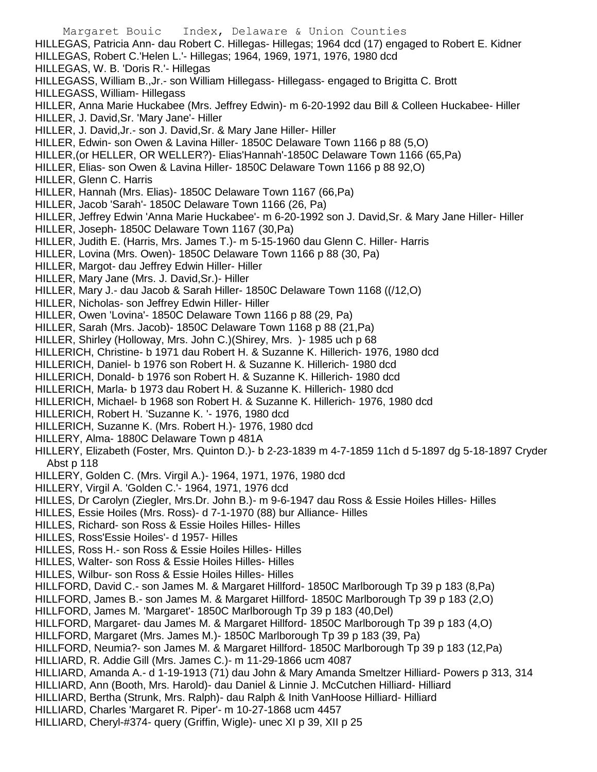Margaret Bouic Index, Delaware & Union Counties HILLEGAS, Patricia Ann- dau Robert C. Hillegas- Hillegas; 1964 dcd (17) engaged to Robert E. Kidner HILLEGAS, Robert C.'Helen L.'- Hillegas; 1964, 1969, 1971, 1976, 1980 dcd HILLEGAS, W. B. 'Doris R.'- Hillegas HILLEGASS, William B.,Jr.- son William Hillegass- Hillegass- engaged to Brigitta C. Brott HILLEGASS, William- Hillegass HILLER, Anna Marie Huckabee (Mrs. Jeffrey Edwin)- m 6-20-1992 dau Bill & Colleen Huckabee- Hiller HILLER, J. David,Sr. 'Mary Jane'- Hiller HILLER, J. David,Jr.- son J. David,Sr. & Mary Jane Hiller- Hiller HILLER, Edwin- son Owen & Lavina Hiller- 1850C Delaware Town 1166 p 88 (5,O) HILLER,(or HELLER, OR WELLER?)- Elias'Hannah'-1850C Delaware Town 1166 (65,Pa) HILLER, Elias- son Owen & Lavina Hiller- 1850C Delaware Town 1166 p 88 92,O) HILLER, Glenn C. Harris HILLER, Hannah (Mrs. Elias)- 1850C Delaware Town 1167 (66,Pa) HILLER, Jacob 'Sarah'- 1850C Delaware Town 1166 (26, Pa) HILLER, Jeffrey Edwin 'Anna Marie Huckabee'- m 6-20-1992 son J. David,Sr. & Mary Jane Hiller- Hiller HILLER, Joseph- 1850C Delaware Town 1167 (30,Pa) HILLER, Judith E. (Harris, Mrs. James T.)- m 5-15-1960 dau Glenn C. Hiller- Harris HILLER, Lovina (Mrs. Owen)- 1850C Delaware Town 1166 p 88 (30, Pa) HILLER, Margot- dau Jeffrey Edwin Hiller- Hiller HILLER, Mary Jane (Mrs. J. David,Sr.)- Hiller HILLER, Mary J.- dau Jacob & Sarah Hiller- 1850C Delaware Town 1168 ((/12,O) HILLER, Nicholas- son Jeffrey Edwin Hiller- Hiller HILLER, Owen 'Lovina'- 1850C Delaware Town 1166 p 88 (29, Pa) HILLER, Sarah (Mrs. Jacob)- 1850C Delaware Town 1168 p 88 (21,Pa) HILLER, Shirley (Holloway, Mrs. John C.)(Shirey, Mrs. )- 1985 uch p 68 HILLERICH, Christine- b 1971 dau Robert H. & Suzanne K. Hillerich- 1976, 1980 dcd HILLERICH, Daniel- b 1976 son Robert H. & Suzanne K. Hillerich- 1980 dcd HILLERICH, Donald- b 1976 son Robert H. & Suzanne K. Hillerich- 1980 dcd HILLERICH, Marla- b 1973 dau Robert H. & Suzanne K. Hillerich- 1980 dcd HILLERICH, Michael- b 1968 son Robert H. & Suzanne K. Hillerich- 1976, 1980 dcd HILLERICH, Robert H. 'Suzanne K. '- 1976, 1980 dcd HILLERICH, Suzanne K. (Mrs. Robert H.)- 1976, 1980 dcd HILLERY, Alma- 1880C Delaware Town p 481A HILLERY, Elizabeth (Foster, Mrs. Quinton D.)- b 2-23-1839 m 4-7-1859 11ch d 5-1897 dg 5-18-1897 Cryder Abst p 118 HILLERY, Golden C. (Mrs. Virgil A.)- 1964, 1971, 1976, 1980 dcd HILLERY, Virgil A. 'Golden C.'- 1964, 1971, 1976 dcd HILLES, Dr Carolyn (Ziegler, Mrs.Dr. John B.)- m 9-6-1947 dau Ross & Essie Hoiles Hilles- Hilles HILLES, Essie Hoiles (Mrs. Ross)- d 7-1-1970 (88) bur Alliance- Hilles HILLES, Richard- son Ross & Essie Hoiles Hilles- Hilles HILLES, Ross'Essie Hoiles'- d 1957- Hilles HILLES, Ross H.- son Ross & Essie Hoiles Hilles- Hilles HILLES, Walter- son Ross & Essie Hoiles Hilles- Hilles HILLES, Wilbur- son Ross & Essie Hoiles Hilles- Hilles HILLFORD, David C.- son James M. & Margaret Hillford- 1850C Marlborough Tp 39 p 183 (8,Pa) HILLFORD, James B.- son James M. & Margaret Hillford- 1850C Marlborough Tp 39 p 183 (2,O) HILLFORD, James M. 'Margaret'- 1850C Marlborough Tp 39 p 183 (40,Del) HILLFORD, Margaret- dau James M. & Margaret Hillford- 1850C Marlborough Tp 39 p 183 (4,O) HILLFORD, Margaret (Mrs. James M.)- 1850C Marlborough Tp 39 p 183 (39, Pa) HILLFORD, Neumia?- son James M. & Margaret Hillford- 1850C Marlborough Tp 39 p 183 (12,Pa) HILLIARD, R. Addie Gill (Mrs. James C.)- m 11-29-1866 ucm 4087 HILLIARD, Amanda A.- d 1-19-1913 (71) dau John & Mary Amanda Smeltzer Hilliard- Powers p 313, 314 HILLIARD, Ann (Booth, Mrs. Harold)- dau Daniel & Linnie J. McCutchen Hilliard- Hilliard HILLIARD, Bertha (Strunk, Mrs. Ralph)- dau Ralph & Inith VanHoose Hilliard- Hilliard HILLIARD, Charles 'Margaret R. Piper'- m 10-27-1868 ucm 4457 HILLIARD, Cheryl-#374- query (Griffin, Wigle)- unec XI p 39, XII p 25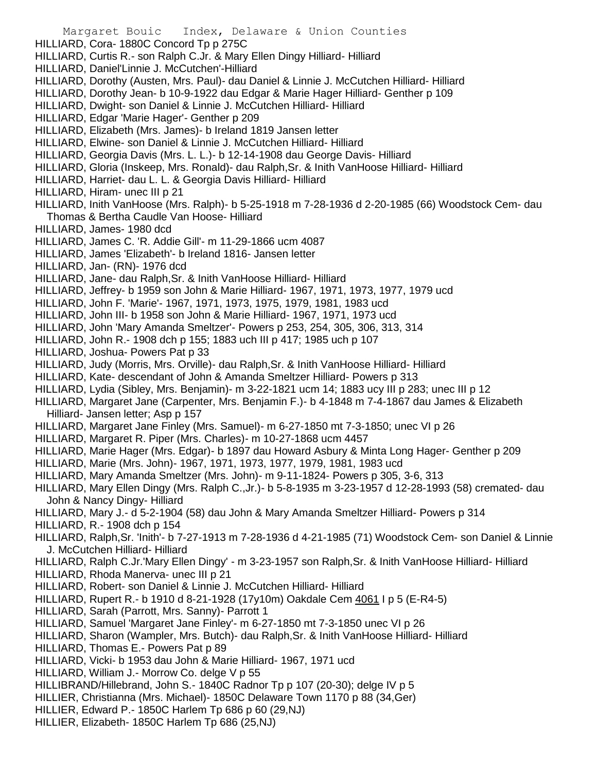- Margaret Bouic Index, Delaware & Union Counties HILLIARD, Cora- 1880C Concord Tp p 275C HILLIARD, Curtis R.- son Ralph C.Jr. & Mary Ellen Dingy Hilliard- Hilliard HILLIARD, Daniel'Linnie J. McCutchen'-Hilliard HILLIARD, Dorothy (Austen, Mrs. Paul)- dau Daniel & Linnie J. McCutchen Hilliard- Hilliard HILLIARD, Dorothy Jean- b 10-9-1922 dau Edgar & Marie Hager Hilliard- Genther p 109 HILLIARD, Dwight- son Daniel & Linnie J. McCutchen Hilliard- Hilliard HILLIARD, Edgar 'Marie Hager'- Genther p 209 HILLIARD, Elizabeth (Mrs. James)- b Ireland 1819 Jansen letter HILLIARD, Elwine- son Daniel & Linnie J. McCutchen Hilliard- Hilliard HILLIARD, Georgia Davis (Mrs. L. L.)- b 12-14-1908 dau George Davis- Hilliard HILLIARD, Gloria (Inskeep, Mrs. Ronald)- dau Ralph,Sr. & Inith VanHoose Hilliard- Hilliard HILLIARD, Harriet- dau L. L. & Georgia Davis Hilliard- Hilliard HILLIARD, Hiram- unec III p 21 HILLIARD, Inith VanHoose (Mrs. Ralph)- b 5-25-1918 m 7-28-1936 d 2-20-1985 (66) Woodstock Cem- dau Thomas & Bertha Caudle Van Hoose- Hilliard HILLIARD, James- 1980 dcd HILLIARD, James C. 'R. Addie Gill'- m 11-29-1866 ucm 4087 HILLIARD, James 'Elizabeth'- b Ireland 1816- Jansen letter HILLIARD, Jan- (RN)- 1976 dcd HILLIARD, Jane- dau Ralph,Sr. & Inith VanHoose Hilliard- Hilliard HILLIARD, Jeffrey- b 1959 son John & Marie Hilliard- 1967, 1971, 1973, 1977, 1979 ucd HILLIARD, John F. 'Marie'- 1967, 1971, 1973, 1975, 1979, 1981, 1983 ucd HILLIARD, John III- b 1958 son John & Marie Hilliard- 1967, 1971, 1973 ucd HILLIARD, John 'Mary Amanda Smeltzer'- Powers p 253, 254, 305, 306, 313, 314 HILLIARD, John R.- 1908 dch p 155; 1883 uch III p 417; 1985 uch p 107 HILLIARD, Joshua- Powers Pat p 33 HILLIARD, Judy (Morris, Mrs. Orville)- dau Ralph,Sr. & Inith VanHoose Hilliard- Hilliard HILLIARD, Kate- descendant of John & Amanda Smeltzer Hilliard- Powers p 313 HILLIARD, Lydia (Sibley, Mrs. Benjamin)- m 3-22-1821 ucm 14; 1883 ucy III p 283; unec III p 12 HILLIARD, Margaret Jane (Carpenter, Mrs. Benjamin F.)- b 4-1848 m 7-4-1867 dau James & Elizabeth Hilliard- Jansen letter; Asp p 157 HILLIARD, Margaret Jane Finley (Mrs. Samuel)- m 6-27-1850 mt 7-3-1850; unec VI p 26 HILLIARD, Margaret R. Piper (Mrs. Charles)- m 10-27-1868 ucm 4457 HILLIARD, Marie Hager (Mrs. Edgar)- b 1897 dau Howard Asbury & Minta Long Hager- Genther p 209 HILLIARD, Marie (Mrs. John)- 1967, 1971, 1973, 1977, 1979, 1981, 1983 ucd HILLIARD, Mary Amanda Smeltzer (Mrs. John)- m 9-11-1824- Powers p 305, 3-6, 313 HILLIARD, Mary Ellen Dingy (Mrs. Ralph C.,Jr.)- b 5-8-1935 m 3-23-1957 d 12-28-1993 (58) cremated- dau John & Nancy Dingy- Hilliard HILLIARD, Mary J.- d 5-2-1904 (58) dau John & Mary Amanda Smeltzer Hilliard- Powers p 314 HILLIARD, R.- 1908 dch p 154 HILLIARD, Ralph,Sr. 'Inith'- b 7-27-1913 m 7-28-1936 d 4-21-1985 (71) Woodstock Cem- son Daniel & Linnie J. McCutchen Hilliard- Hilliard HILLIARD, Ralph C.Jr.'Mary Ellen Dingy' - m 3-23-1957 son Ralph,Sr. & Inith VanHoose Hilliard- Hilliard HILLIARD, Rhoda Manerva- unec III p 21 HILLIARD, Robert- son Daniel & Linnie J. McCutchen Hilliard- Hilliard HILLIARD, Rupert R.- b 1910 d 8-21-1928 (17y10m) Oakdale Cem 4061 I p 5 (E-R4-5) HILLIARD, Sarah (Parrott, Mrs. Sanny)- Parrott 1 HILLIARD, Samuel 'Margaret Jane Finley'- m 6-27-1850 mt 7-3-1850 unec VI p 26 HILLIARD, Sharon (Wampler, Mrs. Butch)- dau Ralph,Sr. & Inith VanHoose Hilliard- Hilliard HILLIARD, Thomas E.- Powers Pat p 89 HILLIARD, Vicki- b 1953 dau John & Marie Hilliard- 1967, 1971 ucd HILLIARD, William J.- Morrow Co. delge V p 55 HILLIBRAND/Hillebrand, John S.- 1840C Radnor Tp p 107 (20-30); delge IV p 5 HILLIER, Christianna (Mrs. Michael)- 1850C Delaware Town 1170 p 88 (34,Ger) HILLIER, Edward P.- 1850C Harlem Tp 686 p 60 (29,NJ)
- HILLIER, Elizabeth- 1850C Harlem Tp 686 (25,NJ)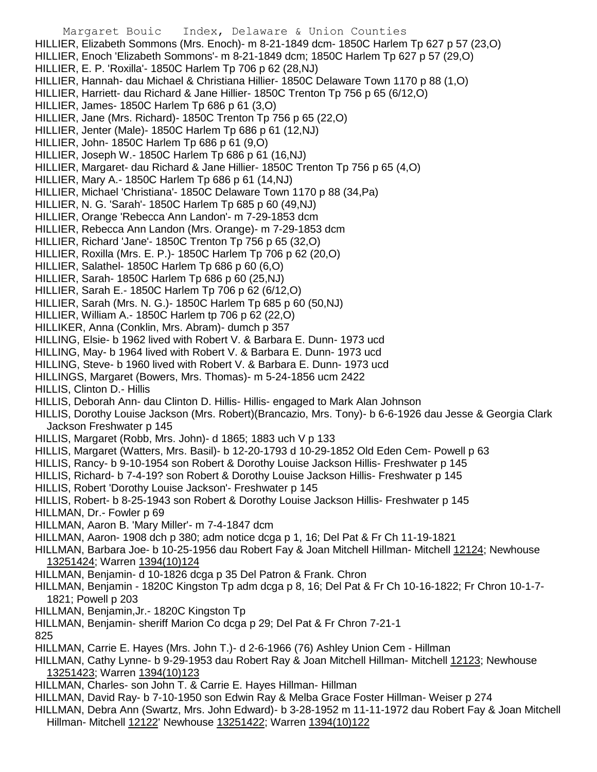- Margaret Bouic Index, Delaware & Union Counties HILLIER, Elizabeth Sommons (Mrs. Enoch)- m 8-21-1849 dcm- 1850C Harlem Tp 627 p 57 (23,O) HILLIER, Enoch 'Elizabeth Sommons'- m 8-21-1849 dcm; 1850C Harlem Tp 627 p 57 (29,O) HILLIER, E. P. 'Roxilla'- 1850C Harlem Tp 706 p 62 (28,NJ) HILLIER, Hannah- dau Michael & Christiana Hillier- 1850C Delaware Town 1170 p 88 (1,O) HILLIER, Harriett- dau Richard & Jane Hillier- 1850C Trenton Tp 756 p 65 (6/12,O) HILLIER, James- 1850C Harlem Tp 686 p 61 (3,O) HILLIER, Jane (Mrs. Richard)- 1850C Trenton Tp 756 p 65 (22,O) HILLIER, Jenter (Male)- 1850C Harlem Tp 686 p 61 (12,NJ) HILLIER, John- 1850C Harlem Tp 686 p 61 (9,O) HILLIER, Joseph W.- 1850C Harlem Tp 686 p 61 (16,NJ) HILLIER, Margaret- dau Richard & Jane Hillier- 1850C Trenton Tp 756 p 65 (4,O) HILLIER, Mary A.- 1850C Harlem Tp 686 p 61 (14,NJ) HILLIER, Michael 'Christiana'- 1850C Delaware Town 1170 p 88 (34,Pa) HILLIER, N. G. 'Sarah'- 1850C Harlem Tp 685 p 60 (49,NJ) HILLIER, Orange 'Rebecca Ann Landon'- m 7-29-1853 dcm HILLIER, Rebecca Ann Landon (Mrs. Orange)- m 7-29-1853 dcm HILLIER, Richard 'Jane'- 1850C Trenton Tp 756 p 65 (32,O) HILLIER, Roxilla (Mrs. E. P.)- 1850C Harlem Tp 706 p 62 (20,O) HILLIER, Salathel- 1850C Harlem Tp 686 p 60 (6,O) HILLIER, Sarah- 1850C Harlem Tp 686 p 60 (25,NJ) HILLIER, Sarah E.- 1850C Harlem Tp 706 p 62 (6/12,O) HILLIER, Sarah (Mrs. N. G.)- 1850C Harlem Tp 685 p 60 (50,NJ) HILLIER, William A.- 1850C Harlem tp 706 p 62 (22,O) HILLIKER, Anna (Conklin, Mrs. Abram)- dumch p 357 HILLING, Elsie- b 1962 lived with Robert V. & Barbara E. Dunn- 1973 ucd HILLING, May- b 1964 lived with Robert V. & Barbara E. Dunn- 1973 ucd HILLING, Steve- b 1960 lived with Robert V. & Barbara E. Dunn- 1973 ucd HILLINGS, Margaret (Bowers, Mrs. Thomas)- m 5-24-1856 ucm 2422 HILLIS, Clinton D.- Hillis HILLIS, Deborah Ann- dau Clinton D. Hillis- Hillis- engaged to Mark Alan Johnson HILLIS, Dorothy Louise Jackson (Mrs. Robert)(Brancazio, Mrs. Tony)- b 6-6-1926 dau Jesse & Georgia Clark Jackson Freshwater p 145 HILLIS, Margaret (Robb, Mrs. John)- d 1865; 1883 uch V p 133 HILLIS, Margaret (Watters, Mrs. Basil)- b 12-20-1793 d 10-29-1852 Old Eden Cem- Powell p 63 HILLIS, Rancy- b 9-10-1954 son Robert & Dorothy Louise Jackson Hillis- Freshwater p 145 HILLIS, Richard- b 7-4-19? son Robert & Dorothy Louise Jackson Hillis- Freshwater p 145 HILLIS, Robert 'Dorothy Louise Jackson'- Freshwater p 145 HILLIS, Robert- b 8-25-1943 son Robert & Dorothy Louise Jackson Hillis- Freshwater p 145 HILLMAN, Dr.- Fowler p 69 HILLMAN, Aaron B. 'Mary Miller'- m 7-4-1847 dcm HILLMAN, Aaron- 1908 dch p 380; adm notice dcga p 1, 16; Del Pat & Fr Ch 11-19-1821 HILLMAN, Barbara Joe- b 10-25-1956 dau Robert Fay & Joan Mitchell Hillman- Mitchell 12124; Newhouse 13251424; Warren 1394(10)124 HILLMAN, Benjamin- d 10-1826 dcga p 35 Del Patron & Frank. Chron HILLMAN, Benjamin - 1820C Kingston Tp adm dcga p 8, 16; Del Pat & Fr Ch 10-16-1822; Fr Chron 10-1-7- 1821; Powell p 203 HILLMAN, Benjamin,Jr.- 1820C Kingston Tp HILLMAN, Benjamin- sheriff Marion Co dcga p 29; Del Pat & Fr Chron 7-21-1 825 HILLMAN, Carrie E. Hayes (Mrs. John T.)- d 2-6-1966 (76) Ashley Union Cem - Hillman HILLMAN, Cathy Lynne- b 9-29-1953 dau Robert Ray & Joan Mitchell Hillman- Mitchell 12123; Newhouse 13251423; Warren 1394(10)123 HILLMAN, Charles- son John T. & Carrie E. Hayes Hillman- Hillman HILLMAN, David Ray- b 7-10-1950 son Edwin Ray & Melba Grace Foster Hillman- Weiser p 274 HILLMAN, Debra Ann (Swartz, Mrs. John Edward)- b 3-28-1952 m 11-11-1972 dau Robert Fay & Joan Mitchell
	- Hillman- Mitchell 12122' Newhouse 13251422; Warren 1394(10)122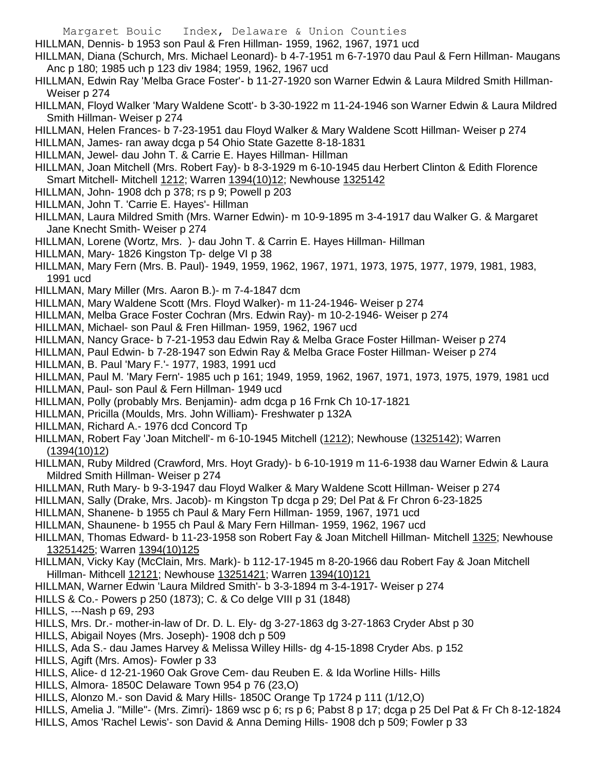- HILLMAN, Dennis- b 1953 son Paul & Fren Hillman- 1959, 1962, 1967, 1971 ucd
- HILLMAN, Diana (Schurch, Mrs. Michael Leonard)- b 4-7-1951 m 6-7-1970 dau Paul & Fern Hillman- Maugans Anc p 180; 1985 uch p 123 div 1984; 1959, 1962, 1967 ucd
- HILLMAN, Edwin Ray 'Melba Grace Foster'- b 11-27-1920 son Warner Edwin & Laura Mildred Smith Hillman-Weiser p 274
- HILLMAN, Floyd Walker 'Mary Waldene Scott'- b 3-30-1922 m 11-24-1946 son Warner Edwin & Laura Mildred Smith Hillman- Weiser p 274
- HILLMAN, Helen Frances- b 7-23-1951 dau Floyd Walker & Mary Waldene Scott Hillman- Weiser p 274
- HILLMAN, James- ran away dcga p 54 Ohio State Gazette 8-18-1831
- HILLMAN, Jewel- dau John T. & Carrie E. Hayes Hillman- Hillman
- HILLMAN, Joan Mitchell (Mrs. Robert Fay)- b 8-3-1929 m 6-10-1945 dau Herbert Clinton & Edith Florence Smart Mitchell- Mitchell 1212; Warren 1394(10)12; Newhouse 1325142
- HILLMAN, John- 1908 dch p 378; rs p 9; Powell p 203
- HILLMAN, John T. 'Carrie E. Hayes'- Hillman
- HILLMAN, Laura Mildred Smith (Mrs. Warner Edwin)- m 10-9-1895 m 3-4-1917 dau Walker G. & Margaret Jane Knecht Smith- Weiser p 274
- HILLMAN, Lorene (Wortz, Mrs. )- dau John T. & Carrin E. Hayes Hillman- Hillman
- HILLMAN, Mary- 1826 Kingston Tp- delge VI p 38
- HILLMAN, Mary Fern (Mrs. B. Paul)- 1949, 1959, 1962, 1967, 1971, 1973, 1975, 1977, 1979, 1981, 1983, 1991 ucd
- HILLMAN, Mary Miller (Mrs. Aaron B.)- m 7-4-1847 dcm
- HILLMAN, Mary Waldene Scott (Mrs. Floyd Walker)- m 11-24-1946- Weiser p 274
- HILLMAN, Melba Grace Foster Cochran (Mrs. Edwin Ray)- m 10-2-1946- Weiser p 274
- HILLMAN, Michael- son Paul & Fren Hillman- 1959, 1962, 1967 ucd
- HILLMAN, Nancy Grace- b 7-21-1953 dau Edwin Ray & Melba Grace Foster Hillman- Weiser p 274
- HILLMAN, Paul Edwin- b 7-28-1947 son Edwin Ray & Melba Grace Foster Hillman- Weiser p 274
- HILLMAN, B. Paul 'Mary F.'- 1977, 1983, 1991 ucd
- HILLMAN, Paul M. 'Mary Fern'- 1985 uch p 161; 1949, 1959, 1962, 1967, 1971, 1973, 1975, 1979, 1981 ucd
- HILLMAN, Paul- son Paul & Fern Hillman- 1949 ucd
- HILLMAN, Polly (probably Mrs. Benjamin)- adm dcga p 16 Frnk Ch 10-17-1821
- HILLMAN, Pricilla (Moulds, Mrs. John William)- Freshwater p 132A
- HILLMAN, Richard A.- 1976 dcd Concord Tp
- HILLMAN, Robert Fay 'Joan Mitchell'- m 6-10-1945 Mitchell (1212); Newhouse (1325142); Warren (1394(10)12)
- HILLMAN, Ruby Mildred (Crawford, Mrs. Hoyt Grady)- b 6-10-1919 m 11-6-1938 dau Warner Edwin & Laura Mildred Smith Hillman- Weiser p 274
- HILLMAN, Ruth Mary- b 9-3-1947 dau Floyd Walker & Mary Waldene Scott Hillman- Weiser p 274
- HILLMAN, Sally (Drake, Mrs. Jacob)- m Kingston Tp dcga p 29; Del Pat & Fr Chron 6-23-1825
- HILLMAN, Shanene- b 1955 ch Paul & Mary Fern Hillman- 1959, 1967, 1971 ucd
- HILLMAN, Shaunene- b 1955 ch Paul & Mary Fern Hillman- 1959, 1962, 1967 ucd
- HILLMAN, Thomas Edward- b 11-23-1958 son Robert Fay & Joan Mitchell Hillman- Mitchell 1325; Newhouse 13251425; Warren 1394(10)125
- HILLMAN, Vicky Kay (McClain, Mrs. Mark)- b 112-17-1945 m 8-20-1966 dau Robert Fay & Joan Mitchell Hillman- Mithcell 12121; Newhouse 13251421; Warren 1394(10)121
- HILLMAN, Warner Edwin 'Laura Mildred Smith'- b 3-3-1894 m 3-4-1917- Weiser p 274
- HILLS & Co.- Powers p 250 (1873); C. & Co delge VIII p 31 (1848)
- HILLS, ---Nash p 69, 293
- HILLS, Mrs. Dr.- mother-in-law of Dr. D. L. Ely- dg 3-27-1863 dg 3-27-1863 Cryder Abst p 30
- HILLS, Abigail Noyes (Mrs. Joseph)- 1908 dch p 509
- HILLS, Ada S.- dau James Harvey & Melissa Willey Hills- dg 4-15-1898 Cryder Abs. p 152
- HILLS, Agift (Mrs. Amos)- Fowler p 33
- HILLS, Alice- d 12-21-1960 Oak Grove Cem- dau Reuben E. & Ida Worline Hills- Hills
- HILLS, Almora- 1850C Delaware Town 954 p 76 (23,O)
- HILLS, Alonzo M.- son David & Mary Hills- 1850C Orange Tp 1724 p 111 (1/12,O)
- HILLS, Amelia J. "Mille"- (Mrs. Zimri)- 1869 wsc p 6; rs p 6; Pabst 8 p 17; dcga p 25 Del Pat & Fr Ch 8-12-1824
- HILLS, Amos 'Rachel Lewis'- son David & Anna Deming Hills- 1908 dch p 509; Fowler p 33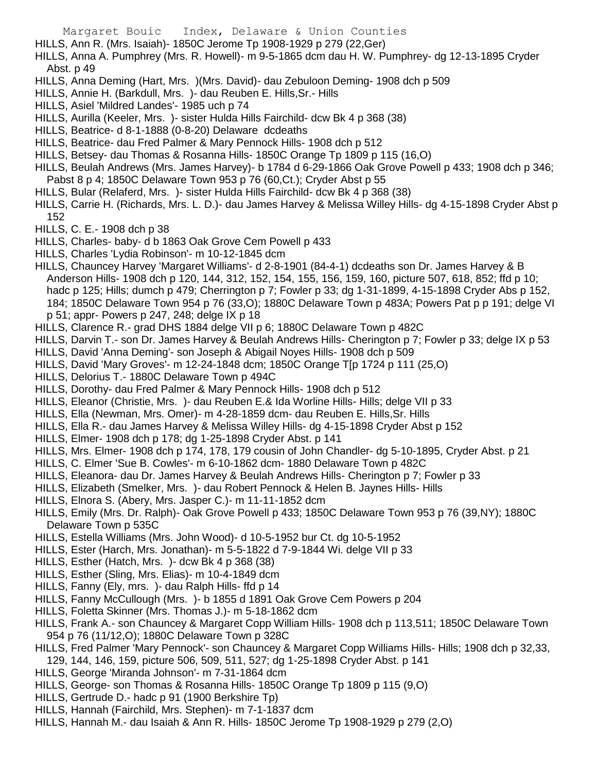- HILLS, Ann R. (Mrs. Isaiah)- 1850C Jerome Tp 1908-1929 p 279 (22,Ger)
- HILLS, Anna A. Pumphrey (Mrs. R. Howell)- m 9-5-1865 dcm dau H. W. Pumphrey- dg 12-13-1895 Cryder Abst. p 49
- HILLS, Anna Deming (Hart, Mrs. )(Mrs. David)- dau Zebuloon Deming- 1908 dch p 509
- HILLS, Annie H. (Barkdull, Mrs. )- dau Reuben E. Hills,Sr.- Hills
- HILLS, Asiel 'Mildred Landes'- 1985 uch p 74
- HILLS, Aurilla (Keeler, Mrs. )- sister Hulda Hills Fairchild- dcw Bk 4 p 368 (38)
- HILLS, Beatrice- d 8-1-1888 (0-8-20) Delaware dcdeaths
- HILLS, Beatrice- dau Fred Palmer & Mary Pennock Hills- 1908 dch p 512
- HILLS, Betsey- dau Thomas & Rosanna Hills- 1850C Orange Tp 1809 p 115 (16,O)
- HILLS, Beulah Andrews (Mrs. James Harvey)- b 1784 d 6-29-1866 Oak Grove Powell p 433; 1908 dch p 346; Pabst 8 p 4; 1850C Delaware Town 953 p 76 (60,Ct.); Cryder Abst p 55
- HILLS, Bular (Relaferd, Mrs. )- sister Hulda Hills Fairchild- dcw Bk 4 p 368 (38)
- HILLS, Carrie H. (Richards, Mrs. L. D.)- dau James Harvey & Melissa Willey Hills- dg 4-15-1898 Cryder Abst p 152
- HILLS, C. E.- 1908 dch p 38
- HILLS, Charles- baby- d b 1863 Oak Grove Cem Powell p 433
- HILLS, Charles 'Lydia Robinson'- m 10-12-1845 dcm
- HILLS, Chauncey Harvey 'Margaret Williams'- d 2-8-1901 (84-4-1) dcdeaths son Dr. James Harvey & B Anderson Hills- 1908 dch p 120, 144, 312, 152, 154, 155, 156, 159, 160, picture 507, 618, 852; ffd p 10; hadc p 125; Hills; dumch p 479; Cherrington p 7; Fowler p 33; dg 1-31-1899, 4-15-1898 Cryder Abs p 152, 184; 1850C Delaware Town 954 p 76 (33,O); 1880C Delaware Town p 483A; Powers Pat p p 191; delge VI p 51; appr- Powers p 247, 248; delge IX p 18
- HILLS, Clarence R.- grad DHS 1884 delge VII p 6; 1880C Delaware Town p 482C
- HILLS, Darvin T.- son Dr. James Harvey & Beulah Andrews Hills- Cherington p 7; Fowler p 33; delge IX p 53
- HILLS, David 'Anna Deming'- son Joseph & Abigail Noyes Hills- 1908 dch p 509
- HILLS, David 'Mary Groves'- m 12-24-1848 dcm; 1850C Orange T[p 1724 p 111 (25,O)
- HILLS, Delorius T.- 1880C Delaware Town p 494C
- HILLS, Dorothy- dau Fred Palmer & Mary Pennock Hills- 1908 dch p 512
- HILLS, Eleanor (Christie, Mrs. )- dau Reuben E.& Ida Worline Hills- Hills; delge VII p 33
- HILLS, Ella (Newman, Mrs. Omer)- m 4-28-1859 dcm- dau Reuben E. Hills,Sr. Hills
- HILLS, Ella R.- dau James Harvey & Melissa Willey Hills- dg 4-15-1898 Cryder Abst p 152
- HILLS, Elmer- 1908 dch p 178; dg 1-25-1898 Cryder Abst. p 141
- HILLS, Mrs. Elmer- 1908 dch p 174, 178, 179 cousin of John Chandler- dg 5-10-1895, Cryder Abst. p 21
- HILLS, C. Elmer 'Sue B. Cowles'- m 6-10-1862 dcm- 1880 Delaware Town p 482C
- HILLS, Eleanora- dau Dr. James Harvey & Beulah Andrews Hills- Cherington p 7; Fowler p 33
- HILLS, Elizabeth (Smelker, Mrs. )- dau Robert Pennock & Helen B. Jaynes Hills- Hills
- HILLS, Elnora S. (Abery, Mrs. Jasper C.)- m 11-11-1852 dcm
- HILLS, Emily (Mrs. Dr. Ralph)- Oak Grove Powell p 433; 1850C Delaware Town 953 p 76 (39,NY); 1880C Delaware Town p 535C
- HILLS, Estella Williams (Mrs. John Wood)- d 10-5-1952 bur Ct. dg 10-5-1952
- HILLS, Ester (Harch, Mrs. Jonathan)- m 5-5-1822 d 7-9-1844 Wi. delge VII p 33
- HILLS, Esther (Hatch, Mrs. )- dcw Bk 4 p 368 (38)
- HILLS, Esther (Sling, Mrs. Elias)- m 10-4-1849 dcm
- HILLS, Fanny (Ely, mrs. )- dau Ralph Hills- ffd p 14
- HILLS, Fanny McCullough (Mrs. )- b 1855 d 1891 Oak Grove Cem Powers p 204
- HILLS, Foletta Skinner (Mrs. Thomas J.)- m 5-18-1862 dcm
- HILLS, Frank A.- son Chauncey & Margaret Copp William Hills- 1908 dch p 113,511; 1850C Delaware Town 954 p 76 (11/12,O); 1880C Delaware Town p 328C
- HILLS, Fred Palmer 'Mary Pennock'- son Chauncey & Margaret Copp Williams Hills- Hills; 1908 dch p 32,33, 129, 144, 146, 159, picture 506, 509, 511, 527; dg 1-25-1898 Cryder Abst. p 141
- HILLS, George 'Miranda Johnson'- m 7-31-1864 dcm
- HILLS, George- son Thomas & Rosanna Hills- 1850C Orange Tp 1809 p 115 (9,O)
- HILLS, Gertrude D.- hadc p 91 (1900 Berkshire Tp)
- HILLS, Hannah (Fairchild, Mrs. Stephen)- m 7-1-1837 dcm
- HILLS, Hannah M.- dau Isaiah & Ann R. Hills- 1850C Jerome Tp 1908-1929 p 279 (2,O)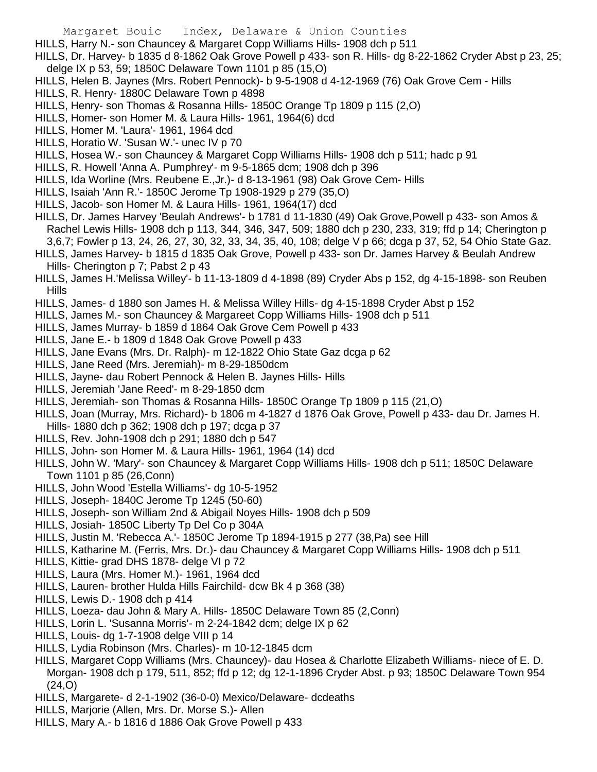- HILLS, Harry N.- son Chauncey & Margaret Copp Williams Hills- 1908 dch p 511
- HILLS, Dr. Harvey- b 1835 d 8-1862 Oak Grove Powell p 433- son R. Hills- dg 8-22-1862 Cryder Abst p 23, 25; delge IX p 53, 59; 1850C Delaware Town 1101 p 85 (15,O)
- HILLS, Helen B. Jaynes (Mrs. Robert Pennock)- b 9-5-1908 d 4-12-1969 (76) Oak Grove Cem Hills
- HILLS, R. Henry- 1880C Delaware Town p 4898
- HILLS, Henry- son Thomas & Rosanna Hills- 1850C Orange Tp 1809 p 115 (2,O)
- HILLS, Homer- son Homer M. & Laura Hills- 1961, 1964(6) dcd
- HILLS, Homer M. 'Laura'- 1961, 1964 dcd
- HILLS, Horatio W. 'Susan W.'- unec IV p 70
- HILLS, Hosea W.- son Chauncey & Margaret Copp Williams Hills- 1908 dch p 511; hadc p 91
- HILLS, R. Howell 'Anna A. Pumphrey'- m 9-5-1865 dcm; 1908 dch p 396
- HILLS, Ida Worline (Mrs. Reubene E.,Jr.)- d 8-13-1961 (98) Oak Grove Cem- Hills
- HILLS, Isaiah 'Ann R.'- 1850C Jerome Tp 1908-1929 p 279 (35,O)
- HILLS, Jacob- son Homer M. & Laura Hills- 1961, 1964(17) dcd
- HILLS, Dr. James Harvey 'Beulah Andrews'- b 1781 d 11-1830 (49) Oak Grove,Powell p 433- son Amos & Rachel Lewis Hills- 1908 dch p 113, 344, 346, 347, 509; 1880 dch p 230, 233, 319; ffd p 14; Cherington p 3,6,7; Fowler p 13, 24, 26, 27, 30, 32, 33, 34, 35, 40, 108; delge V p 66; dcga p 37, 52, 54 Ohio State Gaz.
- HILLS, James Harvey- b 1815 d 1835 Oak Grove, Powell p 433- son Dr. James Harvey & Beulah Andrew Hills- Cherington p 7; Pabst 2 p 43
- HILLS, James H.'Melissa Willey'- b 11-13-1809 d 4-1898 (89) Cryder Abs p 152, dg 4-15-1898- son Reuben Hills
- HILLS, James- d 1880 son James H. & Melissa Willey Hills- dg 4-15-1898 Cryder Abst p 152
- HILLS, James M.- son Chauncey & Margareet Copp Williams Hills- 1908 dch p 511
- HILLS, James Murray- b 1859 d 1864 Oak Grove Cem Powell p 433
- HILLS, Jane E.- b 1809 d 1848 Oak Grove Powell p 433
- HILLS, Jane Evans (Mrs. Dr. Ralph)- m 12-1822 Ohio State Gaz dcga p 62
- HILLS, Jane Reed (Mrs. Jeremiah)- m 8-29-1850dcm
- HILLS, Jayne- dau Robert Pennock & Helen B. Jaynes Hills- Hills
- HILLS, Jeremiah 'Jane Reed'- m 8-29-1850 dcm
- HILLS, Jeremiah- son Thomas & Rosanna Hills- 1850C Orange Tp 1809 p 115 (21,O)
- HILLS, Joan (Murray, Mrs. Richard)- b 1806 m 4-1827 d 1876 Oak Grove, Powell p 433- dau Dr. James H.
- Hills- 1880 dch p 362; 1908 dch p 197; dcga p 37
- HILLS, Rev. John-1908 dch p 291; 1880 dch p 547
- HILLS, John- son Homer M. & Laura Hills- 1961, 1964 (14) dcd
- HILLS, John W. 'Mary'- son Chauncey & Margaret Copp Williams Hills- 1908 dch p 511; 1850C Delaware Town 1101 p 85 (26,Conn)
- HILLS, John Wood 'Estella Williams'- dg 10-5-1952
- HILLS, Joseph- 1840C Jerome Tp 1245 (50-60)
- HILLS, Joseph- son William 2nd & Abigail Noyes Hills- 1908 dch p 509
- HILLS, Josiah- 1850C Liberty Tp Del Co p 304A
- HILLS, Justin M. 'Rebecca A.'- 1850C Jerome Tp 1894-1915 p 277 (38,Pa) see Hill
- HILLS, Katharine M. (Ferris, Mrs. Dr.)- dau Chauncey & Margaret Copp Williams Hills- 1908 dch p 511
- HILLS, Kittie- grad DHS 1878- delge VI p 72
- HILLS, Laura (Mrs. Homer M.)- 1961, 1964 dcd
- HILLS, Lauren- brother Hulda Hills Fairchild- dcw Bk 4 p 368 (38)
- HILLS, Lewis D.- 1908 dch p 414
- HILLS, Loeza- dau John & Mary A. Hills- 1850C Delaware Town 85 (2,Conn)
- HILLS, Lorin L. 'Susanna Morris'- m 2-24-1842 dcm; delge IX p 62
- HILLS, Louis- dg 1-7-1908 delge VIII p 14
- HILLS, Lydia Robinson (Mrs. Charles)- m 10-12-1845 dcm
- HILLS, Margaret Copp Williams (Mrs. Chauncey)- dau Hosea & Charlotte Elizabeth Williams- niece of E. D. Morgan- 1908 dch p 179, 511, 852; ffd p 12; dg 12-1-1896 Cryder Abst. p 93; 1850C Delaware Town 954 (24,O)
- HILLS, Margarete- d 2-1-1902 (36-0-0) Mexico/Delaware- dcdeaths
- HILLS, Marjorie (Allen, Mrs. Dr. Morse S.)- Allen
- HILLS, Mary A.- b 1816 d 1886 Oak Grove Powell p 433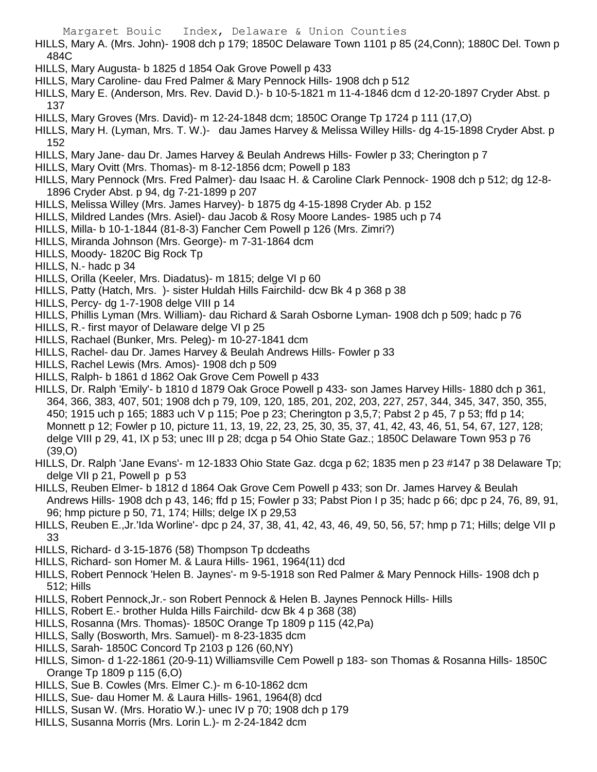HILLS, Mary A. (Mrs. John)- 1908 dch p 179; 1850C Delaware Town 1101 p 85 (24,Conn); 1880C Del. Town p 484C

- HILLS, Mary Augusta- b 1825 d 1854 Oak Grove Powell p 433
- HILLS, Mary Caroline- dau Fred Palmer & Mary Pennock Hills- 1908 dch p 512
- HILLS, Mary E. (Anderson, Mrs. Rev. David D.)- b 10-5-1821 m 11-4-1846 dcm d 12-20-1897 Cryder Abst. p 137
- HILLS, Mary Groves (Mrs. David)- m 12-24-1848 dcm; 1850C Orange Tp 1724 p 111 (17,O)
- HILLS, Mary H. (Lyman, Mrs. T. W.)- dau James Harvey & Melissa Willey Hills- dg 4-15-1898 Cryder Abst. p 152
- HILLS, Mary Jane- dau Dr. James Harvey & Beulah Andrews Hills- Fowler p 33; Cherington p 7
- HILLS, Mary Ovitt (Mrs. Thomas)- m 8-12-1856 dcm; Powell p 183
- HILLS, Mary Pennock (Mrs. Fred Palmer)- dau Isaac H. & Caroline Clark Pennock- 1908 dch p 512; dg 12-8- 1896 Cryder Abst. p 94, dg 7-21-1899 p 207
- HILLS, Melissa Willey (Mrs. James Harvey)- b 1875 dg 4-15-1898 Cryder Ab. p 152
- HILLS, Mildred Landes (Mrs. Asiel)- dau Jacob & Rosy Moore Landes- 1985 uch p 74
- HILLS, Milla- b 10-1-1844 (81-8-3) Fancher Cem Powell p 126 (Mrs. Zimri?)
- HILLS, Miranda Johnson (Mrs. George)- m 7-31-1864 dcm
- HILLS, Moody- 1820C Big Rock Tp
- HILLS, N.- hadc p 34
- HILLS, Orilla (Keeler, Mrs. Diadatus)- m 1815; delge VI p 60
- HILLS, Patty (Hatch, Mrs. )- sister Huldah Hills Fairchild- dcw Bk 4 p 368 p 38
- HILLS, Percy- dg 1-7-1908 delge VIII p 14
- HILLS, Phillis Lyman (Mrs. William)- dau Richard & Sarah Osborne Lyman- 1908 dch p 509; hadc p 76
- HILLS, R.- first mayor of Delaware delge VI p 25
- HILLS, Rachael (Bunker, Mrs. Peleg)- m 10-27-1841 dcm
- HILLS, Rachel- dau Dr. James Harvey & Beulah Andrews Hills- Fowler p 33
- HILLS, Rachel Lewis (Mrs. Amos)- 1908 dch p 509
- HILLS, Ralph- b 1861 d 1862 Oak Grove Cem Powell p 433
- HILLS, Dr. Ralph 'Emily'- b 1810 d 1879 Oak Groce Powell p 433- son James Harvey Hills- 1880 dch p 361, 364, 366, 383, 407, 501; 1908 dch p 79, 109, 120, 185, 201, 202, 203, 227, 257, 344, 345, 347, 350, 355, 450; 1915 uch p 165; 1883 uch V p 115; Poe p 23; Cherington p 3,5,7; Pabst 2 p 45, 7 p 53; ffd p 14; Monnett p 12; Fowler p 10, picture 11, 13, 19, 22, 23, 25, 30, 35, 37, 41, 42, 43, 46, 51, 54, 67, 127, 128; delge VIII p 29, 41, IX p 53; unec III p 28; dcga p 54 Ohio State Gaz.; 1850C Delaware Town 953 p 76 (39,O)
- HILLS, Dr. Ralph 'Jane Evans'- m 12-1833 Ohio State Gaz. dcga p 62; 1835 men p 23 #147 p 38 Delaware Tp; delge VII p 21, Powell p p 53
- HILLS, Reuben Elmer- b 1812 d 1864 Oak Grove Cem Powell p 433; son Dr. James Harvey & Beulah Andrews Hills- 1908 dch p 43, 146; ffd p 15; Fowler p 33; Pabst Pion I p 35; hadc p 66; dpc p 24, 76, 89, 91, 96; hmp picture p 50, 71, 174; Hills; delge IX p 29,53
- HILLS, Reuben E.,Jr.'Ida Worline'- dpc p 24, 37, 38, 41, 42, 43, 46, 49, 50, 56, 57; hmp p 71; Hills; delge VII p 33
- HILLS, Richard- d 3-15-1876 (58) Thompson Tp dcdeaths
- HILLS, Richard- son Homer M. & Laura Hills- 1961, 1964(11) dcd
- HILLS, Robert Pennock 'Helen B. Jaynes'- m 9-5-1918 son Red Palmer & Mary Pennock Hills- 1908 dch p 512; Hills
- HILLS, Robert Pennock,Jr.- son Robert Pennock & Helen B. Jaynes Pennock Hills- Hills
- HILLS, Robert E.- brother Hulda Hills Fairchild- dcw Bk 4 p 368 (38)
- HILLS, Rosanna (Mrs. Thomas)- 1850C Orange Tp 1809 p 115 (42,Pa)
- HILLS, Sally (Bosworth, Mrs. Samuel)- m 8-23-1835 dcm
- HILLS, Sarah- 1850C Concord Tp 2103 p 126 (60,NY)
- HILLS, Simon- d 1-22-1861 (20-9-11) Williamsville Cem Powell p 183- son Thomas & Rosanna Hills- 1850C Orange Tp 1809 p 115 (6,O)
- HILLS, Sue B. Cowles (Mrs. Elmer C.)- m 6-10-1862 dcm
- HILLS, Sue- dau Homer M. & Laura Hills- 1961, 1964(8) dcd
- HILLS, Susan W. (Mrs. Horatio W.)- unec IV p 70; 1908 dch p 179
- HILLS, Susanna Morris (Mrs. Lorin L.)- m 2-24-1842 dcm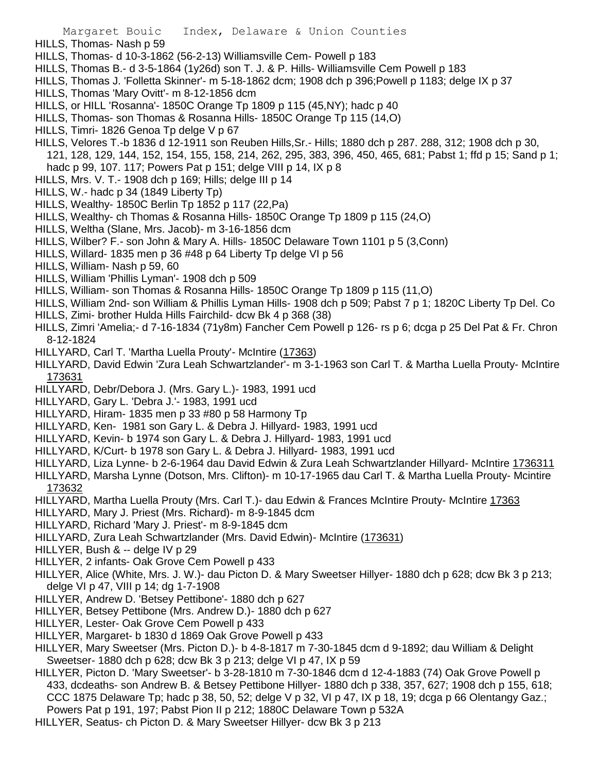- HILLS, Thomas- Nash p 59
- HILLS, Thomas- d 10-3-1862 (56-2-13) Williamsville Cem- Powell p 183
- HILLS, Thomas B.- d 3-5-1864 (1y26d) son T. J. & P. Hills- Williamsville Cem Powell p 183
- HILLS, Thomas J. 'Folletta Skinner'- m 5-18-1862 dcm; 1908 dch p 396;Powell p 1183; delge IX p 37
- HILLS, Thomas 'Mary Ovitt'- m 8-12-1856 dcm
- HILLS, or HILL 'Rosanna'- 1850C Orange Tp 1809 p 115 (45,NY); hadc p 40
- HILLS, Thomas- son Thomas & Rosanna Hills- 1850C Orange Tp 115 (14,O)
- HILLS, Timri- 1826 Genoa Tp delge V p 67
- HILLS, Velores T.-b 1836 d 12-1911 son Reuben Hills,Sr.- Hills; 1880 dch p 287. 288, 312; 1908 dch p 30, 121, 128, 129, 144, 152, 154, 155, 158, 214, 262, 295, 383, 396, 450, 465, 681; Pabst 1; ffd p 15; Sand p 1; hadc p 99, 107. 117; Powers Pat p 151; delge VIII p 14, IX p 8
- HILLS, Mrs. V. T.- 1908 dch p 169; Hills; delge III p 14
- HILLS, W.- hadc p 34 (1849 Liberty Tp)
- HILLS, Wealthy- 1850C Berlin Tp 1852 p 117 (22,Pa)
- HILLS, Wealthy- ch Thomas & Rosanna Hills- 1850C Orange Tp 1809 p 115 (24,O)
- HILLS, Weltha (Slane, Mrs. Jacob)- m 3-16-1856 dcm
- HILLS, Wilber? F.- son John & Mary A. Hills- 1850C Delaware Town 1101 p 5 (3,Conn)
- HILLS, Willard- 1835 men p 36 #48 p 64 Liberty Tp delge VI p 56
- HILLS, William- Nash p 59, 60
- HILLS, William 'Phillis Lyman'- 1908 dch p 509
- HILLS, William- son Thomas & Rosanna Hills- 1850C Orange Tp 1809 p 115 (11,O)
- HILLS, William 2nd- son William & Phillis Lyman Hills- 1908 dch p 509; Pabst 7 p 1; 1820C Liberty Tp Del. Co
- HILLS, Zimi- brother Hulda Hills Fairchild- dcw Bk 4 p 368 (38)
- HILLS, Zimri 'Amelia;- d 7-16-1834 (71y8m) Fancher Cem Powell p 126- rs p 6; dcga p 25 Del Pat & Fr. Chron 8-12-1824
- HILLYARD, Carl T. 'Martha Luella Prouty'- McIntire (17363)
- HILLYARD, David Edwin 'Zura Leah Schwartzlander'- m 3-1-1963 son Carl T. & Martha Luella Prouty- McIntire 173631
- HILLYARD, Debr/Debora J. (Mrs. Gary L.)- 1983, 1991 ucd
- HILLYARD, Gary L. 'Debra J.'- 1983, 1991 ucd
- HILLYARD, Hiram- 1835 men p 33 #80 p 58 Harmony Tp
- HILLYARD, Ken- 1981 son Gary L. & Debra J. Hillyard- 1983, 1991 ucd
- HILLYARD, Kevin- b 1974 son Gary L. & Debra J. Hillyard- 1983, 1991 ucd
- HILLYARD, K/Curt- b 1978 son Gary L. & Debra J. Hillyard- 1983, 1991 ucd
- HILLYARD, Liza Lynne- b 2-6-1964 dau David Edwin & Zura Leah Schwartzlander Hillyard- McIntire 1736311
- HILLYARD, Marsha Lynne (Dotson, Mrs. Clifton)- m 10-17-1965 dau Carl T. & Martha Luella Prouty- Mcintire 173632
- HILLYARD, Martha Luella Prouty (Mrs. Carl T.)- dau Edwin & Frances McIntire Prouty- McIntire 17363
- HILLYARD, Mary J. Priest (Mrs. Richard)- m 8-9-1845 dcm
- HILLYARD, Richard 'Mary J. Priest'- m 8-9-1845 dcm
- HILLYARD, Zura Leah Schwartzlander (Mrs. David Edwin)- McIntire (173631)
- HILLYER, Bush & -- delge IV p 29
- HILLYER, 2 infants- Oak Grove Cem Powell p 433
- HILLYER, Alice (White, Mrs. J. W.)- dau Picton D. & Mary Sweetser Hillyer- 1880 dch p 628; dcw Bk 3 p 213; delge VI p 47, VIII p 14; dg 1-7-1908
- HILLYER, Andrew D. 'Betsey Pettibone'- 1880 dch p 627
- HILLYER, Betsey Pettibone (Mrs. Andrew D.)- 1880 dch p 627
- HILLYER, Lester- Oak Grove Cem Powell p 433
- HILLYER, Margaret- b 1830 d 1869 Oak Grove Powell p 433
- HILLYER, Mary Sweetser (Mrs. Picton D.)- b 4-8-1817 m 7-30-1845 dcm d 9-1892; dau William & Delight Sweetser- 1880 dch p 628; dcw Bk 3 p 213; delge VI p 47, IX p 59
- HILLYER, Picton D. 'Mary Sweetser'- b 3-28-1810 m 7-30-1846 dcm d 12-4-1883 (74) Oak Grove Powell p 433, dcdeaths- son Andrew B. & Betsey Pettibone Hillyer- 1880 dch p 338, 357, 627; 1908 dch p 155, 618; CCC 1875 Delaware Tp; hadc p 38, 50, 52; delge V p 32, VI p 47, IX p 18, 19; dcga p 66 Olentangy Gaz.; Powers Pat p 191, 197; Pabst Pion II p 212; 1880C Delaware Town p 532A
- HILLYER, Seatus- ch Picton D. & Mary Sweetser Hillyer- dcw Bk 3 p 213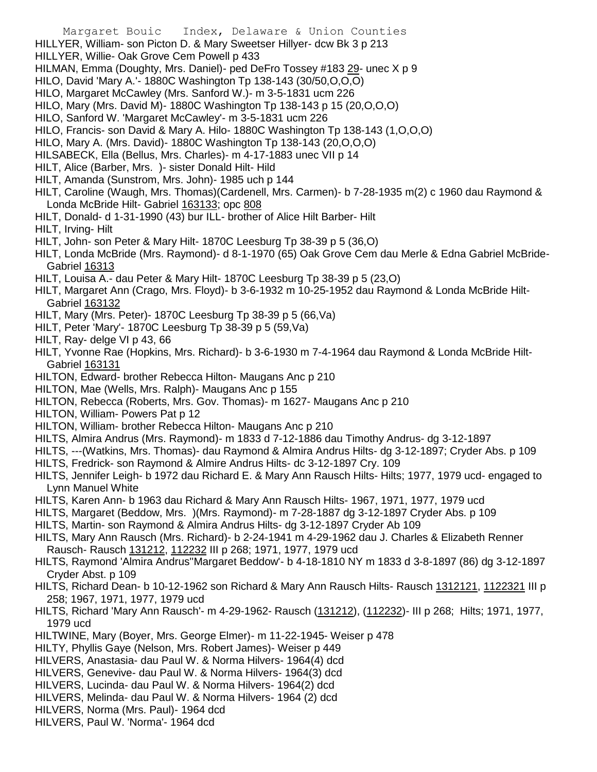Margaret Bouic Index, Delaware & Union Counties HILLYER, William- son Picton D. & Mary Sweetser Hillyer- dcw Bk 3 p 213 HILLYER, Willie- Oak Grove Cem Powell p 433 HILMAN, Emma (Doughty, Mrs. Daniel)- ped DeFro Tossey #183 29- unec X p 9 HILO, David 'Mary A.'- 1880C Washington Tp 138-143 (30/50,O,O,O) HILO, Margaret McCawley (Mrs. Sanford W.)- m 3-5-1831 ucm 226 HILO, Mary (Mrs. David M)- 1880C Washington Tp 138-143 p 15 (20,O,O,O) HILO, Sanford W. 'Margaret McCawley'- m 3-5-1831 ucm 226 HILO, Francis- son David & Mary A. Hilo- 1880C Washington Tp 138-143 (1,O,O,O) HILO, Mary A. (Mrs. David)- 1880C Washington Tp 138-143 (20,O,O,O) HILSABECK, Ella (Bellus, Mrs. Charles)- m 4-17-1883 unec VII p 14 HILT, Alice (Barber, Mrs. )- sister Donald Hilt- Hild HILT, Amanda (Sunstrom, Mrs. John)- 1985 uch p 144 HILT, Caroline (Waugh, Mrs. Thomas)(Cardenell, Mrs. Carmen)- b 7-28-1935 m(2) c 1960 dau Raymond & Londa McBride Hilt- Gabriel 163133; opc 808 HILT, Donald- d 1-31-1990 (43) bur ILL- brother of Alice Hilt Barber- Hilt HILT, Irving- Hilt HILT, John- son Peter & Mary Hilt- 1870C Leesburg Tp 38-39 p 5 (36,O) HILT, Londa McBride (Mrs. Raymond)- d 8-1-1970 (65) Oak Grove Cem dau Merle & Edna Gabriel McBride-Gabriel 16313 HILT, Louisa A.- dau Peter & Mary Hilt- 1870C Leesburg Tp 38-39 p 5 (23,O) HILT, Margaret Ann (Crago, Mrs. Floyd)- b 3-6-1932 m 10-25-1952 dau Raymond & Londa McBride Hilt-Gabriel 163132 HILT, Mary (Mrs. Peter)- 1870C Leesburg Tp 38-39 p 5 (66,Va) HILT, Peter 'Mary'- 1870C Leesburg Tp 38-39 p 5 (59,Va) HILT, Ray- delge VI p 43, 66 HILT, Yvonne Rae (Hopkins, Mrs. Richard)- b 3-6-1930 m 7-4-1964 dau Raymond & Londa McBride Hilt-Gabriel 163131 HILTON, Edward- brother Rebecca Hilton- Maugans Anc p 210 HILTON, Mae (Wells, Mrs. Ralph)- Maugans Anc p 155 HILTON, Rebecca (Roberts, Mrs. Gov. Thomas)- m 1627- Maugans Anc p 210 HILTON, William- Powers Pat p 12 HILTON, William- brother Rebecca Hilton- Maugans Anc p 210 HILTS, Almira Andrus (Mrs. Raymond)- m 1833 d 7-12-1886 dau Timothy Andrus- dg 3-12-1897 HILTS, ---(Watkins, Mrs. Thomas)- dau Raymond & Almira Andrus Hilts- dg 3-12-1897; Cryder Abs. p 109 HILTS, Fredrick- son Raymond & Almire Andrus Hilts- dc 3-12-1897 Cry. 109 HILTS, Jennifer Leigh- b 1972 dau Richard E. & Mary Ann Rausch Hilts- Hilts; 1977, 1979 ucd- engaged to Lynn Manuel White HILTS, Karen Ann- b 1963 dau Richard & Mary Ann Rausch Hilts- 1967, 1971, 1977, 1979 ucd HILTS, Margaret (Beddow, Mrs. )(Mrs. Raymond)- m 7-28-1887 dg 3-12-1897 Cryder Abs. p 109 HILTS, Martin- son Raymond & Almira Andrus Hilts- dg 3-12-1897 Cryder Ab 109 HILTS, Mary Ann Rausch (Mrs. Richard)- b 2-24-1941 m 4-29-1962 dau J. Charles & Elizabeth Renner Rausch- Rausch 131212, 112232 III p 268; 1971, 1977, 1979 ucd HILTS, Raymond 'Almira Andrus''Margaret Beddow'- b 4-18-1810 NY m 1833 d 3-8-1897 (86) dg 3-12-1897 Cryder Abst. p 109 HILTS, Richard Dean- b 10-12-1962 son Richard & Mary Ann Rausch Hilts- Rausch 1312121, 1122321 III p 258; 1967, 1971, 1977, 1979 ucd HILTS, Richard 'Mary Ann Rausch'- m 4-29-1962- Rausch (131212), (112232)- III p 268; Hilts; 1971, 1977, 1979 ucd

- HILTWINE, Mary (Boyer, Mrs. George Elmer)- m 11-22-1945- Weiser p 478
- HILTY, Phyllis Gaye (Nelson, Mrs. Robert James)- Weiser p 449
- HILVERS, Anastasia- dau Paul W. & Norma Hilvers- 1964(4) dcd
- HILVERS, Genevive- dau Paul W. & Norma Hilvers- 1964(3) dcd
- HILVERS, Lucinda- dau Paul W. & Norma Hilvers- 1964(2) dcd
- HILVERS, Melinda- dau Paul W. & Norma Hilvers- 1964 (2) dcd
- HILVERS, Norma (Mrs. Paul)- 1964 dcd
- HILVERS, Paul W. 'Norma'- 1964 dcd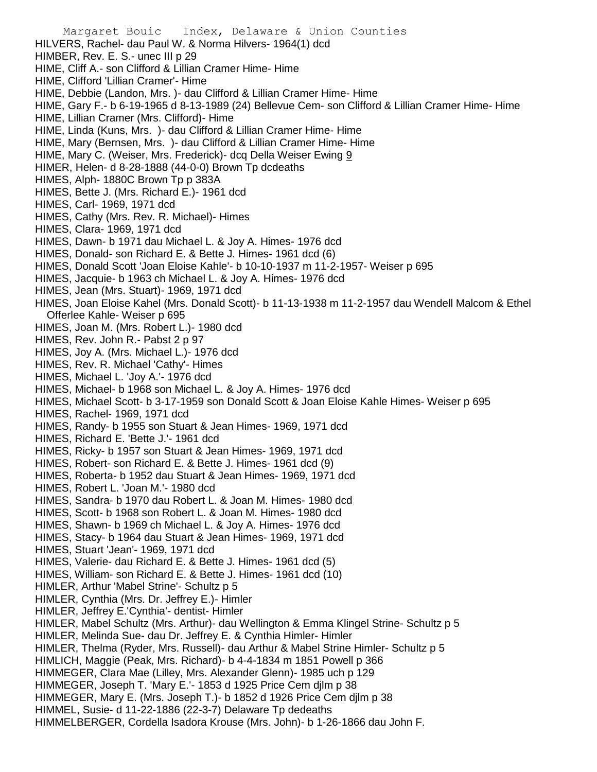Margaret Bouic Index, Delaware & Union Counties HILVERS, Rachel- dau Paul W. & Norma Hilvers- 1964(1) dcd HIMBER, Rev. E. S.- unec III p 29 HIME, Cliff A.- son Clifford & Lillian Cramer Hime- Hime HIME, Clifford 'Lillian Cramer'- Hime HIME, Debbie (Landon, Mrs. )- dau Clifford & Lillian Cramer Hime- Hime HIME, Gary F.- b 6-19-1965 d 8-13-1989 (24) Bellevue Cem- son Clifford & Lillian Cramer Hime- Hime HIME, Lillian Cramer (Mrs. Clifford)- Hime HIME, Linda (Kuns, Mrs. )- dau Clifford & Lillian Cramer Hime- Hime HIME, Mary (Bernsen, Mrs. )- dau Clifford & Lillian Cramer Hime- Hime HIME, Mary C. (Weiser, Mrs. Frederick)- dcq Della Weiser Ewing 9 HIMER, Helen- d 8-28-1888 (44-0-0) Brown Tp dcdeaths HIMES, Alph- 1880C Brown Tp p 383A HIMES, Bette J. (Mrs. Richard E.)- 1961 dcd HIMES, Carl- 1969, 1971 dcd HIMES, Cathy (Mrs. Rev. R. Michael)- Himes HIMES, Clara- 1969, 1971 dcd HIMES, Dawn- b 1971 dau Michael L. & Joy A. Himes- 1976 dcd HIMES, Donald- son Richard E. & Bette J. Himes- 1961 dcd (6) HIMES, Donald Scott 'Joan Eloise Kahle'- b 10-10-1937 m 11-2-1957- Weiser p 695 HIMES, Jacquie- b 1963 ch Michael L. & Joy A. Himes- 1976 dcd HIMES, Jean (Mrs. Stuart)- 1969, 1971 dcd HIMES, Joan Eloise Kahel (Mrs. Donald Scott)- b 11-13-1938 m 11-2-1957 dau Wendell Malcom & Ethel Offerlee Kahle- Weiser p 695 HIMES, Joan M. (Mrs. Robert L.)- 1980 dcd HIMES, Rev. John R.- Pabst 2 p 97 HIMES, Joy A. (Mrs. Michael L.)- 1976 dcd HIMES, Rev. R. Michael 'Cathy'- Himes HIMES, Michael L. 'Joy A.'- 1976 dcd HIMES, Michael- b 1968 son Michael L. & Joy A. Himes- 1976 dcd HIMES, Michael Scott- b 3-17-1959 son Donald Scott & Joan Eloise Kahle Himes- Weiser p 695 HIMES, Rachel- 1969, 1971 dcd HIMES, Randy- b 1955 son Stuart & Jean Himes- 1969, 1971 dcd HIMES, Richard E. 'Bette J.'- 1961 dcd HIMES, Ricky- b 1957 son Stuart & Jean Himes- 1969, 1971 dcd HIMES, Robert- son Richard E. & Bette J. Himes- 1961 dcd (9) HIMES, Roberta- b 1952 dau Stuart & Jean Himes- 1969, 1971 dcd HIMES, Robert L. 'Joan M.'- 1980 dcd HIMES, Sandra- b 1970 dau Robert L. & Joan M. Himes- 1980 dcd HIMES, Scott- b 1968 son Robert L. & Joan M. Himes- 1980 dcd HIMES, Shawn- b 1969 ch Michael L. & Joy A. Himes- 1976 dcd HIMES, Stacy- b 1964 dau Stuart & Jean Himes- 1969, 1971 dcd HIMES, Stuart 'Jean'- 1969, 1971 dcd HIMES, Valerie- dau Richard E. & Bette J. Himes- 1961 dcd (5) HIMES, William- son Richard E. & Bette J. Himes- 1961 dcd (10) HIMLER, Arthur 'Mabel Strine'- Schultz p 5 HIMLER, Cynthia (Mrs. Dr. Jeffrey E.)- Himler HIMLER, Jeffrey E.'Cynthia'- dentist- Himler HIMLER, Mabel Schultz (Mrs. Arthur)- dau Wellington & Emma Klingel Strine- Schultz p 5 HIMLER, Melinda Sue- dau Dr. Jeffrey E. & Cynthia Himler- Himler HIMLER, Thelma (Ryder, Mrs. Russell)- dau Arthur & Mabel Strine Himler- Schultz p 5 HIMLICH, Maggie (Peak, Mrs. Richard)- b 4-4-1834 m 1851 Powell p 366 HIMMEGER, Clara Mae (Lilley, Mrs. Alexander Glenn)- 1985 uch p 129 HIMMEGER, Joseph T. 'Mary E.'- 1853 d 1925 Price Cem djlm p 38 HIMMEGER, Mary E. (Mrs. Joseph T.)- b 1852 d 1926 Price Cem djlm p 38 HIMMEL, Susie- d 11-22-1886 (22-3-7) Delaware Tp dedeaths HIMMELBERGER, Cordella Isadora Krouse (Mrs. John)- b 1-26-1866 dau John F.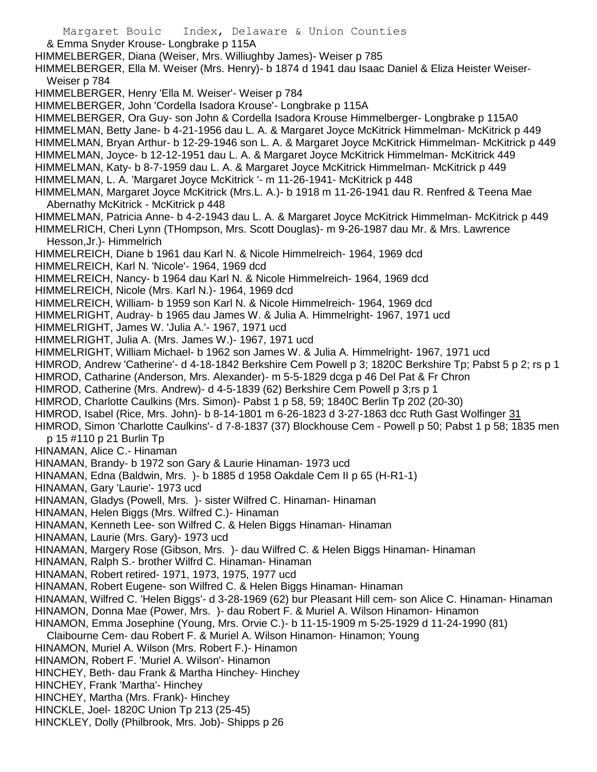Margaret Bouic Index, Delaware & Union Counties & Emma Snyder Krouse- Longbrake p 115A HIMMELBERGER, Diana (Weiser, Mrs. Williughby James)- Weiser p 785 HIMMELBERGER, Ella M. Weiser (Mrs. Henry)- b 1874 d 1941 dau Isaac Daniel & Eliza Heister Weiser-Weiser p 784 HIMMELBERGER, Henry 'Ella M. Weiser'- Weiser p 784 HIMMELBERGER, John 'Cordella Isadora Krouse'- Longbrake p 115A HIMMELBERGER, Ora Guy- son John & Cordella Isadora Krouse Himmelberger- Longbrake p 115A0 HIMMELMAN, Betty Jane- b 4-21-1956 dau L. A. & Margaret Joyce McKitrick Himmelman- McKitrick p 449 HIMMELMAN, Bryan Arthur- b 12-29-1946 son L. A. & Margaret Joyce McKitrick Himmelman- McKitrick p 449 HIMMELMAN, Joyce- b 12-12-1951 dau L. A. & Margaret Joyce McKitrick Himmelman- McKitrick 449 HIMMELMAN, Katy- b 8-7-1959 dau L. A. & Margaret Joyce McKitrick Himmelman- McKitrick p 449 HIMMELMAN, L. A. 'Margaret Joyce McKitrick '- m 11-26-1941- McKitrick p 448 HIMMELMAN, Margaret Joyce McKitrick (Mrs.L. A.)- b 1918 m 11-26-1941 dau R. Renfred & Teena Mae Abernathy McKitrick - McKitrick p 448 HIMMELMAN, Patricia Anne- b 4-2-1943 dau L. A. & Margaret Joyce McKitrick Himmelman- McKitrick p 449 HIMMELRICH, Cheri Lynn (THompson, Mrs. Scott Douglas)- m 9-26-1987 dau Mr. & Mrs. Lawrence Hesson,Jr.)- Himmelrich HIMMELREICH, Diane b 1961 dau Karl N. & Nicole Himmelreich- 1964, 1969 dcd HIMMELREICH, Karl N. 'Nicole'- 1964, 1969 dcd HIMMELREICH, Nancy- b 1964 dau Karl N. & Nicole Himmelreich- 1964, 1969 dcd HIMMELREICH, Nicole (Mrs. Karl N.)- 1964, 1969 dcd HIMMELREICH, William- b 1959 son Karl N. & Nicole Himmelreich- 1964, 1969 dcd HIMMELRIGHT, Audray- b 1965 dau James W. & Julia A. Himmelright- 1967, 1971 ucd HIMMELRIGHT, James W. 'Julia A.'- 1967, 1971 ucd HIMMELRIGHT, Julia A. (Mrs. James W.)- 1967, 1971 ucd HIMMELRIGHT, William Michael- b 1962 son James W. & Julia A. Himmelright- 1967, 1971 ucd HIMROD, Andrew 'Catherine'- d 4-18-1842 Berkshire Cem Powell p 3; 1820C Berkshire Tp; Pabst 5 p 2; rs p 1 HIMROD, Catharine (Anderson, Mrs. Alexander)- m 5-5-1829 dcga p 46 Del Pat & Fr Chron HIMROD, Catherine (Mrs. Andrew)- d 4-5-1839 (62) Berkshire Cem Powell p 3;rs p 1 HIMROD, Charlotte Caulkins (Mrs. Simon)- Pabst 1 p 58, 59; 1840C Berlin Tp 202 (20-30) HIMROD, Isabel (Rice, Mrs. John)- b 8-14-1801 m 6-26-1823 d 3-27-1863 dcc Ruth Gast Wolfinger 31 HIMROD, Simon 'Charlotte Caulkins'- d 7-8-1837 (37) Blockhouse Cem - Powell p 50; Pabst 1 p 58; 1835 men p 15 #110 p 21 Burlin Tp HINAMAN, Alice C.- Hinaman HINAMAN, Brandy- b 1972 son Gary & Laurie Hinaman- 1973 ucd HINAMAN, Edna (Baldwin, Mrs. )- b 1885 d 1958 Oakdale Cem II p 65 (H-R1-1) HINAMAN, Gary 'Laurie'- 1973 ucd HINAMAN, Gladys (Powell, Mrs. )- sister Wilfred C. Hinaman- Hinaman HINAMAN, Helen Biggs (Mrs. Wilfred C.)- Hinaman HINAMAN, Kenneth Lee- son Wilfred C. & Helen Biggs Hinaman- Hinaman HINAMAN, Laurie (Mrs. Gary)- 1973 ucd HINAMAN, Margery Rose (Gibson, Mrs. )- dau Wilfred C. & Helen Biggs Hinaman- Hinaman HINAMAN, Ralph S.- brother Wilfrd C. Hinaman- Hinaman HINAMAN, Robert retired- 1971, 1973, 1975, 1977 ucd HINAMAN, Robert Eugene- son Wilfred C. & Helen Biggs Hinaman- Hinaman HINAMAN, Wilfred C. 'Helen Biggs'- d 3-28-1969 (62) bur Pleasant Hill cem- son Alice C. Hinaman- Hinaman HINAMON, Donna Mae (Power, Mrs. )- dau Robert F. & Muriel A. Wilson Hinamon- Hinamon HINAMON, Emma Josephine (Young, Mrs. Orvie C.)- b 11-15-1909 m 5-25-1929 d 11-24-1990 (81) Claibourne Cem- dau Robert F. & Muriel A. Wilson Hinamon- Hinamon; Young HINAMON, Muriel A. Wilson (Mrs. Robert F.)- Hinamon HINAMON, Robert F. 'Muriel A. Wilson'- Hinamon HINCHEY, Beth- dau Frank & Martha Hinchey- Hinchey HINCHEY, Frank 'Martha'- Hinchey HINCHEY, Martha (Mrs. Frank)- Hinchey

- HINCKLE, Joel- 1820C Union Tp 213 (25-45)
- HINCKLEY, Dolly (Philbrook, Mrs. Job)- Shipps p 26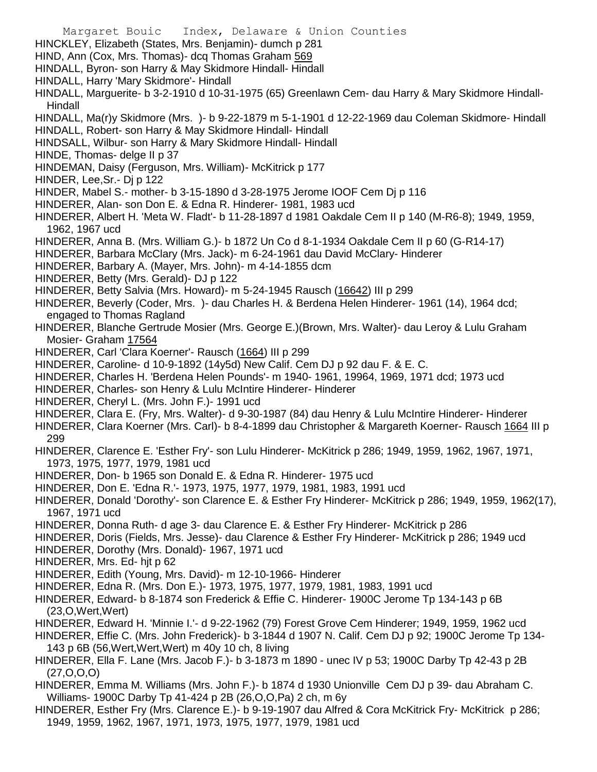- Margaret Bouic Index, Delaware & Union Counties HINCKLEY, Elizabeth (States, Mrs. Benjamin)- dumch p 281 HIND, Ann (Cox, Mrs. Thomas)- dcq Thomas Graham 569 HINDALL, Byron- son Harry & May Skidmore Hindall- Hindall HINDALL, Harry 'Mary Skidmore'- Hindall HINDALL, Marguerite- b 3-2-1910 d 10-31-1975 (65) Greenlawn Cem- dau Harry & Mary Skidmore Hindall-Hindall HINDALL, Ma(r)y Skidmore (Mrs. )- b 9-22-1879 m 5-1-1901 d 12-22-1969 dau Coleman Skidmore- Hindall HINDALL, Robert- son Harry & May Skidmore Hindall- Hindall HINDSALL, Wilbur- son Harry & Mary Skidmore Hindall- Hindall HINDE, Thomas- delge II p 37 HINDEMAN, Daisy (Ferguson, Mrs. William)- McKitrick p 177 HINDER, Lee,Sr.- Dj p 122 HINDER, Mabel S.- mother- b 3-15-1890 d 3-28-1975 Jerome IOOF Cem Dj p 116 HINDERER, Alan- son Don E. & Edna R. Hinderer- 1981, 1983 ucd HINDERER, Albert H. 'Meta W. Fladt'- b 11-28-1897 d 1981 Oakdale Cem II p 140 (M-R6-8); 1949, 1959, 1962, 1967 ucd HINDERER, Anna B. (Mrs. William G.)- b 1872 Un Co d 8-1-1934 Oakdale Cem II p 60 (G-R14-17) HINDERER, Barbara McClary (Mrs. Jack)- m 6-24-1961 dau David McClary- Hinderer HINDERER, Barbary A. (Mayer, Mrs. John)- m 4-14-1855 dcm HINDERER, Betty (Mrs. Gerald)- DJ p 122 HINDERER, Betty Salvia (Mrs. Howard)- m 5-24-1945 Rausch (16642) III p 299 HINDERER, Beverly (Coder, Mrs. )- dau Charles H. & Berdena Helen Hinderer- 1961 (14), 1964 dcd; engaged to Thomas Ragland HINDERER, Blanche Gertrude Mosier (Mrs. George E.)(Brown, Mrs. Walter)- dau Leroy & Lulu Graham Mosier- Graham 17564 HINDERER, Carl 'Clara Koerner'- Rausch (1664) III p 299 HINDERER, Caroline- d 10-9-1892 (14y5d) New Calif. Cem DJ p 92 dau F. & E. C. HINDERER, Charles H. 'Berdena Helen Pounds'- m 1940- 1961, 19964, 1969, 1971 dcd; 1973 ucd HINDERER, Charles- son Henry & Lulu McIntire Hinderer- Hinderer HINDERER, Cheryl L. (Mrs. John F.)- 1991 ucd HINDERER, Clara E. (Fry, Mrs. Walter)- d 9-30-1987 (84) dau Henry & Lulu McIntire Hinderer- Hinderer HINDERER, Clara Koerner (Mrs. Carl)- b 8-4-1899 dau Christopher & Margareth Koerner- Rausch 1664 III p 299 HINDERER, Clarence E. 'Esther Fry'- son Lulu Hinderer- McKitrick p 286; 1949, 1959, 1962, 1967, 1971, 1973, 1975, 1977, 1979, 1981 ucd HINDERER, Don- b 1965 son Donald E. & Edna R. Hinderer- 1975 ucd HINDERER, Don E. 'Edna R.'- 1973, 1975, 1977, 1979, 1981, 1983, 1991 ucd HINDERER, Donald 'Dorothy'- son Clarence E. & Esther Fry Hinderer- McKitrick p 286; 1949, 1959, 1962(17), 1967, 1971 ucd HINDERER, Donna Ruth- d age 3- dau Clarence E. & Esther Fry Hinderer- McKitrick p 286 HINDERER, Doris (Fields, Mrs. Jesse)- dau Clarence & Esther Fry Hinderer- McKitrick p 286; 1949 ucd HINDERER, Dorothy (Mrs. Donald)- 1967, 1971 ucd HINDERER, Mrs. Ed- hjt p 62 HINDERER, Edith (Young, Mrs. David)- m 12-10-1966- Hinderer HINDERER, Edna R. (Mrs. Don E.)- 1973, 1975, 1977, 1979, 1981, 1983, 1991 ucd
- HINDERER, Edward- b 8-1874 son Frederick & Effie C. Hinderer- 1900C Jerome Tp 134-143 p 6B (23,O,Wert,Wert)
- HINDERER, Edward H. 'Minnie I.'- d 9-22-1962 (79) Forest Grove Cem Hinderer; 1949, 1959, 1962 ucd
- HINDERER, Effie C. (Mrs. John Frederick)- b 3-1844 d 1907 N. Calif. Cem DJ p 92; 1900C Jerome Tp 134- 143 p 6B (56,Wert,Wert,Wert) m 40y 10 ch, 8 living
- HINDERER, Ella F. Lane (Mrs. Jacob F.)- b 3-1873 m 1890 unec IV p 53; 1900C Darby Tp 42-43 p 2B (27,O,O,O)
- HINDERER, Emma M. Williams (Mrs. John F.)- b 1874 d 1930 Unionville Cem DJ p 39- dau Abraham C. Williams- 1900C Darby Tp 41-424 p 2B (26,O,O,Pa) 2 ch, m 6y
- HINDERER, Esther Fry (Mrs. Clarence E.)- b 9-19-1907 dau Alfred & Cora McKitrick Fry- McKitrick p 286; 1949, 1959, 1962, 1967, 1971, 1973, 1975, 1977, 1979, 1981 ucd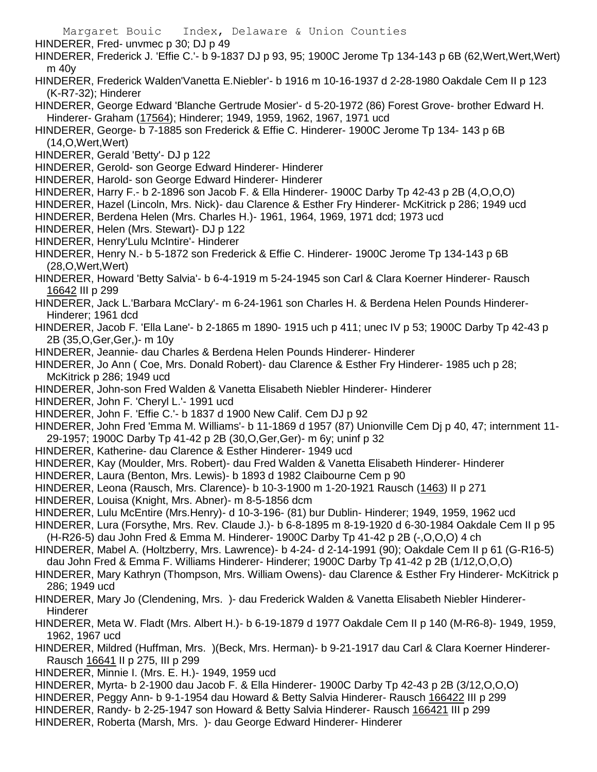- Margaret Bouic Index, Delaware & Union Counties HINDERER, Fred- unvmec p 30; DJ p 49 HINDERER, Frederick J. 'Effie C.'- b 9-1837 DJ p 93, 95; 1900C Jerome Tp 134-143 p 6B (62,Wert,Wert,Wert) m 40y HINDERER, Frederick Walden'Vanetta E.Niebler'- b 1916 m 10-16-1937 d 2-28-1980 Oakdale Cem II p 123 (K-R7-32); Hinderer HINDERER, George Edward 'Blanche Gertrude Mosier'- d 5-20-1972 (86) Forest Grove- brother Edward H. Hinderer- Graham (17564); Hinderer; 1949, 1959, 1962, 1967, 1971 ucd HINDERER, George- b 7-1885 son Frederick & Effie C. Hinderer- 1900C Jerome Tp 134- 143 p 6B (14,O,Wert,Wert) HINDERER, Gerald 'Betty'- DJ p 122 HINDERER, Gerold- son George Edward Hinderer- Hinderer HINDERER, Harold- son George Edward Hinderer- Hinderer HINDERER, Harry F.- b 2-1896 son Jacob F. & Ella Hinderer- 1900C Darby Tp 42-43 p 2B (4,O,O,O) HINDERER, Hazel (Lincoln, Mrs. Nick)- dau Clarence & Esther Fry Hinderer- McKitrick p 286; 1949 ucd HINDERER, Berdena Helen (Mrs. Charles H.)- 1961, 1964, 1969, 1971 dcd; 1973 ucd
- HINDERER, Helen (Mrs. Stewart)- DJ p 122
- HINDERER, Henry'Lulu McIntire'- Hinderer
- HINDERER, Henry N.- b 5-1872 son Frederick & Effie C. Hinderer- 1900C Jerome Tp 134-143 p 6B (28,O,Wert,Wert)
- HINDERER, Howard 'Betty Salvia'- b 6-4-1919 m 5-24-1945 son Carl & Clara Koerner Hinderer- Rausch 16642 III p 299
- HINDERER, Jack L.'Barbara McClary'- m 6-24-1961 son Charles H. & Berdena Helen Pounds Hinderer-Hinderer; 1961 dcd
- HINDERER, Jacob F. 'Ella Lane'- b 2-1865 m 1890- 1915 uch p 411; unec IV p 53; 1900C Darby Tp 42-43 p 2B (35,O,Ger,Ger,)- m 10y
- HINDERER, Jeannie- dau Charles & Berdena Helen Pounds Hinderer- Hinderer
- HINDERER, Jo Ann ( Coe, Mrs. Donald Robert)- dau Clarence & Esther Fry Hinderer- 1985 uch p 28; McKitrick p 286; 1949 ucd
- HINDERER, John-son Fred Walden & Vanetta Elisabeth Niebler Hinderer- Hinderer
- HINDERER, John F. 'Cheryl L.'- 1991 ucd
- HINDERER, John F. 'Effie C.'- b 1837 d 1900 New Calif. Cem DJ p 92
- HINDERER, John Fred 'Emma M. Williams'- b 11-1869 d 1957 (87) Unionville Cem Dj p 40, 47; internment 11- 29-1957; 1900C Darby Tp 41-42 p 2B (30,O,Ger,Ger)- m 6y; uninf p 32
- HINDERER, Katherine- dau Clarence & Esther Hinderer- 1949 ucd
- HINDERER, Kay (Moulder, Mrs. Robert)- dau Fred Walden & Vanetta Elisabeth Hinderer- Hinderer
- HINDERER, Laura (Benton, Mrs. Lewis)- b 1893 d 1982 Claibourne Cem p 90
- HINDERER, Leona (Rausch, Mrs. Clarence)- b 10-3-1900 m 1-20-1921 Rausch (1463) II p 271
- HINDERER, Louisa (Knight, Mrs. Abner)- m 8-5-1856 dcm
- HINDERER, Lulu McEntire (Mrs.Henry)- d 10-3-196- (81) bur Dublin- Hinderer; 1949, 1959, 1962 ucd
- HINDERER, Lura (Forsythe, Mrs. Rev. Claude J.)- b 6-8-1895 m 8-19-1920 d 6-30-1984 Oakdale Cem II p 95 (H-R26-5) dau John Fred & Emma M. Hinderer- 1900C Darby Tp 41-42 p 2B (-,O,O,O) 4 ch
- HINDERER, Mabel A. (Holtzberry, Mrs. Lawrence)- b 4-24- d 2-14-1991 (90); Oakdale Cem II p 61 (G-R16-5) dau John Fred & Emma F. Williams Hinderer- Hinderer; 1900C Darby Tp 41-42 p 2B (1/12,O,O,O)
- HINDERER, Mary Kathryn (Thompson, Mrs. William Owens)- dau Clarence & Esther Fry Hinderer- McKitrick p 286; 1949 ucd
- HINDERER, Mary Jo (Clendening, Mrs. )- dau Frederick Walden & Vanetta Elisabeth Niebler Hinderer-Hinderer
- HINDERER, Meta W. Fladt (Mrs. Albert H.)- b 6-19-1879 d 1977 Oakdale Cem II p 140 (M-R6-8)- 1949, 1959, 1962, 1967 ucd
- HINDERER, Mildred (Huffman, Mrs. )(Beck, Mrs. Herman)- b 9-21-1917 dau Carl & Clara Koerner Hinderer-Rausch 16641 II p 275, III p 299
- HINDERER, Minnie I. (Mrs. E. H.)- 1949, 1959 ucd
- HINDERER, Myrta- b 2-1900 dau Jacob F. & Ella Hinderer- 1900C Darby Tp 42-43 p 2B (3/12,O,O,O)
- HINDERER, Peggy Ann- b 9-1-1954 dau Howard & Betty Salvia Hinderer- Rausch 166422 III p 299
- HINDERER, Randy- b 2-25-1947 son Howard & Betty Salvia Hinderer- Rausch 166421 III p 299
- HINDERER, Roberta (Marsh, Mrs. )- dau George Edward Hinderer- Hinderer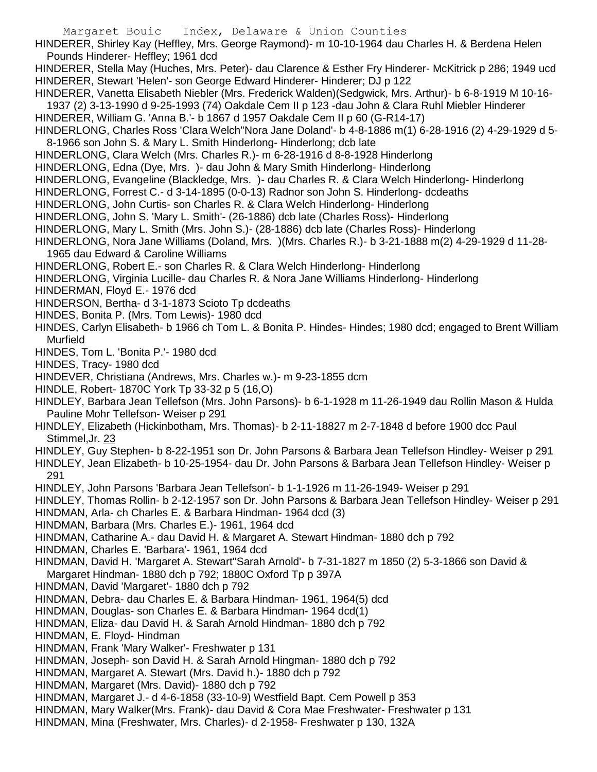HINDERER, Shirley Kay (Heffley, Mrs. George Raymond)- m 10-10-1964 dau Charles H. & Berdena Helen Pounds Hinderer- Heffley; 1961 dcd

HINDERER, Stella May (Huches, Mrs. Peter)- dau Clarence & Esther Fry Hinderer- McKitrick p 286; 1949 ucd HINDERER, Stewart 'Helen'- son George Edward Hinderer- Hinderer; DJ p 122

HINDERER, Vanetta Elisabeth Niebler (Mrs. Frederick Walden)(Sedgwick, Mrs. Arthur)- b 6-8-1919 M 10-16- 1937 (2) 3-13-1990 d 9-25-1993 (74) Oakdale Cem II p 123 -dau John & Clara Ruhl Miebler Hinderer HINDERER, William G. 'Anna B.'- b 1867 d 1957 Oakdale Cem II p 60 (G-R14-17)

HINDERLONG, Charles Ross 'Clara Welch''Nora Jane Doland'- b 4-8-1886 m(1) 6-28-1916 (2) 4-29-1929 d 5- 8-1966 son John S. & Mary L. Smith Hinderlong- Hinderlong; dcb late

HINDERLONG, Clara Welch (Mrs. Charles R.)- m 6-28-1916 d 8-8-1928 Hinderlong

HINDERLONG, Edna (Dye, Mrs. )- dau John & Mary Smith Hinderlong- Hinderlong

- HINDERLONG, Evangeline (Blackledge, Mrs. )- dau Charles R. & Clara Welch Hinderlong- Hinderlong
- HINDERLONG, Forrest C.- d 3-14-1895 (0-0-13) Radnor son John S. Hinderlong- dcdeaths
- HINDERLONG, John Curtis- son Charles R. & Clara Welch Hinderlong- Hinderlong
- HINDERLONG, John S. 'Mary L. Smith'- (26-1886) dcb late (Charles Ross)- Hinderlong
- HINDERLONG, Mary L. Smith (Mrs. John S.)- (28-1886) dcb late (Charles Ross)- Hinderlong
- HINDERLONG, Nora Jane Williams (Doland, Mrs. )(Mrs. Charles R.)- b 3-21-1888 m(2) 4-29-1929 d 11-28- 1965 dau Edward & Caroline Williams

HINDERLONG, Robert E.- son Charles R. & Clara Welch Hinderlong- Hinderlong

- HINDERLONG, Virginia Lucille- dau Charles R. & Nora Jane Williams Hinderlong- Hinderlong
- HINDERMAN, Floyd E.- 1976 dcd

HINDERSON, Bertha- d 3-1-1873 Scioto Tp dcdeaths

- HINDES, Bonita P. (Mrs. Tom Lewis)- 1980 dcd
- HINDES, Carlyn Elisabeth- b 1966 ch Tom L. & Bonita P. Hindes- Hindes; 1980 dcd; engaged to Brent William Murfield
- HINDES, Tom L. 'Bonita P.'- 1980 dcd

HINDES, Tracy- 1980 dcd

- HINDEVER, Christiana (Andrews, Mrs. Charles w.)- m 9-23-1855 dcm
- HINDLE, Robert- 1870C York Tp 33-32 p 5 (16,O)
- HINDLEY, Barbara Jean Tellefson (Mrs. John Parsons)- b 6-1-1928 m 11-26-1949 dau Rollin Mason & Hulda Pauline Mohr Tellefson- Weiser p 291
- HINDLEY, Elizabeth (Hickinbotham, Mrs. Thomas)- b 2-11-18827 m 2-7-1848 d before 1900 dcc Paul Stimmel,Jr. 23
- HINDLEY, Guy Stephen- b 8-22-1951 son Dr. John Parsons & Barbara Jean Tellefson Hindley- Weiser p 291

HINDLEY, Jean Elizabeth- b 10-25-1954- dau Dr. John Parsons & Barbara Jean Tellefson Hindley- Weiser p 291

HINDLEY, John Parsons 'Barbara Jean Tellefson'- b 1-1-1926 m 11-26-1949- Weiser p 291

HINDLEY, Thomas Rollin- b 2-12-1957 son Dr. John Parsons & Barbara Jean Tellefson Hindley- Weiser p 291

- HINDMAN, Arla- ch Charles E. & Barbara Hindman- 1964 dcd (3)
- HINDMAN, Barbara (Mrs. Charles E.)- 1961, 1964 dcd
- HINDMAN, Catharine A.- dau David H. & Margaret A. Stewart Hindman- 1880 dch p 792
- HINDMAN, Charles E. 'Barbara'- 1961, 1964 dcd
- HINDMAN, David H. 'Margaret A. Stewart''Sarah Arnold'- b 7-31-1827 m 1850 (2) 5-3-1866 son David & Margaret Hindman- 1880 dch p 792; 1880C Oxford Tp p 397A
- HINDMAN, David 'Margaret'- 1880 dch p 792
- HINDMAN, Debra- dau Charles E. & Barbara Hindman- 1961, 1964(5) dcd
- HINDMAN, Douglas- son Charles E. & Barbara Hindman- 1964 dcd(1)
- HINDMAN, Eliza- dau David H. & Sarah Arnold Hindman- 1880 dch p 792
- HINDMAN, E. Floyd- Hindman
- HINDMAN, Frank 'Mary Walker'- Freshwater p 131
- HINDMAN, Joseph- son David H. & Sarah Arnold Hingman- 1880 dch p 792
- HINDMAN, Margaret A. Stewart (Mrs. David h.)- 1880 dch p 792
- HINDMAN, Margaret (Mrs. David)- 1880 dch p 792
- HINDMAN, Margaret J.- d 4-6-1858 (33-10-9) Westfield Bapt. Cem Powell p 353
- HINDMAN, Mary Walker(Mrs. Frank)- dau David & Cora Mae Freshwater- Freshwater p 131
- HINDMAN, Mina (Freshwater, Mrs. Charles)- d 2-1958- Freshwater p 130, 132A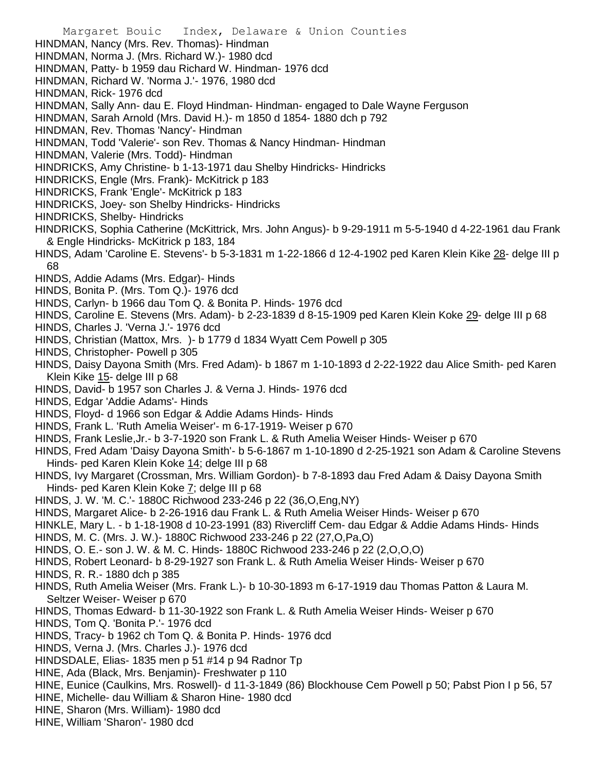- Margaret Bouic Index, Delaware & Union Counties
- HINDMAN, Nancy (Mrs. Rev. Thomas)- Hindman
- HINDMAN, Norma J. (Mrs. Richard W.)- 1980 dcd
- HINDMAN, Patty- b 1959 dau Richard W. Hindman- 1976 dcd
- HINDMAN, Richard W. 'Norma J.'- 1976, 1980 dcd
- HINDMAN, Rick- 1976 dcd
- HINDMAN, Sally Ann- dau E. Floyd Hindman- Hindman- engaged to Dale Wayne Ferguson
- HINDMAN, Sarah Arnold (Mrs. David H.)- m 1850 d 1854- 1880 dch p 792
- HINDMAN, Rev. Thomas 'Nancy'- Hindman
- HINDMAN, Todd 'Valerie'- son Rev. Thomas & Nancy Hindman- Hindman
- HINDMAN, Valerie (Mrs. Todd)- Hindman
- HINDRICKS, Amy Christine- b 1-13-1971 dau Shelby Hindricks- Hindricks
- HINDRICKS, Engle (Mrs. Frank)- McKitrick p 183
- HINDRICKS, Frank 'Engle'- McKitrick p 183
- HINDRICKS, Joey- son Shelby Hindricks- Hindricks
- HINDRICKS, Shelby- Hindricks
- HINDRICKS, Sophia Catherine (McKittrick, Mrs. John Angus)- b 9-29-1911 m 5-5-1940 d 4-22-1961 dau Frank & Engle Hindricks- McKitrick p 183, 184
- HINDS, Adam 'Caroline E. Stevens'- b 5-3-1831 m 1-22-1866 d 12-4-1902 ped Karen Klein Kike 28- delge III p 68
- HINDS, Addie Adams (Mrs. Edgar)- Hinds
- HINDS, Bonita P. (Mrs. Tom Q.)- 1976 dcd
- HINDS, Carlyn- b 1966 dau Tom Q. & Bonita P. Hinds- 1976 dcd
- HINDS, Caroline E. Stevens (Mrs. Adam)- b 2-23-1839 d 8-15-1909 ped Karen Klein Koke 29- delge III p 68
- HINDS, Charles J. 'Verna J.'- 1976 dcd
- HINDS, Christian (Mattox, Mrs. )- b 1779 d 1834 Wyatt Cem Powell p 305
- HINDS, Christopher- Powell p 305
- HINDS, Daisy Dayona Smith (Mrs. Fred Adam)- b 1867 m 1-10-1893 d 2-22-1922 dau Alice Smith- ped Karen Klein Kike 15- delge III p 68
- HINDS, David- b 1957 son Charles J. & Verna J. Hinds- 1976 dcd
- HINDS, Edgar 'Addie Adams'- Hinds
- HINDS, Floyd- d 1966 son Edgar & Addie Adams Hinds- Hinds
- HINDS, Frank L. 'Ruth Amelia Weiser'- m 6-17-1919- Weiser p 670
- HINDS, Frank Leslie,Jr.- b 3-7-1920 son Frank L. & Ruth Amelia Weiser Hinds- Weiser p 670
- HINDS, Fred Adam 'Daisy Dayona Smith'- b 5-6-1867 m 1-10-1890 d 2-25-1921 son Adam & Caroline Stevens Hinds- ped Karen Klein Koke 14; delge III p 68
- HINDS, Ivy Margaret (Crossman, Mrs. William Gordon)- b 7-8-1893 dau Fred Adam & Daisy Dayona Smith Hinds- ped Karen Klein Koke 7; delge III p 68
- HINDS, J. W. 'M. C.'- 1880C Richwood 233-246 p 22 (36,O,Eng,NY)
- HINDS, Margaret Alice- b 2-26-1916 dau Frank L. & Ruth Amelia Weiser Hinds- Weiser p 670
- HINKLE, Mary L. b 1-18-1908 d 10-23-1991 (83) Rivercliff Cem- dau Edgar & Addie Adams Hinds- Hinds
- HINDS, M. C. (Mrs. J. W.)- 1880C Richwood 233-246 p 22 (27,O,Pa,O)
- HINDS, O. E.- son J. W. & M. C. Hinds- 1880C Richwood 233-246 p 22 (2,O,O,O)
- HINDS, Robert Leonard- b 8-29-1927 son Frank L. & Ruth Amelia Weiser Hinds- Weiser p 670
- HINDS, R. R.- 1880 dch p 385
- HINDS, Ruth Amelia Weiser (Mrs. Frank L.)- b 10-30-1893 m 6-17-1919 dau Thomas Patton & Laura M. Seltzer Weiser- Weiser p 670
- HINDS, Thomas Edward- b 11-30-1922 son Frank L. & Ruth Amelia Weiser Hinds- Weiser p 670
- HINDS, Tom Q. 'Bonita P.'- 1976 dcd
- HINDS, Tracy- b 1962 ch Tom Q. & Bonita P. Hinds- 1976 dcd
- HINDS, Verna J. (Mrs. Charles J.)- 1976 dcd
- HINDSDALE, Elias- 1835 men p 51 #14 p 94 Radnor Tp
- HINE, Ada (Black, Mrs. Benjamin)- Freshwater p 110
- HINE, Eunice (Caulkins, Mrs. Roswell)- d 11-3-1849 (86) Blockhouse Cem Powell p 50; Pabst Pion I p 56, 57
- HINE, Michelle- dau William & Sharon Hine- 1980 dcd
- HINE, Sharon (Mrs. William)- 1980 dcd
- HINE, William 'Sharon'- 1980 dcd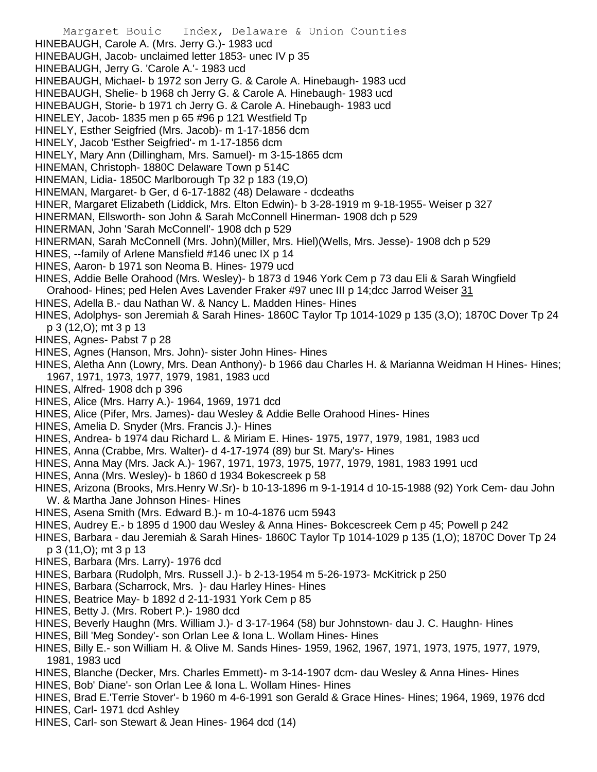Margaret Bouic Index, Delaware & Union Counties HINEBAUGH, Carole A. (Mrs. Jerry G.)- 1983 ucd HINEBAUGH, Jacob- unclaimed letter 1853- unec IV p 35 HINEBAUGH, Jerry G. 'Carole A.'- 1983 ucd HINEBAUGH, Michael- b 1972 son Jerry G. & Carole A. Hinebaugh- 1983 ucd HINEBAUGH, Shelie- b 1968 ch Jerry G. & Carole A. Hinebaugh- 1983 ucd HINEBAUGH, Storie- b 1971 ch Jerry G. & Carole A. Hinebaugh- 1983 ucd HINELEY, Jacob- 1835 men p 65 #96 p 121 Westfield Tp HINELY, Esther Seigfried (Mrs. Jacob)- m 1-17-1856 dcm HINELY, Jacob 'Esther Seigfried'- m 1-17-1856 dcm HINELY, Mary Ann (Dillingham, Mrs. Samuel)- m 3-15-1865 dcm HINEMAN, Christoph- 1880C Delaware Town p 514C HINEMAN, Lidia- 1850C Marlborough Tp 32 p 183 (19,O) HINEMAN, Margaret- b Ger, d 6-17-1882 (48) Delaware - dcdeaths HINER, Margaret Elizabeth (Liddick, Mrs. Elton Edwin)- b 3-28-1919 m 9-18-1955- Weiser p 327 HINERMAN, Ellsworth- son John & Sarah McConnell Hinerman- 1908 dch p 529 HINERMAN, John 'Sarah McConnell'- 1908 dch p 529 HINERMAN, Sarah McConnell (Mrs. John)(Miller, Mrs. Hiel)(Wells, Mrs. Jesse)- 1908 dch p 529 HINES, --family of Arlene Mansfield #146 unec IX p 14 HINES, Aaron- b 1971 son Neoma B. Hines- 1979 ucd HINES, Addie Belle Orahood (Mrs. Wesley)- b 1873 d 1946 York Cem p 73 dau Eli & Sarah Wingfield Orahood- Hines; ped Helen Aves Lavender Fraker #97 unec III p 14;dcc Jarrod Weiser 31 HINES, Adella B.- dau Nathan W. & Nancy L. Madden Hines- Hines HINES, Adolphys- son Jeremiah & Sarah Hines- 1860C Taylor Tp 1014-1029 p 135 (3,O); 1870C Dover Tp 24 p 3 (12,O); mt 3 p 13 HINES, Agnes- Pabst 7 p 28 HINES, Agnes (Hanson, Mrs. John)- sister John Hines- Hines HINES, Aletha Ann (Lowry, Mrs. Dean Anthony)- b 1966 dau Charles H. & Marianna Weidman H Hines- Hines; 1967, 1971, 1973, 1977, 1979, 1981, 1983 ucd HINES, Alfred- 1908 dch p 396 HINES, Alice (Mrs. Harry A.)- 1964, 1969, 1971 dcd HINES, Alice (Pifer, Mrs. James)- dau Wesley & Addie Belle Orahood Hines- Hines HINES, Amelia D. Snyder (Mrs. Francis J.)- Hines HINES, Andrea- b 1974 dau Richard L. & Miriam E. Hines- 1975, 1977, 1979, 1981, 1983 ucd HINES, Anna (Crabbe, Mrs. Walter)- d 4-17-1974 (89) bur St. Mary's- Hines HINES, Anna May (Mrs. Jack A.)- 1967, 1971, 1973, 1975, 1977, 1979, 1981, 1983 1991 ucd HINES, Anna (Mrs. Wesley)- b 1860 d 1934 Bokescreek p 58 HINES, Arizona (Brooks, Mrs.Henry W.Sr)- b 10-13-1896 m 9-1-1914 d 10-15-1988 (92) York Cem- dau John W. & Martha Jane Johnson Hines- Hines HINES, Asena Smith (Mrs. Edward B.)- m 10-4-1876 ucm 5943 HINES, Audrey E.- b 1895 d 1900 dau Wesley & Anna Hines- Bokcescreek Cem p 45; Powell p 242 HINES, Barbara - dau Jeremiah & Sarah Hines- 1860C Taylor Tp 1014-1029 p 135 (1,O); 1870C Dover Tp 24 p 3 (11,O); mt 3 p 13 HINES, Barbara (Mrs. Larry)- 1976 dcd HINES, Barbara (Rudolph, Mrs. Russell J.)- b 2-13-1954 m 5-26-1973- McKitrick p 250 HINES, Barbara (Scharrock, Mrs. )- dau Harley Hines- Hines HINES, Beatrice May- b 1892 d 2-11-1931 York Cem p 85 HINES, Betty J. (Mrs. Robert P.)- 1980 dcd HINES, Beverly Haughn (Mrs. William J.)- d 3-17-1964 (58) bur Johnstown- dau J. C. Haughn- Hines HINES, Bill 'Meg Sondey'- son Orlan Lee & Iona L. Wollam Hines- Hines HINES, Billy E.- son William H. & Olive M. Sands Hines- 1959, 1962, 1967, 1971, 1973, 1975, 1977, 1979, 1981, 1983 ucd HINES, Blanche (Decker, Mrs. Charles Emmett)- m 3-14-1907 dcm- dau Wesley & Anna Hines- Hines HINES, Bob' Diane'- son Orlan Lee & Iona L. Wollam Hines- Hines

HINES, Brad E.'Terrie Stover'- b 1960 m 4-6-1991 son Gerald & Grace Hines- Hines; 1964, 1969, 1976 dcd HINES, Carl- 1971 dcd Ashley

HINES, Carl- son Stewart & Jean Hines- 1964 dcd (14)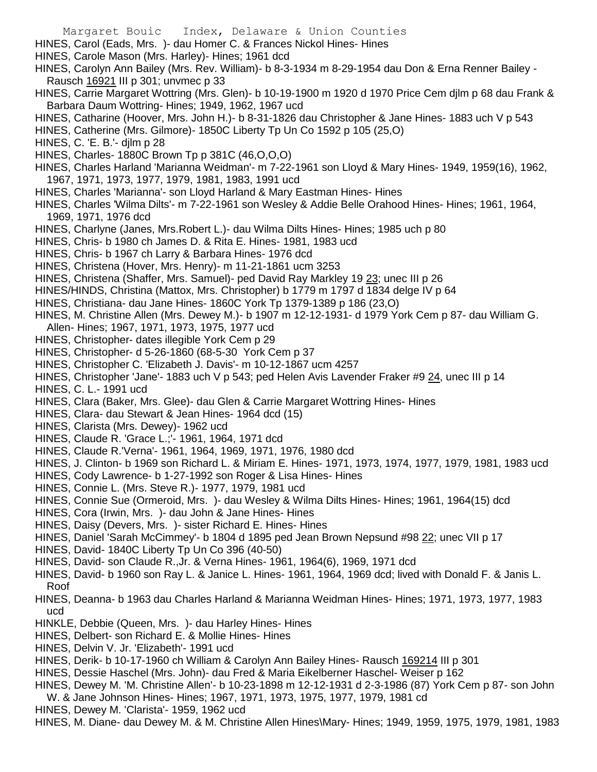- Margaret Bouic Index, Delaware & Union Counties
- HINES, Carol (Eads, Mrs. )- dau Homer C. & Frances Nickol Hines- Hines
- HINES, Carole Mason (Mrs. Harley)- Hines; 1961 dcd
- HINES, Carolyn Ann Bailey (Mrs. Rev. William)- b 8-3-1934 m 8-29-1954 dau Don & Erna Renner Bailey Rausch 16921 III p 301; unvmec p 33
- HINES, Carrie Margaret Wottring (Mrs. Glen)- b 10-19-1900 m 1920 d 1970 Price Cem djlm p 68 dau Frank & Barbara Daum Wottring- Hines; 1949, 1962, 1967 ucd
- HINES, Catharine (Hoover, Mrs. John H.)- b 8-31-1826 dau Christopher & Jane Hines- 1883 uch V p 543
- HINES, Catherine (Mrs. Gilmore)- 1850C Liberty Tp Un Co 1592 p 105 (25,O)
- HINES, C. 'E. B.'- djlm p 28
- HINES, Charles- 1880C Brown Tp p 381C (46,O,O,O)
- HINES, Charles Harland 'Marianna Weidman'- m 7-22-1961 son Lloyd & Mary Hines- 1949, 1959(16), 1962, 1967, 1971, 1973, 1977, 1979, 1981, 1983, 1991 ucd
- HINES, Charles 'Marianna'- son Lloyd Harland & Mary Eastman Hines- Hines
- HINES, Charles 'Wilma Dilts'- m 7-22-1961 son Wesley & Addie Belle Orahood Hines- Hines; 1961, 1964, 1969, 1971, 1976 dcd
- HINES, Charlyne (Janes, Mrs.Robert L.)- dau Wilma Dilts Hines- Hines; 1985 uch p 80
- HINES, Chris- b 1980 ch James D. & Rita E. Hines- 1981, 1983 ucd
- HINES, Chris- b 1967 ch Larry & Barbara Hines- 1976 dcd
- HINES, Christena (Hover, Mrs. Henry)- m 11-21-1861 ucm 3253
- HINES, Christena (Shaffer, Mrs. Samuel)- ped David Ray Markley 19 23; unec III p 26
- HINES/HINDS, Christina (Mattox, Mrs. Christopher) b 1779 m 1797 d 1834 delge IV p 64
- HINES, Christiana- dau Jane Hines- 1860C York Tp 1379-1389 p 186 (23,O)
- HINES, M. Christine Allen (Mrs. Dewey M.)- b 1907 m 12-12-1931- d 1979 York Cem p 87- dau William G. Allen- Hines; 1967, 1971, 1973, 1975, 1977 ucd
- HINES, Christopher- dates illegible York Cem p 29
- HINES, Christopher- d 5-26-1860 (68-5-30 York Cem p 37
- HINES, Christopher C. 'Elizabeth J. Davis'- m 10-12-1867 ucm 4257
- HINES, Christopher 'Jane'- 1883 uch V p 543; ped Helen Avis Lavender Fraker #9 24, unec III p 14
- HINES, C. L.- 1991 ucd
- HINES, Clara (Baker, Mrs. Glee)- dau Glen & Carrie Margaret Wottring Hines- Hines
- HINES, Clara- dau Stewart & Jean Hines- 1964 dcd (15)
- HINES, Clarista (Mrs. Dewey)- 1962 ucd
- HINES, Claude R. 'Grace L.;'- 1961, 1964, 1971 dcd
- HINES, Claude R.'Verna'- 1961, 1964, 1969, 1971, 1976, 1980 dcd
- HINES, J. Clinton- b 1969 son Richard L. & Miriam E. Hines- 1971, 1973, 1974, 1977, 1979, 1981, 1983 ucd
- HINES, Cody Lawrence- b 1-27-1992 son Roger & Lisa Hines- Hines
- HINES, Connie L. (Mrs. Steve R.)- 1977, 1979, 1981 ucd
- HINES, Connie Sue (Ormeroid, Mrs. )- dau Wesley & Wilma Dilts Hines- Hines; 1961, 1964(15) dcd
- HINES, Cora (Irwin, Mrs. )- dau John & Jane Hines- Hines
- HINES, Daisy (Devers, Mrs. )- sister Richard E. Hines- Hines
- HINES, Daniel 'Sarah McCimmey'- b 1804 d 1895 ped Jean Brown Nepsund #98 22; unec VII p 17
- HINES, David- 1840C Liberty Tp Un Co 396 (40-50)
- HINES, David- son Claude R.,Jr. & Verna Hines- 1961, 1964(6), 1969, 1971 dcd
- HINES, David- b 1960 son Ray L. & Janice L. Hines- 1961, 1964, 1969 dcd; lived with Donald F. & Janis L. Roof
- HINES, Deanna- b 1963 dau Charles Harland & Marianna Weidman Hines- Hines; 1971, 1973, 1977, 1983 ucd
- HINKLE, Debbie (Queen, Mrs. )- dau Harley Hines- Hines
- HINES, Delbert- son Richard E. & Mollie Hines- Hines
- HINES, Delvin V. Jr. 'Elizabeth'- 1991 ucd
- HINES, Derik- b 10-17-1960 ch William & Carolyn Ann Bailey Hines- Rausch 169214 III p 301
- HINES, Dessie Haschel (Mrs. John)- dau Fred & Maria Eikelberner Haschel- Weiser p 162
- HINES, Dewey M. 'M. Christine Allen'- b 10-23-1898 m 12-12-1931 d 2-3-1986 (87) York Cem p 87- son John
- W. & Jane Johnson Hines- Hines; 1967, 1971, 1973, 1975, 1977, 1979, 1981 cd
- HINES, Dewey M. 'Clarista'- 1959, 1962 ucd
- HINES, M. Diane- dau Dewey M. & M. Christine Allen Hines\Mary- Hines; 1949, 1959, 1975, 1979, 1981, 1983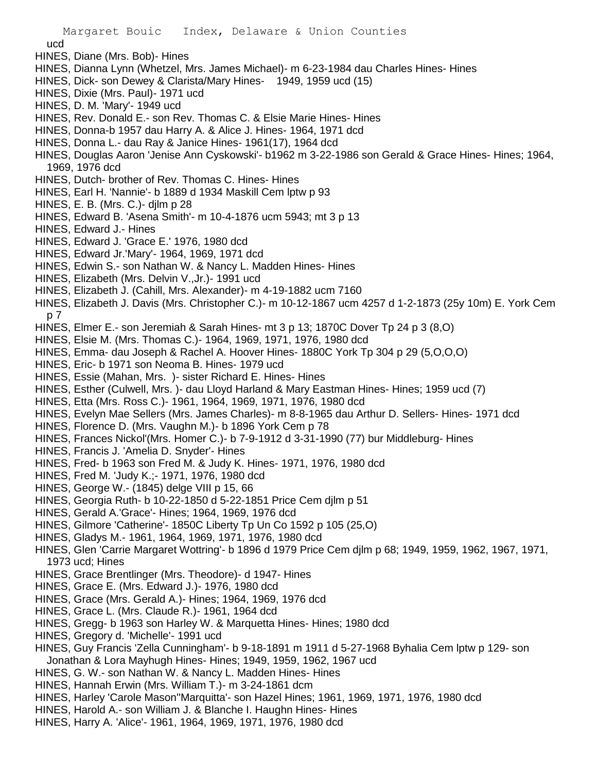ucd

- HINES, Diane (Mrs. Bob)- Hines
- HINES, Dianna Lynn (Whetzel, Mrs. James Michael)- m 6-23-1984 dau Charles Hines- Hines
- HINES, Dick- son Dewey & Clarista/Mary Hines- 1949, 1959 ucd (15)
- HINES, Dixie (Mrs. Paul)- 1971 ucd
- HINES, D. M. 'Mary'- 1949 ucd
- HINES, Rev. Donald E.- son Rev. Thomas C. & Elsie Marie Hines- Hines
- HINES, Donna-b 1957 dau Harry A. & Alice J. Hines- 1964, 1971 dcd
- HINES, Donna L.- dau Ray & Janice Hines- 1961(17), 1964 dcd
- HINES, Douglas Aaron 'Jenise Ann Cyskowski'- b1962 m 3-22-1986 son Gerald & Grace Hines- Hines; 1964, 1969, 1976 dcd
- HINES, Dutch- brother of Rev. Thomas C. Hines- Hines
- HINES, Earl H. 'Nannie'- b 1889 d 1934 Maskill Cem lptw p 93
- HINES, E. B. (Mrs. C.)- djlm p 28
- HINES, Edward B. 'Asena Smith'- m 10-4-1876 ucm 5943; mt 3 p 13
- HINES, Edward J.- Hines
- HINES, Edward J. 'Grace E.' 1976, 1980 dcd
- HINES, Edward Jr.'Mary'- 1964, 1969, 1971 dcd
- HINES, Edwin S.- son Nathan W. & Nancy L. Madden Hines- Hines
- HINES, Elizabeth (Mrs. Delvin V.,Jr.)- 1991 ucd
- HINES, Elizabeth J. (Cahill, Mrs. Alexander)- m 4-19-1882 ucm 7160
- HINES, Elizabeth J. Davis (Mrs. Christopher C.)- m 10-12-1867 ucm 4257 d 1-2-1873 (25y 10m) E. York Cem p 7
- HINES, Elmer E.- son Jeremiah & Sarah Hines- mt 3 p 13; 1870C Dover Tp 24 p 3 (8,O)
- HINES, Elsie M. (Mrs. Thomas C.)- 1964, 1969, 1971, 1976, 1980 dcd
- HINES, Emma- dau Joseph & Rachel A. Hoover Hines- 1880C York Tp 304 p 29 (5,O,O,O)
- HINES, Eric- b 1971 son Neoma B. Hines- 1979 ucd
- HINES, Essie (Mahan, Mrs. )- sister Richard E. Hines- Hines
- HINES, Esther (Culwell, Mrs. )- dau Lloyd Harland & Mary Eastman Hines- Hines; 1959 ucd (7)
- HINES, Etta (Mrs. Ross C.)- 1961, 1964, 1969, 1971, 1976, 1980 dcd
- HINES, Evelyn Mae Sellers (Mrs. James Charles)- m 8-8-1965 dau Arthur D. Sellers- Hines- 1971 dcd
- HINES, Florence D. (Mrs. Vaughn M.)- b 1896 York Cem p 78
- HINES, Frances Nickol'(Mrs. Homer C.)- b 7-9-1912 d 3-31-1990 (77) bur Middleburg- Hines
- HINES, Francis J. 'Amelia D. Snyder'- Hines
- HINES, Fred- b 1963 son Fred M. & Judy K. Hines- 1971, 1976, 1980 dcd
- HINES, Fred M. 'Judy K.;- 1971, 1976, 1980 dcd
- HINES, George W.- (1845) delge VIII p 15, 66
- HINES, Georgia Ruth- b 10-22-1850 d 5-22-1851 Price Cem djlm p 51
- HINES, Gerald A.'Grace'- Hines; 1964, 1969, 1976 dcd
- HINES, Gilmore 'Catherine'- 1850C Liberty Tp Un Co 1592 p 105 (25,O)
- HINES, Gladys M.- 1961, 1964, 1969, 1971, 1976, 1980 dcd
- HINES, Glen 'Carrie Margaret Wottring'- b 1896 d 1979 Price Cem djlm p 68; 1949, 1959, 1962, 1967, 1971, 1973 ucd; Hines
- HINES, Grace Brentlinger (Mrs. Theodore)- d 1947- Hines
- HINES, Grace E. (Mrs. Edward J.)- 1976, 1980 dcd
- HINES, Grace (Mrs. Gerald A.)- Hines; 1964, 1969, 1976 dcd
- HINES, Grace L. (Mrs. Claude R.)- 1961, 1964 dcd
- HINES, Gregg- b 1963 son Harley W. & Marquetta Hines- Hines; 1980 dcd
- HINES, Gregory d. 'Michelle'- 1991 ucd
- HINES, Guy Francis 'Zella Cunningham'- b 9-18-1891 m 1911 d 5-27-1968 Byhalia Cem lptw p 129- son Jonathan & Lora Mayhugh Hines- Hines; 1949, 1959, 1962, 1967 ucd
- HINES, G. W.- son Nathan W. & Nancy L. Madden Hines- Hines
- HINES, Hannah Erwin (Mrs. William T.)- m 3-24-1861 dcm
- HINES, Harley 'Carole Mason''Marquitta'- son Hazel Hines; 1961, 1969, 1971, 1976, 1980 dcd
- HINES, Harold A.- son William J. & Blanche I. Haughn Hines- Hines
- HINES, Harry A. 'Alice'- 1961, 1964, 1969, 1971, 1976, 1980 dcd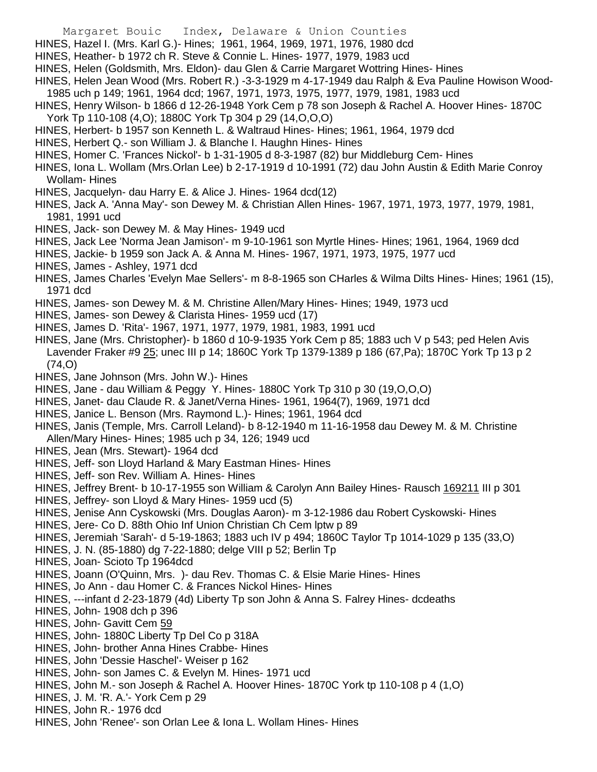- Margaret Bouic Index, Delaware & Union Counties
- HINES, Hazel I. (Mrs. Karl G.)- Hines; 1961, 1964, 1969, 1971, 1976, 1980 dcd
- HINES, Heather- b 1972 ch R. Steve & Connie L. Hines- 1977, 1979, 1983 ucd
- HINES, Helen (Goldsmith, Mrs. Eldon)- dau Glen & Carrie Margaret Wottring Hines- Hines
- HINES, Helen Jean Wood (Mrs. Robert R.) -3-3-1929 m 4-17-1949 dau Ralph & Eva Pauline Howison Wood-1985 uch p 149; 1961, 1964 dcd; 1967, 1971, 1973, 1975, 1977, 1979, 1981, 1983 ucd
- HINES, Henry Wilson- b 1866 d 12-26-1948 York Cem p 78 son Joseph & Rachel A. Hoover Hines- 1870C York Tp 110-108 (4,O); 1880C York Tp 304 p 29 (14,O,O,O)
- HINES, Herbert- b 1957 son Kenneth L. & Waltraud Hines- Hines; 1961, 1964, 1979 dcd
- HINES, Herbert Q.- son William J. & Blanche I. Haughn Hines- Hines
- HINES, Homer C. 'Frances Nickol'- b 1-31-1905 d 8-3-1987 (82) bur Middleburg Cem- Hines
- HINES, Iona L. Wollam (Mrs.Orlan Lee) b 2-17-1919 d 10-1991 (72) dau John Austin & Edith Marie Conroy Wollam- Hines
- HINES, Jacquelyn- dau Harry E. & Alice J. Hines- 1964 dcd(12)
- HINES, Jack A. 'Anna May'- son Dewey M. & Christian Allen Hines- 1967, 1971, 1973, 1977, 1979, 1981, 1981, 1991 ucd
- HINES, Jack- son Dewey M. & May Hines- 1949 ucd
- HINES, Jack Lee 'Norma Jean Jamison'- m 9-10-1961 son Myrtle Hines- Hines; 1961, 1964, 1969 dcd
- HINES, Jackie- b 1959 son Jack A. & Anna M. Hines- 1967, 1971, 1973, 1975, 1977 ucd
- HINES, James Ashley, 1971 dcd
- HINES, James Charles 'Evelyn Mae Sellers'- m 8-8-1965 son CHarles & Wilma Dilts Hines- Hines; 1961 (15), 1971 dcd
- HINES, James- son Dewey M. & M. Christine Allen/Mary Hines- Hines; 1949, 1973 ucd
- HINES, James- son Dewey & Clarista Hines- 1959 ucd (17)
- HINES, James D. 'Rita'- 1967, 1971, 1977, 1979, 1981, 1983, 1991 ucd
- HINES, Jane (Mrs. Christopher)- b 1860 d 10-9-1935 York Cem p 85; 1883 uch V p 543; ped Helen Avis Lavender Fraker #9 25; unec III p 14; 1860C York Tp 1379-1389 p 186 (67,Pa); 1870C York Tp 13 p 2 (74,O)
- HINES, Jane Johnson (Mrs. John W.)- Hines
- HINES, Jane dau William & Peggy Y. Hines- 1880C York Tp 310 p 30 (19,O,O,O)
- HINES, Janet- dau Claude R. & Janet/Verna Hines- 1961, 1964(7), 1969, 1971 dcd
- HINES, Janice L. Benson (Mrs. Raymond L.)- Hines; 1961, 1964 dcd
- HINES, Janis (Temple, Mrs. Carroll Leland)- b 8-12-1940 m 11-16-1958 dau Dewey M. & M. Christine Allen/Mary Hines- Hines; 1985 uch p 34, 126; 1949 ucd
- HINES, Jean (Mrs. Stewart)- 1964 dcd
- HINES, Jeff- son Lloyd Harland & Mary Eastman Hines- Hines
- HINES, Jeff- son Rev. William A. Hines- Hines
- HINES, Jeffrey Brent- b 10-17-1955 son William & Carolyn Ann Bailey Hines- Rausch 169211 III p 301
- HINES, Jeffrey- son Lloyd & Mary Hines- 1959 ucd (5)
- HINES, Jenise Ann Cyskowski (Mrs. Douglas Aaron)- m 3-12-1986 dau Robert Cyskowski- Hines
- HINES, Jere- Co D. 88th Ohio Inf Union Christian Ch Cem lptw p 89
- HINES, Jeremiah 'Sarah'- d 5-19-1863; 1883 uch IV p 494; 1860C Taylor Tp 1014-1029 p 135 (33,O)
- HINES, J. N. (85-1880) dg 7-22-1880; delge VIII p 52; Berlin Tp
- HINES, Joan- Scioto Tp 1964dcd
- HINES, Joann (O'Quinn, Mrs. )- dau Rev. Thomas C. & Elsie Marie Hines- Hines
- HINES, Jo Ann dau Homer C. & Frances Nickol Hines- Hines
- HINES, ---infant d 2-23-1879 (4d) Liberty Tp son John & Anna S. Falrey Hines- dcdeaths
- HINES, John- 1908 dch p 396
- HINES, John- Gavitt Cem 59
- HINES, John- 1880C Liberty Tp Del Co p 318A
- HINES, John- brother Anna Hines Crabbe- Hines
- HINES, John 'Dessie Haschel'- Weiser p 162
- HINES, John- son James C. & Evelyn M. Hines- 1971 ucd
- HINES, John M.- son Joseph & Rachel A. Hoover Hines- 1870C York tp 110-108 p 4 (1,O)
- HINES, J. M. 'R. A.'- York Cem p 29
- HINES, John R.- 1976 dcd
- HINES, John 'Renee'- son Orlan Lee & Iona L. Wollam Hines- Hines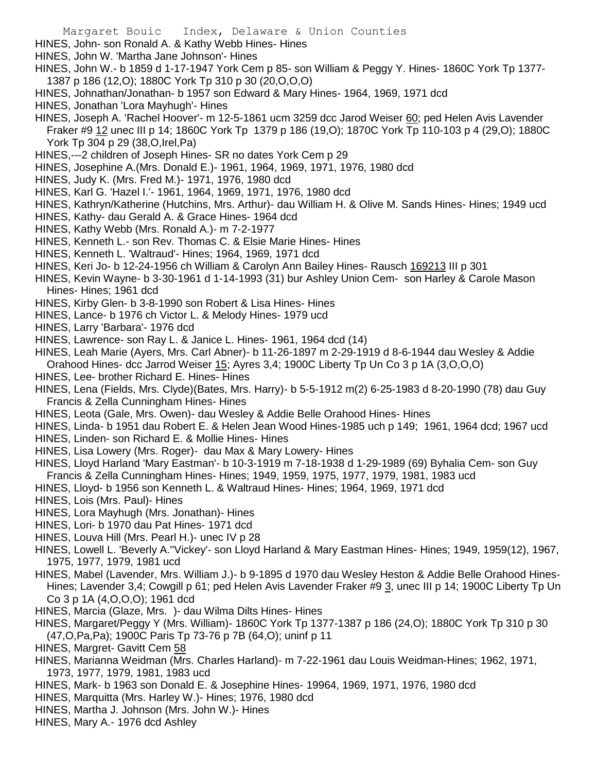- HINES, John- son Ronald A. & Kathy Webb Hines- Hines
- HINES, John W. 'Martha Jane Johnson'- Hines
- HINES, John W.- b 1859 d 1-17-1947 York Cem p 85- son William & Peggy Y. Hines- 1860C York Tp 1377- 1387 p 186 (12,O); 1880C York Tp 310 p 30 (20,O,O,O)
- HINES, Johnathan/Jonathan- b 1957 son Edward & Mary Hines- 1964, 1969, 1971 dcd
- HINES, Jonathan 'Lora Mayhugh'- Hines
- HINES, Joseph A. 'Rachel Hoover'- m 12-5-1861 ucm 3259 dcc Jarod Weiser 60; ped Helen Avis Lavender Fraker #9 12 unec III p 14; 1860C York Tp 1379 p 186 (19,O); 1870C York Tp 110-103 p 4 (29,O); 1880C York Tp 304 p 29 (38,O,Irel,Pa)
- HINES,---2 children of Joseph Hines- SR no dates York Cem p 29
- HINES, Josephine A.(Mrs. Donald E.)- 1961, 1964, 1969, 1971, 1976, 1980 dcd
- HINES, Judy K. (Mrs. Fred M.)- 1971, 1976, 1980 dcd
- HINES, Karl G. 'Hazel I.'- 1961, 1964, 1969, 1971, 1976, 1980 dcd
- HINES, Kathryn/Katherine (Hutchins, Mrs. Arthur)- dau William H. & Olive M. Sands Hines- Hines; 1949 ucd
- HINES, Kathy- dau Gerald A. & Grace Hines- 1964 dcd
- HINES, Kathy Webb (Mrs. Ronald A.)- m 7-2-1977
- HINES, Kenneth L.- son Rev. Thomas C. & Elsie Marie Hines- Hines
- HINES, Kenneth L. 'Waltraud'- Hines; 1964, 1969, 1971 dcd
- HINES, Keri Jo- b 12-24-1956 ch William & Carolyn Ann Bailey Hines- Rausch 169213 III p 301
- HINES, Kevin Wayne- b 3-30-1961 d 1-14-1993 (31) bur Ashley Union Cem- son Harley & Carole Mason Hines- Hines; 1961 dcd
- HINES, Kirby Glen- b 3-8-1990 son Robert & Lisa Hines- Hines
- HINES, Lance- b 1976 ch Victor L. & Melody Hines- 1979 ucd
- HINES, Larry 'Barbara'- 1976 dcd
- HINES, Lawrence- son Ray L. & Janice L. Hines- 1961, 1964 dcd (14)
- HINES, Leah Marie (Ayers, Mrs. Carl Abner)- b 11-26-1897 m 2-29-1919 d 8-6-1944 dau Wesley & Addie Orahood Hines- dcc Jarrod Weiser 15; Ayres 3,4; 1900C Liberty Tp Un Co 3 p 1A (3, O, O, O)
- HINES, Lee- brother Richard E. Hines- Hines
- HINES, Lena (Fields, Mrs. Clyde)(Bates, Mrs. Harry)- b 5-5-1912 m(2) 6-25-1983 d 8-20-1990 (78) dau Guy Francis & Zella Cunningham Hines- Hines
- HINES, Leota (Gale, Mrs. Owen)- dau Wesley & Addie Belle Orahood Hines- Hines
- HINES, Linda- b 1951 dau Robert E. & Helen Jean Wood Hines-1985 uch p 149; 1961, 1964 dcd; 1967 ucd
- HINES, Linden- son Richard E. & Mollie Hines- Hines
- HINES, Lisa Lowery (Mrs. Roger)- dau Max & Mary Lowery- Hines
- HINES, Lloyd Harland 'Mary Eastman'- b 10-3-1919 m 7-18-1938 d 1-29-1989 (69) Byhalia Cem- son Guy Francis & Zella Cunningham Hines- Hines; 1949, 1959, 1975, 1977, 1979, 1981, 1983 ucd
- HINES, Lloyd- b 1956 son Kenneth L. & Waltraud Hines- Hines; 1964, 1969, 1971 dcd
- HINES, Lois (Mrs. Paul)- Hines
- HINES, Lora Mayhugh (Mrs. Jonathan)- Hines
- HINES, Lori- b 1970 dau Pat Hines- 1971 dcd
- HINES, Louva Hill (Mrs. Pearl H.)- unec IV p 28
- HINES, Lowell L. 'Beverly A.''Vickey'- son Lloyd Harland & Mary Eastman Hines- Hines; 1949, 1959(12), 1967, 1975, 1977, 1979, 1981 ucd
- HINES, Mabel (Lavender, Mrs. William J.)- b 9-1895 d 1970 dau Wesley Heston & Addie Belle Orahood Hines-Hines; Lavender 3,4; Cowgill p 61; ped Helen Avis Lavender Fraker #9 3, unec III p 14; 1900C Liberty Tp Un Co 3 p 1A (4,O,O,O); 1961 dcd
- HINES, Marcia (Glaze, Mrs. )- dau Wilma Dilts Hines- Hines
- HINES, Margaret/Peggy Y (Mrs. William)- 1860C York Tp 1377-1387 p 186 (24,O); 1880C York Tp 310 p 30 (47,O,Pa,Pa); 1900C Paris Tp 73-76 p 7B (64,O); uninf p 11
- HINES, Margret- Gavitt Cem 58
- HINES, Marianna Weidman (Mrs. Charles Harland)- m 7-22-1961 dau Louis Weidman-Hines; 1962, 1971, 1973, 1977, 1979, 1981, 1983 ucd
- HINES, Mark- b 1963 son Donald E. & Josephine Hines- 19964, 1969, 1971, 1976, 1980 dcd
- HINES, Marquitta (Mrs. Harley W.)- Hines; 1976, 1980 dcd
- HINES, Martha J. Johnson (Mrs. John W.)- Hines
- HINES, Mary A.- 1976 dcd Ashley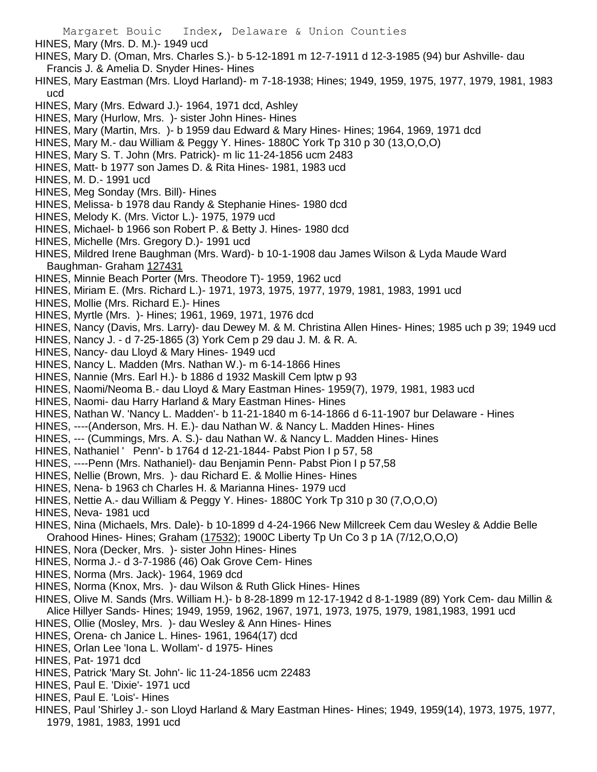Margaret Bouic Index, Delaware & Union Counties HINES, Mary (Mrs. D. M.)- 1949 ucd HINES, Mary D. (Oman, Mrs. Charles S.)- b 5-12-1891 m 12-7-1911 d 12-3-1985 (94) bur Ashville- dau Francis J. & Amelia D. Snyder Hines- Hines HINES, Mary Eastman (Mrs. Lloyd Harland)- m 7-18-1938; Hines; 1949, 1959, 1975, 1977, 1979, 1981, 1983 ucd HINES, Mary (Mrs. Edward J.)- 1964, 1971 dcd, Ashley HINES, Mary (Hurlow, Mrs. )- sister John Hines- Hines HINES, Mary (Martin, Mrs. )- b 1959 dau Edward & Mary Hines- Hines; 1964, 1969, 1971 dcd HINES, Mary M.- dau William & Peggy Y. Hines- 1880C York Tp 310 p 30 (13,O,O,O) HINES, Mary S. T. John (Mrs. Patrick)- m lic 11-24-1856 ucm 2483 HINES, Matt- b 1977 son James D. & Rita Hines- 1981, 1983 ucd HINES, M. D.- 1991 ucd HINES, Meg Sonday (Mrs. Bill)- Hines HINES, Melissa- b 1978 dau Randy & Stephanie Hines- 1980 dcd HINES, Melody K. (Mrs. Victor L.)- 1975, 1979 ucd HINES, Michael- b 1966 son Robert P. & Betty J. Hines- 1980 dcd HINES, Michelle (Mrs. Gregory D.)- 1991 ucd HINES, Mildred Irene Baughman (Mrs. Ward)- b 10-1-1908 dau James Wilson & Lyda Maude Ward Baughman- Graham 127431 HINES, Minnie Beach Porter (Mrs. Theodore T)- 1959, 1962 ucd HINES, Miriam E. (Mrs. Richard L.)- 1971, 1973, 1975, 1977, 1979, 1981, 1983, 1991 ucd HINES, Mollie (Mrs. Richard E.)- Hines HINES, Myrtle (Mrs. )- Hines; 1961, 1969, 1971, 1976 dcd HINES, Nancy (Davis, Mrs. Larry)- dau Dewey M. & M. Christina Allen Hines- Hines; 1985 uch p 39; 1949 ucd HINES, Nancy J. - d 7-25-1865 (3) York Cem p 29 dau J. M. & R. A. HINES, Nancy- dau Lloyd & Mary Hines- 1949 ucd HINES, Nancy L. Madden (Mrs. Nathan W.)- m 6-14-1866 Hines HINES, Nannie (Mrs. Earl H.)- b 1886 d 1932 Maskill Cem lptw p 93 HINES, Naomi/Neoma B.- dau Lloyd & Mary Eastman Hines- 1959(7), 1979, 1981, 1983 ucd HINES, Naomi- dau Harry Harland & Mary Eastman Hines- Hines HINES, Nathan W. 'Nancy L. Madden'- b 11-21-1840 m 6-14-1866 d 6-11-1907 bur Delaware - Hines HINES, ----(Anderson, Mrs. H. E.)- dau Nathan W. & Nancy L. Madden Hines- Hines HINES, --- (Cummings, Mrs. A. S.)- dau Nathan W. & Nancy L. Madden Hines- Hines HINES, Nathaniel ' Penn'- b 1764 d 12-21-1844- Pabst Pion I p 57, 58 HINES, ----Penn (Mrs. Nathaniel)- dau Benjamin Penn- Pabst Pion I p 57,58 HINES, Nellie (Brown, Mrs. )- dau Richard E. & Mollie Hines- Hines HINES, Nena- b 1963 ch Charles H. & Marianna Hines- 1979 ucd HINES, Nettie A.- dau William & Peggy Y. Hines- 1880C York Tp 310 p 30 (7,O,O,O) HINES, Neva- 1981 ucd HINES, Nina (Michaels, Mrs. Dale)- b 10-1899 d 4-24-1966 New Millcreek Cem dau Wesley & Addie Belle Orahood Hines- Hines; Graham (17532); 1900C Liberty Tp Un Co 3 p 1A (7/12,O,O,O) HINES, Nora (Decker, Mrs. )- sister John Hines- Hines HINES, Norma J.- d 3-7-1986 (46) Oak Grove Cem- Hines HINES, Norma (Mrs. Jack)- 1964, 1969 dcd

- HINES, Norma (Knox, Mrs. )- dau Wilson & Ruth Glick Hines- Hines
- HINES, Olive M. Sands (Mrs. William H.)- b 8-28-1899 m 12-17-1942 d 8-1-1989 (89) York Cem- dau Millin & Alice Hillyer Sands- Hines; 1949, 1959, 1962, 1967, 1971, 1973, 1975, 1979, 1981,1983, 1991 ucd
- HINES, Ollie (Mosley, Mrs. )- dau Wesley & Ann Hines- Hines
- HINES, Orena- ch Janice L. Hines- 1961, 1964(17) dcd
- HINES, Orlan Lee 'Iona L. Wollam'- d 1975- Hines
- HINES, Pat- 1971 dcd
- HINES, Patrick 'Mary St. John'- lic 11-24-1856 ucm 22483
- HINES, Paul E. 'Dixie'- 1971 ucd
- HINES, Paul E. 'Lois'- Hines
- HINES, Paul 'Shirley J.- son Lloyd Harland & Mary Eastman Hines- Hines; 1949, 1959(14), 1973, 1975, 1977, 1979, 1981, 1983, 1991 ucd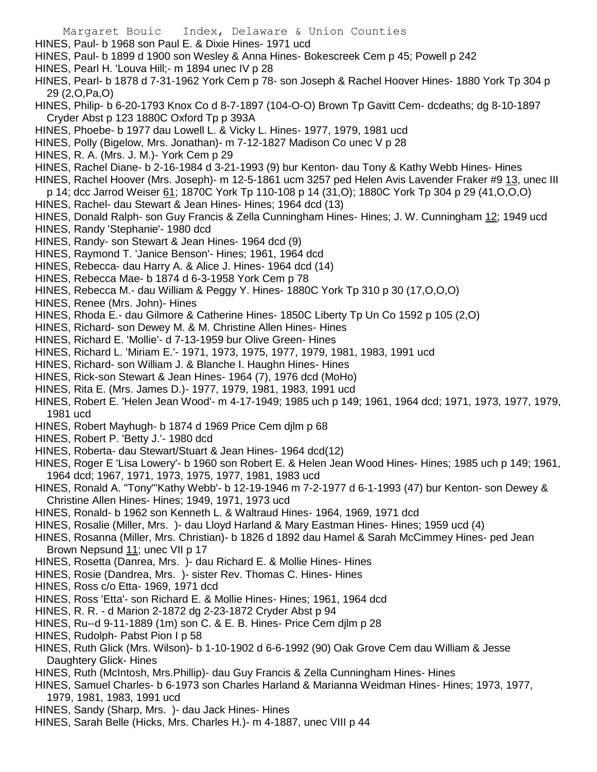- Margaret Bouic Index, Delaware & Union Counties
- HINES, Paul- b 1968 son Paul E. & Dixie Hines- 1971 ucd
- HINES, Paul- b 1899 d 1900 son Wesley & Anna Hines- Bokescreek Cem p 45; Powell p 242
- HINES, Pearl H. 'Louva Hill;- m 1894 unec IV p 28
- HINES, Pearl- b 1878 d 7-31-1962 York Cem p 78- son Joseph & Rachel Hoover Hines- 1880 York Tp 304 p 29 (2,O,Pa,O)
- HINES, Philip- b 6-20-1793 Knox Co d 8-7-1897 (104-O-O) Brown Tp Gavitt Cem- dcdeaths; dg 8-10-1897 Cryder Abst p 123 1880C Oxford Tp p 393A
- HINES, Phoebe- b 1977 dau Lowell L. & Vicky L. Hines- 1977, 1979, 1981 ucd
- HINES, Polly (Bigelow, Mrs. Jonathan)- m 7-12-1827 Madison Co unec V p 28
- HINES, R. A. (Mrs. J. M.)- York Cem p 29
- HINES, Rachel Diane- b 2-16-1984 d 3-21-1993 (9) bur Kenton- dau Tony & Kathy Webb Hines- Hines
- HINES, Rachel Hoover (Mrs. Joseph)- m 12-5-1861 ucm 3257 ped Helen Avis Lavender Fraker #9 13, unec III
- p 14; dcc Jarrod Weiser 61; 1870C York Tp 110-108 p 14 (31,O); 1880C York Tp 304 p 29 (41,O,O,O)
- HINES, Rachel- dau Stewart & Jean Hines- Hines; 1964 dcd (13)
- HINES, Donald Ralph- son Guy Francis & Zella Cunningham Hines- Hines; J. W. Cunningham 12; 1949 ucd
- HINES, Randy 'Stephanie'- 1980 dcd
- HINES, Randy- son Stewart & Jean Hines- 1964 dcd (9)
- HINES, Raymond T. 'Janice Benson'- Hines; 1961, 1964 dcd
- HINES, Rebecca- dau Harry A. & Alice J. Hines- 1964 dcd (14)
- HINES, Rebecca Mae- b 1874 d 6-3-1958 York Cem p 78
- HINES, Rebecca M.- dau William & Peggy Y. Hines- 1880C York Tp 310 p 30 (17,O,O,O)
- HINES, Renee (Mrs. John)- Hines
- HINES, Rhoda E.- dau Gilmore & Catherine Hines- 1850C Liberty Tp Un Co 1592 p 105 (2,O)
- HINES, Richard- son Dewey M. & M. Christine Allen Hines- Hines
- HINES, Richard E. 'Mollie'- d 7-13-1959 bur Olive Green- Hines
- HINES, Richard L. 'Miriam E.'- 1971, 1973, 1975, 1977, 1979, 1981, 1983, 1991 ucd
- HINES, Richard- son William J. & Blanche I. Haughn Hines- Hines
- HINES, Rick-son Stewart & Jean Hines- 1964 (7), 1976 dcd (MoHo)
- HINES, Rita E. (Mrs. James D.)- 1977, 1979, 1981, 1983, 1991 ucd
- HINES, Robert E. 'Helen Jean Wood'- m 4-17-1949; 1985 uch p 149; 1961, 1964 dcd; 1971, 1973, 1977, 1979, 1981 ucd
- HINES, Robert Mayhugh- b 1874 d 1969 Price Cem djlm p 68
- HINES, Robert P. 'Betty J.'- 1980 dcd
- HINES, Roberta- dau Stewart/Stuart & Jean Hines- 1964 dcd(12)
- HINES, Roger E 'Lisa Lowery'- b 1960 son Robert E. & Helen Jean Wood Hines- Hines; 1985 uch p 149; 1961, 1964 dcd; 1967, 1971, 1973, 1975, 1977, 1981, 1983 ucd
- HINES, Ronald A. "Tony"'Kathy Webb'- b 12-19-1946 m 7-2-1977 d 6-1-1993 (47) bur Kenton- son Dewey & Christine Allen Hines- Hines; 1949, 1971, 1973 ucd
- HINES, Ronald- b 1962 son Kenneth L. & Waltraud Hines- 1964, 1969, 1971 dcd
- HINES, Rosalie (Miller, Mrs. )- dau Lloyd Harland & Mary Eastman Hines- Hines; 1959 ucd (4)
- HINES, Rosanna (Miller, Mrs. Christian)- b 1826 d 1892 dau Hamel & Sarah McCimmey Hines- ped Jean Brown Nepsund 11; unec VII p 17
- HINES, Rosetta (Danrea, Mrs. )- dau Richard E. & Mollie Hines- Hines
- HINES, Rosie (Dandrea, Mrs. )- sister Rev. Thomas C. Hines- Hines
- HINES, Ross c/o Etta- 1969, 1971 dcd
- HINES, Ross 'Etta'- son Richard E. & Mollie Hines- Hines; 1961, 1964 dcd
- HINES, R. R. d Marion 2-1872 dg 2-23-1872 Cryder Abst p 94
- HINES, Ru--d 9-11-1889 (1m) son C. & E. B. Hines- Price Cem djlm p 28
- HINES, Rudolph- Pabst Pion I p 58
- HINES, Ruth Glick (Mrs. Wilson)- b 1-10-1902 d 6-6-1992 (90) Oak Grove Cem dau William & Jesse Daughtery Glick- Hines
- HINES, Ruth (McIntosh, Mrs.Phillip)- dau Guy Francis & Zella Cunningham Hines- Hines
- HINES, Samuel Charles- b 6-1973 son Charles Harland & Marianna Weidman Hines- Hines; 1973, 1977, 1979, 1981, 1983, 1991 ucd
- HINES, Sandy (Sharp, Mrs. )- dau Jack Hines- Hines
- HINES, Sarah Belle (Hicks, Mrs. Charles H.)- m 4-1887, unec VIII p 44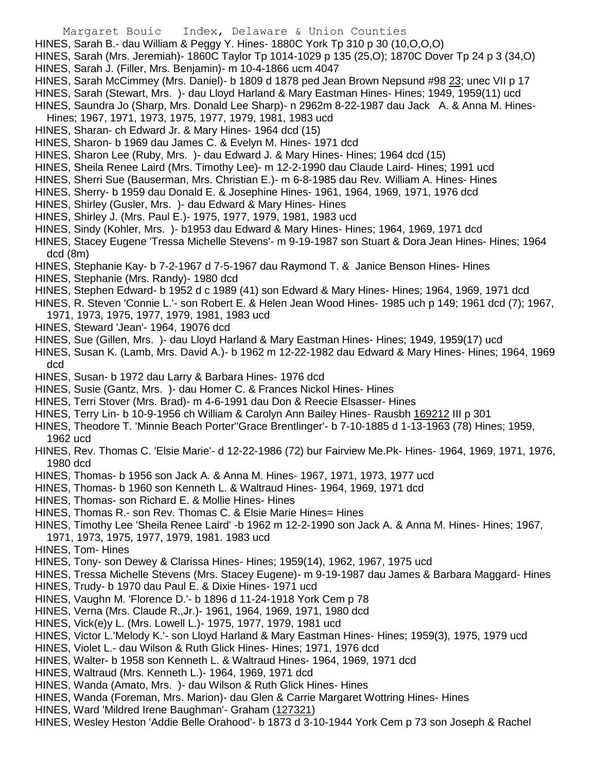- Margaret Bouic Index, Delaware & Union Counties
- HINES, Sarah B.- dau William & Peggy Y. Hines- 1880C York Tp 310 p 30 (10,O,O,O)
- HINES, Sarah (Mrs. Jeremiah)- 1860C Taylor Tp 1014-1029 p 135 (25,O); 1870C Dover Tp 24 p 3 (34,O)
- HINES, Sarah J. (Filler, Mrs. Benjamin)- m 10-4-1866 ucm 4047
- HINES, Sarah McCimmey (Mrs. Daniel)- b 1809 d 1878 ped Jean Brown Nepsund #98 23; unec VII p 17
- HINES, Sarah (Stewart, Mrs. )- dau Lloyd Harland & Mary Eastman Hines- Hines; 1949, 1959(11) ucd
- HINES, Saundra Jo (Sharp, Mrs. Donald Lee Sharp)- n 2962m 8-22-1987 dau Jack A. & Anna M. Hines-Hines; 1967, 1971, 1973, 1975, 1977, 1979, 1981, 1983 ucd
- HINES, Sharan- ch Edward Jr. & Mary Hines- 1964 dcd (15)
- HINES, Sharon- b 1969 dau James C. & Evelyn M. Hines- 1971 dcd
- HINES, Sharon Lee (Ruby, Mrs. )- dau Edward J. & Mary Hines- Hines; 1964 dcd (15)
- HINES, Sheila Renee Laird (Mrs. Timothy Lee)- m 12-2-1990 dau Claude Laird- Hines; 1991 ucd
- HINES, Sherri Sue (Bauserman, Mrs. Christian E.)- m 6-8-1985 dau Rev. William A. Hines- Hines
- HINES, Sherry- b 1959 dau Donald E. & Josephine Hines- 1961, 1964, 1969, 1971, 1976 dcd
- HINES, Shirley (Gusler, Mrs. )- dau Edward & Mary Hines- Hines
- HINES, Shirley J. (Mrs. Paul E.)- 1975, 1977, 1979, 1981, 1983 ucd
- HINES, Sindy (Kohler, Mrs. )- b1953 dau Edward & Mary Hines- Hines; 1964, 1969, 1971 dcd
- HINES, Stacey Eugene 'Tressa Michelle Stevens'- m 9-19-1987 son Stuart & Dora Jean Hines- Hines; 1964 dcd (8m)
- HINES, Stephanie Kay- b 7-2-1967 d 7-5-1967 dau Raymond T. & Janice Benson Hines- Hines
- HINES, Stephanie (Mrs. Randy)- 1980 dcd
- HINES, Stephen Edward- b 1952 d c 1989 (41) son Edward & Mary Hines- Hines; 1964, 1969, 1971 dcd
- HINES, R. Steven 'Connie L.'- son Robert E. & Helen Jean Wood Hines- 1985 uch p 149; 1961 dcd (7); 1967,
- 1971, 1973, 1975, 1977, 1979, 1981, 1983 ucd
- HINES, Steward 'Jean'- 1964, 19076 dcd
- HINES, Sue (Gillen, Mrs. )- dau Lloyd Harland & Mary Eastman Hines- Hines; 1949, 1959(17) ucd
- HINES, Susan K. (Lamb, Mrs. David A.)- b 1962 m 12-22-1982 dau Edward & Mary Hines- Hines; 1964, 1969 dcd
- HINES, Susan- b 1972 dau Larry & Barbara Hines- 1976 dcd
- HINES, Susie (Gantz, Mrs. )- dau Homer C. & Frances Nickol Hines- Hines
- HINES, Terri Stover (Mrs. Brad)- m 4-6-1991 dau Don & Reecie Elsasser- Hines
- HINES, Terry Lin- b 10-9-1956 ch William & Carolyn Ann Bailey Hines- Rausbh 169212 III p 301
- HINES, Theodore T. 'Minnie Beach Porter''Grace Brentlinger'- b 7-10-1885 d 1-13-1963 (78) Hines; 1959, 1962 ucd
- HINES, Rev. Thomas C. 'Elsie Marie'- d 12-22-1986 (72) bur Fairview Me.Pk- Hines- 1964, 1969, 1971, 1976, 1980 dcd
- HINES, Thomas- b 1956 son Jack A. & Anna M. Hines- 1967, 1971, 1973, 1977 ucd
- HINES, Thomas- b 1960 son Kenneth L. & Waltraud Hines- 1964, 1969, 1971 dcd
- HINES, Thomas- son Richard E. & Mollie Hines- Hines
- HINES, Thomas R.- son Rev. Thomas C. & Elsie Marie Hines= Hines
- HINES, Timothy Lee 'Sheila Renee Laird' -b 1962 m 12-2-1990 son Jack A. & Anna M. Hines- Hines; 1967, 1971, 1973, 1975, 1977, 1979, 1981. 1983 ucd
- HINES, Tom- Hines
- HINES, Tony- son Dewey & Clarissa Hines- Hines; 1959(14), 1962, 1967, 1975 ucd
- HINES, Tressa Michelle Stevens (Mrs. Stacey Eugene)- m 9-19-1987 dau James & Barbara Maggard- Hines
- HINES, Trudy- b 1970 dau Paul E. & Dixie Hines- 1971 ucd
- HINES, Vaughn M. 'Florence D.'- b 1896 d 11-24-1918 York Cem p 78
- HINES, Verna (Mrs. Claude R.,Jr.)- 1961, 1964, 1969, 1971, 1980 dcd
- HINES, Vick(e)y L. (Mrs. Lowell L.)- 1975, 1977, 1979, 1981 ucd
- HINES, Victor L.'Melody K.'- son Lloyd Harland & Mary Eastman Hines- Hines; 1959(3), 1975, 1979 ucd
- HINES, Violet L.- dau Wilson & Ruth Glick Hines- Hines; 1971, 1976 dcd
- HINES, Walter- b 1958 son Kenneth L. & Waltraud Hines- 1964, 1969, 1971 dcd
- HINES, Waltraud (Mrs. Kenneth L.)- 1964, 1969, 1971 dcd
- HINES, Wanda (Amato, Mrs. )- dau Wilson & Ruth Glick Hines- Hines
- HINES, Wanda (Foreman, Mrs. Marion)- dau Glen & Carrie Margaret Wottring Hines- Hines
- HINES, Ward 'Mildred Irene Baughman'- Graham (127321)
- HINES, Wesley Heston 'Addie Belle Orahood'- b 1873 d 3-10-1944 York Cem p 73 son Joseph & Rachel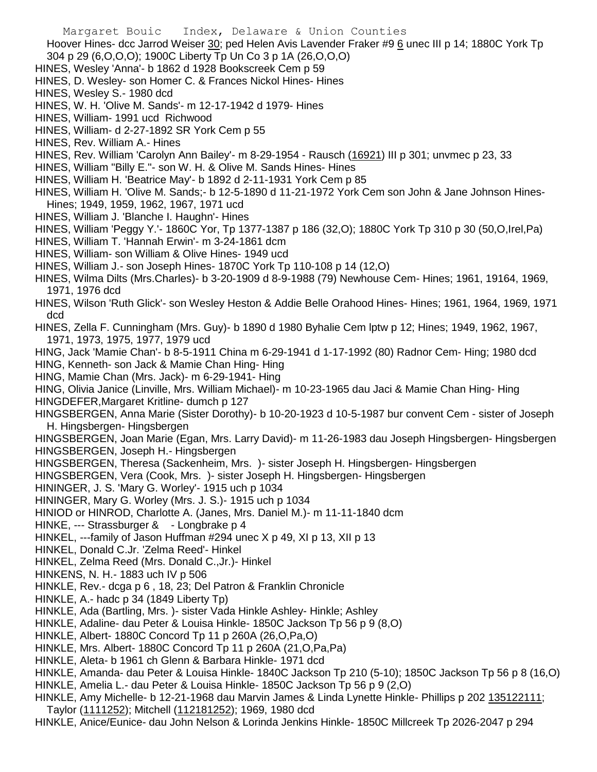Margaret Bouic Index, Delaware & Union Counties Hoover Hines- dcc Jarrod Weiser 30; ped Helen Avis Lavender Fraker #9 6 unec III p 14; 1880C York Tp 304 p 29 (6,O,O,O); 1900C Liberty Tp Un Co 3 p 1A (26,O,O,O)

- HINES, Wesley 'Anna'- b 1862 d 1928 Bookscreek Cem p 59
- HINES, D. Wesley- son Homer C. & Frances Nickol Hines- Hines
- HINES, Wesley S.- 1980 dcd
- HINES, W. H. 'Olive M. Sands'- m 12-17-1942 d 1979- Hines
- HINES, William- 1991 ucd Richwood
- HINES, William- d 2-27-1892 SR York Cem p 55
- HINES, Rev. William A.- Hines
- HINES, Rev. William 'Carolyn Ann Bailey'- m 8-29-1954 Rausch (16921) III p 301; unvmec p 23, 33
- HINES, William "Billy E."- son W. H. & Olive M. Sands Hines- Hines
- HINES, William H. 'Beatrice May'- b 1892 d 2-11-1931 York Cem p 85
- HINES, William H. 'Olive M. Sands;- b 12-5-1890 d 11-21-1972 York Cem son John & Jane Johnson Hines-Hines; 1949, 1959, 1962, 1967, 1971 ucd
- HINES, William J. 'Blanche I. Haughn'- Hines
- HINES, William 'Peggy Y.'- 1860C Yor, Tp 1377-1387 p 186 (32,O); 1880C York Tp 310 p 30 (50,O,Irel,Pa)
- HINES, William T. 'Hannah Erwin'- m 3-24-1861 dcm
- HINES, William- son William & Olive Hines- 1949 ucd
- HINES, William J.- son Joseph Hines- 1870C York Tp 110-108 p 14 (12,O)
- HINES, Wilma Dilts (Mrs.Charles)- b 3-20-1909 d 8-9-1988 (79) Newhouse Cem- Hines; 1961, 19164, 1969, 1971, 1976 dcd
- HINES, Wilson 'Ruth Glick'- son Wesley Heston & Addie Belle Orahood Hines- Hines; 1961, 1964, 1969, 1971 dcd
- HINES, Zella F. Cunningham (Mrs. Guy)- b 1890 d 1980 Byhalie Cem lptw p 12; Hines; 1949, 1962, 1967, 1971, 1973, 1975, 1977, 1979 ucd
- HING, Jack 'Mamie Chan'- b 8-5-1911 China m 6-29-1941 d 1-17-1992 (80) Radnor Cem- Hing; 1980 dcd
- HING, Kenneth- son Jack & Mamie Chan Hing- Hing
- HING, Mamie Chan (Mrs. Jack)- m 6-29-1941- Hing
- HING, Olivia Janice (Linville, Mrs. William Michael)- m 10-23-1965 dau Jaci & Mamie Chan Hing- Hing
- HINGDEFER,Margaret Kritline- dumch p 127
- HINGSBERGEN, Anna Marie (Sister Dorothy)- b 10-20-1923 d 10-5-1987 bur convent Cem sister of Joseph H. Hingsbergen- Hingsbergen
- HINGSBERGEN, Joan Marie (Egan, Mrs. Larry David)- m 11-26-1983 dau Joseph Hingsbergen- Hingsbergen HINGSBERGEN, Joseph H.- Hingsbergen
- HINGSBERGEN, Theresa (Sackenheim, Mrs. )- sister Joseph H. Hingsbergen- Hingsbergen
- HINGSBERGEN, Vera (Cook, Mrs. )- sister Joseph H. Hingsbergen- Hingsbergen
- HININGER, J. S. 'Mary G. Worley'- 1915 uch p 1034
- HININGER, Mary G. Worley (Mrs. J. S.)- 1915 uch p 1034
- HINIOD or HINROD, Charlotte A. (Janes, Mrs. Daniel M.)- m 11-11-1840 dcm
- HINKE, --- Strassburger & Longbrake p 4
- HINKEL, ---family of Jason Huffman #294 unec X p 49, XI p 13, XII p 13
- HINKEL, Donald C.Jr. 'Zelma Reed'- Hinkel
- HINKEL, Zelma Reed (Mrs. Donald C.,Jr.)- Hinkel
- HINKENS, N. H.- 1883 uch IV p 506
- HINKLE, Rev.- dcga p 6 , 18, 23; Del Patron & Franklin Chronicle
- HINKLE, A.- hadc p 34 (1849 Liberty Tp)
- HINKLE, Ada (Bartling, Mrs. )- sister Vada Hinkle Ashley- Hinkle; Ashley
- HINKLE, Adaline- dau Peter & Louisa Hinkle- 1850C Jackson Tp 56 p 9 (8,O)
- HINKLE, Albert- 1880C Concord Tp 11 p 260A (26,O,Pa,O)
- HINKLE, Mrs. Albert- 1880C Concord Tp 11 p 260A (21,O,Pa,Pa)
- HINKLE, Aleta- b 1961 ch Glenn & Barbara Hinkle- 1971 dcd
- HINKLE, Amanda- dau Peter & Louisa Hinkle- 1840C Jackson Tp 210 (5-10); 1850C Jackson Tp 56 p 8 (16,O)
- HINKLE, Amelia L.- dau Peter & Louisa Hinkle- 1850C Jackson Tp 56 p 9 (2,O)
- HINKLE, Amy Michelle- b 12-21-1968 dau Marvin James & Linda Lynette Hinkle- Phillips p 202 135122111; Taylor (1111252); Mitchell (112181252); 1969, 1980 dcd
- HINKLE, Anice/Eunice- dau John Nelson & Lorinda Jenkins Hinkle- 1850C Millcreek Tp 2026-2047 p 294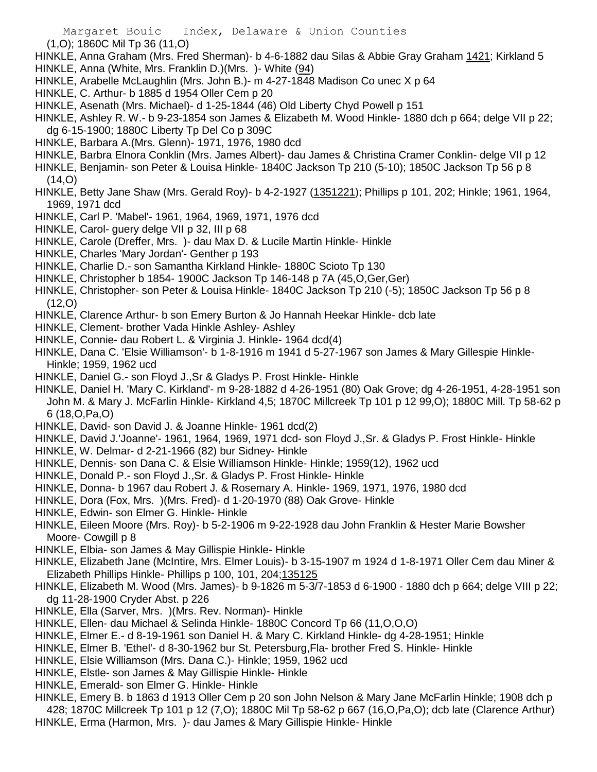- (1,O); 1860C Mil Tp 36 (11,O)
- HINKLE, Anna Graham (Mrs. Fred Sherman)- b 4-6-1882 dau Silas & Abbie Gray Graham 1421; Kirkland 5
- HINKLE, Anna (White, Mrs. Franklin D.)(Mrs. )- White (94)
- HINKLE, Arabelle McLaughlin (Mrs. John B.)- m 4-27-1848 Madison Co unec X p 64
- HINKLE, C. Arthur- b 1885 d 1954 Oller Cem p 20
- HINKLE, Asenath (Mrs. Michael)- d 1-25-1844 (46) Old Liberty Chyd Powell p 151
- HINKLE, Ashley R. W.- b 9-23-1854 son James & Elizabeth M. Wood Hinkle- 1880 dch p 664; delge VII p 22; dg 6-15-1900; 1880C Liberty Tp Del Co p 309C
- HINKLE, Barbara A.(Mrs. Glenn)- 1971, 1976, 1980 dcd
- HINKLE, Barbra Elnora Conklin (Mrs. James Albert)- dau James & Christina Cramer Conklin- delge VII p 12
- HINKLE, Benjamin- son Peter & Louisa Hinkle- 1840C Jackson Tp 210 (5-10); 1850C Jackson Tp 56 p 8  $(14,0)$
- HINKLE, Betty Jane Shaw (Mrs. Gerald Roy)- b 4-2-1927 (1351221); Phillips p 101, 202; Hinkle; 1961, 1964, 1969, 1971 dcd
- HINKLE, Carl P. 'Mabel'- 1961, 1964, 1969, 1971, 1976 dcd
- HINKLE, Carol- guery delge VII p 32, III p 68
- HINKLE, Carole (Dreffer, Mrs. )- dau Max D. & Lucile Martin Hinkle- Hinkle
- HINKLE, Charles 'Mary Jordan'- Genther p 193
- HINKLE, Charlie D.- son Samantha Kirkland Hinkle- 1880C Scioto Tp 130
- HINKLE, Christopher b 1854- 1900C Jackson Tp 146-148 p 7A (45,O,Ger,Ger)
- HINKLE, Christopher- son Peter & Louisa Hinkle- 1840C Jackson Tp 210 (-5); 1850C Jackson Tp 56 p 8 (12,O)
- HINKLE, Clarence Arthur- b son Emery Burton & Jo Hannah Heekar Hinkle- dcb late
- HINKLE, Clement- brother Vada Hinkle Ashley- Ashley
- HINKLE, Connie- dau Robert L. & Virginia J. Hinkle- 1964 dcd(4)
- HINKLE, Dana C. 'Elsie Williamson'- b 1-8-1916 m 1941 d 5-27-1967 son James & Mary Gillespie Hinkle-Hinkle; 1959, 1962 ucd
- HINKLE, Daniel G.- son Floyd J.,Sr & Gladys P. Frost Hinkle- Hinkle
- HINKLE, Daniel H. 'Mary C. Kirkland'- m 9-28-1882 d 4-26-1951 (80) Oak Grove; dg 4-26-1951, 4-28-1951 son John M. & Mary J. McFarlin Hinkle- Kirkland 4,5; 1870C Millcreek Tp 101 p 12 99,O); 1880C Mill. Tp 58-62 p 6 (18,O,Pa,O)
- HINKLE, David- son David J. & Joanne Hinkle- 1961 dcd(2)
- HINKLE, David J.'Joanne'- 1961, 1964, 1969, 1971 dcd- son Floyd J.,Sr. & Gladys P. Frost Hinkle- Hinkle
- HINKLE, W. Delmar- d 2-21-1966 (82) bur Sidney- Hinkle
- HINKLE, Dennis- son Dana C. & Elsie Williamson Hinkle- Hinkle; 1959(12), 1962 ucd
- HINKLE, Donald P.- son Floyd J.,Sr. & Gladys P. Frost Hinkle- Hinkle
- HINKLE, Donna- b 1967 dau Robert J. & Rosemary A. Hinkle- 1969, 1971, 1976, 1980 dcd
- HINKLE, Dora (Fox, Mrs. )(Mrs. Fred)- d 1-20-1970 (88) Oak Grove- Hinkle
- HINKLE, Edwin- son Elmer G. Hinkle- Hinkle
- HINKLE, Eileen Moore (Mrs. Roy)- b 5-2-1906 m 9-22-1928 dau John Franklin & Hester Marie Bowsher Moore- Cowgill p 8
- HINKLE, Elbia- son James & May Gillispie Hinkle- Hinkle
- HINKLE, Elizabeth Jane (McIntire, Mrs. Elmer Louis)- b 3-15-1907 m 1924 d 1-8-1971 Oller Cem dau Miner & Elizabeth Phillips Hinkle- Phillips p 100, 101, 204;135125
- HINKLE, Elizabeth M. Wood (Mrs. James)- b 9-1826 m 5-3/7-1853 d 6-1900 1880 dch p 664; delge VIII p 22; dg 11-28-1900 Cryder Abst. p 226
- HINKLE, Ella (Sarver, Mrs. )(Mrs. Rev. Norman)- Hinkle
- HINKLE, Ellen- dau Michael & Selinda Hinkle- 1880C Concord Tp 66 (11,O,O,O)
- HINKLE, Elmer E.- d 8-19-1961 son Daniel H. & Mary C. Kirkland Hinkle- dg 4-28-1951; Hinkle
- HINKLE, Elmer B. 'Ethel'- d 8-30-1962 bur St. Petersburg,Fla- brother Fred S. Hinkle- Hinkle
- HINKLE, Elsie Williamson (Mrs. Dana C.)- Hinkle; 1959, 1962 ucd
- HINKLE, Elstle- son James & May Gillispie Hinkle- Hinkle
- HINKLE, Emerald- son Elmer G. Hinkle- Hinkle
- HINKLE, Emery B. b 1863 d 1913 Oller Cem p 20 son John Nelson & Mary Jane McFarlin Hinkle; 1908 dch p 428; 1870C Millcreek Tp 101 p 12 (7,O); 1880C Mil Tp 58-62 p 667 (16,O,Pa,O); dcb late (Clarence Arthur) HINKLE, Erma (Harmon, Mrs. )- dau James & Mary Gillispie Hinkle- Hinkle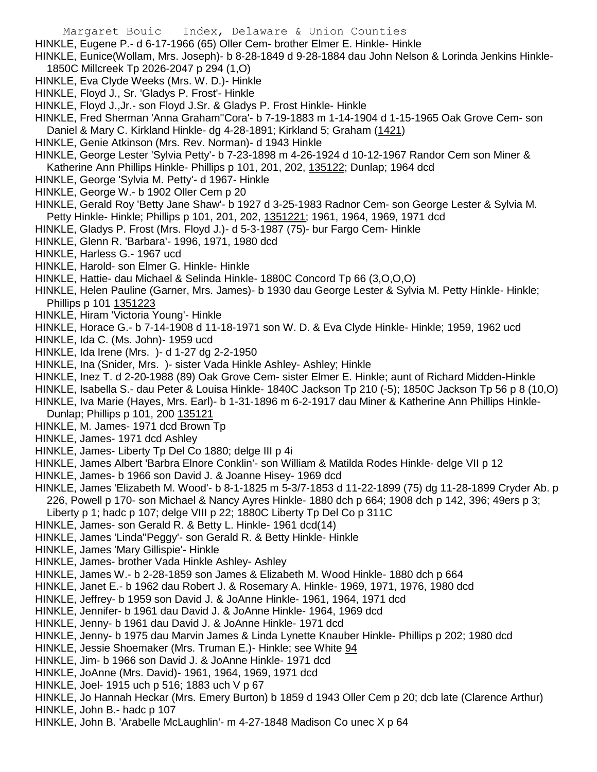- HINKLE, Eugene P.- d 6-17-1966 (65) Oller Cem- brother Elmer E. Hinkle- Hinkle
- HINKLE, Eunice(Wollam, Mrs. Joseph)- b 8-28-1849 d 9-28-1884 dau John Nelson & Lorinda Jenkins Hinkle-1850C Millcreek Tp 2026-2047 p 294 (1,O)
- HINKLE, Eva Clyde Weeks (Mrs. W. D.)- Hinkle
- HINKLE, Floyd J., Sr. 'Gladys P. Frost'- Hinkle
- HINKLE, Floyd J.,Jr.- son Floyd J.Sr. & Gladys P. Frost Hinkle- Hinkle

HINKLE, Fred Sherman 'Anna Graham''Cora'- b 7-19-1883 m 1-14-1904 d 1-15-1965 Oak Grove Cem- son Daniel & Mary C. Kirkland Hinkle- dg 4-28-1891; Kirkland 5; Graham (1421)

HINKLE, Genie Atkinson (Mrs. Rev. Norman)- d 1943 Hinkle

HINKLE, George Lester 'Sylvia Petty'- b 7-23-1898 m 4-26-1924 d 10-12-1967 Randor Cem son Miner & Katherine Ann Phillips Hinkle- Phillips p 101, 201, 202, 135122; Dunlap; 1964 dcd

- HINKLE, George 'Sylvia M. Petty'- d 1967- Hinkle
- HINKLE, George W.- b 1902 Oller Cem p 20
- HINKLE, Gerald Roy 'Betty Jane Shaw'- b 1927 d 3-25-1983 Radnor Cem- son George Lester & Sylvia M. Petty Hinkle- Hinkle; Phillips p 101, 201, 202, 1351221; 1961, 1964, 1969, 1971 dcd
- HINKLE, Gladys P. Frost (Mrs. Floyd J.)- d 5-3-1987 (75)- bur Fargo Cem- Hinkle
- HINKLE, Glenn R. 'Barbara'- 1996, 1971, 1980 dcd
- HINKLE, Harless G.- 1967 ucd
- HINKLE, Harold- son Elmer G. Hinkle- Hinkle
- HINKLE, Hattie- dau Michael & Selinda Hinkle- 1880C Concord Tp 66 (3,O,O,O)
- HINKLE, Helen Pauline (Garner, Mrs. James)- b 1930 dau George Lester & Sylvia M. Petty Hinkle- Hinkle; Phillips p 101 1351223
- HINKLE, Hiram 'Victoria Young'- Hinkle
- HINKLE, Horace G.- b 7-14-1908 d 11-18-1971 son W. D. & Eva Clyde Hinkle- Hinkle; 1959, 1962 ucd
- HINKLE, Ida C. (Ms. John)- 1959 ucd
- HINKLE, Ida Irene (Mrs. )- d 1-27 dg 2-2-1950
- HINKLE, Ina (Snider, Mrs. )- sister Vada Hinkle Ashley- Ashley; Hinkle
- HINKLE, Inez T. d 2-20-1988 (89) Oak Grove Cem- sister Elmer E. Hinkle; aunt of Richard Midden-Hinkle
- HINKLE, Isabella S.- dau Peter & Louisa Hinkle- 1840C Jackson Tp 210 (-5); 1850C Jackson Tp 56 p 8 (10,O)
- HINKLE, Iva Marie (Hayes, Mrs. Earl)- b 1-31-1896 m 6-2-1917 dau Miner & Katherine Ann Phillips Hinkle-
- Dunlap; Phillips p 101, 200 135121
- HINKLE, M. James- 1971 dcd Brown Tp
- HINKLE, James- 1971 dcd Ashley
- HINKLE, James- Liberty Tp Del Co 1880; delge III p 4i
- HINKLE, James Albert 'Barbra Elnore Conklin'- son William & Matilda Rodes Hinkle- delge VII p 12
- HINKLE, James- b 1966 son David J. & Joanne Hisey- 1969 dcd
- HINKLE, James 'Elizabeth M. Wood'- b 8-1-1825 m 5-3/7-1853 d 11-22-1899 (75) dg 11-28-1899 Cryder Ab. p 226, Powell p 170- son Michael & Nancy Ayres Hinkle- 1880 dch p 664; 1908 dch p 142, 396; 49ers p 3;
- Liberty p 1; hadc p 107; delge VIII p 22; 1880C Liberty Tp Del Co p 311C
- HINKLE, James- son Gerald R. & Betty L. Hinkle- 1961 dcd(14)
- HINKLE, James 'Linda''Peggy'- son Gerald R. & Betty Hinkle- Hinkle
- HINKLE, James 'Mary Gillispie'- Hinkle
- HINKLE, James- brother Vada Hinkle Ashley- Ashley
- HINKLE, James W.- b 2-28-1859 son James & Elizabeth M. Wood Hinkle- 1880 dch p 664
- HINKLE, Janet E.- b 1962 dau Robert J. & Rosemary A. Hinkle- 1969, 1971, 1976, 1980 dcd
- HINKLE, Jeffrey- b 1959 son David J. & JoAnne Hinkle- 1961, 1964, 1971 dcd
- HINKLE, Jennifer- b 1961 dau David J. & JoAnne Hinkle- 1964, 1969 dcd
- HINKLE, Jenny- b 1961 dau David J. & JoAnne Hinkle- 1971 dcd
- HINKLE, Jenny- b 1975 dau Marvin James & Linda Lynette Knauber Hinkle- Phillips p 202; 1980 dcd
- HINKLE, Jessie Shoemaker (Mrs. Truman E.)- Hinkle; see White 94
- HINKLE, Jim- b 1966 son David J. & JoAnne Hinkle- 1971 dcd
- HINKLE, JoAnne (Mrs. David)- 1961, 1964, 1969, 1971 dcd
- HINKLE, Joel- 1915 uch p 516; 1883 uch V p 67
- HINKLE, Jo Hannah Heckar (Mrs. Emery Burton) b 1859 d 1943 Oller Cem p 20; dcb late (Clarence Arthur) HINKLE, John B.- hadc p 107
- HINKLE, John B. 'Arabelle McLaughlin'- m 4-27-1848 Madison Co unec X p 64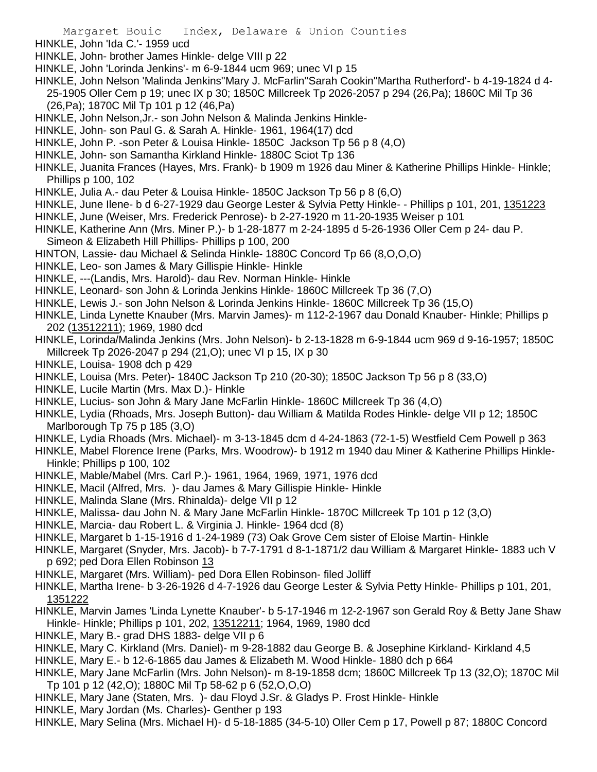- HINKLE, John 'Ida C.'- 1959 ucd
- HINKLE, John- brother James Hinkle- delge VIII p 22
- HINKLE, John 'Lorinda Jenkins'- m 6-9-1844 ucm 969; unec VI p 15
- HINKLE, John Nelson 'Malinda Jenkins''Mary J. McFarlin''Sarah Cookin''Martha Rutherford'- b 4-19-1824 d 4- 25-1905 Oller Cem p 19; unec IX p 30; 1850C Millcreek Tp 2026-2057 p 294 (26,Pa); 1860C Mil Tp 36
	- (26,Pa); 1870C Mil Tp 101 p 12 (46,Pa)
- HINKLE, John Nelson,Jr.- son John Nelson & Malinda Jenkins Hinkle-
- HINKLE, John- son Paul G. & Sarah A. Hinkle- 1961, 1964(17) dcd
- HINKLE, John P. -son Peter & Louisa Hinkle- 1850C Jackson Tp 56 p 8 (4,O)
- HINKLE, John- son Samantha Kirkland Hinkle- 1880C Sciot Tp 136
- HINKLE, Juanita Frances (Hayes, Mrs. Frank)- b 1909 m 1926 dau Miner & Katherine Phillips Hinkle- Hinkle; Phillips p 100, 102
- HINKLE, Julia A.- dau Peter & Louisa Hinkle- 1850C Jackson Tp 56 p 8 (6,O)
- HINKLE, June Ilene- b d 6-27-1929 dau George Lester & Sylvia Petty Hinkle- Phillips p 101, 201, 1351223
- HINKLE, June (Weiser, Mrs. Frederick Penrose)- b 2-27-1920 m 11-20-1935 Weiser p 101
- HINKLE, Katherine Ann (Mrs. Miner P.)- b 1-28-1877 m 2-24-1895 d 5-26-1936 Oller Cem p 24- dau P. Simeon & Elizabeth Hill Phillips- Phillips p 100, 200
- HINTON, Lassie- dau Michael & Selinda Hinkle- 1880C Concord Tp 66 (8,O,O,O)
- HINKLE, Leo- son James & Mary Gillispie Hinkle- Hinkle
- HINKLE, ---(Landis, Mrs. Harold)- dau Rev. Norman Hinkle- Hinkle
- HINKLE, Leonard- son John & Lorinda Jenkins Hinkle- 1860C Millcreek Tp 36 (7,O)
- HINKLE, Lewis J.- son John Nelson & Lorinda Jenkins Hinkle- 1860C Millcreek Tp 36 (15,O)
- HINKLE, Linda Lynette Knauber (Mrs. Marvin James)- m 112-2-1967 dau Donald Knauber- Hinkle; Phillips p 202 (13512211); 1969, 1980 dcd
- HINKLE, Lorinda/Malinda Jenkins (Mrs. John Nelson)- b 2-13-1828 m 6-9-1844 ucm 969 d 9-16-1957; 1850C Millcreek Tp 2026-2047 p 294 (21,O); unec VI p 15, IX p 30
- HINKLE, Louisa- 1908 dch p 429
- HINKLE, Louisa (Mrs. Peter)- 1840C Jackson Tp 210 (20-30); 1850C Jackson Tp 56 p 8 (33,O)
- HINKLE, Lucile Martin (Mrs. Max D.)- Hinkle
- HINKLE, Lucius- son John & Mary Jane McFarlin Hinkle- 1860C Millcreek Tp 36 (4,O)
- HINKLE, Lydia (Rhoads, Mrs. Joseph Button)- dau William & Matilda Rodes Hinkle- delge VII p 12; 1850C Marlborough Tp 75 p 185 (3,O)
- HINKLE, Lydia Rhoads (Mrs. Michael)- m 3-13-1845 dcm d 4-24-1863 (72-1-5) Westfield Cem Powell p 363
- HINKLE, Mabel Florence Irene (Parks, Mrs. Woodrow)- b 1912 m 1940 dau Miner & Katherine Phillips Hinkle-Hinkle; Phillips p 100, 102
- HINKLE, Mable/Mabel (Mrs. Carl P.)- 1961, 1964, 1969, 1971, 1976 dcd
- HINKLE, Macil (Alfred, Mrs. )- dau James & Mary Gillispie Hinkle- Hinkle
- HINKLE, Malinda Slane (Mrs. Rhinalda)- delge VII p 12
- HINKLE, Malissa- dau John N. & Mary Jane McFarlin Hinkle- 1870C Millcreek Tp 101 p 12 (3,O)
- HINKLE, Marcia- dau Robert L. & Virginia J. Hinkle- 1964 dcd (8)
- HINKLE, Margaret b 1-15-1916 d 1-24-1989 (73) Oak Grove Cem sister of Eloise Martin- Hinkle
- HINKLE, Margaret (Snyder, Mrs. Jacob)- b 7-7-1791 d 8-1-1871/2 dau William & Margaret Hinkle- 1883 uch V p 692; ped Dora Ellen Robinson 13
- HINKLE, Margaret (Mrs. William)- ped Dora Ellen Robinson- filed Jolliff
- HINKLE, Martha Irene- b 3-26-1926 d 4-7-1926 dau George Lester & Sylvia Petty Hinkle- Phillips p 101, 201, 1351222
- HINKLE, Marvin James 'Linda Lynette Knauber'- b 5-17-1946 m 12-2-1967 son Gerald Roy & Betty Jane Shaw Hinkle- Hinkle; Phillips p 101, 202, 13512211; 1964, 1969, 1980 dcd
- HINKLE, Mary B.- grad DHS 1883- delge VII p 6
- HINKLE, Mary C. Kirkland (Mrs. Daniel)- m 9-28-1882 dau George B. & Josephine Kirkland- Kirkland 4,5
- HINKLE, Mary E.- b 12-6-1865 dau James & Elizabeth M. Wood Hinkle- 1880 dch p 664
- HINKLE, Mary Jane McFarlin (Mrs. John Nelson)- m 8-19-1858 dcm; 1860C Millcreek Tp 13 (32,O); 1870C Mil Tp 101 p 12 (42,O); 1880C Mil Tp 58-62 p 6 (52,O,O,O)
- HINKLE, Mary Jane (Staten, Mrs. )- dau Floyd J.Sr. & Gladys P. Frost Hinkle- Hinkle
- HINKLE, Mary Jordan (Ms. Charles)- Genther p 193
- HINKLE, Mary Selina (Mrs. Michael H)- d 5-18-1885 (34-5-10) Oller Cem p 17, Powell p 87; 1880C Concord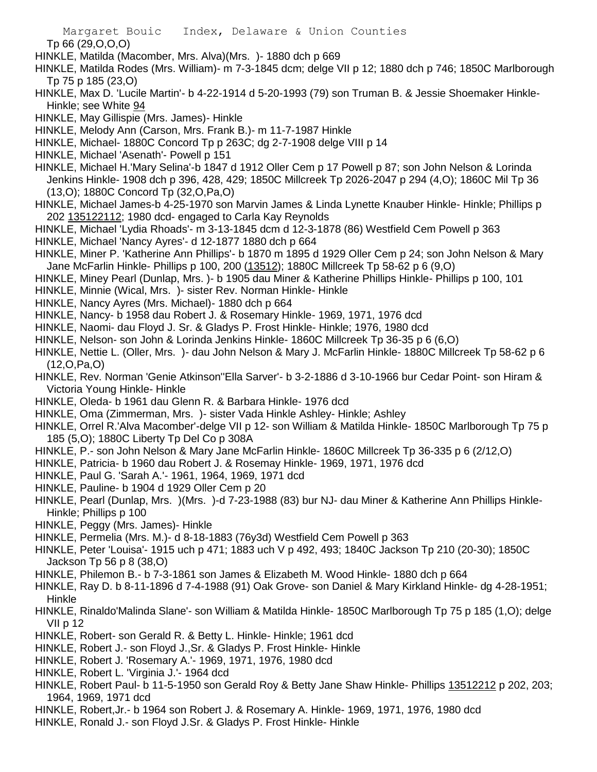Tp 66 (29,O,O,O)

- HINKLE, Matilda (Macomber, Mrs. Alva)(Mrs. )- 1880 dch p 669
- HINKLE, Matilda Rodes (Mrs. William)- m 7-3-1845 dcm; delge VII p 12; 1880 dch p 746; 1850C Marlborough Tp 75 p 185 (23,O)
- HINKLE, Max D. 'Lucile Martin'- b 4-22-1914 d 5-20-1993 (79) son Truman B. & Jessie Shoemaker Hinkle-Hinkle; see White 94
- HINKLE, May Gillispie (Mrs. James)- Hinkle
- HINKLE, Melody Ann (Carson, Mrs. Frank B.)- m 11-7-1987 Hinkle
- HINKLE, Michael- 1880C Concord Tp p 263C; dg 2-7-1908 delge VIII p 14
- HINKLE, Michael 'Asenath'- Powell p 151
- HINKLE, Michael H.'Mary Selina'-b 1847 d 1912 Oller Cem p 17 Powell p 87; son John Nelson & Lorinda Jenkins Hinkle- 1908 dch p 396, 428, 429; 1850C Millcreek Tp 2026-2047 p 294 (4,O); 1860C Mil Tp 36 (13,O); 1880C Concord Tp (32,O,Pa,O)
- HINKLE, Michael James-b 4-25-1970 son Marvin James & Linda Lynette Knauber Hinkle- Hinkle; Phillips p 202 135122112; 1980 dcd- engaged to Carla Kay Reynolds
- HINKLE, Michael 'Lydia Rhoads'- m 3-13-1845 dcm d 12-3-1878 (86) Westfield Cem Powell p 363
- HINKLE, Michael 'Nancy Ayres'- d 12-1877 1880 dch p 664
- HINKLE, Miner P. 'Katherine Ann Phillips'- b 1870 m 1895 d 1929 Oller Cem p 24; son John Nelson & Mary Jane McFarlin Hinkle- Phillips p 100, 200 (13512); 1880C Millcreek Tp 58-62 p 6 (9,O)
- HINKLE, Miney Pearl (Dunlap, Mrs. )- b 1905 dau Miner & Katherine Phillips Hinkle- Phillips p 100, 101
- HINKLE, Minnie (Wical, Mrs. )- sister Rev. Norman Hinkle- Hinkle
- HINKLE, Nancy Ayres (Mrs. Michael)- 1880 dch p 664
- HINKLE, Nancy- b 1958 dau Robert J. & Rosemary Hinkle- 1969, 1971, 1976 dcd
- HINKLE, Naomi- dau Floyd J. Sr. & Gladys P. Frost Hinkle- Hinkle; 1976, 1980 dcd
- HINKLE, Nelson- son John & Lorinda Jenkins Hinkle- 1860C Millcreek Tp 36-35 p 6 (6,O)
- HINKLE, Nettie L. (Oller, Mrs. )- dau John Nelson & Mary J. McFarlin Hinkle- 1880C Millcreek Tp 58-62 p 6 (12,O,Pa,O)
- HINKLE, Rev. Norman 'Genie Atkinson''Ella Sarver'- b 3-2-1886 d 3-10-1966 bur Cedar Point- son Hiram & Victoria Young Hinkle- Hinkle
- HINKLE, Oleda- b 1961 dau Glenn R. & Barbara Hinkle- 1976 dcd
- HINKLE, Oma (Zimmerman, Mrs. )- sister Vada Hinkle Ashley- Hinkle; Ashley
- HINKLE, Orrel R.'Alva Macomber'-delge VII p 12- son William & Matilda Hinkle- 1850C Marlborough Tp 75 p 185 (5,O); 1880C Liberty Tp Del Co p 308A
- HINKLE, P.- son John Nelson & Mary Jane McFarlin Hinkle- 1860C Millcreek Tp 36-335 p 6 (2/12,O)
- HINKLE, Patricia- b 1960 dau Robert J. & Rosemay Hinkle- 1969, 1971, 1976 dcd
- HINKLE, Paul G. 'Sarah A.'- 1961, 1964, 1969, 1971 dcd
- HINKLE, Pauline- b 1904 d 1929 Oller Cem p 20
- HINKLE, Pearl (Dunlap, Mrs. )(Mrs. )-d 7-23-1988 (83) bur NJ- dau Miner & Katherine Ann Phillips Hinkle-Hinkle; Phillips p 100
- HINKLE, Peggy (Mrs. James)- Hinkle
- HINKLE, Permelia (Mrs. M.)- d 8-18-1883 (76y3d) Westfield Cem Powell p 363
- HINKLE, Peter 'Louisa'- 1915 uch p 471; 1883 uch V p 492, 493; 1840C Jackson Tp 210 (20-30); 1850C Jackson Tp 56 p 8 (38,O)
- HINKLE, Philemon B.- b 7-3-1861 son James & Elizabeth M. Wood Hinkle- 1880 dch p 664
- HINKLE, Ray D. b 8-11-1896 d 7-4-1988 (91) Oak Grove- son Daniel & Mary Kirkland Hinkle- dg 4-28-1951; Hinkle
- HINKLE, Rinaldo'Malinda Slane'- son William & Matilda Hinkle- 1850C Marlborough Tp 75 p 185 (1,O); delge VII p 12
- HINKLE, Robert- son Gerald R. & Betty L. Hinkle- Hinkle; 1961 dcd
- HINKLE, Robert J.- son Floyd J.,Sr. & Gladys P. Frost Hinkle- Hinkle
- HINKLE, Robert J. 'Rosemary A.'- 1969, 1971, 1976, 1980 dcd
- HINKLE, Robert L. 'Virginia J.'- 1964 dcd
- HINKLE, Robert Paul- b 11-5-1950 son Gerald Roy & Betty Jane Shaw Hinkle- Phillips 13512212 p 202, 203; 1964, 1969, 1971 dcd
- HINKLE, Robert,Jr.- b 1964 son Robert J. & Rosemary A. Hinkle- 1969, 1971, 1976, 1980 dcd
- HINKLE, Ronald J.- son Floyd J.Sr. & Gladys P. Frost Hinkle- Hinkle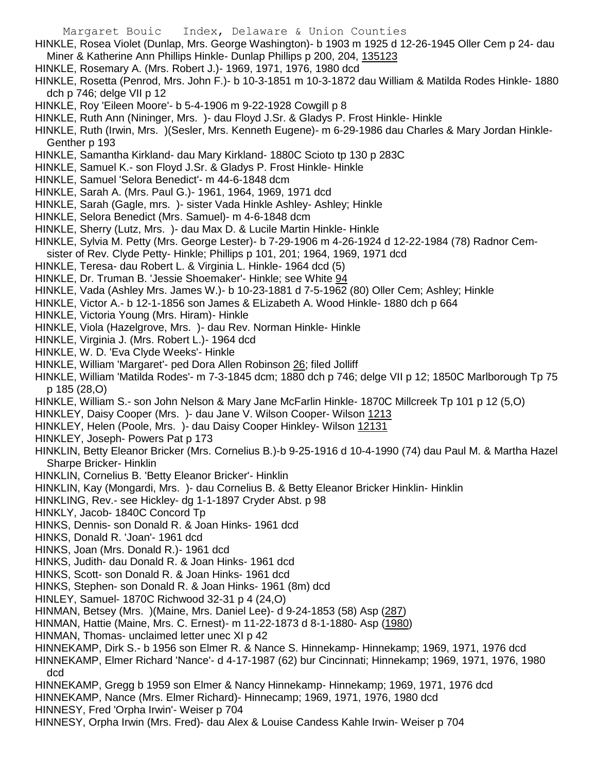- HINKLE, Rosea Violet (Dunlap, Mrs. George Washington)- b 1903 m 1925 d 12-26-1945 Oller Cem p 24- dau Miner & Katherine Ann Phillips Hinkle- Dunlap Phillips p 200, 204, 135123
- HINKLE, Rosemary A. (Mrs. Robert J.)- 1969, 1971, 1976, 1980 dcd
- HINKLE, Rosetta (Penrod, Mrs. John F.)- b 10-3-1851 m 10-3-1872 dau William & Matilda Rodes Hinkle- 1880 dch p 746; delge VII p 12
- HINKLE, Roy 'Eileen Moore'- b 5-4-1906 m 9-22-1928 Cowgill p 8
- HINKLE, Ruth Ann (Nininger, Mrs. )- dau Floyd J.Sr. & Gladys P. Frost Hinkle- Hinkle
- HINKLE, Ruth (Irwin, Mrs. )(Sesler, Mrs. Kenneth Eugene)- m 6-29-1986 dau Charles & Mary Jordan Hinkle-Genther p 193
- HINKLE, Samantha Kirkland- dau Mary Kirkland- 1880C Scioto tp 130 p 283C
- HINKLE, Samuel K.- son Floyd J.Sr. & Gladys P. Frost Hinkle- Hinkle
- HINKLE, Samuel 'Selora Benedict'- m 44-6-1848 dcm
- HINKLE, Sarah A. (Mrs. Paul G.)- 1961, 1964, 1969, 1971 dcd
- HINKLE, Sarah (Gagle, mrs. )- sister Vada Hinkle Ashley- Ashley; Hinkle
- HINKLE, Selora Benedict (Mrs. Samuel)- m 4-6-1848 dcm
- HINKLE, Sherry (Lutz, Mrs. )- dau Max D. & Lucile Martin Hinkle- Hinkle
- HINKLE, Sylvia M. Petty (Mrs. George Lester)- b 7-29-1906 m 4-26-1924 d 12-22-1984 (78) Radnor Cemsister of Rev. Clyde Petty- Hinkle; Phillips p 101, 201; 1964, 1969, 1971 dcd
- HINKLE, Teresa- dau Robert L. & Virginia L. Hinkle- 1964 dcd (5)
- HINKLE, Dr. Truman B. 'Jessie Shoemaker'- Hinkle; see White 94
- HINKLE, Vada (Ashley Mrs. James W.)- b 10-23-1881 d 7-5-1962 (80) Oller Cem; Ashley; Hinkle
- HINKLE, Victor A.- b 12-1-1856 son James & ELizabeth A. Wood Hinkle- 1880 dch p 664
- HINKLE, Victoria Young (Mrs. Hiram)- Hinkle
- HINKLE, Viola (Hazelgrove, Mrs. )- dau Rev. Norman Hinkle- Hinkle
- HINKLE, Virginia J. (Mrs. Robert L.)- 1964 dcd
- HINKLE, W. D. 'Eva Clyde Weeks'- Hinkle
- HINKLE, William 'Margaret'- ped Dora Allen Robinson 26; filed Jolliff
- HINKLE, William 'Matilda Rodes'- m 7-3-1845 dcm; 1880 dch p 746; delge VII p 12; 1850C Marlborough Tp 75 p 185 (28,O)
- HINKLE, William S.- son John Nelson & Mary Jane McFarlin Hinkle- 1870C Millcreek Tp 101 p 12 (5,O)
- HINKLEY, Daisy Cooper (Mrs. )- dau Jane V. Wilson Cooper- Wilson 1213
- HINKLEY, Helen (Poole, Mrs. )- dau Daisy Cooper Hinkley- Wilson 12131
- HINKLEY, Joseph- Powers Pat p 173
- HINKLIN, Betty Eleanor Bricker (Mrs. Cornelius B.)-b 9-25-1916 d 10-4-1990 (74) dau Paul M. & Martha Hazel Sharpe Bricker- Hinklin
- HINKLIN, Cornelius B. 'Betty Eleanor Bricker'- Hinklin
- HINKLIN, Kay (Mongardi, Mrs. )- dau Cornelius B. & Betty Eleanor Bricker Hinklin- Hinklin
- HINKLING, Rev.- see Hickley- dg 1-1-1897 Cryder Abst. p 98
- HINKLY, Jacob- 1840C Concord Tp
- HINKS, Dennis- son Donald R. & Joan Hinks- 1961 dcd
- HINKS, Donald R. 'Joan'- 1961 dcd
- HINKS, Joan (Mrs. Donald R.)- 1961 dcd
- HINKS, Judith- dau Donald R. & Joan Hinks- 1961 dcd
- HINKS, Scott- son Donald R. & Joan Hinks- 1961 dcd
- HINKS, Stephen- son Donald R. & Joan Hinks- 1961 (8m) dcd
- HINLEY, Samuel- 1870C Richwood 32-31 p 4 (24,O)
- HINMAN, Betsey (Mrs. )(Maine, Mrs. Daniel Lee)- d 9-24-1853 (58) Asp (287)
- HINMAN, Hattie (Maine, Mrs. C. Ernest)- m 11-22-1873 d 8-1-1880- Asp (1980)
- HINMAN, Thomas- unclaimed letter unec XI p 42
- HINNEKAMP, Dirk S.- b 1956 son Elmer R. & Nance S. Hinnekamp- Hinnekamp; 1969, 1971, 1976 dcd
- HINNEKAMP, Elmer Richard 'Nance'- d 4-17-1987 (62) bur Cincinnati; Hinnekamp; 1969, 1971, 1976, 1980 dcd
- HINNEKAMP, Gregg b 1959 son Elmer & Nancy Hinnekamp- Hinnekamp; 1969, 1971, 1976 dcd
- HINNEKAMP, Nance (Mrs. Elmer Richard)- Hinnecamp; 1969, 1971, 1976, 1980 dcd
- HINNESY, Fred 'Orpha Irwin'- Weiser p 704
- HINNESY, Orpha Irwin (Mrs. Fred)- dau Alex & Louise Candess Kahle Irwin- Weiser p 704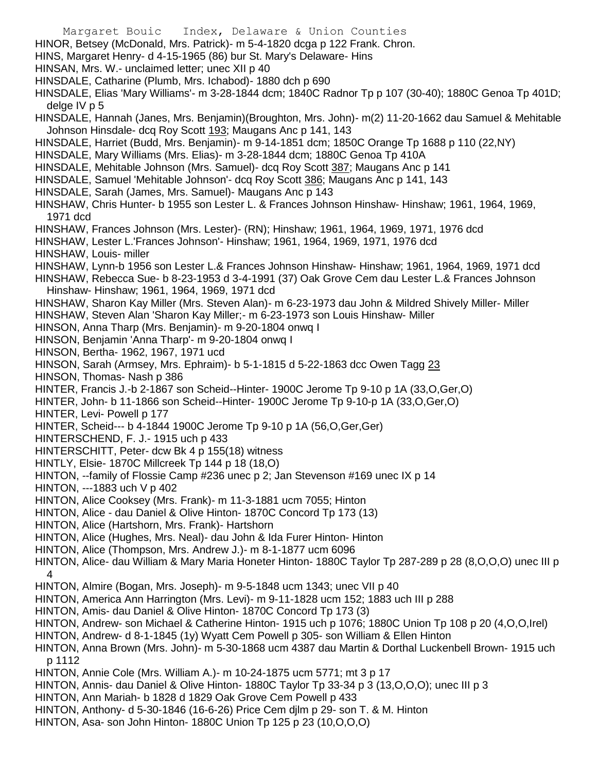- Margaret Bouic Index, Delaware & Union Counties HINOR, Betsey (McDonald, Mrs. Patrick)- m 5-4-1820 dcga p 122 Frank. Chron. HINS, Margaret Henry- d 4-15-1965 (86) bur St. Mary's Delaware- Hins HINSAN, Mrs. W.- unclaimed letter; unec XII p 40 HINSDALE, Catharine (Plumb, Mrs. Ichabod)- 1880 dch p 690 HINSDALE, Elias 'Mary Williams'- m 3-28-1844 dcm; 1840C Radnor Tp p 107 (30-40); 1880C Genoa Tp 401D; delge IV p 5 HINSDALE, Hannah (Janes, Mrs. Benjamin)(Broughton, Mrs. John)- m(2) 11-20-1662 dau Samuel & Mehitable Johnson Hinsdale- dcq Roy Scott 193; Maugans Anc p 141, 143 HINSDALE, Harriet (Budd, Mrs. Benjamin)- m 9-14-1851 dcm; 1850C Orange Tp 1688 p 110 (22,NY) HINSDALE, Mary Williams (Mrs. Elias)- m 3-28-1844 dcm; 1880C Genoa Tp 410A HINSDALE, Mehitable Johnson (Mrs. Samuel)- dcq Roy Scott 387; Maugans Anc p 141 HINSDALE, Samuel 'Mehitable Johnson'- dcq Roy Scott 386; Maugans Anc p 141, 143 HINSDALE, Sarah (James, Mrs. Samuel)- Maugans Anc p 143 HINSHAW, Chris Hunter- b 1955 son Lester L. & Frances Johnson Hinshaw- Hinshaw; 1961, 1964, 1969, 1971 dcd HINSHAW, Frances Johnson (Mrs. Lester)- (RN); Hinshaw; 1961, 1964, 1969, 1971, 1976 dcd HINSHAW, Lester L.'Frances Johnson'- Hinshaw; 1961, 1964, 1969, 1971, 1976 dcd HINSHAW, Louis- miller HINSHAW, Lynn-b 1956 son Lester L.& Frances Johnson Hinshaw- Hinshaw; 1961, 1964, 1969, 1971 dcd HINSHAW, Rebecca Sue- b 8-23-1953 d 3-4-1991 (37) Oak Grove Cem dau Lester L.& Frances Johnson Hinshaw- Hinshaw; 1961, 1964, 1969, 1971 dcd HINSHAW, Sharon Kay Miller (Mrs. Steven Alan)- m 6-23-1973 dau John & Mildred Shively Miller- Miller HINSHAW, Steven Alan 'Sharon Kay Miller;- m 6-23-1973 son Louis Hinshaw- Miller HINSON, Anna Tharp (Mrs. Benjamin)- m 9-20-1804 onwq I HINSON, Benjamin 'Anna Tharp'- m 9-20-1804 onwq I HINSON, Bertha- 1962, 1967, 1971 ucd HINSON, Sarah (Armsey, Mrs. Ephraim)- b 5-1-1815 d 5-22-1863 dcc Owen Tagg 23 HINSON, Thomas- Nash p 386 HINTER, Francis J.-b 2-1867 son Scheid--Hinter- 1900C Jerome Tp 9-10 p 1A (33,O,Ger,O) HINTER, John- b 11-1866 son Scheid--Hinter- 1900C Jerome Tp 9-10-p 1A (33,O,Ger,O) HINTER, Levi- Powell p 177 HINTER, Scheid--- b 4-1844 1900C Jerome Tp 9-10 p 1A (56,O,Ger,Ger) HINTERSCHEND, F. J.- 1915 uch p 433 HINTERSCHITT, Peter- dcw Bk 4 p 155(18) witness HINTLY, Elsie- 1870C Millcreek Tp 144 p 18 (18,O) HINTON, --family of Flossie Camp #236 unec p 2; Jan Stevenson #169 unec IX p 14 HINTON, ---1883 uch V p 402 HINTON, Alice Cooksey (Mrs. Frank)- m 11-3-1881 ucm 7055; Hinton HINTON, Alice - dau Daniel & Olive Hinton- 1870C Concord Tp 173 (13) HINTON, Alice (Hartshorn, Mrs. Frank)- Hartshorn HINTON, Alice (Hughes, Mrs. Neal)- dau John & Ida Furer Hinton- Hinton HINTON, Alice (Thompson, Mrs. Andrew J.)- m 8-1-1877 ucm 6096 HINTON, Alice- dau William & Mary Maria Honeter Hinton- 1880C Taylor Tp 287-289 p 28 (8,O,O,O) unec III p 4 HINTON, Almire (Bogan, Mrs. Joseph)- m 9-5-1848 ucm 1343; unec VII p 40 HINTON, America Ann Harrington (Mrs. Levi)- m 9-11-1828 ucm 152; 1883 uch III p 288 HINTON, Amis- dau Daniel & Olive Hinton- 1870C Concord Tp 173 (3) HINTON, Andrew- son Michael & Catherine Hinton- 1915 uch p 1076; 1880C Union Tp 108 p 20 (4,O,O,Irel) HINTON, Andrew- d 8-1-1845 (1y) Wyatt Cem Powell p 305- son William & Ellen Hinton HINTON, Anna Brown (Mrs. John)- m 5-30-1868 ucm 4387 dau Martin & Dorthal Luckenbell Brown- 1915 uch p 1112 HINTON, Annie Cole (Mrs. William A.)- m 10-24-1875 ucm 5771; mt 3 p 17 HINTON, Annis- dau Daniel & Olive Hinton- 1880C Taylor Tp 33-34 p 3 (13,O,O,O); unec III p 3 HINTON, Ann Mariah- b 1828 d 1829 Oak Grove Cem Powell p 433
	- HINTON, Anthony- d 5-30-1846 (16-6-26) Price Cem djlm p 29- son T. & M. Hinton
	- HINTON, Asa- son John Hinton- 1880C Union Tp 125 p 23 (10,O,O,O)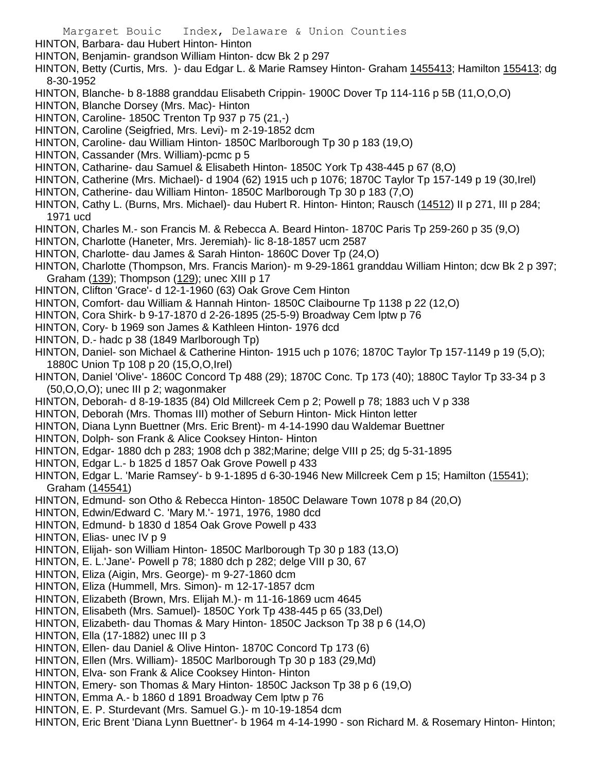HINTON, Barbara- dau Hubert Hinton- Hinton

- HINTON, Benjamin- grandson William Hinton- dcw Bk 2 p 297
- HINTON, Betty (Curtis, Mrs.) dau Edgar L. & Marie Ramsey Hinton- Graham 1455413; Hamilton 155413; dg 8-30-1952
- HINTON, Blanche- b 8-1888 granddau Elisabeth Crippin- 1900C Dover Tp 114-116 p 5B (11,O,O,O)
- HINTON, Blanche Dorsey (Mrs. Mac)- Hinton
- HINTON, Caroline- 1850C Trenton Tp 937 p 75 (21,-)
- HINTON, Caroline (Seigfried, Mrs. Levi)- m 2-19-1852 dcm
- HINTON, Caroline- dau William Hinton- 1850C Marlborough Tp 30 p 183 (19,O)
- HINTON, Cassander (Mrs. William)-pcmc p 5
- HINTON, Catharine- dau Samuel & Elisabeth Hinton- 1850C York Tp 438-445 p 67 (8,O)
- HINTON, Catherine (Mrs. Michael)- d 1904 (62) 1915 uch p 1076; 1870C Taylor Tp 157-149 p 19 (30,Irel)
- HINTON, Catherine- dau William Hinton- 1850C Marlborough Tp 30 p 183 (7,O)
- HINTON, Cathy L. (Burns, Mrs. Michael)- dau Hubert R. Hinton- Hinton; Rausch (14512) II p 271, III p 284; 1971 ucd
- HINTON, Charles M.- son Francis M. & Rebecca A. Beard Hinton- 1870C Paris Tp 259-260 p 35 (9,O)
- HINTON, Charlotte (Haneter, Mrs. Jeremiah)- lic 8-18-1857 ucm 2587
- HINTON, Charlotte- dau James & Sarah Hinton- 1860C Dover Tp (24,O)
- HINTON, Charlotte (Thompson, Mrs. Francis Marion)- m 9-29-1861 granddau William Hinton; dcw Bk 2 p 397; Graham (139); Thompson (129); unec XIII p 17
- HINTON, Clifton 'Grace'- d 12-1-1960 (63) Oak Grove Cem Hinton
- HINTON, Comfort- dau William & Hannah Hinton- 1850C Claibourne Tp 1138 p 22 (12,O)
- HINTON, Cora Shirk- b 9-17-1870 d 2-26-1895 (25-5-9) Broadway Cem lptw p 76
- HINTON, Cory- b 1969 son James & Kathleen Hinton- 1976 dcd
- HINTON, D.- hadc p 38 (1849 Marlborough Tp)
- HINTON, Daniel- son Michael & Catherine Hinton- 1915 uch p 1076; 1870C Taylor Tp 157-1149 p 19 (5,O); 1880C Union Tp 108 p 20 (15,O,O,Irel)
- HINTON, Daniel 'Olive'- 1860C Concord Tp 488 (29); 1870C Conc. Tp 173 (40); 1880C Taylor Tp 33-34 p 3 (50,O,O,O); unec III p 2; wagonmaker
- HINTON, Deborah- d 8-19-1835 (84) Old Millcreek Cem p 2; Powell p 78; 1883 uch V p 338
- HINTON, Deborah (Mrs. Thomas III) mother of Seburn Hinton- Mick Hinton letter
- HINTON, Diana Lynn Buettner (Mrs. Eric Brent)- m 4-14-1990 dau Waldemar Buettner
- HINTON, Dolph- son Frank & Alice Cooksey Hinton- Hinton
- HINTON, Edgar- 1880 dch p 283; 1908 dch p 382;Marine; delge VIII p 25; dg 5-31-1895
- HINTON, Edgar L.- b 1825 d 1857 Oak Grove Powell p 433
- HINTON, Edgar L. 'Marie Ramsey'- b 9-1-1895 d 6-30-1946 New Millcreek Cem p 15; Hamilton (15541); Graham (145541)
- HINTON, Edmund- son Otho & Rebecca Hinton- 1850C Delaware Town 1078 p 84 (20,O)
- HINTON, Edwin/Edward C. 'Mary M.'- 1971, 1976, 1980 dcd
- HINTON, Edmund- b 1830 d 1854 Oak Grove Powell p 433
- HINTON, Elias- unec IV p 9
- HINTON, Elijah- son William Hinton- 1850C Marlborough Tp 30 p 183 (13,O)
- HINTON, E. L.'Jane'- Powell p 78; 1880 dch p 282; delge VIII p 30, 67
- HINTON, Eliza (Aigin, Mrs. George)- m 9-27-1860 dcm
- HINTON, Eliza (Hummell, Mrs. Simon)- m 12-17-1857 dcm
- HINTON, Elizabeth (Brown, Mrs. Elijah M.)- m 11-16-1869 ucm 4645
- HINTON, Elisabeth (Mrs. Samuel)- 1850C York Tp 438-445 p 65 (33,Del)
- HINTON, Elizabeth- dau Thomas & Mary Hinton- 1850C Jackson Tp 38 p 6 (14,O)
- HINTON, Ella (17-1882) unec III p 3
- HINTON, Ellen- dau Daniel & Olive Hinton- 1870C Concord Tp 173 (6)
- HINTON, Ellen (Mrs. William)- 1850C Marlborough Tp 30 p 183 (29,Md)
- HINTON, Elva- son Frank & Alice Cooksey Hinton- Hinton
- HINTON, Emery- son Thomas & Mary Hinton- 1850C Jackson Tp 38 p 6 (19,O)
- HINTON, Emma A.- b 1860 d 1891 Broadway Cem lptw p 76
- HINTON, E. P. Sturdevant (Mrs. Samuel G.)- m 10-19-1854 dcm
- HINTON, Eric Brent 'Diana Lynn Buettner'- b 1964 m 4-14-1990 son Richard M. & Rosemary Hinton- Hinton;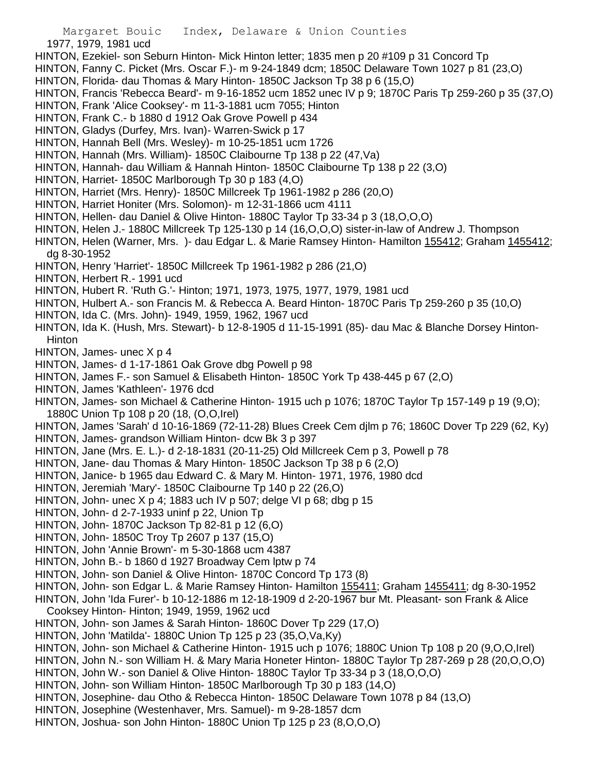1977, 1979, 1981 ucd

- HINTON, Ezekiel- son Seburn Hinton- Mick Hinton letter; 1835 men p 20 #109 p 31 Concord Tp
- HINTON, Fanny C. Picket (Mrs. Oscar F.)- m 9-24-1849 dcm; 1850C Delaware Town 1027 p 81 (23,O)
- HINTON, Florida- dau Thomas & Mary Hinton- 1850C Jackson Tp 38 p 6 (15,O)
- HINTON, Francis 'Rebecca Beard'- m 9-16-1852 ucm 1852 unec IV p 9; 1870C Paris Tp 259-260 p 35 (37,O)
- HINTON, Frank 'Alice Cooksey'- m 11-3-1881 ucm 7055; Hinton
- HINTON, Frank C.- b 1880 d 1912 Oak Grove Powell p 434
- HINTON, Gladys (Durfey, Mrs. Ivan)- Warren-Swick p 17
- HINTON, Hannah Bell (Mrs. Wesley)- m 10-25-1851 ucm 1726
- HINTON, Hannah (Mrs. William)- 1850C Claibourne Tp 138 p 22 (47,Va)
- HINTON, Hannah- dau William & Hannah Hinton- 1850C Claibourne Tp 138 p 22 (3,O)
- HINTON, Harriet- 1850C Marlborough Tp 30 p 183 (4,O)
- HINTON, Harriet (Mrs. Henry)- 1850C Millcreek Tp 1961-1982 p 286 (20,O)
- HINTON, Harriet Honiter (Mrs. Solomon)- m 12-31-1866 ucm 4111
- HINTON, Hellen- dau Daniel & Olive Hinton- 1880C Taylor Tp 33-34 p 3 (18,O,O,O)
- HINTON, Helen J.- 1880C Millcreek Tp 125-130 p 14 (16,O,O,O) sister-in-law of Andrew J. Thompson
- HINTON, Helen (Warner, Mrs. )- dau Edgar L. & Marie Ramsey Hinton- Hamilton 155412; Graham 1455412; dg 8-30-1952
- HINTON, Henry 'Harriet'- 1850C Millcreek Tp 1961-1982 p 286 (21,O)
- HINTON, Herbert R.- 1991 ucd
- HINTON, Hubert R. 'Ruth G.'- Hinton; 1971, 1973, 1975, 1977, 1979, 1981 ucd
- HINTON, Hulbert A.- son Francis M. & Rebecca A. Beard Hinton- 1870C Paris Tp 259-260 p 35 (10,O)
- HINTON, Ida C. (Mrs. John)- 1949, 1959, 1962, 1967 ucd
- HINTON, Ida K. (Hush, Mrs. Stewart)- b 12-8-1905 d 11-15-1991 (85)- dau Mac & Blanche Dorsey Hinton-**Hinton**
- HINTON, James- unec X p 4
- HINTON, James- d 1-17-1861 Oak Grove dbg Powell p 98
- HINTON, James F.- son Samuel & Elisabeth Hinton- 1850C York Tp 438-445 p 67 (2,O)
- HINTON, James 'Kathleen'- 1976 dcd
- HINTON, James- son Michael & Catherine Hinton- 1915 uch p 1076; 1870C Taylor Tp 157-149 p 19 (9,O); 1880C Union Tp 108 p 20 (18, (O,O,Irel)
- HINTON, James 'Sarah' d 10-16-1869 (72-11-28) Blues Creek Cem djlm p 76; 1860C Dover Tp 229 (62, Ky)
- HINTON, James- grandson William Hinton- dcw Bk 3 p 397
- HINTON, Jane (Mrs. E. L.)- d 2-18-1831 (20-11-25) Old Millcreek Cem p 3, Powell p 78
- HINTON, Jane- dau Thomas & Mary Hinton- 1850C Jackson Tp 38 p 6 (2,O)
- HINTON, Janice- b 1965 dau Edward C. & Mary M. Hinton- 1971, 1976, 1980 dcd
- HINTON, Jeremiah 'Mary'- 1850C Claibourne Tp 140 p 22 (26,O)
- HINTON, John- unec X p 4; 1883 uch IV p 507; delge VI p 68; dbg p 15
- HINTON, John- d 2-7-1933 uninf p 22, Union Tp
- HINTON, John- 1870C Jackson Tp 82-81 p 12 (6,O)
- HINTON, John- 1850C Troy Tp 2607 p 137 (15,O)
- HINTON, John 'Annie Brown'- m 5-30-1868 ucm 4387
- HINTON, John B.- b 1860 d 1927 Broadway Cem lptw p 74
- HINTON, John- son Daniel & Olive Hinton- 1870C Concord Tp 173 (8)
- HINTON, John- son Edgar L. & Marie Ramsey Hinton- Hamilton 155411; Graham 1455411; dg 8-30-1952
- HINTON, John 'Ida Furer'- b 10-12-1886 m 12-18-1909 d 2-20-1967 bur Mt. Pleasant- son Frank & Alice Cooksey Hinton- Hinton; 1949, 1959, 1962 ucd
- HINTON, John- son James & Sarah Hinton- 1860C Dover Tp 229 (17,O)
- HINTON, John 'Matilda'- 1880C Union Tp 125 p 23 (35,O,Va,Ky)
- HINTON, John- son Michael & Catherine Hinton- 1915 uch p 1076; 1880C Union Tp 108 p 20 (9,O,O,Irel)
- HINTON, John N.- son William H. & Mary Maria Honeter Hinton- 1880C Taylor Tp 287-269 p 28 (20,O,O,O)
- HINTON, John W.- son Daniel & Olive Hinton- 1880C Taylor Tp 33-34 p 3 (18,O,O,O)
- HINTON, John- son William Hinton- 1850C Marlborough Tp 30 p 183 (14,O)
- HINTON, Josephine- dau Otho & Rebecca Hinton- 1850C Delaware Town 1078 p 84 (13,O)
- HINTON, Josephine (Westenhaver, Mrs. Samuel)- m 9-28-1857 dcm
- HINTON, Joshua- son John Hinton- 1880C Union Tp 125 p 23 (8,O,O,O)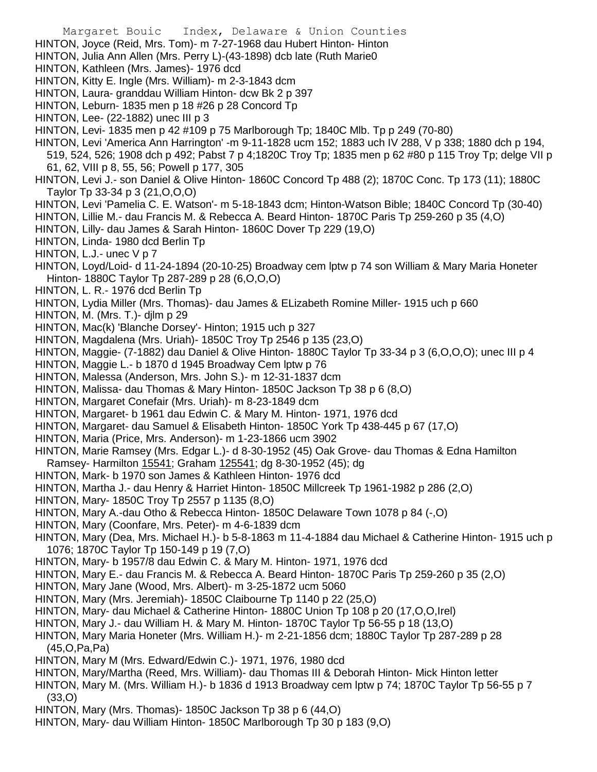Margaret Bouic Index, Delaware & Union Counties HINTON, Joyce (Reid, Mrs. Tom)- m 7-27-1968 dau Hubert Hinton- Hinton HINTON, Julia Ann Allen (Mrs. Perry L)-(43-1898) dcb late (Ruth Marie0 HINTON, Kathleen (Mrs. James)- 1976 dcd HINTON, Kitty E. Ingle (Mrs. William)- m 2-3-1843 dcm HINTON, Laura- granddau William Hinton- dcw Bk 2 p 397 HINTON, Leburn- 1835 men p 18 #26 p 28 Concord Tp HINTON, Lee- (22-1882) unec III p 3 HINTON, Levi- 1835 men p 42 #109 p 75 Marlborough Tp; 1840C Mlb. Tp p 249 (70-80) HINTON, Levi 'America Ann Harrington' -m 9-11-1828 ucm 152; 1883 uch IV 288, V p 338; 1880 dch p 194, 519, 524, 526; 1908 dch p 492; Pabst 7 p 4;1820C Troy Tp; 1835 men p 62 #80 p 115 Troy Tp; delge VII p 61, 62, VIII p 8, 55, 56; Powell p 177, 305 HINTON, Levi J.- son Daniel & Olive Hinton- 1860C Concord Tp 488 (2); 1870C Conc. Tp 173 (11); 1880C Taylor Tp 33-34 p 3 (21,O,O,O) HINTON, Levi 'Pamelia C. E. Watson'- m 5-18-1843 dcm; Hinton-Watson Bible; 1840C Concord Tp (30-40) HINTON, Lillie M.- dau Francis M. & Rebecca A. Beard Hinton- 1870C Paris Tp 259-260 p 35 (4,O) HINTON, Lilly- dau James & Sarah Hinton- 1860C Dover Tp 229 (19,O) HINTON, Linda- 1980 dcd Berlin Tp HINTON, L.J.- unec V p 7 HINTON, Loyd/Loid- d 11-24-1894 (20-10-25) Broadway cem lptw p 74 son William & Mary Maria Honeter Hinton- 1880C Taylor Tp 287-289 p 28 (6,O,O,O) HINTON, L. R.- 1976 dcd Berlin Tp HINTON, Lydia Miller (Mrs. Thomas)- dau James & ELizabeth Romine Miller- 1915 uch p 660 HINTON, M. (Mrs. T.)- djlm p 29 HINTON, Mac(k) 'Blanche Dorsey'- Hinton; 1915 uch p 327 HINTON, Magdalena (Mrs. Uriah)- 1850C Troy Tp 2546 p 135 (23,O) HINTON, Maggie- (7-1882) dau Daniel & Olive Hinton- 1880C Taylor Tp 33-34 p 3 (6,O,O,O); unec III p 4 HINTON, Maggie L.- b 1870 d 1945 Broadway Cem lptw p 76 HINTON, Malessa (Anderson, Mrs. John S.)- m 12-31-1837 dcm HINTON, Malissa- dau Thomas & Mary Hinton- 1850C Jackson Tp 38 p 6 (8,O) HINTON, Margaret Conefair (Mrs. Uriah)- m 8-23-1849 dcm HINTON, Margaret- b 1961 dau Edwin C. & Mary M. Hinton- 1971, 1976 dcd HINTON, Margaret- dau Samuel & Elisabeth Hinton- 1850C York Tp 438-445 p 67 (17,O) HINTON, Maria (Price, Mrs. Anderson)- m 1-23-1866 ucm 3902 HINTON, Marie Ramsey (Mrs. Edgar L.)- d 8-30-1952 (45) Oak Grove- dau Thomas & Edna Hamilton Ramsey- Harmilton 15541; Graham 125541; dg 8-30-1952 (45); dg HINTON, Mark- b 1970 son James & Kathleen Hinton- 1976 dcd HINTON, Martha J.- dau Henry & Harriet Hinton- 1850C Millcreek Tp 1961-1982 p 286 (2,O) HINTON, Mary- 1850C Troy Tp 2557 p 1135 (8,O) HINTON, Mary A.-dau Otho & Rebecca Hinton- 1850C Delaware Town 1078 p 84 (-,O) HINTON, Mary (Coonfare, Mrs. Peter)- m 4-6-1839 dcm HINTON, Mary (Dea, Mrs. Michael H.)- b 5-8-1863 m 11-4-1884 dau Michael & Catherine Hinton- 1915 uch p 1076; 1870C Taylor Tp 150-149 p 19 (7,O) HINTON, Mary- b 1957/8 dau Edwin C. & Mary M. Hinton- 1971, 1976 dcd HINTON, Mary E.- dau Francis M. & Rebecca A. Beard Hinton- 1870C Paris Tp 259-260 p 35 (2,O) HINTON, Mary Jane (Wood, Mrs. Albert)- m 3-25-1872 ucm 5060 HINTON, Mary (Mrs. Jeremiah)- 1850C Claibourne Tp 1140 p 22 (25,O) HINTON, Mary- dau Michael & Catherine Hinton- 1880C Union Tp 108 p 20 (17,O,O,Irel) HINTON, Mary J.- dau William H. & Mary M. Hinton- 1870C Taylor Tp 56-55 p 18 (13,O) HINTON, Mary Maria Honeter (Mrs. William H.)- m 2-21-1856 dcm; 1880C Taylor Tp 287-289 p 28 (45,O,Pa,Pa)

- HINTON, Mary M (Mrs. Edward/Edwin C.)- 1971, 1976, 1980 dcd
- HINTON, Mary/Martha (Reed, Mrs. William)- dau Thomas III & Deborah Hinton- Mick Hinton letter
- HINTON, Mary M. (Mrs. William H.)- b 1836 d 1913 Broadway cem lptw p 74; 1870C Taylor Tp 56-55 p 7 (33,O)
- HINTON, Mary (Mrs. Thomas)- 1850C Jackson Tp 38 p 6 (44,O)
- HINTON, Mary- dau William Hinton- 1850C Marlborough Tp 30 p 183 (9,O)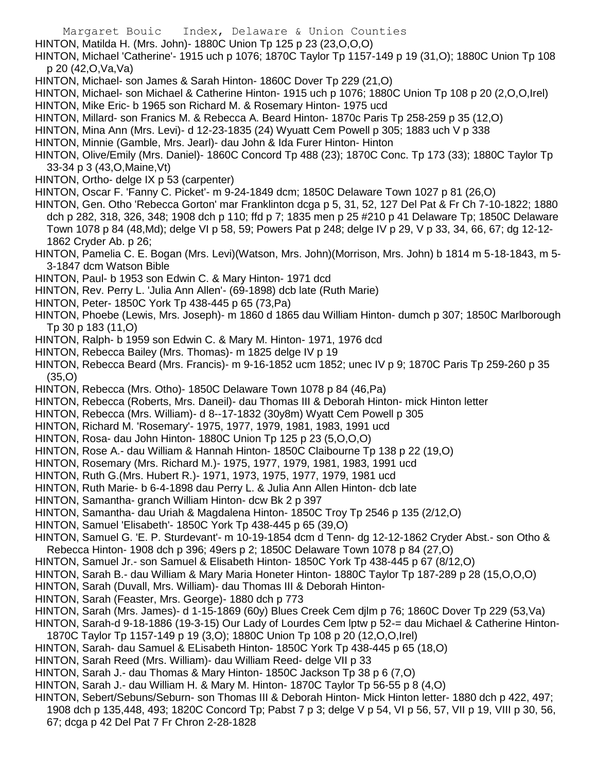HINTON, Matilda H. (Mrs. John)- 1880C Union Tp 125 p 23 (23,O,O,O)

HINTON, Michael 'Catherine'- 1915 uch p 1076; 1870C Taylor Tp 1157-149 p 19 (31,O); 1880C Union Tp 108 p 20 (42,O,Va,Va)

- HINTON, Michael- son James & Sarah Hinton- 1860C Dover Tp 229 (21,O)
- HINTON, Michael- son Michael & Catherine Hinton- 1915 uch p 1076; 1880C Union Tp 108 p 20 (2,O,O,Irel)
- HINTON, Mike Eric- b 1965 son Richard M. & Rosemary Hinton- 1975 ucd
- HINTON, Millard- son Franics M. & Rebecca A. Beard Hinton- 1870c Paris Tp 258-259 p 35 (12,O)
- HINTON, Mina Ann (Mrs. Levi)- d 12-23-1835 (24) Wyuatt Cem Powell p 305; 1883 uch V p 338
- HINTON, Minnie (Gamble, Mrs. Jearl)- dau John & Ida Furer Hinton- Hinton
- HINTON, Olive/Emily (Mrs. Daniel)- 1860C Concord Tp 488 (23); 1870C Conc. Tp 173 (33); 1880C Taylor Tp 33-34 p 3 (43,O,Maine,Vt)
- HINTON, Ortho- delge IX p 53 (carpenter)
- HINTON, Oscar F. 'Fanny C. Picket'- m 9-24-1849 dcm; 1850C Delaware Town 1027 p 81 (26,O)
- HINTON, Gen. Otho 'Rebecca Gorton' mar Franklinton dcga p 5, 31, 52, 127 Del Pat & Fr Ch 7-10-1822; 1880 dch p 282, 318, 326, 348; 1908 dch p 110; ffd p 7; 1835 men p 25 #210 p 41 Delaware Tp; 1850C Delaware Town 1078 p 84 (48,Md); delge VI p 58, 59; Powers Pat p 248; delge IV p 29, V p 33, 34, 66, 67; dg 12-12- 1862 Cryder Ab. p 26;
- HINTON, Pamelia C. E. Bogan (Mrs. Levi)(Watson, Mrs. John)(Morrison, Mrs. John) b 1814 m 5-18-1843, m 5- 3-1847 dcm Watson Bible
- HINTON, Paul- b 1953 son Edwin C. & Mary Hinton- 1971 dcd
- HINTON, Rev. Perry L. 'Julia Ann Allen'- (69-1898) dcb late (Ruth Marie)
- HINTON, Peter- 1850C York Tp 438-445 p 65 (73,Pa)
- HINTON, Phoebe (Lewis, Mrs. Joseph)- m 1860 d 1865 dau William Hinton- dumch p 307; 1850C Marlborough Tp 30 p 183 (11,O)
- HINTON, Ralph- b 1959 son Edwin C. & Mary M. Hinton- 1971, 1976 dcd
- HINTON, Rebecca Bailey (Mrs. Thomas)- m 1825 delge IV p 19
- HINTON, Rebecca Beard (Mrs. Francis)- m 9-16-1852 ucm 1852; unec IV p 9; 1870C Paris Tp 259-260 p 35 (35,O)
- HINTON, Rebecca (Mrs. Otho)- 1850C Delaware Town 1078 p 84 (46,Pa)
- HINTON, Rebecca (Roberts, Mrs. Daneil)- dau Thomas III & Deborah Hinton- mick Hinton letter
- HINTON, Rebecca (Mrs. William)- d 8--17-1832 (30y8m) Wyatt Cem Powell p 305
- HINTON, Richard M. 'Rosemary'- 1975, 1977, 1979, 1981, 1983, 1991 ucd
- HINTON, Rosa- dau John Hinton- 1880C Union Tp 125 p 23 (5,O,O,O)
- HINTON, Rose A.- dau William & Hannah Hinton- 1850C Claibourne Tp 138 p 22 (19,O)
- HINTON, Rosemary (Mrs. Richard M.)- 1975, 1977, 1979, 1981, 1983, 1991 ucd
- HINTON, Ruth G.(Mrs. Hubert R.)- 1971, 1973, 1975, 1977, 1979, 1981 ucd
- HINTON, Ruth Marie- b 6-4-1898 dau Perry L. & Julia Ann Allen Hinton- dcb late
- HINTON, Samantha- granch William Hinton- dcw Bk 2 p 397
- HINTON, Samantha- dau Uriah & Magdalena Hinton- 1850C Troy Tp 2546 p 135 (2/12,O)
- HINTON, Samuel 'Elisabeth'- 1850C York Tp 438-445 p 65 (39,O)
- HINTON, Samuel G. 'E. P. Sturdevant'- m 10-19-1854 dcm d Tenn- dg 12-12-1862 Cryder Abst.- son Otho & Rebecca Hinton- 1908 dch p 396; 49ers p 2; 1850C Delaware Town 1078 p 84 (27,O)
- HINTON, Samuel Jr.- son Samuel & Elisabeth Hinton- 1850C York Tp 438-445 p 67 (8/12,O)
- HINTON, Sarah B.- dau William & Mary Maria Honeter Hinton- 1880C Taylor Tp 187-289 p 28 (15,O,O,O)
- HINTON, Sarah (Duvall, Mrs. William)- dau Thomas III & Deborah Hinton-
- HINTON, Sarah (Feaster, Mrs. George)- 1880 dch p 773
- HINTON, Sarah (Mrs. James)- d 1-15-1869 (60y) Blues Creek Cem djlm p 76; 1860C Dover Tp 229 (53,Va)
- HINTON, Sarah-d 9-18-1886 (19-3-15) Our Lady of Lourdes Cem lptw p 52-= dau Michael & Catherine Hinton-
- 1870C Taylor Tp 1157-149 p 19 (3,O); 1880C Union Tp 108 p 20 (12,O,O,Irel)
- HINTON, Sarah- dau Samuel & ELisabeth Hinton- 1850C York Tp 438-445 p 65 (18,O)
- HINTON, Sarah Reed (Mrs. William)- dau William Reed- delge VII p 33
- HINTON, Sarah J.- dau Thomas & Mary Hinton- 1850C Jackson Tp 38 p 6 (7,O)
- HINTON, Sarah J.- dau William H. & Mary M. Hinton- 1870C Taylor Tp 56-55 p 8 (4,O)
- HINTON, Sebert/Sebuns/Seburn- son Thomas III & Deborah Hinton- Mick Hinton letter- 1880 dch p 422, 497; 1908 dch p 135,448, 493; 1820C Concord Tp; Pabst 7 p 3; delge V p 54, VI p 56, 57, VII p 19, VIII p 30, 56, 67; dcga p 42 Del Pat 7 Fr Chron 2-28-1828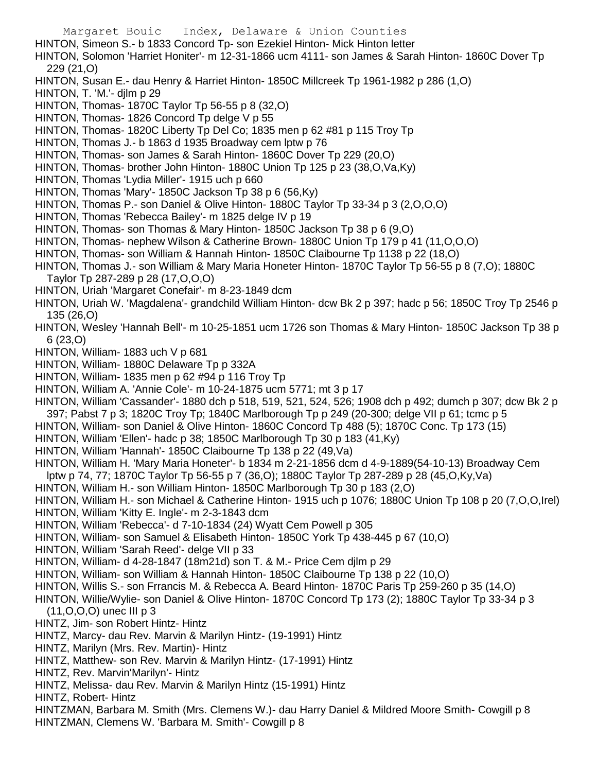- HINTON, Simeon S.- b 1833 Concord Tp- son Ezekiel Hinton- Mick Hinton letter
- HINTON, Solomon 'Harriet Honiter'- m 12-31-1866 ucm 4111- son James & Sarah Hinton- 1860C Dover Tp 229 (21,O)
- HINTON, Susan E.- dau Henry & Harriet Hinton- 1850C Millcreek Tp 1961-1982 p 286 (1,O)
- HINTON, T. 'M.'- djlm p 29
- HINTON, Thomas- 1870C Taylor Tp 56-55 p 8 (32,O)
- HINTON, Thomas- 1826 Concord Tp delge V p 55
- HINTON, Thomas- 1820C Liberty Tp Del Co; 1835 men p 62 #81 p 115 Troy Tp
- HINTON, Thomas J.- b 1863 d 1935 Broadway cem lptw p 76
- HINTON, Thomas- son James & Sarah Hinton- 1860C Dover Tp 229 (20,O)
- HINTON, Thomas- brother John Hinton- 1880C Union Tp 125 p 23 (38,O,Va,Ky)
- HINTON, Thomas 'Lydia Miller'- 1915 uch p 660
- HINTON, Thomas 'Mary'- 1850C Jackson Tp 38 p 6 (56,Ky)
- HINTON, Thomas P.- son Daniel & Olive Hinton- 1880C Taylor Tp 33-34 p 3 (2,O,O,O)
- HINTON, Thomas 'Rebecca Bailey'- m 1825 delge IV p 19
- HINTON, Thomas- son Thomas & Mary Hinton- 1850C Jackson Tp 38 p 6 (9,O)
- HINTON, Thomas- nephew Wilson & Catherine Brown- 1880C Union Tp 179 p 41 (11,O,O,O)
- HINTON, Thomas- son William & Hannah Hinton- 1850C Claibourne Tp 1138 p 22 (18,O)
- HINTON, Thomas J.- son William & Mary Maria Honeter Hinton- 1870C Taylor Tp 56-55 p 8 (7,O); 1880C Taylor Tp 287-289 p 28 (17,O,O,O)
- HINTON, Uriah 'Margaret Conefair'- m 8-23-1849 dcm
- HINTON, Uriah W. 'Magdalena'- grandchild William Hinton- dcw Bk 2 p 397; hadc p 56; 1850C Troy Tp 2546 p 135 (26,O)
- HINTON, Wesley 'Hannah Bell'- m 10-25-1851 ucm 1726 son Thomas & Mary Hinton- 1850C Jackson Tp 38 p 6 (23,O)
- HINTON, William- 1883 uch V p 681
- HINTON, William- 1880C Delaware Tp p 332A
- HINTON, William- 1835 men p 62 #94 p 116 Troy Tp
- HINTON, William A. 'Annie Cole'- m 10-24-1875 ucm 5771; mt 3 p 17
- HINTON, William 'Cassander'- 1880 dch p 518, 519, 521, 524, 526; 1908 dch p 492; dumch p 307; dcw Bk 2 p 397; Pabst 7 p 3; 1820C Troy Tp; 1840C Marlborough Tp p 249 (20-300; delge VII p 61; tcmc p 5
- HINTON, William- son Daniel & Olive Hinton- 1860C Concord Tp 488 (5); 1870C Conc. Tp 173 (15)
- HINTON, William 'Ellen'- hadc p 38; 1850C Marlborough Tp 30 p 183 (41,Ky)
- HINTON, William 'Hannah'- 1850C Claibourne Tp 138 p 22 (49,Va)
- HINTON, William H. 'Mary Maria Honeter'- b 1834 m 2-21-1856 dcm d 4-9-1889(54-10-13) Broadway Cem
- lptw p 74, 77; 1870C Taylor Tp 56-55 p 7 (36,O); 1880C Taylor Tp 287-289 p 28 (45,O,Ky,Va)
- HINTON, William H.- son William Hinton- 1850C Marlborough Tp 30 p 183 (2,O)
- HINTON, William H.- son Michael & Catherine Hinton- 1915 uch p 1076; 1880C Union Tp 108 p 20 (7,O,O,Irel)
- HINTON, William 'Kitty E. Ingle'- m 2-3-1843 dcm
- HINTON, William 'Rebecca'- d 7-10-1834 (24) Wyatt Cem Powell p 305
- HINTON, William- son Samuel & Elisabeth Hinton- 1850C York Tp 438-445 p 67 (10,O)
- HINTON, William 'Sarah Reed'- delge VII p 33
- HINTON, William- d 4-28-1847 (18m21d) son T. & M.- Price Cem djlm p 29
- HINTON, William- son William & Hannah Hinton- 1850C Claibourne Tp 138 p 22 (10,O)
- HINTON, Willis S.- son Frrancis M. & Rebecca A. Beard Hinton- 1870C Paris Tp 259-260 p 35 (14,O)
- HINTON, Willie/Wylie- son Daniel & Olive Hinton- 1870C Concord Tp 173 (2); 1880C Taylor Tp 33-34 p 3
	- (11,O,O,O) unec III p 3
- HINTZ, Jim- son Robert Hintz- Hintz
- HINTZ, Marcy- dau Rev. Marvin & Marilyn Hintz- (19-1991) Hintz
- HINTZ, Marilyn (Mrs. Rev. Martin)- Hintz
- HINTZ, Matthew- son Rev. Marvin & Marilyn Hintz- (17-1991) Hintz
- HINTZ, Rev. Marvin'Marilyn'- Hintz
- HINTZ, Melissa- dau Rev. Marvin & Marilyn Hintz (15-1991) Hintz
- HINTZ, Robert- Hintz
- HINTZMAN, Barbara M. Smith (Mrs. Clemens W.)- dau Harry Daniel & Mildred Moore Smith- Cowgill p 8 HINTZMAN, Clemens W. 'Barbara M. Smith'- Cowgill p 8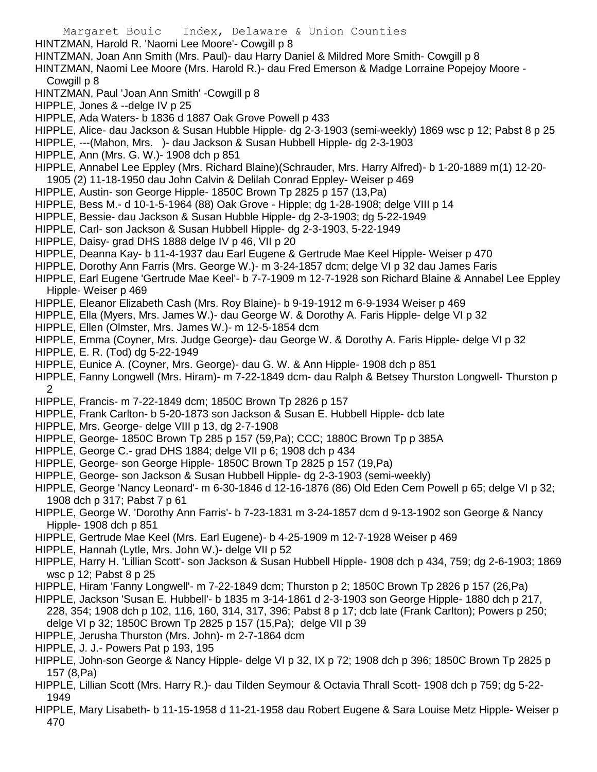HINTZMAN, Harold R. 'Naomi Lee Moore'- Cowgill p 8

HINTZMAN, Joan Ann Smith (Mrs. Paul)- dau Harry Daniel & Mildred More Smith- Cowgill p 8

- HINTZMAN, Naomi Lee Moore (Mrs. Harold R.)- dau Fred Emerson & Madge Lorraine Popejoy Moore Cowgill p 8
- HINTZMAN, Paul 'Joan Ann Smith' -Cowgill p 8
- HIPPLE, Jones & --delge IV p 25
- HIPPLE, Ada Waters- b 1836 d 1887 Oak Grove Powell p 433
- HIPPLE, Alice- dau Jackson & Susan Hubble Hipple- dg 2-3-1903 (semi-weekly) 1869 wsc p 12; Pabst 8 p 25
- HIPPLE, ---(Mahon, Mrs. )- dau Jackson & Susan Hubbell Hipple- dg 2-3-1903
- HIPPLE, Ann (Mrs. G. W.)- 1908 dch p 851
- HIPPLE, Annabel Lee Eppley (Mrs. Richard Blaine)(Schrauder, Mrs. Harry Alfred)- b 1-20-1889 m(1) 12-20- 1905 (2) 11-18-1950 dau John Calvin & Delilah Conrad Eppley- Weiser p 469
- HIPPLE, Austin- son George Hipple- 1850C Brown Tp 2825 p 157 (13,Pa)
- HIPPLE, Bess M.- d 10-1-5-1964 (88) Oak Grove Hipple; dg 1-28-1908; delge VIII p 14
- HIPPLE, Bessie- dau Jackson & Susan Hubble Hipple- dg 2-3-1903; dg 5-22-1949
- HIPPLE, Carl- son Jackson & Susan Hubbell Hipple- dg 2-3-1903, 5-22-1949
- HIPPLE, Daisy- grad DHS 1888 delge IV p 46, VII p 20
- HIPPLE, Deanna Kay- b 11-4-1937 dau Earl Eugene & Gertrude Mae Keel Hipple- Weiser p 470
- HIPPLE, Dorothy Ann Farris (Mrs. George W.)- m 3-24-1857 dcm; delge VI p 32 dau James Faris
- HIPPLE, Earl Eugene 'Gertrude Mae Keel'- b 7-7-1909 m 12-7-1928 son Richard Blaine & Annabel Lee Eppley Hipple- Weiser p 469
- HIPPLE, Eleanor Elizabeth Cash (Mrs. Roy Blaine)- b 9-19-1912 m 6-9-1934 Weiser p 469
- HIPPLE, Ella (Myers, Mrs. James W.)- dau George W. & Dorothy A. Faris Hipple- delge VI p 32
- HIPPLE, Ellen (Olmster, Mrs. James W.)- m 12-5-1854 dcm
- HIPPLE, Emma (Coyner, Mrs. Judge George)- dau George W. & Dorothy A. Faris Hipple- delge VI p 32
- HIPPLE, E. R. (Tod) dg 5-22-1949
- HIPPLE, Eunice A. (Coyner, Mrs. George)- dau G. W. & Ann Hipple- 1908 dch p 851
- HIPPLE, Fanny Longwell (Mrs. Hiram)- m 7-22-1849 dcm- dau Ralph & Betsey Thurston Longwell- Thurston p 2
- HIPPLE, Francis- m 7-22-1849 dcm; 1850C Brown Tp 2826 p 157
- HIPPLE, Frank Carlton- b 5-20-1873 son Jackson & Susan E. Hubbell Hipple- dcb late
- HIPPLE, Mrs. George- delge VIII p 13, dg 2-7-1908
- HIPPLE, George- 1850C Brown Tp 285 p 157 (59,Pa); CCC; 1880C Brown Tp p 385A
- HIPPLE, George C.- grad DHS 1884; delge VII p 6; 1908 dch p 434
- HIPPLE, George- son George Hipple- 1850C Brown Tp 2825 p 157 (19,Pa)
- HIPPLE, George- son Jackson & Susan Hubbell Hipple- dg 2-3-1903 (semi-weekly)
- HIPPLE, George 'Nancy Leonard'- m 6-30-1846 d 12-16-1876 (86) Old Eden Cem Powell p 65; delge VI p 32; 1908 dch p 317; Pabst 7 p 61
- HIPPLE, George W. 'Dorothy Ann Farris'- b 7-23-1831 m 3-24-1857 dcm d 9-13-1902 son George & Nancy Hipple- 1908 dch p 851
- HIPPLE, Gertrude Mae Keel (Mrs. Earl Eugene)- b 4-25-1909 m 12-7-1928 Weiser p 469
- HIPPLE, Hannah (Lytle, Mrs. John W.)- delge VII p 52
- HIPPLE, Harry H. 'Lillian Scott'- son Jackson & Susan Hubbell Hipple- 1908 dch p 434, 759; dg 2-6-1903; 1869 wsc p 12; Pabst 8 p 25
- HIPPLE, Hiram 'Fanny Longwell'- m 7-22-1849 dcm; Thurston p 2; 1850C Brown Tp 2826 p 157 (26,Pa)
- HIPPLE, Jackson 'Susan E. Hubbell'- b 1835 m 3-14-1861 d 2-3-1903 son George Hipple- 1880 dch p 217, 228, 354; 1908 dch p 102, 116, 160, 314, 317, 396; Pabst 8 p 17; dcb late (Frank Carlton); Powers p 250;
- delge VI p 32; 1850C Brown Tp 2825 p 157 (15,Pa); delge VII p 39
- HIPPLE, Jerusha Thurston (Mrs. John)- m 2-7-1864 dcm
- HIPPLE, J. J.- Powers Pat p 193, 195
- HIPPLE, John-son George & Nancy Hipple- delge VI p 32, IX p 72; 1908 dch p 396; 1850C Brown Tp 2825 p 157 (8,Pa)
- HIPPLE, Lillian Scott (Mrs. Harry R.)- dau Tilden Seymour & Octavia Thrall Scott- 1908 dch p 759; dg 5-22- 1949
- HIPPLE, Mary Lisabeth- b 11-15-1958 d 11-21-1958 dau Robert Eugene & Sara Louise Metz Hipple- Weiser p 470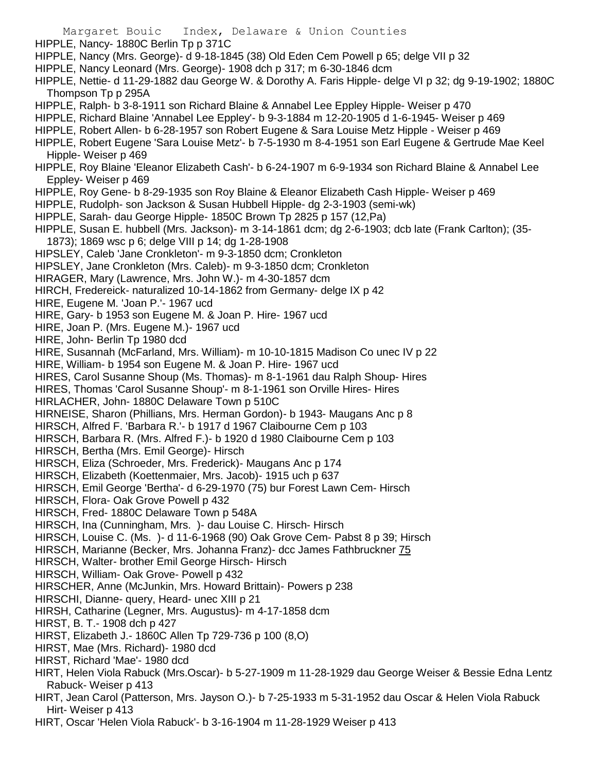- Margaret Bouic Index, Delaware & Union Counties HIPPLE, Nancy- 1880C Berlin Tp p 371C HIPPLE, Nancy (Mrs. George)- d 9-18-1845 (38) Old Eden Cem Powell p 65; delge VII p 32 HIPPLE, Nancy Leonard (Mrs. George)- 1908 dch p 317; m 6-30-1846 dcm HIPPLE, Nettie- d 11-29-1882 dau George W. & Dorothy A. Faris Hipple- delge VI p 32; dg 9-19-1902; 1880C Thompson Tp p 295A HIPPLE, Ralph- b 3-8-1911 son Richard Blaine & Annabel Lee Eppley Hipple- Weiser p 470 HIPPLE, Richard Blaine 'Annabel Lee Eppley'- b 9-3-1884 m 12-20-1905 d 1-6-1945- Weiser p 469 HIPPLE, Robert Allen- b 6-28-1957 son Robert Eugene & Sara Louise Metz Hipple - Weiser p 469 HIPPLE, Robert Eugene 'Sara Louise Metz'- b 7-5-1930 m 8-4-1951 son Earl Eugene & Gertrude Mae Keel Hipple- Weiser p 469 HIPPLE, Roy Blaine 'Eleanor Elizabeth Cash'- b 6-24-1907 m 6-9-1934 son Richard Blaine & Annabel Lee Eppley- Weiser p 469 HIPPLE, Roy Gene- b 8-29-1935 son Roy Blaine & Eleanor Elizabeth Cash Hipple- Weiser p 469 HIPPLE, Rudolph- son Jackson & Susan Hubbell Hipple- dg 2-3-1903 (semi-wk) HIPPLE, Sarah- dau George Hipple- 1850C Brown Tp 2825 p 157 (12,Pa) HIPPLE, Susan E. hubbell (Mrs. Jackson)- m 3-14-1861 dcm; dg 2-6-1903; dcb late (Frank Carlton); (35- 1873); 1869 wsc p 6; delge VIII p 14; dg 1-28-1908 HIPSLEY, Caleb 'Jane Cronkleton'- m 9-3-1850 dcm; Cronkleton HIPSLEY, Jane Cronkleton (Mrs. Caleb)- m 9-3-1850 dcm; Cronkleton HIRAGER, Mary (Lawrence, Mrs. John W.)- m 4-30-1857 dcm HIRCH, Fredereick- naturalized 10-14-1862 from Germany- delge IX p 42 HIRE, Eugene M. 'Joan P.'- 1967 ucd HIRE, Gary- b 1953 son Eugene M. & Joan P. Hire- 1967 ucd HIRE, Joan P. (Mrs. Eugene M.)- 1967 ucd HIRE, John- Berlin Tp 1980 dcd HIRE, Susannah (McFarland, Mrs. William)- m 10-10-1815 Madison Co unec IV p 22 HIRE, William- b 1954 son Eugene M. & Joan P. Hire- 1967 ucd HIRES, Carol Susanne Shoup (Ms. Thomas)- m 8-1-1961 dau Ralph Shoup- Hires HIRES, Thomas 'Carol Susanne Shoup'- m 8-1-1961 son Orville Hires- Hires HIRLACHER, John- 1880C Delaware Town p 510C HIRNEISE, Sharon (Phillians, Mrs. Herman Gordon)- b 1943- Maugans Anc p 8 HIRSCH, Alfred F. 'Barbara R.'- b 1917 d 1967 Claibourne Cem p 103 HIRSCH, Barbara R. (Mrs. Alfred F.)- b 1920 d 1980 Claibourne Cem p 103 HIRSCH, Bertha (Mrs. Emil George)- Hirsch HIRSCH, Eliza (Schroeder, Mrs. Frederick)- Maugans Anc p 174 HIRSCH, Elizabeth (Koettenmaier, Mrs. Jacob)- 1915 uch p 637 HIRSCH, Emil George 'Bertha'- d 6-29-1970 (75) bur Forest Lawn Cem- Hirsch HIRSCH, Flora- Oak Grove Powell p 432 HIRSCH, Fred- 1880C Delaware Town p 548A HIRSCH, Ina (Cunningham, Mrs. )- dau Louise C. Hirsch- Hirsch HIRSCH, Louise C. (Ms. )- d 11-6-1968 (90) Oak Grove Cem- Pabst 8 p 39; Hirsch HIRSCH, Marianne (Becker, Mrs. Johanna Franz)- dcc James Fathbruckner 75 HIRSCH, Walter- brother Emil George Hirsch- Hirsch HIRSCH, William- Oak Grove- Powell p 432 HIRSCHER, Anne (McJunkin, Mrs. Howard Brittain)- Powers p 238 HIRSCHI, Dianne- query, Heard- unec XIII p 21 HIRSH, Catharine (Legner, Mrs. Augustus)- m 4-17-1858 dcm HIRST, B. T.- 1908 dch p 427 HIRST, Elizabeth J.- 1860C Allen Tp 729-736 p 100 (8,O) HIRST, Mae (Mrs. Richard)- 1980 dcd HIRST, Richard 'Mae'- 1980 dcd HIRT, Helen Viola Rabuck (Mrs.Oscar)- b 5-27-1909 m 11-28-1929 dau George Weiser & Bessie Edna Lentz Rabuck- Weiser p 413
- HIRT, Jean Carol (Patterson, Mrs. Jayson O.)- b 7-25-1933 m 5-31-1952 dau Oscar & Helen Viola Rabuck Hirt- Weiser p 413
- HIRT, Oscar 'Helen Viola Rabuck'- b 3-16-1904 m 11-28-1929 Weiser p 413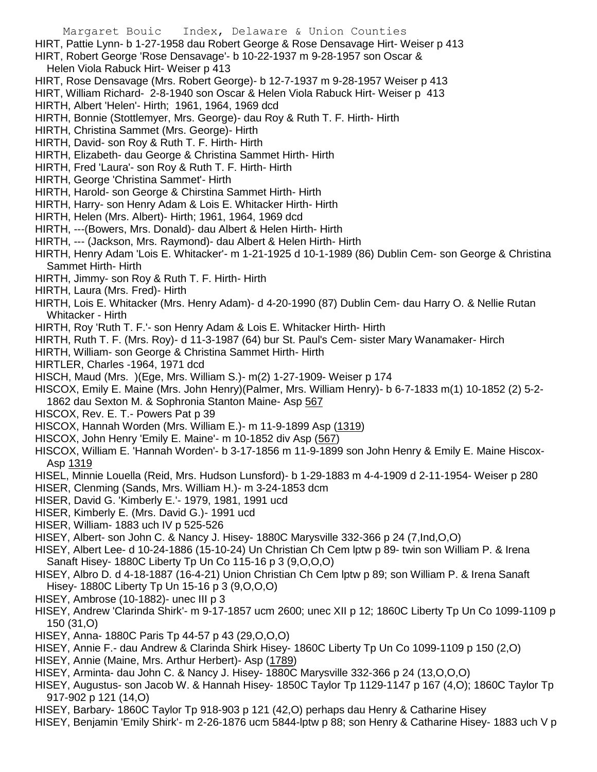- Margaret Bouic Index, Delaware & Union Counties
- HIRT, Pattie Lynn- b 1-27-1958 dau Robert George & Rose Densavage Hirt- Weiser p 413
- HIRT, Robert George 'Rose Densavage'- b 10-22-1937 m 9-28-1957 son Oscar &
- Helen Viola Rabuck Hirt- Weiser p 413
- HIRT, Rose Densavage (Mrs. Robert George)- b 12-7-1937 m 9-28-1957 Weiser p 413
- HIRT, William Richard- 2-8-1940 son Oscar & Helen Viola Rabuck Hirt- Weiser p 413
- HIRTH, Albert 'Helen'- Hirth; 1961, 1964, 1969 dcd
- HIRTH, Bonnie (Stottlemyer, Mrs. George)- dau Roy & Ruth T. F. Hirth- Hirth
- HIRTH, Christina Sammet (Mrs. George)- Hirth
- HIRTH, David- son Roy & Ruth T. F. Hirth- Hirth
- HIRTH, Elizabeth- dau George & Christina Sammet Hirth- Hirth
- HIRTH, Fred 'Laura'- son Roy & Ruth T. F. Hirth- Hirth
- HIRTH, George 'Christina Sammet'- Hirth
- HIRTH, Harold- son George & Chirstina Sammet Hirth- Hirth
- HIRTH, Harry- son Henry Adam & Lois E. Whitacker Hirth- Hirth
- HIRTH, Helen (Mrs. Albert)- Hirth; 1961, 1964, 1969 dcd
- HIRTH, ---(Bowers, Mrs. Donald)- dau Albert & Helen Hirth- Hirth
- HIRTH, --- (Jackson, Mrs. Raymond)- dau Albert & Helen Hirth- Hirth
- HIRTH, Henry Adam 'Lois E. Whitacker'- m 1-21-1925 d 10-1-1989 (86) Dublin Cem- son George & Christina Sammet Hirth- Hirth
- HIRTH, Jimmy- son Roy & Ruth T. F. Hirth- Hirth
- HIRTH, Laura (Mrs. Fred)- Hirth
- HIRTH, Lois E. Whitacker (Mrs. Henry Adam)- d 4-20-1990 (87) Dublin Cem- dau Harry O. & Nellie Rutan Whitacker - Hirth
- HIRTH, Roy 'Ruth T. F.'- son Henry Adam & Lois E. Whitacker Hirth- Hirth
- HIRTH, Ruth T. F. (Mrs. Roy)- d 11-3-1987 (64) bur St. Paul's Cem- sister Mary Wanamaker- Hirch
- HIRTH, William- son George & Christina Sammet Hirth- Hirth
- HIRTLER, Charles -1964, 1971 dcd
- HISCH, Maud (Mrs. )(Ege, Mrs. William S.)- m(2) 1-27-1909- Weiser p 174
- HISCOX, Emily E. Maine (Mrs. John Henry)(Palmer, Mrs. William Henry)- b 6-7-1833 m(1) 10-1852 (2) 5-2- 1862 dau Sexton M. & Sophronia Stanton Maine- Asp 567
- HISCOX, Rev. E. T.- Powers Pat p 39
- HISCOX, Hannah Worden (Mrs. William E.)- m 11-9-1899 Asp (1319)
- HISCOX, John Henry 'Emily E. Maine'- m 10-1852 div Asp (567)
- HISCOX, William E. 'Hannah Worden'- b 3-17-1856 m 11-9-1899 son John Henry & Emily E. Maine Hiscox-Asp 1319
- HISEL, Minnie Louella (Reid, Mrs. Hudson Lunsford)- b 1-29-1883 m 4-4-1909 d 2-11-1954- Weiser p 280
- HISER, Clenming (Sands, Mrs. William H.)- m 3-24-1853 dcm
- HISER, David G. 'Kimberly E.'- 1979, 1981, 1991 ucd
- HISER, Kimberly E. (Mrs. David G.)- 1991 ucd
- HISER, William- 1883 uch IV p 525-526
- HISEY, Albert- son John C. & Nancy J. Hisey- 1880C Marysville 332-366 p 24 (7,Ind,O,O)
- HISEY, Albert Lee- d 10-24-1886 (15-10-24) Un Christian Ch Cem lptw p 89- twin son William P. & Irena Sanaft Hisey- 1880C Liberty Tp Un Co 115-16 p 3 (9,O,O,O)
- HISEY, Albro D. d 4-18-1887 (16-4-21) Union Christian Ch Cem lptw p 89; son William P. & Irena Sanaft Hisey- 1880C Liberty Tp Un 15-16 p 3 (9,O,O,O)
- HISEY, Ambrose (10-1882)- unec III p 3
- HISEY, Andrew 'Clarinda Shirk'- m 9-17-1857 ucm 2600; unec XII p 12; 1860C Liberty Tp Un Co 1099-1109 p 150 (31,O)
- HISEY, Anna- 1880C Paris Tp 44-57 p 43 (29,O,O,O)
- HISEY, Annie F.- dau Andrew & Clarinda Shirk Hisey- 1860C Liberty Tp Un Co 1099-1109 p 150 (2,O)
- HISEY, Annie (Maine, Mrs. Arthur Herbert)- Asp (1789)
- HISEY, Arminta- dau John C. & Nancy J. Hisey- 1880C Marysville 332-366 p 24 (13,O,O,O)
- HISEY, Augustus- son Jacob W. & Hannah Hisey- 1850C Taylor Tp 1129-1147 p 167 (4,O); 1860C Taylor Tp 917-902 p 121 (14,O)
- HISEY, Barbary- 1860C Taylor Tp 918-903 p 121 (42,O) perhaps dau Henry & Catharine Hisey
- HISEY, Benjamin 'Emily Shirk'- m 2-26-1876 ucm 5844-lptw p 88; son Henry & Catharine Hisey- 1883 uch V p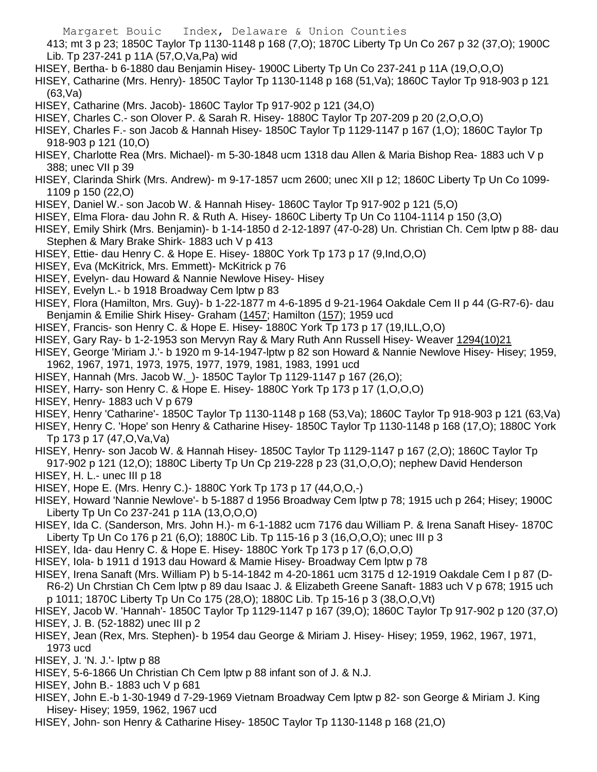413; mt 3 p 23; 1850C Taylor Tp 1130-1148 p 168 (7,O); 1870C Liberty Tp Un Co 267 p 32 (37,O); 1900C Lib. Tp 237-241 p 11A (57,O,Va,Pa) wid

HISEY, Bertha- b 6-1880 dau Benjamin Hisey- 1900C Liberty Tp Un Co 237-241 p 11A (19,O,O,O)

HISEY, Catharine (Mrs. Henry)- 1850C Taylor Tp 1130-1148 p 168 (51,Va); 1860C Taylor Tp 918-903 p 121 (63,Va)

HISEY, Catharine (Mrs. Jacob)- 1860C Taylor Tp 917-902 p 121 (34,O)

- HISEY, Charles C.- son Olover P. & Sarah R. Hisey- 1880C Taylor Tp 207-209 p 20 (2,O,O,O)
- HISEY, Charles F.- son Jacob & Hannah Hisey- 1850C Taylor Tp 1129-1147 p 167 (1,O); 1860C Taylor Tp 918-903 p 121 (10,O)
- HISEY, Charlotte Rea (Mrs. Michael)- m 5-30-1848 ucm 1318 dau Allen & Maria Bishop Rea- 1883 uch V p 388; unec VII p 39
- HISEY, Clarinda Shirk (Mrs. Andrew)- m 9-17-1857 ucm 2600; unec XII p 12; 1860C Liberty Tp Un Co 1099- 1109 p 150 (22,O)
- HISEY, Daniel W.- son Jacob W. & Hannah Hisey- 1860C Taylor Tp 917-902 p 121 (5,O)
- HISEY, Elma Flora- dau John R. & Ruth A. Hisey- 1860C Liberty Tp Un Co 1104-1114 p 150 (3,O)
- HISEY, Emily Shirk (Mrs. Benjamin)- b 1-14-1850 d 2-12-1897 (47-0-28) Un. Christian Ch. Cem lptw p 88- dau Stephen & Mary Brake Shirk- 1883 uch V p 413
- HISEY, Ettie- dau Henry C. & Hope E. Hisey- 1880C York Tp 173 p 17 (9,Ind,O,O)
- HISEY, Eva (McKitrick, Mrs. Emmett)- McKitrick p 76
- HISEY, Evelyn- dau Howard & Nannie Newlove Hisey- Hisey
- HISEY, Evelyn L.- b 1918 Broadway Cem lptw p 83
- HISEY, Flora (Hamilton, Mrs. Guy)- b 1-22-1877 m 4-6-1895 d 9-21-1964 Oakdale Cem II p 44 (G-R7-6)- dau Benjamin & Emilie Shirk Hisey- Graham (1457; Hamilton (157); 1959 ucd
- HISEY, Francis- son Henry C. & Hope E. Hisey- 1880C York Tp 173 p 17 (19,ILL,O,O)
- HISEY, Gary Ray- b 1-2-1953 son Mervyn Ray & Mary Ruth Ann Russell Hisey- Weaver 1294(10)21
- HISEY, George 'Miriam J.'- b 1920 m 9-14-1947-lptw p 82 son Howard & Nannie Newlove Hisey- Hisey; 1959, 1962, 1967, 1971, 1973, 1975, 1977, 1979, 1981, 1983, 1991 ucd
- HISEY, Hannah (Mrs. Jacob W.\_)- 1850C Taylor Tp 1129-1147 p 167 (26,O);
- HISEY, Harry- son Henry C. & Hope E. Hisey- 1880C York Tp 173 p 17 (1,O,O,O)
- HISEY, Henry- 1883 uch V p 679
- HISEY, Henry 'Catharine'- 1850C Taylor Tp 1130-1148 p 168 (53,Va); 1860C Taylor Tp 918-903 p 121 (63,Va)
- HISEY, Henry C. 'Hope' son Henry & Catharine Hisey- 1850C Taylor Tp 1130-1148 p 168 (17,O); 1880C York Tp 173 p 17 (47,O,Va,Va)
- HISEY, Henry- son Jacob W. & Hannah Hisey- 1850C Taylor Tp 1129-1147 p 167 (2,O); 1860C Taylor Tp 917-902 p 121 (12,O); 1880C Liberty Tp Un Cp 219-228 p 23 (31,O,O,O); nephew David Henderson
- HISEY, H. L.- unec III p 18
- HISEY, Hope E. (Mrs. Henry C.)- 1880C York Tp 173 p 17 (44,O,O,-)
- HISEY, Howard 'Nannie Newlove'- b 5-1887 d 1956 Broadway Cem lptw p 78; 1915 uch p 264; Hisey; 1900C Liberty Tp Un Co 237-241 p 11A (13,O,O,O)
- HISEY, Ida C. (Sanderson, Mrs. John H.)- m 6-1-1882 ucm 7176 dau William P. & Irena Sanaft Hisey- 1870C Liberty Tp Un Co 176 p 21 (6,O); 1880C Lib. Tp 115-16 p 3 (16,O,O,O); unec III p 3
- HISEY, Ida- dau Henry C. & Hope E. Hisey- 1880C York Tp 173 p 17 (6,O,O,O)
- HISEY, Iola- b 1911 d 1913 dau Howard & Mamie Hisey- Broadway Cem lptw p 78
- HISEY, Irena Sanaft (Mrs. William P) b 5-14-1842 m 4-20-1861 ucm 3175 d 12-1919 Oakdale Cem I p 87 (D-R6-2) Un Chrstian Ch Cem lptw p 89 dau Isaac J. & Elizabeth Greene Sanaft- 1883 uch V p 678; 1915 uch p 1011; 1870C Liberty Tp Un Co 175 (28,O); 1880C Lib. Tp 15-16 p 3 (38,O,O,Vt)
- HISEY, Jacob W. 'Hannah'- 1850C Taylor Tp 1129-1147 p 167 (39,O); 1860C Taylor Tp 917-902 p 120 (37,O) HISEY, J. B. (52-1882) unec III p 2
- HISEY, Jean (Rex, Mrs. Stephen)- b 1954 dau George & Miriam J. Hisey- Hisey; 1959, 1962, 1967, 1971, 1973 ucd
- HISEY, J. 'N. J.'- lptw p 88
- HISEY, 5-6-1866 Un Christian Ch Cem lptw p 88 infant son of J. & N.J.
- HISEY, John B.- 1883 uch V p 681
- HISEY, John E.-b 1-30-1949 d 7-29-1969 Vietnam Broadway Cem lptw p 82- son George & Miriam J. King Hisey- Hisey; 1959, 1962, 1967 ucd
- HISEY, John- son Henry & Catharine Hisey- 1850C Taylor Tp 1130-1148 p 168 (21,O)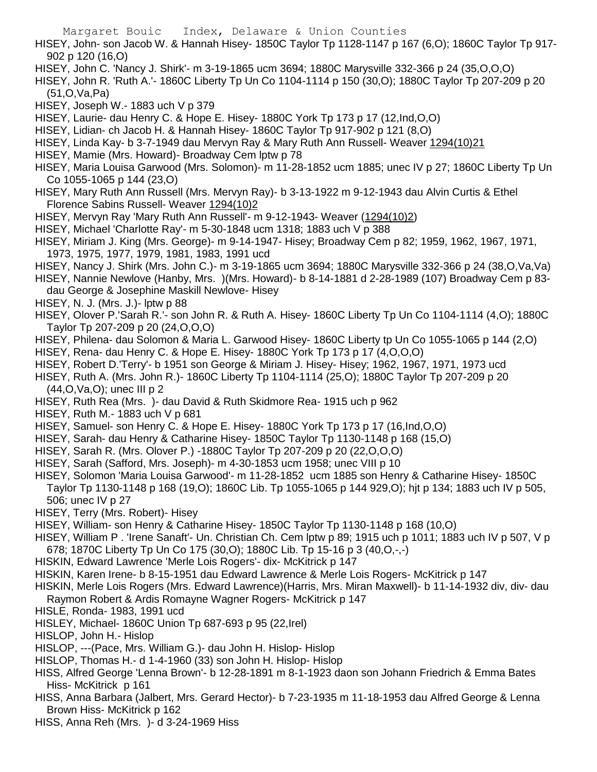HISEY, John- son Jacob W. & Hannah Hisey- 1850C Taylor Tp 1128-1147 p 167 (6,O); 1860C Taylor Tp 917- 902 p 120 (16,O)

HISEY, John C. 'Nancy J. Shirk'- m 3-19-1865 ucm 3694; 1880C Marysville 332-366 p 24 (35,O,O,O)

HISEY, John R. 'Ruth A.'- 1860C Liberty Tp Un Co 1104-1114 p 150 (30,O); 1880C Taylor Tp 207-209 p 20 (51,O,Va,Pa)

HISEY, Joseph W.- 1883 uch V p 379

- HISEY, Laurie- dau Henry C. & Hope E. Hisey- 1880C York Tp 173 p 17 (12,Ind,O,O)
- HISEY, Lidian- ch Jacob H. & Hannah Hisey- 1860C Taylor Tp 917-902 p 121 (8,O)
- HISEY, Linda Kay- b 3-7-1949 dau Mervyn Ray & Mary Ruth Ann Russell- Weaver 1294(10)21
- HISEY, Mamie (Mrs. Howard)- Broadway Cem lptw p 78
- HISEY, Maria Louisa Garwood (Mrs. Solomon)- m 11-28-1852 ucm 1885; unec IV p 27; 1860C Liberty Tp Un Co 1055-1065 p 144 (23,O)
- HISEY, Mary Ruth Ann Russell (Mrs. Mervyn Ray)- b 3-13-1922 m 9-12-1943 dau Alvin Curtis & Ethel Florence Sabins Russell- Weaver 1294(10)2
- HISEY, Mervyn Ray 'Mary Ruth Ann Russell'- m 9-12-1943- Weaver (1294(10)2)
- HISEY, Michael 'Charlotte Ray'- m 5-30-1848 ucm 1318; 1883 uch V p 388
- HISEY, Miriam J. King (Mrs. George)- m 9-14-1947- Hisey; Broadway Cem p 82; 1959, 1962, 1967, 1971, 1973, 1975, 1977, 1979, 1981, 1983, 1991 ucd
- HISEY, Nancy J. Shirk (Mrs. John C.)- m 3-19-1865 ucm 3694; 1880C Marysville 332-366 p 24 (38,O,Va,Va)
- HISEY, Nannie Newlove (Hanby, Mrs. )(Mrs. Howard)- b 8-14-1881 d 2-28-1989 (107) Broadway Cem p 83 dau George & Josephine Maskill Newlove- Hisey
- HISEY, N. J. (Mrs. J.)- lptw p 88
- HISEY, Olover P.'Sarah R.'- son John R. & Ruth A. Hisey- 1860C Liberty Tp Un Co 1104-1114 (4,O); 1880C Taylor Tp 207-209 p 20 (24,O,O,O)
- HISEY, Philena- dau Solomon & Maria L. Garwood Hisey- 1860C Liberty tp Un Co 1055-1065 p 144 (2,O)
- HISEY, Rena- dau Henry C. & Hope E. Hisey- 1880C York Tp 173 p 17 (4,O,O,O)
- HISEY, Robert D.'Terry'- b 1951 son George & Miriam J. Hisey- Hisey; 1962, 1967, 1971, 1973 ucd
- HISEY, Ruth A. (Mrs. John R.)- 1860C Liberty Tp 1104-1114 (25,O); 1880C Taylor Tp 207-209 p 20 (44,O,Va,O); unec III p 2
- HISEY, Ruth Rea (Mrs. )- dau David & Ruth Skidmore Rea- 1915 uch p 962
- HISEY, Ruth M.- 1883 uch V p 681
- HISEY, Samuel- son Henry C. & Hope E. Hisey- 1880C York Tp 173 p 17 (16,Ind,O,O)
- HISEY, Sarah- dau Henry & Catharine Hisey- 1850C Taylor Tp 1130-1148 p 168 (15,O)
- HISEY, Sarah R. (Mrs. Olover P.) -1880C Taylor Tp 207-209 p 20 (22,O,O,O)
- HISEY, Sarah (Safford, Mrs. Joseph)- m 4-30-1853 ucm 1958; unec VIII p 10
- HISEY, Solomon 'Maria Louisa Garwood'- m 11-28-1852 ucm 1885 son Henry & Catharine Hisey- 1850C Taylor Tp 1130-1148 p 168 (19,O); 1860C Lib. Tp 1055-1065 p 144 929,O); hjt p 134; 1883 uch IV p 505, 506; unec IV p 27
- HISEY, Terry (Mrs. Robert)- Hisey
- HISEY, William- son Henry & Catharine Hisey- 1850C Taylor Tp 1130-1148 p 168 (10,O)
- HISEY, William P . 'Irene Sanaft'- Un. Christian Ch. Cem lptw p 89; 1915 uch p 1011; 1883 uch IV p 507, V p 678; 1870C Liberty Tp Un Co 175 (30,O); 1880C Lib. Tp 15-16 p 3 (40,O,-,-)
- HISKIN, Edward Lawrence 'Merle Lois Rogers'- dix- McKitrick p 147
- HISKIN, Karen Irene- b 8-15-1951 dau Edward Lawrence & Merle Lois Rogers- McKitrick p 147
- HISKIN, Merle Lois Rogers (Mrs. Edward Lawrence)(Harris, Mrs. Miran Maxwell)- b 11-14-1932 div, div- dau Raymon Robert & Ardis Romayne Wagner Rogers- McKitrick p 147
- HISLE, Ronda- 1983, 1991 ucd
- HISLEY, Michael- 1860C Union Tp 687-693 p 95 (22,Irel)
- HISLOP, John H.- Hislop
- HISLOP, ---(Pace, Mrs. William G.)- dau John H. Hislop- Hislop
- HISLOP, Thomas H.- d 1-4-1960 (33) son John H. Hislop- Hislop
- HISS, Alfred George 'Lenna Brown'- b 12-28-1891 m 8-1-1923 daon son Johann Friedrich & Emma Bates Hiss- McKitrick p 161
- HISS, Anna Barbara (Jalbert, Mrs. Gerard Hector)- b 7-23-1935 m 11-18-1953 dau Alfred George & Lenna Brown Hiss- McKitrick p 162
- HISS, Anna Reh (Mrs. )- d 3-24-1969 Hiss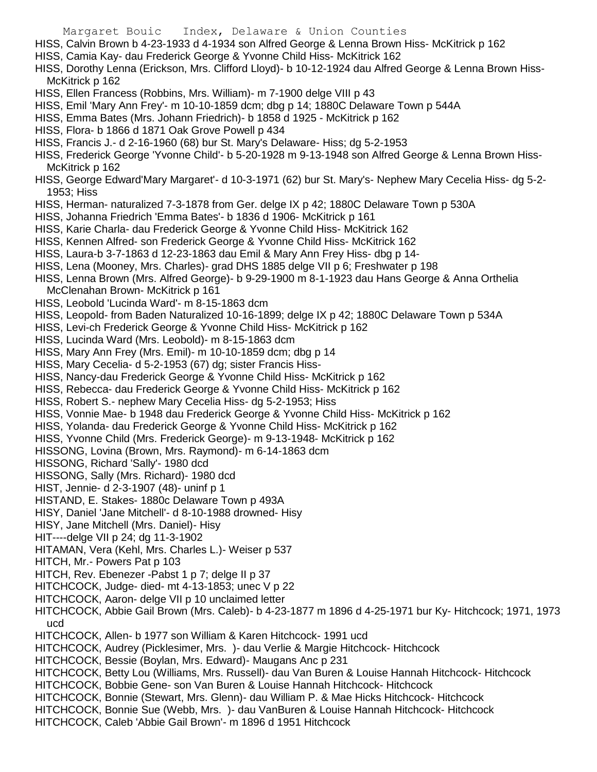- HISS, Calvin Brown b 4-23-1933 d 4-1934 son Alfred George & Lenna Brown Hiss- McKitrick p 162
- HISS, Camia Kay- dau Frederick George & Yvonne Child Hiss- McKitrick 162
- HISS, Dorothy Lenna (Erickson, Mrs. Clifford Lloyd)- b 10-12-1924 dau Alfred George & Lenna Brown Hiss-McKitrick p 162
- HISS, Ellen Francess (Robbins, Mrs. William)- m 7-1900 delge VIII p 43
- HISS, Emil 'Mary Ann Frey'- m 10-10-1859 dcm; dbg p 14; 1880C Delaware Town p 544A
- HISS, Emma Bates (Mrs. Johann Friedrich)- b 1858 d 1925 McKitrick p 162
- HISS, Flora- b 1866 d 1871 Oak Grove Powell p 434
- HISS, Francis J.- d 2-16-1960 (68) bur St. Mary's Delaware- Hiss; dg 5-2-1953
- HISS, Frederick George 'Yvonne Child'- b 5-20-1928 m 9-13-1948 son Alfred George & Lenna Brown Hiss-McKitrick p 162
- HISS, George Edward'Mary Margaret'- d 10-3-1971 (62) bur St. Mary's- Nephew Mary Cecelia Hiss- dg 5-2- 1953; Hiss
- HISS, Herman- naturalized 7-3-1878 from Ger. delge IX p 42; 1880C Delaware Town p 530A
- HISS, Johanna Friedrich 'Emma Bates'- b 1836 d 1906- McKitrick p 161
- HISS, Karie Charla- dau Frederick George & Yvonne Child Hiss- McKitrick 162
- HISS, Kennen Alfred- son Frederick George & Yvonne Child Hiss- McKitrick 162
- HISS, Laura-b 3-7-1863 d 12-23-1863 dau Emil & Mary Ann Frey Hiss- dbg p 14-
- HISS, Lena (Mooney, Mrs. Charles)- grad DHS 1885 delge VII p 6; Freshwater p 198
- HISS, Lenna Brown (Mrs. Alfred George)- b 9-29-1900 m 8-1-1923 dau Hans George & Anna Orthelia McClenahan Brown- McKitrick p 161
- HISS, Leobold 'Lucinda Ward'- m 8-15-1863 dcm
- HISS, Leopold- from Baden Naturalized 10-16-1899; delge IX p 42; 1880C Delaware Town p 534A
- HISS, Levi-ch Frederick George & Yvonne Child Hiss- McKitrick p 162
- HISS, Lucinda Ward (Mrs. Leobold)- m 8-15-1863 dcm
- HISS, Mary Ann Frey (Mrs. Emil)- m 10-10-1859 dcm; dbg p 14
- HISS, Mary Cecelia- d 5-2-1953 (67) dg; sister Francis Hiss-
- HISS, Nancy-dau Frederick George & Yvonne Child Hiss- McKitrick p 162
- HISS, Rebecca- dau Frederick George & Yvonne Child Hiss- McKitrick p 162
- HISS, Robert S.- nephew Mary Cecelia Hiss- dg 5-2-1953; Hiss
- HISS, Vonnie Mae- b 1948 dau Frederick George & Yvonne Child Hiss- McKitrick p 162
- HISS, Yolanda- dau Frederick George & Yvonne Child Hiss- McKitrick p 162
- HISS, Yvonne Child (Mrs. Frederick George)- m 9-13-1948- McKitrick p 162
- HISSONG, Lovina (Brown, Mrs. Raymond)- m 6-14-1863 dcm
- HISSONG, Richard 'Sally'- 1980 dcd
- HISSONG, Sally (Mrs. Richard)- 1980 dcd
- HIST, Jennie- d 2-3-1907 (48)- uninf p 1
- HISTAND, E. Stakes- 1880c Delaware Town p 493A
- HISY, Daniel 'Jane Mitchell'- d 8-10-1988 drowned- Hisy
- HISY, Jane Mitchell (Mrs. Daniel)- Hisy
- HIT----delge VII p 24; dg 11-3-1902
- HITAMAN, Vera (Kehl, Mrs. Charles L.)- Weiser p 537
- HITCH, Mr.- Powers Pat p 103
- HITCH, Rev. Ebenezer Pabst 1 p 7; delge II p 37
- HITCHCOCK, Judge- died- mt 4-13-1853; unec V p 22
- HITCHCOCK, Aaron- delge VII p 10 unclaimed letter
- HITCHCOCK, Abbie Gail Brown (Mrs. Caleb)- b 4-23-1877 m 1896 d 4-25-1971 bur Ky- Hitchcock; 1971, 1973 ucd
- HITCHCOCK, Allen- b 1977 son William & Karen Hitchcock- 1991 ucd
- HITCHCOCK, Audrey (Picklesimer, Mrs. )- dau Verlie & Margie Hitchcock- Hitchcock
- HITCHCOCK, Bessie (Boylan, Mrs. Edward)- Maugans Anc p 231
- HITCHCOCK, Betty Lou (Williams, Mrs. Russell)- dau Van Buren & Louise Hannah Hitchcock- Hitchcock
- HITCHCOCK, Bobbie Gene- son Van Buren & Louise Hannah Hitchcock- Hitchcock
- HITCHCOCK, Bonnie (Stewart, Mrs. Glenn)- dau William P. & Mae Hicks Hitchcock- Hitchcock
- HITCHCOCK, Bonnie Sue (Webb, Mrs. )- dau VanBuren & Louise Hannah Hitchcock- Hitchcock
- HITCHCOCK, Caleb 'Abbie Gail Brown'- m 1896 d 1951 Hitchcock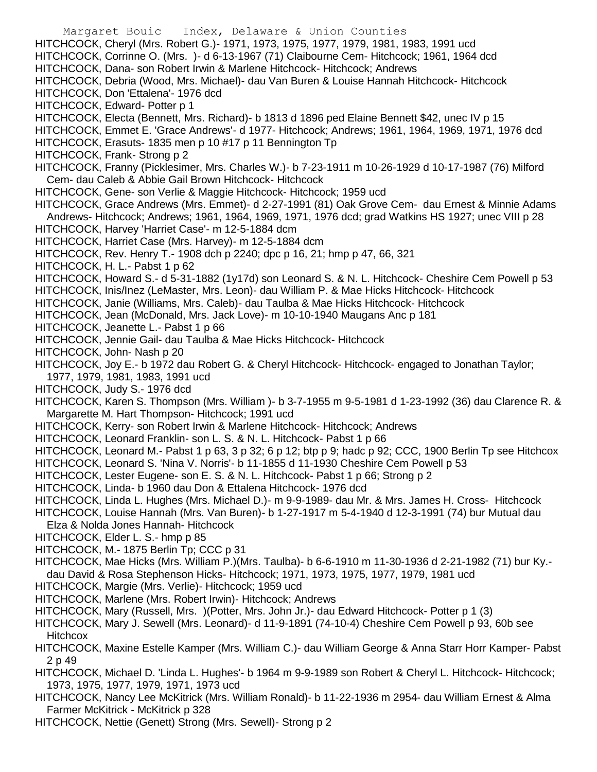- Margaret Bouic Index, Delaware & Union Counties HITCHCOCK, Cheryl (Mrs. Robert G.)- 1971, 1973, 1975, 1977, 1979, 1981, 1983, 1991 ucd HITCHCOCK, Corrinne O. (Mrs. )- d 6-13-1967 (71) Claibourne Cem- Hitchcock; 1961, 1964 dcd HITCHCOCK, Dana- son Robert Irwin & Marlene Hitchcock- Hitchcock; Andrews HITCHCOCK, Debria (Wood, Mrs. Michael)- dau Van Buren & Louise Hannah Hitchcock- Hitchcock HITCHCOCK, Don 'Ettalena'- 1976 dcd HITCHCOCK, Edward- Potter p 1 HITCHCOCK, Electa (Bennett, Mrs. Richard)- b 1813 d 1896 ped Elaine Bennett \$42, unec IV p 15 HITCHCOCK, Emmet E. 'Grace Andrews'- d 1977- Hitchcock; Andrews; 1961, 1964, 1969, 1971, 1976 dcd HITCHCOCK, Erasuts- 1835 men p 10 #17 p 11 Bennington Tp HITCHCOCK, Frank- Strong p 2 HITCHCOCK, Franny (Picklesimer, Mrs. Charles W.)- b 7-23-1911 m 10-26-1929 d 10-17-1987 (76) Milford Cem- dau Caleb & Abbie Gail Brown Hitchcock- Hitchcock HITCHCOCK, Gene- son Verlie & Maggie Hitchcock- Hitchcock; 1959 ucd HITCHCOCK, Grace Andrews (Mrs. Emmet)- d 2-27-1991 (81) Oak Grove Cem- dau Ernest & Minnie Adams Andrews- Hitchcock; Andrews; 1961, 1964, 1969, 1971, 1976 dcd; grad Watkins HS 1927; unec VIII p 28 HITCHCOCK, Harvey 'Harriet Case'- m 12-5-1884 dcm HITCHCOCK, Harriet Case (Mrs. Harvey)- m 12-5-1884 dcm HITCHCOCK, Rev. Henry T.- 1908 dch p 2240; dpc p 16, 21; hmp p 47, 66, 321 HITCHCOCK, H. L.- Pabst 1 p 62 HITCHCOCK, Howard S.- d 5-31-1882 (1y17d) son Leonard S. & N. L. Hitchcock- Cheshire Cem Powell p 53 HITCHCOCK, Inis/Inez (LeMaster, Mrs. Leon)- dau William P. & Mae Hicks Hitchcock- Hitchcock HITCHCOCK, Janie (Williams, Mrs. Caleb)- dau Taulba & Mae Hicks Hitchcock- Hitchcock HITCHCOCK, Jean (McDonald, Mrs. Jack Love)- m 10-10-1940 Maugans Anc p 181 HITCHCOCK, Jeanette L.- Pabst 1 p 66 HITCHCOCK, Jennie Gail- dau Taulba & Mae Hicks Hitchcock- Hitchcock HITCHCOCK, John- Nash p 20 HITCHCOCK, Joy E.- b 1972 dau Robert G. & Cheryl Hitchcock- Hitchcock- engaged to Jonathan Taylor; 1977, 1979, 1981, 1983, 1991 ucd HITCHCOCK, Judy S.- 1976 dcd HITCHCOCK, Karen S. Thompson (Mrs. William )- b 3-7-1955 m 9-5-1981 d 1-23-1992 (36) dau Clarence R. & Margarette M. Hart Thompson- Hitchcock; 1991 ucd HITCHCOCK, Kerry- son Robert Irwin & Marlene Hitchcock- Hitchcock; Andrews HITCHCOCK, Leonard Franklin- son L. S. & N. L. Hitchcock- Pabst 1 p 66 HITCHCOCK, Leonard M.- Pabst 1 p 63, 3 p 32; 6 p 12; btp p 9; hadc p 92; CCC, 1900 Berlin Tp see Hitchcox HITCHCOCK, Leonard S. 'Nina V. Norris'- b 11-1855 d 11-1930 Cheshire Cem Powell p 53 HITCHCOCK, Lester Eugene- son E. S. & N. L. Hitchcock- Pabst 1 p 66; Strong p 2 HITCHCOCK, Linda- b 1960 dau Don & Ettalena Hitchcock- 1976 dcd HITCHCOCK, Linda L. Hughes (Mrs. Michael D.)- m 9-9-1989- dau Mr. & Mrs. James H. Cross- Hitchcock HITCHCOCK, Louise Hannah (Mrs. Van Buren)- b 1-27-1917 m 5-4-1940 d 12-3-1991 (74) bur Mutual dau Elza & Nolda Jones Hannah- Hitchcock HITCHCOCK, Elder L. S.- hmp p 85 HITCHCOCK, M.- 1875 Berlin Tp; CCC p 31 HITCHCOCK, Mae Hicks (Mrs. William P.)(Mrs. Taulba)- b 6-6-1910 m 11-30-1936 d 2-21-1982 (71) bur Ky. dau David & Rosa Stephenson Hicks- Hitchcock; 1971, 1973, 1975, 1977, 1979, 1981 ucd HITCHCOCK, Margie (Mrs. Verlie)- Hitchcock; 1959 ucd HITCHCOCK, Marlene (Mrs. Robert Irwin)- Hitchcock; Andrews HITCHCOCK, Mary (Russell, Mrs. )(Potter, Mrs. John Jr.)- dau Edward Hitchcock- Potter p 1 (3) HITCHCOCK, Mary J. Sewell (Mrs. Leonard)- d 11-9-1891 (74-10-4) Cheshire Cem Powell p 93, 60b see **Hitchcox** HITCHCOCK, Maxine Estelle Kamper (Mrs. William C.)- dau William George & Anna Starr Horr Kamper- Pabst 2 p 49
- HITCHCOCK, Michael D. 'Linda L. Hughes'- b 1964 m 9-9-1989 son Robert & Cheryl L. Hitchcock- Hitchcock; 1973, 1975, 1977, 1979, 1971, 1973 ucd
- HITCHCOCK, Nancy Lee McKitrick (Mrs. William Ronald)- b 11-22-1936 m 2954- dau William Ernest & Alma Farmer McKitrick - McKitrick p 328
- HITCHCOCK, Nettie (Genett) Strong (Mrs. Sewell)- Strong p 2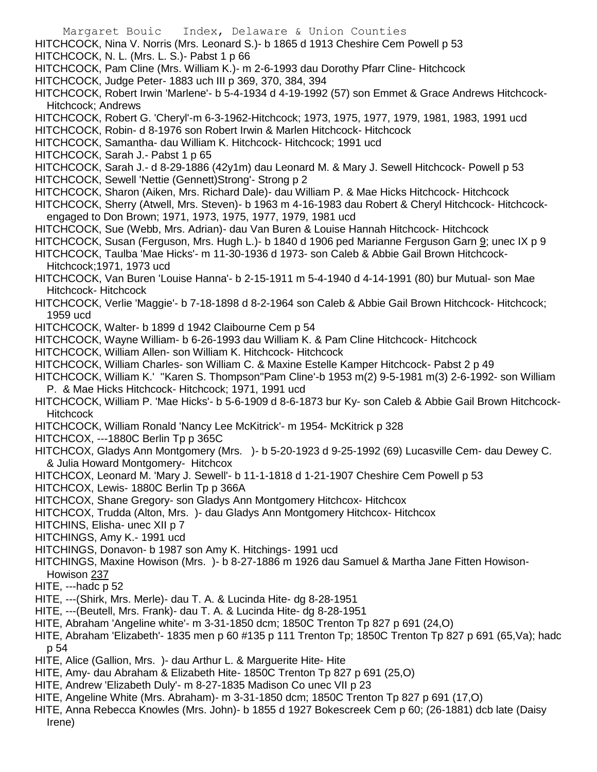- Margaret Bouic Index, Delaware & Union Counties
- HITCHCOCK, Nina V. Norris (Mrs. Leonard S.)- b 1865 d 1913 Cheshire Cem Powell p 53
- HITCHCOCK, N. L. (Mrs. L. S.)- Pabst 1 p 66
- HITCHCOCK, Pam Cline (Mrs. William K.)- m 2-6-1993 dau Dorothy Pfarr Cline- Hitchcock
- HITCHCOCK, Judge Peter- 1883 uch III p 369, 370, 384, 394
- HITCHCOCK, Robert Irwin 'Marlene'- b 5-4-1934 d 4-19-1992 (57) son Emmet & Grace Andrews Hitchcock-Hitchcock; Andrews
- HITCHCOCK, Robert G. 'Cheryl'-m 6-3-1962-Hitchcock; 1973, 1975, 1977, 1979, 1981, 1983, 1991 ucd
- HITCHCOCK, Robin- d 8-1976 son Robert Irwin & Marlen Hitchcock- Hitchcock
- HITCHCOCK, Samantha- dau William K. Hitchcock- Hitchcock; 1991 ucd
- HITCHCOCK, Sarah J.- Pabst 1 p 65
- HITCHCOCK, Sarah J.- d 8-29-1886 (42y1m) dau Leonard M. & Mary J. Sewell Hitchcock- Powell p 53
- HITCHCOCK, Sewell 'Nettie (Gennett)Strong'- Strong p 2
- HITCHCOCK, Sharon (Aiken, Mrs. Richard Dale)- dau William P. & Mae Hicks Hitchcock- Hitchcock
- HITCHCOCK, Sherry (Atwell, Mrs. Steven)- b 1963 m 4-16-1983 dau Robert & Cheryl Hitchcock- Hitchcockengaged to Don Brown; 1971, 1973, 1975, 1977, 1979, 1981 ucd
- HITCHCOCK, Sue (Webb, Mrs. Adrian)- dau Van Buren & Louise Hannah Hitchcock- Hitchcock
- HITCHCOCK, Susan (Ferguson, Mrs. Hugh L.)- b 1840 d 1906 ped Marianne Ferguson Garn 9; unec IX p 9
- HITCHCOCK, Taulba 'Mae Hicks'- m 11-30-1936 d 1973- son Caleb & Abbie Gail Brown Hitchcock-Hitchcock;1971, 1973 ucd
- HITCHCOCK, Van Buren 'Louise Hanna'- b 2-15-1911 m 5-4-1940 d 4-14-1991 (80) bur Mutual- son Mae Hitchcock- Hitchcock
- HITCHCOCK, Verlie 'Maggie'- b 7-18-1898 d 8-2-1964 son Caleb & Abbie Gail Brown Hitchcock- Hitchcock; 1959 ucd
- HITCHCOCK, Walter- b 1899 d 1942 Claibourne Cem p 54
- HITCHCOCK, Wayne William- b 6-26-1993 dau William K. & Pam Cline Hitchcock- Hitchcock
- HITCHCOCK, William Allen- son William K. Hitchcock- Hitchcock
- HITCHCOCK, William Charles- son William C. & Maxine Estelle Kamper Hitchcock- Pabst 2 p 49
- HITCHCOCK, William K.' ''Karen S. Thompson''Pam Cline'-b 1953 m(2) 9-5-1981 m(3) 2-6-1992- son William P. & Mae Hicks Hitchcock- Hitchcock; 1971, 1991 ucd
- HITCHCOCK, William P. 'Mae Hicks'- b 5-6-1909 d 8-6-1873 bur Ky- son Caleb & Abbie Gail Brown Hitchcock-**Hitchcock**
- HITCHCOCK, William Ronald 'Nancy Lee McKitrick'- m 1954- McKitrick p 328
- HITCHCOX, ---1880C Berlin Tp p 365C
- HITCHCOX, Gladys Ann Montgomery (Mrs. )- b 5-20-1923 d 9-25-1992 (69) Lucasville Cem- dau Dewey C. & Julia Howard Montgomery- Hitchcox
- HITCHCOX, Leonard M. 'Mary J. Sewell'- b 11-1-1818 d 1-21-1907 Cheshire Cem Powell p 53
- HITCHCOX, Lewis- 1880C Berlin Tp p 366A
- HITCHCOX, Shane Gregory- son Gladys Ann Montgomery Hitchcox- Hitchcox
- HITCHCOX, Trudda (Alton, Mrs. )- dau Gladys Ann Montgomery Hitchcox- Hitchcox
- HITCHINS, Elisha- unec XII p 7
- HITCHINGS, Amy K.- 1991 ucd
- HITCHINGS, Donavon- b 1987 son Amy K. Hitchings- 1991 ucd
- HITCHINGS, Maxine Howison (Mrs. )- b 8-27-1886 m 1926 dau Samuel & Martha Jane Fitten Howison-Howison 237
- HITE, ---hadc p 52
- HITE, ---(Shirk, Mrs. Merle)- dau T. A. & Lucinda Hite- dg 8-28-1951
- HITE, ---(Beutell, Mrs. Frank)- dau T. A. & Lucinda Hite- dg 8-28-1951
- HITE, Abraham 'Angeline white'- m 3-31-1850 dcm; 1850C Trenton Tp 827 p 691 (24,O)
- HITE, Abraham 'Elizabeth'- 1835 men p 60 #135 p 111 Trenton Tp; 1850C Trenton Tp 827 p 691 (65,Va); hadc p 54
- HITE, Alice (Gallion, Mrs. )- dau Arthur L. & Marguerite Hite- Hite
- HITE, Amy- dau Abraham & Elizabeth Hite- 1850C Trenton Tp 827 p 691 (25,O)
- HITE, Andrew 'Elizabeth Duly'- m 8-27-1835 Madison Co unec VII p 23
- HITE, Angeline White (Mrs. Abraham)- m 3-31-1850 dcm; 1850C Trenton Tp 827 p 691 (17,O)
- HITE, Anna Rebecca Knowles (Mrs. John)- b 1855 d 1927 Bokescreek Cem p 60; (26-1881) dcb late (Daisy Irene)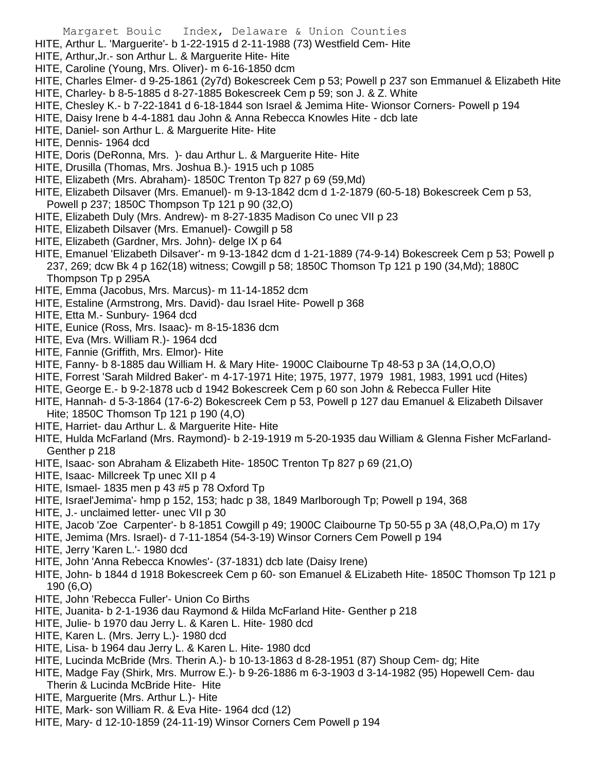HITE, Arthur L. 'Marguerite'- b 1-22-1915 d 2-11-1988 (73) Westfield Cem- Hite

- HITE, Arthur,Jr.- son Arthur L. & Marguerite Hite- Hite
- HITE, Caroline (Young, Mrs. Oliver)- m 6-16-1850 dcm
- HITE, Charles Elmer- d 9-25-1861 (2y7d) Bokescreek Cem p 53; Powell p 237 son Emmanuel & Elizabeth Hite
- HITE, Charley- b 8-5-1885 d 8-27-1885 Bokescreek Cem p 59; son J. & Z. White
- HITE, Chesley K.- b 7-22-1841 d 6-18-1844 son Israel & Jemima Hite- Wionsor Corners- Powell p 194
- HITE, Daisy Irene b 4-4-1881 dau John & Anna Rebecca Knowles Hite dcb late
- HITE, Daniel- son Arthur L. & Marguerite Hite- Hite
- HITE, Dennis- 1964 dcd
- HITE, Doris (DeRonna, Mrs. )- dau Arthur L. & Marguerite Hite- Hite
- HITE, Drusilla (Thomas, Mrs. Joshua B.)- 1915 uch p 1085
- HITE, Elizabeth (Mrs. Abraham)- 1850C Trenton Tp 827 p 69 (59,Md)
- HITE, Elizabeth Dilsaver (Mrs. Emanuel)- m 9-13-1842 dcm d 1-2-1879 (60-5-18) Bokescreek Cem p 53, Powell p 237; 1850C Thompson Tp 121 p 90 (32,O)
- HITE, Elizabeth Duly (Mrs. Andrew)- m 8-27-1835 Madison Co unec VII p 23
- HITE, Elizabeth Dilsaver (Mrs. Emanuel)- Cowgill p 58
- HITE, Elizabeth (Gardner, Mrs. John)- delge IX p 64
- HITE, Emanuel 'Elizabeth Dilsaver'- m 9-13-1842 dcm d 1-21-1889 (74-9-14) Bokescreek Cem p 53; Powell p 237, 269; dcw Bk 4 p 162(18) witness; Cowgill p 58; 1850C Thomson Tp 121 p 190 (34,Md); 1880C Thompson Tp p 295A
- HITE, Emma (Jacobus, Mrs. Marcus)- m 11-14-1852 dcm
- HITE, Estaline (Armstrong, Mrs. David)- dau Israel Hite- Powell p 368
- HITE, Etta M.- Sunbury- 1964 dcd
- HITE, Eunice (Ross, Mrs. Isaac)- m 8-15-1836 dcm
- HITE, Eva (Mrs. William R.)- 1964 dcd
- HITE, Fannie (Griffith, Mrs. Elmor)- Hite
- HITE, Fanny- b 8-1885 dau William H. & Mary Hite- 1900C Claibourne Tp 48-53 p 3A (14,O,O,O)
- HITE, Forrest 'Sarah Mildred Baker'- m 4-17-1971 Hite; 1975, 1977, 1979 1981, 1983, 1991 ucd (Hites)
- HITE, George E.- b 9-2-1878 ucb d 1942 Bokescreek Cem p 60 son John & Rebecca Fuller Hite
- HITE, Hannah- d 5-3-1864 (17-6-2) Bokescreek Cem p 53, Powell p 127 dau Emanuel & Elizabeth Dilsaver Hite; 1850C Thomson Tp 121 p 190 (4,O)
- HITE, Harriet- dau Arthur L. & Marguerite Hite- Hite
- HITE, Hulda McFarland (Mrs. Raymond)- b 2-19-1919 m 5-20-1935 dau William & Glenna Fisher McFarland-Genther p 218
- HITE, Isaac- son Abraham & Elizabeth Hite- 1850C Trenton Tp 827 p 69 (21,O)
- HITE, Isaac- Millcreek Tp unec XII p 4
- HITE, Ismael- 1835 men p 43 #5 p 78 Oxford Tp
- HITE, Israel'Jemima'- hmp p 152, 153; hadc p 38, 1849 Marlborough Tp; Powell p 194, 368
- HITE, J.- unclaimed letter- unec VII p 30
- HITE, Jacob 'Zoe Carpenter'- b 8-1851 Cowgill p 49; 1900C Claibourne Tp 50-55 p 3A (48,O,Pa,O) m 17y
- HITE, Jemima (Mrs. Israel)- d 7-11-1854 (54-3-19) Winsor Corners Cem Powell p 194
- HITE, Jerry 'Karen L.'- 1980 dcd
- HITE, John 'Anna Rebecca Knowles'- (37-1831) dcb late (Daisy Irene)
- HITE, John- b 1844 d 1918 Bokescreek Cem p 60- son Emanuel & ELizabeth Hite- 1850C Thomson Tp 121 p 190 (6,O)
- HITE, John 'Rebecca Fuller'- Union Co Births
- HITE, Juanita- b 2-1-1936 dau Raymond & Hilda McFarland Hite- Genther p 218
- HITE, Julie- b 1970 dau Jerry L. & Karen L. Hite- 1980 dcd
- HITE, Karen L. (Mrs. Jerry L.)- 1980 dcd
- HITE, Lisa- b 1964 dau Jerry L. & Karen L. Hite- 1980 dcd
- HITE, Lucinda McBride (Mrs. Therin A.)- b 10-13-1863 d 8-28-1951 (87) Shoup Cem- dg; Hite
- HITE, Madge Fay (Shirk, Mrs. Murrow E.)- b 9-26-1886 m 6-3-1903 d 3-14-1982 (95) Hopewell Cem- dau Therin & Lucinda McBride Hite- Hite
- HITE, Marguerite (Mrs. Arthur L.)- Hite
- HITE, Mark- son William R. & Eva Hite- 1964 dcd (12)
- HITE, Mary- d 12-10-1859 (24-11-19) Winsor Corners Cem Powell p 194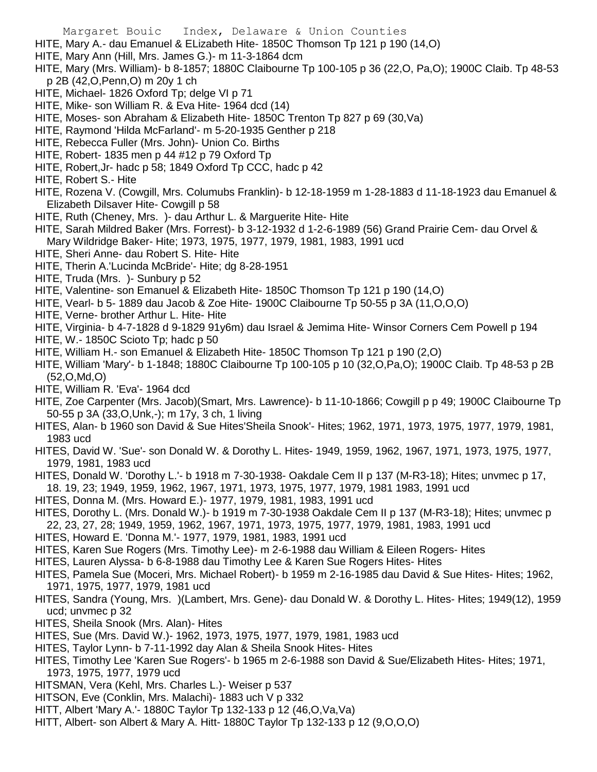- HITE, Mary A.- dau Emanuel & ELizabeth Hite- 1850C Thomson Tp 121 p 190 (14,O)
- HITE, Mary Ann (Hill, Mrs. James G.)- m 11-3-1864 dcm
- HITE, Mary (Mrs. William)- b 8-1857; 1880C Claibourne Tp 100-105 p 36 (22,O, Pa,O); 1900C Claib. Tp 48-53 p 2B (42,O,Penn,O) m 20y 1 ch
- HITE, Michael- 1826 Oxford Tp; delge VI p 71
- HITE, Mike- son William R. & Eva Hite- 1964 dcd (14)
- HITE, Moses- son Abraham & Elizabeth Hite- 1850C Trenton Tp 827 p 69 (30,Va)
- HITE, Raymond 'Hilda McFarland'- m 5-20-1935 Genther p 218
- HITE, Rebecca Fuller (Mrs. John)- Union Co. Births
- HITE, Robert- 1835 men p 44 #12 p 79 Oxford Tp
- HITE, Robert,Jr- hadc p 58; 1849 Oxford Tp CCC, hadc p 42
- HITE, Robert S.- Hite
- HITE, Rozena V. (Cowgill, Mrs. Columubs Franklin)- b 12-18-1959 m 1-28-1883 d 11-18-1923 dau Emanuel & Elizabeth Dilsaver Hite- Cowgill p 58
- HITE, Ruth (Cheney, Mrs. )- dau Arthur L. & Marguerite Hite- Hite
- HITE, Sarah Mildred Baker (Mrs. Forrest)- b 3-12-1932 d 1-2-6-1989 (56) Grand Prairie Cem- dau Orvel & Mary Wildridge Baker- Hite; 1973, 1975, 1977, 1979, 1981, 1983, 1991 ucd
- HITE, Sheri Anne- dau Robert S. Hite- Hite
- HITE, Therin A.'Lucinda McBride'- Hite; dg 8-28-1951
- HITE, Truda (Mrs. )- Sunbury p 52
- HITE, Valentine- son Emanuel & Elizabeth Hite- 1850C Thomson Tp 121 p 190 (14,O)
- HITE, Vearl- b 5- 1889 dau Jacob & Zoe Hite- 1900C Claibourne Tp 50-55 p 3A (11,O,O,O)
- HITE, Verne- brother Arthur L. Hite- Hite
- HITE, Virginia- b 4-7-1828 d 9-1829 91y6m) dau Israel & Jemima Hite- Winsor Corners Cem Powell p 194
- HITE, W.- 1850C Scioto Tp; hadc p 50
- HITE, William H.- son Emanuel & Elizabeth Hite- 1850C Thomson Tp 121 p 190 (2,O)
- HITE, William 'Mary'- b 1-1848; 1880C Claibourne Tp 100-105 p 10 (32,O,Pa,O); 1900C Claib. Tp 48-53 p 2B (52,O,Md,O)
- HITE, William R. 'Eva'- 1964 dcd
- HITE, Zoe Carpenter (Mrs. Jacob)(Smart, Mrs. Lawrence)- b 11-10-1866; Cowgill p p 49; 1900C Claibourne Tp 50-55 p 3A (33,O,Unk,-); m 17y, 3 ch, 1 living
- HITES, Alan- b 1960 son David & Sue Hites'Sheila Snook'- Hites; 1962, 1971, 1973, 1975, 1977, 1979, 1981, 1983 ucd
- HITES, David W. 'Sue'- son Donald W. & Dorothy L. Hites- 1949, 1959, 1962, 1967, 1971, 1973, 1975, 1977, 1979, 1981, 1983 ucd
- HITES, Donald W. 'Dorothy L.'- b 1918 m 7-30-1938- Oakdale Cem II p 137 (M-R3-18); Hites; unvmec p 17,
- 18. 19, 23; 1949, 1959, 1962, 1967, 1971, 1973, 1975, 1977, 1979, 1981 1983, 1991 ucd
- HITES, Donna M. (Mrs. Howard E.)- 1977, 1979, 1981, 1983, 1991 ucd
- HITES, Dorothy L. (Mrs. Donald W.)- b 1919 m 7-30-1938 Oakdale Cem II p 137 (M-R3-18); Hites; unvmec p 22, 23, 27, 28; 1949, 1959, 1962, 1967, 1971, 1973, 1975, 1977, 1979, 1981, 1983, 1991 ucd
- HITES, Howard E. 'Donna M.'- 1977, 1979, 1981, 1983, 1991 ucd
- HITES, Karen Sue Rogers (Mrs. Timothy Lee)- m 2-6-1988 dau William & Eileen Rogers- Hites
- HITES, Lauren Alyssa- b 6-8-1988 dau Timothy Lee & Karen Sue Rogers Hites- Hites
- HITES, Pamela Sue (Moceri, Mrs. Michael Robert)- b 1959 m 2-16-1985 dau David & Sue Hites- Hites; 1962, 1971, 1975, 1977, 1979, 1981 ucd
- HITES, Sandra (Young, Mrs. )(Lambert, Mrs. Gene)- dau Donald W. & Dorothy L. Hites- Hites; 1949(12), 1959 ucd; unvmec p 32
- HITES, Sheila Snook (Mrs. Alan)- Hites
- HITES, Sue (Mrs. David W.)- 1962, 1973, 1975, 1977, 1979, 1981, 1983 ucd
- HITES, Taylor Lynn- b 7-11-1992 day Alan & Sheila Snook Hites- Hites
- HITES, Timothy Lee 'Karen Sue Rogers'- b 1965 m 2-6-1988 son David & Sue/Elizabeth Hites- Hites; 1971, 1973, 1975, 1977, 1979 ucd
- HITSMAN, Vera (Kehl, Mrs. Charles L.)- Weiser p 537
- HITSON, Eve (Conklin, Mrs. Malachi)- 1883 uch V p 332
- HITT, Albert 'Mary A.'- 1880C Taylor Tp 132-133 p 12 (46,O,Va,Va)
- HITT, Albert- son Albert & Mary A. Hitt- 1880C Taylor Tp 132-133 p 12 (9,O,O,O)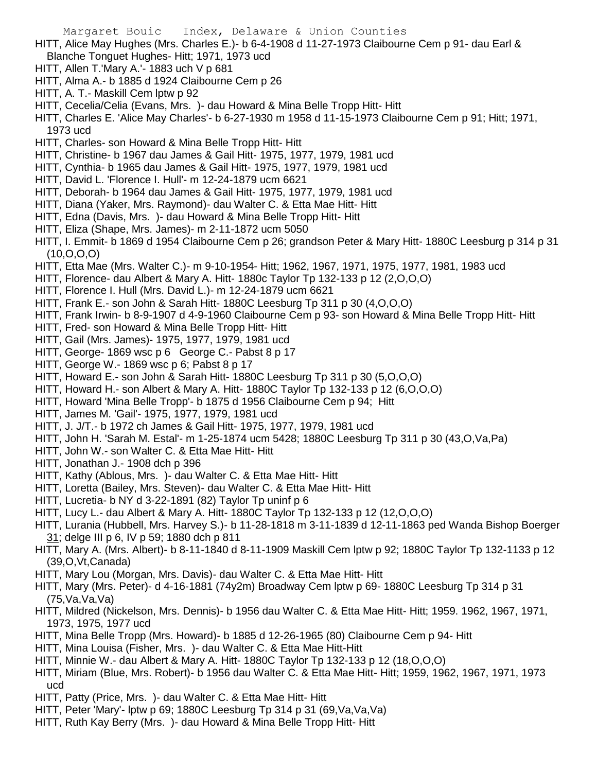- HITT, Alice May Hughes (Mrs. Charles E.)- b 6-4-1908 d 11-27-1973 Claibourne Cem p 91- dau Earl & Blanche Tonguet Hughes- Hitt; 1971, 1973 ucd
- HITT, Allen T.'Mary A.'- 1883 uch V p 681
- HITT, Alma A.- b 1885 d 1924 Claibourne Cem p 26
- HITT, A. T.- Maskill Cem lptw p 92
- HITT, Cecelia/Celia (Evans, Mrs. )- dau Howard & Mina Belle Tropp Hitt- Hitt
- HITT, Charles E. 'Alice May Charles'- b 6-27-1930 m 1958 d 11-15-1973 Claibourne Cem p 91; Hitt; 1971, 1973 ucd
- HITT, Charles- son Howard & Mina Belle Tropp Hitt- Hitt
- HITT, Christine- b 1967 dau James & Gail Hitt- 1975, 1977, 1979, 1981 ucd
- HITT, Cynthia- b 1965 dau James & Gail Hitt- 1975, 1977, 1979, 1981 ucd
- HITT, David L. 'Florence I. Hull'- m 12-24-1879 ucm 6621
- HITT, Deborah- b 1964 dau James & Gail Hitt- 1975, 1977, 1979, 1981 ucd
- HITT, Diana (Yaker, Mrs. Raymond)- dau Walter C. & Etta Mae Hitt- Hitt
- HITT, Edna (Davis, Mrs. )- dau Howard & Mina Belle Tropp Hitt- Hitt
- HITT, Eliza (Shape, Mrs. James)- m 2-11-1872 ucm 5050
- HITT, I. Emmit- b 1869 d 1954 Claibourne Cem p 26; grandson Peter & Mary Hitt- 1880C Leesburg p 314 p 31 (10,O,O,O)
- HITT, Etta Mae (Mrs. Walter C.)- m 9-10-1954- Hitt; 1962, 1967, 1971, 1975, 1977, 1981, 1983 ucd
- HITT, Florence- dau Albert & Mary A. Hitt- 1880c Taylor Tp 132-133 p 12 (2,O,O,O)
- HITT, Florence I. Hull (Mrs. David L.)- m 12-24-1879 ucm 6621
- HITT, Frank E.- son John & Sarah Hitt- 1880C Leesburg Tp 311 p 30 (4,O,O,O)
- HITT, Frank Irwin- b 8-9-1907 d 4-9-1960 Claibourne Cem p 93- son Howard & Mina Belle Tropp Hitt- Hitt
- HITT, Fred- son Howard & Mina Belle Tropp Hitt- Hitt
- HITT, Gail (Mrs. James)- 1975, 1977, 1979, 1981 ucd
- HITT, George- 1869 wsc p 6 George C.- Pabst 8 p 17
- HITT, George W.- 1869 wsc p 6; Pabst 8 p 17
- HITT, Howard E.- son John & Sarah Hitt- 1880C Leesburg Tp 311 p 30 (5,O,O,O)
- HITT, Howard H.- son Albert & Mary A. Hitt- 1880C Taylor Tp 132-133 p 12 (6,O,O,O)
- HITT, Howard 'Mina Belle Tropp'- b 1875 d 1956 Claibourne Cem p 94; Hitt
- HITT, James M. 'Gail'- 1975, 1977, 1979, 1981 ucd
- HITT, J. J/T.- b 1972 ch James & Gail Hitt- 1975, 1977, 1979, 1981 ucd
- HITT, John H. 'Sarah M. Estal'- m 1-25-1874 ucm 5428; 1880C Leesburg Tp 311 p 30 (43,O,Va,Pa)
- HITT, John W.- son Walter C. & Etta Mae Hitt- Hitt
- HITT, Jonathan J.- 1908 dch p 396
- HITT, Kathy (Ablous, Mrs. )- dau Walter C. & Etta Mae Hitt- Hitt
- HITT, Loretta (Bailey, Mrs. Steven)- dau Walter C. & Etta Mae Hitt- Hitt
- HITT, Lucretia- b NY d 3-22-1891 (82) Taylor Tp uninf p 6
- HITT, Lucy L.- dau Albert & Mary A. Hitt- 1880C Taylor Tp 132-133 p 12 (12,O,O,O)
- HITT, Lurania (Hubbell, Mrs. Harvey S.)- b 11-28-1818 m 3-11-1839 d 12-11-1863 ped Wanda Bishop Boerger 31; delge III p 6, IV p 59; 1880 dch p 811
- HITT, Mary A. (Mrs. Albert)- b 8-11-1840 d 8-11-1909 Maskill Cem lptw p 92; 1880C Taylor Tp 132-1133 p 12 (39,O,Vt,Canada)
- HITT, Mary Lou (Morgan, Mrs. Davis)- dau Walter C. & Etta Mae Hitt- Hitt
- HITT, Mary (Mrs. Peter)- d 4-16-1881 (74y2m) Broadway Cem lptw p 69- 1880C Leesburg Tp 314 p 31 (75,Va,Va,Va)
- HITT, Mildred (Nickelson, Mrs. Dennis)- b 1956 dau Walter C. & Etta Mae Hitt- Hitt; 1959. 1962, 1967, 1971, 1973, 1975, 1977 ucd
- HITT, Mina Belle Tropp (Mrs. Howard)- b 1885 d 12-26-1965 (80) Claibourne Cem p 94- Hitt
- HITT, Mina Louisa (Fisher, Mrs. )- dau Walter C. & Etta Mae Hitt-Hitt
- HITT, Minnie W.- dau Albert & Mary A. Hitt- 1880C Taylor Tp 132-133 p 12 (18,O,O,O)
- HITT, Miriam (Blue, Mrs. Robert)- b 1956 dau Walter C. & Etta Mae Hitt- Hitt; 1959, 1962, 1967, 1971, 1973 ucd
- HITT, Patty (Price, Mrs. )- dau Walter C. & Etta Mae Hitt- Hitt
- HITT, Peter 'Mary'- lptw p 69; 1880C Leesburg Tp 314 p 31 (69,Va,Va,Va)
- HITT, Ruth Kay Berry (Mrs. )- dau Howard & Mina Belle Tropp Hitt- Hitt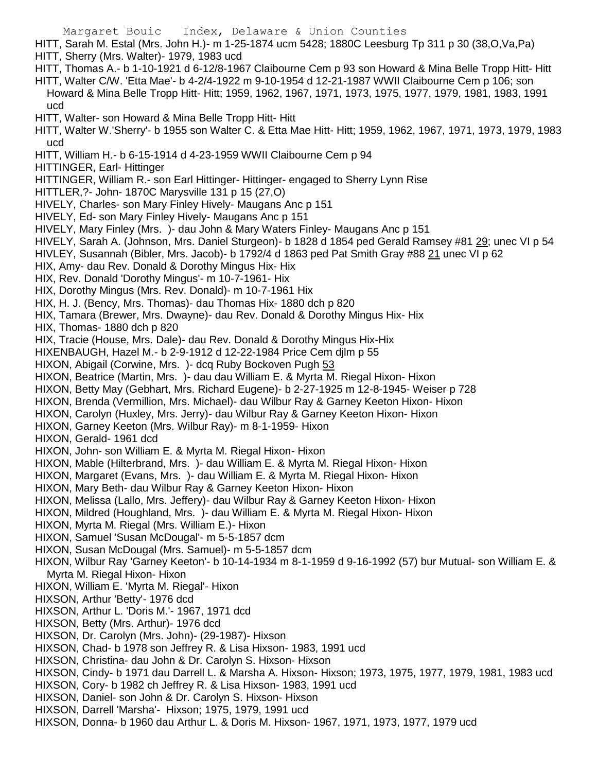Margaret Bouic Index, Delaware & Union Counties HITT, Sarah M. Estal (Mrs. John H.)- m 1-25-1874 ucm 5428; 1880C Leesburg Tp 311 p 30 (38,O,Va,Pa) HITT, Sherry (Mrs. Walter)- 1979, 1983 ucd HITT, Thomas A.- b 1-10-1921 d 6-12/8-1967 Claibourne Cem p 93 son Howard & Mina Belle Tropp Hitt- Hitt HITT, Walter C/W. 'Etta Mae'- b 4-2/4-1922 m 9-10-1954 d 12-21-1987 WWII Claibourne Cem p 106; son Howard & Mina Belle Tropp Hitt- Hitt; 1959, 1962, 1967, 1971, 1973, 1975, 1977, 1979, 1981, 1983, 1991 ucd HITT, Walter- son Howard & Mina Belle Tropp Hitt- Hitt HITT, Walter W.'Sherry'- b 1955 son Walter C. & Etta Mae Hitt- Hitt; 1959, 1962, 1967, 1971, 1973, 1979, 1983 ucd HITT, William H.- b 6-15-1914 d 4-23-1959 WWII Claibourne Cem p 94 HITTINGER, Earl- Hittinger HITTINGER, William R.- son Earl Hittinger- Hittinger- engaged to Sherry Lynn Rise HITTLER,?- John- 1870C Marysville 131 p 15 (27,O) HIVELY, Charles- son Mary Finley Hively- Maugans Anc p 151 HIVELY, Ed- son Mary Finley Hively- Maugans Anc p 151 HIVELY, Mary Finley (Mrs. )- dau John & Mary Waters Finley- Maugans Anc p 151 HIVELY, Sarah A. (Johnson, Mrs. Daniel Sturgeon)- b 1828 d 1854 ped Gerald Ramsey #81 29; unec VI p 54 HIVLEY, Susannah (Bibler, Mrs. Jacob)- b 1792/4 d 1863 ped Pat Smith Gray #88 21 unec VI p 62 HIX, Amy- dau Rev. Donald & Dorothy Mingus Hix- Hix HIX, Rev. Donald 'Dorothy Mingus'- m 10-7-1961- Hix HIX, Dorothy Mingus (Mrs. Rev. Donald)- m 10-7-1961 Hix HIX, H. J. (Bency, Mrs. Thomas)- dau Thomas Hix- 1880 dch p 820 HIX, Tamara (Brewer, Mrs. Dwayne)- dau Rev. Donald & Dorothy Mingus Hix- Hix HIX, Thomas- 1880 dch p 820 HIX, Tracie (House, Mrs. Dale)- dau Rev. Donald & Dorothy Mingus Hix-Hix HIXENBAUGH, Hazel M.- b 2-9-1912 d 12-22-1984 Price Cem djlm p 55 HIXON, Abigail (Corwine, Mrs. ) - dcq Ruby Bockoven Pugh 53 HIXON, Beatrice (Martin, Mrs. )- dau dau William E. & Myrta M. Riegal Hixon- Hixon HIXON, Betty May (Gebhart, Mrs. Richard Eugene)- b 2-27-1925 m 12-8-1945- Weiser p 728 HIXON, Brenda (Vermillion, Mrs. Michael)- dau Wilbur Ray & Garney Keeton Hixon- Hixon HIXON, Carolyn (Huxley, Mrs. Jerry)- dau Wilbur Ray & Garney Keeton Hixon- Hixon HIXON, Garney Keeton (Mrs. Wilbur Ray)- m 8-1-1959- Hixon HIXON, Gerald- 1961 dcd HIXON, John- son William E. & Myrta M. Riegal Hixon- Hixon HIXON, Mable (Hilterbrand, Mrs. )- dau William E. & Myrta M. Riegal Hixon- Hixon HIXON, Margaret (Evans, Mrs. )- dau William E. & Myrta M. Riegal Hixon- Hixon HIXON, Mary Beth- dau Wilbur Ray & Garney Keeton Hixon- Hixon HIXON, Melissa (Lallo, Mrs. Jeffery)- dau Wilbur Ray & Garney Keeton Hixon- Hixon HIXON, Mildred (Houghland, Mrs. )- dau William E. & Myrta M. Riegal Hixon- Hixon HIXON, Myrta M. Riegal (Mrs. William E.)- Hixon HIXON, Samuel 'Susan McDougal'- m 5-5-1857 dcm HIXON, Susan McDougal (Mrs. Samuel)- m 5-5-1857 dcm HIXON, Wilbur Ray 'Garney Keeton'- b 10-14-1934 m 8-1-1959 d 9-16-1992 (57) bur Mutual- son William E. & Myrta M. Riegal Hixon- Hixon HIXON, William E. 'Myrta M. Riegal'- Hixon HIXSON, Arthur 'Betty'- 1976 dcd HIXSON, Arthur L. 'Doris M.'- 1967, 1971 dcd HIXSON, Betty (Mrs. Arthur)- 1976 dcd HIXSON, Dr. Carolyn (Mrs. John)- (29-1987)- Hixson HIXSON, Chad- b 1978 son Jeffrey R. & Lisa Hixson- 1983, 1991 ucd HIXSON, Christina- dau John & Dr. Carolyn S. Hixson- Hixson HIXSON, Cindy- b 1971 dau Darrell L. & Marsha A. Hixson- Hixson; 1973, 1975, 1977, 1979, 1981, 1983 ucd HIXSON, Cory- b 1982 ch Jeffrey R. & Lisa Hixson- 1983, 1991 ucd HIXSON, Daniel- son John & Dr. Carolyn S. Hixson- Hixson HIXSON, Darrell 'Marsha'- Hixson; 1975, 1979, 1991 ucd HIXSON, Donna- b 1960 dau Arthur L. & Doris M. Hixson- 1967, 1971, 1973, 1977, 1979 ucd